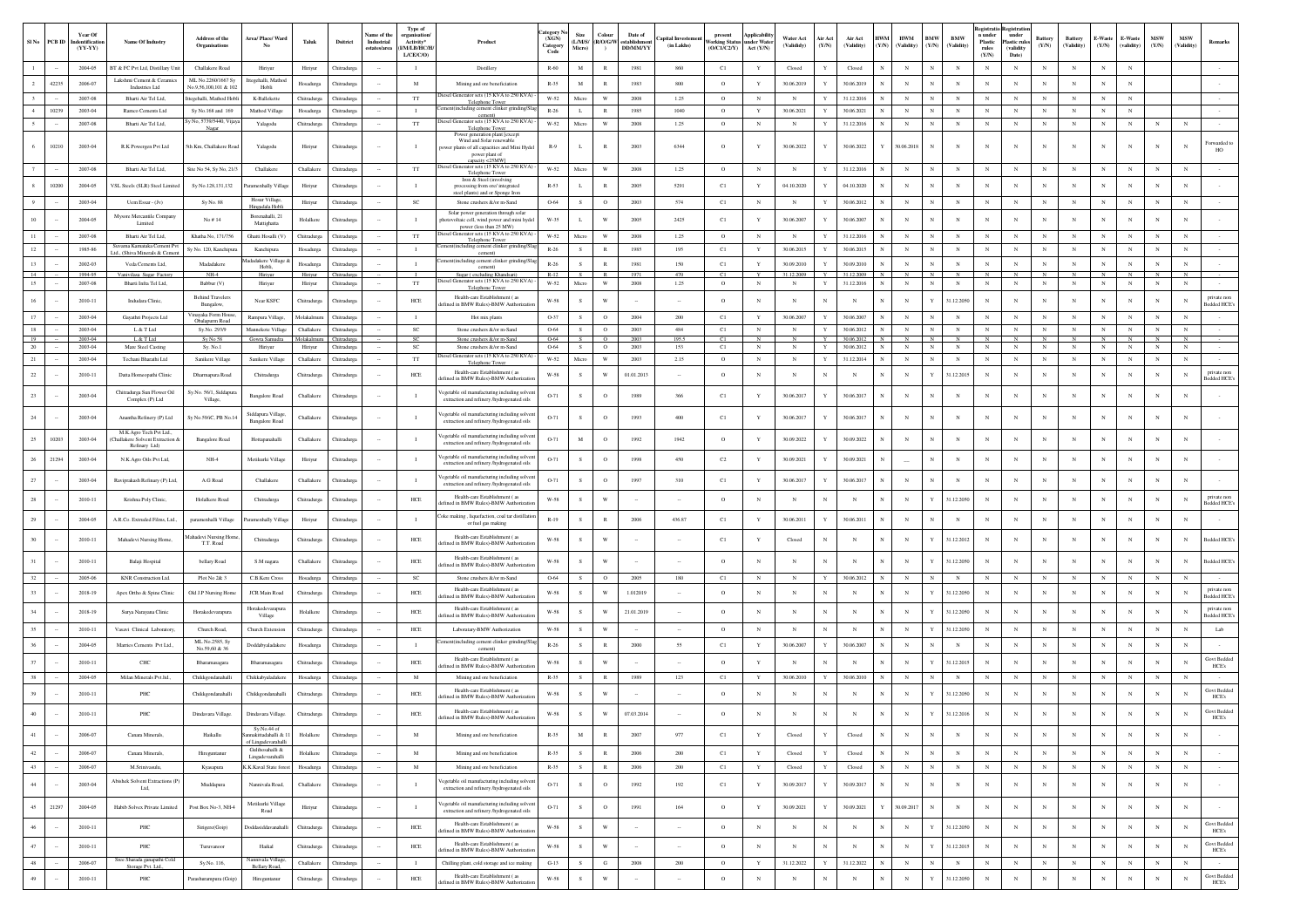|              | SINo PCB ID | Year Of<br>dentificatio<br>$(YY-YY)$ | Name Of Industry                                                        | <b>Address of the</b><br>Organisations      | Area/ Place/ Ward                                        | Taluk                         | <b>Dsitrict</b>                 | <b>Same of the</b><br>Industrial<br>states/area | Type of<br>reanisatio<br>Activity*<br><b>I/M/LB/HC/H</b><br>L/CE/C/O | Product                                                                                                                       | ategory<br>(XGN)<br>Category<br>Code | Size<br>Micro) | Colour<br>(L/M/S/ R/O/G/W<br>$\lambda$ | Date of<br>establishme<br><b>DD/MM/YY</b> | (in Lakhs)   | present<br><b>Vorking Status</b><br>(O/C1/C2/Y) | Applicabili<br>mder Water<br>Act (Y/N) | Water Act<br>(Valididy)  | Air Act<br>(Y/N) | Air Act<br>(Validity)    | <b>HWM</b><br><b>HWM</b><br>(Y/N)<br>(Validity) | BMW<br>(Y/N) | $\mathbf{B}\mathbf{M}\mathbf{W}$<br>(Validity) | <b>Registratio</b> Registrat<br>n under<br>Plastic<br>rules<br>(Y/N) | under<br><b>Plastic rule</b><br>(validity<br>Date) | Battery<br>(Y/N) | <b>Battery</b><br>(Validity) | - Waste<br>(Y/N) | E-Waste<br>(validity) | <b>MSW</b><br>(Y/N) | <b>MSW</b><br>(Validity) | Remarks                            |
|--------------|-------------|--------------------------------------|-------------------------------------------------------------------------|---------------------------------------------|----------------------------------------------------------|-------------------------------|---------------------------------|-------------------------------------------------|----------------------------------------------------------------------|-------------------------------------------------------------------------------------------------------------------------------|--------------------------------------|----------------|----------------------------------------|-------------------------------------------|--------------|-------------------------------------------------|----------------------------------------|--------------------------|------------------|--------------------------|-------------------------------------------------|--------------|------------------------------------------------|----------------------------------------------------------------------|----------------------------------------------------|------------------|------------------------------|------------------|-----------------------|---------------------|--------------------------|------------------------------------|
|              |             | 2004-05                              | BT & FC Pvt Ltd, Distillary Unit                                        | Challakere Road                             | Hiriyur                                                  | Hiriyur                       | Chitradurg                      |                                                 | п.                                                                   | Distillery                                                                                                                    | $R-60$                               | $\mathbf M$    | $\mathbb{R}$                           | 1981                                      | 860          | C1                                              | $\mathbf{Y}$                           | Closed                   | $\mathbf Y$      | Closed                   | $\mathbb{N}$<br>$_{\rm N}$                      |              | $_{\rm N}$                                     | $_{\rm N}$                                                           | $_{\rm N}$                                         | $_{\rm N}$       | $_{\rm N}$                   | $_{\rm N}$       | $_{\rm N}$            |                     |                          |                                    |
|              | 42235       | 2006-07                              | Lakshmi Cement & Ceram<br>Industries Ltd                                | ML No.2260/1667 S<br>No.9.56,100,101 & 10   | egehalli, Mathod<br>Hobli                                | Hosadurga                     | <b>Thitradurg:</b>              |                                                 | M                                                                    | Mining and ore beneficiation                                                                                                  | $R - 35$                             | $\mathbf M$    | R                                      | 1983                                      | 800          | $\circ$                                         | Y                                      | 30.06.2019               | Y                | 30.06.2019               | $_{\rm N}$                                      |              |                                                | $_{\rm N}$                                                           |                                                    |                  | N                            |                  | $_{\rm N}$            |                     |                          |                                    |
|              |             | 2007-08                              | Bharti Air Tel Ltd                                                      | egehalli, Mathod Ho                         | K-Ballekett                                              | Chitradurga                   | Chitradurg                      |                                                 | TT                                                                   | biesel Generator sets (15 KVA to 250 KVA)<br>Telephone Tower                                                                  | $W-52$                               | Micro          | W                                      | 2008                                      | 1.25         | $\circ$                                         | $\mathbb{N}$                           | $_{\rm N}$               | Y                | 31.12.2016               | $_{\rm N}$                                      |              | $_{\rm N}$                                     | $_{\rm N}$                                                           |                                                    | $_{\rm N}$       | $_{\rm N}$                   | N                | $_{\rm N}$            |                     |                          |                                    |
|              | 10239       | 2003-04                              | Ramco Cements Ltd                                                       | Sy No.168 and 169<br>y No, 5739/5440, Vijay | Mathod Village                                           | Hosadurga                     | Thitradurg                      |                                                 | $\mathbf{I}$                                                         | t(including cement clinker grinding/<br>liesel Generator sets (15 KVA to 250 KVA)                                             | $R-26$                               |                | R                                      | 1985                                      | 1040         | $\circ$                                         | Y                                      | 30.06.202                | Y                | 30.06.2021               | $_{\rm N}$                                      |              | $_{\rm N}$                                     | $_{\rm N}$                                                           |                                                    | $_{\rm N}$       | $_{\rm N}$                   | N                | $_{\rm N}$            |                     |                          |                                    |
|              | 10210       | 2007-08<br>2003-04                   | Bharti Air Tel Ltd,<br>R.K Powergen Pvt Ltd                             | Nagar<br>5th Km, Challakere Road            | Yalagodu<br>Yalagodu                                     | Chitradurga<br>Hiriyur        | Chitradurg<br>Thitradure        |                                                 | $_{\rm TT}$<br>- 1                                                   | Telephone Tower<br>Power generation plant [except<br>Wind and Solar renewable<br>ower plants of all capacities and Mini Hydel | W-52<br>$R-9$                        | Micro<br>L.    | W<br>R                                 | 2008<br>2003                              | 1.25<br>6344 | $\circ$<br>$\circ$                              | $_{\rm N}$<br>Y                        | $_{\rm N}$<br>30.06.2022 | Y<br>Y           | 31.12.2016<br>30.06.2022 | $_{\rm N}$<br>30.06.2018<br>Y                   | N<br>N       | $_{\rm N}$<br>N                                | $_{\rm N}$<br>$_{\rm N}$                                             | $_{\rm N}$                                         | $_{\rm N}$<br>N  | $_{\rm N}$<br>N              | $_{\rm N}$<br>N  | $_{\rm N}$<br>N       | N                   | $_{\rm N}$<br>N          | Forwarded to                       |
|              |             | 2007-08                              | Bharti Air Tel Ltd,                                                     | Site No 54, Sy No, 21/3                     | Challakere                                               | Challakere                    | Chitradurg                      |                                                 | $_{\rm TT}$                                                          | power plant of<br>canacity<25MW<br>iesel Generator sets (15 KVA to 250 KVA                                                    | $W-52$                               | Micro          | $\ensuremath{\text{W}}$                | 2008                                      | 1.25         | $\circ$                                         | $_{\rm N}$                             | $_{\rm N}$               | Y                | 31.12.2016               | $_{\rm N}$                                      |              | $_{\rm N}$                                     | $_{\rm N}$                                                           | $_{\rm N}$                                         | $_{\rm N}$       | N                            | $_{\rm N}$       | $_{\rm N}$            | $_{\rm N}$          | $_{\rm N}$               |                                    |
|              | 10200       | 2004-05                              | VSL Steels (SLR) Steel Limite                                           | Sy No.128,131,132                           | aramenhally Villa                                        | Hiriyur                       | Chitradurga                     |                                                 | $\mathbf{I}$                                                         | <b>Telephone Tower</b><br>Iron & Steel (involving<br>processing from ore/ integrated                                          | $R-53$                               | L              | $\mathbb{R}$                           | 2005                                      | 5291         | C1                                              | Y                                      | 04.10.2020               | Y                | 04.10.2020               |                                                 |              |                                                | $_{\rm N}$                                                           |                                                    |                  | N                            |                  |                       | N                   |                          |                                    |
|              |             | 2003-04                              | Uem Essar - (Jv)                                                        | Sv No. 88                                   | Hosur Village<br>adala Hob                               | Hiriyur                       | Chitradure:                     |                                                 | <b>SC</b>                                                            | teel plants) and or Sponge Iron<br>Stone crushers & /or m-Sand                                                                | 0-64                                 | S              | $\circ$                                | 2003                                      | 574          | C1                                              | $\mathbb{N}$                           | $_{\rm N}$               | Y                | 30.06.2012               | N<br>$_{\rm N}$                                 | N            | $_{\rm N}$                                     | $_{\rm N}$                                                           | $_{\rm N}$                                         | $_{\rm N}$       | $_{\rm N}$                   | N                | $_{\rm N}$            | $_{\rm N}$          | $_{\rm N}$               |                                    |
|              |             | 2004-05                              | Mysore Mercantile Company<br>Limited                                    | No #14                                      | Borenahalli, 21<br>Mattighatta                           | Holalkere                     | Chitradurg                      |                                                 |                                                                      | Solar power generation through solar<br>otovoltaic cell, wind power and mini hyd<br>power (less than 25 MW)                   | W-35                                 |                | W                                      | 2005                                      | 2425         | C1                                              | Y                                      | 30.06.2007               | Y                | 30.06.2007               | $_{\rm N}$                                      |              | N                                              | $_{\rm N}$                                                           |                                                    | N                | N                            | N                | $_{\rm N}$            | N                   | N                        |                                    |
|              |             | 2007-08                              | Bharti Air Tel Ltd                                                      | Khatha No, 171/756                          | Ghatti Hosalli (V)                                       | Chitradurga                   | Chitradurg                      |                                                 | TT                                                                   | esel Generator sets (15 KVA to 250 KVA)<br>Telephone Tower                                                                    | $W-52$                               | Micro          | W                                      | 2008                                      | 1.25         | $\circ$                                         | $_{\rm N}$                             | $_{\rm N}$               | Y                | 31.12.2016               | $_{\rm N}$<br>$_{\rm N}$                        | N            | $_{\rm N}$                                     | $_{\rm N}$                                                           | $_{\rm N}$                                         | $_{\rm N}$       | $_{\rm N}$                   | $_{\rm N}$       | $_{\rm N}$            | $_{\rm N}$          |                          |                                    |
| 12           |             | 1985-86                              | Suvarna Karnataka Cement Pv<br>Id., (Shiva Minerals & Cem-              | Sv No. 120, Kanchipur                       | Kanchipura                                               | Hosadurga                     | Chitradure:                     |                                                 | $\mathbf{I}$                                                         | ement(including cement clinker grinding/Sla<br>cement)                                                                        | $R-26$                               | S.             | R                                      | 1985                                      | 195          | C1                                              | Y                                      | 30.06.2015               | Y                | 30.06.2015               | $_{\rm N}$<br>N                                 | N            | $_{\rm N}$                                     | $_{\rm N}$                                                           | $_{\rm N}$                                         | $_{\rm N}$       | $_{\rm N}$                   | $_{\rm N}$       | $_{\rm N}$            | $_{\rm N}$          | $_{\rm N}$               |                                    |
| 13           |             | 2002-03                              | Veda Cements Ltd,                                                       | Madadakere                                  | dadakere Village<br>Hobli,                               | Hosadurga                     | Chitradurg                      |                                                 | $\mathbf{I}$                                                         | 'ement(including cement clinker grinding/Slag<br>cement                                                                       | $R-26$                               | S              | R                                      | 1981                                      | 150          | C1                                              | Y                                      | 30.09.2010               | Y                | 30.09.2010               | $_{\rm N}$<br>$_{\rm N}$                        | N            | $_{\rm N}$                                     | $_{\rm N}$                                                           | $_{\rm N}$                                         | $_{\rm N}$       | $_{\rm N}$                   | $_{\rm N}$       | $_{\rm N}$            | $_{\rm N}$          | $_{\rm N}$               |                                    |
| 14<br>15     |             | 1994-95<br>$2007 - 08$               | Vanivilasa Sugar Factory<br>Bharti Infra Tel Ltd,                       | $NH-4$<br>Babbur (V)                        | Hiriyur<br>Hiriyur                                       | Hiriyu<br>Hiriyur             | Thitradurg<br>Chitradurga       |                                                 | $_{\rm TT}$                                                          | Sugar (excluding Khandsari)<br>iesel Generator sets (15 KVA to 250 KVA)<br>Telephone Tower                                    | $R-12$<br>$W-52$                     | S.<br>Micro    | R<br>W                                 | 1971<br>2008                              | 470<br>1.25  | C1<br>$\circ$                                   | Y<br>$_{\rm N}$                        | 31.12.2009<br>$_{\rm N}$ | Y<br>$\mathbf Y$ | 31.12.2009<br>31.12.2016 | $_{\rm N}$<br>$_{\rm N}$                        | N            | $_{\rm N}$                                     | $_{\rm N}$                                                           | $_{\rm N}$                                         | $_{\rm N}$       | $_{\rm N}$                   | $_{\rm N}$       | $_{\rm N}$            | $_{\rm N}$          | N<br>$_{\rm N}$          |                                    |
|              |             | 2010-11                              | Indudara Clinic.                                                        | <b>Behind Travelers</b><br>Bungalow,        | Near KSFC                                                | Chitradurgs                   | <b>Thitradure</b>               |                                                 | HCE                                                                  | Health-care Establishment (as<br>lefined in BMW Rules)-BMW Authorizatio                                                       | W-58                                 | S              | W                                      |                                           |              | $\circ$                                         | N                                      | N                        | $_{\rm N}$       | $_{\rm N}$               | N<br>N                                          | Y            | 31.12.2050                                     | $_{\rm N}$                                                           |                                                    | N                | N                            | N                | $_{\rm N}$            | N                   | N                        | private non<br>sedded HCE's        |
|              |             | 2003-04                              | Gayathri Projects Ltd                                                   | Vinavaka Form House<br>Obalapurm Road       | Rampura Village                                          | Molakalm                      | Chitradurg                      |                                                 | $\mathbf{I}$                                                         | Hot mix plants                                                                                                                | O-37                                 | S              | $\circ$                                | 2004                                      | 200          | C1                                              | Y                                      | 30.06.2007               | $\mathbf Y$      | 30.06.2007               | N                                               |              | $_{\rm N}$                                     | $_{\rm N}$                                                           |                                                    | N                | $\mathbf N$                  | N                | $_{\rm N}$            | $_{\rm N}$          | $_{\rm N}$               |                                    |
| 18           |             | 2003-04                              | L & T Ltd                                                               | Sy.No. 293/9                                | Mannekote Village                                        | Challakere                    | <b>Chitradurga</b>              |                                                 | $_{\rm SC}$                                                          | Stone crushers &/or m-Sand                                                                                                    | O-64                                 | S              | $\circ$                                | 2003                                      | 484          | $_{\rm C1}$                                     | $_{\rm N}$                             | $_{\rm N}$               | $\mathbf Y$      | 30.06.2012               | $_{\rm N}$<br>$_{\rm N}$                        |              | $_{\rm N}$                                     | $_{\rm N}$                                                           | $_{\rm N}$                                         | $_{\rm N}$       | $_{\rm N}$                   | $_{\rm N}$       | $_{\rm N}$            | $_{\rm N}$          | $_{\rm N}$               |                                    |
| $20^{\circ}$ |             | 2003-04<br>2003-04                   | L & T Ltd<br>Mare Steel Casting                                         | Sy No 58<br>Sv. No.1                        | Gowra Samu<br>Hiriyur                                    | <u> Molakalmur</u><br>Hiriyur | <b>hitradurg</b><br>Chitradure: |                                                 | <b>SC</b>                                                            | Stone crushers &/or m-Sand<br>Stone crushers &/or m-Sand                                                                      | 0-64<br>0-64                         | S.             | $\circ$                                | 2003                                      | 153          | C1                                              | $_{\rm N}$                             | N                        | Y                | 30.06.2012               | $_{\rm N}$<br>N                                 | N            | $_{\rm N}$                                     | $_{\rm N}$                                                           | $_{\rm N}$                                         | $_{\rm N}$       | $_{\rm N}$                   | $_{\rm N}$       | $_{\rm N}$            | $_{\rm N}$          | $_{\rm N}$               |                                    |
| 21           |             | 2003-04                              | Techani Bharathi Ltd                                                    | Sanikere Village                            | Sanikere Villag                                          | Challaker                     | Thitradure                      |                                                 | TT                                                                   | iesel Generator sets (15 KVA to 250 KVA<br>Telephone Tower                                                                    | $W-52$                               | Micro          | W                                      | 2003                                      | 2.15         | $\circ$                                         | $_{\rm N}$                             | $_{\rm N}$               | Y                | 31.12.2014               | $_{\rm N}$                                      |              | $_{\rm N}$                                     | $_{\rm N}$                                                           | $_{\rm N}$                                         | $_{\rm N}$       | $_{\rm N}$                   | $_{\rm N}$       | $_{\rm N}$            | $_{\rm N}$          | $_{\rm N}$               |                                    |
| 22           |             | 2010-11                              | Datta Homeopathi Clinic                                                 | Dharmapura Road                             | Chitradurga                                              | Chitradurgs                   | Thitradure                      |                                                 | HCE                                                                  | Health-care Establishment (as<br>efined in BMW Rules)-BMW Authorizati                                                         | W-58                                 | S.             | W                                      | 01.01.2013                                |              | $\circ$                                         | $_{\rm N}$                             | N                        | $_{\rm N}$       | $_{\rm N}$               | N<br>N                                          | Y            | 31.12.2015                                     | $_{\rm N}$                                                           | N                                                  | N                | N                            | N                | $_{\rm N}$            | N                   | N                        | private nor<br>edded HCE           |
| $23\,$       |             | 2003-04                              | Chitradurga Sun Flower Oil<br>Complex (P) Ltd                           | Sy.No. 56/1, Siddapu<br>Village,            | Bangalore Road                                           | Challakere                    | <b>Thitradurga</b>              |                                                 |                                                                      | egetable oil manufacturing including solven<br>extraction and refinery /hydrogenated oils                                     | 0-71                                 | s              | $\circ$                                | 1989                                      | 366          | C1                                              | Y                                      | 30.06.2017               | Y                | 30.06.2017               | $_{\rm N}$<br>N                                 |              |                                                |                                                                      |                                                    |                  |                              | N                | N                     | N                   |                          |                                    |
| 24           |             | 2003-04                              | Anantha Refinery (P) Ltd                                                | Sy No.59/iC, PB No.1                        | Siddapura Villag<br>Bangalore Road                       | Challakere                    | <b>Thitradure:</b>              |                                                 | $\blacksquare$                                                       | egetable oil manufacturing including solvent<br>extraction and refinery /hydrogenated oils                                    | O-71                                 | s              | $\circ$                                | 1993                                      | 400          | C1                                              | Y                                      | 30.06.2017               |                  | 30.06.2017               | $_{\rm N}$                                      |              | N                                              |                                                                      |                                                    | $_{\rm N}$       | N                            |                  | $_{\rm N}$            | N                   |                          |                                    |
|              | 10203       | 2003-04                              | M.K.Agro Tech Pvt Ltd.,<br>allakere Solvent Extraction<br>Refinary Ltd) | Bangalore Road                              | Hottapanahalli                                           | Challakere                    | Thitradurg                      |                                                 |                                                                      | /egetable oil manufacturing including solvent<br>extraction and refinery /hydrogenated oils                                   | $O-71$                               | $\mathbf M$    | $\circ$                                | 1992                                      | 1942         | $\circ$                                         | $\mathbf Y$                            | 30.09.2022               |                  | 30.09.2022               | $_{\rm N}$                                      |              |                                                |                                                                      |                                                    |                  |                              |                  | $_{\rm N}$            |                     |                          |                                    |
| 26           | 21294       | 2003-04                              | N.K.Agro Oils Pvt Ltd,                                                  | $NH-4$                                      | Metikurki Village                                        | Hiriyur                       | <b>Chitradurg</b>               |                                                 | л.                                                                   | egetable oil manufacturing includine solver<br>extraction and refinery /hydrogenated oils                                     | $O-71$                               | $\mathcal{S}$  | $\circ$                                | 1998                                      | 450          | C2                                              | $\mathbf{Y}$                           | 30.09.2021               | Y                | 30.09.2021               | N                                               |              |                                                | $\mathbf{N}$                                                         |                                                    | N                | N                            | N                | $_{\rm N}$            | $_{\rm N}$          |                          |                                    |
|              |             | 2003-04                              | Raviprakash Refinary (P) Ltd.                                           | A.G Road                                    | Challakere                                               | Challakere                    | Chitradurga                     |                                                 | л.                                                                   | egetable oil manufacturing including solvent/<br>extraction and refinery /hydrogenated oils                                   | $O-71$                               | $\mathcal{S}$  | $\circ$                                | 1997                                      | 310          | C1                                              | Y                                      | 30.06.2017               | Y                | 30.06.2017               | $\mathbb{N}$<br>$_{\rm N}$                      |              | N                                              | $\mathbf{N}$                                                         |                                                    | N                | N                            | N                | $_{\rm N}$            | N                   |                          |                                    |
|              |             | 2010-11                              | Krishna Poly Clinic,                                                    | Holalkere Road                              | Chitradurga                                              | Chitradurga                   | <b>hitradurg</b>                |                                                 | ${\rm HCE}$                                                          | Health-care Establishment (as<br>lefined in BMW Rules)-BMW Authorizati                                                        | $W-58$                               | s              | W                                      |                                           |              | $\circ$                                         | $_{\rm N}$                             | N                        | $_{\rm N}$       | $_{\rm N}$               | $_{\rm N}$                                      |              | 31.12.2050                                     | $_{\rm N}$                                                           |                                                    |                  |                              |                  | N                     |                     | N                        | private non<br><b>Bedded HCE's</b> |
|              |             | 2004-05                              | A.R.Co. Extruded Films, Ltd.,                                           | paramenhalli Village                        | aramenhally Villas                                       | Hiriyur                       | <b>Thitradure:</b>              |                                                 | л.                                                                   | loke making, liquefaction, coal tar distillatio<br>or fuel gas making                                                         | $R-19$                               | s              | $\mathbb{R}$                           | 2006                                      | 436.87       | C1                                              | Y                                      | 30.06.2011               | Y                | 30.06.2011               | $\mathbb{N}$<br>$_{\rm N}$                      |              | N                                              | N                                                                    | $_{\rm N}$                                         | N                | N                            | N                | $_{\rm N}$            | N                   |                          |                                    |
|              |             | 2010-11                              | Mahadevi Nursing Home,                                                  | dahadevi Nursing Hor<br>T.T. Road           | Chitradurga                                              | Chitradurga                   | <b>Thitradurga</b>              |                                                 | ${\rm HCE}$                                                          | Health-care Establishment (as<br>efined in BMW Rules)-BMW Authorizat                                                          | $W-58$                               | s              | W                                      |                                           |              | C1                                              | Y                                      | Closed                   | $_{\rm N}$       | $_{\rm N}$               | $_{\rm N}$<br>$\,$ N                            | Y            | 31.12.2012                                     | $_{\rm N}$                                                           |                                                    |                  | N                            |                  |                       | $_{\rm N}$          | N                        | Bedded HCE's                       |
|              |             | 2010-11                              | Balaji Hospital                                                         | bellary Road                                | S.M nagara                                               | Challakere                    | Chitradure                      |                                                 | HCE                                                                  | Health-care Establishment (as<br>efined in BMW Rules)-BMW Authorizati                                                         | W-58                                 | $\mathcal{S}$  | W                                      |                                           |              | $\circ$                                         | $\mathbf N$                            | N                        | N                | $_{\rm N}$               | N<br>$_{\rm N}$                                 |              | 31.12.2050                                     | $\mathbf{N}$                                                         |                                                    | N                | N                            | N                | N                     | N                   | N                        | <b>Bedded HCE's</b>                |
|              |             | 2005-06                              | <b>KNR Construction Ltd</b>                                             | Plot No 2& 3                                | C.B.Kere Cross                                           | Hosadurga                     | Chitradure:                     |                                                 | <b>SC</b>                                                            | Stone crushers &/or m-Sand                                                                                                    | 0-64                                 | S              | $\circ$                                | 2005                                      | 180          | C1                                              | $_{\rm N}$                             | $_{\rm N}$               | Y                | 30.06.2012               | $\mathbf N$                                     |              | $_{\rm N}$                                     |                                                                      |                                                    | $_{\rm N}$       | N                            | N                | $_{\rm N}$            | $_{\rm N}$          | $_{\rm N}$               |                                    |
|              |             | 2018-19                              | Apex Ortho & Spine Clinic                                               | Old J.P Nursing Home                        | JCR Main Road                                            | Chitradurga                   | <b>hitradurg</b>                |                                                 | HCE                                                                  | Health-care Establishment (as<br>efined in BMW Rules)-BMW Authorizat                                                          | W-58                                 | s              | W                                      | 1.012019                                  |              | $\circ$                                         | $_{\rm N}$                             | N                        | $_{\rm N}$       | $_{\rm N}$               | $_{\rm N}$                                      |              | 31.12.2050                                     |                                                                      |                                                    |                  | N                            |                  | $_{\rm N}$            |                     | N                        | private non<br><b>Bedded HCE's</b> |
|              |             | 2018-19                              | Surya Narayana Clinic                                                   | Horakedevarapura                            | Horakedevarapura<br>Village                              | Holalkere                     | <b>Thitradurga</b>              |                                                 | ${\rm HCE}$                                                          | Health-care Establishment (as<br>fined in BMW Rules)-BMW Authoriza                                                            | $W-58$                               | s              | W                                      | 21.01.2019                                |              | $\circ$                                         | $_{\rm N}$                             | $_{\rm N}$               | $_{\rm N}$       | $_{\rm N}$               | $_{\rm N}$                                      |              | 31.12.2050                                     |                                                                      |                                                    |                  | N                            |                  | $_{\rm N}$            | N                   | N                        | private non<br>sedded HCE's        |
|              |             | 2010-11                              | Vasavi Clinical Laboratory                                              | Church Road,                                | Church Extensi                                           | Chitradurga                   | Chitradurg                      |                                                 | HCE                                                                  | Laboratary-BMW Authorization                                                                                                  | W-58                                 | $\mathcal{S}$  | W                                      |                                           |              | $\circ$                                         | $_{\rm N}$                             | N                        | $_{\rm N}$       | $_{\rm N}$               | $\mathbb{N}$<br>$_{\rm N}$                      |              | 31.12.2050                                     | $\mathbf{N}$                                                         |                                                    |                  | $_{\rm N}$                   | N                | $_{\rm N}$            | $_{\rm N}$          | $_{\rm N}$               | Lab                                |
|              |             | 2004-05                              | Marries Cements Pvt Ltd.,                                               | ML No.2585, Sy<br>No.59,60 & 36             | Doddabyaladakere                                         | Hosadurga                     | <b>Thitradurg:</b>              |                                                 | $\mathbf{I}$                                                         | ment(including cement clinker grinding/S<br>cement)                                                                           | $R-26$                               | s              | $\mathbb{R}$                           | 2000                                      | 55           | C1                                              | $\mathbf Y$                            | 30.06.2007               | $\mathbf Y$      | 30.06.2007               | $_{\rm N}$                                      |              | N                                              |                                                                      |                                                    | N                | N                            |                  | $_{\rm N}$            | N                   | N                        |                                    |
|              |             | 2010-11                              | CHC                                                                     | Bharamasagara                               | Bharamasagara                                            | Chitradurga                   | <b>Thitradurg:</b>              |                                                 | HCE                                                                  | Health-care Establishment (28<br>lefined in BMW Rules)-BMW Authorizat                                                         | W-58                                 | s              | W                                      |                                           |              | $\circ$                                         | $\mathbf Y$                            | N                        | $_{\rm N}$       | $_{\rm N}$               | $_{\rm N}$                                      |              | 31.12.201                                      |                                                                      |                                                    |                  |                              |                  |                       |                     |                          | <b>Govt Bedded</b><br>HCE's        |
|              |             | 2004-05                              | Milan Minerals Pyt ltd                                                  | Chikkgondanahalli                           | Chikkabvaladakere                                        | Hosadurga                     | Chitradure:                     |                                                 | M                                                                    | Mining and ore beneficiation                                                                                                  | $R-35$                               | S.             | $\mathbb{R}$                           | 1989                                      | 123          | C1                                              | Y                                      | 30.06.2010               | Y                | 30.06.2010               | $_{\rm N}$                                      |              | N                                              |                                                                      | N                                                  | $_{\rm N}$       | $_{\rm N}$                   | N                | $_{\rm N}$            | N                   | N                        |                                    |
|              |             | 2010-11                              | $\ensuremath{\mathsf{PHC}}$                                             | Chikkgondanahalli                           | Chikkgondanahalli                                        | Chitradurga                   | Chitradurga                     |                                                 | ${\rm HCE}$                                                          | Health-care Establishment (a<br>efined in BMW Rules)-BMW Authorizati                                                          | $W-58$                               |                | W                                      |                                           |              | $\circ$                                         | N                                      | N                        |                  | $_{\rm N}$               | $_{\rm N}$                                      | Y            | 31.12.2050                                     | $_{\rm N}$                                                           |                                                    |                  | N                            |                  |                       |                     |                          | Govt Bedded<br>HCE's               |
|              |             | 2010-11                              | PHC                                                                     | Dindavara Village.                          | Dindavara Village.                                       | Chitradurga                   | Chitradurga                     |                                                 | HCE                                                                  | Health-care Establishment (as                                                                                                 | $W-58$                               |                |                                        |                                           |              |                                                 |                                        |                          |                  |                          |                                                 |              |                                                |                                                                      |                                                    |                  |                              |                  |                       |                     |                          | <b>Govt Bedded</b>                 |
| $41\,$       |             | 2006-07                              | Canara Minerals,                                                        | Haikallu                                    | Sy.No.44 of<br>makittadahalli & 1<br>of Lingadevarahalli | Holalkere                     | Chitradurga                     |                                                 | M                                                                    | Mining and ore beneficiation                                                                                                  | $R-35$                               | $_{\rm M}$     | $\,$ R                                 | 2007                                      | 977          | C1                                              | $\mathbf Y$                            | Closed                   | $\mathbf Y$      | Closed                   | $_{\rm N}$<br>$_{\rm N}$                        | $\mathbf N$  |                                                | $_{\rm N}$                                                           |                                                    | $_{\rm N}$       | N                            | $\overline{N}$   | $_{\rm N}$            | $_{\rm N}$          | $_{\rm N}$               |                                    |
| 42           |             | 2006-07                              | Canara Minerals,                                                        | Hireguntanur                                | Gulihosahalli &<br>Lingade varahalli                     | Holalkere                     | Chitradurga                     | $\sim$                                          | M                                                                    | Mining and ore beneficiation                                                                                                  | $R - 35$                             | S              | R                                      | 2006                                      | 200          | C1                                              | Y                                      | Closed                   | $\mathbf Y$      | Closed                   | $_{\rm N}$<br>$\mathbf N$                       | $_{\rm N}$   | $_{\rm N}$                                     | $_{\rm N}$                                                           | $_{\rm N}$                                         | $_{\rm N}$       | $_{\rm N}$                   | $_{\rm N}$       | $_{\rm N}$            | $_{\rm N}$          | $_{\rm N}$               |                                    |
| 43           |             | 2006-07                              | M.Srinivasulu,                                                          | Kyasapura                                   | K.K.Kaval State forest Hosadurga                         |                               | Chitradurga                     |                                                 | M                                                                    | Mining and ore beneficiation                                                                                                  | $R - 35$                             | S              | R                                      | 2006                                      | 200          | C1                                              | Y                                      | Closed                   | $\mathbf{Y}$     | Closed                   | $_{\rm N}$<br>$\mathbf N$                       | $_{\rm N}$   | $_{\rm N}$                                     | ${\bf N}$                                                            | $_{\rm N}$                                         | $_{\rm N}$       | $\,$ N                       | $_{\rm N}$       | $_{\rm N}$            | $_{\rm N}$          | $_{\rm N}$               |                                    |
| 44           |             | 2003-04                              | Abishek Solvent Extractions (P)<br>Ltd,                                 | Muddapura                                   | Nannivala Road,                                          | Challakere                    | <b>Thitradurg:</b>              |                                                 | $\mathbf{I}$                                                         | egetable oil manufacturing including solvent<br>extraction and refinery /hydrogenated oils                                    | 0-71                                 | S              | $\circ$                                | 1992                                      | 192          | C1                                              | Y                                      | 30.09.2017               | Y                | 30.09.2017               | $_{\rm N}$<br>$_{\rm N}$                        | N            |                                                | $_{\rm N}$                                                           | $_{\rm N}$                                         | $_{\rm N}$       | N                            | N                | $_{\rm N}$            | $_{\rm N}$          | $_{\rm N}$               |                                    |
| 45           | 21297       | $2004 - 05$                          | Habib Solvex Private Limited                                            | Post Box No-3, NH-4                         | Metikurki Village<br>Road                                | Hiriyur                       | Chitradurga                     | $\sim$                                          | $\mathbf{I}$                                                         | Vegetable oil manufacturing including solvent<br>extraction and refinery /hydrogenated oils.                                  | O-71                                 | ${\bf s}$      | $\circ$                                | 1991                                      | 164          | $\circ$                                         | $\mathbf Y$                            | 30.09.2021               | $\mathbf Y$      | 30.09.2021               | Y<br>30.09.2017                                 | N            | $_{\rm N}$                                     | $_{\rm N}$                                                           | $_{\rm N}$                                         | $_{\rm N}$       | $_{\rm N}$                   | $_{\rm N}$       | $_{\rm N}$            | $_{\rm N}$          | $_{\rm N}$               |                                    |
| 46           |             | 2010-11                              | PHC                                                                     | Sirigere(Goip)                              | <b>Doddasiddavanahalli</b>                               | Chitradurga                   | Chitradurga                     |                                                 | ${\rm HCE}$                                                          | Health-care Establishment (as<br>efined in BMW Rules)-BMW Authorizati                                                         | <b>W-58</b>                          | S              | $\mathbf{W}$                           |                                           |              | $\circ$                                         | $_{\rm N}$                             | $_{\rm N}$               | $_{\rm N}$       | $_{\rm N}$               | $_{\rm N}$<br>$_{\rm N}$                        | Y            | 31.12.2050                                     | ${\bf N}$                                                            | $_{\rm N}$                                         | $_{\rm N}$       | $_{\rm N}$                   | $_{\rm N}$       | $_{\rm N}$            | $_{\rm N}$          | $_{\rm N}$               | Govt Bedded<br>HCE's               |
| 47           |             | 2010-11                              | $\ensuremath{\mathsf{PHC}}$                                             | Turuvanoo                                   | Haikal                                                   | Chitradurga                   | Chitradurga                     |                                                 | ${\rm HCE}$                                                          | Health-care Establishment (as<br>lefined in BMW Rules)-BMW Authorizatio                                                       | $W-58$                               | ${\bf s}$      | w                                      |                                           |              | $\circ$                                         | $_{\rm N}$                             | $_{\rm N}$               | $_{\rm N}$       | $_{\rm N}$               | $_{\rm N}$<br>$_{\rm N}$                        | Y            | 31.12.2015                                     | $_{\rm N}$                                                           | $_{\rm N}$                                         | $_{\rm N}$       | $_{\rm N}$                   | $_{\rm N}$       | $_{\rm N}$            | $_{\rm N}$          | $_{\rm N}$               | <b>Govt Bedded</b><br>HCE's        |
| 48           |             | 2006-07                              | Sree Sharada ganapathi Cold<br>Storage Pvt. Ltd.                        | Sy.No. 116,                                 | Nannivala Village<br>Bellary Road.                       | Challakere                    | Chitradurga                     | $\sim$                                          | $\;$ I                                                               | Chilling plant, cold storage and ice making                                                                                   | $G-13$                               | S              | G                                      | 2008                                      | $200\,$      | $\circ$                                         | $\mathbf Y$                            | 31.12.2022               | $\mathbf Y$      | 31.12.2022               | $_{\rm N}$<br>$_{\rm N}$                        | N            | $_{\rm N}$                                     | $_{\rm N}$                                                           | $_{\rm N}$                                         | $_{\rm N}$       | $_{\rm N}$                   | $_{\rm N}$       | $_{\rm N}$            | $_{\rm N}$          | $_{\rm N}$               |                                    |
| $49\,$       |             | 2010-11                              | PHC                                                                     | Parashurampura (Goip)                       | Hireguntanur                                             | Chitradurga                   | Chitradurga                     |                                                 | ${\rm HCE}$                                                          | Health-care Establishment (as<br>lefined in BMW Rules)-BMW Authorization                                                      | $W-58$                               | S              | $\ensuremath{\text{W}}$                |                                           |              | $\circ$                                         | $_{\rm N}$                             | N                        | $_{\rm N}$       | $_{\rm N}$               | $_{\rm N}$<br>$_{\rm N}$                        | Y            | 31.12.2050                                     | $_{\rm N}$                                                           | $_{\rm N}$                                         | $_{\rm N}$       | $_{\rm N}$                   | $\mathbf N$      | $_{\rm N}$            | $_{\rm N}$          | $_{\rm N}$               | <b>Govt Bedded</b><br>HCE's        |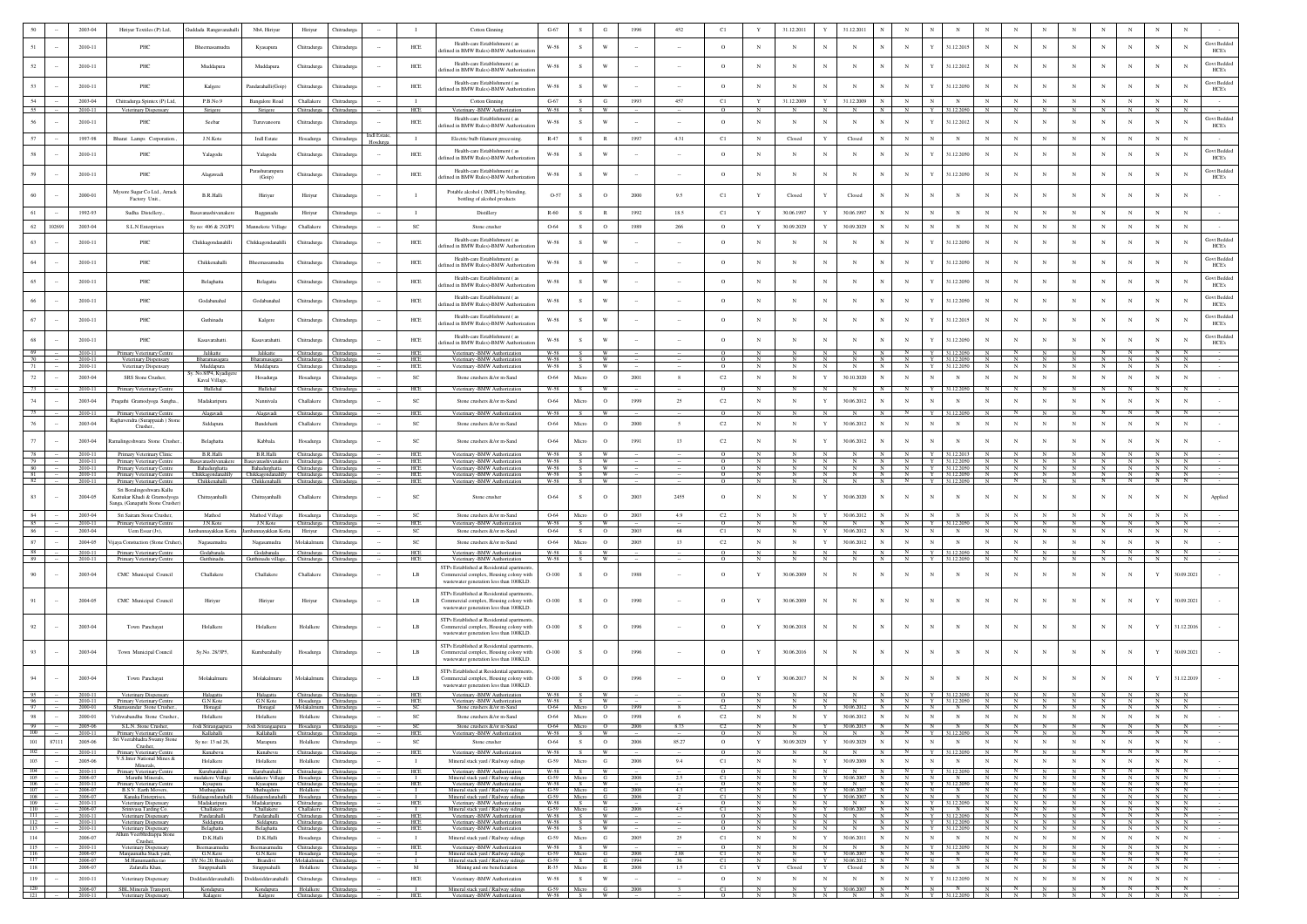|                          |       | 2003-04                       | Hiriyur Textiles (P) Ltd,                                                           | Guddada Rangavanahalli                               | Nh <sub>4</sub> , Hiriyur                                            | Hiriyur                              | Chitradurg                                                                  |                    | л.                                | Cotton Ginning                                                                                                                    | $G-67$                   | $\mathcal{S}$              | G                                    |                | 452                                           | C1                            | Y                              | 31.12.2011                            |                        | 31.12.2011                          |                 |                                                                                |                   |                                                                                           |                  |                                                 |                                 |                     |                                                                         |                            |                 |                                  |
|--------------------------|-------|-------------------------------|-------------------------------------------------------------------------------------|------------------------------------------------------|----------------------------------------------------------------------|--------------------------------------|-----------------------------------------------------------------------------|--------------------|-----------------------------------|-----------------------------------------------------------------------------------------------------------------------------------|--------------------------|----------------------------|--------------------------------------|----------------|-----------------------------------------------|-------------------------------|--------------------------------|---------------------------------------|------------------------|-------------------------------------|-----------------|--------------------------------------------------------------------------------|-------------------|-------------------------------------------------------------------------------------------|------------------|-------------------------------------------------|---------------------------------|---------------------|-------------------------------------------------------------------------|----------------------------|-----------------|----------------------------------|
|                          |       | 2010-11                       | PHC                                                                                 | Bheemasamudra                                        | Kyasapura                                                            | Chitradurga                          | Chitradurga                                                                 |                    | HCE                               | Health-care Establishment (a<br>efined in BMW Rules)-BMW Authoriza                                                                | $_{\rm W\text{-}58}$     | s.                         | W                                    |                |                                               | $\circ$                       | N                              | N                                     |                        | N                                   |                 | N                                                                              |                   | 31.12.2015                                                                                |                  |                                                 |                                 |                     |                                                                         |                            | N               | <b>Govt Bedded</b><br>HCE's      |
| 52                       |       | 2010-11                       | PHC                                                                                 | Muddapura                                            | Muddapura                                                            | Chitradurga                          | Chitradure                                                                  |                    | HCE                               | Health-care Establishment (as<br>efined in BMW Rules)-BMW Authorizat                                                              | W-58                     | S                          | W                                    |                |                                               | $\circ$                       | $_{\rm N}$                     | N                                     | N                      | N                                   |                 | $_{\rm N}$                                                                     |                   | 31.12.2012                                                                                | $_{\rm N}$       |                                                 |                                 |                     | N                                                                       |                            | N               | Govt Bedded<br>N<br>HCE's        |
|                          |       | 2010-11                       | PHC                                                                                 | Kalgere                                              | Pandarahalli(Goip)                                                   | Chitradurga                          | Chitradurg                                                                  |                    | HCE                               | Health-care Establishment (as                                                                                                     | W-58                     |                            | W                                    |                |                                               | $\circ$                       | $_{\rm N}$                     | N                                     |                        |                                     |                 | $_{\rm N}$                                                                     |                   | 31.12.2050                                                                                |                  |                                                 |                                 |                     |                                                                         |                            |                 | <b>Govt Bedded</b><br>N          |
| 54                       |       | 2003-04                       | Chitradurga Spintex (P) Ltd,                                                        | P.B.No.9                                             | Bangalore Road                                                       | Challakere                           | Chitradurga                                                                 |                    | $\mathbf{I}$                      | lefined in BMW Rules)-BMW Authorizatio<br><b>Cotton Ginning</b>                                                                   | $G-67$                   | S                          | G                                    | 1993           | 457                                           | C1                            | Y                              | 31.12.2009                            | Y                      | 31.12.2009                          |                 | $_{\rm N}$                                                                     | $_{\rm N}$        | $_{\rm N}$                                                                                | $_{\rm N}$       | $_{\rm N}$                                      | $_{\rm N}$                      | $_{\rm N}$          | $_{\rm N}$                                                              | $_{\rm N}$                 | $_{\rm N}$      | HCE's<br>$_{\rm N}$              |
| 55                       |       | 2010-1                        | Veterinary Dispensary                                                               |                                                      | Sirigen                                                              | Chitradurga                          |                                                                             |                    | HCE                               | Veterinary - BMW Authorization<br>Health-care Establishment (as                                                                   | W-58                     |                            |                                      |                |                                               |                               |                                |                                       |                        |                                     |                 |                                                                                |                   |                                                                                           |                  |                                                 |                                 |                     |                                                                         |                            |                 | Govt Bedder                      |
| 56                       |       | 2010-11                       | PHC                                                                                 | Seebar                                               | Turuvanooru                                                          | Chitradurga                          | Chitradurga                                                                 | <b>Indl Estate</b> | HCE                               | efined in BMW Rules)-BMW Authorizati                                                                                              | W-58                     | S.                         | W                                    |                |                                               | $\circ$                       | $_{\rm N}$                     | N                                     | N                      | N                                   |                 | $_{\rm N}$                                                                     | Y                 | 31.12.2012                                                                                | $_{\rm N}$       |                                                 | $\mathbf{N}$                    | $_{\rm N}$          | N                                                                       |                            | N               | N<br>HCE's                       |
|                          |       | 1997-98                       | Bharat Lamps Corporation.                                                           | J.N.Kote                                             | <b>Indl Estate</b>                                                   | Hosadurga                            | Chitradurga                                                                 |                    | $\blacksquare$                    | Electric bulb filament processing.<br>Health-care Establishment (a                                                                | $R-47$                   | S                          | $\mathbb{R}$                         | 1997           | 4.31                                          | C1                            | $_{\rm N}$                     | Closed                                | Y                      | Closed                              |                 | $_{\rm N}$                                                                     | N                 | $_{\rm N}$                                                                                |                  |                                                 |                                 | $_{\rm N}$          | $_{\rm N}$                                                              | $_{\rm N}$                 | $_{\rm N}$      | $_{\rm N}$<br>Govt Beddec        |
| 58                       |       | 2010-11                       | PHC                                                                                 | Yalagodu                                             | Yalagodu                                                             | Chitradurga                          | Chitradurga                                                                 |                    | ${\rm HCE}$                       | fined in BMW Rules)-BMW Authoriz                                                                                                  | $_{\rm W\text{-}58}$     | s                          | W                                    |                |                                               | $\circ$                       | $_{\rm N}$                     | N                                     | N                      | N                                   |                 | $_{\rm N}$                                                                     |                   | 31.12.2050                                                                                | N                |                                                 |                                 | $_{\rm N}$          | N                                                                       |                            | N               | N<br>HCE's                       |
| 59                       |       | 2010-11                       | PHC                                                                                 | Alagawadi                                            | Parashurampun<br>(Goip)                                              | Chitradurga                          | Chitradure                                                                  |                    | <b>HCE</b>                        | Health-care Establishment (as<br>ed in BMW Rules)-BMW Authoriza                                                                   | <b>W-58</b>              | -S                         | W                                    |                |                                               | $\circ$                       | N                              | N                                     | N                      | N                                   |                 | $_{\rm N}$                                                                     |                   | 31.12.2050                                                                                |                  |                                                 |                                 | N                   | N                                                                       |                            | $\mathbf N$     | <b>Govt Bedded</b><br>N<br>HCE's |
|                          |       | 2000-01                       | Mysore Sugar Co Ltd., Arrack<br>Factory Unit.,                                      | B.R.Halli                                            | Hiriyur                                                              | Hiriyur                              | Chitradurg                                                                  |                    | $\mathbf{I}$                      | Potable alcohol (IMFL) by blending<br>bottling of alcohol products                                                                | O-57                     | $\mathcal{S}$              | $\circ$                              | 2000           | 9.5                                           | C1                            |                                | Closed                                |                        | Closed                              |                 |                                                                                |                   | N                                                                                         |                  |                                                 |                                 |                     |                                                                         |                            | N               |                                  |
|                          |       | 1992-93                       | Sudha Distellery.                                                                   | Basayanashiyanaken                                   | Bagganadu                                                            | Hiriyur                              | Chitradure                                                                  |                    | $\blacksquare$                    | Distillery                                                                                                                        | $R-60$                   | S                          | R                                    | 1992           | 18.5                                          | C1                            | Y                              | 30.06.1997                            |                        | 30.06.1997                          |                 | $_{\rm N}$                                                                     |                   | $_{\rm N}$                                                                                |                  |                                                 |                                 | $\mathbf N$         | $_{\rm N}$                                                              | $\mathbf{N}$               | $\mathbf N$     | $\mathbf{N}$                     |
| 62                       | 10269 | 2003-04                       | S.L.N Enterprises                                                                   | Sy no: 406 & 292/P1                                  | Mannekote Villag                                                     | Challakere                           | Chitradurga                                                                 |                    | SC                                | Stone crushe                                                                                                                      | O-64                     | S                          | $\circ$                              | 1989           | 266                                           | $\circ$                       | Y                              | 30.09.2029                            |                        | 30.09.2029                          |                 | $_{\rm N}$                                                                     | $_{\rm N}$        | $_{\rm N}$                                                                                |                  |                                                 |                                 | $_{\rm N}$          | $_{\rm N}$                                                              | $_{\rm N}$                 | N               | N                                |
|                          |       | 2010-11                       | PHC                                                                                 | Chikkagondanahlli                                    | Chikkagondanahll                                                     | Chitradurga                          | Chitradurg                                                                  |                    | $HEE$                             | Health-care Establishment (a<br>lefined in BMW Rules)-BMW Authorizat                                                              | $_{\rm W\text{-}58}$     | s                          | W                                    |                |                                               | $\circ$                       | $_{\rm N}$                     | N                                     |                        | N                                   |                 | N                                                                              |                   | 31.12.2050                                                                                |                  |                                                 |                                 | N                   | N                                                                       |                            | N               | <b>Govt Bedded</b><br>HCE's      |
|                          |       | 2010-11                       | PHC                                                                                 | Chikkenahalli                                        | Bheemasamudra                                                        | Chitradurga                          | Chitradure                                                                  |                    | HCE                               | Health-care Establishment (as<br>efined in BMW Rules)-BMW Authorizat                                                              | W-58                     | S.                         | W                                    |                |                                               | $\circ$                       | N                              | N                                     | $\mathbf N$            | N                                   |                 | $_{\rm N}$                                                                     |                   | 31.12.2050                                                                                | $_{\rm N}$       |                                                 |                                 | N                   | N                                                                       |                            | N               | Govt Bedded<br>N<br>HCE's        |
| 65                       |       | 2010-11                       | PHC                                                                                 | Belaghatta                                           | Belagatta                                                            | Chitradurga                          | Chitradurg                                                                  |                    | HCE                               | Health-care Establishment (as<br>lefined in BMW Rules)-BMW Authorizatio                                                           | W-58                     | S                          | W                                    |                |                                               | $\circ$                       | $_{\rm N}$                     | $\mathbf{N}$                          | $_{\rm N}$             | $_{\rm N}$                          |                 | $_{\rm N}$                                                                     |                   | 31.12.2050                                                                                | $_{\rm N}$       |                                                 |                                 |                     | $_{\rm N}$                                                              |                            | N               | Govt Beddec<br>N<br>HCE's        |
|                          |       | 2010-11                       | PHC                                                                                 | Godabanaha                                           | Godabanahal                                                          | Chitradurga                          | Chitradurg                                                                  |                    | HCE                               | Health-care Establishment (a<br>efined in BMW Rules)-BMW Authorizatio                                                             | W-58                     | s                          | W                                    |                |                                               | $\circ$                       | $_{\rm N}$                     | N                                     | $_{\rm N}$             | N                                   |                 | $_{\rm N}$                                                                     |                   | 31.12.2050                                                                                |                  |                                                 |                                 |                     | N                                                                       |                            | N               | Govt Bedder<br>N<br>HCE's        |
| 67                       |       | 2010-11                       | PHC                                                                                 | Guthinadu                                            | Kalgere                                                              | Chitradurga                          | Chitradurg                                                                  |                    | HCE                               | Health-care Establishment (as<br>efined in BMW Rules)-BMW Authorizatio                                                            | W-58                     | $\mathcal{S}$              | W                                    |                |                                               | $\circ$                       | N                              | N                                     |                        |                                     |                 | N                                                                              |                   | 31.12.2015                                                                                |                  |                                                 |                                 |                     |                                                                         |                            | N               | Govt Beddec<br>N<br>HCE's        |
| 68                       |       | 2010-11                       | PHC                                                                                 | Kasavarahatti                                        | Kasavarahatt                                                         | Chitradurga                          | Chitradurg                                                                  |                    | HCE                               | Health-care Establishment (as<br>lefined in BMW Rules)-BMW Authorizatio                                                           | W-58                     | $\mathcal{S}$              | W                                    |                |                                               | $\circ$                       | $_{\rm N}$                     | N                                     |                        |                                     |                 | $_{\rm N}$                                                                     |                   | 31.12.2050                                                                                |                  |                                                 |                                 |                     |                                                                         |                            |                 | Govt Beddec<br>HCE's             |
| 69.<br>$70 -$            |       | 2010-11<br>2010-11            | Primary Veterinary Centre<br>Veterinary Dispensary                                  | Jalikatte<br>Bharamasagara                           | Jalikatte<br>Bharamasagara                                           |                                      | Chitradurga Chitradurga<br>Chitradurga Chitradurga                          |                    | HCE<br><b>HCE</b>                 | Veterinary -BMW Authorization<br>Veterinary -BMW Authorization                                                                    | $W-58$ S<br>$W-58$       | S                          | $\overline{w}$                       |                |                                               | $\circ$<br>$\circ$            |                                |                                       | N                      | N                                   | - N             | $\mathbb N$<br>N                                                               |                   | Y 31.12.2050<br>Y 31.12.2050                                                              | N                | N                                               | $\overline{\phantom{a}}$ N<br>N | N                   | $\begin{array}{c ccccc}\n & N & N & N \\  & N & N & N\n\end{array}$     |                            |                 | $\mathbb{N}$                     |
| 71                       |       | 2010-11                       | Veterinary Dispensary                                                               | Muddapura<br>No.8/P4, Kyadiger                       | Muddapura                                                            |                                      | Chitradurga Chitradurga                                                     |                    | HCE                               | Veterinary -BMW Authorization                                                                                                     | W-58                     | S                          | W                                    |                |                                               | $\circ$                       | $_{\rm N}$                     | $_{\rm N}$                            | N                      | N                                   | N               |                                                                                |                   | N Y 31.12.2050                                                                            | N                | $N$ $N$                                         |                                 | N                   | $N$   $N$   $N$                                                         |                            |                 | $\mathbb{N}$                     |
| 72<br>73                 |       | 2003-04<br>2010-11            | SRS Stone Crusher,<br>Primary Veterinary Centre                                     | Kaval Village,<br>Hullehal                           | Hosadurga<br>Hullehal                                                | Hosadurga<br>Chitradurga             | Chitradurga<br>Chitradurg                                                   |                    | SC<br>HCE                         | Stone crushers &/or m-Sand<br>Veterinary - BMW Authorization                                                                      | 0-64<br>W-58             | Micro                      | $\circ$<br>W                         | 2001           | 8                                             | $\rm C2$                      | $_{\rm N}$                     | N                                     | Y<br>$_{\rm N}$        | 30.10.2020                          |                 | $_{\rm N}$                                                                     | N                 | $_{\rm N}$<br>Y 31.12.2050                                                                |                  |                                                 | $_{\rm N}$                      | $_{\rm N}$          | N                                                                       |                            | $_{\rm N}$      | $_{\rm N}$<br>$_{\rm N}$         |
| 74                       |       | 2003-04                       | Pragathi Gramodyoga Sangha.                                                         | Madakaripura                                         | Nannivala                                                            | Challakere                           | Chitradurga                                                                 |                    | $_{\rm SC}$                       | Stone crushers &/or m-Sand                                                                                                        | O-64                     | Micro                      | $\circ$                              |                | 25                                            | C2                            | $_{\rm N}$                     | N                                     |                        | 30.06.2012                          |                 | $_{\rm N}$                                                                     |                   | $_{\rm N}$                                                                                |                  |                                                 |                                 | $_{\rm N}$          | $_{\rm N}$                                                              |                            | N               | N                                |
| 75                       |       | 2010-11                       | Primary Veterinary Centre<br>Raghavendra (Surappaiah) Ston                          | Alagavadi                                            | Alagavadi                                                            | Chitradurga                          | Chitradurea                                                                 |                    | HCE                               | Veterinary -BMW Authorization                                                                                                     | W-58                     | s.                         | W                                    |                |                                               | $\circ$                       |                                |                                       | $_{\rm N}$             |                                     |                 | $\overline{N}$                                                                 |                   | 31.12.205                                                                                 |                  |                                                 |                                 |                     | N                                                                       |                            |                 | $\overline{N}$                   |
| 76                       |       | 2003-04                       | Crusher.,                                                                           | Siddapura                                            | Bandehatti                                                           | Challakere                           | Chitradurg                                                                  |                    | <b>SC</b>                         | Stone crushers &/or m-Sand                                                                                                        | 0-64                     | Micro                      | $\circ$                              | 2000           | $\leq$                                        | $\rm C2$                      | $_{\rm N}$                     | N                                     |                        | 30.06.2012                          |                 | $_{\rm N}$                                                                     | $\mathbb{N}$      | N                                                                                         |                  |                                                 | $\mathbf{N}$                    | N                   | $_{\rm N}$                                                              | $_{\rm N}$                 | $_{\rm N}$      | N                                |
| $77\,$                   |       | 2003-04                       | Ramalingeshwara Stone Crusher                                                       | Belaghatta                                           | Kabbala                                                              | Hosadurga                            | Chitradurga                                                                 |                    | SC                                | Stone crushers &/or m-Sand                                                                                                        | 0-64                     | Micro                      | $\circ$                              | 1991           | 13                                            | $\rm{C2}$                     | N                              |                                       |                        | 30.06.2012                          |                 |                                                                                |                   | N                                                                                         |                  |                                                 |                                 |                     |                                                                         |                            |                 |                                  |
| 78<br>79                 |       | 2010-11<br>2010-11            | Primary Veterinary Clinic<br>Primary Veterinary Centre                              | B.R.Halli<br>Basayanashiyanakere                     | B.R.Halli<br>Basavanashivanakere                                     |                                      | Chitradurga Chitradurga<br>Chitradurga Chitradurga                          |                    | HCE<br>HCE                        | Veterinary -BMW Authorization<br>Veterinary -BMW Authorization                                                                    | W-58<br>W-58             | S                          | <b>W</b>                             |                |                                               | $\circ$                       | $\mathbb{N}$                   | $_{\rm N}$                            | N                      | $\mathbb{N}$                        | N               | N                                                                              |                   | Y 31.12.2013<br>Y 31.12.2050                                                              | N                | N                                               | N                               | N                   | N                                                                       | N                          | N               | N                                |
| 80<br>81<br>82           |       | 2010-11<br>2010-11<br>2010-11 | Primary Veterinary Centre<br>Primary Veterinary Centre<br>Primary Veterinary Centre | Chikkagondanahlly Chikkagondanahlly<br>Chikkenahalli | Bahadurghatta Bahadurghatta Chitradurga Chitradurga<br>Chikkenahalli | Chitradurga Chitradurga              | Chitradurga Chitradurga                                                     |                    | HCE<br>HCE<br><b>HCE</b>          | Veterinary -BMW Authorization<br>Veterinary -BMW Authorization<br>Veterinary -BMW Authorization                                   | W-58<br>$W-58$ S<br>W-58 | S                          | $S \t W$<br>$\mathbf{w}$<br><b>W</b> |                |                                               | $\circ$<br>$\circ$<br>$\circ$ | $\mathbb{N}$<br>N              | $_{\rm N}$<br>N                       | $\mathbb{N}$<br>N<br>N | $_{\rm N}$<br>$\mathbb{N}$<br>N     | N<br>N          | N Y 31.12.2050 N<br>N Y 31.12.2050 N<br>N                                      |                   | Y 31.12.2050                                                                              | N                | $N$ $N$<br>N                                    | N                               | N<br>N              | N N N N N N N<br>N N N N<br>N                                           | N                          | $\mathbb{N}$    | $\frac{N}{N}$<br>N               |
| 83                       |       | 2004-05                       | Sri Boralingeshwara Kallu<br>Kuttukar Khadi & Gramodyoga                            | Chitrayanhalli                                       | Chitrayanhalli                                                       | Challakere                           | Chitradurga                                                                 |                    | SC                                | Stone crusher                                                                                                                     | 0-64                     | s                          | $\circ$                              | 2003           | 2455                                          | $\circ$                       | N                              |                                       | $\mathbf{Y}$           | 30.06.2020                          |                 | $_{\rm N}$                                                                     | $_{\rm N}$        | N                                                                                         | N                |                                                 |                                 |                     | $_{\rm N}$                                                              |                            |                 | Appli                            |
| 84                       |       | 2003-04                       | langa, (Ganapathi Stone Crushe<br>Sri Sairam Stone Crusher.                         | Mathod                                               | Mathod Village                                                       | Hosadurga                            | Chitradurga                                                                 |                    | SC                                | Stone crushers &/or m-Sand                                                                                                        | 0-64                     | Micro                      | $\circ$                              | 2003           | 4.9                                           | C2                            | $_{\rm N}$                     | $_{\rm N}$                            | Y                      | 30.06.2012                          |                 | $_{\rm N}$                                                                     | $_{\rm N}$        | $_{\rm N}$                                                                                |                  | $_{\rm N}$                                      | $_{\rm N}$                      | $_{\rm N}$          | $_{\rm N}$                                                              | $_{\rm N}$                 | $_{\rm N}$      | $_{\rm N}$                       |
| 85<br>86                 |       | 2010-11<br>2003-04            | Primary Veterinary Centre<br>Uem Essar (Jv),                                        | J.N.Kote<br>mbannayakkan Kotta                       | J.N.Kote<br>nayakkan Ko                                              | Hiriyur                              | Chitradurga Chitradurga<br>Chitradurga                                      |                    | HCE<br>$_{\rm SC}$                | Veterinary - BMW Authorizatio<br>Stone crushers &/or m-Sand                                                                       | W-58<br>0-64             | S<br>S                     | W<br>$\circ$                         | 2003           | 68                                            | $\Omega$<br>C1                |                                | N                                     | N                      | $_{\rm N}$<br>30.06.2012            |                 | N<br>$_{\rm N}$                                                                | N                 | Y 31.12.2050<br>$_{\rm N}$                                                                | N                |                                                 | $_{\rm N}$                      | $_{\rm N}$          | $_{\rm N}$                                                              | $_{\rm N}$                 | N<br>$_{\rm N}$ | N<br>$_{\rm N}$                  |
| 87                       |       | 2004-05                       | 'ijaya Constuction (Stone Cruher                                                    | Nagasamudra                                          | Nagasamudra                                                          | Molakalmuru                          | Chitradurga                                                                 |                    | $_{\rm SC}$                       | Stone crushers &/or m-Sand                                                                                                        | 0-64                     | Micro                      | $\circ$                              | 2005           | 13                                            | $\mathbb{C}2$                 | $_{\rm N}$                     | $_{\rm N}$                            | $\mathbf Y$            | 30.06.2012                          |                 | $_{\rm N}$                                                                     | $_{\rm N}$        | $_{\rm N}$                                                                                | $_{\rm N}$       | $_{\rm N}$                                      | $_{\rm N}$                      | $_{\rm N}$          | $_{\rm N}$                                                              | $_{\rm N}$                 | $_{\rm N}$      | $_{\rm N}$                       |
| 88<br>89                 |       | 2010-11<br>2010-11            | Primary Veterinary Centre                                                           | Godabanala                                           | Godabanala<br>nadu village                                           | Chitradurga<br>Chitradurga           | Chitradurga<br>hitradurga                                                   |                    | <b>HCE</b><br>HCE                 | Veterinary -BMW Authorization<br>-RMW Autho                                                                                       | W-58<br>W-58             |                            | W                                    |                |                                               | $\circ$                       |                                |                                       | $_{\rm N}$             |                                     |                 |                                                                                |                   | Y 31.12.2050                                                                              |                  |                                                 |                                 |                     |                                                                         |                            |                 | $\overline{\mathbf{N}}$          |
| 90                       |       | 2003-04                       | CMC Municipal Council                                                               | Challakere                                           | Challakere                                                           | Challaken                            | Chitradurg                                                                  |                    | LB                                | STPs Established at Residential apartment<br>Commercial complex, Housing colony with<br>wastewater generation less than 100KLD.   | $O-100$                  | s                          | $\circ$                              | 1988           |                                               | $\circ$                       | Y                              | 30.06.2009                            | N                      | N                                   |                 |                                                                                | N                 | N                                                                                         |                  |                                                 | $\mathbf{N}$                    |                     | N                                                                       |                            | Y               | 30.09.2021                       |
|                          |       | 2004-05                       | CMC Municipal Council                                                               | Hiriyur                                              | Hiriyur                                                              | Hiriyur                              | Chitradure                                                                  |                    | LB                                | STPs Established at Residential apartments<br>Commercial complex, Housing colony with                                             | $O-100$                  | $\mathcal{S}$              | $\circ$                              | 1990           |                                               | $\circ$                       |                                | 30.06.2009                            | $\mathbf{N}$           |                                     |                 | $_{\rm N}$                                                                     |                   | N                                                                                         |                  |                                                 |                                 |                     | N                                                                       |                            |                 | 30.09.2021                       |
|                          |       | 2003-04                       | Town Panchayat                                                                      | Holalkere                                            | Holalkere                                                            | Holalkere                            | Chitradurga                                                                 |                    | LB                                | wastewater generation less than 100KLD.<br>STPs Established at Residential apartments,<br>Commercial complex, Housing colony with | $O-100$                  | s                          | $\circ$                              |                |                                               | $\circ$                       |                                | 30.06.2018                            | N                      |                                     |                 |                                                                                |                   |                                                                                           |                  |                                                 |                                 |                     |                                                                         |                            |                 | 31.12.2016                       |
|                          |       |                               |                                                                                     |                                                      |                                                                      |                                      |                                                                             |                    |                                   | wastewater generation less than 100KLD.<br>STPs Established at Residential apartments                                             |                          |                            |                                      |                |                                               |                               |                                |                                       |                        |                                     |                 |                                                                                |                   |                                                                                           |                  |                                                 |                                 |                     |                                                                         |                            |                 |                                  |
|                          |       | 2003-04                       | Town Municipal Council                                                              | Sy.No. 28/3P5,                                       | Kurubarahally                                                        | Hosadurga                            | Thitradury                                                                  |                    | LB                                | Commercial complex, Housing colony with<br>wastewater generation less than 100KLD.                                                | $O-100$                  | S                          | $\circ$                              | 1996           |                                               |                               |                                | 30.06.2016                            |                        |                                     |                 |                                                                                |                   | N                                                                                         |                  |                                                 |                                 |                     |                                                                         |                            |                 | 30.09.202                        |
|                          |       | 2003-04                       | Town Panchayat                                                                      | Molakalmuru                                          | Molakalmuru                                                          | Molakalmuru                          | Chitradurga                                                                 |                    | LB                                | STPs Established at Residential apartments<br>Commercial complex, Housing colony with<br>wastewater generation less than 100KLD.  | $O-100$                  | s                          | $\circ$                              | 1996           |                                               | $\circ$                       |                                | 30.06.2017                            |                        |                                     |                 | $_{\rm N}$                                                                     |                   | N                                                                                         |                  |                                                 |                                 |                     |                                                                         |                            | Y               | 31.12.2019                       |
| - 96                     |       | 2010-11<br>2010-11            | Veterinary Dispensary<br>Primary Veterinary Centre                                  | Halagatta<br>G.N Kote                                | Halagatta<br>G.N Kote                                                |                                      | Chitradurea Chitradurea<br>Hosadurga Chitradurga                            |                    | HCE<br>HCE                        | Veterinary -BMW Authorization<br>Veterinary -BMW Authorization                                                                    | W-58<br>W-58             | S.<br>S                    | <b>W</b><br>W                        | 1999           |                                               | $\circ$                       | N                              | N                                     | $_{\rm N}$             | $_{\rm N}$                          |                 | $\overline{N}$<br>$\overline{N}$                                               |                   | Y 31.12.2050 N<br>Y 31.12.2050                                                            |                  | $\overline{N}$                                  | $N$ $N$                         | N                   | N<br>$\overline{N}$                                                     | N                          | N               | N<br>N                           |
| 97                       |       | 2000-01                       | 2000-01 Shamasundar Stone Crusher<br>Vishwabandhu Stone Crushe                      | Honagal<br>Holalkere                                 | Honagal<br>Holalkere                                                 | Molakalmuru Chitradurga<br>Holalkere |                                                                             |                    | - SC<br>SC                        | Stone crushers &/or m-Sand<br><b>Stone emphase &amp; for m.Sand</b>                                                               | 0-64<br>0.64             | Micro O<br>Micro           | $\Omega$                             |                |                                               |                               |                                |                                       | Y<br>$\mathbf{v}$      | $30.06.2012$ N<br>30.06.2012        |                 | N<br>N                                                                         | $\mathbb{N}$<br>N | N<br>N                                                                                    | $\mathbb{N}$     | N<br>N                                          | N<br>$_{\rm N}$                 | N<br>$\mathbf{N}$   | N<br>$\mathbf N$                                                        | $N$ $N$<br>$\mathbf{N}$    | $_{\rm N}$      | N<br>$\mathbf{N}$                |
| $-99$ $-$<br>100         |       | 2010-11                       | 2005-06 S.L.N. Stone Crusher,<br>Primary Veterinary Centre                          | Jodi Srirangaapura Jodi Srirangaapura<br>Kallahalli  | Kallahalli                                                           |                                      | Hosadurga Chitradurga<br>Chitradurga Chitradurga                            |                    | - 50<br>HCE                       | Stone crushers &/or m-Sand<br>Veterinary -BMW Authorization                                                                       |                          | 0-64 Micro O<br>$W-58$ $S$ | W                                    | 2006           | 8.73                                          | C2<br>$\circ$                 | $\overline{N}$<br>$\mathbb{N}$ | - N<br>$_{\rm N}$                     | N                      | $Y = 30.06.2015$ N<br>N             | N               | $N$ $N$ $N$ $N$<br>$\overline{N}$                                              |                   | Y 31.12.2050                                                                              | N                | $N$ $N$<br>N                                    | $\mathbb{N}$                    | $\overline{N}$<br>N | N N N<br>$\mathbb{N}$                                                   | N                          | N               | $\overline{N}$<br>$\overline{N}$ |
| 101                      | 87111 | 2005-06                       | Sri Veerabhadra Swamy Stone<br>Crusher,                                             | Sy no: 13 nd 28,                                     | Marapura                                                             |                                      | Holalkere Chitradurga                                                       |                    | <b>SC</b>                         | Stone crusher                                                                                                                     | 0-64                     | S                          | $\overline{O}$                       | 2006           | 85.27                                         | $\circ$                       | Y                              | 30.09.2029                            | $\mathbf Y$            | 30.09.2029                          | N               | $_{\rm N}$                                                                     | N                 | N                                                                                         | N                | N                                               | N                               | N                   | N                                                                       | N                          | N               | N                                |
| 102<br>103               |       | $2010-11$<br>2005-06          | Primary Veterinary Centre<br>V.S.Inter National Mines &                             | Kunabevu<br>Holalkere                                | Kunabevu<br>Holalkere                                                |                                      | Chitradurga Chitradurga<br>Holalkere Chitradurga                            |                    | HCE<br>$\mathbf{I}$               | Veterinary -BMW Authorization<br>Mineral stack yard / Railway sidings                                                             | $G-59$                   | $W-58$ $S$<br>Micro        | - W<br>$\mathbf{G}$                  | 2006           | 9.4                                           | $\overline{0}$<br>C1          | N<br>$_{\rm N}$                | N<br>$_{\rm N}$                       | N<br>$\mathbf{Y}$      | $\overline{N}$<br>30.09.2009        | N<br>$_{\rm N}$ | $\overline{N}$<br>$_{\rm N}$                                                   | ${\bf N}$         | $Y = 31.12,2050$<br>${\bf N}$                                                             | N<br>$_{\rm N}$  | $\mathbf{N}$<br>$_{\rm N}$                      | N<br>$_{\rm N}$                 | - N<br>$\,$ N $\,$  | $\mathbf{N}$<br>$_{\rm N}$                                              | $N$ $N$<br>$_{\rm N}$      | ${\bf N}$       | N.<br>${\bf N}$                  |
| $104$ -                  |       | 2010-11<br>2006-07            | Minerals.<br>Primary Veterinary Centre<br>Maruthi Minerals,                         | Kurubarahalli                                        | Kurubarahalli                                                        |                                      | Chitradurga Chitradurga                                                     |                    | HCE<br>$\blacksquare$             | Veterinary -BMW Authorization                                                                                                     |                          | $W-58$ $S$ $W$             |                                      |                | 2.5                                           | $\overline{0}$                | N                              | N                                     | N                      | $\mathbb{N}$                        | $\mathbb{N}$    |                                                                                |                   | N Y 31.12.2050                                                                            | $\overline{N}$   |                                                 | $N$ $N$                         | N<br>N              | N                                                                       | $N$ $N$                    |                 | $\,N$                            |
| $\frac{105}{106}$        |       | 2010-11<br>2006-07            | Primary Veterinary Centre<br>B.S.V. Earth Movers,                                   | madakere Village<br>Kysapura<br>Muthugduru           | madakere Village<br>Kyasapura<br>Muthugduru                          | Chitradurga Chitradurga              | Hosadurga Chitradurga<br>Holalkere Chitradurga                              |                    | HCE<br>$\mathbf{I}$               | Mineral stack yard / Railway sidings<br>Veterinary -BMW Authorization<br>Mineral stack yard / Railway sidings                     | G-59 Micro G<br>W-58 S W | G-59 Micro G               |                                      | 2006<br>2006   | 4.3                                           | Cl<br>$\Omega$<br>C1          | $_{\rm N}$                     | $_{\rm N}$                            | N                      | Y 30.06.2007 N<br>N<br>Y 30.06.2007 | N               | $\begin{array}{c ccccc}\nN & N & N & N \\ N & Y & 31.12.2050 & N\n\end{array}$ |                   |                                                                                           | N                | $N$ $N$<br>$\mathbb{N}$<br>$_{\rm N}$           | N<br>N                          | $\mathbb{N}$<br>N   | $\begin{array}{c cc}\nN & N & N \\ \hline\nN & N & N\n\end{array}$<br>N | N                          | N               | $\frac{N}{N}$<br>$\,N$           |
| $\frac{107}{108}$<br>109 |       | 2006-07<br>2010-11            | Kanaka Enterprises,<br>Veterinary Dispensary                                        | Madakaripura                                         | Siddaagondanahalli Siddaagondanahalli<br>Madakaripura                |                                      | Hosadurga Chitradurga<br>Chitradurga Chitradurga                            |                    | $\mathbf{I}$<br>HCE               | Mineral stack yard / Railway sidings<br>Veterinary -BMW Authorization                                                             | G-59 Micro G             | W-58 S W                   |                                      | 2006           |                                               | C1<br>$\circ$                 | $_{\rm N}$<br>$\mathbb{N}$     | $\mathbf{N}$                          | N                      | Y 30.06.2007<br>N                   |                 | N                                                                              |                   | $\begin{array}{ccccccccc}\nN & N & N & N \\ N & N & N & N\n\end{array}$<br>Y 31.12.2050 N | N                | $N \mid N$                                      | N                               | N<br>N              | N<br>$N$ $N$ $N$                                                        |                            |                 | N                                |
| 110<br>$\mathbf{m}$      |       | 2006-07                       | Srinivasa Tarding Co.<br>Veterinary Dispensary                                      | Challakere<br>Pandarahalli                           | Challakere<br>Pandarahalli                                           |                                      | Challakere Chitradurea<br>Chitradurga Chitradurga                           |                    | $rac{1}{HCE}$                     | Mineral stack yard / Railway sidings<br>Veterinary -BMW Authorization                                                             | G-59 Micro G W-58 S W    |                            |                                      | 2006           | 4.5                                           | C1<br>$\circ$                 | N<br>$\overline{N}$            | N                                     |                        | Y 30.06.2007 N                      |                 | $N$ $N$ $N$<br>$\overline{N}$                                                  |                   | $\frac{1}{2}$ $\frac{1}{2}$ $\frac{1}{2}$ $\frac{1}{2}$ $\frac{2050}{1}$ N                | N                | $\begin{array}{ccc} N & N \\ N & N \end{array}$ |                                 | N<br>$\mathbb{N}$   | $N$   $N$   $N$<br>N                                                    | $\overline{N}$             | $\overline{N}$  | $\mathbb{N}$<br>$\overline{N}$   |
| 112<br>113               |       | 2010-11<br>2010-11            | Veterinary Dispensary<br>Veterinary Dispensary                                      | Siddapura<br>Belaghatta                              | Siddapura<br>Belaghatta                                              |                                      | Chitradurga Chitradurga<br>Chitradurga Chitradurga                          |                    | HCE<br>HCE                        | Veterinary -BMW Authorization<br>Veterinary -BMW Authorization                                                                    | $W-58$                   | W-58 S W                   | S W                                  |                |                                               | $\circ$<br>$\circ$            | N                              | N                                     | N<br>N                 | N<br>N                              | N<br>N          | N                                                                              |                   | Y 31.12.2050<br>N   Y 31.12.2050                                                          | N<br>N           | N<br>N                                          | N<br>N                          | N<br>N              | $\mathbb{N}$<br>N                                                       | N<br>$N \mid N$            |                 | N<br>N                           |
| 114<br>115               |       | 2006-07<br>2010-11            | Allum Veerbhrdrappa Stone<br>Crusher,<br>Veterinary Dispensary                      | D.K.Halli<br>Beemasamudra                            | D.K.Halli                                                            |                                      | Hosadurga Chitradurga                                                       |                    | $\blacksquare$<br>HCE             | Mineral stack yard / Railway sidings<br>Veterinary -BMW Authorization                                                             | $G-59$                   | Micro<br>W-58 S W          | $-$ G                                | 2005           | 25                                            | C1<br>$\overline{0}$          | $_{\rm N}$<br>$\overline{N}$   | $_{\rm N}$<br>$\overline{\mathbf{N}}$ | $\mathbf Y$<br>N       | 30.06.2011<br>$\overline{N}$        | N               | $_{\rm N}$                                                                     | $\mathbf N$       | $_{\rm N}$<br>N Y 31.12.2050                                                              | $_{\rm N}$<br>N  | $_{\rm N}$                                      | $_{\rm N}$<br>$N$   $N$         | $_{\rm N}$<br>N     | $_{\rm N}$<br>N                                                         | $_{\rm N}$                 | $_{\rm N}$      | $_{\rm N}$<br>$\overline{N}$     |
| 116<br>117               |       | 2006-07<br>2006-07            | Manjaunatha Stack yard,<br>M.Hanumantha rao                                         | G.N.Kere<br>SY.No.20, Brandivi                       | Beemasamudra<br>G.N.Kere<br>Brandivi                                 |                                      | Chitradurga Chitradurga<br>Hosadurga Chitradurga<br>Molakalmuru Chitradurea |                    | $\blacksquare$<br>$\blacksquare$  | Mineral stack yard / Railway sidings<br>Mineral stack yard / Railway sidings                                                      | $G-59$                   | G-59 Micro G<br>S          | $-$ G                                | 2006<br>1994   | 2.88<br>36                                    | C1<br>C1                      | N<br>$_{\rm N}$                | N<br>$\mathbb{N}$                     | <b>Y</b><br>Y          | 30.06.2007<br>30.06.2012            | N               | N<br>N                                                                         | $N$ $N$<br>N      | $\mathbb{N}$                                                                              | N<br>$\mathbb N$ | N                                               | $N$ $N$<br>N                    | N<br>$\mathbb N$    | N<br>N                                                                  | $N$ N<br>N<br>$\mathbb{N}$ | N<br>N          | N<br>N                           |
| 118                      |       | 2006-07                       | Zafarulla Khan.                                                                     | Sirappnahalli                                        | Sirappnahalli                                                        |                                      | Holalkere Chitradurea                                                       |                    | M                                 | Mining and ore beneficiation                                                                                                      | $R - 35$                 | Micro                      | R                                    | 2006           | 1.5                                           | C1                            | Y                              | Closed                                | Y                      | Closed                              |                 | N                                                                              | N                 | N                                                                                         | N                | N                                               | N                               | $_{\rm N}$          | N                                                                       | N                          | N               | N                                |
| 119                      |       | 2010-11<br>2006-07            | Veterinary Dispensary<br>SBL Minerals Transport,                                    | Doddasiddavanahalli.<br>Kondapura                    | Doddasiddavanahal<br>Kondapura                                       | Chitradurga                          | Chitradurga<br>Holalkere Chitradurga                                        |                    | $HEE$<br>$\overline{\phantom{a}}$ | Veterinary -BMW Authorization<br>Mineral stack yard / Railway sidings                                                             | W-58                     | S<br>G-59 Micro G          | W                                    | $\sim$<br>2006 | $\mathcal{L}_{\mathcal{A}}$<br>$\overline{3}$ | $\circ$<br>Cl                 | $_{\rm N}$<br>$_{\rm N}$       | $_{\rm N}$<br>$_{\rm N}$              | ${\bf N}$<br>Y         | $_{\rm N}$<br>30.06.2007            | $_{\rm N}$<br>N | ${\bf N}$<br>$\overline{N}$                                                    | $N$ N             | Y 31.12.2050                                                                              | $_{\rm N}$<br>N  | $_{\rm N}$                                      | N<br>$N$ $N$                    | $_{\rm N}$<br>N     | $_{\rm N}$<br>$\overline{N}$                                            | $_{\rm N}$<br>$N$ $N$      | ${\bf N}$       | ${\bf N}$<br>$\overline{N}$      |
| 120                      |       |                               | 2010-11 Veterinary Dispensary                                                       | Kalagere                                             | Kalgere                                                              |                                      | Chitradurga Chitradurga                                                     |                    | HCE                               | Veterinary -BMW Authorization                                                                                                     |                          | W-58 S W                   |                                      |                |                                               | $\overline{0}$                | N                              | N                                     | $\overline{N}$         | N                                   | N               | N Y 31.12.2050 N                                                               |                   |                                                                                           |                  | $N$ $N$                                         |                                 | $\overline{z}$      | N N N N                                                                 |                            |                 | N                                |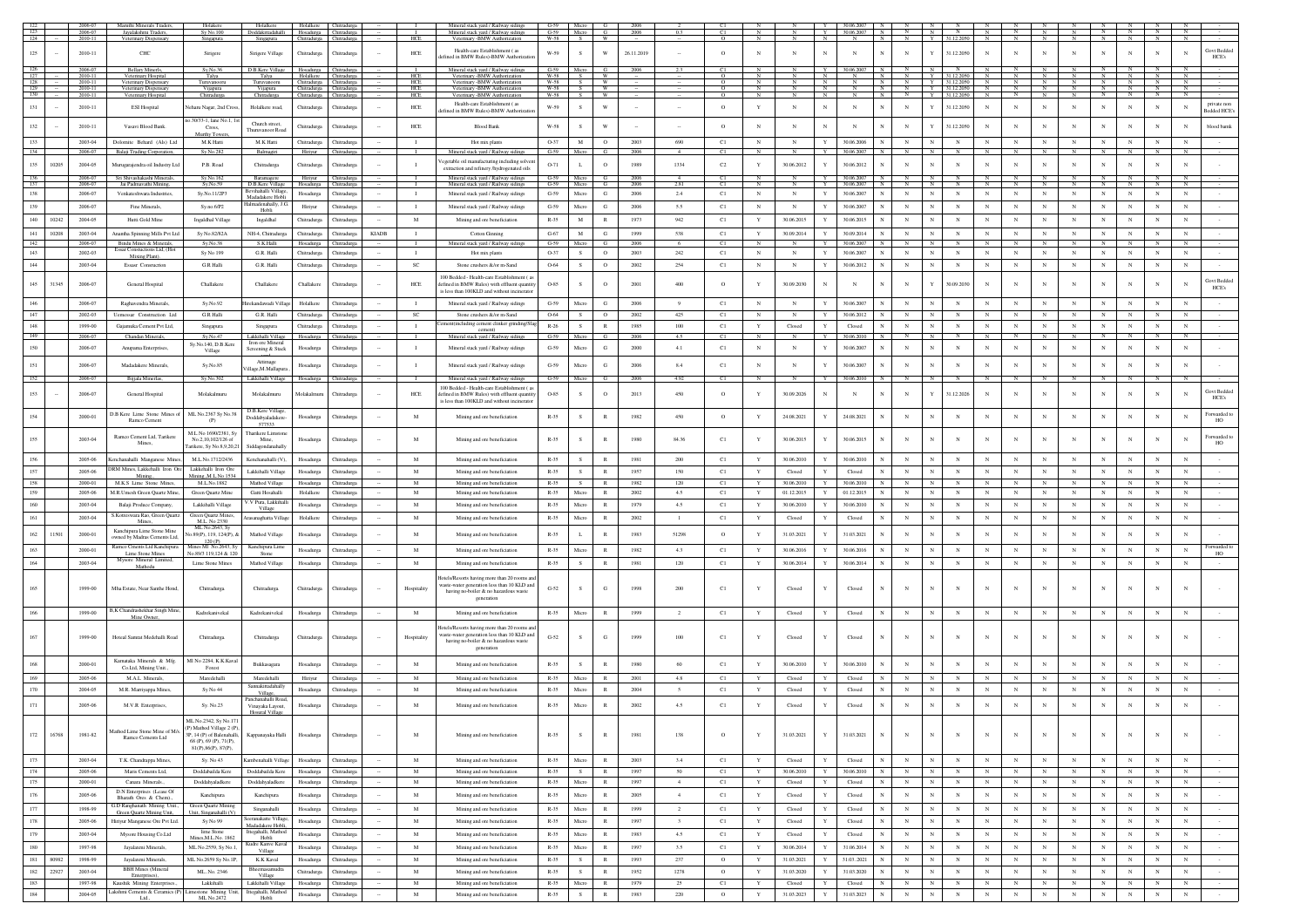|                          |       | 2006-07<br>2006-07 | Maruthi Minerals Traders,                                                     | Holakere                                              | Holalkere<br>Doddakittadahalli Hosadurga Chitradurga | Holalkere Chitradurga                              |                            |              |                              | Mineral stack yard / Railway sidings<br>Mineral stack yard / Railway sidings               | G-59 Micro G<br>G-59 Micro G |               |              | 2006<br>2006 |                         |               |                   |                           | 30.06.200<br>30.06.2007             |                          |              |                          |              |                 |                          |                        |                            |                                           |                   |                                |
|--------------------------|-------|--------------------|-------------------------------------------------------------------------------|-------------------------------------------------------|------------------------------------------------------|----------------------------------------------------|----------------------------|--------------|------------------------------|--------------------------------------------------------------------------------------------|------------------------------|---------------|--------------|--------------|-------------------------|---------------|-------------------|---------------------------|-------------------------------------|--------------------------|--------------|--------------------------|--------------|-----------------|--------------------------|------------------------|----------------------------|-------------------------------------------|-------------------|--------------------------------|
| 124                      |       | 2010-11            | Jayalakshmi Traders,<br>Veterinary Dispensary                                 | Sy No.100<br>Singapura                                | Singapura                                            | Chitradurga Chitradurga                            |                            |              | HCE                          | arv -BMW Authoriza<br>Vete                                                                 | $W-58$ S                     |               | <b>W</b>     |              |                         |               |                   |                           |                                     |                          |              | 31.12.2050               |              |                 |                          |                        |                            |                                           |                   |                                |
| 125                      |       | 2010-11            | CHC                                                                           | Sirigere                                              | Sirigere Village                                     | Chitradurga                                        | Chitradurga                |              | HCE                          | Health-care Establishment (as<br>efined in BMW Rules)-BMW Authorizati                      | W-59                         |               | W            | 26.11.2019   |                         | $\circ$       | N                 | N                         |                                     |                          | Y            | 31.12.2050               | $_{\rm N}$   |                 |                          |                        |                            |                                           |                   | Govt Bedder<br>HCE's           |
|                          |       | 2006-07            | <b>Bellary Minerls</b>                                                        | Sy.No.36                                              | D.B.Kere Village                                     | Hosadurga Chitradurga                              |                            |              |                              | Mineral stack yard / Railway sidings                                                       | G-59 Micro                   |               | G            | 2006         |                         | C1            |                   |                           | 30.06.2007                          |                          | $_{\rm N}$   |                          |              |                 |                          |                        |                            |                                           |                   |                                |
| $\frac{126}{127}$<br>128 |       | 2010-11<br>2010-11 | Veterinary Hospital<br>Veterinary Dispensary                                  | Talya<br>Turuvanooru                                  | Talya<br>Turuvanooru                                 | Holalkere Chitradurg<br>Chitradurga Chitradurga    |                            |              | HCE<br><b>HCE</b>            | Veterinary -BMW Authorization<br>Veterinary -BMW Authorization                             | W-58<br>W-58 S W             | $\mathbf{s}$  |              |              |                         | $\circ$       | N                 | N                         | N<br>N                              |                          |              | Y 31.12.2050             | $\mathbb{N}$ |                 | N                        |                        | $\frac{N}{N}$              | N N Y 31.122050 N N N N N N N N N         |                   |                                |
| 129<br>130               |       | 2010-11<br>2010-11 | Veterinary Dispensary<br>Veterinary Hospit                                    | Vijapura<br>Chitradurga                               | Vijapura<br>Chitradurga                              | Chitradurga Chitradurga<br>Chitradurga Chitradurga |                            |              | HCE<br>HCE                   | Veterinary -BMW Authorization<br>v-BMW Author                                              | $W-58$                       | W-58 S W<br>S | W            |              |                         | $\circ$       | N<br>$\mathbf{N}$ | N<br><b>N</b>             | N<br>N<br>N<br>N<br>N<br>$_{\rm N}$ | $\overline{N}$           |              | Y 31122050 N             |              | $\overline{N}$  | $\overline{N}$           | $\overline{N}$         | $\overline{N}$             | N Y 31.12.2050 N N N N N N N N<br>$N$ $N$ |                   | $\mathbb{N}$<br>$\overline{N}$ |
| 131                      |       | 2010-11            | <b>ESI Hospital</b>                                                           | leharu Nagar, 2nd Cross                               | Holalkere road,                                      | Chitradurga                                        | Chitradurga                |              | ${\rm HCE}$                  | Health-care Establishment (as                                                              | W-59                         | s             | W            |              |                         | $\circ$       | Y                 | N                         | $_{\rm N}$                          | $_{\rm N}$               |              | 31.12.2050               | $_{\rm N}$   | N               | $_{\rm N}$               |                        | N                          |                                           | N                 | private nor<br>N               |
|                          |       |                    |                                                                               | 0.30/33-1, lane No.1, 1                               |                                                      |                                                    |                            |              |                              | fined in BMW Rules)-BMW Authoriz                                                           |                              |               |              |              |                         |               |                   |                           |                                     |                          |              |                          |              |                 |                          |                        |                            |                                           |                   | <b>Bedded HCE</b>              |
| 132                      |       | 2010-11            | Vasavi Blood Bank                                                             | Cross.<br>Murthy Tow                                  | Church street.<br>Thuruvanoor Roa                    | Chitradurga                                        | Chitradurez                |              | HCE                          | <b>Blood Bank</b>                                                                          | W-58                         | -S            | W            |              |                         | $\circ$       | $_{\rm N}$        | $_{\rm N}$                | $_{\rm N}$<br>$_{\rm N}$            | $_{\rm N}$               |              | 31.12.2050               | $_{\rm N}$   |                 |                          | $_{\rm N}$             | N                          |                                           | N                 | blood bamk<br>N                |
| 133                      |       | 2003-04            | Dolomite Behard (Als) Ltd                                                     | M.K Hatti                                             | M.K Hatti                                            | Chitradurga                                        | Chitradurga                |              | $\mathbf{I}$                 | Hot mix plants                                                                             | O-37                         | $\mathbf M$   | $\circ$      | 2003         | 690                     | C1            | $_{\rm N}$        | $_{\rm N}$                | $\mathbf{Y}$<br>30.06.2006          | $_{\rm N}$               |              | $_{\rm N}$               | $_{\rm N}$   |                 |                          | $_{\rm N}$             | $_{\rm N}$                 |                                           | $_{\rm N}$        | N                              |
| 134                      |       | 2006-07            | Balaji Trading Corporation,                                                   | Sy.No.282                                             | Balmagiri                                            |                                                    | Hiriyur Chitradurga        |              | - 1                          | Mineral stack yard / Railway sidings                                                       | G-59 Micro                   |               | G            | 2006         |                         | <sup>C1</sup> | $_{\rm N}$        | $_{\rm N}$                | Y<br>30.06.2007<br>N                | N                        | N            | N                        |              |                 | $_{\rm N}$               |                        | $_{\rm N}$                 |                                           |                   |                                |
| 135                      | 10205 | 2004-05            | Murugarajendra oil Industry Ltd                                               | P.B. Road                                             | Chitradurga                                          | Chitradurga                                        | Chitradurga                |              | $\mathbf{I}$                 | exetable oil manufacturing including solve<br>extraction and refinery /hydrogenated oils   | $O-71$                       | $\mathbf{L}$  | $\circ$      | 1989         | 1334                    | $\rm C2$      | Y                 | 30.06.2012                | 30.06.2012                          | $\mathbf N$              | $\mathbb{N}$ | N                        | N            |                 |                          |                        | N                          |                                           | $_{\rm N}$        | N                              |
| 136                      |       | 2006-07            | Sri Shivashakashi Minerals,                                                   | Sy.No.162                                             | Baramagere                                           | Hiriyu                                             | Chitradur                  |              |                              | Mineral stack yard / Railway sidings                                                       | G-59 Micro<br>G-59 Micro     |               |              | 2006         |                         |               |                   |                           | 30.06.2007                          |                          |              |                          |              |                 |                          |                        |                            |                                           |                   |                                |
| 137<br>138               |       | 2006-07<br>2006-07 | Jai Padmavathi Mining<br>Venkateshwara Industries,                            | Sy.No.59<br>Sy.No.11/2P3                              | D.B.Kere Village<br>Bevihahalli Village              | Hosadurga Chitradurga<br>Hosadurga                 | Chitradurga                |              | $\mathbf{I}$                 | Mineral stack yard / Railway sidings<br>Mineral stack yard / Railway sidings               | $G-59$                       | Micro         | G<br>G       | 2006<br>2006 | 2.81<br>2.4             | C1<br>C1      | N<br>$_{\rm N}$   | N<br>$_{\rm N}$           | 30.06.2007<br>30.06.2007<br>Y       | $_{\rm N}$               | N            | $_{\rm N}$               | $_{\rm N}$   | $_{\rm N}$      | $_{\rm N}$               | $_{\rm N}$             | N<br>$_{\rm N}$            | $_{\rm N}$                                | $_{\rm N}$        | N<br>$_{\rm N}$                |
| 139                      |       | 2006-07            | Fine Minerals,                                                                | Sy.no.6/P2                                            | Madadakere Hobli<br>lalmadenahally, J.G              | Hiriyur                                            | Chitradurga                |              | $\mathbf{I}$                 | Mineral stack yard / Railway sidings                                                       | $G-59$                       | Micro         | G            | 2006         | 5.5                     | C1            | $_{\rm N}$        | $_{\rm N}$                | Y<br>30.06.2007                     | $_{\rm N}$               | $_{\rm N}$   | $_{\rm N}$               | $_{\rm N}$   | $_{\rm N}$      | $_{\rm N}$               | $_{\rm N}$             | $_{\rm N}$                 | $_{\rm N}$                                | $_{\rm N}$        | $_{\rm N}$                     |
|                          | 10242 | 2004-05            | Hutti Gold Mine                                                               |                                                       | Hobli                                                |                                                    |                            |              | M                            |                                                                                            | $R-35$                       |               | R            | 1973         |                         |               | Y                 | 30.06.2015                | 30.06.2015<br>$\mathbf{Y}$          | $_{\rm N}$               |              |                          | $_{\rm N}$   | $_{\rm N}$      | $_{\rm N}$               |                        |                            | $_{\rm N}$                                | $_{\rm N}$        |                                |
| 140                      |       |                    |                                                                               | Ingaldhal Village                                     | Ingaldhal                                            | Chitradurga                                        | Chitradurga                |              |                              | Mining and ore beneficiation                                                               |                              | M             |              |              | 942                     | C1            |                   |                           |                                     |                          | N            | $_{\rm N}$               |              |                 |                          | $_{\rm N}$             | $_{\rm N}$                 |                                           |                   | $_{\rm N}$                     |
| 141<br>142               | 10208 | 2003-04<br>2006-07 | Anantha Spinning Mills Pyt Ltd<br>Bindu Mines & Minerals                      | Sv No.82/82A<br>Sy.No.38                              | NH-4. Chitradure<br>S.K.Halli                        | Chitradurga<br>Hosadurga                           | Chitradurea<br>Chitradur   | <b>KIADB</b> | $\mathbf{I}$<br>$\mathbf{I}$ | <b>Cotton Ginning</b><br>Mineral stack yard / Railway siding                               | $G-67$<br>$G-59$             | M<br>Micro    | G<br>G.      | 1999<br>2006 | 538<br>6                | C1<br>C1      | Y<br>$\mathbb{N}$ | 30.09.2014<br>$\mathbf N$ | 30.09.2014<br>30.06.2007            | $_{\rm N}$               | N            | $_{\rm N}$<br>N          | $_{\rm N}$   | $_{\rm N}$      | $_{\rm N}$               | $_{\rm N}$<br><b>N</b> | $_{\rm N}$                 | $_{\rm N}$                                | N                 | $_{\rm N}$<br>$_{\rm N}$       |
| 143                      |       | 2002-03            | Essar Constuctions Ltd, (Hot<br>Mixing Plant).                                | Sy No 199                                             | G.R. Halli                                           | Chitradurga                                        | Chitradurga                |              | $\mathbf{I}$                 | Hot mix plants                                                                             | O-37                         | S             | $\circ$      | 2003         | 242                     | C1            | $_{\rm N}$        | $_{\rm N}$                | 30.06.2007<br>$\mathbf{Y}$          | $_{\rm N}$               | $_{\rm N}$   | $_{\rm N}$               | $_{\rm N}$   | $_{\rm N}$      | $_{\rm N}$               | $_{\rm N}$             | $_{\rm N}$                 | $_{\rm N}$                                | $_{\rm N}$        | $_{\rm N}$                     |
| 144                      |       | 2003-04            | Essasr Consruction                                                            | <b>G.R Halli</b>                                      | G.R. Halli                                           | Chitradurga                                        | Chitradurga                |              | $_{\rm SC}$                  | Stone crushers &/or m-Sand                                                                 | 0-64                         | s             | $\circ$      | 2002         | 254                     | C1            | $_{\rm N}$        | $_{\rm N}$                | 30.06.2012                          | $_{\rm N}$               | N            | $_{\rm N}$               | $_{\rm N}$   | $_{\rm N}$      | $_{\rm N}$               | $_{\rm N}$             | $_{\rm N}$                 | $_{\rm N}$                                | $_{\rm N}$        | $_{\rm N}$                     |
|                          |       |                    |                                                                               |                                                       |                                                      |                                                    |                            |              |                              | 100 Bedded - Health-care Establishment (a                                                  |                              |               |              |              |                         |               |                   |                           |                                     |                          |              |                          |              |                 |                          |                        |                            |                                           |                   | <b>Govt Bedded</b>             |
| 145                      | 31345 | 2006-07            | General Hospital                                                              | Challakere                                            | Challakere                                           | Challakere                                         | Chitradurga                |              | HCE                          | lefined in BMW Rules) with effluent quantity<br>is less than 100KLD and without incinerato | 0-85                         | s             | $\circ$      | 2001         | 400                     | $\circ$       | Y                 | 30.09.2030                | $_{\rm N}$                          |                          |              | 30.09.2030               | $_{\rm N}$   |                 |                          |                        | N                          |                                           | N                 | HCE's                          |
| 146                      |       | 2006-07            | Raghavendra Minerals.                                                         | Sv.No.92                                              | Hirekandawadi Villar                                 | Holalkere                                          | Chitradurea                |              | $\mathbf{I}$                 | Mineral stack vard / Railway sidines                                                       | $G-59$                       | Micro         | G            | 2006         | 9                       | C1            | N                 | $_{\rm N}$                | 30.06.2007                          | $\mathbf N$              |              | $_{\rm N}$               |              |                 |                          | $_{\rm N}$             | N                          |                                           | $\mathbf{N}$      | $\mathbf{N}$                   |
| 147                      |       | 2002-03            | Uemessar Construction Ltd                                                     | <b>G.R Halli</b>                                      | G.R. Halli                                           | Chitradurga                                        | Chitradurga                |              | $_{\rm SC}$                  | Stone crushers &/or m-Sand                                                                 | 0-64                         | s             | $\circ$      | 2002         | 425                     | C1            | $_{\rm N}$        | $_{\rm N}$                | Y<br>30.06.2012                     | $_{\rm N}$               |              | $_{\rm N}$               |              |                 |                          | $_{\rm N}$             | $_{\rm N}$                 |                                           | $_{\rm N}$        | $_{\rm N}$                     |
| $148\,$                  |       | 1999-00            | Gajamuka Cement Pvt Ltd,                                                      | Singapura                                             | Singapura                                            | Chitradurga                                        | Chitradurga                |              | $\mathbf{I}$                 | ement(including cement clinker grinding/S                                                  | $R-26$                       | s.            | $\mathbb{R}$ | 1985         | 100                     | C1            | $\mathbf Y$       | Closed                    | Closed<br>Y                         | $_{\rm N}$               |              | $_{\rm N}$               | $_{\rm N}$   | $_{\rm N}$      | $_{\rm N}$               | $_{\rm N}$             | $_{\rm N}$                 | $_{\rm N}$                                | $\mathbf N$       | $_{\rm N}$                     |
| 149                      |       | 2006-07            | Chandan Minerals,                                                             | Sv.No.47                                              | Lakkihalli Village<br>Iron ore Mineral               | Hosadurga Chitradurga                              |                            |              | $\mathbf{I}$                 | Mineral stack yard / Railway sidings                                                       | $G-59$                       | Micro         | -6           | 2006         | 4.5                     | C1            | N                 | N                         | 30.06.2010<br>Y                     |                          |              |                          |              |                 |                          |                        |                            |                                           |                   | N                              |
| 150                      |       | 2006-07            | Anupama Enterprises.                                                          | Sy.No.140, D.B.Kere<br>Village                        | Screening & Stack                                    | Hosadurga                                          | Chitradurga                |              | $\mathbf I$                  | Mineral stack yard / Railway sidings                                                       | $G-59$                       | Micro         | G            | 2000         | $4.1\,$                 | C1            | $_{\rm N}$        | $_{\rm N}$                | 30.06.2007                          | $_{\rm N}$               |              | $_{\rm N}$               | $_{\rm N}$   |                 |                          |                        | $_{\rm N}$                 |                                           | $\mathbf N$       | $\mathbf N$                    |
| 151                      |       | 2006-07            | Madadakere Minerals                                                           | Sy.No.85                                              | Attima                                               | Hosadurga                                          | Chitradurga                |              | $\mathbf{I}$                 | Mineral stack yard / Railway sidings                                                       | $G-59$                       | Micro         | G            | 2006         | 8.4                     | C1            | $_{\rm N}$        | $_{\rm N}$                | 30.06.2007                          | $_{\rm N}$               | N            | $_{\rm N}$               | $_{\rm N}$   |                 |                          |                        | $_{\rm N}$                 |                                           | N                 | N                              |
| 152                      |       | 2006-07            | Bijjala Minerlas,                                                             | Sy.No.302                                             | /illage, M. Mallapura<br>Lakkihalli Village          | Hosadurga Chitradurga                              |                            |              |                              | Mineral stack yard / Railway sidings                                                       | G-59 Micro                   |               |              | 2006         | 4.92                    | C1            | $_{\rm N}$        | $\mathbb{N}$              | 30.06.2010<br>Y                     | $\mathbb N$              |              | $_{\rm N}$               | N            |                 |                          |                        |                            |                                           |                   |                                |
|                          |       |                    |                                                                               |                                                       |                                                      |                                                    |                            |              |                              | 100 Bedded - Health-care Establishment ( ;                                                 |                              |               |              |              |                         |               |                   |                           |                                     |                          |              |                          |              |                 |                          |                        |                            |                                           |                   | Govt Bedder                    |
| 153                      |       | 2006-07            | General Hospital                                                              | Molakalmuru                                           | Molakalmuru                                          | Molakalmuru                                        | Chitradurea                |              | <b>HCE</b>                   | defined in BMW Rules) with effluent quantit<br>is less than 100KLD and without incinerator | $O-85$                       | $\mathcal{S}$ | $\circ$      | 2013         | 450                     | $\circ$       | Y                 | 30.09.2026                |                                     | N                        |              | 31.12.2026               | $_{\rm N}$   |                 | $_{\rm N}$               |                        |                            |                                           |                   | HCE's                          |
| 154                      |       | 2000-01            | D.B Kere Lime Stone Mines of                                                  | ML No.2367 Sy No.38                                   | D.B.Kere Village<br>Doddabyaladakere                 | Hosadurga                                          | Chitradurga                |              | $\mathbf M$                  | Mining and ore beneficiation                                                               | $R - 35$                     | s             |              | 1982         | 450                     | $\circ$       | $\mathbf Y$       | 24.08.2021                | 24.08.2021                          | $_{\rm N}$               |              | $\mathbf N$              | N            |                 |                          | $_{\rm N}$             | $_{\rm N}$                 |                                           | $\mathbf N$       | Forwarded t<br>N               |
|                          |       |                    | Ramco Cement                                                                  | (P)                                                   | 577533                                               |                                                    |                            |              |                              |                                                                                            |                              |               |              |              |                         |               |                   |                           |                                     |                          |              |                          |              |                 |                          |                        |                            |                                           |                   | HO                             |
| 155                      |       | 2003-04            | Ramco Cement Ltd, Tarikere                                                    | M.L No 1690/2381, S<br>No.2, 10, 102/126 o            | Tharikere Limsto<br>Mine,                            | Hosadurga                                          | Chitradurga                |              | M                            | Mining and ore beneficiation                                                               | $R - 35$                     |               |              |              | 84.36                   | C1            |                   | 30.06.2015                | 30.06.2015                          |                          |              | N                        |              |                 |                          |                        |                            |                                           |                   | Forwarded t                    |
|                          |       |                    | Mines,                                                                        | Tarikere, Sy No.8,9,20,2                              | Siddagondanahally                                    |                                                    |                            |              |                              |                                                                                            |                              |               |              |              |                         |               |                   |                           |                                     |                          |              |                          |              |                 |                          |                        |                            |                                           |                   | HO                             |
| 156                      |       | 2005-06            | Kenchanahalli Manganese Mines.                                                | M.L.No.1712/2436                                      | Kenchanahalli (V)                                    | Hosadurga                                          | Chitradurga                |              | $\mathbf M$                  | Mining and ore beneficiation                                                               | $R - 35$                     | s.            | R            | 1981         | 200                     | C1            | Y                 | 30.06.2010                | Y<br>30.06.2010                     | $_{\rm N}$               |              | $_{\rm N}$               | $_{\rm N}$   |                 |                          | $_{\rm N}$             | $_{\rm N}$                 | $_{\rm N}$                                | $_{\rm N}$        | $_{\rm N}$                     |
| 157                      |       | 2005-06            | <b>DRM Mines, Lakkehalli Iron Ore</b><br>Mining.                              | Lakkehalli Iron Ore<br>Mining., M.L.No 1534           | Lakkihalli Village                                   | Hosadurga                                          | Chitradurg                 |              | M                            | Mining and ore beneficiation                                                               | $R - 35$                     | S             | R            | 1957         | 150                     | C1            | Y                 | Closed                    | Y<br>Closed                         | $_{\rm N}$               | $_{\rm N}$   | $_{\rm N}$               | N            | $_{\rm N}$      | N                        | $_{\rm N}$             | N                          | $_{\rm N}$                                | $_{\rm N}$        | N                              |
| 158<br>159               |       | 2000-01<br>2005-06 | M.K.S Lime Stone Mines.<br>M.R.Umesh Green Quartz Mine                        | M.L.No.1882<br>Green Quartz Mine                      | Mathod Village<br>Gatti Hosahalli                    | Hosadurea<br>Holalkere                             | Chitradurea<br>Chitradurga |              | M<br>M                       | Mining and ore beneficiation<br>Mining and ore beneficiation                               | $R - 35$<br>$R - 35$         | S.<br>Micro   | R<br>R       | 1982<br>2002 | 120<br>4.5              | C1            | Y<br>Y            | 30.06.2010<br>01.12.2015  | Y<br>30.06.2010<br>N<br>01.12.2015  | $_{\rm N}$<br>$_{\rm N}$ | N            | $_{\rm N}$<br>$_{\rm N}$ | N<br>N       | N<br>$_{\rm N}$ | $_{\rm N}$<br>$_{\rm N}$ | N<br>$\mathbf N$       | $\mathbb{N}$<br>$_{\rm N}$ | N<br>$_{\rm N}$                           | N<br>$\mathbf{N}$ | $_{\rm N}$<br>$\mathbf{N}$     |
| 160                      |       | 2003-04            | Balaji Produce Company,                                                       | Lakkihalli Village                                    | V.V Pura, Lakkihall                                  | Hosadurga                                          | Chitradurga                |              | M                            | Mining and ore beneficiation                                                               | $R - 35$                     | Micro         |              | 1979         | 4.5                     | C1<br>C1      | Y                 | 30.06.2010                | Y<br>30.06.2010                     | $_{\rm N}$               | N            | $_{\rm N}$               | $_{\rm N}$   |                 |                          | $_{\rm N}$             | $_{\rm N}$                 | $_{\rm N}$                                | N                 | N                              |
| 161                      |       | 2003-04            | S.Kotreswara Rao, Green Quartz                                                | Green Quartz Mines,                                   | Village<br>Arasanachatta Villao                      | Holalkere                                          | Chitradurea                |              | M                            |                                                                                            | $R-35$                       | Micro         | R            | 2002         | $\mathbf{1}$            |               | Y                 | Closed                    | Closed                              | $_{\rm N}$               | $\mathbb{N}$ | $_{\rm N}$               | $_{\rm N}$   | $_{\rm N}$      | $_{\rm N}$               | $_{\rm N}$             | $_{\rm N}$                 | $_{\rm N}$                                | $_{\rm N}$        | $_{\rm N}$                     |
|                          |       |                    | Mines                                                                         | M.L. No 2330<br>ML No.2643, Sv                        |                                                      |                                                    |                            |              |                              | Mining and ore beneficiation                                                               |                              |               |              |              |                         | C1            |                   |                           |                                     |                          |              |                          |              |                 |                          |                        |                            |                                           |                   |                                |
| $162\,$                  | 11501 | 2000-01            | Kanchipura Lime Stone Mine<br>owned by Madras Cements Ltd                     | lo.89(P), 119, 124(P), &<br>120(P)                    | Mathod Village                                       | Hosadurga                                          | Chitradurga                |              | M                            | Mining and ore beneficiation                                                               | $R - 35$                     |               |              | 1983         | 51298                   | $\circ$       | Y                 | 31.03.2021                | 31.03.2021                          | $_{\rm N}$               |              | $_{\rm N}$               | N            |                 |                          |                        | N                          |                                           | N                 | N                              |
| 163                      |       | 2000-01            | Ramco Cments Ltd Kanchipura<br>Lime Stone Mines                               | nes MI No.2643, S<br>No.89/3 119,124 & 120            | Kanchipura Lim<br>Stone                              | Hosadurga                                          | Chitradurga                |              | $\mathbf M$                  | Mining and ore beneficiation                                                               | $R - 35$                     | Micro         | R            | 1982         | 4.3                     | C1            | $\mathbf Y$       | 30.06.2016                | 30.06.2016                          | $_{\rm N}$               |              | $_{\rm N}$               | $_{\rm N}$   | $_{\rm N}$      | $_{\rm N}$               | $_{\rm N}$             | $_{\rm N}$                 | $_{\rm N}$                                | $_{\rm N}$        | Forwarded<br>N                 |
| 164                      |       | 2003-04            | Mysore Mineral Limited,<br>Mathodu                                            | Lime Stone Mines                                      | Mathod Village                                       | Hosadurga                                          | Chitradurga                |              | M                            | Mining and ore beneficiation                                                               | $R - 35$                     | $\mathbf{s}$  | R            | 1981         | 120                     | C1            | Y                 | 30.06.2014                | 30.06.2014                          | $_{\rm N}$               |              | $_{\rm N}$               | N            |                 | N                        | N                      | $_{\rm N}$                 | $_{\rm N}$                                | $_{\rm N}$        | N                              |
|                          |       |                    |                                                                               |                                                       |                                                      |                                                    |                            |              |                              | lotels/Resorts having more than 20 rooms and                                               |                              |               |              |              |                         |               |                   |                           |                                     |                          |              |                          |              |                 |                          |                        |                            |                                           |                   |                                |
| 165                      |       | 1999-00            | Mha Estate, Near Santhe Hond,                                                 | Chitradurga.                                          | Chitradurga                                          | Chitradurga                                        | Chitradurga                |              | Hospitality                  | vaste-water generation less than 10 KLD and<br>having no-boiler & no hazardous waste       | $G-52$                       | s             | G            | 1998         | 200                     | C1            | Y                 | Closed                    | Closed                              | $_{\rm N}$               |              | N                        | N            |                 | N                        |                        | N                          |                                           |                   |                                |
|                          |       |                    |                                                                               |                                                       |                                                      |                                                    |                            |              |                              | generation                                                                                 |                              |               |              |              |                         |               |                   |                           |                                     |                          |              |                          |              |                 |                          |                        |                            |                                           |                   |                                |
| 166                      |       | 1999-00            | B,K Chandrashekhar Singh Mine.                                                | Kadrekanivekal                                        | Kadrekanivekal                                       | Hosadurga                                          | Chitradurea                |              | M                            | Mining and ore beneficiation                                                               | $R - 35$                     | Micro         | R            | 1999         | $\overline{2}$          | C1            | Y                 | Closed                    | $\mathbf{Y}$<br>Closed              | $_{\rm N}$               |              | $_{\rm N}$               | $_{\rm N}$   |                 | $_{\rm N}$               | $_{\rm N}$             | $_{\rm N}$                 |                                           | $\mathbf N$       | N                              |
|                          |       |                    | Mine Owne                                                                     |                                                       |                                                      |                                                    |                            |              |                              | lotels/Resorts having more than 20 rooms                                                   |                              |               |              |              |                         |               |                   |                           |                                     |                          |              |                          |              |                 |                          |                        |                            |                                           |                   |                                |
| 167                      |       | 1999-00            | Hoteal Samrat Medehalli Road                                                  | Chitradurga.                                          | Chitradurga                                          | Chitradurga                                        | Chitradurga                |              | Hospitality                  | vaste-water generation less than 10 KLD and                                                | $G-52$                       | $\mathcal{S}$ | G            | 1999         | 100                     | C1            | Y                 | Closed                    | Closed                              | $_{\rm N}$               |              | $_{\rm N}$               |              |                 |                          |                        | N                          |                                           |                   |                                |
|                          |       |                    |                                                                               |                                                       |                                                      |                                                    |                            |              |                              | having no-boiler & no hazardous waste<br>generation                                        |                              |               |              |              |                         |               |                   |                           |                                     |                          |              |                          |              |                 |                          |                        |                            |                                           |                   |                                |
|                          |       | 2000-01            | Kamataka Minerals & Mfg.                                                      | MI No 2284, K.K.Kaval                                 | Bukkasagara                                          | Hosadurga                                          | Chitradurea                |              | M                            | Mining and ore beneficiation                                                               | $R-35$                       | $\mathcal{S}$ | $\mathbb{R}$ | 1980         | 60                      | C1            | Y                 | 30.06.2010                | 30.06.2010                          | $\mathbf N$              |              | N                        |              |                 |                          |                        |                            |                                           |                   | N                              |
|                          |       | 2005-06            | Co.Ltd, Mining Unit.,<br>M.A.L Minerals,                                      | Forest<br>Maredehalli                                 | Maredehalli                                          | Hiriyur                                            | Chitradurga                |              | M                            | Mining and ore beneficiation                                                               | $R - 35$                     | Micro         |              | 2001         | 4.8                     | C1            | Y                 | Closed                    | Closed                              |                          |              | N                        |              |                 |                          | $_{\rm N}$             | $_{\rm N}$                 |                                           | N                 | $_{\rm N}$                     |
|                          |       | 2004-05            | M.R. Marriyappa Mines,                                                        | Sy No 44                                              | annakittadahall                                      | Hosadurga                                          | Chitradurga                |              | $\mathbf M$                  | Mining and ore beneficiation                                                               | $R - 35$                     | Micro         | $\mathbb{R}$ | 2004         | 5                       | C1            | Y                 | Closed                    | Closed                              | $_{\rm N}$               |              | $_{\rm N}$               | $_{\rm N}$   |                 |                          | $_{\rm N}$             | $_{\rm N}$                 |                                           | N                 | $_{\rm N}$                     |
|                          |       |                    |                                                                               |                                                       | Village,<br>Panchanahalli Road                       |                                                    |                            |              |                              |                                                                                            |                              |               |              |              |                         |               |                   |                           |                                     |                          |              |                          |              |                 |                          |                        |                            |                                           |                   |                                |
| 171                      |       | 2005-06            | M.V.R Enterprises,                                                            | Sy. No.23                                             | Vinayaka Layout,<br>aral Village                     | Hosadurga                                          | Chitradurga                |              | $\mathbf M$                  | Mining and ore beneficiation                                                               | $R - 35$                     | Micro         |              | 2002         | $4.5\,$                 | C1            |                   | Closed                    | Closed                              |                          |              |                          |              |                 |                          |                        |                            |                                           |                   |                                |
|                          |       |                    |                                                                               | ML No.2342, Sy No.171                                 |                                                      |                                                    |                            |              |                              |                                                                                            |                              |               |              |              |                         |               |                   |                           |                                     |                          |              |                          |              |                 |                          |                        |                            |                                           |                   |                                |
| 172                      | 16768 | 1981-82            | Mathod Lime Stone Mine of M/s.<br>Ramco Cements Ltd                           | (P) Mathod Village 2 (P),<br>3P 14 (P) of Balenaballi | Kappanayaka Halli                                    | Hosadurga                                          | Chitradurga                |              | M                            | Mining and ore beneficiation                                                               | $R-35$                       | s.            | R            | 1981         | 138                     | $\circ$       | Y                 | 31.03.2021                | 31.03.2021<br>$_{\rm N}$<br>Y       | $_{\rm N}$               | $_{\rm N}$   | ${\bf N}$                | $_{\rm N}$   | $_{\rm N}$      | $_{\rm N}$               | $_{\rm N}$             | $_{\rm N}$                 | $_{\rm N}$                                | $_{\rm N}$        | $_{\rm N}$<br>$\sim$           |
|                          |       |                    |                                                                               | 68 (P), 69 (P), 71 (P),<br>81(P), 86(P), 87(P)        |                                                      |                                                    |                            |              |                              |                                                                                            |                              |               |              |              |                         |               |                   |                           |                                     |                          |              |                          |              |                 |                          |                        |                            |                                           |                   |                                |
| 173                      |       | 2003-04            | T.K. Chandrappa Mines,                                                        | Sy. No 43                                             | Kambenahalli Village                                 | Hosadurga                                          | Chitradurga                |              | M                            | Mining and ore beneficiation                                                               | $R - 35$                     | Micro         | R            | 2003         | 3.4                     | C1            | $\mathbf Y$       | $\operatorname{Closed}$   | $\mathbf Y$<br>Closed<br>N          | $_{\rm N}$               | $_{\rm N}$   | $\,$ N                   | $_{\rm N}$   | $_{\rm N}$      | $_{\rm N}$               | $\,$ N $\,$            | ${\bf N}$                  | $_{\rm N}$                                | ${\bf N}$         | ${\bf N}$<br>$\sim$            |
| 174                      |       | 2005-06            | Maris Cements Ltd.                                                            | Doddabailda Kere                                      | Doddabailda Kere                                     | Hosadurga                                          | Chitradurea                |              | M                            | Mining and ore beneficiation                                                               | $R-35$                       | S             | R            | 1997         | 50                      | C1            | Y                 | 30.06.2010                | $\mathbf{Y}$<br>30.06.2010          | $_{\rm N}$               | $_{\rm N}$   | $_{\rm N}$               | N            | $_{\rm N}$      | $_{\rm N}$               | $_{\rm N}$             | $_{\rm N}$                 | $_{\rm N}$                                | $_{\rm N}$        | $_{\rm N}$<br>$\sim$           |
| 175                      |       |                    | Canara Minerals.                                                              | Doddahyaladkere                                       | Doddahyaladkere                                      | Hosadurga                                          | Chitradurga                |              | $\mathbf M$                  | Mining and ore beneficiation                                                               | $R - 35$                     | Micro         | R            | 1997         | $4 -$                   | $_{\rm C1}$   | $\mathbf Y$       | Closed                    | Y<br>Closed                         | $_{\rm N}$               | $_{\rm N}$   | $_{\rm N}$               | $_{\rm N}$   | $_{\rm N}$      | $_{\rm N}$               | $_{\rm N}$             | $_{\rm N}$                 | $_{\rm N}$                                | $_{\rm N}$        | $_{\rm N}$                     |
| 176                      |       | 2000-01            |                                                                               | Kanchipura                                            | Kanchipura                                           | Hosadurga                                          | Chitradurga                |              | M                            | Mining and ore beneficiation                                                               | $R-35$                       | Micro         | R            | 2005         | 4                       | C1            | Y                 | Closed                    | Y<br>N<br>Closed                    | $_{\rm N}$               | $_{\rm N}$   | $_{\rm N}$               | $_{\rm N}$   | $_{\rm N}$      | N                        | $_{\rm N}$             | N                          | $_{\rm N}$                                | N                 | N<br>$\sim$                    |
|                          |       | 2005-06            | D.N Enterprises (Lease Of<br>Bharath Ores & Chem).                            |                                                       |                                                      |                                                    |                            |              |                              |                                                                                            |                              |               |              |              |                         |               |                   |                           |                                     |                          |              |                          |              |                 |                          |                        |                            |                                           |                   |                                |
| 177                      |       | 1998-99            | 3.D Ranghanath Mining Unit.,                                                  | Green Quartz Mining                                   | Singanahalli                                         | Hosadurga                                          | Chitradurez                |              | M                            | Mining and ore beneficiation                                                               | $R-35$                       | Micro         | R            | 1999         | $\overline{2}$          | C1            | Y                 | Closed                    | $\mathbf{Y}$<br>Closed              | $_{\rm N}$               | $_{\rm N}$   | $_{\rm N}$               | $_{\rm N}$   | $_{\rm N}$      | $_{\rm N}$               | $_{\rm N}$             | $_{\rm N}$                 | $_{\rm N}$                                | N                 | $_{\rm N}$<br>$\sim$           |
| 178                      |       | 2005-06            | Green Quartz Mining Unit,<br>Hiriyur Manganese Ore Pvt Ltd.                   | Unit, Singanahalli (V<br>Sy No 99                     | eeranakatte Village                                  | Hosadurga                                          | Chitradurga                |              | $\mathbf M$                  | Mining and ore beneficiation                                                               | $R - 35$                     | Micro         | R            | 1997         | $\overline{\mathbf{3}}$ | C1            | $\mathbf Y$       | Closed                    | $\mathbf Y$<br>Closed<br>$_{\rm N}$ | $_{\rm N}$               | $_{\rm N}$   | $_{\rm N}$               | $_{\rm N}$   | $_{\rm N}$      | $_{\rm N}$               | $_{\rm N}$             | $_{\rm N}$                 | $_{\rm N}$                                | ${\bf N}$         | $_{\rm N}$<br>$\sim$           |
| 179                      |       | 2003-04            | Mysore Housing Co.Ltd                                                         | lime Stone                                            | Madadakere Hobli.<br>Ittegahalli, Mathod             | Hosadurga                                          | Chitradurea                |              | M                            | Mining and ore beneficiation                                                               | $R-35$                       | Micro         | R            | 1983         | 4.5                     | C1            | Y                 | Closed                    | Y<br>Closed                         | $_{\rm N}$               | N            | $_{\rm N}$               | $_{\rm N}$   | $_{\rm N}$      | $_{\rm N}$               | ${\bf N}$              | $_{\rm N}$                 | $_{\rm N}$                                | N                 | N<br>$\sim$                    |
| $180\,$                  |       | 1997-98            | Jayalaxmi Minerals,                                                           | Mines, M.L.No. 1862<br>ML No.2559, Sy No.1,           | Hobli<br>Kudre Kanve Kaval                           | Hosadurga                                          | Chitradurga                |              | $\mathbf M$                  | Mining and ore beneficiation                                                               | $R-35$                       | Micro         | $\,$ R       | 1997         | 3.5                     | $_{\rm C1}$   | $\mathbf Y$       | 30.06.2014                | Y<br>31.06.2014                     | $_{\rm N}$               | $_{\rm N}$   | $_{\rm N}$               | $_{\rm N}$   | $_{\rm N}$      | $_{\rm N}$               | $_{\rm N}$             | $_{\rm N}$                 | $_{\rm N}$                                | $_{\rm N}$        | $_{\rm N}$<br>$\sim$           |
| 181                      | 80982 | 1998-99            | Jayalaxmi Minerals                                                            | ML No.2659 Sy No.1P.                                  | Village<br>K.K Kaval                                 | Hosadurga                                          | Chitradurga                |              | $\mathbf M$                  | Mining and ore beneficiation                                                               | $R - 35$                     | S             | R            | 1993         | 237                     | $\circ$       | $\mathbf Y$       | 31.03.2021                | Y<br>31.032021                      | $_{\rm N}$               | $_{\rm N}$   | $_{\rm N}$               | $_{\rm N}$   | $_{\rm N}$      | $_{\rm N}$               | $_{\rm N}$             | $_{\rm N}$                 | $_{\rm N}$                                | $_{\rm N}$        | $_{\rm N}$<br>$\sim$           |
| 182                      | 22927 | 2003-04            | <b>BBH</b> Mines (Mineral                                                     | ML. No. 2346                                          | Bheemasamudra                                        | Chitradurga                                        | Chitradurga                |              | M                            | Mining and ore beneficiation                                                               | $R-35$                       | S.            | R            | 1952         | 1278                    | $\circ$       | Y                 | 31.03.2020                | 31.03.2020<br>Y                     | $_{\rm N}$               | $_{\rm N}$   | $_{\rm N}$               | $_{\rm N}$   | N               | N                        | $_{\rm N}$             | $\mathbb N$                | $_{\rm N}$                                | ${\bf N}$         | ${\bf N}$<br>$\sim$            |
| 183                      |       | 1997-98            | Enterprises),<br>Kaushik Mining Enterprises.<br>Lakshmi Cements & Ceramics (P | Lakkihalli<br>mestone Mining Unit,                    | Village<br>Lakkihalli Village<br>Ittegahalli, Mathod | Hosadurga                                          | Chitradurez                |              | M                            | Mining and ore beneficiation                                                               | $R-35$                       | Micro         | R            | 1979         | 25                      | C1            | Y                 | Closed                    | $\mathbf{Y}$<br>Closed<br>N         | $_{\rm N}$               | N            | $_{\rm N}$               | $_{\rm N}$   | $_{\rm N}$      | $_{\rm N}$               | $_{\rm N}$             | $_{\rm N}$                 | $_{\rm N}$                                | N                 | ${\bf N}$<br>$\sim$            |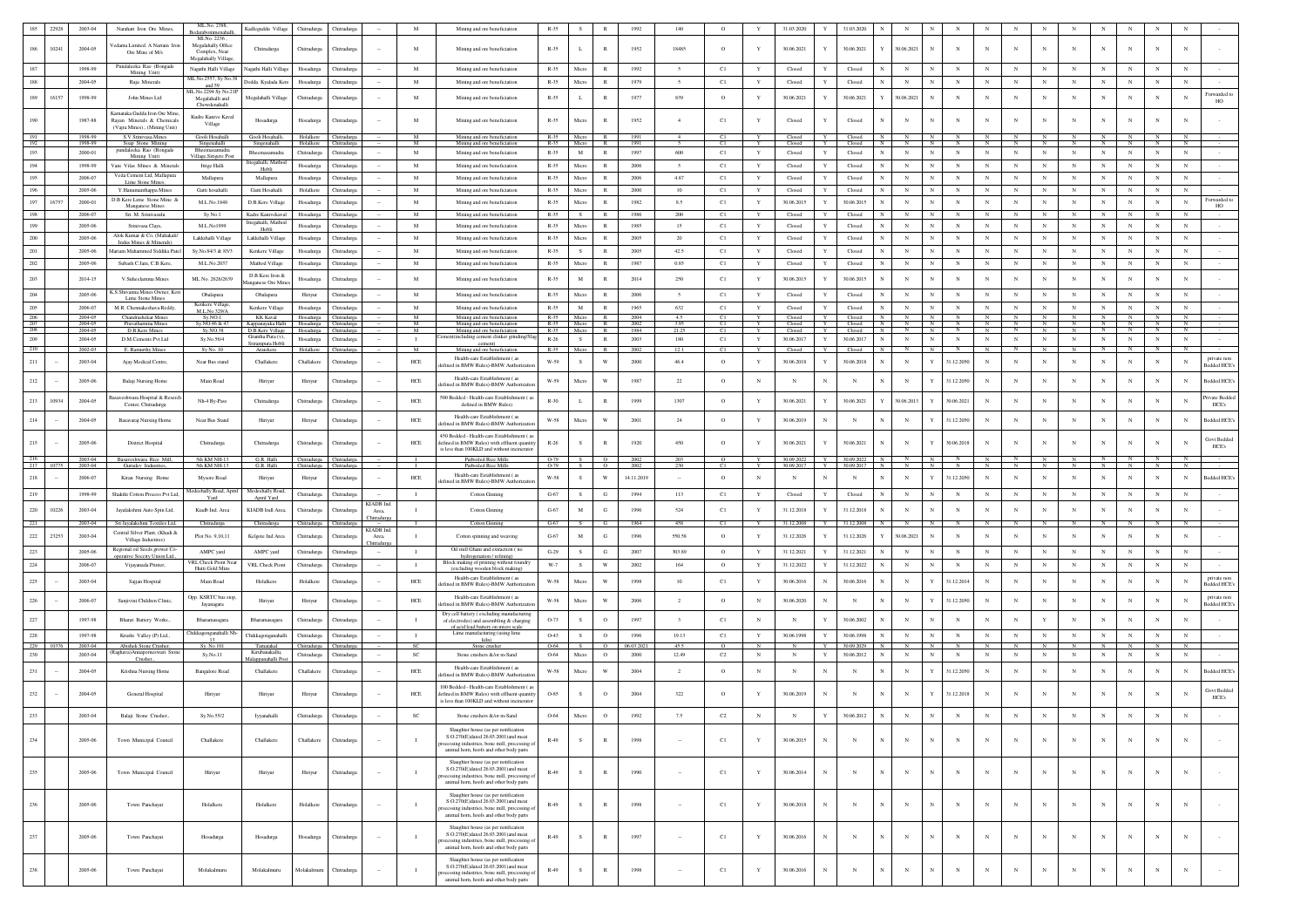|                   | 22928      | 2003-04            | Narahari Iron Ore Mines                                                                     | ML.No. 2388,<br>nmenat                                 | Kadleguddu Village                                          | Chitradurea                | Chitradure                       |                     | M                            | Mining and ore beneficiation                                                                                                                                                                                     | $R-35$              | $\sim$       | $\mathbb{R}$       | 1992               | 140                     | $\circ$       | $\mathbf{Y}$ | 31.03.2020               | Y           | 31.03.2020               |                 |                            |                          |              |              |            |              |                |               |                   |                 |                                    |
|-------------------|------------|--------------------|---------------------------------------------------------------------------------------------|--------------------------------------------------------|-------------------------------------------------------------|----------------------------|----------------------------------|---------------------|------------------------------|------------------------------------------------------------------------------------------------------------------------------------------------------------------------------------------------------------------|---------------------|--------------|--------------------|--------------------|-------------------------|---------------|--------------|--------------------------|-------------|--------------------------|-----------------|----------------------------|--------------------------|--------------|--------------|------------|--------------|----------------|---------------|-------------------|-----------------|------------------------------------|
| 186               | 10241      | 2004-05            | 'edanta Limited. A Narrain Iro<br>Ore Mine of M/s                                           | Ml.No. 2236<br>Megalahally Office<br>Complex, Near     | Chitradurga                                                 | Chitradurga                | <b>Chitradurga</b>               |                     | M                            | Mining and ore beneficiation                                                                                                                                                                                     | $R - 35$            |              | $\mathbb{R}$       | 1952               | 18485                   | $\circ$       |              | 30.06.2021               |             | 30.06.2021               |                 | 30.06.2021                 |                          | $_{\rm N}$   |              | $_{\rm N}$ |              | N              | $_{\rm N}$    |                   |                 |                                    |
| 187               |            | 1998-99            | Pundaleeka Rao (Bongad<br>Mining Unit)                                                      | Megalahally Village<br>Nagathi Halli Village           | Nagathi Halli Village                                       | Hosadurga                  | Chitradurga                      |                     | M                            | Mining and ore beneficiation                                                                                                                                                                                     | $R-35$              | Micro        | R                  | 1992               | $\sim$                  | C1            | Y            | Closed                   | $\mathbf Y$ | Closed                   | N               | $_{\rm N}$                 | $_{\rm N}$               |              | $_{\rm N}$   | N          | $_{\rm N}$   | N              | N             | $_{\rm N}$        |                 |                                    |
| 188               |            | 2004-05            | Raja Minerals                                                                               | ML No.2557, Sy No.3<br>and 59                          | Dodda Kyalada Kere                                          | Hosadurga                  | Chitradurga                      |                     | $\mathbf M$                  | Mining and ore beneficiation                                                                                                                                                                                     | $R - 35$            | Micro        | $\,$ R             | 1979               | $\sim$                  | C1            | Y            | Closed                   | Y           | Closed                   |                 | $_{\rm N}$                 | $_{\rm N}$               | $_{\rm N}$   | $_{\rm N}$   | $_{\rm N}$ | $\mathbb{N}$ | $\overline{N}$ | $_{\rm N}$    | $_{\rm N}$        | $_{\rm N}$      |                                    |
| 189               | 16157      | 1998-99            | John Mines Ltd                                                                              | ML. No. 2294 Sv No. 21<br>Megalahalli and              | Megalahalli Village                                         | Chitradurga                | Chitradurga                      |                     | $_{\rm M}$                   | Mining and ore beneficiation                                                                                                                                                                                     | $R - 35$            |              | $\mathbb{R}$       | 1977               | 839                     | $\circ$       | Y            | 30.06.2021               | Y           | 30.06.2021               | Y               | 30.06.2021<br>N            | N                        |              |              |            | N            |                | $_{\rm N}$    | N                 | $_{\rm N}$      | Forwarded<br>HO                    |
| 190               |            | 1987-88            | Kamataka Gudda Iron Ore Mine<br>Ravan Minerals & Chemicals<br>(Vajra Mines)., (Mining Unit) | Chowdenahalli<br>Kudre Kanive Kaval<br>Village         | Hosadurga                                                   | Hosadurga                  | <b>Chitradurga</b>               |                     | M                            | Mining and ore beneficiation                                                                                                                                                                                     | $R - 35$            | Micro        |                    | 1952               |                         | C1            |              | Closed                   |             | Closed                   |                 | $_{\rm N}$                 |                          |              |              |            |              | N              |               |                   |                 |                                    |
| 191<br>192        |            | 1998-99<br>1998-99 | S.V Srinivasa Mines                                                                         | Gooli Hosahalli                                        | Gooli Hosahalli,                                            | Holalkere<br>Holalkere     | Chitradurga                      |                     | M<br>M                       | Mining and ore beneficiation                                                                                                                                                                                     | $R - 35$            | R-35 Micro   | R                  | 1991               |                         | C1            | Y            | Closed<br>Closed         | Y           | Closed N                 |                 | $\mathbb{N}$<br>$_{\rm N}$ |                          |              | N            |            |              | N              | N             | $\mathbb{N}$      | N               |                                    |
| 193               |            | 2000-01            | Soap Stone Mining<br>pundaleeka Rao (Bongade<br>Mining Unit)                                | Singenahalli<br>Bheemasamudra<br>Village,Sirigere Post | Singenahalli<br>Bheemasamudra                               | Chitradurga                | Chitradurga                      |                     | M                            | Mining and ore beneficiation<br>Mining and ore beneficiation                                                                                                                                                     | $R-35$              | $\,$ M       | R                  | 1997               | 600                     | C1            | Y            | Closed                   | $\mathbf Y$ | Closed                   | ${\bf N}$       | $_{\rm N}$<br>N            | $_{\rm N}$               | $_{\rm N}$   | $_{\rm N}$   | $_{\rm N}$ | $_{\rm N}$   | $_{\rm N}$     | $_{\rm N}$    | $_{\rm N}$        | $_{\rm N}$      |                                    |
| 194               |            | 1998-99            | Vani Vilas Mines & Minerals                                                                 | Ittige Halli                                           | Ittegahalli, Mathod<br>Hobli                                | Hosadurga                  | Chitradurga                      |                     | M                            | Mining and ore beneficiation                                                                                                                                                                                     | $R - 35$            | Micro        | $\,$ R             | 2006               | 5                       | C1            | Y            | $\operatorname{Closed}$  | Y           | Closed                   |                 | $_{\rm N}$                 | $_{\rm N}$               | $_{\rm N}$   | $_{\rm N}$   | N          | $\mathbb{N}$ | N              | $_{\rm N}$    | $_{\rm N}$        | $_{\rm N}$      |                                    |
| 195               |            | 2006-07            | Veda Cement Ltd. Mallapura<br><b>Lime Stone Mines</b>                                       | Mallapura                                              | Mallapura                                                   | Hosadurga                  | Chitradurg                       |                     | M                            | Mining and ore beneficiation                                                                                                                                                                                     | $R-35$              | Micro        | $\mathbb{R}$       | 2006               | 4.87                    | C1            | Y            | Closed                   | $\mathbf Y$ | Closed                   |                 | N                          |                          | $_{\rm N}$   |              |            | N            | N              | $_{\rm N}$    | $_{\rm N}$        | $_{\rm N}$      |                                    |
| 196               |            | 2005-06            | Y.Hanumanthappa Mines                                                                       | Gatti hosahalli                                        | Gatti Hosahalli                                             | Holalkere                  | Chitradurg                       |                     | M                            | Mining and ore beneficiation                                                                                                                                                                                     | $R-35$              | Micro        | R                  | 2000               | 10                      | C1            | Y            | Closed                   | $\mathbf Y$ | Closed                   | $\mathbf{N}$    | $_{\rm N}$<br>N            | $\mathbb{N}$             | $_{\rm N}$   | $_{\rm N}$   | $_{\rm N}$ | $\mathbf N$  | $_{\rm N}$     | $_{\rm N}$    | $\mathbb{N}$      | $_{\rm N}$      |                                    |
| 197               | 16757      | 2000-01            | D.B Kere Lime Stone Mine &<br>Manganese Mines                                               | M.L.No.1848                                            | D.B.Kere Village                                            | Hosadurga                  | <b>Chitradurg</b>                |                     | $\mathbf M$                  | Mining and ore beneficiation                                                                                                                                                                                     | $R - 35$            | Micro        | R                  | 1982               | 8.5                     | C1            | $\mathbf Y$  | 30.06.2015               | $\mathbf Y$ | 30.06.2015               |                 | $_{\rm N}$                 | $_{\rm N}$               | $_{\rm N}$   | N            | N          | $_{\rm N}$   | N              | $_{\rm N}$    | $_{\rm N}$        | $_{\rm N}$      | Forwarded to<br>HO                 |
| 198               |            | 2006-07            | Sri. M. Srinivasulu                                                                         | Sy No.1                                                | Kadre Kanivekaval                                           | Hosadurga                  | Chitradurga                      |                     | $\mathbf M$                  | Mining and ore beneficiation                                                                                                                                                                                     | $R - 35$            | S            | R                  | 1986               | 200                     | C1            | Y            | Closed                   | $\mathbf Y$ | Closed                   | $_{\rm N}$      | $_{\rm N}$<br>N            | N                        | $_{\rm N}$   |              | $_{\rm N}$ | $_{\rm N}$   | $_{\rm N}$     | $_{\rm N}$    | $_{\rm N}$        | N               |                                    |
| 199               |            | 2005-06            | Srinivasa Clays                                                                             | M.L.No1999                                             | Ittegahalli, Mathod<br>Hobli                                | Hosadurga                  | <b>Chitradurga</b>               |                     | $\mathbf M$                  | Mining and ore beneficiation                                                                                                                                                                                     | $R - 35$            | Micro        | R                  | 1985               | 15                      | C1            | $\mathbf Y$  | Closed                   | Y           | Closed                   |                 | $_{\rm N}$                 |                          | $_{\rm N}$   | $_{\rm N}$   | N          | N            | $\mathbf N$    | $_{\rm N}$    | $_{\rm N}$        | $_{\rm N}$      |                                    |
| $200\,$           |            | 2005-06            | Alok Kumar & Co. (Mahakali<br>Indus Mines & Minerals)                                       | Lakkihalli Village                                     | Lakkihalli Village                                          | Hosadurga                  | Chitradure                       |                     | M                            | Mining and ore beneficiation                                                                                                                                                                                     | $R-35$              | Micro        | R                  | 2005               | 20                      | C1            | Y            | Closed                   | Y           | Closed                   | $_{\rm N}$      | $_{\rm N}$<br>$\mathbf{N}$ | $_{\rm N}$               | $_{\rm N}$   | $_{\rm N}$   | $_{\rm N}$ | $_{\rm N}$   | $_{\rm N}$     | $_{\rm N}$    | $_{\rm N}$        | $_{\rm N}$      |                                    |
| 201               |            | 2005-06            | Aariam Mahammed Siddika Patel                                                               | Sy.No.84/3 & 85/3                                      | Kenkere Village                                             | Hosadurga                  | <b>Chitradurga</b>               |                     | $_{\rm M}$                   | Mining and ore beneficiatio                                                                                                                                                                                      | $R-35$              | S            | $\mathbb{R}$       | 2005               | 42.5                    | C1            | $\mathbf Y$  | Closed                   | $\mathbf Y$ | Closed                   | $_{\rm N}$      | $_{\rm N}$<br>N            | $_{\rm N}$               | $_{\rm N}$   | $_{\rm N}$   | $_{\rm N}$ | $_{\rm N}$   | $\mathbf N$    | $_{\rm N}$    | $_{\rm N}$        | $_{\rm N}$      |                                    |
| $202\,$           |            | 2005-06            | Subash C.Jain, C.B.Kere,                                                                    | M.L.No.2037                                            | Mathod Village                                              | Hosadurga                  | Chitradurga                      |                     | $\mathbf M$                  | Mining and ore beneficiation                                                                                                                                                                                     | $R - 35$            | Micro        | $\,$ R             | 1987               | 0.85                    | C1            | Y            | Closed                   | $\mathbf Y$ | Closed                   | $_{\rm N}$      | $_{\rm N}$<br>N            | $_{\rm N}$               | $_{\rm N}$   | $_{\rm N}$   | $_{\rm N}$ | $_{\rm N}$   | $_{\rm N}$     | $_{\rm N}$    | $_{\rm N}$        | $_{\rm N}$      |                                    |
| 203               |            | 2014-15            | V.Suheelamma Mines                                                                          | ML No. 2626/2639                                       | D.B.Kere Iron &<br><b>fanganese</b> Ore Min                 | Hosadurga                  | Chitradurga                      |                     | M                            | Mining and ore beneficiation                                                                                                                                                                                     | $R-35$              | M            | $\mathbb{R}$       | 2014               | 250                     | C1            | $\mathbf{Y}$ | 30.06.2015               | Y           | 30.06.2015               | $\mathbb{N}$    | $_{\rm N}$<br>$\mathbb{N}$ |                          | $\mathbf{N}$ | $_{\rm N}$   | $_{\rm N}$ | N            | N              | $_{\rm N}$    | $_{\rm N}$        | $_{\rm N}$      |                                    |
| $204\,$           |            | 2005-06            | K.S.Shivanna Mines Owner, Kori                                                              | Obalapura                                              | Obalapura                                                   | Hiriyur                    | Chitradurg                       |                     | M                            | Mining and ore beneficiation                                                                                                                                                                                     | $R - 35$            | Micro        | R                  | 2006               | $\leq$                  | C1            | $\mathbf{Y}$ | Closed                   | Y           | Closed                   |                 | $_{\rm N}$                 | $_{\rm N}$               | $_{\rm N}$   | $_{\rm N}$   | $_{\rm N}$ | $_{\rm N}$   | N              | $_{\rm N}$    |                   | $_{\rm N}$      |                                    |
| 205               |            | 2006-07            | Lime Stone Mines<br>M.R. Chennakeshava Reddy                                                | Kenkere Village,                                       | Kenkere Village                                             | Hosadurga                  | Chitradurga                      |                     | $\mathbf M$                  | Mining and ore beneficiation                                                                                                                                                                                     | $R - 35$            | M            | $\mathbb{R}$       | 1965               | 632                     | C1            | Y            | Closed                   | $\mathbf Y$ | Closed                   | $_{\rm N}$      | $_{\rm N}$<br>$_{\rm N}$   | $_{\rm N}$               | $_{\rm N}$   | $_{\rm N}$   | $_{\rm N}$ | $_{\rm N}$   | $_{\rm N}$     | $_{\rm N}$    | $_{\rm N}$        | $_{\rm N}$      |                                    |
| $\frac{206}{207}$ |            | 2004-05            | Chandrashekar Mines                                                                         | M.L.No.329/A<br>Sv.NO.1                                | <b>KK Kaval</b>                                             |                            | Hosadurga Chitradurga            |                     | $\mathbf{M}$                 | Mining and ore beneficiation                                                                                                                                                                                     | $R - 35$            | Micro        | R                  | 2004               | 4.5                     | C1            |              | Closed                   | Y           | Closed N<br>Closed N     |                 | $\frac{N}{N}$<br>N         |                          | $_{\rm N}$   |              | N          |              | $\frac{N}{N}$  | $\frac{N}{N}$ |                   | $\frac{N}{N}$   |                                    |
| 208               |            | 2004-05<br>2004-05 | Pravathamma Mines<br>D.B.Kere Mines                                                         | Sy.NO.46 & 47<br>$Sy$ . NO. 38                         | Kappanayaka Halli Hosadurea Chitradurea<br>D.B.Kere Village | Hosadurga                  | Chitradurga                      |                     | $\mathbf{M}$<br>M            | Mining and ore beneficiation<br>Mining and ore beneficiation                                                                                                                                                     | $R - 35$            | R-35 Micro   | R                  | 2002<br>1984       | 3.95<br>21.25           | C1            | Y            | Closed<br>Closed         | Y           | Closed                   | $\mathbb{N}$    | N<br>N<br>N                | N                        | N            | $\mathbf{N}$ | N          | N            | $\mathbb{N}$   | N             | <b>N</b>          | N               |                                    |
| 209               |            | 2004-05            | D.M.Cements Pvt Ltd                                                                         | Sy.No.56/4                                             | Grantha Pura (v<br>Srirampura Hobl                          | Hosadurga                  | Chitradurga                      |                     | $\mathbf{I}$                 | t(including cement clinker grinding/S<br>cement)                                                                                                                                                                 | $R-26$              | S            | $\mathbb{R}$       | 2003               | 180                     | C1            | $\mathbf Y$  | 30.06.2017               | $\mathbf Y$ | 30.06.2017               | $_{\rm N}$      | $_{\rm N}$<br>$_{\rm N}$   | $_{\rm N}$               | $_{\rm N}$   | $_{\rm N}$   | $_{\rm N}$ | $_{\rm N}$   | $_{\rm N}$     | $_{\rm N}$    | $_{\rm N}$        | $_{\rm N}$      |                                    |
| 210<br>211        |            | 2002-03            | E. Ramurthy Mines                                                                           | Sy No. 10                                              | Araiekere                                                   | Holalkere                  | Chitradurg:                      |                     | M<br>HCE                     | Mining and ore beneficiation<br>Health-care Establishment (as                                                                                                                                                    | $R - 35$            | Micro        | R<br>W             | 2002               | 12.1                    | C1            | Y            | Closed                   | Y           | Closed                   | N<br>$_{\rm N}$ | $_{\rm N}$                 |                          | N            |              |            | - N          | N              |               |                   |                 | private non                        |
|                   |            | 2003-04            | Ajay Medical Centre,                                                                        | Near Bus stand                                         | Challakere                                                  | Challakere                 | Chitradurga                      |                     |                              | ned in BMW Rules)-BMW Authoriza                                                                                                                                                                                  | W-59                | s            |                    | 2000               | 46.4                    | $\circ$       | Y            | 30.06.2018               | Y           | 30.06.2018               |                 | $_{\rm N}$<br>Y            | 31.12.2050               | $_{\rm N}$   | $_{\rm N}$   | $_{\rm N}$ | N            | N              | $_{\rm N}$    | $_{\rm N}$        | N               | edded HCE's                        |
| 212               |            | 2005-06            | Balaji Nursing Home                                                                         | Main Road                                              | Hiriyur                                                     | Hiriyur                    | <b>Chitradurga</b>               |                     | ${\rm HCE}$                  | Health-care Establishment (28)<br>lefined in BMW Rules)-BMW Authorizati                                                                                                                                          | W-59                | Micro        | W                  | 1987               | $22\,$                  | $\circ$       | $_{\rm N}$   | $_{\rm N}$               | $_{\rm N}$  | $_{\rm N}$               | $_{\rm N}$      | $_{\rm N}$                 | 31.12.2050<br>Y          | $_{\rm N}$   |              | $_{\rm N}$ | N            | N              | $_{\rm N}$    | $_{\rm N}$        |                 | sedded HCE's                       |
| 213               | 10934      | 2004-05            | weshwara Hospital & Reser<br>Center, Chitradurga                                            | Nh-4 By-Pass                                           | Chitradurga                                                 | Chitradurga                | Chitradurga                      |                     | ${\rm HCE}$                  | 500 Bedded - Health-care Establishment (<br>defined in BMW Rules)                                                                                                                                                | $R-30$              | $\mathbf{L}$ | $\mathbb R$        | 1999               | 1307                    | $\circ$       | Y            | 30.06.2021               | $\mathbf Y$ | 30.06.2021               | Y               | 30.06.2013<br>Y            | 30.06.2021               | $_{\rm N}$   |              |            | N            |                |               | $_{\rm N}$        |                 | Private Bedde<br>HCE's             |
| 214               |            | 2004-05            | Basavaraj Nursing Home                                                                      | Near Bus Stand                                         | Hiriyur                                                     | Hiriyur                    | <b>Chitradurg</b>                |                     | HCE                          | Health-care Establishment (as<br>efined in BMW Rules)-BMW Authorizat                                                                                                                                             | W-58                | Micro        | w                  | 2001               | 24                      | $\circ$       | Y            | 30.06.2019               | $_{\rm N}$  | $_{\rm N}$               | $_{\rm N}$      | $\mathbf N$<br>Y           | 31.12.2050               | $_{\rm N}$   |              | $_{\rm N}$ | N            | N              | $_{\rm N}$    | $_{\rm N}$        | N               | <b>Bedded HCE's</b>                |
| 215               |            | 2005-06            | <b>District Hospital</b>                                                                    | Chitradurga                                            | Chitradurga                                                 | Chitradurga                | Chitradurga                      |                     | ${\rm HCE}$                  | 450 Bedded - Health-care Establishment (as<br>defined in BMW Rules) with effluent quantity<br>is less than 100KLD and without incinerato                                                                         | $R-26$              | s            | $\mathbb R$        | 1920               | 450                     | $\circ$       |              | 30.06.2021               | $\mathbf Y$ | 30.06.2021               | $_{\rm N}$      | $_{\rm N}$<br>Y            | 30.06.2018               | $_{\rm N}$   |              | $_{\rm N}$ |              |                |               |                   |                 | <b>Govt Bedded</b><br>HCE's        |
| 216               |            |                    |                                                                                             |                                                        |                                                             |                            |                                  |                     |                              |                                                                                                                                                                                                                  |                     |              |                    |                    |                         |               |              |                          |             |                          |                 |                            |                          |              |              |            |              |                |               |                   |                 |                                    |
|                   |            | 2003-04            | Basaveshwara Rice Mill,                                                                     | 5th KM NH-13                                           | G.R. Halli                                                  |                            | Chitradurga Chitradurga          |                     |                              | Parboiled Rice Mills                                                                                                                                                                                             | O-79                |              | $\circ$            | - 2002             |                         | $\circ$       |              | 30.09.2022               |             | Y 30.09.2022 N           |                 | N<br>IN.                   |                          |              |              |            |              | N              |               |                   | -N-             |                                    |
|                   | $217 \t10$ | 2003-04            | Gurudev Industries                                                                          | 5th KM NH-13                                           | G.R. Halli                                                  |                            | Chitradurga Chitradurga          |                     |                              | Parboiled Rice Mill                                                                                                                                                                                              | $O-79$              |              | $\circ$            | 2002               | 230                     | C1            |              | 30.09.2017               |             | Y 30.09.2017 N           |                 | N                          |                          |              |              |            |              |                |               |                   |                 |                                    |
| 218               |            | 2006-07            | Kiran Nursing Home                                                                          | Mysore Road                                            | Hiriyur                                                     | Hiriyur                    | Chitradure:                      |                     | <b>HCE</b>                   | Health-care Establishment (as<br>lefined in BMW Rules)-BMW Authorizatio                                                                                                                                          | W-58                | S            | W                  | 14.11.2019         |                         | $\circ$       | $_{\rm N}$   | $_{\rm N}$               | $_{\rm N}$  | N                        | N               | $_{\rm N}$                 | Y<br>31.12.2050          | $_{\rm N}$   | $_{\rm N}$   | $_{\rm N}$ | $_{\rm N}$   | N              | $_{\rm N}$    | $_{\rm N}$        | $_{\rm N}$      | <b>Bedded HCE's</b>                |
| 219               |            | 1998-99            | Shakthi Cotton Process Pvt Ltd,                                                             | edeehally Road, Apm<br>Yard                            | Medeehally Road<br>Apml Yard                                | Chitradurga                | Chitradurga                      | <b>KIADB</b> Ind    | $\mathbf{I}$                 | <b>Cotton Ginning</b>                                                                                                                                                                                            | $G-67$              | S            | G                  | 1994               | 113                     | C1            | Y            | Closed                   | $\mathbf Y$ | Closed                   | $_{\rm N}$      | $_{\rm N}$<br>N            | N                        | $_{\rm N}$   | $_{\rm N}$   | $_{\rm N}$ | $_{\rm N}$   | $_{\rm N}$     | $_{\rm N}$    | N                 | $_{\rm N}$      |                                    |
| 220               | 10226      | 2003-04            | Jayalakshmi Auto Spin Ltd,                                                                  | Kiadb Ind. Area                                        | KIADB Indl Area,                                            | Chitradurga                | Chitradurga                      | Area.<br>Chitradurg | $\mathbf{I}$                 | <b>Cotton Ginning</b>                                                                                                                                                                                            | ${\bf G}\text{-67}$ | $\mathbf M$  | $_{\rm G}$         | 1996               | 524                     | C1            | $\mathbf Y$  | 31.12.2018               | Y           | 31.12.2018               | $_{\rm N}$      | $_{\rm N}$<br>N            | $_{\rm N}$               |              |              | N          | N            | N              | $_{\rm N}$    | N                 | $_{\rm N}$      |                                    |
| 221               |            | 2003-04<br>2003-04 | Sri Jayalakshmi Textiles Ltd,<br>Central Silver Plant, (Khadi &                             | Chitradurga<br>Plot No. 9,10,11                        | Chitradurga<br>Kelgote Ind Area                             | Chitradurga<br>Chitradurga | <b>Thitradury</b><br>Chitradurga | <b>KIADB</b> Ind    | $\mathbf{I}$<br>$\mathbf{I}$ | <b>Cotton Ginning</b><br>Cotton spinning and weaving                                                                                                                                                             | $G-67$              |              | $_{\rm G}$         | 1964<br>1996       | 458                     | C1            | Y<br>Y       | 31.12.2008<br>31.12.2026 | Y           | 31.12.2008               | Y               | N                          |                          |              |              |            | N            | N              |               | N                 | $_{\rm N}$      |                                    |
| 222               | 23253      |                    | Village Industires)                                                                         |                                                        |                                                             |                            |                                  | Area,<br>hitradur   |                              |                                                                                                                                                                                                                  | ${\bf G}\text{-67}$ | $\mathbf M$  |                    |                    | 550.58                  | $\circ$       |              |                          |             | 31.12.2026               |                 | 30.06.2021                 |                          |              |              |            |              |                |               |                   |                 |                                    |
| 223               |            | 2005-06            | Regional oil Seeds grower Co-<br>perative Soceity Union Ltd.,                               | AMPC yard                                              | AMPC yard                                                   | Chitradurga                | Chitradurga                      |                     | $\mathbf{I}$                 | Oil mill Ghani and extraction (no<br>hydrogenation / refining                                                                                                                                                    | $G-29$              | S            | $_{\rm G}$         | 2007               | 303.89                  | $\circ$       | Y            | 31.12.2021               | Y           | 31.12.2021               |                 | $_{\rm N}$                 | N                        |              |              | $_{\rm N}$ | $\mathbb{N}$ | N              | $_{\rm N}$    | $_{\rm N}$        | $_{\rm N}$      |                                    |
| 224               |            | 2006-07            | Vijayanada Printer,                                                                         | <b>VRL Check Piont Nea</b><br>Hutti Gold Mins          | VRL Check Pion                                              | Chitradurga                | Chitradurga                      |                     | $\blacksquare$               | Block making of printing without foundry<br>(excluding wooden block making)                                                                                                                                      | $W-7$               | S            | W                  | 2002               | 164                     | $\circ$       | Y            | 31.12.2022               | Y           | 31.12.2022               |                 | $_{\rm N}$                 | $_{\rm N}$               | $_{\rm N}$   | $_{\rm N}$   | $_{\rm N}$ | N            | N              | $_{\rm N}$    | $_{\rm N}$        | $_{\rm N}$      |                                    |
| $225\,$           |            | 2003-04            | Sajjan Hospital                                                                             | Main Road                                              | Holalkero                                                   | Holalkere                  | Chitradurga                      |                     | HCE                          | Health-care Establishment (as<br>lefined in BMW Rules)-BMW Authorizatio                                                                                                                                          | W-58                | Micro        | W                  | 1998               | 10                      | C1            | Y            | 30.06.2016               | $_{\rm N}$  | 30.06.2016               | $_{\rm N}$      | $_{\rm N}$<br>Y            | 31.12.2014               | $_{\rm N}$   | N            | $_{\rm N}$ | N            | N              | $_{\rm N}$    | $_{\rm N}$        | $_{\rm N}$      | private nor<br>Bedded HCE's        |
| 226               |            | 2006-07            | Sanjivini Children Clinic,                                                                  | Opp. KSRTC bus stop<br>Jayanagara                      | Hiriyur                                                     | Hiriyur                    | Chitradurga                      |                     | ${\rm HCE}$                  | Health-care Establishment (as<br>lefined in BMW Rules)-BMW Authorization                                                                                                                                         | W-58                | Micro        | W                  | 2006               | $\sqrt{2}$              | $\circ$       | $_{\rm N}$   | 30.06.2020               | $_{\rm N}$  | $_{\rm N}$               | $_{\rm N}$      | $_{\rm N}$                 | 31.12.2050<br>Y          | $_{\rm N}$   |              | $_{\rm N}$ | N            | $_{\rm N}$     | $_{\rm N}$    | $_{\rm N}$        |                 | private non<br><b>Bedded HCE's</b> |
| $227\,$           |            | 1997-98            | Bharat Battery Works.                                                                       | Bharamasagara                                          | Bharamasagara                                               | Chitradurga                | Chitradurga                      |                     | $\mathbf{I}$                 | Dry cell battery (excluding manufactur<br>of electrodes) and assembling & charging                                                                                                                               | O-73                | s            | $\circ$            | 1997               | $\overline{\mathbf{3}}$ | C1            | $_{\rm N}$   | $_{\rm N}$               | Y           | 30.06.2002               | $_{\rm N}$      | N                          |                          |              |              |            |              |                |               |                   |                 |                                    |
|                   |            |                    | Krushi Valley (P) Ltd.,                                                                     | hikkagonganahalli N                                    |                                                             |                            | Chitradurga                      |                     |                              | of acid lead battery on micro scale<br>Lime manufacturing (using lime                                                                                                                                            |                     |              |                    |                    |                         |               | Y            |                          | Y           |                          |                 | $_{\rm N}$<br>N            | $_{\rm N}$               | $_{\rm N}$   | $_{\rm N}$   | N          | $\mathbb{N}$ | $_{\rm N}$     | $_{\rm N}$    |                   |                 |                                    |
| 228               | 229 10376  | 1997-98<br>2003-04 | Abishek Stone Crusher.                                                                      | Sv. No 101                                             | Chikkagonganahalli<br>Tamatakal                             | Chitradurga<br>Chitradurga | Chitradure:                      |                     | $\;$ I<br>- SC               | kiln)<br>Stone crusher                                                                                                                                                                                           | O-43<br>0-64        | S<br>- S     | $\circ$<br>$\circ$ | 1996<br>06.03.2021 | 19.13<br>45.5           | C1<br>$\circ$ | $\mathbb{N}$ | 30.06.1998               | <b>Y</b>    | 30.06.1998<br>30.09.2029 |                 | N                          |                          |              |              |            | - N          |                |               | $_{\rm N}$<br>- N | $_{\rm N}$<br>N |                                    |
| 230               |            | 2003-04            | Raehava)Annaporneswari Ston                                                                 | $Sv$ . No. 11                                          | Kirubanakallu,                                              | Chitradurea                | Chitradure:                      |                     | <b>SC</b>                    | Stone crushers & for m-Sand                                                                                                                                                                                      | 0-64                | Micro        | $\circ$            | 2000               | 12.49                   | C2            | $\mathbb{N}$ | $_{\rm N}$               | Y           | 30.06.2012               | N               | $_{\rm N}$<br>N            | $_{\rm N}$               | $_{\rm N}$   | $_{\rm N}$   | $_{\rm N}$ | $_{\rm N}$   | $_{\rm N}$     | $_{\rm N}$    | $_{\rm N}$        | $_{\rm N}$      |                                    |
| 231               |            | 2004-05            | Crusher.<br>Krishna Nursing Home                                                            | <b>Bangalore Road</b>                                  | alappanahalli Po<br>Challakere                              | Challakere                 | Chitradurga                      |                     | HCE                          | Health-care Establishment (as<br>efined in BMW Rules)-BMW Authorizati                                                                                                                                            | W-58                | Micro        | W                  | 2004               | $\overline{2}$          | $\circ$       | $_{\rm N}$   | N                        | $_{\rm N}$  | N                        |                 | Y<br>$_{\rm N}$            | 31.12.2050               | $_{\rm N}$   |              | N          | N            | N              | $_{\rm N}$    | N                 | N               | <b>Bedded HCE's</b>                |
| 232               |            | 2004-05            | General Hospital                                                                            | Hiriyur                                                | Hiriyur                                                     | Hiriyur                    | Chitradurga                      |                     | HCE                          | 100 Bedded - Health-care Establishment (as<br>defined in BMW Rules) with effluent quantity                                                                                                                       | O-85                | S            | $\circ$            | 2004               | 322                     | $\circ$       |              | 30.06.2019               | $_{\rm N}$  |                          | N               | N<br>Y                     | 31.12.2018               |              |              | $_{\rm N}$ |              |                |               |                   |                 | Govt Bedder<br>HCE's               |
| 233               |            | $2003 - 04$        | Balaji Stone Crusher.,                                                                      | Sv.No.55/2                                             | Iyyanahalli                                                 | Chitradurga                | Chitradurga                      |                     | SC                           | is less than 100KLD and without incinerator<br>Stone crushers &/or m-Sand                                                                                                                                        | 0-64                |              | $\circ$            |                    |                         | C2            |              |                          |             | 30.06.2012               |                 |                            |                          |              |              |            |              |                |               |                   |                 |                                    |
|                   |            |                    |                                                                                             |                                                        |                                                             |                            |                                  |                     |                              | Slaughter house (as per notification                                                                                                                                                                             |                     |              |                    |                    |                         |               |              |                          |             |                          |                 |                            |                          |              |              |            |              |                |               |                   |                 |                                    |
| 234               |            | 2005-06            | Town Municipal Council                                                                      | Challakere                                             | Challakere                                                  | Challakere                 | Chitradurga                      |                     | $\mathbf{I}$                 | S.O.270(E)dated 26.03.2001)and meat<br>rocessing industries, bone mill, processing<br>animal horn, hoofs and other body parts                                                                                    | $R-49$              | S            | $\,$ R             | 1998               |                         | C1            | Y            | 30.06.2015               | $_{\rm N}$  | $_{\rm N}$               | $_{\rm N}$      | $_{\rm N}$<br>$_{\rm N}$   | $_{\rm N}$               | $_{\rm N}$   | $_{\rm N}$   | $_{\rm N}$ | N            | $_{\rm N}$     | $_{\rm N}$    | $_{\rm N}$        | $_{\rm N}$      |                                    |
| 235               |            | 2005-06            | Town Municipal Council                                                                      | Hiriyur                                                | Hiriyur                                                     | Hiriyur                    | Chitradurga                      | $\sim$              | $\mathbf{I}$                 | Slaughter house (as per notification<br>S.O.270(E)dated 26.03.2001)and meat<br>rocessing industries, bone mill, processing o<br>animal horn, hoofs and other body parts                                          | $R-49$              | S            | $\,$ R             | 1990               | $\sim$                  | C1            | Y            | 30.06.2014               | $_{\rm N}$  | N                        | ${\bf N}$       | $\mathbf N$                | $_{\rm N}$<br>$_{\rm N}$ | $_{\rm N}$   | $_{\rm N}$   | $_{\rm N}$ | $_{\rm N}$   | $_{\rm N}$     | $_{\rm N}$    | $_{\rm N}$        | $_{\rm N}$      |                                    |
| 236               |            | 2005-06            | Town Panchayat                                                                              | Holalkere                                              | Holalkere                                                   | Holalkere                  | Chitradurga                      | $\sim$              | $\mathbf{I}$                 | Slaughter house (as per notification<br>S.O.270(E)dated 26.03.2001)and meat<br>rocessing industries, bone mill, processing o                                                                                     | $R-49$              | S            | $\,$ R             | 1998               | $\sim$                  | C1            | Y            | 30.06.2018               | $_{\rm N}$  | $_{\rm N}$               | $_{\rm N}$      | $\mathbf N$<br>$_{\rm N}$  | N                        | $_{\rm N}$   | $_{\rm N}$   | $_{\rm N}$ | N            | $_{\rm N}$     | $_{\rm N}$    | $_{\rm N}$        | $_{\rm N}$      |                                    |
| 237               |            | 2005-06            | Town Panchayat                                                                              | Hosadurga                                              | Hosadurga                                                   | Hosadurga                  | Chitradurga                      |                     | $\mathbf{I}$                 | animal horn, hoofs and other body parts<br>Slaughter house (as per notification<br>S.O.270(E)dated 26.03.2001)and meat<br>rocessing industries, bone mill, processing o                                          | $R-49$              | S            | $\,$ R             | 1997               | $\sim$                  | C1            | Y            | 30.06.2016               | $_{\rm N}$  | $_{\rm N}$               | $_{\rm N}$      | $\mathbf N$                | $_{\rm N}$<br>$_{\rm N}$ | $_{\rm N}$   | $_{\rm N}$   | $_{\rm N}$ | $_{\rm N}$   | $_{\rm N}$     | $_{\rm N}$    | $_{\rm N}$        | $_{\rm N}$      |                                    |
| 238               |            | 2005-06            | Town Panchavat                                                                              | Molakalmuru                                            | Molakalmuru                                                 | Molakalmuru                | Chitradurga                      | $\sim$              | $\mathbf{I}$                 | animal horn, hoofs and other body parts<br>Slaughter house (as per notification<br>S.O.270(E)dated 26.03.2001)and meat<br>rocessing industries, bone mill, processing<br>animal horn, hoofs and other body parts | $R-49$              | ${\bf S}$    | $\,$ R             | 1998               | $\sim$                  | C1            | Y            | 30.06.2016               | $_{\rm N}$  | $_{\rm N}$               | $_{\rm N}$      | $\mathbb{N}$<br>$_{\rm N}$ | $_{\rm N}$               | $_{\rm N}$   | $_{\rm N}$   | $_{\rm N}$ | $\mathbb{N}$ | $_{\rm N}$     | $_{\rm N}$    | $_{\rm N}$        | $_{\rm N}$      |                                    |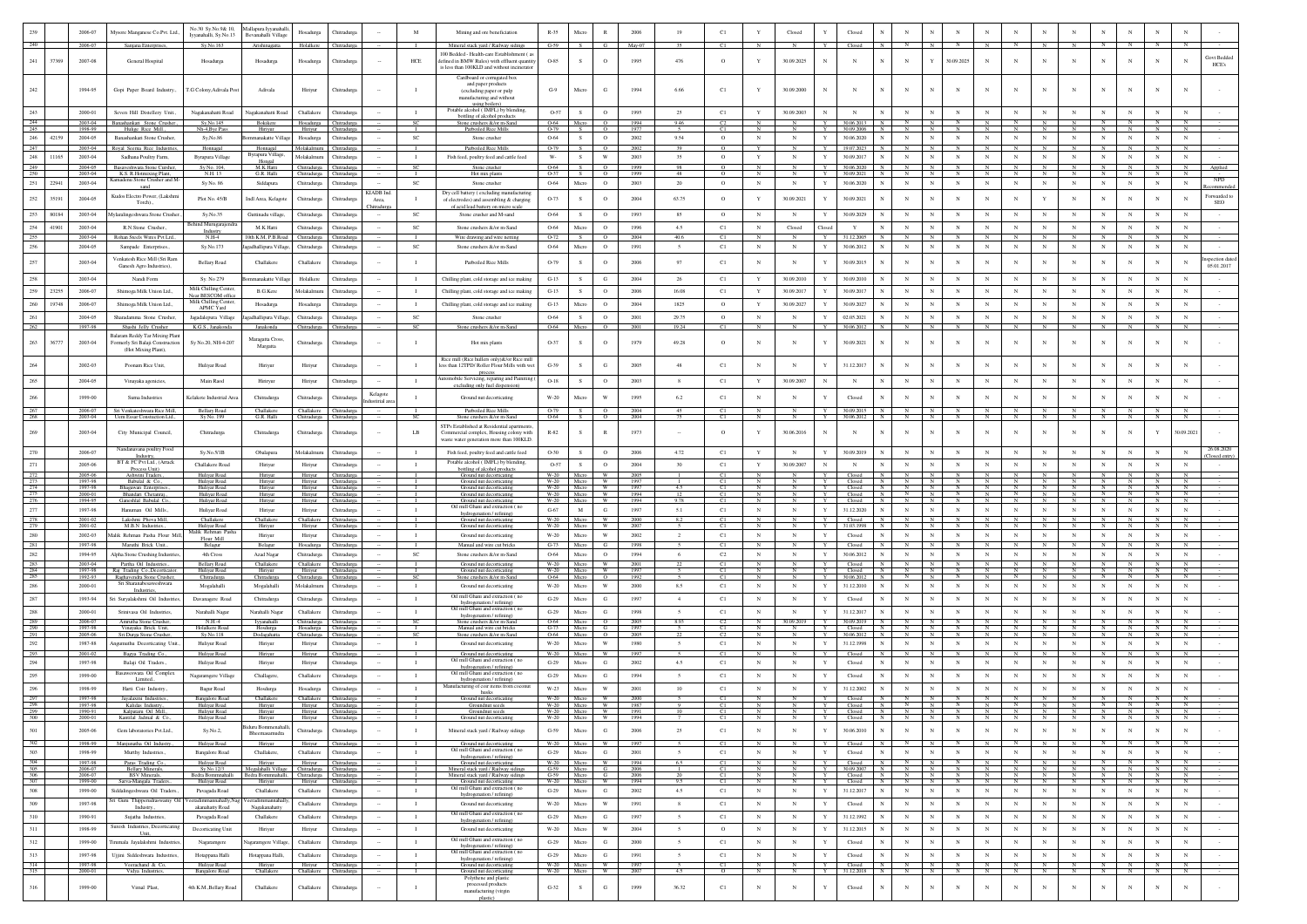|                          |       | 2006-07                       | Mysore Manganese Co.Pvt. Ltd.,                                    | No.30 Sy.No.9& 10,<br>Ivvanahalli, Sv.No.13                                | Mallapura Iyyanahalli,<br>Bevanahalli Village | Hosadurga                           | <b>Chitradurg</b>                          |                | M                              | Mining and ore beneficiation                                                                | $R - 35$                  | Micro                      | $\mathbb{R}$              | 2006         | 19                              | C1              | Y                         | Closed                                 |                  | Closed                   |                |                                                           |                          |                                |                            |                     |                     |                     |                            |                        |                            |                                  |                           |
|--------------------------|-------|-------------------------------|-------------------------------------------------------------------|----------------------------------------------------------------------------|-----------------------------------------------|-------------------------------------|--------------------------------------------|----------------|--------------------------------|---------------------------------------------------------------------------------------------|---------------------------|----------------------------|---------------------------|--------------|---------------------------------|-----------------|---------------------------|----------------------------------------|------------------|--------------------------|----------------|-----------------------------------------------------------|--------------------------|--------------------------------|----------------------------|---------------------|---------------------|---------------------|----------------------------|------------------------|----------------------------|----------------------------------|---------------------------|
| 240                      |       | 2006-07                       | Sanjana Enterprises,                                              | Sy.No.163                                                                  | Arishinagatta                                 |                                     | Holalkere Chitradurga                      |                |                                | Mineral stack yard / Railway sidings                                                        | $G-59$                    | S                          | - 6                       | May-07       | 35                              | C1              | N                         |                                        | Y                | Closed                   |                |                                                           |                          |                                |                            |                     |                     |                     |                            |                        |                            |                                  |                           |
|                          |       |                               |                                                                   |                                                                            |                                               |                                     |                                            |                |                                | 100 Bedded - Health-care Establishment ( a                                                  |                           |                            |                           |              |                                 |                 |                           |                                        |                  |                          |                |                                                           |                          |                                |                            |                     |                     |                     |                            |                        |                            |                                  | Govt Bedder               |
| 241                      | 37369 | 2007-08                       | General Hospital                                                  | Hosadurga                                                                  | Hosadurga                                     | Hosadurga                           | Chitradure:                                |                | HCE                            | defined in BMW Rules) with effluent quantity<br>is less than 100KLD and without incinerate  | $O-85$                    | -S                         | $\circ$                   | 1995         | 476                             | $\circ$         | Y                         | 30.09.2025                             |                  | N                        |                | $_{\rm N}$                                                | Y                        | 30.09.2025                     | $_{\rm N}$                 |                     | $\mathbf{N}$        | $\mathbf N$         | N                          |                        | N                          | N                                | HCE's                     |
|                          |       |                               |                                                                   |                                                                            |                                               |                                     |                                            |                |                                | Cardboard or corrugated box                                                                 |                           |                            |                           |              |                                 |                 |                           |                                        |                  |                          |                |                                                           |                          |                                |                            |                     |                     |                     |                            |                        |                            |                                  |                           |
| 242                      |       | 1994-95                       |                                                                   |                                                                            | Adivala                                       |                                     |                                            |                |                                | and paper products                                                                          | $G-9$                     | Micro                      | G                         |              | 6.66                            | C1              | Y                         | 30.09.2000                             | $_{\rm N}$       | $_{\rm N}$               | $_{\rm N}$     | $_{\rm N}$                                                | $_{\rm N}$               | $_{\rm N}$                     |                            |                     |                     |                     | $_{\rm N}$                 |                        | $_{\rm N}$                 | N                                |                           |
|                          |       |                               | Gopi Paper Board Industry.,                                       | T.G Colony, Adivala Post                                                   |                                               | Hiriyur                             | Chitradurga                                |                |                                | (excluding paper or pulp<br>manufacturing and without                                       |                           |                            |                           |              |                                 |                 |                           |                                        |                  |                          |                |                                                           |                          |                                |                            |                     |                     |                     |                            |                        |                            |                                  |                           |
|                          |       |                               |                                                                   |                                                                            |                                               |                                     |                                            |                |                                | using boilers)<br>Potable alcohol (IMFL) by blendin                                         |                           |                            |                           |              |                                 |                 |                           |                                        |                  |                          |                |                                                           |                          |                                |                            |                     |                     |                     |                            |                        |                            |                                  |                           |
| 243                      |       | 2000-01                       | Seven Hill Distellery Unit.,                                      | Nagakanahatti Road                                                         | Nagakanahatti Road                            | Challakere                          | Chitradurga                                |                | л.                             | bottling of alcohol products                                                                | $O-57$                    | S                          | $\circ$                   | 1995         | 25                              | C1              | Y                         | 30.09.2003                             | $_{\rm N}$       | $_{\rm N}$               |                | $_{\rm N}$                                                | $_{\rm N}$               | $_{\rm N}$                     | $_{\rm N}$                 | $_{\rm N}$          | $_{\rm N}$          | $_{\rm N}$          | $_{\rm N}$                 | $_{\rm N}$             | $_{\rm N}$                 | $_{\rm N}$                       |                           |
| 244<br>245               |       | 2003-04<br>1998-99            | Banashankari Stone Crusher<br>Hulige Rice Mill.                   | Sy, No.145<br>Nh-4, Bye Pas                                                | Bokikere<br>Hiriyu                            | Hosadurga<br>Hiriyur                | Chitradurga                                |                | SC                             | Stone crushers &/or m-Sand<br>Parboiled Rice Mills                                          | 0-64<br>$O-79$            | Micro                      | $\overline{0}$<br>$\circ$ | 1994<br>1977 | 9.46                            | C <sub>2</sub>  |                           |                                        |                  | 30.06.2013<br>30.09.2006 |                | $\mathbf{N}$                                              | N<br>$\mathbb{N}$        | N                              |                            |                     |                     |                     | $\overline{N}$             |                        |                            | N<br>$_{\rm N}$                  |                           |
| 246                      | 42159 | 2004-05                       | Banashankari Stone Crusher                                        | Sy, No.86                                                                  | nanakatte Villa                               | Hosadurga                           | Chitradurga                                |                | SC                             | Stone crusher                                                                               | 0-64                      | S.                         | $\circ$                   | 2002         | 9.54                            | $\circ$         | $\mathbb{N}$              | $_{\rm N}$                             | $\mathbf{Y}$     | 30.06.2020               |                | $_{\rm N}$                                                | $_{\rm N}$               | $_{\rm N}$                     | $_{\rm N}$                 | $\mathbf{N}$        | $_{\rm N}$          | $_{\rm N}$          | $_{\rm N}$                 | $_{\rm N}$             | $_{\rm N}$                 | $_{\rm N}$                       |                           |
| 247                      |       | 2003-04                       | toyal Seema Rice Industries                                       | Honnagal                                                                   | Honnagal                                      | Molakalmuru                         | <b>Thitradurga</b>                         |                |                                | Parboiled Rice Mil                                                                          | 0-79                      |                            | $\overline{0}$            | 2002         |                                 |                 |                           |                                        |                  | 19.07.2023               |                |                                                           | N                        |                                |                            |                     |                     |                     | $\overline{N}$             |                        | N                          | $\overline{\mathbf{N}}$          |                           |
| 248                      | 11165 | 2003-04                       | Sadhana Poultry Farm                                              | <b>Byrapura Village</b>                                                    | Byrapura Village<br>Honeal                    | Molakalmure                         | <b>Chitradurga</b>                         |                | $\mathbf{I}$                   | Fish feed, poultry feed and cattle feed                                                     | $\mathbf{W} \text{-}$     | S                          | $\ensuremath{\text{W}}$   | 2003         | 35                              | $\circ$         | Y                         | $_{\rm N}$                             | Y                | 30.09.2017               |                | $_{\rm N}$                                                | $_{\rm N}$               | $_{\rm N}$                     | $_{\rm N}$                 |                     | $_{\rm N}$          | $_{\rm N}$          | $_{\rm N}$                 | $_{\rm N}$             | $_{\rm N}$                 | N                                |                           |
| 249<br>250               |       | 2004-05<br>2003-04            | Basaveshwara Stone Cursher,                                       | Sy No. 104,<br>N.H. 13                                                     | M.K Hatti<br>G.R. Halli                       | Chitradurga Chitradurga             |                                            |                | <b>SC</b>                      | Stone crusher                                                                               | 0-64<br>$O-37$            | S.                         | $\circ$<br>$\circ$        | 1999         | 98                              | $\circ$         | $_{\rm N}$                | N                                      | Y                | 30.06.2020<br>30.09.2021 |                | $_{\rm N}$                                                | N                        | $_{\rm N}$                     | $\mathbb{N}$               | N                   | N                   | N                   | $_{\rm N}$                 | $_{\rm N}$             | $_{\rm N}$                 | $_{\rm N}$                       | Applied                   |
| 251                      | 22941 | 2003-04                       | K.S. R.Hotmixing Plant,<br>madenu Stone Crusher and M-            | Sy No. 86                                                                  | Siddapura                                     | Chitradurga<br>Chitradurga          | Chitradurg<br><b>Chitradurga</b>           |                | SC                             | Hot mix plants<br>Stone crusher                                                             | 0-64                      | Micro                      | $\circ$                   | 199<br>2003  | 20                              | $\circ$         | $_{\rm N}$                | $_{\rm N}$                             | $\mathbf Y$      | 30.06.2020               |                | $_{\rm N}$                                                | $_{\rm N}$               | $_{\rm N}$                     | $_{\rm N}$                 |                     |                     | $_{\rm N}$          | $_{\rm N}$                 | $_{\rm N}$             | $_{\rm N}$                 | $_{\rm N}$                       | <b>NPD</b>                |
|                          |       |                               |                                                                   |                                                                            |                                               |                                     |                                            | KIADB Ind.     |                                | Dry cell battery (excluding manufacturing                                                   |                           |                            |                           |              |                                 |                 |                           |                                        |                  |                          |                |                                                           |                          |                                |                            |                     |                     |                     |                            |                        |                            |                                  |                           |
| 252                      | 35191 | 2004-05                       | Kudos Electro Power (Lakshmi<br>Torch).                           | Plot No. 45/B                                                              | Indl Area, Kelagote                           | Chitradurga                         | <b>Chitradurga</b>                         | Area,          |                                | of electrodes) and assembling & charging                                                    | O-73                      | S                          | $\circ$                   | 2004         | 63.75                           | $\circ$         | Y                         | 30.09.2021                             |                  | 30.09.2021               |                | $_{\rm N}$                                                |                          | $_{\rm N}$                     |                            |                     |                     | $_{\rm N}$          | $\mathbf N$                |                        | N                          | N                                | Forwarded to<br>SEO       |
| 253                      | 80184 | 2003-04                       | Aylaralingeshwara Stone Crusher.                                  | Sy.No.35                                                                   | Guttinadu village.                            | Chitradurga                         | Chitradurga                                | hitradurg      | SC                             | of acid lead battery on micro scale<br>Stone crusher and M-sand                             | 0-64                      | S                          | $\circ$                   | 1993         | 85                              | $\circ$         | $_{\rm N}$                | $_{\rm N}$                             | $\mathbf{Y}$     | 30.09.2029               |                | $_{\rm N}$                                                | $_{\rm N}$               | $_{\rm N}$                     | $\mathbb{N}$               | $\mathbf{N}$        | $_{\rm N}$          | $_{\rm N}$          | $_{\rm N}$                 | $_{\rm N}$             | $_{\rm N}$                 | N                                |                           |
| 254                      | 41901 | 2003-04                       | R.N.Stone Crusher                                                 | iind Murugarajen                                                           | M.K Hatti                                     |                                     | <b>Chitradurga</b>                         |                | SC                             | Stone crushers &/or m-Sand                                                                  | 0-64                      | Micro                      | $\circ$                   | 1996         | 4.5                             | C1              | $_{\rm N}$                | $\operatorname{Closed}$                | Close            | Y                        |                | $_{\rm N}$                                                | $_{\rm N}$               | $_{\rm N}$                     | $_{\rm N}$                 |                     | $_{\rm N}$          | $_{\rm N}$          | $_{\rm N}$                 | $_{\rm N}$             | $_{\rm N}$                 | N                                |                           |
| 255                      |       | 2003-04                       | Rohan Steels Wires Pvt Lrd                                        | Industry<br>$N.H-4$                                                        | 0th K.M, P.B.Ro:                              | Chitradurga<br>Chitradurga          | <b>hitradure</b>                           |                |                                | Wire drawing and wire netting                                                               | $O-7$                     |                            | $\circ$                   | 2004         | 40.6                            | C1              |                           |                                        |                  | 1.12.2005                |                |                                                           |                          |                                |                            |                     |                     |                     |                            |                        |                            |                                  |                           |
| 256                      |       | 2004-05                       | Sampade Enterprises.                                              | Sv.No.173                                                                  | gadhallipura Villag                           | Chitradurga                         | Chitradurga                                |                | $_{\rm SC}$                    | Stone crushers &/or m-Sand                                                                  | 0-64                      | Micro                      | $\circ$                   | 1991         | $\sim$                          | C1              | $_{\rm N}$                | $_{\rm N}$                             |                  | 30.06.2012               |                | $_{\rm N}$                                                | $_{\rm N}$               | $_{\rm N}$                     | $_{\rm N}$                 | $_{\rm N}$          | $_{\rm N}$          | $_{\rm N}$          | $_{\rm N}$                 | $_{\rm N}$             | $_{\rm N}$                 | $_{\rm N}$                       |                           |
|                          |       |                               |                                                                   |                                                                            |                                               |                                     |                                            |                |                                |                                                                                             |                           |                            |                           |              |                                 |                 |                           |                                        |                  |                          |                |                                                           |                          |                                |                            |                     |                     |                     |                            |                        |                            |                                  |                           |
| 257                      |       | 2003-04                       | Venkatesh Rice Mill (Sri Ram<br>Ganesh Agro Industries),          | <b>Bellary Road</b>                                                        | Challakere                                    | Challakere                          | Chitradurga                                |                | $\mathbf{I}$                   | Parboiled Rice Mills                                                                        | O-79                      | s                          | $\circ$                   | 2006         | 97                              | C1              | $_{\rm N}$                | N                                      |                  | 30.09.2015               |                | $_{\rm N}$                                                |                          | N                              |                            |                     |                     |                     | $\overline{N}$             |                        | N                          | $\mathbf N$                      | pection dat<br>05.01.2017 |
|                          |       | 2003-04                       | Nandi Form                                                        | Sy. No 279                                                                 | unakatte Vill                                 | Holalkere                           | <b>Chitradurga</b>                         |                | $\mathbf{I}$                   | Chilling plant, cold storage and ice making                                                 | $G-13$                    | S                          | G                         | 2004         | 26                              | C1              | Y                         | 30.09.2010                             |                  | 30.09.2010               |                | $_{\rm N}$                                                |                          | N                              |                            |                     |                     | $_{\rm N}$          | $_{\rm N}$                 |                        | N                          |                                  |                           |
| 259                      | 23255 |                               |                                                                   | Milk Chilling Center                                                       |                                               |                                     |                                            |                |                                |                                                                                             |                           | s                          |                           |              |                                 |                 | Y                         |                                        |                  |                          |                | $_{\rm N}$                                                | $\overline{N}$           | $_{\rm N}$                     | $_{\rm N}$                 |                     | $_{\rm N}$          | $_{\rm N}$          | $_{\rm N}$                 |                        | $_{\rm N}$                 | $\mathbf N$                      |                           |
|                          |       | 2006-07                       | Shimoga Milk Union Ltd.,                                          | <b>Near BESCOM</b> offic<br>Milk Chilling Cen                              | B.G.Kere                                      | Molakalmuru                         | Chitradure:                                |                | $\mathbf{I}$                   | Chilling plant, cold storage and ice making                                                 | $G-13$                    |                            | $\circ$                   | 2006         | 16.08                           | C1              |                           | 30.09.2017                             |                  | 30.09.2017               |                |                                                           |                          |                                |                            |                     |                     |                     |                            | $_{\rm N}$             |                            |                                  |                           |
|                          | 19748 | 2006-07                       | Shimoga Milk Union Ltd.,                                          | APMC Yard                                                                  | Hosadurga                                     | Hosadurga                           | <b>Thitradurga</b>                         |                | $\mathbf{I}$                   | Chilling plant, cold storage and ice making                                                 | $G-13$                    | Micro                      | $\circ$                   | 2004         | 1825                            | $\circ$         | Y                         | 30.09.2027                             |                  | 30.09.2027               |                | $_{\rm N}$                                                |                          | $_{\rm N}$                     |                            |                     |                     | $_{\rm N}$          | $_{\rm N}$                 |                        | $\mathbf N$                | $\mathbf N$                      |                           |
| 261                      |       | 2004-05                       | Sharadamma Stone Crusher.                                         | Jagadalepura Village                                                       | eadhallipura Villas                           | Chitradurga                         | Chitradurea                                |                | SC                             | Stone crusher                                                                               | 0-64                      | S.                         | $\circ$                   | 2001         | 29.75                           | $\circ$         | $_{\rm N}$                | $_{\rm N}$                             |                  | 02.05.2021               |                | $_{\rm N}$                                                | $_{\rm N}$               | $_{\rm N}$                     | $_{\rm N}$                 | $_{\rm N}$          | $_{\rm N}$          | $_{\rm N}$          | $_{\rm N}$                 | $_{\rm N}$             | $_{\rm N}$                 | $_{\rm N}$                       |                           |
| 262                      |       | 1997-98                       | Shashi Jelly Crusher                                              | K.G.S., Janakonda                                                          | Janakonda                                     | Chitradurga                         | Chitradurga                                |                | <b>SC</b>                      | Stone crushers &/or m-Sand                                                                  | 0-64                      | Micro                      | $\Omega$                  | 2001         | 19.24                           | C1              | $\mathbb{N}$              | N                                      | Y                | 30.06.2012               |                | N                                                         | N                        | $\mathbf{N}$                   |                            |                     |                     | <b>N</b>            | $\mathbf{N}$               |                        | <b>N</b>                   | <b>N</b>                         |                           |
| 263                      | 36777 | 2003-04                       | Balaram Reddy Tar Mixing Plant<br>comerly Sri Balaji Construction | Sy No.20, NH-4-207                                                         | Maragatta Cross,                              | Chitradurga                         | <b>Thitradure:</b>                         |                | л.                             | Hot mix plants                                                                              | 0-37                      |                            | $\circ$                   | 1979         | 49.28                           | $\circ$         | N                         | $\mathbf N$                            |                  | 30.09.2021               |                | $_{\rm N}$                                                | N                        | N                              | $\mathbf N$                |                     |                     |                     |                            |                        | N                          | N                                |                           |
|                          |       |                               | (Hot Mixing Plant),                                               |                                                                            | Margatta                                      |                                     |                                            |                |                                |                                                                                             |                           |                            |                           |              |                                 |                 |                           |                                        |                  |                          |                |                                                           |                          |                                |                            |                     |                     |                     |                            |                        |                            |                                  |                           |
|                          |       | 2002-03                       | Poonam Rice Unit,                                                 | Huliyar Road                                                               | Hiriyur                                       | Hiriyur                             | <b>Chitradurg</b>                          |                | $\mathbf{I}$                   | Rice mill (Rice bullers only)& for Rice mil<br>less than 12TPD/ Roller Flour Mills with wet | $G-39$                    |                            | $_{\rm G}$                | 2005         | 48                              | C1              | $_{\rm N}$                | $_{\rm N}$                             |                  | 31.12.2017               |                |                                                           |                          | N                              |                            |                     |                     |                     |                            |                        | N                          |                                  |                           |
|                          |       |                               |                                                                   |                                                                            |                                               |                                     |                                            |                |                                | process                                                                                     |                           |                            |                           |              |                                 |                 |                           |                                        |                  |                          |                |                                                           |                          |                                |                            |                     |                     |                     |                            |                        |                            |                                  |                           |
|                          |       | 2004-05                       | Vinayaka agenicies,                                               | Main Raod                                                                  | Hiriryur                                      | Hiriyur                             | Chitradurga                                |                | л.                             | automobile Servicing, reparing and Painiting<br>excluding only fuel dispension              | $O-18$                    | S                          | $\circ$                   | 2003         | 8                               | C1              | Y                         | 30.09.2007                             | $_{\rm N}$       | $_{\rm N}$               |                | $_{\rm N}$                                                | $_{\rm N}$               | $_{\rm N}$                     | N                          |                     |                     | $_{\rm N}$          | $_{\rm N}$                 |                        | N                          | N                                |                           |
|                          |       |                               |                                                                   |                                                                            |                                               |                                     |                                            | Kelagote       |                                |                                                                                             |                           |                            |                           |              |                                 |                 |                           |                                        |                  |                          |                |                                                           |                          |                                |                            |                     |                     |                     |                            |                        |                            |                                  |                           |
| 266                      |       | 1999-00                       | Surna Industries                                                  | Kelakote Industrial Ar                                                     | Chitradurga                                   | Chitradurga                         | Chitradurga                                | dustirial area | $\mathbf{I}$                   | Ground nut decorticating                                                                    | W-20                      | Micro                      | W                         | 1995         | 6.2                             | C1              | $_{\rm N}$                | $_{\rm N}$                             |                  | Closed                   |                |                                                           |                          | N                              | N                          |                     |                     |                     |                            |                        | N                          | N                                |                           |
| 267<br>268               |       | 2006-07<br>2003-04            | Sri Venkateshwara Rice Mill,<br>Uem Essar Constuction Ltd.,       | Bellary Road<br>Sy No. 199                                                 | Challakere<br>G.R. Halli                      | Challakere Chitradurg               | Chitradurga Chitradurga                    |                | <b>SC</b>                      | Parboiled Rice Mills<br>Stone crushers &/or m-Sand                                          | $O-79$<br>0-64            | S<br>-S.                   | $\Omega$<br>$\circ$       | 2004<br>2004 | 75                              | C1<br>C1        | $\mathbf N$<br>$_{\rm N}$ | $\mathbf N$<br>-N                      | Y<br>Y           | 30.09.2015<br>30.06.2012 | N<br>N         | N<br>N                                                    | N<br>N                   | $\mathbb{N}$<br>$_{\rm N}$     | $\mathbf{N}$<br>N          |                     |                     | $\sim$<br>- N       | $\mathbb{N}$<br>$_{\rm N}$ | N                      | <b>N</b><br>N.             |                                  |                           |
|                          |       |                               |                                                                   |                                                                            |                                               |                                     |                                            |                |                                | STPs Established at Residential apartment                                                   |                           |                            |                           |              |                                 |                 |                           |                                        |                  |                          |                |                                                           |                          |                                |                            |                     |                     |                     |                            |                        |                            |                                  |                           |
| 269                      |       | 2003-04                       | City Municipal Council,                                           | Chitradurga                                                                | Chitradurga                                   | Chitradurga                         | Chitradurga                                |                | LB                             | Commercial complex, Housing colony with<br>waste water generation more than 100KLD          | $R - 82$                  | S                          | R                         | 1973         |                                 | $\circ$         | Y                         | 30.06.2016                             |                  | $_{\rm N}$               |                |                                                           | N                        | $_{\rm N}$                     | N                          |                     |                     |                     | N                          |                        | Y                          | 30.09.2021                       |                           |
|                          |       |                               | Nandanavana poultry Food                                          |                                                                            |                                               |                                     |                                            |                |                                |                                                                                             |                           |                            |                           |              |                                 |                 |                           |                                        |                  |                          |                |                                                           |                          |                                |                            |                     |                     |                     |                            |                        |                            |                                  | 26.08.2020                |
| 270                      |       | 2006-07                       | Industry                                                          | $Sy$ . No. $5/1B$                                                          | Obalapura                                     | Molakalmuru                         | Chitradurga                                |                | $\mathbf{I}$                   | Fish feed, poultry feed and cattle feed                                                     | $O-30$                    | S.                         | $\circ$                   | 2006         | 4.72                            | C1              | Y                         | N                                      | Y                | 30.09.2019               |                | $_{\rm N}$                                                | N                        | N                              | $_{\rm N}$                 | $\mathbf{N}$        |                     | $_{\rm N}$          | $_{\rm N}$                 |                        | $_{\rm N}$                 | ${\bf N}$                        | Closed entry              |
| 271                      |       | 2005-06                       | BT & FC Pvt Ltd., (Arrack<br>Process Unit)                        | Challakere Road                                                            | Hiriyur                                       | Hiriyur                             | Chitradurga                                |                | $\mathbf{I}$                   | Potable alcohol (IMFL) by blending<br>bottling of alcohol products                          | $O-57$                    | S                          | $\circ$                   | 2004         | 30                              | C1              | $\mathbf Y$               | 30.09.2007                             | $_{\rm N}$       | $_{\rm N}$               |                | $_{\rm N}$                                                | $_{\rm N}$               | $_{\rm N}$                     | $_{\rm N}$                 | $_{\rm N}$          | $_{\rm N}$          | $_{\rm N}$          | $_{\rm N}$                 | $_{\rm N}$             | $_{\rm N}$                 | $_{\rm N}$                       |                           |
|                          |       | 2005-06                       | Ashwini Traders.,                                                 |                                                                            |                                               |                                     |                                            |                |                                |                                                                                             |                           |                            |                           |              |                                 |                 |                           |                                        |                  |                          |                |                                                           |                          |                                |                            |                     |                     |                     |                            |                        |                            |                                  |                           |
|                          |       |                               |                                                                   | Huliyar Road                                                               | Hiriyur                                       | Hiriyur                             | Chitradurga                                |                |                                | Ground nut decorticating                                                                    | W-20                      | Micro                      | - W                       | 2005         |                                 | C1              |                           |                                        |                  | Closed                   |                | N                                                         | N                        |                                |                            |                     |                     |                     |                            |                        |                            |                                  |                           |
| 273<br>274               |       | 1997-98<br>1997-98            | Babulal & Co.,<br>Bhagawan Enterpris                              | Huliyar Road<br>Huliyar Road                                               | Hiriyur<br>Hiriyun                            |                                     | Hiriyur Chitradurga<br>Hiriyur Chitradurga |                |                                | Ground nut decorticating<br>Ground nut decortica                                            |                           | W-20 Micro<br>W-20 Micro W |                           | 1997<br>1997 | 45                              | C1<br>C1        | N                         | $_{\rm N}$                             | Y                | Closed<br>Closed         | $\overline{N}$ | $N$ $N$                                                   | N                        | $\overline{N}$                 | $\overline{N}$             | $\overline{N}$      | $\overline{N}$      | $\overline{N}$      | N                          | $N$ $N$ $N$            |                            | N                                |                           |
| 775<br>276               |       | 2000-01<br>1994-95            | Bhandari Chetanra<br>Ganeshlal Babulal Co                         | Huliyar Road<br>Huliyar Road                                               | Hiriyur<br>Hiriyur                            | Hiriyur<br>Hiriyur                  | Chitradure<br>Chitradurg                   |                |                                | Ground nut decorticatin<br>Ground nut decorticating                                         |                           | W-20 Micro W<br>W-20 Micro | <b>W</b>                  | 1994<br>1994 | 9.78                            | C1<br>C1        | $_{\rm N}$                |                                        | Y<br>Y           | Closed<br>Closed         |                | $\overline{N}$<br>$\mathbb{N}$                            | $\mathbb{N}$<br>N        | N                              | $\mathbb{N}$<br>$_{\rm N}$ | N<br>$\mathbf{N}$   | $\mathbb{N}$<br>N   | N                   | N<br>$_{\rm N}$            | N<br>N                 | $\mathbb{N}$<br>$_{\rm N}$ | N                                |                           |
| $277\,$                  |       | 1997-98                       | Hanuman Oil Mills.                                                | Huliyar Road                                                               | Hiriyur                                       | Hiriyur                             | <b>Chitradurg</b>                          |                | $\mathbf{I}$                   | Oil mill Ghani and extraction (no                                                           | G-67                      | M                          | G                         | 1997         | 5.1                             | C1              | $_{\rm N}$                | $_{\rm N}$                             | $\mathbf{Y}$     | 31.12.2020               |                | $_{\rm N}$                                                | $_{\rm N}$               | $_{\rm N}$                     | $_{\rm N}$                 | $_{\rm N}$          | $_{\rm N}$          | $_{\rm N}$          | $_{\rm N}$                 | $_{\rm N}$             | $_{\rm N}$                 | $_{\rm N}$                       |                           |
|                          |       | 2001-02                       | Lakshmi Phova Mill,                                               | Challakere                                                                 | Challakere                                    | Challakere Chitradurea              |                                            |                | $\blacksquare$                 | hydrogenation / refining)<br>Ground nut decorticating                                       |                           | W-20 Micro W               |                           | 2000         | 8.2                             | C1              | $_{\rm N}$                | -N.                                    | Y                | Closed                   | N              | N<br>$\overline{N}$                                       | $\mathbb{N}$             | $\mathbb{N}$                   | N                          | - N                 | N                   | - N                 | N<br>N                     | $N$ $\blacksquare$     | N<br>N                     | N<br>N                           |                           |
| $\frac{278}{279}$<br>280 |       | 2001-02                       | M.B.N Industries.<br>falik Rehman Pasha Flour Mill,               | Huliyar Road<br>Malik Rehman Pas                                           | Hiriyur<br>Hiriyur                            | Hiriyur<br>Hiriyur                  | Chitradurga<br><b>Chitradurg</b>           |                | $\mathbf{I}$                   | Ground nut decorticating<br>Ground nut decorticating                                        | $W-20$                    | Micro                      | W<br>W                    | 2007         | $\overline{2}$                  | C1              | N<br>N                    | N<br>$_{\rm N}$                        | Y<br>Y           | 31.03.1998<br>Closed     |                | $_{\rm N}$                                                | $_{\rm N}$<br>$_{\rm N}$ | $_{\rm N}$                     | $_{\rm N}$<br>$_{\rm N}$   | $_{\rm N}$          | N<br>$_{\rm N}$     | N<br>$_{\rm N}$     | $_{\rm N}$                 | $_{\rm N}$             |                            | $_{\rm N}$                       |                           |
| 281                      |       | 2002-03<br>1997-98            | Maruthi Brick Unit                                                | Flour Mill<br>Belagur                                                      | Belagur                                       | Hosadurga                           | Chitradure:                                |                |                                | Manual and wire cut bricks                                                                  | $W-20$<br>$G-73$          | Micro<br>Micro             | G                         | 2002<br>1998 |                                 | C1<br>C1        |                           |                                        | Y.               | Closed                   |                |                                                           | N.                       |                                |                            |                     |                     |                     | N                          |                        | $_{\rm N}$                 |                                  |                           |
| 282                      |       | 1994-95                       | Alpha Stone Crushing Industries.                                  | 4th Cross                                                                  | Azad Nagar                                    | Chitradurga                         | Chitradure:                                |                | <b>SC</b>                      | Stone crushers &/or m-Sand                                                                  | 0-64                      | Micro                      | $\circ$                   | 1994         | -6                              | C2              | $_{\rm N}$                | N                                      | Y                | 30.06.2012               |                | $_{\rm N}$                                                | N                        | $_{\rm N}$                     | $_{\rm N}$                 | $_{\rm N}$          | $_{\rm N}$          | N                   | N                          | $_{\rm N}$             | $_{\rm N}$                 | N                                |                           |
| 283                      |       | 2003-04                       | Partha Oil Industries.                                            | <b>Bellary Road</b>                                                        | Challakere                                    | Challakere Chitradurg               |                                            |                |                                | Ground nut decorticating                                                                    | $W-20$                    | Micro                      | <b>W</b>                  | 2001         |                                 | C1              |                           |                                        | Y                | Closed                   |                | N                                                         | N                        | N                              | $\mathbf{N}$               |                     | N                   | <b>N</b>            | N                          |                        | N                          | N                                |                           |
| $\frac{284}{285}$        |       | 1997-98<br>1992-93            | Raj Trading Co., Decorticator.<br>Raghavendra Stone Crusher,      | Huliyar Road<br>Chitradurga                                                | Hiriyur<br>Chitradurga                        | Hiriyur<br>Chitradurga              | Chitradure:<br>hitradurg                   |                | $rac{1}{\text{SC}}$            | Ground nut decorticating<br>Stone crushers &/or m-San                                       | $W-20$<br>0-64            | Micro                      | <b>W</b>                  | 1997<br>1992 |                                 | $rac{C1}{C1}$   | N                         |                                        | Y                | Closed                   |                | N                                                         | N                        |                                | N                          |                     | N                   |                     | N<br>N                     |                        |                            | N<br>$\overline{N}$              |                           |
| 286                      |       | 2000-01                       | Industri                                                          | Mogalahalli                                                                | Mogalahalli                                   | Molakalmuru                         | <b>Chitradurga</b>                         |                | $\mathbf{I}$                   | Ground nut decorticating                                                                    | W-20                      | Micro                      | W                         | 2000         | 8.5                             | C1              | $_{\rm N}$                | $_{\rm N}$                             | Y                | 31.12.2010               |                | $_{\rm N}$                                                | $_{\rm N}$               | $_{\rm N}$                     | $_{\rm N}$                 |                     |                     | $_{\rm N}$          | $_{\rm N}$                 |                        | N                          | N                                |                           |
| 287                      |       | 1993-94                       | ri Suryalakshmi Oil Industries                                    | Davanagere Road                                                            | Chitradurga                                   | Chitradurga                         | Chitradurg                                 |                | $\mathbf{I}$                   | Oil mill Ghani and extraction (no                                                           | $G-29$                    | Micro                      | G                         | 1997         | $\mathbf{4}$                    | C1              | $\mathbb{N}$              | $_{\rm N}$                             | $\mathbf{Y}$     | Closed                   |                | $_{\rm N}$                                                | N                        | $_{\rm N}$                     | $\mathbb{N}$               | $_{\rm N}$          |                     | $_{\rm N}$          | $_{\rm N}$                 | $_{\rm N}$             | N                          | $\mathbf N$                      |                           |
|                          |       |                               |                                                                   |                                                                            |                                               |                                     |                                            |                |                                | hydrogenation / refining)<br>Oil mill Ghani and extraction (no                              |                           |                            | G                         | 1998         | $\overline{\phantom{a}}$        |                 | $_{\rm N}$                | $_{\rm N}$                             | $\mathbf{Y}$     |                          |                | $_{\rm N}$                                                | $_{\rm N}$               | $_{\rm N}$                     | $_{\rm N}$                 | $_{\rm N}$          |                     | $_{\rm N}$          | $_{\rm N}$                 | $_{\rm N}$             | $_{\rm N}$                 | $_{\rm N}$                       |                           |
| $\boldsymbol{288}$       |       | 2000-01                       | Srinivasa Oil Industries.                                         | Narahalli Nagar<br>N.H.-4                                                  | Narahalli Nagar                               | Challakere                          | <b>Thitradurg:</b><br><b>Thitradurg:</b>   |                | $\;$ I                         | hydrogenation / refining)                                                                   | $G-29$                    | Micro<br>Micro             |                           |              |                                 | C1              |                           |                                        | Y                | 31.12.2017<br>30.09.2019 |                |                                                           | N                        |                                |                            |                     |                     |                     | N                          |                        |                            |                                  |                           |
| $\frac{289}{290}$<br>291 |       | 2006-07<br>1997-98<br>2005-06 | Amrutha Stone Crusher,<br>Vinayaka Brick Unit,                    | Holalkere Road<br>Sv No 118                                                | Iyyanahalli<br>Hosdurga                       | Chitradurga<br>Hosadurga<br>Chitra  | . hitradurga                               |                | SC<br>-SC                      | Stone crushers &/or m-Sand<br>Manual and wire cut bricks<br>crushers &/or m-San             | $rac{0.64}{0.73}$<br>0.64 | Micro<br>Micro             | $\frac{0}{G}$<br>$\Omega$ | 2005<br>2005 | 8.93                            | $rac{C_2}{C_1}$ | $\overline{N}$            | $\frac{30.09,2019}{N}$<br>$\mathbf{N}$ | $\mathbf{v}$     | Closed<br>30.06.201      |                | N                                                         | $\mathbb{N}$             |                                |                            |                     |                     |                     | N                          |                        |                            | <b>N</b>                         |                           |
| 292                      |       | 1987-88                       | Sri Durga Stone Crush<br>ngumuthu Decorticating Unit.,            | Huliyur Road                                                               | Hiriyur                                       | Hiriyur                             | Chitradurga                                |                | $\mathbf{I}$                   | Ground nut decorticating                                                                    | W-20                      | Micro                      | <b>W</b>                  | 1980         | $\sim$                          | C1              | $_{\rm N}$                | $_{\rm N}$                             | $\mathbf Y$      | 31.12.1998               |                | $_{\rm N}$                                                | $_{\rm N}$               | N                              | $_{\rm N}$                 | $\mathbf{N}$        | $_{\rm N}$          | $_{\rm N}$          | $_{\rm N}$                 | $_{\rm N}$             | $_{\rm N}$                 | $_{\rm N}$                       |                           |
| 293                      |       | 2001-02                       | Bagya Trading Co.                                                 | Huliyar Road                                                               | Hiriyur                                       | Hiriyur                             | <b>Thitradurg:</b>                         |                |                                | Ground nut decorticating                                                                    | $W-20$                    | Micro                      | W                         |              |                                 | C1              |                           |                                        |                  | Closed                   |                |                                                           |                          |                                |                            |                     |                     |                     |                            |                        |                            | N                                |                           |
| 294                      |       | 1997-98                       | Balaji Oil Traders.                                               | Huliyar Road                                                               | Hiriyur                                       | Hiriyur                             | Chitradurga                                |                | $\mathbf{I}$                   | Oil mill Ghani and extraction (no                                                           | $G-29$                    | Micro                      | G                         | 2002         | 4.5                             | C1              | $_{\rm N}$                | $_{\rm N}$                             | $\mathbf Y$      | Closed                   |                | $_{\rm N}$                                                | $_{\rm N}$               | $_{\rm N}$                     | $_{\rm N}$                 | $_{\rm N}$          | $_{\rm N}$          | $_{\rm N}$          | $_{\rm N}$                 | $_{\rm N}$             | $_{\rm N}$                 | $_{\rm N}$                       |                           |
| 295                      |       | 1999-00                       | Basaweswara Oil Complex                                           | Nagaramgere Village                                                        | Challagere,                                   | Challakere                          | Chitradurea                                |                | $\mathbf{I}$                   | hydrogenation / refining<br>Oil mill Ghani and extraction (no                               | $G-29$                    | Micro                      | G                         | 1994         | $\sim$                          | C1              | $_{\rm N}$                | N                                      | Y                | Closed                   |                | $_{\rm N}$                                                | $_{\rm N}$               | N                              | $_{\rm N}$                 | $\mathbf{N}$        | $_{\rm N}$          | $_{\rm N}$          | N                          | $_{\rm N}$             | N                          | $_{\rm N}$                       |                           |
| 296                      |       |                               | Limited.,<br>Harti Coir Industry.                                 | Bagar Road                                                                 | Hosdurga                                      |                                     | <b>Chitradurga</b>                         |                | $\mathbf{I}$                   | hydrogenation / refining)<br>Manufacturing of coir items from coo                           |                           |                            |                           | 2001         | 10                              |                 | $_{\rm N}$                | $_{\rm N}$                             | Y                |                          |                |                                                           | $_{\rm N}$               | $_{\rm N}$                     | $_{\rm N}$                 |                     | $_{\rm N}$          | $_{\rm N}$          | $_{\rm N}$                 | $_{\rm N}$             | $_{\rm N}$                 | $_{\rm N}$                       |                           |
|                          |       | 1998-99                       | Javalaxmi Industries                                              | Bangalore Road                                                             | Challakere                                    | Hosadurga<br>Challakere Chitradurea |                                            |                |                                | husks<br>Ground nut decorticating                                                           | $W-23$                    | Micro<br>W-20 Micro W      | $\ensuremath{\text{W}}$   | 2000         |                                 | C1<br>C1        |                           |                                        |                  | 31.12.2002<br>Closed     |                | $_{\rm N}$<br>N                                           | N                        | N                              |                            |                     |                     | N                   | N                          | N                      |                            | N                                |                           |
|                          |       | 1997-98<br>1997-98            | Kalidas Industry.,                                                | Huliyar Road                                                               | Hiriyur                                       |                                     | Hiriyur Chitradurga                        |                |                                | Groundnut seeds                                                                             |                           | W-20 Micro W               |                           | 1987<br>1991 |                                 | C1<br>C1        |                           |                                        |                  | Closed                   |                | $\mathbb{N}$<br>$\overline{N}$                            | N                        |                                |                            |                     |                     |                     | $\mathbf{N}$               |                        |                            |                                  |                           |
| $\frac{298}{299}$<br>300 |       | 1990-91<br>2000-01            | Kalpataru Oil Mill.<br>Kantilal Jadmal & Co                       | Huliyur Road<br>Huliyar Road                                               | Hiriyur                                       | Hiriyur<br>Hiriyur                  | Chitrad<br>Chitradurg                      |                |                                | Groundnut seeds<br>Ground nut decorticating                                                 | W-20                      | W-20 Micro W<br>Micro      |                           | 1994         |                                 |                 |                           |                                        | Y                | Closed<br>Closed         |                |                                                           | $\overline{N}$           |                                |                            |                     |                     |                     |                            |                        |                            |                                  |                           |
| 301                      |       | 2005-06                       | Gem laboratories Pvt.Ltd.                                         | Sy.No.2,                                                                   | siduru Bommenahall                            |                                     | Chitradurga                                |                | $\mathbf{I}$                   |                                                                                             | $G-59$                    | Micro                      | $_{\rm G}$                | 2006         | 25                              | C1              | $_{\rm N}$                | $_{\rm N}$                             |                  | 30.06.2010               |                | $_{\rm N}$                                                | $_{\rm N}$               | $_{\rm N}$                     | $_{\rm N}$                 |                     |                     | $_{\rm N}$          | $_{\rm N}$                 | $_{\rm N}$             | $_{\rm N}$                 | $_{\rm N}$                       |                           |
|                          |       |                               |                                                                   |                                                                            | Bheemasamudra                                 | Chitradurga                         |                                            |                |                                | Mineral stack yard / Railway sidings                                                        |                           |                            |                           |              |                                 |                 |                           |                                        |                  |                          |                |                                                           |                          |                                |                            |                     |                     |                     |                            |                        |                            |                                  |                           |
| 302<br>303               |       | 1998-99<br>1998-99            | Manjunatha Oil Industry<br>Murthy Industries                      | Hulivar Road<br><b>Bangalore Road</b>                                      | Hiriyur<br>Challakere.                        | Challakere                          | Hiriyur Chitradurga<br>Chitradurea         |                | $\mathbf{I}$                   | Ground nut decorticating<br>Oil mill Ghani and extraction (no                               | W-20<br>$G-29$            | Micro<br>Micro             | W<br>G                    | 1997<br>2001 | $\overline{\phantom{0}}$        | C1<br>C1        | $_{\rm N}$                | $_{\rm N}$                             | Y<br>$\mathbf Y$ | Closed<br>Closed         |                | $\mathbb{N}$<br>$_{\rm N}$                                | N<br>$_{\rm N}$          | N<br>$_{\rm N}$                | $_{\rm N}$                 | $_{\rm N}$          | $_{\rm N}$          | $_{\rm N}$          | $_{\rm N}$                 | $_{\rm N}$             | $_{\rm N}$                 | N<br>$_{\rm N}$                  |                           |
| 304                      |       | 1997-98                       | Paras Trading Co.,                                                | Huliyar Road                                                               | Hiriyur                                       |                                     | Hiriyur Chitradurga                        |                |                                | hydrogenation / refining)<br>Ground nut decorticating                                       |                           | W-20 Micro                 | W                         | 1994         | 6.5                             | Cl              |                           |                                        |                  | Closed                   |                | $N$ $N$                                                   |                          | N                              |                            |                     |                     |                     | N                          |                        |                            |                                  |                           |
| 305                      |       | 2006-07                       | Bellary Minerals,                                                 | Sv.No.12/3<br>Bedra Bommnahalli Bedra Bommnahalli. Chitradurea Chitradurea | Megalahalli Village                           | Chitradurga Chitradurga             |                                            |                | <b>I</b>                       | Mineral stack yard / Railway sidings                                                        |                           | G-59 Micro G               |                           | 2006         | $\mathbf{1}$                    | C1              | N                         | N                                      | Y                | 30.09.2007               | N I<br>N       | $N$ $N$ $N$                                               |                          |                                | N                          | N                   | N                   | N                   | N                          | N N                    |                            | N                                |                           |
| 306<br>307               |       | 2006-07<br>1999-00            | <b>BSV</b> Minerals,<br>Sarva-Mangala Traders.,                   | Huliyar Road                                                               | Hiriyur                                       | Hiriyur                             | Chitradurga                                |                | $\blacksquare$<br>$\mathbf{I}$ | Mineral stack yard / Railway sidings<br>Ground nut decorticating                            | W-20                      | G-59 Micro G<br>Micro      | W                         | 2006<br>1994 | 20<br>9.5                       | C1<br>C1        | $_{\rm N}$<br>$_{\rm N}$  | $\mathbf N$                            | Y<br>Y           | Closed<br>Closed         |                | $N$ $N$<br>$\mathbb{N}$                                   | N                        | N<br>N                         | $\mathbb{N}$<br>N          | N                   | $N$ $N$<br>N        | N<br>N              | N                          | $N \mid N \mid N$<br>N | N                          | $\mathbb{N}$<br>$_{\rm N}$       |                           |
| $308\,$                  |       | 1999-00                       | Siddalingeshwara Oil Traders.,                                    | Pavagada Road                                                              | Challakere                                    | Challakere                          | Chitradurga                                |                | $\mathbf{I}$                   | Oil mill Ghani and extraction (no<br>hydrogenation / refining)                              | $G-29$                    | Micro                      | ${\bf G}$                 | 2002         | 4.5                             | C1              | $_{\rm N}$                | $_{\rm N}$                             | $\mathbf Y$      | 31.12.2017               |                | $_{\rm N}$                                                | ${\bf N}$                | $_{\rm N}$                     | $_{\rm N}$                 | $_{\rm N}$          | $_{\rm N}$          | $_{\rm N}$          | $_{\rm N}$                 | $_{\rm N}$             | $_{\rm N}$                 | $_{\rm N}$                       | $\sim$                    |
| 309                      |       | 1997-98                       | Sri Guru Thipperudraswamy Oil Veeradimmannahally.Nag              |                                                                            | Veeradimmannahally                            | Challakere                          | Chitradurea                                | $\sim$         | $\mathbf{I}$                   | Ground nut decorticating                                                                    | W-20                      | Micro                      | W                         | 1991         | 8                               | C1              | $_{\rm N}$                | $_{\rm N}$                             | $\mathbf{Y}$     | Closed                   |                | ${\bf N}$                                                 | $_{\mathrm{N}}$          | $_{\rm N}$                     | $_{\rm N}$                 | $_{\rm N}$          | $_{\rm N}$          | $_{\rm N}$          | $_{\rm N}$                 | $_{\rm N}$             | $_{\rm N}$                 | $_{\rm N}$                       | $\sim$                    |
| 310                      |       | 1990-91                       | Industry.,<br>Sujatha Industries,                                 | akanahatty Road<br>Pavagada Road                                           | Nagakanahatty<br>Challakere                   | Challakere                          | Chitradurga                                | $\sim$         | $\mathbf{I}$                   | Oil mill Ghani and extraction (no                                                           | $G-29$                    | Micro                      | G                         | 1997         | $\sim$                          | C1              | $_{\rm N}$                | $_{\rm N}$                             | $\mathbf Y$      | 31.12.1992               |                | $_{\rm N}$                                                | $_{\rm N}$               | $_{\rm N}$                     | $_{\rm N}$                 | $_{\rm N}$          | $_{\rm N}$          | $_{\rm N}$          | $_{\rm N}$                 | $_{\rm N}$             | $_{\rm N}$                 | $_{\rm N}$                       | $\sim$                    |
|                          |       | 1998-99                       | Suresh Industries, Decorticating                                  |                                                                            |                                               |                                     |                                            | $\sim$         | $\mathbf{I}$                   | hydrogenation / refining)<br>Ground nut decorticating                                       | W-20                      | Micro                      | W                         | 2004         |                                 |                 | N                         | $_{\rm N}$                             | Y                | 31.12.2015               |                |                                                           |                          |                                | $_{\rm N}$                 | N                   | $_{\rm N}$          |                     |                            |                        |                            |                                  |                           |
| $311\,$                  |       |                               | Unit,                                                             | Decorticating Unit                                                         | Hiriyur                                       | Hiriyur                             | Chitradurga                                |                |                                | Oil mill Ghani and extraction (no                                                           |                           |                            |                           |              | $\sqrt{5}$                      | $\circ$         |                           |                                        |                  |                          |                | ${\bf N}$                                                 | $_{\rm N}$               | $_{\rm N}$                     |                            |                     |                     | $_{\rm N}$          | ${\bf N}$                  | $_{\rm N}$             | ${\bf N}$                  | N                                | $\sim$                    |
| $312\,$                  |       | 1999-00                       | 'irumala Jayalakshmi Industries,                                  | Nagaramgere                                                                | agaramgere Village                            | Challakere                          | Chitradurga                                | $\sim$         | $\;$ I                         | hydrogenation / refining)                                                                   | $G-29$                    | Micro                      | ${\bf G}$                 | 2000         | $\overline{\phantom{a}}$        | C1              | $_{\rm N}$                | $_{\rm N}$                             | Y                | Closed                   |                | $_{\rm N}$                                                | $_{\rm N}$               | $_{\rm N}$                     | $_{\rm N}$                 | $_{\rm N}$          | $_{\rm N}$          | $_{\rm N}$          | $_{\rm N}$                 | $_{\rm N}$             | $_{\rm N}$                 | $_{\rm N}$                       | $\sim$                    |
| 313                      |       | 1997-98                       | Uiiini Siddeshwara Industries                                     | Hotappana Halli                                                            | Hotappana Halli.                              | Challakere                          | Chitradure:                                | $\sim$         | $\mathbf{I}$                   | Oil mill Ghani and extraction (no<br>hydrogenation / refining)                              | $G-29$                    | Micro                      | G                         | 1991         | $\overline{5}$                  | C1              | $_{\rm N}$                | $_{\rm N}$                             | Y                | Closed                   |                | $_{\rm N}$                                                | $_{\rm N}$               | $_{\rm N}$                     | $_{\rm N}$                 | $_{\rm N}$          | $_{\rm N}$          | $_{\rm N}$          | $_{\rm N}$                 | $_{\rm N}$             | $_{\rm N}$                 | $_{\rm N}$                       |                           |
| $\frac{314}{315}$        |       | 1997-98<br>2000-01            | Veerachand & Co,<br>Vidya Industries                              | Huliyar Road                                                               | Hiriyur<br>Challakere                         |                                     | Hiriyur Chitradurga                        |                | ⊤                              | Ground nut decorticating<br>Ground nut decorticating                                        | $W-20$                    | W-20 Micro W<br>Micro      | W                         | 1997<br>2007 | $\overline{\phantom{a}}$<br>4.5 | Cl<br>$\circ$   | $\mathbf{N}$<br>N         | $\overline{N}$<br>$_{\rm N}$           | Y<br>Y           | Closed<br>31.12.2018     | z<br>N         | $\begin{array}{c c}\nN & N \\ \hline\nN & N\n\end{array}$ |                          | $\overline{N}$<br>$\mathbb{N}$ | $\overline{N}$<br>N        | $\overline{N}$<br>N | $\overline{N}$<br>N | $\overline{N}$<br>N | N                          | N N N<br>N             | $\mathbf{N}$               | $\overline{N}$<br>$\overline{N}$ |                           |
|                          |       |                               |                                                                   | Bangalore Road                                                             |                                               | Challakere Chitradurga              |                                            |                |                                | Polythene and plastic                                                                       |                           |                            |                           |              |                                 |                 |                           |                                        |                  |                          |                |                                                           |                          |                                |                            |                     |                     |                     |                            |                        |                            |                                  |                           |
| 316                      |       | 1999-00                       | Vimal Plast,                                                      | 4th K.M., Bellary Road                                                     | Challakere                                    | Challakere                          | Chitradurga                                | $\sim$         | $\;$ I                         | processed products<br>manufacturing (virgin                                                 | $G-32$                    | S                          | ${\bf G}$                 | 1999         | 36.32                           | C1              | $_{\rm N}$                | $_{\rm N}$                             | $\mathbf Y$      | Closed                   | $_{\rm N}$     | $_{\rm N}$                                                | $_{\rm N}$               | $_{\rm N}$                     | $_{\rm N}$                 | $\,$ N $\,$         | $_{\rm N}$          | $_{\rm N}$          | $_{\rm N}$                 | $_{\rm N}$             | $_{\rm N}$                 | $_{\rm N}$                       |                           |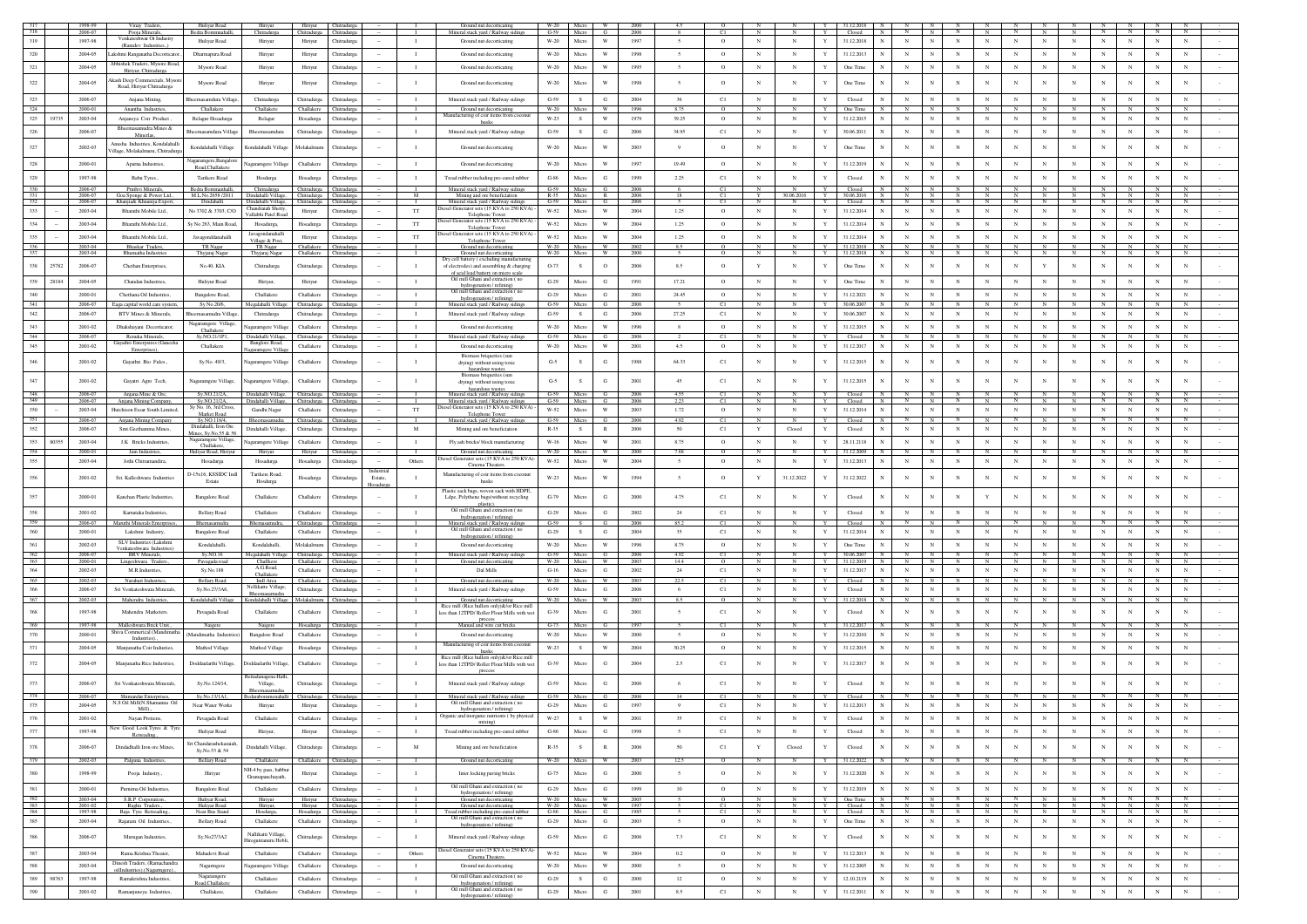|                   |       | 1998-99<br>2006-07 | Vinay Traders,<br>Pooja Minerals,                                   | Huliyar Road<br>Bedra Bommnahalli.      | Hiriyur<br>Chitradurga                                             | Hiriyur Chitradurga<br>Chitradurga Chitradurga |                            |         |                              | Ground nut decorticating<br>Mineral stack yard / Railway sidings                            | W-20  <br>$G-59$     | Micro<br>Micro | <b>W</b><br>G                  | 2000         |                  |                    |                                                 |              | 31.12.2018<br>Closed     |                                          |                           |                              |                 |                   |                 |                   |                   |                              |                   |                   |        |
|-------------------|-------|--------------------|---------------------------------------------------------------------|-----------------------------------------|--------------------------------------------------------------------|------------------------------------------------|----------------------------|---------|------------------------------|---------------------------------------------------------------------------------------------|----------------------|----------------|--------------------------------|--------------|------------------|--------------------|-------------------------------------------------|--------------|--------------------------|------------------------------------------|---------------------------|------------------------------|-----------------|-------------------|-----------------|-------------------|-------------------|------------------------------|-------------------|-------------------|--------|
| 319               |       | 1997-98            | Venkateshwar Oi Industry<br>(Ramdey Industries)                     | Huliyar Road                            | Hiriyur                                                            | Hiriyur                                        | Chitradurga                |         | $\mathbf{I}$                 | Ground nut decorticating                                                                    | $W-20$               | Micro          | $\ensuremath{\text{W}}\xspace$ | 1997         | $\sim$           | $\circ$            | $_{\rm N}$<br>$_{\rm N}$                        | Y            | 31.12.2018               | $_{\rm N}$<br>$_{\rm N}$                 | $_{\rm N}$                | $_{\rm N}$                   | $_{\rm N}$      | $_{\rm N}$        | $_{\rm N}$      | $_{\rm N}$        | $_{\rm N}$        | $_{\rm N}$                   | $_{\rm N}$        | $_{\rm N}$        |        |
| 320               |       | 2004-05            | .akshmi Ranganatha Decorticator.                                    | Dharmapura Road                         | Hiriyur                                                            | Hiriyur                                        | Chitradures                |         | $\mathbf{I}$                 | Ground nut decorticating                                                                    | W-20                 | Micro          | W                              | 1998         | $\overline{5}$   | $\circ$            | $_{\rm N}$<br>N                                 | $\mathbf{Y}$ | 31.12.2013               | $\mathbb{N}$                             |                           | $_{\rm N}$                   | $_{\rm N}$      | $_{\rm N}$        | $_{\rm N}$      | $\mathbf{N}$      | $_{\rm N}$        | $_{\rm N}$                   | $_{\rm N}$        | $_{\rm N}$        |        |
| 321               |       | 2004-05            | Abhishek Traders, Mysore Road,                                      | Mysore Road                             | Hiriyur                                                            | Hiriyur                                        | Chitradurga                |         | $\mathbf{I}$                 | Ground nut decorticating                                                                    | $W-20$               | Micro          | W                              | 1995         | $\sim$           | $\circ$            | $_{\rm N}$<br>$_{\rm N}$                        | Y            | One Time                 | $_{\rm N}$                               |                           | N                            | $_{\rm N}$      | $_{\rm N}$        | $_{\rm N}$      |                   | $_{\rm N}$        | $_{\rm N}$                   | $_{\rm N}$        | $_{\rm N}$        |        |
|                   |       |                    | Hiriyur, Chitradurga<br>kash Deep Commercials, Myson                |                                         |                                                                    |                                                |                            |         |                              |                                                                                             |                      |                |                                |              |                  |                    |                                                 |              |                          |                                          |                           |                              |                 |                   |                 |                   |                   |                              |                   |                   |        |
| $322\,$           |       | 2004-05            | Road, Hiriyur Chitradurga                                           | Mysore Road                             | Hiriyur                                                            | Hiriyur                                        | Chitradurga                |         | $\mathbf{I}$                 | Ground nut decorticating                                                                    | $W-20$               | Micn           |                                | 1998         |                  | $\circ$            | N<br>N                                          |              | One Time                 | $_{\rm N}$                               |                           |                              | $_{\rm N}$      | $_{\rm N}$        | N               |                   |                   | $_{\rm N}$                   |                   |                   |        |
| 323               |       | 2006-07            | Anjana Mining,                                                      | heemasamdura Village                    | Chitradurga                                                        | Chitradurga                                    | Chitradurga                |         | $\mathbf{I}$                 | Mineral stack yard / Railway sidings                                                        | $G-59$               | S.             | G                              | 2004         | 36               | C1                 | $_{\rm N}$<br>${\bf N}$                         | Y            | Closed                   | $_{\rm N}$<br>N                          | $_{\rm N}$                | $_{\rm N}$                   | $_{\rm N}$      | $_{\rm N}$        | $_{\rm N}$      | $_{\rm N}$        | $_{\rm N}$        | $_{\rm N}$                   | $\,$ N            | $_{\rm N}$        |        |
| 324<br>325        | 19735 | 2000-01<br>2003-04 | Anantha Industries,<br>Anianeva Coir Product                        | Challakere<br><b>Belagur Hosadurg</b>   | Challakere                                                         | Challakere<br>Hosadurga                        | Chitradurga<br>Chitradurga |         | $\mathbf{I}$                 | Ground nut decorticating<br>Manufacturing of coir items from co                             | $W-20$<br>W-23       | S              | W<br>$\ensuremath{\text{W}}$   | 1996<br>1979 | 875<br>39.25     | $\circ$            | $_{\rm N}$<br>$_{\rm N}$                        | Y            | One Time<br>31.12.2015   | N<br>$_{\rm N}$                          | $_{\rm N}$                | $_{\rm N}$                   | $_{\rm N}$      | $_{\rm N}$        | $_{\rm N}$      |                   | $_{\rm N}$        | $_{\rm N}$                   | $_{\rm N}$        | $_{\rm N}$        |        |
|                   |       |                    | Bheemasamudra Mines &                                               |                                         | Belagur                                                            |                                                |                            |         |                              | husks                                                                                       |                      |                |                                |              |                  |                    |                                                 |              |                          |                                          |                           |                              |                 |                   |                 |                   |                   |                              |                   |                   |        |
| 326               |       | 2006-07            | Minerlas,                                                           | Bheemasamdura Village                   | Bheemasamdura                                                      | Chitradurga                                    | Chitradurga                |         | $\mathbf{I}$                 | Mineral stack yard / Railway sidings                                                        | $G-59$               | S.             | G                              | 2006         | 34.95            | C1                 | N<br>$_{\rm N}$                                 | Y            | 30.06.2011               | N<br>$_{\rm N}$                          | $_{\rm N}$                | $_{\rm N}$                   | $_{\rm N}$      | $_{\rm N}$        | $\,$ N $\,$     | $_{\rm N}$        | $_{\rm N}$        | $_{\rm N}$                   | $\mathbb N$       | ${\bf N}$         |        |
| 327               |       | 2002-03            | Anusha Industries, Kondalahalli<br>illage, Molakalmuru, Chitradurga | Kondalahalli Village                    | Kondalahalli Villae                                                | Molakalmun                                     | Chitradurga                |         | $\mathbf{I}$                 | Ground nut decorticating                                                                    | W-20                 | Micr           | W                              | 2003         | Q                | $\circ$            | $_{\rm N}$<br>$_{\rm N}$                        |              | One Time                 | $_{\rm N}$                               |                           | N                            | $_{\rm N}$      | $_{\rm N}$        | $_{\rm N}$      |                   |                   | $_{\rm N}$                   | N                 | $_{\rm N}$        |        |
| 328               |       | 2000-01            | Anama Industries.                                                   | agaramgere, Bangalore                   | Nagaramgere Villag                                                 | Challakere                                     | Chitradurea                |         | $\blacksquare$               | Ground nut decorticating                                                                    | $W-20$               | Micro          | W                              | 1997         | 19.49            | $\circ$            | $_{\rm N}$<br>$_{\rm N}$                        | Y            | 31.12.2019               | $_{\rm N}$                               |                           | $_{\rm N}$                   | $_{\rm N}$      | $_{\rm N}$        | $_{\rm N}$      | $_{\rm N}$        | $_{\rm N}$        | $_{\rm N}$                   | N                 | N                 |        |
| 329               |       | 1997-98            | Babu Tyres.                                                         | Road, Challakere<br>Tarikere Road       |                                                                    |                                                | Chitradures                |         | $\mathbf{I}$                 |                                                                                             | $G-86$               | Micro          | G                              | 1999         | 2.25             | C1                 | $_{\rm N}$<br>$_{\rm N}$                        | Y            | Closed                   | $_{\rm N}$                               |                           | N                            | $_{\rm N}$      | $_{\rm N}$        | $_{\rm N}$      | N.                | $_{\rm N}$        | $_{\rm N}$                   | $_{\rm N}$        | $_{\rm N}$        |        |
| 330               |       | 2006-07            | Pruthvi Minerals,                                                   | Bedra Bommanhalli,                      | Hosdurga<br>Chitradurga                                            | Hosadurga<br>Chitradurga Chitradurga           |                            |         |                              | Tread rubber including pre-cured rubber<br>Mineral stack yard / Railway sidings             | $G-59$               | Micro          | G I                            | 2006         |                  | C1                 | N                                               | Y            | Closed                   | N<br>N                                   | N                         | N                            | N               | N                 | N               |                   |                   | N                            |                   | N                 |        |
| 331               |       | 2006-07            | Goa Sponge & Power Ltd.,                                            | M.L.No.2658 /2011                       | Dindahalli Village, Chitradurga Chitradurga                        |                                                |                            |         | M                            | Mining and ore beneficiation                                                                | $R-35$<br>$G-59$     | Micro<br>Micro | R                              | 2006         | -18              | C1                 | Y<br>30.06.2016<br>$\mathbf{N}$                 | $\mathbf{v}$ | 30.06.2016               | N<br>$\mathbb{N}$<br>$\overline{N}$<br>N | $\overline{N}$<br>N       | N                            | N<br>N          | N<br>N            |                 |                   | N<br>$\mathbf{N}$ | N<br>$\mathbf{N}$            | N<br>$\mathbf{N}$ | N<br>$\mathbf{N}$ |        |
| 332<br>333        |       | 2006-07<br>2003-04 | Khanjia& Khnanija Expor<br>Bharathi Mobile Ltd.,                    | Dindahalli<br>No 3702 & 3703, C/O       | Dindahalli Village,<br>Chandraiah Shett                            | Chitradurga<br>Hiriyur                         | Chitradurga<br>Chitradurga |         | TT                           | Mineral stack yard / Railway s<br>biesel Generator sets (15 KVA to 250 KVA)                 | W-52                 | Micro          | G<br>W                         | 2006<br>2004 | 1.25             | C1<br>$\circ$      | N<br>$_{\rm N}$<br>$_{\rm N}$                   | Y            | Closed<br>31.12.2014     | N<br>$_{\rm N}$                          | $_{\rm N}$                | $\mathbf{N}$<br>N            | ${\bf N}$       | $_{\rm N}$        | N<br>$_{\rm N}$ | $_{\rm N}$        | $_{\rm N}$        | $_{\rm N}$                   | ${\bf N}$         | $\,$ N            |        |
| 334               |       | 2003-04            | Bharathi Mobile Ltd.,                                               | Sy No 263, Main Road,                   | Vallabhi Patel Road<br>Hosadurga,                                  | Hosadurga                                      | Chitradurga                |         | $_{\rm TT}$                  | Telephone Towe<br>liesel Generator sets (15 KVA to 250 KVA)                                 | $W-52$               | Micro          | W                              | 2004         | 1.25             | $\circ$            | $_{\rm N}$<br>$_{\rm N}$                        | Y            | 31.12.2014               | $_{\rm N}$                               |                           | $_{\rm N}$                   | $_{\rm N}$      | $_{\rm N}$        | $_{\rm N}$      | $_{\rm N}$        | $_{\rm N}$        | $_{\rm N}$                   | $_{\rm N}$        | $_{\rm N}$        |        |
| 335               |       | 2003-04            | Bharathi Mobile Ltd.                                                | Javagonddanahalli                       | Javagondanahall                                                    | Hiriyur                                        | Chitradurga                |         | TT                           | Telephone Towe<br>liesel Generator sets (15 KVA to 250 KVA)                                 | W-52                 | Micro          | W                              | 2004         | 1.25             | $\circ$            | $_{\rm N}$<br>$_{\rm N}$                        |              | 31.12.2014               | $_{\rm N}$                               |                           | $_{\rm N}$                   | $_{\rm N}$      | $_{\rm N}$        | $_{\rm N}$      |                   | $_{\rm N}$        | $_{\rm N}$                   | N                 | $_{\rm N}$        |        |
| 336               |       | 2003-04            | Bhaskar Traders,                                                    | TR Nagar                                | Village & Post,<br>TR Nagar                                        | Challakere                                     | Chitradurga                |         | т                            | Telephone Tower<br>Ground nut decorticating                                                 | $W-20$               | Micro          | W                              | 2002         | 8.5              | $\overline{0}$     | $\overline{N}$<br>N                             | Y            | 31.12.2018               | $\overline{N}$<br>z                      | N                         | N                            | $\overline{N}$  | $\mathbb{N}$      | N               |                   | $\overline{N}$    | N                            | N                 | N                 |        |
| 337               |       | 2003-04            | <b>Shumatha Industri</b>                                            | Thyjaraj Nagar                          | Thyjaraj Naga                                                      | Challaken                                      | hitradurga                 |         |                              | Ground nut decorticating<br>Dry cell battery (excluding manufacturi                         | W-20                 | Micro          | W                              | 2000         |                  |                    |                                                 |              | 31.12.2018               |                                          |                           |                              |                 |                   |                 |                   |                   |                              |                   |                   |        |
| 338               | 25782 | 2006-07            | Chethan Enterprises,                                                | No.40, KIA                              | Chitradurga                                                        | Chitradurga                                    | Chitradurga                |         | $\mathbf{I}$                 | of electrodes) and assembling & charging                                                    | O-73                 |                | $\circ$                        | 2006         | 8.5              | $\circ$            | $\mathbf Y$<br>$_{\rm N}$                       |              | One Time                 | $_{\rm N}$                               |                           | $_{\rm N}$                   | $_{\rm N}$      | $_{\rm N}$        | Y               |                   |                   | $_{\rm N}$                   | $_{\rm N}$        | $_{\rm N}$        |        |
| 339               | 28184 | 2004-05            | Chandan Industries,                                                 | Huliyur Road                            | Hiriyur,                                                           | Hiriyur                                        | Chitradurga                |         | $\mathbf{I}$                 | of acid lead battery on micro scale<br>Oil mill Ghani and extraction (no                    | $G-29$               | Micro          | G                              | 1991         | 17.21            | $\circ$            | $_{\rm N}$<br>$_{\rm N}$                        |              | One Time                 | $_{\rm N}$                               | $\mathbf N$               | $_{\rm N}$                   | $_{\rm N}$      | $_{\rm N}$        | $_{\rm N}$      |                   | $_{\rm N}$        | $_{\rm N}$                   | $_{\rm N}$        | N                 |        |
| 340               |       | 2000-01            | Chethana Oil Industries                                             | Bangalore Road,                         | Challakere                                                         | Challakere                                     | Chitradurga                |         | $\mathbf{I}$                 | hydrogenation / refining)<br>Oil mill Ghani and extraction (no                              | $G-29$               | Micro          | G                              | 2001         | 24.45            | $\circ$            | $_{\rm N}$<br>$_{\rm N}$                        | Y            | 31.12.2021               | $_{\rm N}$                               | $_{\rm N}$                | $_{\rm N}$                   | $_{\rm N}$      | $_{\rm N}$        | $_{\rm N}$      | $_{\rm N}$        | $_{\rm N}$        | $_{\rm N}$                   | ${\bf N}$         | $_{\rm N}$        |        |
| 341               |       | 2006-07            | Eaga capital world care system,                                     | Sy No.20/6,                             | Megalahalli Villag                                                 | Chitradurga                                    | Chitradurga                |         |                              | hydrogenation / refining)<br>Mineral stack yard / Railway sidings                           | $G-59$               |                |                                | 2006         |                  | C1                 |                                                 |              |                          |                                          |                           |                              |                 |                   |                 |                   |                   |                              |                   |                   |        |
| 342               |       | 2006-07            | <b>BTV Mines &amp; Minerals</b>                                     | heemasamudra Village                    | Chitradurga                                                        | Chitradurga                                    | Chitradurga                |         | $\mathbf{I}$                 | Mineral stack yard / Railway sidings                                                        | $G-59$               | S              | G                              | 2006         | 27.25            | C1                 | $_{\rm N}$<br>$_{\rm N}$                        | Y            | 30.06.2007               | $_{\rm N}$                               | $_{\rm N}$                | $_{\rm N}$                   | $_{\rm N}$      | $_{\rm N}$        | $_{\rm N}$      | $_{\rm N}$        | $_{\rm N}$        | $_{\rm N}$                   | $_{\rm N}$        | $_{\rm N}$        |        |
| 343               |       | 2001-02            | Dhakshavani Decorticator                                            | lagaramgere Village.<br>Challakere      | Nagaramgere Village                                                | Challakere                                     | Chitradures                |         | $\blacksquare$               | Ground nut decorticating                                                                    | W-20                 | Micro          | W                              | 1996         | 8                | $\circ$            | N<br>N                                          | Y            | 31.12.2015               | $_{\rm N}$                               |                           | $_{\rm N}$                   | $_{\rm N}$      | $_{\rm N}$        | $_{\rm N}$      | $_{\rm N}$        | $_{\rm N}$        | $_{\rm N}$                   | N                 | N                 |        |
| 344               |       | 2006-07            | Renuka Minerals,<br>Gayathri Enterpsires (Ganesha                   | Sy.NO.21/1P1,                           | Dindahalli Village<br>Banglore Road,                               | Chitradurga                                    | Chitradurga                |         | $\mathbf{I}$                 | Mineral stack yard / Railway sidings                                                        | $C-59$               | Micro          | G                              | 2006         |                  | C1                 | $\mathbb{N}$<br>N                               | Y            | Closed                   |                                          |                           | $_{\rm N}$                   | N               |                   | <b>N</b>        |                   |                   | $\mathbb{N}$                 |                   |                   |        |
| 345               |       | 2001-02            | Enterprises),                                                       | Challakere                              | Nagaramgere Villag                                                 | Challakere                                     | Chitradurga                |         | $\mathbf{I}$                 | Ground nut decorticating                                                                    | W-20                 | Micro          | W                              | 2001         | 4.5              | $\circ$            | $_{\rm N}$<br>$_{\rm N}$                        | Y            | 31.12.2017               | $_{\rm N}$<br>N                          | $_{\rm N}$                | $_{\rm N}$                   | $_{\rm N}$      | $_{\rm N}$        | $_{\rm N}$      | $_{\rm N}$        | $_{\rm N}$        | $_{\rm N}$                   | $_{\rm N}$        | $_{\rm N}$        |        |
| 346               |       | 2001-02            | Gayathri Bio Fules.                                                 | Sy.No. 49/3,                            | Nagaramgere Villag                                                 | Challakere                                     | Chitradurga                |         | $\mathbf{I}$                 | Biomass briquettes (sun<br>drying) without using toxic                                      | $G-5$                |                | G                              | 1988         | 64.33            | C1                 | N<br>$_{\rm N}$                                 |              | 31.12.2015               | $_{\rm N}$                               |                           | N                            | $_{\rm N}$      | $_{\rm N}$        | $_{\rm N}$      |                   |                   | $_{\rm N}$                   |                   | $_{\rm N}$        |        |
|                   |       |                    |                                                                     |                                         |                                                                    |                                                |                            |         |                              | hazardous wastes<br>Biomass briquettes (sun                                                 |                      |                |                                |              |                  |                    |                                                 |              |                          |                                          |                           |                              |                 |                   |                 |                   |                   |                              |                   |                   |        |
| 347               |       | 2001-02            | Gayatri Agro Tech,                                                  | Nagaramgere Village,                    | Nagaramgere Village,                                               | Challakere                                     | Chitradurga                |         | $\mathbf{I}$                 | drying) without using toxic<br>hazardous wastes                                             | $G-5$                |                | G                              | 2001         | 45               | C1                 | $_{\rm N}$<br>$_{\rm N}$                        |              | 31.12.2015               | $_{\rm N}$                               |                           | N                            | $_{\rm N}$      | $_{\rm N}$        | N               |                   |                   | $_{\rm N}$                   |                   | $_{\rm N}$        |        |
| 348<br>349        |       | 2006-07<br>2006-07 | Anjana Mine & Ore,<br>Anjana Mining Company                         | Sv.NO.21/2A.<br>Sy.NO.21/2A,            | Dindahalli Village, Chitradurga Chitradurga<br>Dindahalli Village, | Chitradurga                                    |                            |         | л.                           | Mineral stack yard / Railway sidings<br>Mineral stack yard / Railway sidings                | $G-59$<br>$G-59$     | Micro<br>Micro | G –<br>G                       | 2006<br>2006 | 4.55             | C1<br>C1           | N<br>N                                          | Y            | Closed<br>Closed         | N<br>$\mathbb{N}$                        | N                         | $_{\rm N}$<br>$\overline{N}$ | N               | N                 | N               |                   | N                 | N                            | - N               | N                 |        |
| 350               |       | $2003 - 04$        | Hutchison Essar South Limited,                                      | Sy No. 16, 3rd Cross<br>Market Road     | Gandhi Nagar                                                       | Challakere                                     | Chitradurga                |         | $_{\rm TT}$                  | Diesel Generator sets (15 KVA to 250 KVA)<br>Telephone Tower                                | W-52                 | Micro          | W                              | 2003         | 1.72             | $\circ$            | $_{\rm N}$<br>$_{\rm N}$                        | Y            | 31.12.2014               | $_{\rm N}$<br>$_{\rm N}$                 |                           | $_{\rm N}$                   | $_{\rm N}$      | $_{\rm N}$        | $_{\rm N}$      | $_{\rm N}$        | $_{\rm N}$        | $_{\rm N}$                   | $_{\rm N}$        | $_{\rm N}$        |        |
| 351               |       | 2006-07            | Aniana Mining Company                                               | Sv.NO.118/4.<br>Dindahalli, Iron Ore    | Bheemasamudra                                                      | Chitradurga Chitradurga                        |                            |         | п.                           | Mineral stack yard / Railway sidings                                                        | $G-59$               | Micro          | G                              | 2006         | 4.92             | C1                 | N<br>N                                          | Y            | Closed                   | N                                        |                           | $_{\rm N}$                   | N               | $\mathbf{N}$      | $\mathbb{N}$    | N.                | $\mathbb{N}$      | N                            | - N               | N                 |        |
| 352               |       | 2006-07            | Smt Geethamma Mines                                                 | dines, Sy.No.55 & 56                    | Dindahalli Village                                                 | Chitradurea                                    | Chitradurea                |         | M                            | Mining and ore beneficiation                                                                | $R-35$               | s.             | R                              | 2006         | 50               | C1                 | Y<br>Closed                                     | Y            | Closed                   | $_{\rm N}$<br>N                          | $\mathbf N$               | $_{\rm N}$                   | $_{\rm N}$      | $_{\rm N}$        | $_{\rm N}$      | $_{\rm N}$        | $_{\rm N}$        | $_{\rm N}$                   | $_{\rm N}$        | $_{\rm N}$        |        |
| 353<br>354        | 8035  | 2003-04<br>2000-01 | J.K Bricks Industries                                               | garamgere Village,<br>Challakere.       | Nagaramgere Villag                                                 | Challakere                                     | Chitradurga                |         | $\mathbf{I}$                 | Fly ash bricks/ block manufacturing                                                         | $W-16$<br>W-20       | Micro          | W<br>W                         | 2001<br>2000 | 8.75<br>7.68     | $\circ$            | $_{\rm N}$<br>$_{\rm N}$                        |              | 28.11.2118<br>31.12.2009 | $_{\rm N}$                               |                           | $_{\rm N}$                   | $_{\rm N}$      | $_{\rm N}$        | $_{\rm N}$      |                   | $_{\rm N}$        | $_{\rm N}$                   | N                 | $_{\rm N}$        |        |
|                   |       |                    | Jain Industries,                                                    | Huliyar Road, Hiriyu                    | Hiriyur                                                            | Hiriyur                                        | Chitradurea                |         | - 1<br>Others                | Ground nut decorticating<br>tiesel Generator sets (15 KVA to 250 KVA)                       | W-52                 | Micro<br>Micro | W                              | 2004         | $\sim$           | $\circ$<br>$\circ$ | $_{\rm N}$<br>$_{\rm N}$                        |              | 31.12.2013               | $_{\rm N}$                               |                           | $_{\rm N}$                   | $_{\rm N}$      | $_{\rm N}$        | $_{\rm N}$      | $_{\rm N}$        | $_{\rm N}$        | $_{\rm N}$                   | $_{\rm N}$        | $_{\rm N}$        |        |
|                   |       |                    |                                                                     |                                         |                                                                    |                                                |                            |         |                              |                                                                                             |                      |                |                                |              |                  |                    |                                                 |              |                          |                                          |                           |                              |                 |                   |                 |                   |                   |                              |                   |                   |        |
| 355               |       | 2003-04            | Jothi Chitramandira,                                                | Hosadurga                               | Hosadurga                                                          | Hosadurga                                      | Chitradurga                |         |                              | Cinema Theater                                                                              |                      |                |                                |              |                  |                    |                                                 |              |                          |                                          |                           |                              |                 |                   |                 |                   |                   |                              |                   |                   |        |
| 356               |       | 2001-02            | Sri. Kalleshwara Industries                                         | D-15x16, KSSIDC Inc<br>Estate           | Tarikere Road,<br>Hosdurga                                         | Hosadurga                                      | Chitradurga                | Estate, | $\mathbf{I}$                 | Manufacturing of coir items from coconut<br>husks                                           | W-23                 | Micro          | W                              | 1994         | $\sim$           | $\circ$            | 31.12.2022<br>Y                                 |              | 31.12.2022               | $_{\rm N}$                               |                           | $\mathbf N$                  | $_{\rm N}$      | $_{\rm N}$        | N               |                   |                   | $_{\rm N}$                   | N                 | $\mathbf N$       |        |
| 357               |       | 2000-01            | Kanchan Plastic Industries.                                         | <b>Bangalore Road</b>                   | Challakere                                                         | Challakere                                     | Chitradurga                |         | $\mathbf{I}$                 | Plastic sack bags, woven sack with HDPE                                                     | $G-79$               | Micro          | G                              | 2000         | 4.75             | C1                 | $_{\rm N}$<br>$\mathbb N$                       |              | Closed                   | $_{\rm N}$                               |                           | $_{\rm N}$                   | Y               | $_{\rm N}$        | $_{\rm N}$      |                   |                   | $_{\rm N}$                   |                   | $_{\rm N}$        |        |
|                   |       |                    |                                                                     |                                         |                                                                    |                                                |                            |         |                              | Ldpe, Polythene bags(without recycling<br>plastic).                                         |                      |                |                                |              |                  |                    |                                                 |              |                          |                                          |                           |                              |                 |                   |                 |                   |                   |                              |                   |                   |        |
| 358<br>359        |       | 2001-02            | Karnataka Industries.                                               | <b>Bellary Road</b>                     | Challakere                                                         | Challakere                                     | Chitradurea                |         | $\mathbf{I}$<br>$\mathbf{L}$ | Oil mill Ghani and extraction (no<br>hydrogenation / refining)                              | $G-29$<br>$G-59$     | Micro<br>S     | G<br>G                         | 2002         | 24               | C1                 | N<br>$_{\rm N}$<br>$\mathbb{N}$<br>$\mathbb{N}$ | Y<br>Y       | Closed                   | $_{\rm N}$                               |                           | $_{\rm N}$                   | $_{\rm N}$<br>N | $_{\rm N}$        | $_{\rm N}$<br>N | $_{\rm N}$        | $_{\rm N}$        | $_{\rm N}$<br>N              | N                 | $_{\rm N}$        |        |
| 360               |       | 2006-07<br>2000-01 | Maruthi Minerals Enterprise<br>Lakshmi Industry,                    | Bhemasamudra<br>Bangalore Road          | Bhemasamudra<br>Challakere                                         | Chitradurga<br>Challakere                      | Chitradurga<br>Chitradurga |         | $\mathbf{I}$                 | Mineral stack yard / Railway sidings<br>Oil mill Ghani and extraction (no                   | $G-29$               | s.             | G                              | 2006<br>2004 | 85.2<br>35       | C1<br>C1           | $_{\rm N}$<br>$_{\rm N}$                        | Y            | Closed<br>31.12.2014     | $_{\rm N}$                               | $\mathbf N$               | $_{\rm N}$                   | $_{\rm N}$      | $_{\rm N}$        | $_{\rm N}$      | $_{\rm N}$        | $_{\rm N}$        | $_{\rm N}$                   | ${\bf N}$         | $_{\rm N}$        |        |
| 361               |       | 2002-03            | SLV Industries (Lakshm                                              | Kondalahalli,                           | Kondalahalli,                                                      | Molakalmuru                                    | Chitradurga                |         | $\mathbf{I}$                 | hydrogenation / refining)<br>Ground nut decorticating                                       | $W-20$               | Micro          | W                              | 1996         | 8.75             | $\circ$            | $_{\rm N}$<br>$_{\rm N}$                        |              | One Time                 | $_{\rm N}$                               |                           | $_{\rm N}$                   | $_{\rm N}$      | $_{\rm N}$        | $_{\rm N}$      | $_{\rm N}$        | $_{\rm N}$        | $_{\rm N}$                   | $_{\rm N}$        | $_{\rm N}$        |        |
|                   |       | 2006-07            | Venkateshwara Industrie<br><b>BRV</b> Minerals,                     | Sy.NO.16                                | Megalahalli Villag                                                 | Chitradurga Chitradurga                        |                            |         | л.                           | Mineral stack yard / Railway sidings                                                        | $G-59$               | Micro          | - 63                           | 2006         | 4.92             | C1                 | $_{\rm N}$<br>N                                 | Y            | 30.06.2007               |                                          |                           |                              | N               |                   |                 |                   |                   | N                            |                   | N                 |        |
| $\frac{362}{363}$ |       | 2000-01<br>2002-03 | Lingeshwara Trader<br>M.R.Industries                                | Pavagada road<br>Sy.No.188              | Challkere<br>A.G.Road                                              | Challakere Chitradurga<br>Challakere           | Chitradurga                |         | $\mathbf{I}$                 | Ground nut decorticating<br>Dal Mills                                                       | W-20<br>$G-16$       | Micro<br>Micro | W<br>G                         | 2003<br>2002 | 14.4<br>24       | $\circ$            | $_{\rm N}$<br>$_{\rm N}$                        | Y<br>Y       | 31.12.2019<br>31.12.2017 |                                          |                           | $_{\rm N}$                   | $_{\rm N}$      | $_{\rm N}$        | $_{\rm N}$      | $_{\rm N}$        | $_{\rm N}$        | $_{\rm N}$                   | $_{\rm N}$        | $_{\rm N}$        |        |
| 364<br>365        |       | 2002-03            | Narahari Industries.                                                | <b>Bellary Road</b>                     | Challakere<br>Indi Area                                            | Challakere                                     | Chitradurga                |         | $\mathbf{I}$                 | Ground nut decorticating                                                                    | W-20                 | Micro          | W.                             | 2003         | 22.5             | C1<br>C1           | $_{\rm N}$<br>N                                 | Y            | Closed                   |                                          | $\mathbb{N}$              | N                            | $\mathbf{N}$    |                   |                 |                   |                   |                              |                   | $\mathbb{N}$      |        |
| 366               |       | 2006-07            | Sri Venkateshwara Minerals                                          | Sv.No.27/3A6.                           | ellikatte Village<br>Bheemasamudr                                  | Chitradurga                                    | Chitradurga                |         | $\mathbf{I}$                 | Mineral stack vard / Railway sidings                                                        | $G-59$               | Micro          | G                              | 2006         | - 6              | C1                 | $_{\rm N}$<br>N                                 | $\mathbf{Y}$ | Closed                   | $_{\rm N}$<br>$\mathbf N$                | $_{\rm N}$                | $_{\rm N}$                   | $_{\rm N}$      | $_{\rm N}$        | $_{\rm N}$      | $\mathbf{N}$      | $_{\rm N}$        | $_{\rm N}$                   | $_{\rm N}$        | $_{\rm N}$        |        |
| 367               |       | 2002-03            | Mahendra Industries.                                                | Kondalahalli Village                    | Kondalahalli Village                                               | Molakalmuru Chitradurga                        |                            |         | $\mathbf{I}$                 | Ground nut decorticating<br>Rice mill (Rice hullers only)&/or Rice mill                     | W-20                 | Micro          | W                              | 2003         | 8.5              | $\Omega$           | $_{\rm N}$<br>N                                 | Y            | 31.12.2018               | N<br>$\mathbb{N}$                        | N                         | N                            | $\mathbb{N}$    | N                 | N               |                   | $\mathbb{N}$      | N                            | N                 | N                 |        |
| 368               |       | 1997-98            | Mahendra Marketers                                                  | Pavagada Road                           | Challakere                                                         | Challakere                                     | Chitradurga                |         | $\mathbf I$                  | less than 12TPD/ Roller Flour Mills with we                                                 | $G-39$               | Micro          | G                              | 2001         | $\sim$           | C1                 | $_{\rm N}$<br>$_{\rm N}$                        | Y            | Closed                   | $_{\rm N}$                               | $_{\rm N}$                | $_{\rm N}$                   | $_{\rm N}$      | $_{\rm N}$        | $_{\rm N}$      |                   | $_{\rm N}$        | $_{\rm N}$                   | $_{\rm N}$        | $_{\rm N}$        |        |
| 369               |       | 1997-98            | Malleshwara Brick Unit.                                             | Naigere                                 | Naigere                                                            | Hosadurga                                      | Chitradury                 |         |                              | process<br>Manual and wire cut bricks                                                       | $G-73$               |                |                                | 1997         | $\sim$           | C1                 | $\mathbf{N}$                                    |              | 31 12 2017               |                                          |                           |                              |                 |                   |                 |                   |                   |                              |                   |                   |        |
| 370               |       | 2000-01            | Shiva Commerical (Mandimatha<br>Industries)                         | Mandimatha Industri                     | Bangalore Road                                                     | Challakere                                     | Chitradurga                |         | $\mathbf{I}$                 | Ground nut decorticating                                                                    | W-20                 | Micro          | W                              | 2000         | $\sim$           | $\circ$            | $_{\rm N}$<br>$_{\rm N}$                        | Y            | 31.12.2010               | $_{\rm N}$                               | $\mathbb{N}$              | $_{\rm N}$                   | $_{\rm N}$      | $_{\rm N}$        | $_{\rm N}$      | $_{\rm N}$        | $_{\rm N}$        | $_{\rm N}$                   | $_{\rm N}$        | $_{\rm N}$        |        |
| 371               |       | 2004-05            | Manjunatha Coir Industies,                                          | Mathod Village                          | Mathod Village                                                     | Hosadurga                                      | Chitradurga                |         | $\mathbf{I}$                 | Manufacturing of coir items from coconu<br>husks                                            | W-23                 |                | W                              | 2004         | 30.25            | $\circ$            | $_{\rm N}$<br>$_{\rm N}$                        |              | 31.12.2015               | $_{\rm N}$                               |                           | $_{\rm N}$                   | $_{\rm N}$      | $_{\rm N}$        | $_{\rm N}$      | $_{\rm N}$        | $_{\rm N}$        | $_{\rm N}$                   | $_{\rm N}$        | $_{\rm N}$        |        |
| 372               |       | 2004-05            | Maniunatha Rice Industries.                                         | Doddaularthi Village,                   | Doddaularthi Villag                                                | Challakere                                     | Chitradurga                |         | $\mathbf{I}$                 | Rice mill (Rice bullers only)& for Rice mill<br>less than 12TPD/ Roller Flour Mills with we | $G-39$               | Micro          | G                              | 2004         | $2.5\,$          | C1                 | $_{\rm N}$<br>N                                 |              | 31.12.2017               | $_{\rm N}$                               |                           | N                            | $_{\rm N}$      | N                 | N               |                   |                   | N                            |                   | $_{\rm N}$        |        |
|                   |       |                    |                                                                     |                                         | ettadanagena Hall                                                  |                                                |                            |         |                              | process                                                                                     |                      |                |                                |              |                  |                    |                                                 |              |                          |                                          |                           |                              |                 |                   |                 |                   |                   |                              |                   |                   |        |
| 373               |       | 2006-07            | Sri Venkateshwara Minerals.                                         | Sy.No.124/14,                           | Village,<br>3heemasamudr                                           | Chitradurga                                    | Chitradurga                |         | $\mathbf{I}$                 | Mineral stack yard / Railway sidings                                                        | $G-59$               | Micro          | G                              | 2006         |                  | C1                 | N<br>N                                          |              | Closed                   | $_{\rm N}$                               |                           | $_{\rm N}$                   | $_{\rm N}$      | $_{\rm N}$        | $_{\rm N}$      |                   |                   | $_{\rm N}$                   | N                 | $_{\rm N}$        |        |
| 374               |       | 2006-07            | Shimandar Enterprises,<br>N.S Oil Mill(N.Sha                        | Sy.No.13/1A1                            | Bedarabommenahall                                                  | Chitradurga Chitradurga                        |                            |         |                              | Mineral stack yard / Railway sidings                                                        | $G-59$               |                |                                | 2006         | 14               | C1                 |                                                 |              | Closed                   |                                          |                           |                              |                 |                   |                 |                   |                   |                              |                   |                   |        |
| 375               |       | 2004-05            | manna Oil<br>Mill)                                                  | Near Water Works                        | Hiriyur                                                            | Hiriyur                                        | Chitradurga                |         | $\mathbf{I}$                 | Oil mill Ghani and extraction (no<br>hydrogenation / refining)                              | $G-29$               | Micro          | G                              | 1997         | 9                | C1                 | $_{\rm N}$<br>$_{\rm N}$                        | Y            | 31.12.2013               |                                          |                           |                              | $_{\rm N}$      |                   | $_{\rm N}$      |                   | $_{\rm N}$        | $_{\rm N}$                   | $_{\rm N}$        |                   |        |
| 376               |       | 2001-02            | Navan Protiens.                                                     | Pavagada Road                           | Challakere                                                         |                                                | Challakere Chitradurea     |         | $\mathbf{I}$                 | anic nutrients ( by phys<br>mixing)                                                         | W-27                 | S.             | W                              | 2001         | 35               | C1                 | $_{\rm N}$<br>N                                 | Y.           | Closed                   | N I<br>$_{\rm N}$                        | $\mathbb{N}$              | $_{\rm N}$                   | N               | N                 | N               | N                 | N                 | N                            | N                 | N                 |        |
| 377               |       | 1997-98            | New Good Look Tyres & Tyre<br>Retreading                            | Huliyar Road                            | Hiriyur,                                                           | Hiriyur                                        | Chitradurga                |         | $\mathbf{I}$                 | Tread rubber including pre-cured rubber                                                     | $G-86$               | Micro          | ${\bf G}$                      | 1998         | $\sim$           | C1                 | $_{\rm N}$<br>$_{\rm N}$                        |              | Closed                   | $_{\rm N}$<br>$_{\rm N}$                 | $_{\rm N}$                | $_{\rm N}$                   | $_{\rm N}$      | $\,$ N $\,$       | $\,$ N $\,$     | $_{\rm N}$        | $_{\rm N}$        | $_{\rm N}$                   | $_{\rm N}$        | $_{\rm N}$        | $\sim$ |
| 378               |       | 2006-07            | Dindadhalli Iron ore Mines,                                         | Sri Chandarashekaraiah<br>Sv.No.53 & 54 | Dindahalli Village,                                                | Chitradurga                                    | Chitradurga                |         | $\mathbf M$                  | Mining and ore beneficiation                                                                | $R - 35$             |                |                                |              | 50               | C1                 | Y<br>Closed                                     | Y            | Closed                   | $_{\rm N}$                               | $_{\rm N}$                | $_{\rm N}$                   | $_{\rm N}$      | $_{\rm N}$        | $_{\rm N}$      |                   | $_{\rm N}$        | $_{\rm N}$                   | $_{\rm N}$        | $_{\rm N}$        |        |
| 379               |       | 2002-03            | Palguna Industries,                                                 | Bellary Road                            | Challakere                                                         | Challakere Chitradurga                         |                            |         | $\perp$                      | Ground nut decorticating                                                                    | W-20                 | Micro          | W                              | 2003         | 12.5             | $\circ$            | N<br>N                                          | Y            | 31.12.2022               | N<br>N                                   | N                         | N                            | N               | N                 | N               |                   | $\mathbb{N}$      | N                            |                   | N                 |        |
|                   |       | 1998-99            |                                                                     |                                         | NH-4 by pass, babbur                                               |                                                |                            | $\sim$  | $\mathbf{I}$                 |                                                                                             | $G-75$               | Micro          | ${\bf G}$                      | 2000         | $\sim$           | $\circ$            | $_{\rm N}$<br>${\bf N}$                         | Y            | 31.12.2020               | $_{\rm N}$                               | $_{\rm N}$                | $\,$ N                       | $_{\rm N}$      | $_{\rm N}$        | $_{\rm N}$      | $_{\rm N}$        | $_{\rm N}$        | $_{\rm N}$                   | $_{\rm N}$        | ${\bf N}$         | $\sim$ |
| 380               |       |                    | Pooja Industry.,                                                    | Hiriyur                                 | Gramapanchayath,                                                   | Hiriyur                                        | Chitradurga                |         |                              | Inter locking paving bricks                                                                 |                      |                |                                |              |                  |                    |                                                 |              |                          |                                          |                           |                              |                 |                   |                 |                   |                   |                              |                   |                   |        |
| 381               |       | 2000-01            | Pumima Oil Industries                                               | Bangalore Road                          | Challakere                                                         | Challakere                                     | Chitradurga                | $\sim$  | $\mathbf{I}$                 | Oil mill Ghani and extraction (no<br>hydrogenation / refining)                              | $G-29$               | Micro          | G                              | 1999         | 10               | $\circ$            | ${\bf N}$<br>${\bf N}$                          | ${\bf Y}$    | 31.12.2019               | ${\bf N}$<br>N                           | ${\bf N}$                 | $\,$ N                       | $\mathbf N$     | $_{\rm N}$        | $_{\rm N}$      | $_{\rm N}$        | $_{\rm N}$        | $_{\rm N}$                   | ${\bf N}$         | ${\bf N}$         | $\sim$ |
| 382<br>383        |       | 2003-04<br>2001-02 | S.R.P Corporation.,<br>Raghu Traders.,                              | Huliyar Road,<br>Huliyar Road           | Hiriyur<br>Hiriyur,                                                | Hiriyur Chitradurga                            | Hiriyur Chitradurga        |         | $\mathbf{I}$<br>$\mathbf{I}$ | Ground nut decorticating<br>Ground nut decorticating                                        |                      | W-20 Micro     | W-20 Micro W<br>W              | 2005<br>1997 | $\sim$           | $\circ$<br>C1      | N<br>$\mathbf N$<br>N<br>N                      |              |                          | Y One Time N N N N<br>Y Closed N N N N   |                           | N<br>N                       | N<br>N          | $\mathbb{N}$<br>N | N<br>N          | N<br>N            |                   | $N$   $N$   $N$  <br>$N$ $N$ | N                 | N<br>N            |        |
| 384<br>385        |       | 1997-98<br>2003-04 | Raja Tyre Retreading<br>Rajaram Oil Industries.                     | Near Bus Stand<br><b>Bellary Road</b>   | Hosdurga,<br>Challakere                                            | Hosadurga Chitradurga                          |                            | $\sim$  | <b>I</b><br>$\blacksquare$   | Tread rubber including pre-cured rubber<br>Oil mill Ghani and extraction (no                | G-86 Micro<br>$G-29$ | Micro          | G 1985<br>G                    | 2003         | $\sim$<br>$\sim$ | C1<br>$\circ$      | N<br>N<br>$\mathbf N$<br>${\bf N}$              | Y            |                          | Y   Closed   N   N<br>$\,$ N $\,$<br>N   | $\mathbb{N}$<br>${\bf N}$ | N<br>N                       | N<br>${\bf N}$  | N<br>$\mathbb N$  | N<br>N          | $\mathbb{N}$<br>N | N<br>$_{\rm N}$   | N<br>$_{\rm N}$              | N                 | N                 | $\sim$ |
|                   |       |                    |                                                                     |                                         | Nallikatti Village,                                                | Challakere Chitradurga                         |                            |         |                              | hydrogenation / refining)                                                                   |                      |                |                                |              |                  |                    |                                                 |              | One Time                 |                                          |                           |                              |                 |                   |                 |                   |                   |                              | $\,$ N            | $\,$ N            |        |
| 386               |       | 2006-07            | Murugan Industries,                                                 | Sy.No27/3A2                             | Hireguntanuru Hobli                                                | Chitradurga                                    | Chitradurga                | $\sim$  | $\mathbf{I}$                 | Mineral stack yard / Railway sidings                                                        | $G-59$               | Micro          | G                              | 2006         | 7.3              | C1                 | $_{\rm N}$<br>$_{\rm N}$                        | Y            | Closed                   | $_{\rm N}$                               | $_{\rm N}$                | $_{\rm N}$                   | $_{\rm N}$      | $_{\rm N}$        | $_{\rm N}$      | $_{\rm N}$        | $_{\rm N}$        | $_{\rm N}$                   | $_{\rm N}$        | $_{\rm N}$        |        |
| 387               |       | 2003-04            | Rama Krishna Theater                                                | Mahadevi Road                           | Challakere                                                         | Challakere                                     | Chitradurga                | $\sim$  | Others                       | Diesel Generator sets (15 KVA to 250 KVA)<br>Cinema Theaters.                               | W-52                 | Micro          | W                              | 2004         | 0.2              | $\circ$            | N<br>$\mathbb{N}$                               | Y            | 31.12.2013               | N<br>$_{\rm N}$                          | $_{\rm N}$                | $\,$ N                       | ${\bf N}$       | $_{\rm N}$        | ${\bf N}$       | $_{\rm N}$        | $_{\rm N}$        | $_{\rm N}$                   | $_{\rm N}$        | N                 | $\sim$ |
| 388               |       | $2003 - 04$        | Dinesh Traders, (Ramachandra                                        | Nagarmgere                              | Nagaramgere Village                                                | Challakere                                     | Chitradurga                |         | $\mathbf{I}$                 | Ground nut decorticating                                                                    | W-20                 | Micro          | $\ensuremath{\text{W}}\xspace$ | 2000         | $\sim$           | $\circ$            | $_{\rm N}$<br>$_{\rm N}$                        | Y            | 31.12.2005               | $_{\rm N}$                               | $_{\rm N}$                | $_{\rm N}$                   | $_{\rm N}$      | $_{\rm N}$        | $_{\rm N}$      | $_{\rm N}$        | $_{\rm N}$        | $_{\rm N}$                   | ${\bf N}$         | $_{\rm N}$        | $\sim$ |
| 389               | 98763 | 1997-98            | oilIndustries).(Nagarmgere).<br>Ramakrishna Industries.             | Nagaramgere<br>Road, Challakere         | Challakere                                                         | Challakere                                     | Chitradurga                | $\sim$  | $\blacksquare$               | Oil mill Ghani and extraction (no<br>hydrogenation / refining)                              | $G-29$               | S.             | G                              | 2000         | 12               | $\circ$            | N<br>${\bf N}$                                  | Y            | 12.10.2119               | ${\bf N}$<br>N                           | $_{\rm N}$                | $_{\rm N}$                   | $_{\rm N}$      | ${\bf N}$         | $_{\rm N}$      | $_{\rm N}$        | $_{\rm N}$        | $_{\rm N}$                   | ${\bf N}$         | ${\bf N}$         | $\sim$ |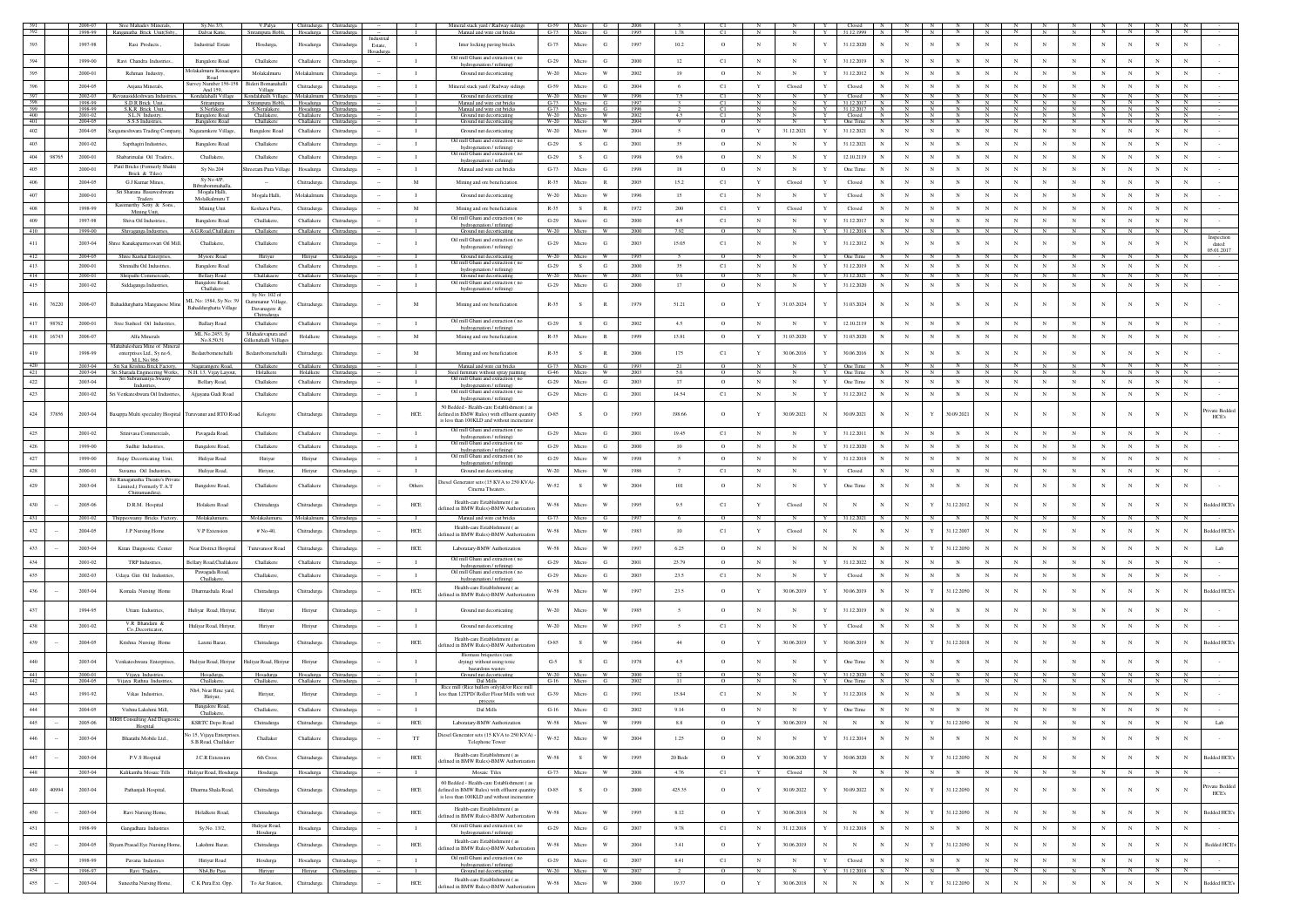|                   |        | 2006-07<br>1998-99 | Sree Mahadev Minerals,<br>Ranganatha Brick Unit(Ssb).,     | Sv.No.3/3.<br>Dalvai Katte,                     | V.Palya<br>Srirampura Hobli,                                                  | Chitradurga Chitradurga<br>Hosadurga Chitradurga |                            |        |                              | Mineral stack yard / Railway sidings<br>Manual and wire cut bricks                                                                      | $G-59$<br>$G-73$      | Micro<br>Micro        |                                | 1995         |                |                    | Y                                                | Closed<br>N<br>31.12.1999                    |              |                           |              |              |                 |                           |                   |                                     |              |                                   |
|-------------------|--------|--------------------|------------------------------------------------------------|-------------------------------------------------|-------------------------------------------------------------------------------|--------------------------------------------------|----------------------------|--------|------------------------------|-----------------------------------------------------------------------------------------------------------------------------------------|-----------------------|-----------------------|--------------------------------|--------------|----------------|--------------------|--------------------------------------------------|----------------------------------------------|--------------|---------------------------|--------------|--------------|-----------------|---------------------------|-------------------|-------------------------------------|--------------|-----------------------------------|
| 393               |        | 1997-98            | Rasi Products.                                             | Industrial Estate                               | Hosdurga,                                                                     | Hosadurga                                        | Chitradurga                | Estate | $\mathbf{I}$                 | Inter locking paving bricks                                                                                                             | $G-75$                | Micro                 | G                              | 1997         | 10.2           | $\circ$            | $_{\rm N}$<br>$\mathbf N$<br>Y                   | 31.12.2020<br>$_{\rm N}$                     | $_{\rm N}$   | $_{\rm N}$                | $_{\rm N}$   | $_{\rm N}$   | $_{\rm N}$      | $_{\rm N}$                | $_{\rm N}$        | $_{\rm N}$<br>$_{\rm N}$            |              | $_{\rm N}$                        |
|                   |        |                    |                                                            |                                                 |                                                                               |                                                  |                            |        |                              | Oil mill Ghani and extraction (no                                                                                                       |                       |                       |                                |              |                |                    |                                                  |                                              |              |                           |              |              |                 |                           |                   |                                     |              |                                   |
| 394               |        | 1999-00            | Ravi Chandra Industries                                    | <b>Bangalore Road</b><br>folakalmuru Konasagara | Challakere                                                                    | Challakere                                       | Chitradurg                 |        | - 11                         | hydrogenation / refining)                                                                                                               | $G-29$                | Micro                 | G                              | 2000         | 12             | C1                 | $_{\rm N}$<br>$_{\rm N}$                         | 31.12.2019                                   | $\mathbf{N}$ | N                         | N            |              |                 | $_{\rm N}$                | $_{\rm N}$        | N                                   |              | N                                 |
| 395               |        | 2000-01            | Rehman Industry,                                           | Road<br>urvey Number 156-158                    | Molakalmuru<br>Bideri Bomanahalli                                             | Molakalmun                                       | Chitradure:                |        | $\mathbf{I}$                 | Ground nut decorticating                                                                                                                | $W-20$                | Micro                 | W                              | 2002         | 19             | $\circ$            | $_{\rm N}$<br>$_{\rm N}$<br>$\mathbf Y$          | 31.12.2012                                   |              | $\overline{N}$            | $_{\rm N}$   |              |                 | $_{\rm N}$                | $\mathbf N$       | $_{\rm N}$<br>N                     |              | $_{\rm N}$                        |
| 396<br>397        |        | 2004-05<br>2002-03 | Anjana Minerals,<br>Revanasiddeshwara Indust               | And 159,                                        | Village<br>Kondalahalli Village Kondalahalli Village, Molakalmuru Chitradurga | Chitradurga                                      | Chitradurg:                |        | -1                           | Mineral stack yard / Railway sidings<br>Ground nut decorticating                                                                        | $G-59$<br>$W-20$      | Micro<br>Micro        | G                              | 2004<br>1996 |                | C1<br>C1           | $\mathbf Y$<br>Closed<br>Y                       | Closed<br>Closed                             | $_{\rm N}$   | $_{\rm N}$<br>N           | $_{\rm N}$   | N            | $_{\rm N}$      | $_{\rm N}$                | $_{\rm N}$        | $_{\rm N}$<br>$_{\rm N}$            |              | $_{\rm N}$                        |
| $\frac{398}{399}$ |        | 1998-99<br>1998-99 | S.D.R Brick Unit.<br>S.K.R Brick Unit.                     | Srirampura<br>S.Nerlikere                       | Srirampura Hobli,<br>S.Neralakere. Hosadurga Chitradurga                      | Hosadurga                                        | Chitradurga                |        | л.                           | Manual and wire cut bricks<br>Manual and wire cut bricks                                                                                | $G-73$                | Micro<br>$G-73$ Micro | G<br>G                         | 1997<br>1996 |                | C1<br>C1           | N<br>N                                           | 31.12.2017<br>$\mathbb{N}$<br>Y 31.12.2017 N | N            | N<br>$\mathbb{N}$         | N            | $\mathbb{N}$ | N               | - N                       | $\mathbb N$       | N<br>N                              |              | N                                 |
| 400<br>401        |        | 2001-02<br>2004-05 | S.L.N Industry.<br>S.S.S Indi                              | Bangalore Road                                  | Challakere,<br>Challakere                                                     | Challakere Chitradurga<br>Challakere             |                            |        | $\blacksquare$               | Ground nut decorticating                                                                                                                | W-20 Micro<br>W-20    | Micro                 | W.<br>W                        | 2002<br>2004 | 4.5            | C1                 | $_{\rm N}$<br>$_{\rm N}$<br>$_{\rm N}$<br>N<br>Y | Y I<br>Closed N<br>One Time N                | N<br>N       | N<br>N<br>$\mathbb{N}$    | N<br>N       |              | N<br>$_{\rm N}$ | $_{\rm N}$<br>$\mathbf N$ | $\mathbb{N}$<br>N | $\overline{N}$<br>$\mathbf{N}$<br>N |              | $\overline{N}$<br>$_{\rm N}$      |
| 402               |        | 2004-05            | agameshwara Trading Compar                                 | Bangalore Road<br>Nagaramkere Village,          | Bangalore Road                                                                | Challakere                                       | Chitradurga<br>Chitradurga |        | $\mathbf{I}$<br>$\mathbf{I}$ | Ground nut decorticating<br>Ground nut decorticating                                                                                    | $W-20$                | Micro                 | W                              | 2004         | $\overline{5}$ | $\circ$<br>$\circ$ | $\mathbf Y$<br>31.12.2021<br>Y                   | 31.12.2021                                   | $_{\rm N}$   | $\mathbf N$<br>$_{\rm N}$ | $_{\rm N}$   | $_{\rm N}$   | $_{\rm N}$      | $_{\rm N}$                | $_{\rm N}$        | $_{\rm N}$<br>$_{\rm N}$            |              | $_{\rm N}$                        |
| 403               |        | 2001-02            | Sapthagiri Industries                                      | Bangalore Road                                  | Challakere                                                                    | Challakere                                       | Chitradurea                |        | $\blacksquare$               | Oil mill Ghani and extraction (no                                                                                                       | $G-29$                | S                     | G                              | 2001         | 35             | $\circ$            | $_{\rm N}$<br>N<br>Y                             | 31.12.2021                                   | $_{\rm N}$   | $_{\rm N}$                | $_{\rm N}$   | N            | N               | $_{\rm N}$                | $_{\rm N}$        | N<br>$\mathbb{N}$                   |              | $_{\rm N}$                        |
| 404               | 98765  | 2000-01            | Shabarimalai Oil Traders                                   | Challakere                                      | Challakere                                                                    | Challakere                                       | <b>Chitradurga</b>         |        | $\mathbf I$                  | hydrogenation / refining)<br>Oil mill Ghani and extraction (no                                                                          | $G-29$                | S                     | G                              | 1998         | 9.6            | $\circ$            | $_{\rm N}$<br>$_{\rm N}$<br>Y                    | 12.10.2119                                   | $_{\rm N}$   | $_{\rm N}$<br>$\mathbf N$ | $_{\rm N}$   |              |                 | $_{\rm N}$                | $_{\rm N}$        | $_{\rm N}$<br>$_{\rm N}$            |              | $_{\rm N}$                        |
| 405               |        | 2000-01            | Patil Bricks (Formerly Shakti                              | Sv No.204                                       | reeram Pura Villas                                                            | Hosadurga                                        | Chitradurea                |        | $\mathbf{I}$                 | hydrogenation / refining)<br>Manual and wire cut bricks                                                                                 | $G-73$                | Micro                 | G                              | 1998         | 18             | $\circ$            | N<br>N<br>$\mathbf{Y}$                           | One Time                                     | $_{\rm N}$   | $_{\rm N}$                | $_{\rm N}$   | N            | N               | $_{\rm N}$                | $_{\rm N}$        | $_{\rm N}$<br>$_{\rm N}$            |              | $_{\rm N}$                        |
| 406               |        | 2004-05            | Brick & Tiles)<br>G.J Kumar Mines                          | Sy No 4/P,<br>Bibrabommahall                    |                                                                               | Chitradurga                                      | <b>hitradurga</b>          |        | $\mathbf M$                  | Mining and ore beneficiation                                                                                                            | $R - 35$              | Micro                 | R                              | 2005         | 15.2           | C1                 | $\mathbf Y$<br>Closed                            | Closed                                       | $_{\rm N}$   | $\mathbf N$               | $_{\rm N}$   | $_{\rm N}$   |                 | $_{\rm N}$                | $_{\rm N}$        | $_{\rm N}$<br>N                     |              | $_{\rm N}$                        |
| 407               |        | 2000-01            | Sri Sharana Basaweshwara                                   | Mogala Halli,                                   | Mogala Halli.                                                                 | Molakalmur                                       | Chitradure:                |        | $\mathbf{I}$                 | Ground nut decorticating                                                                                                                | $W-20$                | Micn                  | W                              | 1996         | 15             | C1                 | $_{\rm N}$<br>$\mathbf{Y}$<br>N                  | Closed                                       | $_{\rm N}$   | $\overline{N}$            | $_{\rm N}$   | N            | $_{\rm N}$      | $_{\rm N}$                | $_{\rm N}$        | $_{\rm N}$<br>$\mathbf N$           |              | $_{\rm N}$                        |
| 408               |        | 1998-99            | <b>Traders</b><br>Kasimurthy Setty & Sons                  | Molalkalmuru <sup>1</sup><br>Mining Unit        | Keshava Pura                                                                  | Chitradurga                                      | Chitradurga                |        | M                            | Mining and ore beneficiation                                                                                                            | $R - 35$              | S                     | R                              | 1972         | 200            | C1                 | $\mathbf Y$<br>Closed<br>Y                       | Closed                                       | $_{\rm N}$   | $\mathbf N$               | $_{\rm N}$   | $_{\rm N}$   |                 | $_{\rm N}$                | $_{\rm N}$        | $_{\rm N}$<br>$_{\rm N}$            |              | N                                 |
| 409               |        | 1997-98            | Mining Unit.<br>Shiva Oil Industries                       | Bangalore Road                                  | Challakere.                                                                   | Challakere                                       | Chitradurea                |        | $\blacksquare$               | Oil mill Ghani and extraction (no                                                                                                       | $G-29$                | Micro                 | G                              | 2000         | 4.5            | C1                 | $_{\rm N}$<br>N<br>Y                             | 31.12.2017<br>N                              | $_{\rm N}$   | ${\bf N}$<br>N            | $_{\rm N}$   | $_{\rm N}$   | $_{\rm N}$      | $_{\rm N}$                | N                 | $_{\rm N}$<br>$_{\rm N}$            |              | $_{\rm N}$                        |
| 410               |        | 1999-00            | Shivaganga Industries                                      | A.G.Road,Challakere                             | Challakere                                                                    | Challakere                                       | Thitradurga                |        | $\mathbf{I}$                 | hydrogenation / refining)<br>Ground nut decorticating                                                                                   | W-20                  | Micro                 | W                              | 2000         | 792            | $\circ$            | $\overline{N}$<br>N                              | 31.12.2018<br>Y<br>N                         | $\mathbf{N}$ | $\mathbb{N}$<br>N         | N            | N            | $\mathbf{N}$    | <b>N</b>                  | $\mathbb{N}$      | N<br>$\mathbb{N}$                   |              | $\mathbf{N}$                      |
| 411               |        | 2003-04            | hree Kanakaparmeswari Oil Mill,                            | Challakere,                                     | Challakere                                                                    | Challakere                                       | Chitradurga                |        | $\mathbf{I}$                 | Oil mill Ghani and extraction (no<br>hydrogenation / refining)                                                                          | $G-29$                | Micro                 | G                              | 2003         | 15.05          | C1                 | $_{\rm N}$<br>$_{\rm N}$                         | 31.12.2012                                   | $_{\rm N}$   | N                         | $_{\rm N}$   | N            | N               |                           | $_{\rm N}$        | N<br>$_{\rm N}$                     |              | N<br>dated:<br>05.01.2017         |
| 412               |        | 2004-05            | Shree Kushal Enterprie                                     | Mysore Road                                     | Hiriyur                                                                       | Hiriyu                                           |                            |        |                              | Ground nut decorticating<br>Oil mill Ghani and extraction (no                                                                           | W-20                  | Micro                 | W                              | 1995         |                | $\Omega$           | $\overline{N}$<br>$\overline{N}$                 | One Time<br>Y<br>N                           | N            | N<br>N                    | $\mathbf{N}$ | $\mathbf{N}$ | $\mathbf{N}$    | N                         | N                 | $\mathbf{N}$                        | N            | N                                 |
| 413<br>414        |        | 2000-01            | Shrinidhi Oil Industries                                   | <b>Bangalore Road</b>                           | Challaker                                                                     | Challakere                                       | Chitradurga                |        | $\mathbf{I}$                 | hydrogenation / refining)                                                                                                               | $G-29$<br>W-20        |                       | G<br>W                         | 2000<br>2001 | 35<br>9.6      | C1                 | $_{\rm N}$<br>$_{\rm N}$                         | 31.12.2019<br>31.12.2021                     | $_{\rm N}$   | $_{\rm N}$                | $_{\rm N}$   | N            | $_{\rm N}$      | $_{\rm N}$                | $_{\rm N}$        | $_{\rm N}$<br>$_{\rm N}$<br>N       |              | N                                 |
| 415               |        | 2000-01<br>2001-02 | Shripathi Commercials,<br>Siddaganga Industries,           | <b>Bellary Road</b><br>Bangalore Road           | Challakaere<br>Challaker                                                      | Challakere<br>Challakere                         | hitradurga<br>hitradurga   |        | $\mathbf{I}$                 | Ground nut decorticating<br>Oil mill Ghani and extraction (no                                                                           | $\operatorname{G-29}$ | Micro<br>Micn         | G                              | 2000         | 17             | $\circ$<br>$\circ$ | N<br>$_{\rm N}$                                  | 31.12.2020                                   | $_{\rm N}$   | $\mathbf N$               | $_{\rm N}$   | $_{\rm N}$   | $_{\rm N}$      | $_{\rm N}$                | $_{\rm N}$        | $_{\rm N}$<br>$_{\rm N}$            |              | N                                 |
|                   |        |                    |                                                            | Challaken<br>IL No: 1584, Sy No: 3              | Sy No: 102 of                                                                 |                                                  |                            |        |                              | hydrogenation / refining)                                                                                                               |                       |                       |                                |              |                |                    |                                                  |                                              |              |                           |              |              |                 |                           |                   |                                     |              |                                   |
| 416               | 76220  | 2006-07            | Bahaddurghatta Manganese Mine                              | Bahaddurghatta Village                          | Gummanur Village<br>Davanagere $\&$                                           | Chitradures                                      | Chitradure:                |        | M                            | Mining and ore beneficiation                                                                                                            | $R - 35$              |                       | $\mathbb{R}$                   | 1979         | 51.21          | $\circ$            | 31.03.2024<br>Y                                  | 31.03.2024                                   | $_{\rm N}$   | N                         | N            | N            | N               | $_{\rm N}$                | $_{\rm N}$        | $_{\rm N}$<br>N                     |              | N                                 |
| 417               | 98762  | 2000-01            | Sree Susheel Oil Industries                                | <b>Ballary Road</b>                             | Chitradurea<br>Challakere                                                     | Challakere                                       | Chitradurga                |        | $\mathbf{I}$                 | Oil mill Ghani and extraction (no                                                                                                       | $G-29$                | S.                    | G                              | 2002         | 4.5            | $\circ$            | $_{\rm N}$<br>$_{\rm N}$                         | 12.10.2119                                   | $_{\rm N}$   | $\mathbf N$               | $_{\rm N}$   |              |                 | $_{\rm N}$                | $_{\rm N}$        |                                     |              | $_{\rm N}$                        |
| 418               | 16743  | 2006-07            | Alfa Minerals                                              | ML No.2453, Sy<br>No.8,50,51                    | Mahadevapura and<br>Gilkenahalli Villag                                       | Holalkere                                        | <b>Chitradurg</b>          |        | $\mathbf M$                  | hydrogenation / refining)<br>Mining and ore beneficiation                                                                               | R-35                  | Micro                 | R                              | 1999         | 13.81          | $\circ$            | 31.03.2020<br>$\mathbf Y$                        | 31.03.2020                                   | $_{\rm N}$   | N                         | $_{\rm N}$   | N            |                 | $_{\rm N}$                | $_{\rm N}$        | N<br>$_{\rm N}$                     |              | N                                 |
| 419               |        | 1998-99            | Mahabaleshara Mine of Minera<br>enterprises Ltd., Sy no 6, | Bedarebomenehalli                               | Bedarebomenehall                                                              | Chitradurga                                      | <b>Thitradurga</b>         |        | M                            | Mining and ore beneficiation                                                                                                            | $R - 35$              |                       |                                | 2006         | 175            | C1                 | $\mathbf Y$<br>30.06.2016                        | 30.06.2016                                   | $_{\rm N}$   | N                         | N            |              |                 |                           |                   |                                     |              |                                   |
| 420               |        | 2003-04            | M.L.No.966<br>Sri Sai Krishna Brick Factor                 | Nagaramgere Road,                               | Challakere                                                                    | Challaken                                        | Chitradurga                |        |                              | Manual and wire cut bricks                                                                                                              | $G-73$                |                       |                                | 199          |                |                    |                                                  | One Time                                     |              |                           |              |              |                 |                           |                   |                                     |              |                                   |
| 421<br>422        |        | 2003-04<br>2003-04 | Sri Sharada Engineering Works<br>Sri Subramaniya Swam      | N.H. 13, Vijay Layout,<br>Bellary Road.         | Holalkere<br>Challakere                                                       | Holalkere<br>Challakere                          | <b>hitradure:</b>          |        | $\blacksquare$               | Steel furniture without spray painting<br>Oil mill Ghani and extraction (no                                                             | $G-46$<br>$G-29$      | Micro<br>Micro        | W<br>G                         | 2003<br>2003 | 56<br>17       | $\circ$            | $_{\rm N}$<br>N<br>$\mathbf{Y}$                  | One Time<br>One Time                         | $_{\rm N}$   | $_{\rm N}$                | $_{\rm N}$   | N            | $_{\rm N}$      | $_{\rm N}$                | N                 | $_{\rm N}$<br>$_{\rm N}$            |              | $_{\rm N}$                        |
| 423               |        | 2001-02            | Industries,<br>Sri Venkateshwara Oil Industrie             | Ajjayana Gudi Road                              | Challakere                                                                    | Challaken                                        | Chitradurga                |        | $\mathbf{I}$                 | hydrogenation / refining)<br>Oil mill Gha<br>mi and extraction (no                                                                      | $G-29$                | Micr                  | G                              | 2001         | 14.54          | C1                 | $_{\rm N}$<br>$_{\rm N}$<br>Y                    | 31.12.2012                                   | $_{\rm N}$   | $_{\rm N}$<br>$_{\rm N}$  | $_{\rm N}$   | $_{\rm N}$   | $_{\rm N}$      | $_{\rm N}$                | $_{\rm N}$        | $_{\rm N}$<br>$_{\rm N}$            |              | $_{\rm N}$                        |
|                   |        |                    |                                                            |                                                 |                                                                               |                                                  |                            |        |                              | hydrogenation / refining)<br>50 Bedded - Health-care Establishment (as                                                                  |                       |                       |                                |              |                |                    |                                                  |                                              |              |                           |              |              |                 |                           |                   |                                     |              |                                   |
| 424               | 37856  | 2003-04            | Basappa Multi speciality Hospital                          | Turuvanur and RTO Road                          | Kelegote                                                                      | Chitradurga                                      | <b>Chitradurg</b>          |        | HCE                          | defined in BMW Rules) with effluent quantit<br>is less than 100KLD and without incinerato                                               | O-85                  | s                     | $\circ$                        | 1993         | 198.66         | $\circ$            | $\mathbf{Y}$<br>30.09.2021<br>$_{\rm N}$         | 30.09.2021                                   | $_{\rm N}$   | 30.09.2021                | N            |              | N               |                           | $_{\rm N}$        | N                                   |              | ivate Bedde<br>HCE's              |
| 425               |        | 2001-02            | Srinivasa Commercials,                                     | Pavagada Road,                                  | Challakere                                                                    | Challakere                                       | Chitradurg                 |        | п.                           | Oil mill Ghani and extraction (no<br>hydrogenation / refining)                                                                          | $G-29$                | Micro                 | G                              | 2001         | 19.45          | C1                 | $_{\rm N}$<br>$_{\rm N}$                         | 31.12.2011                                   | $_{\rm N}$   | N                         | N            |              |                 | $_{\rm N}$                | $_{\rm N}$        | $\mathbf{N}$                        | N            |                                   |
| 426               |        | 1999-00            | Sudhir Industries,                                         | Bangalore Road,                                 | Challakere                                                                    | Challakere                                       | Chitradurga                |        | $\mathbf{I}$                 | Oil mill Ghani and extraction (no<br>hydrogenation / refining)                                                                          | $G-29$                | Micro                 | G                              | 2000         | $10\,$         | $\circ$            | $_{\rm N}$<br>N<br>Y                             | 31.12.2020                                   | $_{\rm N}$   | $\overline{N}$            | $_{\rm N}$   | $_{\rm N}$   | $_{\rm N}$      | $_{\rm N}$                | $_{\rm N}$        | $_{\rm N}$<br>$_{\rm N}$            |              | $\mathbf N$                       |
| $427\,$           |        | 1999-00            | Sujay Decorticating Unit                                   | Huliyar Road                                    | Hiriyur                                                                       | Hiriyu                                           | Chitradurga                |        | $\mathbf{I}$                 | Oil mill Ghani and extraction (no<br>hydrogenation / refining)                                                                          | $G-29$                | Micro                 | W                              | 1998         | $\sim$         | $\circ$            | $_{\rm N}$<br>$_{\rm N}$<br>$\mathbf{Y}$         | 31.12.2018                                   | $_{\rm N}$   | $\mathbf N$               | $_{\rm N}$   | N            | $_{\rm N}$      | $_{\rm N}$                | $_{\rm N}$        | $_{\rm N}$<br>$_{\rm N}$            | $_{\rm N}$   |                                   |
| $428\,$           |        | 2000-01            | Suvama Oil Industries<br>ri Ranaeanatha Theatre's Priv     | Huliyar Road,                                   | Hiriyur,                                                                      | Hiriyur                                          | Chitradurga                |        | $\mathbf{I}$                 | Ground nut decorticating                                                                                                                | W-20                  | Micro                 | W                              | 1986         | $\overline{7}$ | C1                 | $_{\rm N}$<br>$_{\rm N}$                         | Closed                                       | $_{\rm N}$   | $\overline{N}$            | $_{\rm N}$   | $_{\rm N}$   | $_{\rm N}$      | $_{\rm N}$                | $_{\rm N}$        | $_{\rm N}$<br>$\mathbf{N}$          |              | $\mathbf N$                       |
| $429\,$           |        | 2003-04            | Limited.(Formerly T.A.T<br>Chitramandira)                  | Bangalore Road,                                 | Challakere                                                                    | Challakere                                       | Chitradurga                |        | Others                       | biesel Generator sets (15 KVA to 250 KVA<br>Cinema Theaters                                                                             | $W-52$                | S.                    | W                              | 2004         | 101            | $\circ$            | $_{\rm N}$<br>$_{\rm N}$                         | One Time                                     | $_{\rm N}$   | N                         | $_{\rm N}$   | N            | N               |                           | $_{\rm N}$        | N<br>$_{\rm N}$                     |              | N                                 |
| 430               |        | 2005-06            | D.R.M. Hospital                                            | Holakere Road                                   | Chitradurea                                                                   | Chitradures                                      | Chitradure:                |        | <b>HCE</b>                   | Health-care Establishment (as<br>fined in BMW Rules)-BMW Authorizati                                                                    | W-58                  | Micn                  | w                              | 1995         | 9.5            | C1                 | $\mathbf Y$<br>Closed                            | $_{\rm N}$                                   | $_{\rm N}$   | 31.12.2012                | $_{\rm N}$   | $_{\rm N}$   | $_{\rm N}$      |                           | $_{\rm N}$        | $_{\rm N}$                          |              | Bedded HCE<br>$_{\rm N}$          |
| 431               |        | 2001-02            | Thippeswamy Bricks Factory,                                | Molakalumuru,                                   | Molakalumuru,                                                                 | Molakalmuru                                      | Chitradurga                |        |                              | Manual and wire cut bricks                                                                                                              | $G-73$                | Micro                 | G                              | 1997         | 6              | $\circ$            | N<br>N                                           | 31.12.2021                                   |              |                           |              |              |                 |                           |                   |                                     |              |                                   |
| 432               |        | 2004-05            | J.P Nursing Home                                           | V.P Extension                                   | $# No-40.$                                                                    | Chitradurga                                      | Chitradure:                |        | HCE                          | Health-care Establishment (as<br>efined in BMW Rules)-BMW Authorizat                                                                    | W-58                  | Micro                 | W                              | 1983         | 10             | C1                 | $\mathbf{Y}$<br>Closed<br>$\mathbf N$            | $_{\rm N}$                                   | $_{\rm N}$   | 31.12.2007                | $_{\rm N}$   | N            | N               |                           | $_{\rm N}$        | $_{\rm N}$<br>N                     |              | Bedded HCE<br>N                   |
| 433               |        | 2003-04            | Kiran Daignostic Center                                    | Near District Hospital                          | Turuvanoor Road                                                               | Chitradurga                                      | <b>Chitradurga</b>         |        | ${\rm HCE}$                  | Laboratary-BMW Authorization                                                                                                            | $W-58$                | Micn                  | W                              | 1997         | 6.25           | $\circ$            | $_{\rm N}$<br>$_{\rm N}$                         | $_{\rm N}$                                   | $_{\rm N}$   | 31.12.2050                | $_{\rm N}$   |              |                 | $_{\rm N}$                | $_{\rm N}$        | $_{\rm N}$<br>$_{\rm N}$            |              | $_{\rm N}$<br>Lab                 |
| 434               |        | 2001-02            | TRP Industries,                                            | ellary Road, Challake                           | Challakere                                                                    | Challakere                                       | <b>Chitradurga</b>         |        | $\mathbf{I}$                 | Oil mill Ghani and extraction (no                                                                                                       | $G-29$                | Micr                  | G                              | 2001         | 23.79          | $\circ$            | $_{\rm N}$<br>N<br>Y                             | 31.12.2022                                   | $_{\rm N}$   | $\mathbf N$               | $_{\rm N}$   |              |                 | $_{\rm N}$                | $_{\rm N}$        | N                                   |              | N                                 |
| 435               |        | 2002-03            | Udava Giri Oil Industries                                  | Pawagada Road,                                  | Challakere.                                                                   | Challakere                                       | Chitradurea                |        | $\mathbf{I}$                 | hydrogenation / refining<br>Oil mill Ghani and extraction (no                                                                           | $G-29$                | Micro                 | G                              | 2003         | 23.5           | C1                 | $_{\rm N}$<br>$_{\rm N}$<br>$\mathbf{Y}$         | Closed                                       | $_{\rm N}$   | $_{\rm N}$                | $_{\rm N}$   | N            | $_{\rm N}$      | $_{\rm N}$                | $_{\rm N}$        | $_{\rm N}$<br>$_{\rm N}$            |              | N                                 |
| $436\,$           |        | 2003-04            |                                                            | <b>Challakere</b><br>Dharmashala Road           |                                                                               |                                                  | Chitradure:                |        | HCE                          | hydrogenation / refining)<br>Health-care Establishment (as                                                                              | W-58                  | Micro                 | w                              | 1997         | 23.5           | $\circ$            | 30.06.2019<br>Y                                  | 30.06.2019                                   | $_{\rm N}$   | 31.12.205                 | $_{\rm N}$   |              | $_{\rm N}$      |                           | $_{\rm N}$        | $_{\rm N}$<br>N                     |              | Bedded HCE<br>N                   |
|                   |        |                    | Komala Nursing Home                                        |                                                 | Chitradurga                                                                   | Chitradurga                                      |                            |        |                              | efined in BMW Rules)-BMW Authorizati                                                                                                    |                       |                       |                                |              |                |                    |                                                  |                                              |              |                           |              |              |                 |                           |                   |                                     |              |                                   |
| $437\,$           |        | 1994-95            | Uttam Industries.                                          | Huliyar Road, Hiriyur                           | Hiriyur                                                                       | Hiriyur                                          | Chitradurg                 |        | $\mathbf{I}$                 | Ground nut decorticating                                                                                                                | W-20                  | Micr                  | W                              | 1985         | $\sim$         | $\circ$            | $_{\rm N}$<br>$_{\rm N}$                         | 31.12.2019                                   | $_{\rm N}$   | $\mathbf N$               | N            |              |                 |                           | $_{\rm N}$        | N                                   |              | N                                 |
| 438               |        | 2001-02            | V.R Bhandaru &<br>Co.,Decorticator.                        | Hulivar Road, Hirivur                           | Hiriyur                                                                       | Hiriyur                                          | Chitradurea                |        | $\mathbf{I}$                 | Ground nut decorticating                                                                                                                | W-20                  | Micro                 | W                              | 1997         | $\sim$         | C1                 | $_{\rm N}$<br>$_{\rm N}$                         | Closed                                       | $_{\rm N}$   | $_{\rm N}$                | $_{\rm N}$   | N            | N               | $_{\rm N}$                | $_{\rm N}$        | $\mathbb{N}$<br>$_{\rm N}$          |              | N                                 |
| 439               |        | 2004-05            | Krishna Nursing Home                                       | Laxmi Bazar,                                    | Chitradurga                                                                   | Chitradurga                                      | Chitradurga                |        | $HCE$                        | Health-care Establishment (as<br>efined in BMW Rules)-BMW Authorizati                                                                   | O-85                  |                       |                                | 1964         | 44             | $\circ$            | $\mathbf Y$<br>30.06.2019                        | 30.06.2019                                   | $_{\rm N}$   | 31.12.2018                | $_{\rm N}$   |              |                 |                           |                   | $\mathbf N$                         |              | $\mathbf N$<br>Bedded HCE         |
|                   |        |                    |                                                            |                                                 |                                                                               |                                                  |                            |        |                              | Biomass briquettes (sun                                                                                                                 |                       |                       |                                |              |                |                    |                                                  |                                              |              |                           |              |              |                 |                           |                   |                                     |              |                                   |
| 440               |        | 2003-04            | Venkateshwara Enterprises,                                 | Huliyar Road, Hiriyur                           | Juliyar Road, Hiriyu                                                          | Hiriyur                                          | Chitradurg                 |        |                              | drying) without using toxic<br>hazardous wastes                                                                                         | $G-5$<br>$W-20$       |                       | G                              | 1978         | 4.5            | $\circ$            | N<br>$_{\rm N}$                                  | One Time                                     | $_{\rm N}$   | $\mathbf N$               | $_{\rm N}$   |              |                 |                           | N                 | $\mathbf{N}$                        | $\mathbf{N}$ |                                   |
| 441<br>442        |        | 2000-01<br>2004-05 | Vijaya Industries,<br>Vijaya Rathna Industrie              | Hosadurga,<br>Challakere                        | Hosadurga<br>Challakere.                                                      | Hosadurga Chitradurga<br>Challakere              |                            |        |                              | Ground nut decorticating<br>Dal Mills<br>Rice mill (Rice bullers only)& for Rice mil                                                    | $G-16$                | Micro                 | G                              | 2000         |                |                    |                                                  | 31.12.2020 N<br>One Time                     |              |                           |              |              |                 |                           |                   |                                     |              |                                   |
| 443               |        | 1991-92            | Vikas Industries                                           | Nh4, Near Rmc yard,<br>Hiriyur                  | Hiriyur,                                                                      | Hiriyur                                          | Chitradure:                |        | $\mathbf{I}$                 | less than 12TPD/ Roller Flour Mills with we                                                                                             | $G-39$                | Micr                  | G                              | 1991         | 15.84          | C1                 | $_{\rm N}$<br>N                                  | 31.12.2018                                   | $_{\rm N}$   | $\mathbf N$               | N            |              | N               |                           | $_{\rm N}$        | N                                   |              | N                                 |
| 444               |        | $2004 - 05$        | Vishnu Lakshmi Mill,                                       | Bangalore Road,                                 | Challakere,                                                                   | Challakere                                       | Chitradurga                |        |                              | process<br>Dal Mills                                                                                                                    | $G-16$                | Micro                 | G                              | 2002         | 9.14           | $\circ$            | $_{\rm N}$<br>$_{\rm N}$                         | One Time                                     |              |                           |              |              |                 |                           |                   |                                     |              |                                   |
| 445               |        | 2005-06            | ARH Consulting And Diar<br>Hospital                        | Challakere<br><b>KSRTC</b> Depo Road            | Chitradurga                                                                   | Chitradurga                                      | Chitradurga                |        | HCE                          | Laboratary-BMW Authorization                                                                                                            | <b>W-58</b>           | Micro                 | W                              | 1999         | $8.8\,$        | $\circ$            | 30.06.2019<br>$\mathbb{N}$                       | $_{\rm N}$                                   | $_{\rm N}$   | 31.12.2050                | $_{\rm N}$   | N            | N               | $_{\rm N}$                | $_{\rm N}$        | $_{\rm N}$                          |              | $_{\rm N}$<br>Lab                 |
| 446               | $\sim$ | 2003-04            | Bharathi Mobile Ltd.,                                      | lo 15. Vijava Enterpris                         | Challaker                                                                     | Challakere                                       | Chitradurga                | $\sim$ | TT                           | liesel Generator sets (15 KVA to 250 KVA)                                                                                               | W-52                  | Micro                 | W                              | 2004         | 1.25           | $\circ$            | $_{\rm N}$<br>N<br>Y                             | 31.12.2014<br>$_{\rm N}$                     | $_{\rm N}$   | N<br>$_{\rm N}$           | $_{\rm N}$   | $_{\rm N}$   | $_{\rm N}$      | $_{\rm N}$                | $_{\rm N}$        | $_{\rm N}$<br>$_{\rm N}$            |              | $_{\rm N}$                        |
|                   |        |                    |                                                            | S.B.Road, Challaker                             |                                                                               |                                                  |                            |        |                              | Telephone Tower                                                                                                                         |                       |                       |                                |              |                |                    |                                                  |                                              |              |                           |              |              |                 |                           |                   |                                     |              |                                   |
| 447               |        | 2003-04            | P.V.S Hospital                                             | J.C.R Extension                                 | 6th Cross                                                                     | Chitradurga                                      | Chitradurga                |        | $HEE$                        | Health-care Establishment (as<br>lefined in BMW Rules)-BMW Authorization                                                                | $W-58$                |                       | W                              | 1995         | 20 Beds        | $\circ$            | $\mathbf{Y}$<br>30.06.2020                       | 30.06.2020                                   | $_{\rm N}$   | 31.12.2050<br>Y           | $_{\rm N}$   | N            | $_{\rm N}$      |                           | $_{\rm N}$        | $_{\rm N}$                          |              | $_{\rm N}$<br>Bedded HCE's        |
| 448               |        | $2003 - 04$        | Kalikamba Mosaic Tills                                     | Huliyar Road, Hosdurga                          | Hosdurga                                                                      | Hosadurga                                        | Chitradurga                |        | $\blacksquare$               | Mosaic Tiles                                                                                                                            | $G-73$                | Micro                 | $\mathbf{W}$                   | 2006         | 4.76           | C1                 | $\mathbf Y$<br>$_{\rm N}$<br>Closed              | $_{\rm N}$<br>$_{\rm N}$                     | $_{\rm N}$   | $_{\rm N}$<br>$_{\rm N}$  | $_{\rm N}$   | $_{\rm N}$   | $_{\rm N}$      | N                         | $_{\rm N}$        | $_{\rm N}$<br>$_{\rm N}$            |              | $_{\rm N}$                        |
| 449               | 40994  | 2003-04            | Pathanjali Hospital,                                       | Dharma Shala Road,                              | Chitradurga                                                                   | Chitradurga                                      | Chitradurga                |        | HCE                          | 60 Bedded - Health-care Establishment (as<br>defined in BMW Rules) with effluent quantity<br>is less than 100KLD and without incinerato | O-85                  | S.                    | $\circ$                        | 2000         | 425.35         | $\circ$            | $\mathbf Y$<br>30.09.2022<br>Y                   | 30.09.2022<br>$_{\rm N}$                     | $_{\rm N}$   | Y<br>31.12.2050           | $_{\rm N}$   | $_{\rm N}$   | $_{\rm N}$      | $_{\rm N}$                | $_{\rm N}$        | $_{\rm N}$<br>${\bf N}$             |              | rivate Bedde<br>N<br>HCE's        |
|                   |        |                    |                                                            |                                                 |                                                                               |                                                  |                            |        |                              | Health-care Establishment (as                                                                                                           |                       |                       |                                |              |                |                    |                                                  |                                              |              |                           |              |              |                 |                           |                   |                                     |              |                                   |
| 450               |        | 2003-04            | Ravi Nursing Home,                                         | Holalkere Road.                                 | Chitradurga                                                                   | Chitradurga                                      | Chitradurga                | $\sim$ | <b>HCE</b>                   | efined in BMW Rules)-BMW Authorization                                                                                                  | W-58                  | Micro                 | W                              | 1995         | 8.12           | $\circ$            | $\mathbf Y$<br>30.06.2018<br>$_{\rm N}$          | $_{\rm N}$<br>$\mathbf{N}$                   | $_{\rm N}$   | 31.12.2050                | $_{\rm N}$   | $_{\rm N}$   | $_{\rm N}$      | $_{\rm N}$                | $_{\rm N}$        | N<br>$_{\rm N}$                     |              | <b>Bedded HCE's</b><br>$_{\rm N}$ |
| 451               |        | 1998-99            | Gangadhara Industries                                      | Sv.No. 13/2.                                    | Huliyar Road,<br>Hosdurga                                                     | Hosadurga                                        | Chitradurga                | $\sim$ | $\blacksquare$               | Oil mill Ghani and extraction (no<br>hydrogenation / refining)                                                                          | $G-29$                | Micro                 | G                              | 2007         | 9.78           | C1                 | N<br>31.12.2018<br>$\mathbf{Y}$                  | 31.12.2018                                   | $_{\rm N}$   | $_{\rm N}$                | $_{\rm N}$   | $_{\rm N}$   | $_{\rm N}$      | $_{\rm N}$                | N                 | N<br>$_{\rm N}$                     |              | $_{\rm N}$                        |
| 452               |        | 2004-05            | Shyam Prasad Eye Nursing Home                              | Lakshmi Bazar,                                  | Chitradurga                                                                   | Chitradurga                                      | Chitradurga                | $\sim$ | $HEE$                        | Health-care Establishment (as<br>efined in BMW Rules)-BMW Authorizati                                                                   | W-58                  | Micro                 | W                              | 2004         | 3.41           | $\circ$            | $\mathbf Y$<br>30.06.2019<br>$_{\rm N}$          | $_{\rm N}$                                   | $_{\rm N}$   | 31.12.2050                | $_{\rm N}$   | $_{\rm N}$   | $_{\rm N}$      | $_{\rm N}$                | $_{\rm N}$        | $_{\rm N}$<br>$_{\rm N}$            |              | $_{\rm N}$<br><b>Bedded HCE's</b> |
| 453               |        | 1998-99            | Pavana Industries                                          | Hiriyur Road                                    | Hosdurga                                                                      | Hosadurga                                        | Chitradurga                |        | $\mathbf{I}$                 | Oil mill Ghani and extraction (no<br>hydrogenation / refining)                                                                          | $G-29$                | Micro                 | ${\bf G}$                      | 2007         | 8.41           | C1                 | $_{\rm N}$<br>N<br>Y                             | Closed<br>$_{\rm N}$                         | $_{\rm N}$   | $_{\rm N}$<br>$_{\rm N}$  | $_{\rm N}$   | $_{\rm N}$   | $_{\rm N}$      | $_{\rm N}$                | $_{\rm N}$        | $_{\rm N}$<br>$_{\rm N}$            |              | $_{\rm N}$<br>$\sim$              |
| 454               |        | 1996-97            | Ravi Traders.,                                             | Nh4, By Pass                                    | Hiriyur                                                                       | Hiriyur Chitradurga                              |                            |        | $\blacksquare$               | Ground nut decorticating<br>Health-cape Establishment (as                                                                               | $W-20$                | Micro                 | W W                            | 2007         | $\overline{2}$ | $\circ$            | N<br>N                                           | Y I<br>31.12.2018 N                          | N            | N<br>N                    | N            | N            | N               | N                         | N                 | N<br>N                              |              | N                                 |
| 455               |        | 2003-04            | Suneetha Nursing Home                                      | C K Pura Ext. Opp.                              | To Air Station,                                                               | Chitradurga                                      | Chitradurga                |        | $HCE$                        | efined in BMW Rules)-BMW Authorization                                                                                                  | <b>W-58</b>           | Micro                 | $\ensuremath{\text{W}}\xspace$ | 2000         | 19.37          | $\circ$            | $\mathbf Y$<br>30.06.2018<br>$_{\rm N}$          | $_{\rm N}$<br>$_{\rm N}$                     | $_{\rm N}$   | $\mathbf Y$<br>31.12.2050 | ${\bf N}$    | $_{\rm N}$   | $\,$ N          | $_{\rm N}$                | $_{\rm N}$        | $\,$ N<br>$_{\rm N}$                |              | $_{\rm N}$<br>Bedded HCE's        |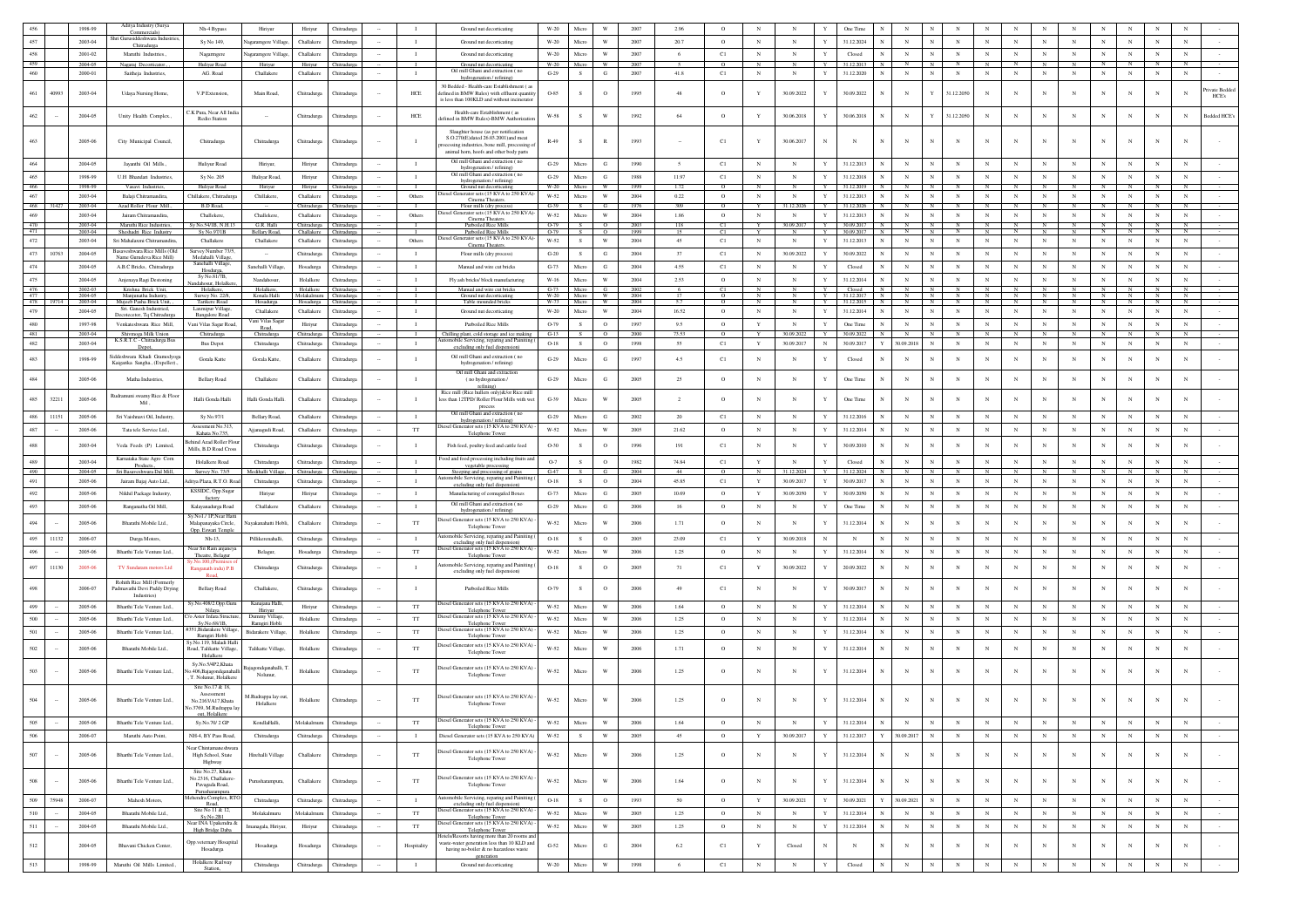|                   |        | 1998-99            | Aditya Industry (Surya<br>Commercials)                     | Nh-4 Bypass                                   | Hiriyur                           | Hiriyur                               | Chitradure                 |        | - 11           | Ground nut decortication                                                                   | W-20                  | Micro          | W                         | 2007           | 2.96           | $\circ$            | $_{\rm N}$      | $_{\rm N}$               | $\mathbf{Y}$        | One Time                   | $_{\rm N}$                     |                   |                |                 |                 |                 | N                        | N                          | $_{\rm N}$        | N                          |                 |                |
|-------------------|--------|--------------------|------------------------------------------------------------|-----------------------------------------------|-----------------------------------|---------------------------------------|----------------------------|--------|----------------|--------------------------------------------------------------------------------------------|-----------------------|----------------|---------------------------|----------------|----------------|--------------------|-----------------|--------------------------|---------------------|----------------------------|--------------------------------|-------------------|----------------|-----------------|-----------------|-----------------|--------------------------|----------------------------|-------------------|----------------------------|-----------------|----------------|
| 457               |        | 2003-04            | Shri Gurusiddeshwara Industr                               | Sy No 149,                                    | Vagaramgere Village               | Challakere                            | Chitradurga                |        | $\mathbf{I}$   | Ground nut decorticating                                                                   | W-20                  | Micro          | W                         | 2007           | 20.7           | $\circ$            | $_{\rm N}$      | $_{\rm N}$               | Y                   | 31.12.2024                 | $_{\rm N}$                     | N                 | $_{\rm N}$     | $_{\rm N}$      | $_{\rm N}$      | $_{\rm N}$      | $_{\rm N}$               | $_{\rm N}$                 | $_{\rm N}$        | $_{\rm N}$                 | $_{\rm N}$      |                |
| 458               |        | 2001-02            | Chitradurga<br>Maruthi Industries.                         | Nagarmgere                                    | Vagaramgere Villag                | Challakere                            | Chitradurea                |        | $\mathbf{I}$   | Ground nut decorticating                                                                   | W-20                  | Micro          | W                         | 2007           | -6             | C1                 | $_{\rm N}$      | $_{\rm N}$               | Y                   | Closed                     | $_{\rm N}$<br>$_{\rm N}$       | $_{\rm N}$        | $_{\rm N}$     | $_{\rm N}$      | $_{\rm N}$      | $_{\rm N}$      | $_{\rm N}$               | $_{\rm N}$                 | $_{\rm N}$        | $_{\rm N}$                 | $_{\rm N}$      |                |
| 459               |        | 2004-05            | Nagaraj Decorticato                                        | Huliyar Road                                  | Hiriyu                            | Hiriyu                                | Chitradury                 |        |                | Ground nut decorticating                                                                   | W-20                  | Micro          | W                         | 2007           |                | $\Omega$           |                 |                          | Y                   | 31.12.2013                 |                                | N                 |                |                 |                 |                 |                          |                            |                   | N                          | N               |                |
| 460               |        | 2000-01            | Saitheja Industries,                                       | AG. Road                                      | Challakere                        | Challakere                            | Chitradurga                |        | $\mathbf{I}$   | Oil mill Ghani and extraction (no<br>hydrogenation / refining)                             | $G-29$                | s.             | G                         | 2007           | 41.8           | C1                 | $_{\rm N}$      | $_{\rm N}$               | $\mathbf Y$         | 31.12.2020                 | $_{\rm N}$<br>N                | $_{\rm N}$        | $_{\rm N}$     | $_{\rm N}$      | $_{\rm N}$      | $_{\rm N}$      | $_{\rm N}$               | $_{\rm N}$                 | $_{\rm N}$        | $_{\rm N}$                 | $_{\rm N}$      |                |
|                   |        |                    |                                                            |                                               |                                   |                                       |                            |        |                | 30 Bedded - Health-care Establishment (as                                                  |                       |                |                           |                |                |                    |                 |                          |                     |                            |                                |                   |                |                 |                 |                 |                          |                            |                   |                            |                 | Private Beddec |
| 461               | 40993  | 2003-04            | Udaya Nursing Home,                                        | V.P Extension,                                | Main Road,                        | Chitradurga                           | Chitradurga                |        | HCE            | fefined in BMW Rules) with effluent quantity<br>is less than 100KLD and without incinerato | 0-85                  | s              | $\circ$                   | 199            | 48             | $\circ$            | Y               | 30.09.2022               | Y                   | 30.09.2022                 | $_{\rm N}$                     | Y                 | 31.12.2050     | $_{\rm N}$      |                 | $_{\rm N}$      |                          | $\mathbf N$                | $_{\rm N}$        |                            |                 | HCE's          |
|                   |        |                    |                                                            |                                               |                                   |                                       |                            |        |                |                                                                                            |                       |                |                           |                |                |                    |                 |                          |                     |                            |                                |                   |                |                 |                 |                 |                          |                            |                   |                            |                 |                |
| 462               |        | 2004-05            | Unity Health Complex.,                                     | C.K. Pura. Near All Ind.<br>Redio Station     |                                   | Chitradurga                           | Chitradurg                 |        | HCE            | Health-care Establishment (as<br>efined in BMW Rules)-BMW Authorizatio                     | W-58                  | S.             | W                         | 1992           | 64             | $\circ$            | Y               | 30.06.2018               | Y                   | 30.06.2018                 | $_{\rm N}$<br>N                | Y                 | 31.12.2050     | $_{\rm N}$      | $_{\rm N}$      | $_{\rm N}$      | N                        | $\mathbf N$                | $_{\rm N}$        | $_{\rm N}$                 | $_{\rm N}$      | Bedded HCE's   |
|                   |        |                    |                                                            |                                               |                                   |                                       |                            |        |                | Slaughter house (as per notification                                                       |                       |                |                           |                |                |                    |                 |                          |                     |                            |                                |                   |                |                 |                 |                 |                          |                            |                   |                            |                 |                |
|                   |        | 2005-06            | City Municipal Council,                                    | Chitradurga                                   | Chitradurga                       | Chitradurga                           | Chitradurga                |        | $\blacksquare$ | S.O.270(E)dated 26.03.2001)and meat                                                        | $R-49$                | s              |                           | 1993           |                | C1                 |                 | 30.06.2017               | N                   | $_{\rm N}$                 | $_{\rm N}$                     |                   |                |                 |                 | $_{\rm N}$      |                          |                            | $_{\rm N}$        | $_{\rm N}$                 |                 |                |
|                   |        |                    |                                                            |                                               |                                   |                                       |                            |        |                | cessing industries, bone mill, processing<br>animal horn, hoofs and other body parts       |                       |                |                           |                |                |                    |                 |                          |                     |                            |                                |                   |                |                 |                 |                 |                          |                            |                   |                            |                 |                |
| 464               |        | 2004-05            | Javanthi Oil Mills.                                        | Hulivur Road                                  | Hiriyur.                          | Hiriyur                               | Chitradure                 |        | $\mathbf{I}$   | Oil mill Ghani and extraction (no                                                          | $G-29$                | Micro          | G                         | 1990           | $\sim$         | C1                 | $_{\rm N}$      | N                        | Y                   | 31.12.2013                 | $_{\rm N}$                     |                   | N              | $_{\rm N}$      | $\mathbf N$     | $_{\rm N}$      | $_{\rm N}$               | $_{\rm N}$                 | $_{\rm N}$        | $_{\rm N}$                 | $_{\rm N}$      |                |
| 465               |        | 1998-99            | U.H Bhandari Industries,                                   | Sy No. 205                                    | Huliyar Road                      | Hiriyur                               | Chitradurga                |        | $\mathbf{I}$   | hydrogenation / refining)<br>Oil mill Ghani and extraction (no                             | $G-29$                | $\rm Micro$    | G                         | 1988           | 11.97          | C1                 | $_{\rm N}$      | $_{\rm N}$               | Y                   | 31.12.2018                 | $_{\rm N}$                     | $_{\rm N}$        | $_{\rm N}$     | $_{\rm N}$      | $_{\rm N}$      | $_{\rm N}$      | $_{\rm N}$               | $_{\rm N}$                 | $_{\rm N}$        | $_{\rm N}$                 | $_{\rm N}$      |                |
| 466               |        | 1998-99            | Vasavi Industries.                                         | Huliyar Road                                  | Hiriyur                           | Hiriyur                               | Chitradurga                |        |                | hydrogenation / refining)<br>Ground nut decorticatin                                       | $W-20$                | Micro          | W                         | 1999           |                | $^{\circ}$         |                 |                          | Y                   | 31.12.2019                 |                                | $_{\rm N}$        |                | N               |                 | N               |                          |                            |                   | N                          | $_{\rm N}$      |                |
| 467               |        | 2003-04            | Balaii Chitramandira                                       | Chillakere, Chitradure                        | Chillakere.                       | Challakere                            | Chitradurea                |        | Others         | esel Generator sets (15 KVA to 250 KVA                                                     | W-52                  | Micro          | W                         | 2004           | 0.22           | $\circ$            | $_{\rm N}$      | N                        | Y                   | 31.12.2013                 | $_{\rm N}$<br>$_{\rm N}$       | $\mathbf{N}$      | $_{\rm N}$     | $_{\rm N}$      | $_{\rm N}$      | $_{\rm N}$      | $_{\rm N}$               | $_{\rm N}$                 | $_{\rm N}$        | $_{\rm N}$                 | $_{\rm N}$      |                |
| 468               | 31427  | 2003-04            | Azad Roller Flour Mill.                                    | <b>B.D Road</b>                               |                                   | Chitradurga                           | Chitradurg                 |        |                | Cinema Theaters.<br>Flour mills (dry process                                               | $G-39$                | S              | G                         | 1976           | 309            | $\Omega$           | Y               | 31.12.2020               | Y                   | 31 12 2026                 | $\mathbf{N}$<br><b>N</b>       | N                 |                | $\mathbb{N}$    |                 | $\mathbb{N}$    | N                        | $\mathbb{N}$               | $\mathbf{N}$      | N                          | $\mathbb{N}$    |                |
| 469               |        | 2003-04            | Jairam Chitramandira                                       | Challeken                                     | Challekere                        | Challakere                            | Chitradurg                 |        | Others         | iesel Generator sets (15 KVA to 250 KVA<br>Cinema Theaters                                 | W-52                  | Micro          | W                         | 2004           | 1.86           | $\circ$            | $_{\rm N}$      | $_{\rm N}$               | Y                   | 31.12.2013                 | $_{\rm N}$<br>N                | N                 | $_{\rm N}$     | $_{\rm N}$      | $_{\rm N}$      | $_{\rm N}$      | $_{\rm N}$               | N                          | $_{\rm N}$        | $_{\rm N}$                 | $_{\rm N}$      |                |
| $\frac{470}{471}$ |        | 2003-04<br>2003-04 | Maruthi Rice Industries<br>Sheshadri Rice Industry         | Sv No 54/1B N H 13<br>Sv No.97/1B             | G.R. Halli<br><b>Bellary Road</b> | Chitradurga Chitradurga<br>Challakere | Chitradurga                |        |                | Parboiled Rice Mill<br>Parboiled Rice Mill                                                 | $O-79$<br>$O-79$      | $\overline{s}$ | $\overline{0}$<br>$\circ$ | 2003<br>1999   | 118<br>15      | C1<br>C1           | Y               | 30.09.2017<br>$_{\rm N}$ | $\overline{Y}$<br>Y | $30002017$ N<br>30.09.2017 | N<br>$_{\rm N}$<br>- N         | N<br>N            | $\mathbb{N}$   | $\mathbf{N}$    | $\mathbf{N}$    | N               | $\overline{N}$           | N                          | $\mathbf{N}$      | N                          | - N             |                |
| 472               |        | 2003-04            | Sri Mahalaxmi Chitramandira.                               | Challakere                                    | Challakere                        | Challakere                            | Chitradurga                |        | Others         | esel Generator sets (15 KVA to 250 KV                                                      | W-52                  | S.             | W                         | 2004           | 45             | C1                 | $_{\rm N}$      | $_{\rm N}$               | Y                   | 31.12.2013                 | $\mathbf N$<br>$\mathbf N$     | $_{\rm N}$        | $_{\rm N}$     | $_{\rm N}$      | $_{\rm N}$      | $_{\rm N}$      | $_{\rm N}$               | $_{\rm N}$                 | $_{\rm N}$        | $_{\rm N}$                 | $_{\rm N}$      |                |
| 473               | 10763  | 2004-05            | Basaveshwara Rice Mills (Old                               | Survey Number 73/                             |                                   | Chitradurga                           | Chitradurga                |        | $\;$ I         | Cinema Theaters.<br>Flour mills (dry process)                                              | $\operatorname{G-20}$ | S              | G                         | 2004           | 37             | C1                 | $_{\rm N}$      | 30.09.2022               | Y                   | 30.09.2022                 | $_{\rm N}$                     |                   | $_{\rm N}$     |                 | $_{\rm N}$      | $_{\rm N}$      | N                        | $\mathbf N$                | $_{\rm N}$        | $_{\rm N}$                 | $_{\rm N}$      |                |
| 474               |        | 2004-05            | Name Gurudeva Rice Mill)                                   | Medahalli Village<br>Sanehalli Village,       | Sanehalli Villag                  |                                       |                            |        | $\mathbf{I}$   |                                                                                            | $G-73$                | Micro          | G                         | 2004           | 4.55           |                    | $_{\rm N}$      | N                        |                     |                            | $_{\rm N}$                     |                   | $_{\rm N}$     | $_{\rm N}$      | $_{\rm N}$      | N               | $_{\rm N}$               | N                          | $_{\rm N}$        | $_{\rm N}$                 | $_{\rm N}$      |                |
|                   |        |                    | A.B.C Bricks, Chitradurga                                  | Hosdurga,<br>Sy No.81/7B,                     |                                   | Hosadurga                             | Chitradurga                |        |                | Manual and wire cut bricks                                                                 |                       |                |                           |                |                | C1                 |                 |                          |                     | Closed                     |                                |                   |                |                 |                 |                 |                          |                            |                   |                            |                 |                |
| 475<br>476        |        | 2004-05<br>2002-03 | Anjenaya Ragi Destoning                                    | ndahosur, Holalk<br>Holalkere,                | Nandahosur<br>Holalkere           | Holalkere<br>Holalkere Chitradurga    | Chitradurga                |        | $\mathbf I$    | Fly ash bricks/ block manufacturing<br>Manual and wire cut bricks                          | $W-16$<br>G-73 Micro  | Micro          | W<br>G                    | 2004<br>- 2002 | 2.53<br>-6     | $\circ$<br>C1      | $_{\rm N}$<br>N | $_{\rm N}$<br>- N        | Y<br>Y              | 31.12.2014<br>Closed       | $_{\rm N}$<br>N<br>$\mathbb N$ | $\mathbb{N}$<br>N | $_{\rm N}$     | $_{\rm N}$<br>N | $_{\rm N}$<br>N | $_{\rm N}$<br>N | $_{\rm N}$<br>$_{\rm N}$ | $_{\rm N}$<br>$\mathbb{N}$ | $_{\rm N}$<br>N I | $_{\rm N}$<br>N            | $_{\rm N}$<br>N |                |
| 477               |        | 2004-05            | Krishna Brick Unit,<br>Manjunatha Industr                  | Survey No. 22/8                               | Konala Halli                      | Molakalmuru Chitradurga               |                            |        | $+$            | Ground nut decorticatin                                                                    | W-20                  | Micro          | W                         | 2004           |                | $\overline{0}$     | N               |                          | - Y                 |                            | N                              | $\overline{N}$    | $\overline{N}$ |                 | $\mathbf{N}$    |                 | $\overline{N}$           | $\overline{N}$             | $\overline{N}$    | N.                         | N               |                |
| 478<br>479        |        | 2003-04<br>2004-05 | Mujeeb Pasha Brick Uni<br>Sri. Ganesh Industried           | Tarikere Road<br>Laxmipur Village             | Hosadurga<br>Challakere           | Hosadurga<br>Challakere               | hitradurga<br>Chitradurga  |        | $\mathbf{I}$   | Table mounded brick<br>Ground nut decorticating                                            | W-73<br>W-20          | Micro<br>Micro | W                         | 2004<br>2004   | 16.52          | $\circ$            | $_{\rm N}$      | $_{\rm N}$               | Y                   | 31.12.2014                 | $_{\rm N}$<br>N                | $_{\rm N}$        | $_{\rm N}$     | $_{\rm N}$      | $_{\rm N}$      | $_{\rm N}$      | $_{\rm N}$               | $_{\rm N}$                 | $_{\rm N}$        | $_{\rm N}$                 | $_{\rm N}$      |                |
|                   |        |                    | Decotecetor, Tq Chitradurg                                 | <b>Bangalore Road</b>                         | ani Vilas Saga                    |                                       |                            |        |                |                                                                                            |                       |                |                           |                |                |                    |                 |                          |                     |                            |                                |                   |                |                 |                 |                 |                          |                            |                   |                            |                 |                |
| 480<br>- 481      |        | 1997-98<br>2003-04 | Venkateshwara Rice Mill.                                   | Vani Vilas Sagar Road                         | Road,                             | Hiriyur                               | Chitradurga<br>Chitradurga |        | л.             | Parboiled Rice Mills                                                                       | O-79<br>$G-13$        | S.<br>S.       | $\circ$<br>$\circ$        | 1997<br>2000   | 9.5<br>73.53   | $\circ$<br>$\circ$ | Y               | N<br>30.09.202           | Y<br>Y              | One Time<br>30.09.2022     | $_{\rm N}$<br>N                | N<br>N            | $_{\rm N}$     | $_{\rm N}$      | $_{\rm N}$      | N               | $_{\rm N}$               | $_{\rm N}$                 | $_{\rm N}$<br>N   | $_{\rm N}$<br>$\mathbf{N}$ | $_{\rm N}$<br>N |                |
| 482               |        | 2003-04            | Shivmoga Milk Union<br>K.S.R.T.C - Chitradurga Bus         | Chitradurga<br><b>Bus Depot</b>               | Chitradurga<br>Chitradurga        | Chitradurga<br>Chitradurga            | Chitradurga                |        | $\blacksquare$ | Chilling plant, cold storage and ice making<br>utomobile Servicing, reparing and Painiting | $O-18$                | S.             | $\circ$                   | 1998           | 55             | C1                 | Y               | 30.09.2017               | $_{\rm N}$          | 30.09.2017                 | 30.09.2018                     | $_{\rm N}$        | $_{\rm N}$     | $_{\rm N}$      | $_{\rm N}$      | $_{\rm N}$      | $_{\rm N}$               | $_{\rm N}$                 | $_{\rm N}$        | $_{\rm N}$                 | $_{\rm N}$      |                |
|                   |        |                    | Depot,<br>Siddeshwara Khadi Gramodyoga                     |                                               |                                   |                                       |                            |        |                | excluding only fuel dispension)<br>Oil mill Ghani and extraction (no                       |                       |                |                           |                |                |                    |                 |                          |                     |                            |                                |                   |                |                 |                 |                 |                          |                            |                   |                            |                 |                |
| 483               |        | 1998-99            | Kaigarika Sangha., (Expeller).,                            | Gorala Katte                                  | Gorala Katte,                     | Challakere                            | Chitradurga                |        | - 1            | hydrogenation / refining)                                                                  | $\operatorname{G-29}$ | Micro          | G                         | 1997           | 4.5            | C1                 | $_{\rm N}$      | $_{\rm N}$               | Y                   | Closed                     | $\mathbb N$                    |                   | N              | $_{\rm N}$      | N               | N               | N                        | N                          | $_{\rm N}$        | $_{\rm N}$                 | $_{\rm N}$      |                |
|                   |        |                    |                                                            |                                               |                                   |                                       |                            |        |                | Oil mill Ghani and extraction                                                              |                       |                |                           |                |                |                    |                 |                          |                     |                            |                                |                   |                |                 |                 |                 |                          |                            |                   |                            |                 |                |
| 484               |        | 2005-06            | Matha Industries.                                          | <b>Bellary Road</b>                           | Challakere                        | Challakere                            | Chitradurga                |        | $\mathbf{I}$   | (no hydrogenation /                                                                        | $G-29$                | Micro          | G                         | 2005           | 25             | $\circ$            | $_{\rm N}$      | N                        |                     | One Time                   | $_{\rm N}$                     |                   | N              |                 |                 | N               | N                        |                            | N                 | $_{\rm N}$                 | $_{\rm N}$      |                |
| 485               | 32211  | 2005-06            | Rudramuni swamy Rice & Floor                               | Halli Gonda Halli                             | Halli Gonda Halli                 | Challakere                            | Chitradurg                 |        | $\mathbf{I}$   | Rice mill (Rice hullers only)&/or Rice mill<br>less than 12TPD/ Roller Flour Mills with we | $G-39$                | Micro          | W                         | 2005           | $\overline{2}$ | $\circ$            | $_{\rm N}$      | N                        |                     | One Time                   | $_{\rm N}$                     | N                 | $_{\rm N}$     | N               |                 | $_{\rm N}$      | N                        | N                          | $_{\rm N}$        | $_{\rm N}$                 | $_{\rm N}$      |                |
|                   |        |                    | Mil.                                                       |                                               |                                   |                                       |                            |        |                | process                                                                                    |                       |                |                           |                |                |                    |                 |                          |                     |                            |                                |                   |                |                 |                 |                 |                          |                            |                   |                            |                 |                |
| 486               | 11151  | 2005-06            | Sri Vaishnavi Oil, Industry,                               | Sy No.97/1                                    | <b>Bellary Road</b>               | Challakere                            | Chitradurga                |        | $\mathbf{I}$   | Oil mill Ghani and extraction (no<br>hydrogenation / refining                              | $G-29$                | Micro          | G                         | 2002           | 20             | C1                 | $_{\rm N}$      | $_{\rm N}$               | Y                   | 31.12.2016                 | $_{\rm N}$                     |                   | $_{\rm N}$     |                 |                 | $_{\rm N}$      | $_{\rm N}$               | $_{\rm N}$                 | $_{\rm N}$        | $_{\rm N}$                 | $_{\rm N}$      |                |
| 487               |        | 2005-06            | Tata tele Service Ltd                                      | Assesment No.313<br>Kahata No.735             | Aijanagudi Road                   | Challakere                            | Chitradurea                |        | <b>TT</b>      | Diesel Generator sets (15 KVA to 250 KVA)                                                  | W-52                  | Micro          | W                         | 2005           | 21.62          | $\circ$            | $_{\rm N}$      | $_{\rm N}$               | $\mathbf Y$         | 31.12.2014                 | $_{\rm N}$                     |                   | $_{\rm N}$     | $\mathbf{N}$    | $\mathbf N$     | $_{\rm N}$      | $_{\rm N}$               | $_{\rm N}$                 | $_{\rm N}$        | $_{\rm N}$                 | $_{\rm N}$      |                |
|                   |        |                    |                                                            | hind Azad Roller Flo                          |                                   |                                       |                            |        |                | Telephone Tower                                                                            |                       |                |                           |                |                |                    |                 |                          |                     |                            |                                |                   |                |                 |                 |                 |                          |                            |                   |                            |                 |                |
| 488               |        | 2003-04            | Veda Feeds (P) Limited.                                    | Mills, B.D Road Cros                          | Chitradurea                       | Chitradurea                           | Chitradurea                |        | $\mathbf{I}$   | Fish feed, poultry feed and cattle feed                                                    | $O-30$                | S.             | $\circ$                   | 1996           | 191            | C1                 | $_{\rm N}$      | $_{\rm N}$               | Y                   | 30.09.2010                 | $_{\rm N}$                     | N                 | N              | $_{\rm N}$      | $_{\rm N}$      | $_{\rm N}$      | $_{\rm N}$               | N                          | $_{\rm N}$        | $_{\rm N}$                 | $_{\rm N}$      |                |
| 489               |        | 2003-04            | Karnataka State Agro Corn<br>Products.                     | Holalkere Road                                | Chitradurea                       | Chitradurga                           | Chitradure                 |        | $\mathbf{I}$   | ood and food processing including fruits and<br>vegetable processing                       | $O-7$                 | S              | $^{\circ}$                | 1982           | 74.84          | C1                 | Y               | $_{\rm N}$               | $\mathbf{Y}$        | Closed                     | $_{\rm N}$                     | N                 | $_{\rm N}$     | $\mathbf{N}$    | N               | $_{\rm N}$      | $_{\rm N}$               | $_{\rm N}$                 | $_{\rm N}$        | $_{\rm N}$                 | $_{\rm N}$      |                |
| 490               |        | 2004-05            | Sri Basayeshwara Dal Mill                                  | Survey No. 73/5                               | Medihalli Villa                   | Chitradurga Chitradurga               |                            |        | $\mathbf{I}$   | Steeping and processing of grains<br>tomobile Servicing, reparing and Painiting            | G-47                  | S              | G                         | 2004           | 44             | $\Omega$           | $\mathbb{N}$    | 31.12.2024               | Y                   | 31.12.2024 N               | $\mathbb{N}$                   | N                 | $\mathbb{N}$   | N               | N               | N               | $\mathbb{N}$             | $\mathbb{N}$               | N                 | N                          | N               |                |
| 491               |        | 2005-06            | Jairam Bajaj Auto Ltd.,                                    | ditya Plaza, R.T.O. R                         | Chitradurg                        | Chitradurga                           | Chitradurga                |        | $\mathbf{I}$   | excluding only fuel dispension)                                                            | $O-18$                | $\mathcal{S}$  | $\circ$                   | 2004           | 45.85          | C1                 | Y               | 30.09.2017               | $\mathbf{Y}$        | 30.09.2017                 | $_{\rm N}$                     | $\mathbf{N}$      | $_{\rm N}$     | $_{\rm N}$      | $\mathbf N$     | $\mathbf N$     | $_{\rm N}$               | $\overline{N}$             | $_{\rm N}$        | $_{\rm N}$                 | $_{\rm N}$      |                |
| 492               |        | 2005-06            | Nikhil Package Industry                                    | KSSIDC, Opp.Suga<br>factory                   | Hiriyur                           | Hiriyur                               | Chitradurga                |        | $\mathbf I$    | Manufacturing of comugafed Boxes                                                           | $G-73$                | $\rm Micro$    | G                         | 2005           | 10.69          | $\circ$            | Y               | 30.09.2050               | $\mathbf Y$         | 30.09.2050                 | $\mathbf N$                    | $\mathbb{N}$      | $_{\rm N}$     | $_{\rm N}$      | $_{\rm N}$      | $_{\rm N}$      | $_{\rm N}$               | $\overline{N}$             | $_{\rm N}$        | $_{\rm N}$                 | $_{\rm N}$      |                |
| 493               |        | 2005-06            | Ranganatha Oil Mill,                                       | Kalayanadurga Road                            | Challakere                        | Challakere                            | Chitradurga                |        | $\mathbf{I}$   | Oil mill Ghani and extraction (no<br>hydrogenation / refining)                             | $G-29$                | Micro          | G                         | 2006           | 16             | $\circ$            | $_{\rm N}$      | $\,$ N                   | Y                   | One Time                   | $\mathbf N$                    | $_{\rm N}$        | $_{\rm N}$     | $_{\rm N}$      | $_{\rm N}$      | $_{\rm N}$      | $_{\rm N}$               | $_{\rm N}$                 | $_{\rm N}$        | $_{\rm N}$                 | $_{\rm N}$      |                |
| 494               |        | 2005-06            | Bharathi Mobile Ltd.                                       | Sy.No1./ 1P,Near Hat<br>Malapanayaka Circle,  | iyakanahatti Hobl                 | Challakere                            | Chitradurg                 |        | TT             | liesel Generator sets (15 KVA to 250 KVA)                                                  | W-52                  | Micro          | W                         | 2006           | 1.71           | $\circ$            | $_{\rm N}$      | N                        | Y                   | 31.12.2014                 | $_{\rm N}$                     |                   | N              | $_{\rm N}$      |                 | $_{\rm N}$      | N                        | N                          | $_{\rm N}$        | $_{\rm N}$                 | $_{\rm N}$      |                |
|                   |        |                    |                                                            | Opp. Eswari Temple                            |                                   |                                       |                            |        |                | Telephone Tower                                                                            |                       |                |                           |                |                |                    |                 |                          |                     |                            |                                |                   |                |                 |                 |                 |                          |                            |                   |                            |                 |                |
| 495               | 11132  | 2006-07            | Durga Motors,                                              | Nh-13.                                        | Pillikerenahalli.                 | Chitradurga                           | Chitradurga                |        | $\mathbf{I}$   | utomobile Servicing, reparing and Painitin<br>excluding only fuel dispension               | $O-18$                | S.             | $^{\circ}$                | 2005           | 23.09          | C1                 | Y               | 30.09.2018               | $_{\rm N}$          | N                          | $_{\rm N}$<br>$_{\rm N}$       | N                 | $_{\rm N}$     | $_{\rm N}$      | $_{\rm N}$      | $_{\rm N}$      | $_{\rm N}$               | $_{\rm N}$                 | $_{\rm N}$        | $_{\rm N}$                 | $_{\rm N}$      |                |
| 496               |        | 2005-06            | Bharthi Tele Venture Ltd.,                                 | Near Sri Ram anjaney                          | Belagur,                          | Hosadurga                             | Chitradurga                |        | $_{\rm TT}$    | viesel Generator sets (15 KVA to 250 KVA)                                                  | $W-52$                | Micro          | $\ensuremath{\text{W}}$   | 2006           | 1.25           | $\circ$            | $_{\rm N}$      | N                        | Y                   | 31.12.2014                 | $_{\rm N}$                     | N                 | $_{\rm N}$     | $_{\rm N}$      | $_{\rm N}$      | $_{\rm N}$      | $_{\rm N}$               | $_{\rm N}$                 | $_{\rm N}$        | $_{\rm N}$                 | $_{\rm N}$      |                |
| 497               | 11130  | 2005-06            | TV Sundaram motors Ltd                                     | Theatre, Belagur                              | Chitradurga                       |                                       | Chitradurga                |        | $\mathbf{I}$   | Telephone Towe<br>ttomobile Servicing, reparing and Painiti                                | $O-18$                | s              | $\circ$                   | 2005           | 71             | C1                 | Y               | 30.09.2022               | Y                   | 20.09.2022                 | $_{\rm N}$                     | N                 | $_{\rm N}$     | $_{\rm N}$      | $_{\rm N}$      | $_{\rm N}$      | N                        | $_{\rm N}$                 | $_{\rm N}$        | $_{\rm N}$                 | $_{\rm N}$      |                |
|                   |        |                    |                                                            | Ranganath indu) P.B                           |                                   | Chitradurga                           |                            |        |                | excluding only fuel dispension)                                                            |                       |                |                           |                |                |                    |                 |                          |                     |                            |                                |                   |                |                 |                 |                 |                          |                            |                   |                            |                 |                |
|                   |        | 2006-07            | Rohith Rice Mill (Formerly<br>Padmavathi Devi Paddy Drying | <b>Bellary Road</b>                           | Challakere,                       | Chitradurga                           | Chitradurga                |        | $\mathbf{I}$   | Parboiled Rice Mills                                                                       | O-79                  | s              | $\circ$                   | 2006           | 49             | C1                 | $_{\rm N}$      | N                        |                     | 30.09.2017                 | $_{\rm N}$                     |                   |                | $_{\rm N}$      |                 | $_{\rm N}$      | N                        | N                          | $_{\rm N}$        | $_{\rm N}$                 | $_{\rm N}$      |                |
|                   |        |                    | Industries)                                                |                                               |                                   |                                       |                            |        |                |                                                                                            |                       |                |                           |                |                |                    |                 |                          |                     |                            |                                |                   |                |                 |                 |                 |                          |                            |                   |                            |                 |                |
| 499               |        | 2005-06            | Bharthi Tele Venture Ltd.,                                 | Sy.No.408/2.Opp.Gun<br>Nilaya                 | Kanajana Halli,<br>Hiriyur        | Hiriyur                               | Chitradurea                |        | TT             | liesel Generator sets (15 KVA to 250 KVA)<br>Telephone Tower                               | W-52                  | Micro          | W                         | 2006           | 1.64           | $\circ$            | $_{\rm N}$      | $_{\rm N}$               | Y                   | 31.12.2014                 | $_{\rm N}$                     |                   | $_{\rm N}$     | $_{\rm N}$      | N               | $_{\rm N}$      | $_{\rm N}$               | N                          | $_{\rm N}$        | $_{\rm N}$                 | $_{\rm N}$      |                |
| 500               |        | 2005-06            | Bharthi Tele Venture Ltd.                                  | Aster Infara Stru<br>Sy.No.68/1B.             | Dummy Village,<br>Ramgiri Hobl    | Holalkere                             | Chitradurga                |        | $_{\rm TT}$    | iesel Generator sets (15 KVA to 250 KVA<br>Telephone Tow                                   | W-52                  | Micro          | W                         | 2006           | 1.25           | $\circ$            | $_{\rm N}$      | $_{\rm N}$               | $\mathbf Y$         | 31.12.2014                 | $_{\rm N}$                     |                   | $_{\rm N}$     | $_{\rm N}$      | $_{\rm N}$      | $_{\rm N}$      | $_{\rm N}$               | $_{\rm N}$                 | $_{\rm N}$        | $_{\rm N}$                 | $_{\rm N}$      |                |
| 501               |        | 2005-06            | Bharthi Tele Venture Ltd.,                                 | 51,Bidarakere Villaş                          | <b>Bidarakere Village</b>         | Holalkere                             | Chitradurga                |        | TT             | liesel Generator sets (15 KVA to 250 KVA                                                   | W-52                  | Micro          | W                         | 2006           | 1.25           | $\circ$            | $_{\rm N}$      | $_{\rm N}$               | Y                   | 31.12.2014                 | $_{\rm N}$                     | N                 | $_{\rm N}$     | $_{\rm N}$      | $_{\rm N}$      | N               | $_{\rm N}$               | N                          | $_{\rm N}$        | $_{\rm N}$                 | $_{\rm N}$      |                |
|                   |        |                    |                                                            | Ramgiri Hobli<br>No.119, Maladi Hal           |                                   |                                       |                            |        |                | Telephone Tower<br>liesel Generator sets (15 KVA to 250 KVA)                               |                       |                |                           |                |                |                    |                 |                          |                     |                            |                                |                   |                |                 |                 |                 |                          |                            |                   |                            |                 |                |
| $502\,$           |        | 2005-06            | Bharathi Mobile Ltd.,                                      | Road, Talikatte Village<br>Holalker           | <b>Talikatte Village</b>          | Holalkere                             | Chitradurga                |        | <b>TT</b>      | Telephone Tower                                                                            | W-52                  | Micro          | W                         | 2006           | 1.71           | $\circ$            | $_{\rm N}$      | $_{\rm N}$               | $\mathbf{Y}$        | 31.12.2014                 | $\mathbf N$                    |                   | N              | $_{\rm N}$      |                 | $_{\rm N}$      | N                        | N                          | $_{\rm N}$        | $_{\rm N}$                 | $_{\rm N}$      |                |
|                   |        |                    |                                                            | Sv.No.5/4P2.Khata                             | agondqanahalli, T                 |                                       |                            |        |                | iesel Generator sets (15 KVA to 250 KVA)                                                   |                       |                |                           |                |                |                    |                 |                          |                     |                            |                                |                   |                |                 |                 |                 |                          |                            |                   |                            |                 |                |
|                   |        | 2005-06            | Bharthi Tele Venture Ltd.,                                 | lo.406,Bajagondqanah<br>T. Nolunur, Holalkere | Nolunur                           | Holalkere                             | Chitradurga                |        | $_{\rm TT}$    | Telephone Tower                                                                            | W-52                  | Micro          | W                         | 2006           | 1.25           | $\circ$            | N               | N                        | Y                   | 31.12.2014                 | N                              |                   |                |                 |                 |                 |                          | $\overline{N}$             |                   | N                          |                 |                |
|                   |        |                    |                                                            | Site No.17 & 18.                              |                                   |                                       |                            |        |                |                                                                                            |                       |                |                           |                |                |                    |                 |                          |                     |                            |                                |                   |                |                 |                 |                 |                          |                            |                   |                            |                 |                |
|                   |        | 2005-06            | Bharthi Tele Venture Ltd.,                                 | Assessment<br>No.2163/A17, Khata              | M.Rudrappa lay out                | Holalkere                             | Chitradurga                |        | TT             | Diesel Generator sets (15 KVA to 250 KVA)                                                  | W-52                  | Micro          | $\ensuremath{\text{W}}$   | 2006           | 1.25           | $\circ$            | $_{\rm N}$      | $_{\rm N}$               | Y                   | 31.12.2014                 | $_{\rm N}$                     |                   |                | $\mathbf{N}$    |                 | $_{\rm N}$      |                          | N                          | $_{\rm N}$        | $_{\rm N}$                 |                 |                |
|                   |        |                    |                                                            | lo.3769, M.Rudrappa lay                       | Holalkere                         |                                       |                            |        |                | Telephone Tower                                                                            |                       |                |                           |                |                |                    |                 |                          |                     |                            |                                |                   |                |                 |                 |                 |                          |                            |                   |                            |                 |                |
| 505               |        | 2005-06            | <b>Bharthi Tele Venture Ltd</b>                            | out. Holalker<br>Sy.No.70/2 GP                | KondlaHalli.                      | Molakalmuru Chitradurga               |                            |        | <b>TT</b>      | tiesel Generator sets (15 KVA to 250 KVA) -                                                | W-52                  | Micro          | W                         | 2006           | 1.64           | $\circ$            | $_{\rm N}$      | N                        | Y                   | 31.12.2014                 | N<br>$_{\rm N}$                | N                 | $_{\rm N}$     | $_{\rm N}$      |                 | N               | $_{\rm N}$               | $_{\rm N}$                 | $_{\rm N}$        | $_{\rm N}$                 | $_{\rm N}$      |                |
| 506               |        | 2006-07            | Maruthi Auto Point                                         | NH-4, BY Pass Road,                           | Chitradurga                       | Chitradurga                           | Chitradurga                |        | $\mathbf{I}$   | Telephone Tower<br>Diesel Generator sets (15 KVA to 250 KVA)                               | W-52                  | S              | $\mathbf{W}$              | 2005           | 45             | $\circ$            | $\mathbf Y$     | 30.09.2017               | $\mathbf Y$         | 31.12.2017                 | 30.09.2017<br>Y                | $_{\rm N}$        | $_{\rm N}$     | $_{\rm N}$      | $_{\rm N}$      | $_{\rm N}$      | $_{\rm N}$               | $_{\rm N}$                 | $_{\rm N}$        | $_{\rm N}$                 | $_{\rm N}$      |                |
|                   |        |                    |                                                            |                                               |                                   |                                       |                            |        |                |                                                                                            |                       |                |                           |                |                |                    |                 |                          |                     |                            |                                |                   |                |                 |                 |                 |                          |                            |                   |                            |                 |                |
| 507               |        | 2005-06            | Bharthi Tele Venture Ltd.,                                 | Near Chintamaneshwara<br>High School, State   | Hirehalli Village                 | Challakere                            | Chitradurga                |        | $_{\rm TT}$    | Diesel Generator sets (15 KVA to 250 KVA)                                                  | $W-52$                | Micro          | W                         | 2006           | 1.25           | $\circ$            | $_{\rm N}$      | $_{\rm N}$               | Y                   | 31.12.2014                 | N<br>$_{\rm N}$                | N                 | $_{\rm N}$     | $_{\rm N}$      |                 | $_{\rm N}$      | $_{\rm N}$               | $_{\rm N}$                 | $_{\rm N}$        | $_{\rm N}$                 | $_{\rm N}$      |                |
|                   |        |                    |                                                            | Highway                                       |                                   |                                       |                            |        |                | Telephone Tower                                                                            |                       |                |                           |                |                |                    |                 |                          |                     |                            |                                |                   |                |                 |                 |                 |                          |                            |                   |                            |                 |                |
|                   |        |                    |                                                            | Site No.27, Khata<br>No.2316, Challakere      |                                   |                                       |                            |        |                | tiesel Generator sets (15 KVA to 250 KVA) -                                                |                       |                |                           |                |                |                    |                 |                          |                     |                            |                                |                   |                |                 |                 |                 |                          |                            |                   |                            |                 |                |
| 508               | $\sim$ | 2005-06            | Bharthi Tele Venture Ltd.,                                 | Pavagada Road,                                | Purusharampura,                   | Challakere                            | Chitradurga                | $\sim$ | TT             | Telephone Tower                                                                            | <b>W-52</b>           | $\rm Micro$    | $\ensuremath{\text{W}}$   | 2006           | 1.64           | $\circ$            | $_{\rm N}$      | N                        | Y                   | 31.12.2014                 | $_{\rm N}$<br>$_{\rm N}$       | $_{\rm N}$        | $_{\rm N}$     | $_{\rm N}$      | $_{\rm N}$      | $_{\rm N}$      | $_{\rm N}$               | $_{\rm N}$                 | $_{\rm N}$        | $_{\rm N}$                 | $_{\rm N}$      |                |
| 509               | 75948  | 2006-07            | Mahesh Motors.                                             | Purusharampura<br>ehendra Complex, RTO        | Chitradurga                       | Chitradurga                           | Chitradurga                | $\sim$ | $\mathbf{I}$   | Automobile Servicing, reparing and Painiting (                                             | $O-18$                | S              | $\circ$                   | 1993           | 50             | $\circ$            | $\mathbf Y$     | 30.09.2021               | Y                   | 30.09.2021                 | 30.09.2021<br>Y                | $_{\rm N}$        | $\,$ N         | $_{\rm N}$      | $_{\rm N}$      | $_{\rm N}$      | ${\bf N}$                | $_{\rm N}$                 | $\,$ N            | $_{\rm N}$                 | $\,$ N $\,$     |                |
| 510               |        | 2004-05            | Bharathi Mobile Ltd.,                                      | Road,<br>Site No 11 & 12,                     | Molakalmuru                       | Molakalmuru                           |                            |        | TT             | excluding only fuel dispension)<br>biesel Generator sets (15 KVA to 250 KVA)               | W-52                  | Micro          | $\mathbf{W}$              | 2005           | 1.25           | $\circ$            | $_{\rm N}$      | ${\bf N}$                | Y                   | 31.12.2014                 | $_{\rm N}$                     | N                 | $_{\rm N}$     | $_{\rm N}$      | $_{\rm N}$      | $_{\rm N}$      | $_{\rm N}$               | $_{\rm N}$                 | $_{\rm N}$        | $_{\rm N}$                 | $_{\rm N}$      |                |
|                   |        |                    |                                                            | $Sy$ . No. $2B1$<br>Near INA Upakendra &      |                                   |                                       | Chitradurga                | $\sim$ |                | Telephone Tower<br>Diesel Generator sets (15 KVA to 250 KVA) -                             |                       |                |                           |                |                |                    |                 |                          |                     |                            |                                |                   |                |                 |                 |                 |                          |                            |                   |                            |                 |                |
| 511               |        | 2004-05            | Bharathi Mobile Ltd.                                       | High Bridge Daba                              | Imanagala, Hiriyu                 | Hiriyur                               | Chitradurga                | $\sim$ | TT             | Telephone Tower                                                                            | W-52                  | Micro          | $\ensuremath{\text{W}}$   | 2005           | 1.25           | $\circ$            | $_{\rm N}$      | ${\bf N}$                | Y                   | 31.12.2014                 | $_{\rm N}$                     | N                 | $_{\rm N}$     | $_{\rm N}$      | $_{\rm N}$      | $_{\rm N}$      | $_{\rm N}$               | $_{\rm N}$                 | $_{\rm N}$        | $_{\rm N}$                 | $_{\rm N}$      |                |
| 512               |        | 2004-05            | Bhavani Chicken Center,                                    | Opp.vetemary Hosapital                        | Hosadurga                         | Hosadurga                             | Chitradurga                |        | Hospitality    | otels/Resorts having more than 20 rooms and<br>vaste-water generation less than 10 KLD and | $G-52$                | Micro          | $_{\rm G}$                | 2004           | 6.2            | C1                 | $\mathbf Y$     | Closed                   | N                   | $_{\rm N}$                 | N<br>$_{\rm N}$                | $_{\rm N}$        | $_{\rm N}$     | $_{\rm N}$      | $_{\rm N}$      | $_{\rm N}$      | $_{\rm N}$               | $\mathbf N$                | $_{\rm N}$        | $_{\rm N}$                 | $_{\rm N}$      |                |
|                   |        |                    |                                                            | Hosadurga                                     |                                   |                                       |                            |        |                | having no-boiler & no hazardous waste<br>eeneration                                        |                       |                |                           |                |                |                    |                 |                          |                     |                            |                                |                   |                |                 |                 |                 |                          |                            |                   |                            |                 |                |
|                   |        | 1998-99            | Maruthi Oil Mills Limited                                  | Holalkere Railway                             | Chitradurga                       | Chitradurga Chitradurga               |                            | $\sim$ | $\mathbf{I}$   | Ground nut decorticating                                                                   | $W-20$                | Micro          | $\mathbf{W}$              | 1998           | - 6            | C1                 | $_{\rm N}$      | $_{\rm N}$               | $\mathbf Y$         | Closed                     | $_{\rm N}$<br>$_{\rm N}$       | $_{\rm N}$        | $_{\rm N}$     | $_{\rm N}$      | $_{\rm N}$      | $_{\rm N}$      | $_{\rm N}$               | $_{\rm N}$                 | $_{\rm N}$        | $_{\rm N}$                 | $_{\rm N}$      | $\sim$         |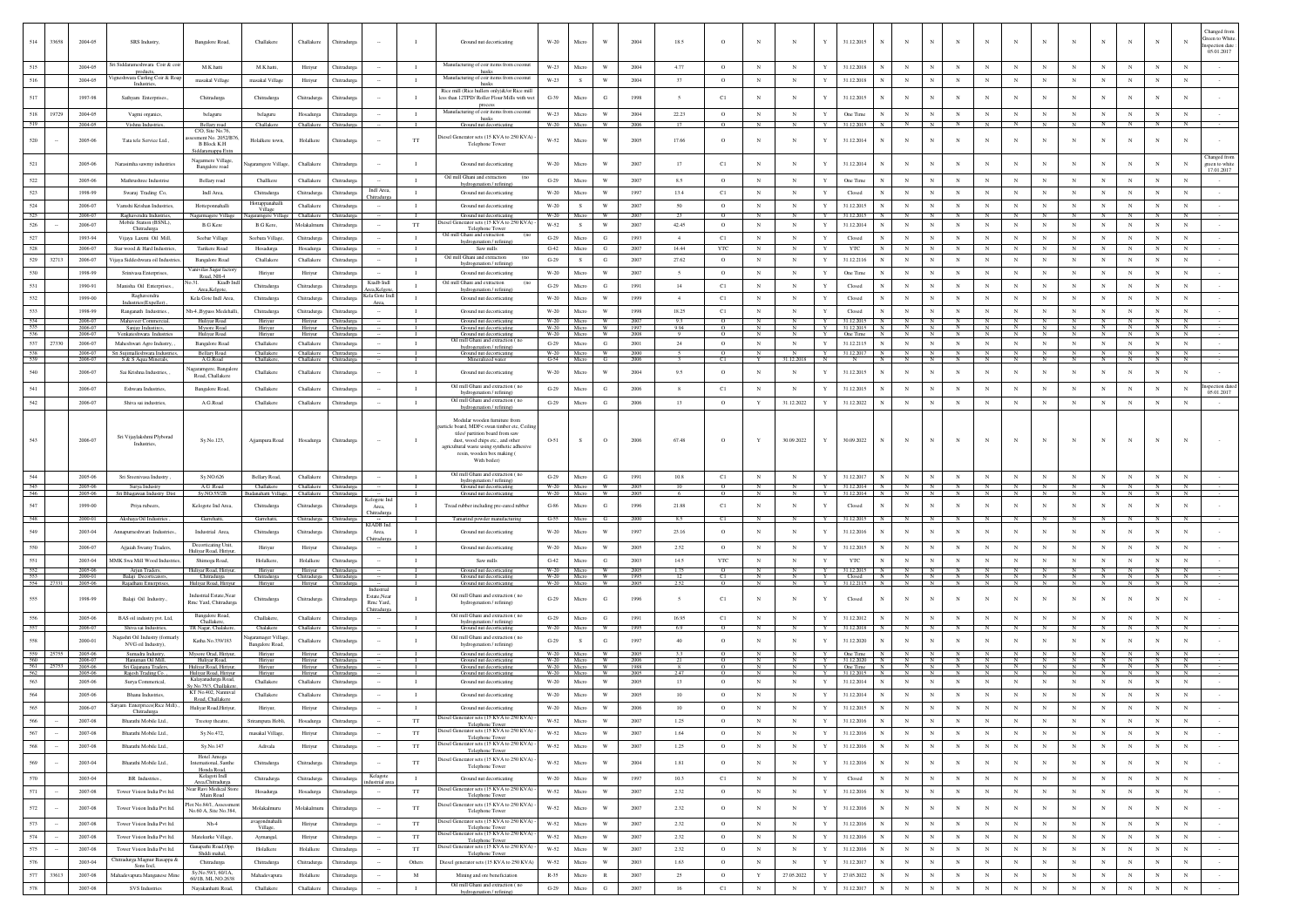| 514            | 33658 | 2004-05                  | SRS Industry,                                       | Bangalore Road,                                        | Challakere                          | Challakere                                      | Chitradurga                |                          | $\mathbf{I}$                 | Ground nut decorticating                                                                              | $W-20$                          | Micro                    | W                                       | 2004         | 18.5                     | $\circ$                   |                            | N                            | Y                          | 31.12.2015                       | $_{\rm N}$               | $_{\rm N}$                   | N                                                    | $_{\rm N}$                | $_{\rm N}$               | $_{\rm N}$                   | $_{\rm N}$                   | $_{\rm N}$                   |                            |                              | Green to White<br>spection date             |
|----------------|-------|--------------------------|-----------------------------------------------------|--------------------------------------------------------|-------------------------------------|-------------------------------------------------|----------------------------|--------------------------|------------------------------|-------------------------------------------------------------------------------------------------------|---------------------------------|--------------------------|-----------------------------------------|--------------|--------------------------|---------------------------|----------------------------|------------------------------|----------------------------|----------------------------------|--------------------------|------------------------------|------------------------------------------------------|---------------------------|--------------------------|------------------------------|------------------------------|------------------------------|----------------------------|------------------------------|---------------------------------------------|
|                |       |                          | Sri Siddarameshwara Coir & coi                      |                                                        |                                     |                                                 |                            |                          |                              | Manufacturing of coir items from coconut                                                              |                                 |                          |                                         |              |                          |                           |                            |                              |                            |                                  |                          |                              |                                                      |                           |                          |                              |                              |                              |                            |                              | 05.01.2017                                  |
| 515            |       | 2004-05                  | products                                            | M.K.hatti                                              | M.K.hatti.                          | Hiriyur                                         | Chitradurea                |                          | $\mathbf{I}$                 | husks                                                                                                 | W-23                            | Micro                    | W                                       | 2004         | 4.77                     | $\circ$                   | $\mathbb{N}$               | $_{\rm N}$                   | Y                          | 31.12.2018                       | $_{\rm N}$               | $_{\rm N}$                   | $\mathbb{N}$                                         | $_{\rm N}$                | $\mathbf{N}$             | $\mathbf{N}$                 | $_{\rm N}$                   | $_{\rm N}$                   | $\mathbf{N}$               |                              |                                             |
| 516            |       | 2004-05                  | Vigneshwara Curling Coir & Roap<br>Industrie        | masakal Village                                        | masakal Village                     | Hiriyur                                         | Chitradurga                |                          | $\mathbf{I}$                 | Manufacturing of coir items from coconut<br>husks                                                     | W-23                            | S                        | $\mathbf{W}$                            | 2004         | 37                       | $\circ$                   | $_{\rm N}$                 | $_{\rm N}$                   | $\mathbf Y$                | 31.12.2018                       | $_{\rm N}$               | $_{\rm N}$                   | $_{\rm N}$<br>$_{\rm N}$                             | $_{\rm N}$                | $_{\rm N}$               | ${\bf N}$                    | $_{\rm N}$                   | $_{\rm N}$                   | $_{\rm N}$                 | $_{\rm N}$                   |                                             |
|                |       | 1997-98                  | Sathyam Enterprises.                                | Chitradurga                                            | Chitradurga                         | Chitradurga                                     | Chitradurga                |                          |                              | Rice mill (Rice hullers only)&/or Rice mill<br>less than 12TPD/ Roller Flour Mills with we<br>process | $G-39$                          | Micro                    | $_{\rm G}$                              | 1998         | $\sim$                   | C1                        | $_{\rm N}$                 | $_{\rm N}$                   | Y                          | 31.12.2015                       |                          | $\overline{N}$               | N                                                    |                           | $_{\rm N}$               | $_{\rm N}$                   | $_{\rm N}$                   | N                            | $_{\rm N}$                 |                              |                                             |
| 518<br>519     | 19729 | 2004-05<br>2004-05       | Vagmi organics                                      | belaguru                                               | belaguru<br>Challakere              | Hosadurga<br>Challakere                         | Chitradurea<br>Chitradure: |                          | $\mathbf{I}$<br><b>T</b>     | Manufacturing of coir items from coconut<br>husks                                                     | W-23<br>$W-20$                  | Micro<br>Micro           | W<br>W.                                 | 2004<br>2006 | 22.23<br>$\overline{17}$ | $\circ$<br>$\alpha$       | $_{\rm N}$<br>$\mathbf{N}$ | $_{\rm N}$<br>$\overline{N}$ | Y<br>Y                     | One Time<br>$31122015$ N         | $_{\rm N}$               | $_{\rm N}$<br>N              | $_{\rm N}$<br>$\mathbf{N}$<br>N<br>$\mathbb{N}$      | $_{\rm N}$<br>N           | $_{\rm N}$<br>N          | $_{\rm N}$<br>N              | N<br>$\mathbf{N}$            | $_{\rm N}$<br>$\overline{N}$ | $_{\rm N}$<br>$\mathbf{N}$ | $\mathbf{N}$<br>$\mathbf{N}$ | $\mathbf{N}$<br>$\mathbf{N}$                |
|                |       | 2005-06                  | Vishnu Industrie                                    | Bellary road<br>C/O, Site No.76,<br>sment No. 2052/B76 |                                     |                                                 |                            |                          |                              | Ground nut decorticat<br>tiesel Generator sets (15 KVA to 250 KVA)                                    | W-52                            | Micro                    | W                                       | 2005         | 17.66                    | $\circ$                   | $\mathbf N$                | N                            | Y                          |                                  | $_{\rm N}$               | N                            | N                                                    | N                         | N                        | N                            | N                            | N                            | N                          |                              |                                             |
| 520            |       |                          | Tata tele Service Ltd.,                             | <b>B Block K.H</b><br>laramanna E:                     | Holalkere town,                     | Holalkere                                       | Chitradurga                |                          | $_{\rm TT}$                  | Telephone Tower                                                                                       |                                 |                          |                                         |              |                          |                           |                            |                              |                            | 31.12.2014                       |                          |                              |                                                      |                           |                          |                              |                              |                              |                            |                              | Changed fro                                 |
| 521            |       | 2005-06                  | Narasimha sawmy industrie                           | Nagarmere Village<br>Bangalore road                    | agaramgere Village                  | Challakere                                      | Chitradurga                |                          | $\mathbf{I}$                 | Ground nut decorticating                                                                              | $W-20$                          | Micro                    | W                                       | 2007         | 17                       | C1                        | $_{\rm N}$                 | N                            | Y                          | 31.12.2014                       | N                        | N                            | N                                                    | $_{\rm N}$                | $_{\rm N}$               | $_{\rm N}$                   | $_{\rm N}$                   | $_{\rm N}$                   | $_{\rm N}$                 | $_{\rm N}$                   | green to white<br>17.01.2017<br>$_{\rm N}$  |
| $522\,$<br>523 |       | 2005-06<br>1998-99       | Mathrushree Industrise                              | Bellary road<br>Indl Area                              | Challkere                           | Challakere                                      | Chitradurg                 | Indi Area,               | $\mathbf{I}$<br>$\mathbf{I}$ | Oil mill Ghani and extraction<br>(no<br>hydrogenation / refining                                      | $\operatorname{G-29}$<br>$W-20$ | Micro<br>Micro           | $\mathbf{W}$<br>W                       | 2007<br>1997 | 8.5                      | $\circ$                   | $_{\rm N}$<br>$_{\rm N}$   | $_{\rm N}$<br>$_{\rm N}$     | $\mathbf Y$<br>Y           | One Time<br>Closed               |                          | $_{\rm N}$<br>$\mathbf N$    | N<br>$\mathbf{N}$<br>$_{\rm N}$<br>$_{\rm N}$        | N<br>$_{\rm N}$           | $_{\rm N}$<br>$_{\rm N}$ | $_{\rm N}$<br>$_{\rm N}$     | $_{\rm N}$<br>$_{\rm N}$     | $_{\rm N}$<br>$_{\rm N}$     | N<br>$_{\rm N}$            | $_{\rm N}$                   |                                             |
|                |       |                          | Swaraj Trading Co,                                  |                                                        | Chitradurga<br>Hottappanahall       | Chitradurga                                     | Chitradurga                | hitradurg                |                              | Ground nut decorticating                                                                              |                                 |                          |                                         |              | 13.4                     | C1                        |                            |                              |                            |                                  |                          |                              |                                                      |                           |                          |                              |                              |                              |                            |                              |                                             |
| 524            |       | 2006-07                  | Vamshi Krishan Industries,                          | Hotteponnahalli                                        | Village                             | Challakere                                      | Chitradurga                |                          | $\mathbf{I}$                 | Ground nut decorticating                                                                              | W-20                            | S                        | W<br>W                                  | 2007         | 50                       | $\circ$                   | N<br>N                     | $_{\rm N}$                   | $\mathbf Y$                | 31.12.2015                       | $_{\rm N}$               | $_{\rm N}$<br>N              | $_{\rm N}$<br>$_{\rm N}$<br>N                        | $_{\rm N}$<br>N           | $\,$ N $\,$<br>N         | ${\bf N}$<br>N               | $_{\rm N}$<br>N              | $_{\rm N}$                   | $_{\rm N}$                 | $_{\rm N}$<br>N              | $_{\rm N}$                                  |
| 525<br>526     |       | 2006-07<br>2006-07       | Raghavendra Industries,<br>Mobile Station (BSNL)    | Nagarmagere Village<br><b>B.G Kere</b>                 | Nagaramgere Vill<br><b>B.G</b> Kere | Challakere<br>Molakalmuru                       | Chitradurga<br>Chitradurga |                          | TT                           | Ground nut decorticatin<br>Generator sets (15 KVA to 250 KV.                                          | W-20<br>W-52                    | Micro<br>S               | W                                       | 2007<br>2007 | 23<br>42.45              | $\circ$<br>$\circ$        | $_{\rm N}$                 | N<br>$_{\rm N}$              | Y<br>$\mathbf Y$           | 31.12.2019<br>31.12.2014         | $_{\rm N}$               | $_{\rm N}$                   | $_{\rm N}$<br>$_{\rm N}$                             | $_{\rm N}$                | $_{\rm N}$               | $_{\rm N}$                   | $_{\rm N}$                   | N<br>$_{\rm N}$              | N<br>$_{\rm N}$            | $_{\rm N}$                   | $_{\rm N}$                                  |
|                |       |                          | Chitradurga                                         |                                                        |                                     |                                                 |                            |                          |                              | Telephone Tower<br>Oil mill Ghani and extraction                                                      |                                 |                          |                                         |              |                          |                           |                            |                              |                            |                                  |                          |                              |                                                      |                           |                          |                              |                              |                              |                            |                              |                                             |
| 527            |       | 1993-94                  | Vijaya Laxmi Oil Mill,                              | Seebar Village                                         | Seebara Village                     | Chitradurga                                     | Chitradurea                |                          | $\mathbf{I}$                 | hydrogenation / refining                                                                              | $G-29$                          | Micro                    | G                                       | 1993         | $\overline{4}$           | C1                        | N                          | N                            | Y                          | Closed                           | N                        | $_{\rm N}$                   | $_{\rm N}$<br>$_{\rm N}$                             | $_{\rm N}$                | $_{\rm N}$               | $_{\rm N}$                   | $_{\rm N}$                   | $_{\rm N}$                   | $_{\rm N}$                 | $_{\rm N}$                   | $_{\rm N}$                                  |
| 528            |       | 2006-07                  | Star wood & Hard Industries,                        | Tarikere Road                                          | Hosadurga                           | Hosadurga                                       | Chitradurga                |                          | $\mathbf{I}$                 | Saw mills<br>Oil mill Ghani and extraction                                                            | $G-42$                          | Micro                    | G                                       | 2007         | 14.44                    | <b>YTC</b>                | N                          | $_{\rm N}$                   | Y                          | <b>YTC</b>                       | N                        | $_{\rm N}$                   | $_{\rm N}$                                           | $_{\rm N}$                | $_{\rm N}$               | $_{\rm N}$                   | $_{\rm N}$                   | $_{\rm N}$                   | $_{\rm N}$                 | $_{\rm N}$                   |                                             |
| 529            | 32713 | 2006-07                  | ijaya Siddeshwara oil Industri                      | Bangalore Road                                         | Challakere                          | Challakere                                      | Chitradurga                |                          | $\mathbf{I}$                 | hydrogenation / refining                                                                              | $G-29$                          | S                        | G                                       | 2007         | 27.62                    | $\circ$                   | $_{\rm N}$                 | $_{\rm N}$                   | Y                          | 31.12.2116                       |                          | $_{\rm N}$                   | N                                                    |                           | $_{\rm N}$               | $_{\rm N}$                   | $_{\rm N}$                   | $_{\rm N}$                   | $_{\rm N}$                 |                              |                                             |
| 530            |       | 1998-99                  | Srinivasa Enterprises                               | Vanivilas Sagar factor<br>Road, NH-4                   | Hiriyur                             | Hiriyur                                         | Chitradurez                |                          | $\mathbf{I}$                 | Ground nut decorticating                                                                              | W-20                            | Micro                    | W                                       | 2007         | $\sim$                   | $\circ$                   | $_{\rm N}$                 | $_{\rm N}$                   | Y                          | One Time                         | N                        | $_{\rm N}$                   | $_{\rm N}$<br>$_{\rm N}$                             | $_{\rm N}$                | N                        | $_{\rm N}$                   | $_{\rm N}$                   | $_{\rm N}$                   | $_{\rm N}$                 | $_{\rm N}$                   | $_{\rm N}$                                  |
| 531            |       | 1990-91                  | Manisha Oil Enterprises.                            | Kiadb Inc<br>Area, Kelgote,                            | Chitradurga                         | Chitradurga                                     | Chitradurga                | Kiadb Indl<br>ea.Kelgo   | $\mathbf{I}$                 | Oil mill Ghani and extraction                                                                         | $G-29$                          | Micro                    | G                                       | 1991         | 14                       | C1                        | $_{\rm N}$                 | $_{\rm N}$                   | Y                          | Closed                           | N                        | $_{\rm N}$                   | $_{\rm N}$<br>$_{\rm N}$                             | $_{\rm N}$                | $_{\rm N}$               | $_{\rm N}$                   | $_{\rm N}$                   | $_{\rm N}$                   | $_{\rm N}$                 | $_{\rm N}$                   | $_{\rm N}$                                  |
| 532            |       | 1999-00                  | Raghavendra                                         | Kela Gote Indi Area.                                   | Chitradurea                         | Chitradurea                                     | Chitradurea                | ela Gote Inc             | $\mathbf{I}$                 | hydrogenation / refinin<br>Ground nut decorticating                                                   | W-20                            | Micro                    | <b>W</b>                                | 1999         | $\overline{4}$           | C1                        | $_{\rm N}$                 | N                            | Y                          | Closed                           | N                        | N                            | $_{\rm N}$<br>$_{\rm N}$                             | $_{\rm N}$                | $_{\rm N}$               | $_{\rm N}$                   | $_{\rm N}$                   | $_{\rm N}$                   | $_{\rm N}$                 | N.                           | $\mathbf{N}$                                |
| 533            |       | 1998-99                  | Industries(Expeller)<br>Ranganath Industries.,      | kh-4., Bypass Medehall                                 | Chitradurga                         | Chitradurga                                     | Chitradurga                | Area,                    | $\mathbf{I}$                 | Ground nut decorticating                                                                              | $W-20$                          | Micro                    | $\ensuremath{\text{W}}$                 | 1998         | 18.25                    | $_{\rm C1}$               | $_{\rm N}$                 | $_{\rm N}$                   | Y                          | Closed                           | N                        | $_{\rm N}$                   | $_{\rm N}$                                           | $_{\rm N}$                | $_{\rm N}$               | $_{\rm N}$                   | $_{\rm N}$                   | $_{\rm N}$                   | $_{\rm N}$                 | $_{\rm N}$                   | $_{\rm N}$                                  |
| 534            |       | 2006-07                  | Mahaveer Commercial,                                | Huliyar Road                                           | Hiriyur                             |                                                 | Hiriyur Chitradurga        |                          |                              | Ground nut decorticating                                                                              | $W-20$                          | Micro                    | W.                                      | 200          | 9.3                      | $\circ$                   |                            |                              | Y                          | 31.12.2015                       | N                        | N                            | $_{\rm N}$                                           |                           |                          | $_{\rm N}$                   |                              | $\mathbb{N}$                 |                            |                              |                                             |
| 535            |       | 2006-07                  | Sanjay Indus                                        | Mysore Road                                            | Hiriyur                             | Hiriyur                                         | Chitradurga                |                          |                              | Ground nut decorticating                                                                              | W-20                            | Micro<br>W-20 Micro      | W.<br>- W                               | 1997         | 9.94<br>$^{\circ}$       | $\circ$<br>$\overline{0}$ |                            | N                            |                            | 31.12.2015                       |                          |                              | N                                                    |                           |                          | $\mathbf{N}$                 |                              |                              |                            |                              |                                             |
| 536<br>537     | 27330 | 2006-07<br>2006-07       | Venkateshwara Industr<br>Maheshwari Agro Industry,  | Huliyar Road<br>Bangalore Road                         | Hiriyu<br>Challakere                | Hiriyur<br>Challakere                           | Chitradurga<br>Chitradurga |                          | $\mathbf{I}$                 | Ground nut decorticating<br>Oil mill Ghani and extraction (no                                         | $G-29$                          | Micro                    | $_{\rm G}$                              | 2008<br>2001 | 24                       | $\circ$                   | N<br>$_{\rm N}$            | $_{\rm N}$                   | Y<br>$\mathbf Y$           | One Time<br>31.12.2115           | N<br>N                   | $\mathbb{N}$<br>$_{\rm N}$   | IN.<br>$\mathbb{N}$<br>$_{\rm N}$<br>$_{\rm N}$      | $\mathbf N$<br>$_{\rm N}$ | N<br>$_{\rm N}$          | $\,$ N                       | $_{\rm N}$<br>$_{\rm N}$     | N<br>$_{\rm N}$              | $\mathbb{N}$<br>$_{\rm N}$ | N<br>$_{\rm N}$              | N<br>$_{\rm N}$                             |
| 538            |       | 2006-07                  | Sri Sujimalleshwara Industries,                     | Bellary Road                                           | Challakere                          |                                                 | Challakere Chitradurga     |                          | $\blacksquare$               | hydrogenation / refining)<br>Ground nut decorticating                                                 |                                 | W-20 Micro               | W                                       | 2000         |                          | $\circ$                   | $\overline{N}$             | N                            |                            | Y 31.12.2017 N                   |                          | $N$ $N$                      |                                                      | $N$ $N$                   | $N$ $N$                  |                              |                              | $N$ $N$                      | $\mathbf{z}$               | $\mathbb{N}$                 | N                                           |
| 539            |       | 2006-07                  | S & S Aqua Minerals                                 | A.G.Road                                               | Challakere                          | Challakere Chitradurg                           |                            |                          | $\mathbf{I}$                 | Mineralized water                                                                                     |                                 | G-54 Micro               | G                                       | 2006         | $\mathbf{3}$             | C1                        | Y                          | 31.12.2018 N                 |                            | $\mathbb{N}$                     |                          |                              | N N N N                                              | N                         | $N$ $N$ $N$              |                              |                              | N                            |                            | $N$ $N$                      | $\mathbb{N}$                                |
| 540            |       | 2006-07                  | Sai Krishna Industries, ,                           | lagaramgere, Bangalon<br>Road, Challakere              | Challakere                          | Challakere                                      | Chitradurga                |                          | $\mathbf{I}$                 | Ground nut decorticating                                                                              | $W-20$                          | Micro                    | W                                       | 2004         | 9.5                      | $\circ$                   | $_{\rm N}$                 | N                            | Y                          | 31.12.2015                       | $_{\rm N}$               | $_{\rm N}$                   | N<br>$_{\rm N}$                                      | $_{\rm N}$                | $_{\rm N}$               | $_{\rm N}$                   | $_{\rm N}$                   | N                            | $_{\rm N}$                 |                              |                                             |
|                |       | 2006-07                  | Eshwara Industries.                                 | Bangalore Road,                                        | Challakere                          | Challakere                                      | Chitradurea                |                          | $\mathbf{I}$                 | Oil mill Ghani and extraction (no<br>hydrogenation / refining)                                        | $G-29$                          | Micro                    | G                                       | 2006         | 8                        | C1                        | $_{\rm N}$                 | $_{\rm N}$                   | Y                          | 31.12.2015                       | $_{\rm N}$               | $_{\rm N}$                   | $_{\rm N}$<br>N                                      | $_{\rm N}$                | N                        | $_{\rm N}$                   | $_{\rm N}$                   | $_{\rm N}$                   | $_{\rm N}$                 | $\mathbf{N}$                 | spection date<br>$\mathbf{N}$<br>05.01.2017 |
| 542            |       | 2006-07                  | Shiva sai industries.                               | A.G.Road                                               | Challakere                          | Challakere                                      | Chitradurga                |                          | $\mathbf{I}$                 | Oil mill Ghani and extraction (no<br>hydrogenation / refining)                                        | $G-29$                          | Micro                    | G                                       | 2006         | 13                       | $\circ$                   | Y                          | 31.12.2022                   | Y                          | 31.12.2022                       | $_{\rm N}$               | $_{\rm N}$                   | $_{\rm N}$<br>$\mathbf{N}$                           | $_{\rm N}$                | $_{\rm N}$               | $_{\rm N}$                   | $_{\rm N}$                   | $_{\rm N}$                   | $_{\rm N}$                 | $_{\rm N}$                   |                                             |
|                |       |                          |                                                     |                                                        |                                     |                                                 |                            |                          |                              | Modular wooden furniture from                                                                         |                                 |                          |                                         |              |                          |                           |                            |                              |                            |                                  |                          |                              |                                                      |                           |                          |                              |                              |                              |                            |                              |                                             |
|                |       |                          |                                                     |                                                        |                                     |                                                 |                            |                          |                              | icle board, MDF< swan timber etc, Ceilin<br>tiles/ partition board from saw                           |                                 |                          |                                         |              |                          |                           |                            |                              |                            |                                  |                          |                              |                                                      |                           |                          |                              |                              |                              |                            |                              |                                             |
|                |       | 2006-07                  | Sri Vijaylakshmi Plyborad<br><b>Industries</b>      | Sy.No.123,                                             | Ajjampura Road                      | Hosadurga                                       | Chitradurga                |                          |                              | dust, wood chips etc., and other                                                                      | 0-51                            | S.                       | $\circ$                                 | 2006         | 67.48                    | $\circ$                   | Y                          | 30.09.2022                   | Y                          | 30.09.2022                       | N                        | N                            | N                                                    | $_{\rm N}$                | $_{\rm N}$               | $_{\rm N}$                   | N                            |                              |                            |                              |                                             |
|                |       |                          |                                                     |                                                        |                                     |                                                 |                            |                          |                              | agricultural waste using synthetic adhesive<br>resin, wooden box making (                             |                                 |                          |                                         |              |                          |                           |                            |                              |                            |                                  |                          |                              |                                                      |                           |                          |                              |                              |                              |                            |                              |                                             |
|                |       |                          |                                                     |                                                        |                                     |                                                 |                            |                          |                              | With boiler)                                                                                          |                                 |                          |                                         |              |                          |                           |                            |                              |                            |                                  |                          |                              |                                                      |                           |                          |                              |                              |                              |                            |                              |                                             |
|                |       |                          |                                                     |                                                        |                                     |                                                 |                            |                          |                              |                                                                                                       |                                 |                          |                                         |              |                          |                           |                            |                              |                            |                                  |                          |                              |                                                      |                           |                          |                              |                              |                              |                            |                              |                                             |
|                |       |                          |                                                     |                                                        |                                     |                                                 |                            |                          |                              |                                                                                                       |                                 |                          |                                         |              |                          |                           |                            |                              |                            |                                  |                          |                              |                                                      |                           |                          |                              |                              |                              |                            |                              |                                             |
|                |       | 2005-06                  | Sri Sreenivasa Industry                             | Sy.NO.626                                              | Bellary Road,                       | Challakere                                      | Chitradurga                |                          | $\mathbf{I}$                 | Oil mill Ghani and extraction (no<br>hydrogenation / refining)                                        | $G-29$                          | Micro                    | G                                       | 1991         | 10.8                     | C1                        | $_{\rm N}$                 | $_{\rm N}$                   | Y                          | 31.12.2017                       | N                        | $_{\rm N}$                   | $_{\rm N}$<br>$_{\rm N}$                             | $_{\rm N}$                | $_{\rm N}$               | $_{\rm N}$                   | $_{\rm N}$                   | $_{\rm N}$                   | $_{\rm N}$                 |                              |                                             |
|                |       | 2005-06<br>2005-06       | Surya Industry<br>Sri Bhagawan Industry Dist        | A.G .Road<br>Sy.NO.55/2B                               | Challakere<br>Budanahatti Villag    | Challakere Chitradurga<br>Challakere Chitradurg |                            |                          | $\mathbf{I}$<br>$\mathbf{I}$ | Ground nut decorticating<br>Ground nut decorticating                                                  | <b>W-20</b>                     | W-20 Micro<br>Micro      | W<br><b>W</b>                           | 2005<br>2005 | 10<br>-6                 | $\circ$<br>$\circ$        | N                          | N                            | Y<br>Y                     | 31.12.2014 N<br>31.12.2014       |                          | $\frac{N}{N}$                | N<br>$\mathbb{N}$                                    | $\mathbb{N}$              | $\frac{N}{N}$            | N                            | N                            | $\frac{N}{N}$                | $\frac{N}{N}$              | $\frac{N}{N}$                |                                             |
| 547            |       | 1999-00                  |                                                     |                                                        |                                     | Chitradurga                                     |                            | elogote In               | $\mathbf{I}$                 |                                                                                                       | $G-86$                          | Micro                    | G                                       | 1996         | 21.88                    |                           | $_{\rm N}$                 | $_{\rm N}$                   | Y                          | Closed                           |                          | $_{\rm N}$                   | N                                                    |                           | N                        | $_{\rm N}$                   | $_{\rm N}$                   | N                            | N                          | $_{\rm N}$                   |                                             |
|                |       |                          | Priya rubeers,                                      | Kelogote Ind Area                                      | Chitradurga                         |                                                 | Chitradurga                | <b>hitradur</b>          |                              | Tread rubber including pre-cured rubber                                                               |                                 |                          |                                         |              |                          | C1                        |                            |                              |                            |                                  |                          |                              |                                                      |                           |                          |                              |                              |                              |                            |                              |                                             |
| 548            |       | 2000-01                  | Akshaya Oil Industries,                             | Garrehatti,                                            | Garrehatti,                         | Chitradurga Chitradurga                         |                            | KIADB Ind.               | -1.                          | Tamarind powder manufacturing                                                                         | $G-55$                          | Micro                    | G                                       | 2000         | 8.5                      | C1                        | N                          | N                            | Y                          | 31.12.2015                       | N                        | $\mathbb{N}$                 | N                                                    |                           | $\mathbf{N}$             | $_{\rm N}$                   |                              |                              |                            |                              |                                             |
| 549            |       | 2003-04                  | Annapumeshwari Industries.                          | Industrial Area                                        | Chitradurga                         | Chitradurga                                     | Chitradurg                 | <b>hitradurg</b>         | $\mathbf{I}$                 | Ground nut decorticating                                                                              | $W-20$                          | Micro                    | W                                       | 1997         | 23.16                    | $\circ$                   | $_{\rm N}$                 | N                            | Y                          | 31.12.2016                       | N                        | $_{\rm N}$                   | N                                                    | $_{\rm N}$                | $_{\rm N}$               | $_{\rm N}$                   | $_{\rm N}$                   | N                            | $_{\rm N}$                 | $\mathbf{N}$                 |                                             |
| 550            |       | 2006-07                  | Aijaiah Swamy Traders.                              | Decorticating Unit                                     | Hiriyur                             | Hiriyur                                         | Chitradurea                |                          | $\mathbf{I}$                 | Ground nut decorticating                                                                              | W-20                            | Micro                    | W                                       | 2005         | 2.52                     | $\circ$                   | $_{\rm N}$                 | $_{\rm N}$                   | Y                          | 31.12.2015                       | N                        | $_{\rm N}$                   | $_{\rm N}$<br>N                                      | $_{\rm N}$                | $_{\rm N}$               | $_{\rm N}$                   | $_{\rm N}$                   | $_{\rm N}$                   | $_{\rm N}$                 | N.                           |                                             |
| 551            |       | 2003-04                  | MMK Swa Mill Wood Indust                            | Huliyar Road, Hiriyu<br>Shimoga Road,                  | Holalkere,                          | Holalkere                                       | Chitradurga                |                          | $\mathbf{I}$                 | Saw mills                                                                                             | $G-42$                          | Micro                    | G                                       | 2003         | 14.5                     | $_{\rm YTC}$              | $_{\rm N}$                 | $_{\rm N}$                   | $\mathbf Y$                | YTC                              | $_{\rm N}$               | $_{\rm N}$                   | $_{\rm N}$<br>$_{\rm N}$                             | $_{\rm N}$                | $_{\rm N}$               | $_{\rm N}$                   | $_{\rm N}$                   | $_{\rm N}$                   | $_{\rm N}$                 | $_{\rm N}$                   | $_{\rm N}$                                  |
|                |       | 2005-06                  | Arjun Traders,                                      | Huliyar Road, Hiriyur,                                 | Hiriyur                             |                                                 | Hiriyur Chitradurga        |                          | - 1                          | Ground nut decorticating                                                                              |                                 | W-20 Micro W             |                                         | 2005         | 1.75                     | $\circ$                   | N                          | $\mathbf{N}$                 |                            | Y 31.12.2015 N N N N             |                          |                              | N                                                    |                           | N N N N N N              |                              |                              |                              | N                          | $\overline{N}$               | $_{\rm N}$                                  |
| 553<br>554     |       | 2000-01<br>27331 2005-06 | Balaji Decorticators,<br>Rajadhani Enterprises      | Chitradurga                                            | Chitradurga<br>Hiriyur              | Chitradurga Chitradurga<br>Hiriyur              | Chitradur                  |                          |                              | Ground nut decorticating<br>Ground nut decorticating                                                  | W-20 Micro                      | W-20 Micro               | - W<br>W                                | 1995<br>2005 | 252                      | Cl<br>$\alpha$            | N<br>$\mathbf{N}$          | N<br>$\mathbb{N}$            |                            | Y Closed N N N N                 |                          |                              | N<br>Y 31.12.2115 N N N N N                          | N                         | $N$ $N$ $N$ $N$          | $N$ $N$                      | N                            | N<br>$\overline{N}$          | $\mathbf{x}$<br>z<br>I     | N<br>$\overline{N}$          | $\mathbb{N}$<br>$\sim$                      |
|                |       |                          |                                                     | Huliyar Road, Hiriyur                                  |                                     |                                                 |                            | Industrial               |                              |                                                                                                       |                                 |                          |                                         |              |                          |                           |                            |                              |                            |                                  |                          |                              |                                                      |                           |                          |                              |                              |                              |                            |                              |                                             |
| 555            |       | 1998-99                  | Balaji Oil Industry.                                | Industrial Estate,Near<br>Rmc Yard, Chitradurga        | Chitradurga                         | Chitradurea                                     | Chitradurea                | Estate, Near<br>Rmc Yard |                              | Oil mill Ghani and extraction (no<br>hydrogenation / refining)                                        | $G-29$                          | Micro                    | G                                       | 1996         | $\leq$                   | C1                        | $\mathbb{N}$               | N                            | $\mathbf{Y}$               | Closed                           | N                        | $_{\rm N}$                   | $_{\rm N}$                                           | $_{\rm N}$                | N                        | $_{\rm N}$                   | $\mathbf N$                  | N                            |                            | $\mathbf{N}$                 |                                             |
|                |       |                          |                                                     | Bangalore Road,                                        |                                     |                                                 |                            | <u> Chitradurez</u>      |                              | Oil mill Ghani and extraction (no                                                                     |                                 |                          |                                         |              |                          |                           |                            |                              |                            |                                  |                          |                              |                                                      |                           |                          |                              |                              |                              |                            |                              |                                             |
| 556<br>557     |       | 2005-06<br>2006-07       | BAS oil industry pvt. Ltd.<br>Shiva sai Industries, | Challakere<br>TR Nagar, Chalakere,                     | Challakere.<br>Chalakere            | Challakere<br>Challakere                        | Chitradurga<br>Chitradurga |                          | $\mathbf{I}$                 | hydrogenation / refining)<br>Ground nut decorticating                                                 | $G-29$<br>$W-20$                | Micro<br>Micro           | $_{\rm G}$<br>W                         | 1991<br>1995 | 16.95<br>6.9             | C1                        | $_{\rm N}$                 | $_{\rm N}$                   | $\mathbf Y$                | 31.12.2012<br>31.12.2018         | $_{\rm N}$<br>N          | $_{\rm N}$<br>$\overline{N}$ | $_{\rm N}$<br>$_{\rm N}$<br>$\overline{N}$           | $_{\rm N}$                | $_{\rm N}$               | $_{\rm N}$<br>$\overline{N}$ | $_{\rm N}$<br>$\overline{N}$ | $_{\rm N}$                   | $_{\rm N}$<br>N            | $_{\rm N}$<br>$\overline{N}$ | $_{\rm N}$                                  |
| 558            |       | 2000-01                  | Vagashri Oil Industry (formarly                     |                                                        | Vagaramager Villag                  | Challakere                                      |                            |                          | $\mathbf{I}$                 | Oil mill Ghani and extraction (no                                                                     |                                 | S                        |                                         | 1997         | 40                       | $\circ$                   | $_{\rm N}$                 | $_{\rm N}$                   | Y                          |                                  | N                        | $_{\rm N}$                   | $_{\rm N}$                                           | N                         | $_{\rm N}$               | $_{\rm N}$                   | $_{\rm N}$                   | N                            | N                          | $\mathbf{N}$                 |                                             |
|                |       |                          | NVG oil Industry),                                  | Katha No.339/183                                       | Bangalore Road,                     |                                                 | Chitradurga                |                          |                              | hydrogenation / refining)                                                                             | $G-29$                          |                          | G                                       |              |                          |                           |                            |                              |                            | 31.12.2020                       |                          |                              |                                                      |                           |                          |                              |                              |                              |                            |                              |                                             |
| 559<br>- 560   |       | 2005-06<br>2006-07       | Sumadra Industry,<br>Hanuman Oil Mill,              | Mysore Orad, Hiriyur<br>Huliyar Road,                  | Hiriyur<br>Hiriyur                  | Hiriyur<br>Hiriyur                              | Chitradurga<br>Chitradurga |                          |                              | Ground nut decorticating<br>Ground nut decorticating                                                  |                                 | W-20 Micro<br>W-20 Micro | W<br>$\mathbf{W}$                       | 2005<br>2006 | 3.3                      | $\circ$                   | $_{\rm N}$                 | N                            | Y                          | One Time<br>31.12.2020 N         | N                        | $\mathbf{N}$                 | N<br>N                                               | $_{\rm N}$                | N                        | $\mathbb{N}$                 | N                            | $\mathbf{N}$                 | N                          | N                            | N                                           |
| 561<br>562     |       | 2005-06<br>2005-06       | Sri Gaianana Trader                                 | Huliyar Road, Hiriyur<br>Huliyar Road, Hiriyu          | Hiriyur<br>Hiriyur                  | Hiriyur<br>Hiriyur                              | Chitradurga                |                          |                              | Ground nut decorticatin<br>Ground nut decorticating                                                   | W-20                            | W-20 Micro W<br>Micro    |                                         | 1988<br>2005 | 2.47                     | $\Omega$<br>$\circ$       |                            |                              | Y                          | Y   One Time   N  <br>31.12.2015 | N                        | N<br>N                       | $\mathbb{N}$<br>$_{\rm N}$                           |                           | N                        | N                            |                              | N<br>$\mathbf N$             | $\mathbf{N}$               | $\mathbb{N}$                 | N                                           |
| 563            |       | 2005-06                  | Rajesh Trading Co.<br>Surya Commerical,             | Kalayanadurga Road.                                    | Challakere                          | Challakere                                      | Chitradurga<br>Chitradurga |                          | $\mathbf{I}$                 | Ground nut decorticating                                                                              | $W-20$                          | Micro                    | W                                       | 2005         | 13                       | $\circ$                   | $_{\rm N}$                 | $_{\rm N}$                   | $\mathbf Y$                | 31.12.2014                       | $_{\rm N}$               | $_{\rm N}$                   | $_{\rm N}$                                           | $_{\rm N}$                | $_{\rm N}$               | $_{\rm N}$                   | $_{\rm N}$                   | $_{\rm N}$                   | $_{\rm N}$                 | $_{\rm N}$                   | $_{\rm N}$                                  |
|                |       | 2005-06                  |                                                     | y.No.75/3, Challake<br>KT No.402. Nann                 |                                     |                                                 |                            |                          |                              |                                                                                                       |                                 |                          | W                                       |              |                          |                           |                            |                              |                            |                                  | N                        |                              |                                                      |                           |                          |                              |                              |                              |                            | $_{\rm N}$                   |                                             |
|                |       |                          | Bhanu Industries.                                   | Road, Challakere                                       | Challakere                          | Challakere                                      | Chitradurga                |                          | $\mathbf{I}$                 | Ground nut decorticating                                                                              | $W-20$                          | Micro                    |                                         | 2005         | 10                       | $\circ$                   | N                          | N                            | Y                          | 31.12.2014                       |                          | N                            | $_{\rm N}$<br>$_{\rm N}$                             | N                         | $_{\rm N}$               | $_{\rm N}$                   | $_{\rm N}$                   | N                            | $_{\rm N}$                 |                              | $_{\rm N}$                                  |
|                |       | 2006-07                  | Satyam Enterprices(Rice Mill).,<br>Chitradurga      | Huliyar Road, Hiriyur,                                 | Hiriyur,                            | Hiriyur                                         | Chitradurga                |                          | $\mathbf{I}$                 | Ground nut decorticating                                                                              | $W-20$                          | Micro                    | W                                       | 2006         | 10 <sup>°</sup>          | $\circ$                   | $_{\rm N}$                 | $_{\rm N}$                   | $\mathbf Y$                | 31.12.2015                       | $_{\rm N}$               | $_{\rm N}$                   | $_{\rm N}$<br>$_{\rm N}$                             | $_{\rm N}$                | ${\bf N}$                | $_{\rm N}$                   | $_{\rm N}$                   | $_{\rm N}$                   | $_{\rm N}$                 |                              |                                             |
| 566            |       | 2007-08                  | Bharathi Mobile Ltd.                                | Treetop theatre,                                       | Srirampura Hobli,                   | Hosadurga                                       | Chitradurga                |                          | TT                           | Diesel Generator sets (15 KVA to 250 KVA) -<br>Telephone Tower                                        | W-52                            | Micro                    | $\ensuremath{\text{W}}$                 | 2007         | 1.25                     | $\circ$                   |                            | $_{\rm N}$                   | Y                          | 31.12.2016                       | $_{\rm N}$               | $_{\rm N}$                   | $_{\rm N}$<br>$_{\rm N}$                             | $_{\rm N}$                | $_{\rm N}$               | $_{\rm N}$                   | $_{\rm N}$                   | $_{\rm N}$                   | $_{\rm N}$                 | $_{\rm N}$                   | $_{\rm N}$                                  |
| 567            |       | 2007-08                  | Bharathi Mobile Ltd.                                | Sv.No.472.                                             | masakal Village                     | Hiriyur                                         | Chitradurea                |                          | <b>TT</b>                    | Diesel Generator sets (15 KVA to 250 KVA) -<br>Telephone Tower                                        | W-52                            | Micro                    | W                                       | 2007         | 1.64                     | $\circ$                   | $_{\rm N}$                 | N                            | Y                          | 31.12.2016                       | $_{\rm N}$               | $_{\rm N}$                   | $_{\rm N}$<br>$_{\rm N}$                             | $_{\rm N}$                | $_{\rm N}$               | $_{\rm N}$                   | $_{\rm N}$                   | $_{\rm N}$                   | $_{\rm N}$                 | $_{\rm N}$                   | $_{\rm N}$                                  |
| 568            |       | 2007-08                  | Bharathi Mobile Ltd.                                | Sy.No.147                                              | Adivala                             | Hiriyur                                         | Chitradurga                |                          | TT                           | Diesel Generator sets (15 KVA to 250 KVA) -<br>Telephone Tower                                        | W-52                            | Micro                    | $\mathbf{W}$                            | 2007         | 1.25                     | $\circ$                   | $_{\rm N}$                 | $_{\rm N}$                   | $\mathbf Y$                | 31.12.2016                       | $_{\rm N}$               | $_{\rm N}$                   | $_{\rm N}$<br>$_{\rm N}$                             | $_{\rm N}$                | ${\bf N}$                | ${\bf N}$                    | $_{\rm N}$                   | $_{\rm N}$                   | ${\bf N}$                  | $_{\rm N}$                   | $_{\rm N}$                                  |
|                |       |                          |                                                     | Hotel Amoga                                            |                                     |                                                 |                            |                          |                              | Diesel Generator sets (15 KVA to 250 KVA) -                                                           |                                 |                          |                                         | 2004         |                          |                           | $_{\rm N}$                 | $_{\rm N}$                   | Y                          |                                  | $_{\mathrm{N}}$          | $_{\rm N}$                   | $_{\rm N}$<br>$_{\rm N}$                             | $_{\rm N}$                | $_{\rm N}$               |                              | $_{\rm N}$                   | $_{\rm N}$                   | $_{\rm N}$                 | $_{\rm N}$                   |                                             |
| 569            |       | 2003-04                  | Bharathi Mobile Ltd.,                               | International, Santhe<br>Honda Road<br>Kelagoti Indi   | Chitradurga                         | Chitradurga                                     | Chitradurga                | Kelagote                 | $_{\rm TT}$                  | Telephone Tower                                                                                       | $W-52$                          | Micro                    | $\mathbf{W}$                            |              | 1.81                     | $\circ$                   |                            |                              |                            | 31.12.2016                       |                          |                              |                                                      |                           |                          | $_{\rm N}$                   |                              |                              |                            |                              |                                             |
| 570<br>571     |       | 2003-04<br>2007-08       | BR Industries.<br>Tower Vision India Pvt ltd.       | Area, Chitradurga<br>vear Ravi Medical Stor            | Chitradurga<br>Hosadurga            | Chitradurga<br>Hosadurga                        | Chitradurga<br>Chitradurga | dustrial are<br>$\sim$   | $\mathbf{I}$<br>TT           | Ground nut decorticating<br>Diesel Generator sets (15 KVA to 250 KVA) -                               | W-20<br>W-52                    | Micro<br>Micro           | $\mathbf{W}$<br>$\ensuremath{\text{W}}$ | 1997<br>2007 | 10.3<br>2.32             | C1<br>$\circ$             | N<br>${\bf N}$             | $_{\rm N}$<br>$_{\rm N}$     | $\mathbf Y$<br>$\mathbf Y$ | Closed<br>31.12.2016             | $_{\rm N}$<br>$_{\rm N}$ | $\,$ N $\,$<br>$_{\rm N}$    | $_{\rm N}$<br>$_{\rm N}$<br>$_{\rm N}$<br>$_{\rm N}$ | $_{\rm N}$<br>$_{\rm N}$  | $\,$ N $\,$<br>${\bf N}$ | $\,$ N<br>${\bf N}$          | $_{\rm N}$<br>${\bf N}$      | $_{\rm N}$<br>$_{\rm N}$     | $_{\rm N}$<br>$_{\rm N}$   | $_{\rm N}$<br>$_{\rm N}$     | $_{\rm N}$<br>$_{\rm N}$                    |
| 572            |       | 2007-08                  | Tower Vision India Pvt Itd.                         | Main Road<br>Plot No.84/1, Assessn                     | Molakalmuru                         | Molakalmuru                                     | Chitradurga                |                          | $_{\rm TT}$                  | Telephone Tower<br>Diesel Generator sets (15 KVA to 250 KVA)                                          | $W-52$                          | Micro                    | $\ensuremath{\text{W}}$                 | 2007         | 2.32                     | $\circ$                   | $_{\rm N}$                 | $_{\rm N}$                   | $\mathbf Y$                | 31.12.2016                       | $_{\rm N}$               | $_{\rm N}$                   | $_{\rm N}$<br>$_{\rm N}$                             | $_{\rm N}$                | $_{\rm N}$               | $_{\rm N}$                   | $_{\rm N}$                   | $_{\rm N}$                   | $_{\rm N}$                 | $_{\rm N}$                   |                                             |
| 573            |       | 2007-08                  | Tower Vision India Pvt ltd.                         | No.60 A, Site No.384,<br>$Nh-4$                        | avagondnahalli                      | Hiriyur                                         | Chitradurga                |                          | $_{\rm TT}$                  | Telephone Tower<br>Diesel Generator sets (15 KVA to 250 KVA)                                          | W-52                            | Micro                    | $\mathbf{W}$                            | 2007         | 2.32                     | $\circ$                   | $_{\rm N}$                 | $_{\rm N}$                   | $\mathbf Y$                | 31.12.2016                       | $_{\rm N}$               | $_{\rm N}$                   | $_{\rm N}$<br>$_{\rm N}$                             | $_{\rm N}$                | ${\bf N}$                | ${\bf N}$                    | $_{\rm N}$                   | $_{\rm N}$                   | $_{\rm N}$                 | $_{\rm N}$                   | $_{\rm N}$                                  |
| 574            |       | 2007-08                  | Tower Vision India Pvt Itd.                         |                                                        | Village,                            |                                                 |                            | $\sim$                   | TT                           | Telephone Tower<br>Diesel Generator sets (15 KVA to 250 KVA) -                                        | W-52                            | Micro                    | $\mathbf{W}$                            | 2007         |                          | $\circ$                   | N                          | $_{\rm N}$                   | $\mathbf Y$                | 31.12.2016                       | $\mathbb{N}$             | $_{\rm N}$                   | $_{\rm N}$<br>$_{\rm N}$                             | $_{\rm N}$                | $_{\rm N}$               | ${\bf N}$                    | $_{\rm N}$                   | $_{\rm N}$                   | $_{\rm N}$                 | $_{\rm N}$                   | $_{\rm N}$                                  |
|                |       |                          |                                                     | Matekurke Village<br>Ganapathi Road, Opp.              | Aymangal,                           | Hiriyur                                         | Chitradurga                |                          |                              | Telephone Tower<br>Diesel Generator sets (15 KVA to 250 KVA) -                                        |                                 |                          |                                         |              | 2.32                     |                           |                            |                              |                            |                                  |                          |                              |                                                      |                           |                          |                              |                              |                              |                            |                              |                                             |
| 575            |       | 2007-08                  | Tower Vision India Pvt Itd.                         | Shddi mahal,                                           | Holalkere                           | Holalkere                                       | Chitradurga                | $\sim$                   | $_{\rm TT}$                  | Telephone Tower                                                                                       | W-52                            | Micro                    | W                                       | 2007         | 2.32                     | $\circ$                   | $_{\rm N}$                 | $_{\rm N}$                   | $\mathbf Y$                | 31.12.2016                       | $_{\rm N}$               | $_{\rm N}$                   | $_{\rm N}$<br>$_{\rm N}$                             | $_{\rm N}$                | $_{\rm N}$               | $_{\rm N}$                   | $_{\rm N}$                   | $_{\rm N}$                   | $_{\rm N}$                 | $_{\rm N}$                   | $_{\rm N}$                                  |
| 576            |       | 2003-04                  | Chitradurga Magnur Basappa &<br>Sons Iocl,          | Chitradurga                                            | Chitradurga                         | Chitradurga                                     | Chitradurga                |                          | Others                       | Diesel generator sets (15 KVA to 250 KVA)                                                             | W-52                            | Micro                    | W                                       | 2003         | 1.63                     | $\circ$                   | ${\bf N}$                  | $_{\rm N}$                   | $\mathbf Y$                | 31.12.2017                       | $_{\rm N}$               | $_{\rm N}$                   | $_{\rm N}$<br>$_{\rm N}$                             | $_{\rm N}$                | $\,$ N $\,$              | $\,$ N                       | $\,$ N                       | $_{\rm N}$                   | $_{\rm N}$                 | $_{\rm N}$                   | $_{\rm N}$                                  |
| 577<br>578     | 33613 | 2007-08                  | Mahadevapura Manganese Mine                         | Sy.No.59/1, 60/1A,<br>60/1B, ML NO.2638                | Mahadevapura                        | Holalkere                                       | Chitradurga                | $\sim$                   | $\mathbf M$<br>$\mathbf I$   | Mining and ore beneficiation<br>Oil mill Ghani and extraction (no                                     | $R-35$<br>$\operatorname{G-29}$ | Micro                    | $\,$ R<br>${\bf G}$                     | 2007<br>2007 | 25<br>16                 | $\circ$<br>$_{\rm C1}$    | $\mathbf Y$<br>$\,$ N      | 27.05.2022<br>$_{\rm N}$     | $\mathbf Y$<br>$\mathbf Y$ | 27.05.2022<br>31.12.2017         | $_{\rm N}$<br>$_{\rm N}$ | $_{\rm N}$<br>$_{\rm N}$     | $_{\rm N}$<br>$_{\rm N}$<br>$_{\rm N}$<br>$_{\rm N}$ | $_{\rm N}$<br>$_{\rm N}$  | $_{\rm N}$<br>$_{\rm N}$ | $_{\rm N}$<br>$_{\rm N}$     | $_{\rm N}$<br>$_{\rm N}$     | $_{\rm N}$<br>$_{\rm N}$     | $_{\rm N}$<br>$_{\rm N}$   | $_{\rm N}$<br>$_{\rm N}$     | $_{\rm N}$<br>$_{\rm N}$                    |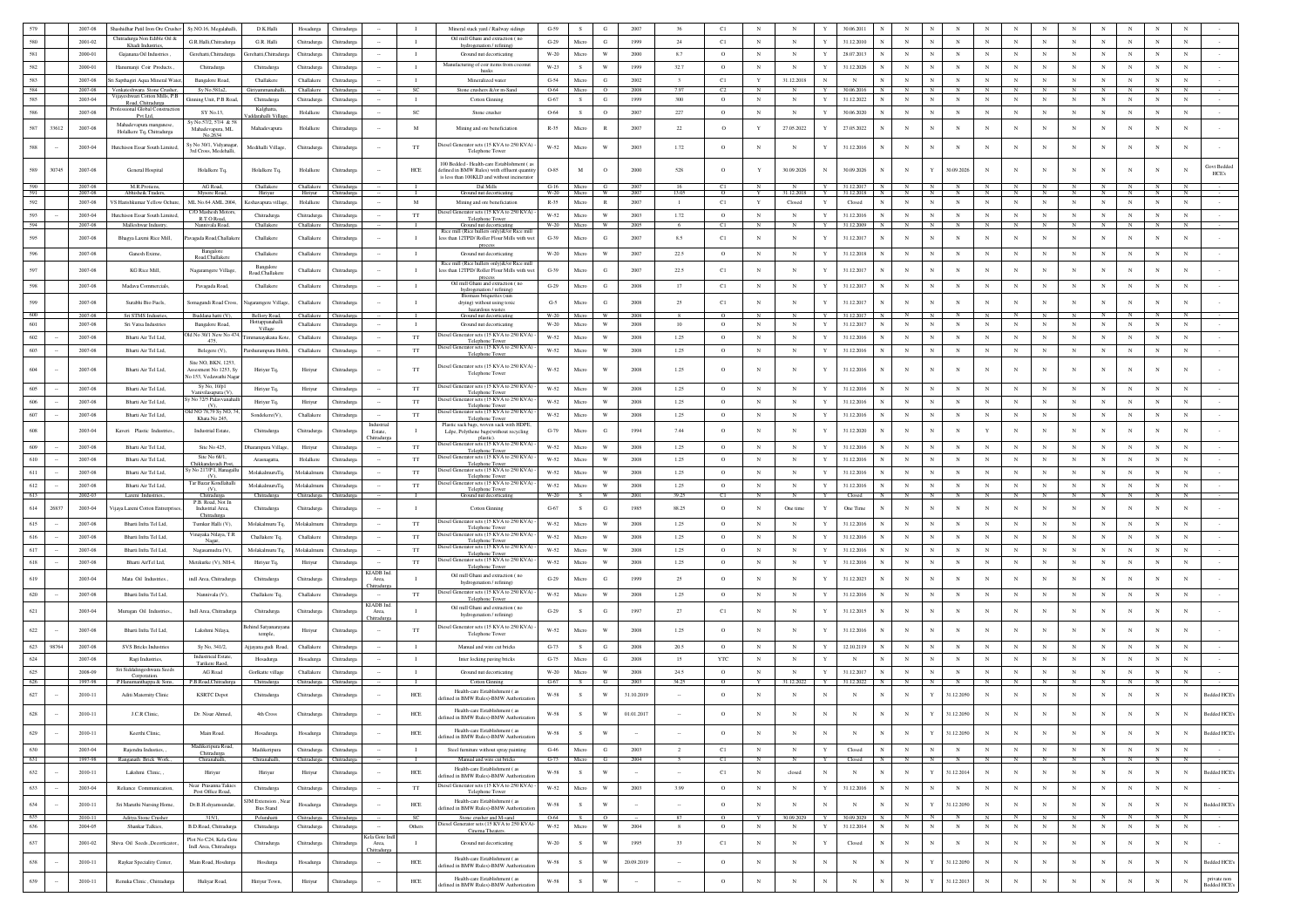|            |       | 2007-08                | Shashidhar Patil Iron Ore Crusher                             | Sy.NO.16, Megalahalli,                         | D.K.Halli                       | Hosadurga                              | Chitradurga                |                           |                               | Mineral stack yard / Railway sidings                                                      | $G-59$               | S              | G                       | 2007          | 36                       | C1              | $_{\rm N}$      |                            | 30.06.2011                      |                            |              |                          |                          |                |                   |                 |                |              |                                   |
|------------|-------|------------------------|---------------------------------------------------------------|------------------------------------------------|---------------------------------|----------------------------------------|----------------------------|---------------------------|-------------------------------|-------------------------------------------------------------------------------------------|----------------------|----------------|-------------------------|---------------|--------------------------|-----------------|-----------------|----------------------------|---------------------------------|----------------------------|--------------|--------------------------|--------------------------|----------------|-------------------|-----------------|----------------|--------------|-----------------------------------|
| 580        |       | 2001-02                | Chitradurga Non Edible Oil &<br>Khadi Industries              | G.R.Halli.Chitradurea                          | G.R. Halli                      | Chitradurga                            | Chitradure                 |                           | $\mathbf{I}$                  | Oil mill Ghani and extraction (no<br>hydrogenation / refining)                            | $G-29$               | Micro          | G                       | 1999          | 24                       | C1              | $_{\rm N}$      | $_{\rm N}$                 | $\mathbf{v}$<br>31.12.2010      | $_{\rm N}$                 | $\mathbf{N}$ | $_{\rm N}$<br>$_{\rm N}$ | $_{\rm N}$               | $_{\rm N}$     | $_{\rm N}$        | $_{\rm N}$      | $_{\rm N}$     | $_{\rm N}$   | N                                 |
| 581        |       | 2000-01                | Gajanana Oil Industries                                       | Gerehatti, Chitradurga                         | Gerehatti, Chitradurg           | Chitradurga                            | Chitradurga                |                           | $\mathbf{I}$                  | Ground nut decorticating                                                                  | $W-20$               | Micro          | $\mathbf{W}$            | 2000          | 8.7                      | $\circ$         | $_{\rm N}$      | $_{\rm N}$                 | $\mathbf Y$<br>28.07.2013       | $_{\rm N}$                 | $_{\rm N}$   | $_{\rm N}$<br>$_{\rm N}$ | $_{\rm N}$               | $_{\rm N}$     | $_{\rm N}$        | $_{\rm N}$      | $_{\rm N}$     | $_{\rm N}$   | $_{\rm N}$                        |
| 582        |       | 2000-01                | Hanumanji Coir Products.                                      | Chitradurga                                    | Chitradurga                     | Chitradurga                            | Chitradurea                |                           | $\mathbf{I}$                  | Manufacturing of coir items from coconut<br>husks                                         | W-23                 | S              | w                       | 1999          | 32.7                     | $\circ$         | N               | N                          | Y<br>31.12.2026                 | $_{\rm N}$                 | $_{\rm N}$   | $_{\rm N}$<br>$_{\rm N}$ | $_{\rm N}$               | $_{\rm N}$     | $_{\rm N}$        | $_{\rm N}$      | $_{\rm N}$     | $_{\rm N}$   | $_{\rm N}$                        |
| 583        |       | $2007 - 08$            | Sri Sapthagiri Aqua Mineral Water,                            | Bangalore Road,                                | Challakere                      | Challakere                             | Chitradurga                |                           | $\mathbf{I}$                  | Mineralized water                                                                         | $G-54$               | Micro          | ${\bf G}$               | 2002          | $\overline{\mathbf{3}}$  | C1              | Y               | 31.12.2018                 | $_{\rm N}$<br>$_{\rm N}$        | $_{\rm N}$                 | $_{\rm N}$   | $_{\rm N}$               | $_{\rm N}$<br>$_{\rm N}$ | $_{\rm N}$     | $_{\rm N}$        | $_{\rm N}$      | $_{\rm N}$     | $_{\rm N}$   | $_{\rm N}$                        |
| 584<br>585 |       | 2007-08<br>$2003 - 04$ | Venkateshwara Stone Crusher,<br>ijayeshwari Cotton Mills, P.B | Sy No.581a2,<br>Ginning Unit, P.B Road,        | .invammanahall<br>Chitradurga   | Challakere<br>Chitradurga              | Chitradurga<br>Chitradurga |                           | <b>SC</b><br>$\mathbf{I}$     | Stone crushers &/or m-Sand<br>Cotton Ginning                                              | 0-64<br>$G-67$       | Micro<br>S     | $\circ$<br>$_{\rm G}$   | 2008<br>1999  | 300                      | - 62<br>$\circ$ | $_{\rm N}$      | $_{\rm N}$                 | 0.06.2016<br>31.12.2022         | $_{\rm N}$                 | N            | $_{\rm N}$<br>$_{\rm N}$ | $_{\rm N}$               | $_{\rm N}$     | $_{\rm N}$        | $_{\rm N}$      | $_{\rm N}$     | $_{\rm N}$   | $_{\rm N}$                        |
| 586        |       | 2007-08                | Road, Chitradurga<br>rofessional Global Constructio           | SY No.13                                       | Kalehatta                       |                                        |                            |                           | SC                            |                                                                                           | 0-64                 | s.             | $\circ$                 | 2007          |                          | $\circ$         | N               | $_{\rm N}$                 | 30.06.2020                      | $_{\rm N}$                 |              | N                        | $_{\rm N}$               |                | $_{\rm N}$        | N               | $_{\rm N}$     | N            | N                                 |
|            |       |                        | Pvt Ltd.<br>Mahadevapura manganese,                           | y No.57/2, 57/4 & 5                            | 'addarahalli Vill               | Holalkere                              | Chitradurga                |                           |                               | Stone crusher                                                                             |                      |                |                         |               | $227\,$                  |                 |                 |                            |                                 |                            |              |                          |                          |                |                   |                 |                |              |                                   |
| 587        | 33612 | 2007-08                | Holalkere Tq, Chitradurga                                     | Mahadevapura, ML<br>No.2634                    | Mahadevapura                    | Holalkere                              | Chitradurga                |                           | M                             | Mining and ore beneficiation                                                              | $R-35$               | Micro          | $\mathbb{R}$            | 2007          | $22\,$                   | $\circ$         | Y               | 27.05.2022                 | 27.05.2022                      | $_{\rm N}$                 | N            | $_{\rm N}$               | $_{\rm N}$<br>$_{\rm N}$ | $_{\rm N}$     | $\mathbf N$       | $_{\rm N}$      | $_{\rm N}$     | $_{\rm N}$   | $_{\rm N}$                        |
| 588        |       | 2003-04                | Hutchison Essar South Limited,                                | y No 30/1, Vidyanaga                           | Medihalli Village.              | Chitradurga                            | Chitradurga                |                           | $_{\rm TT}$                   | iesel Generator sets (15 KVA to 250 KVA                                                   | $W-52$               | Micro          | W                       | 2003          | 1.72                     | $\circ$         | $_{\rm N}$      | $_{\rm N}$                 | 31.12.2016                      | $_{\rm N}$                 |              | $\mathbf N$              | $_{\rm N}$               |                | $_{\rm N}$        | $_{\rm N}$      | $_{\rm N}$     | $_{\rm N}$   | $_{\rm N}$                        |
|            |       |                        |                                                               | 3rd Cross, Medehalli                           |                                 |                                        |                            |                           |                               | Telephone Tower                                                                           |                      |                |                         |               |                          |                 |                 |                            |                                 |                            |              |                          |                          |                |                   |                 |                |              |                                   |
| 589        | 30745 | 2007-08                | General Hospital                                              | Holalkere Tq.                                  | Holalkere Tq,                   | Holalkere                              | Chitradurga                |                           | HCE                           | 100 Bedded - Health-care Establishment ( a<br>defined in BMW Rules) with effluent quantit | $O-85$               | M              | $\circ$                 | 2000          | 528                      | $\circ$         |                 | 30.09.2026                 | 30.09.2026<br>N                 | $_{\rm N}$                 | Y            | 30.09.2026<br>$_{\rm N}$ |                          | $_{\rm N}$     |                   | N               |                | N            | Govt Beddec<br>N<br>HCE's         |
| 590        |       | 2007-08                | M.R.Protiens                                                  | AG Road,                                       | Challakere                      | Challakere Chitradurga                 |                            |                           |                               | is less than 100KLD and without incinerate<br>Dal Mills                                   | G-16 Micro           |                |                         |               |                          | C1              |                 |                            | Y<br>31.12.2017<br>N I          | N                          |              |                          |                          |                |                   | N               |                |              |                                   |
| 591        |       | 2007-08                | Abhisheik Trader                                              | Mysore Road                                    | Hiriyur                         | Hiriyur                                | Chitradurga                |                           | M                             | Ground nut decorticatin<br>Mining and ore beneficiation                                   | $W-20$<br>$R - 35$   | Micro          | W                       | $\pi$<br>2007 | 13.05                    | $\Omega$        |                 | 31.12.2018                 | Y<br>31.12.2018                 | Ñ                          |              |                          |                          |                |                   |                 |                | N            |                                   |
| 592        |       | 2007-08                | VS Harishkumar Yellow Ochure.                                 | ML No.64 AML 2004.<br>C/O Mashesh Motor        | Keshavapura village             | Holalkere                              | Chitradurea                |                           |                               | iesel Generator sets (15 KVA to 250 KV)                                                   |                      | Micro          | R                       |               | $\mathbf{1}$             | C1              | Y               | Closed                     | Closed<br>Y                     | $_{\rm N}$                 | $_{\rm N}$   | $_{\rm N}$               | $_{\rm N}$<br>$_{\rm N}$ | N              | $_{\rm N}$        | ${\bf N}$       | $_{\rm N}$     |              | $_{\rm N}$                        |
| 593<br>594 |       | 2003-04<br>2007-08     | Hutchison Essar South Limi<br>Malleshwar Industry             | R.T.O Road,<br>Nannivala Road,                 | Chitradurga<br>Challakere       | Chitradurga<br>Challakere              | Chitradurga<br>Chitradurea |                           | TT<br>- 1                     | Telephone Tower<br>Ground nut decorticating                                               | $W-52$<br>W-20       | Micro<br>Micro | W<br>W                  | 2003<br>2005  | 1.72<br>-6               | $\circ$<br>C1   | $_{\rm N}$<br>N | $_{\rm N}$<br>$\mathbf{N}$ | 31.12.2016<br>31.12.2009        | $_{\rm N}$<br>N            |              | $_{\rm N}$<br>N<br>N     | $_{\rm N}$<br>N          | $_{\rm N}$     | $_{\rm N}$        | $_{\rm N}$<br>N | N              | N            | N<br>N                            |
| 595        |       | 2007-08                | Bhagya Laxmi Rice Mill,                                       | vagada Road, Challaker                         | Challakere                      | Challakere                             | Chitradurga                |                           | $\mathbf{I}$                  | Rice mill (Rice hullers only)&/or Rice mi<br>less than 12TPD/ Roller Flour Mills with wet | $G-39$               | Micro          | G                       | 2007          | 8.5                      | C1              | $_{\rm N}$      | $_{\rm N}$                 | 31.12.2017<br>$\mathbf{Y}$      | $_{\rm N}$                 |              | $_{\rm N}$               | $_{\rm N}$<br>N          |                | $_{\rm N}$        | $_{\rm N}$      | N              | $_{\rm N}$   | $_{\rm N}$                        |
|            |       |                        |                                                               | Bangalore                                      |                                 |                                        |                            |                           |                               | process                                                                                   |                      |                |                         |               |                          |                 |                 |                            |                                 |                            |              |                          |                          |                |                   |                 |                |              |                                   |
| 596        |       | 2007-08                | Ganesh Exime.                                                 | Road, Challakero                               | Challakere                      | Challakere                             | Chitradurea                |                           | $\mathbf{I}$                  | Ground nut decorticating<br>Rice mill (Rice hullers only)&/or Rice m                      | $W-20$               | Micro          | W                       | 2007          | 22.5                     | $\circ$         | N               | $_{\rm N}$                 | 31.12.2018<br>$\mathbf{Y}$      | $_{\rm N}$                 | N            | $_{\rm N}$<br>$_{\rm N}$ | $_{\rm N}$               | $_{\rm N}$     | $_{\rm N}$        | $_{\rm N}$      | $_{\rm N}$     | N            | $_{\rm N}$                        |
| 597        |       | 2007-08                | KG Rice Mill.                                                 | Nagaramgere Village,                           | Bangalore<br>Road, Challakero   | Challakere                             | Chitradurga                |                           | $\mathbf{I}$                  | ess than 12TPD/ Roller Flour Mills with w<br>process                                      | $G-39$               | Micro          | G                       | 2007          | 22.5                     | C1              | N               | $\mathbb{N}$               | 31.12.2017                      | $_{\rm N}$                 |              | $_{\rm N}$<br>$_{\rm N}$ |                          | $_{\rm N}$     | $_{\rm N}$        | N               | $_{\rm N}$     | $_{\rm N}$   | $\mathbf{N}$                      |
| 598        |       | 2007-08                | Madava Commercials.                                           | Pavagada Road,                                 | Challakere                      | Challakere                             | Chitradurea                |                           | $\mathbf{I}$                  | Oil mill Ghani and extraction (no<br>hydrogenation / refining)                            | $G-29$               | Micro          | G                       | 2008          | 17                       | C1              | $_{\rm N}$      | N                          | 31.12.2017<br>$\mathbf{Y}$      | $_{\rm N}$                 | N            | $_{\rm N}$<br>$_{\rm N}$ | $_{\rm N}$               | $_{\rm N}$     | $_{\rm N}$        | $_{\rm N}$      | $_{\rm N}$     | $_{\rm N}$   | $_{\rm N}$                        |
| 599        |       | 2007-08                | Surabhi Bio Fuels.                                            | Somagundi Road Cross,                          | Nagaramgere Village             | Challakere                             | Chitradurga                |                           | $\mathbf{I}$                  | Biomass briquettes (sur<br>drying) without using toxic                                    | $G-5$                | Micro          | G                       | 2008          | 25                       | C1              | N               | $_{\rm N}$                 | 31.12.2017                      | $_{\rm N}$                 |              | $_{\rm N}$               | N                        | $_{\rm N}$     | $\mathbf N$       | $_{\rm N}$      | $_{\rm N}$     | $_{\rm N}$   | $\mathbf N$                       |
| 600        |       | 2007-08                | Sri STMS Indusnes                                             | Buddana hatti (V                               | Bellory Road,                   | Challakere                             |                            |                           |                               | hazardous wastes<br>Ground nut decorticatin                                               | $W-20$               |                |                         | 2008          |                          |                 |                 |                            |                                 |                            |              |                          |                          |                |                   |                 |                |              |                                   |
| 601        |       | 2007-08                | Sri Vatsa Industries                                          | Bangalore Road,                                | Hottappanahalli<br>Village      | Challakere                             | Chitradurga                |                           | $\mathbf{I}$                  | Ground nut decorticating                                                                  | $W-20$               | Micro          | $\mathbf{W}$            | 2008          | 10                       | $\circ$         | $_{\rm N}$      | $_{\rm N}$                 | $\mathbf Y$<br>31.12.2017       | $_{\rm N}$                 | $\mathbb N$  | $_{\rm N}$               | $_{\rm N}$               |                | $_{\rm N}$        | $_{\rm N}$      | $_{\rm N}$     | $_{\rm N}$   | $_{\rm N}$                        |
| 602        |       | 2007-08                | Bharti Air Tel Ltd.                                           | ld No 30/1 New No 474,<br>475,                 | Timmanayakana Kote              | Challakere                             | Chitradurga                |                           | TT                            | Diesel Generator sets (15 KVA to 250 KVA<br>Telephone Tower                               | W-52                 | Micro          | W                       | 2008          | 1.25                     | $\circ$         | $_{\rm N}$      | $_{\rm N}$                 | 31.12.2016<br>Y                 | $_{\rm N}$                 | N            | $_{\rm N}$<br>$_{\rm N}$ | $_{\rm N}$               | $_{\rm N}$     | $_{\rm N}$        | $_{\rm N}$      | $_{\rm N}$     | $_{\rm N}$   | $_{\rm N}$                        |
| 603        |       | 2007-08                | Bharti Air Tel Ltd.                                           | Belegere (V),                                  | Parshurampura Hobli,            | Challakere                             | Chitradurga                |                           | $_{\rm TT}$                   | iesel Generator sets (15 KVA to 250 KVA)<br>Telephone Tower                               | $W-52$               | Micro          | $\ensuremath{\text{W}}$ | 2008          | 1.25                     | $\circ$         | $_{\rm N}$      | $_{\rm N}$                 | 31.12.2016<br>Y                 | $_{\rm N}$                 | N            | $_{\rm N}$               | $_{\rm N}$<br>$_{\rm N}$ | $_{\rm N}$     | $_{\rm N}$        | $_{\rm N}$      | $_{\rm N}$     | $_{\rm N}$   | $_{\rm N}$                        |
|            |       |                        |                                                               | Site NO BKN 1253                               |                                 |                                        |                            |                           |                               | iesel Generator sets (15 KVA to 250 KVA)                                                  |                      |                |                         |               |                          |                 |                 |                            |                                 |                            |              |                          |                          |                |                   |                 |                |              |                                   |
| 604        |       | 2007-08                | Bharti Air Tel Ltd.                                           | Assesment No 1253, Sy<br>lo 153, Vedawathi Nag | Hiriyur Tq.                     | Hiriyur                                | Chitradurga                |                           | TT                            | Telephone Tower                                                                           | W-52                 | Micro          | W                       | 2008          | 1.25                     | $\circ$         | N               | N                          | 31.12.2016                      | $_{\rm N}$                 | N            | N                        | N<br>N                   |                |                   | N               |                | $_{\rm N}$   | N                                 |
| 605        |       | 2007-08                | Bharti Air Tel Ltd,                                           | Sy No, 10/p1<br>Vanivilasapura (V)             | Hiriyur Tq.                     | Hiriyur                                | Chitradurga                |                           | TT                            | Diesel Generator sets (15 KVA to 250 KVA)<br>Telephone Tower                              | W-52                 | Micro          | W                       | 2008          | 1.25                     | $\circ$         | $_{\rm N}$      | $_{\rm N}$                 | 31.12.2016<br>Y                 | $_{\rm N}$                 | N            | $_{\rm N}$<br>$_{\rm N}$ | $_{\rm N}$               | $_{\rm N}$     | $_{\rm N}$        | ${\bf N}$       | $_{\rm N}$     | $_{\rm N}$   | $_{\rm N}$                        |
| $606\,$    |       | 2007-08                | Bharti Air Tel Ltd,                                           | No 72/5 Palavvanaha<br>(V)                     | Hiriyur Tq,                     | Hiriyur                                | Chitradurga                |                           | $_{\rm TT}$                   | Diesel Generator sets (15 KVA to 250 KVA)<br>Telephone Tower                              | $W-52$               | Micro          | W                       | 2008          | 1.25                     | $\circ$         | $_{\rm N}$      | $_{\rm N}$                 | 31.12.2016                      | $_{\rm N}$                 |              | $_{\rm N}$               | $_{\rm N}$<br>$_{\rm N}$ | $_{\rm N}$     | $_{\rm N}$        | $_{\rm N}$      | $_{\rm N}$     | $_{\rm N}$   | $_{\rm N}$                        |
| 607        |       | 2007-08                | Bharti Air Tel Ltd,                                           | 31d NO 78.79 Sv NO. 74<br>Khata No 245,        | Sondekere(V),                   | Challakere                             | Chitradurga                |                           | TT                            | Diesel Generator sets (15 KVA to 250 KVA)<br>Telephone Tower                              | W-52                 | Micro          | W                       | 2008          | 1.25                     | $\circ$         | $_{\rm N}$      | $_{\rm N}$                 | 31.12.2016<br><b>V</b>          | $_{\rm N}$                 |              | $_{\rm N}$               | $_{\rm N}$<br>$_{\rm N}$ | $_{\rm N}$     | $_{\rm N}$        | $_{\rm N}$      | $_{\rm N}$     | $_{\rm N}$   | $_{\rm N}$                        |
| 608        |       | 2003-04                | Kaveri Plastic Industries.                                    | Industrial Estate,                             | Chitradurga                     | Chitradurga                            | Chitradurg                 | Estate.                   | $\mathbf{L}$                  | Plastic sack bags, woven sack with HDPE,<br>Ldpe, Polythene bags(without recycling        | $G-79$               | Micro          | G                       | 1994          | 7.44                     | $\circ$         | $_{\rm N}$      | N                          | 31.12.2020                      | $\mathbf N$                |              | N                        | Y<br>$_{\rm N}$          | $_{\rm N}$     |                   | $_{\rm N}$      | $_{\rm N}$     | $\mathbf{N}$ | $\mathbf{N}$                      |
|            |       |                        |                                                               |                                                |                                 |                                        |                            | hitradurga                |                               | plasti<br>viesel Generator sets (15 KVA to 250 KVA)                                       |                      |                |                         |               |                          |                 |                 |                            |                                 |                            |              |                          |                          |                |                   |                 |                |              |                                   |
| 609        |       | 2007-08                | Bharti Air Tel Ltd.                                           | Site No 425.<br>Site No 68/1.                  | Dharampura Village              | Hiriyur                                | Chitradure                 |                           | <b>TT</b>                     | Telephone Tower<br>viesel Generator sets (15 KVA to 250 KVA)                              | W-52                 | Micro          | W                       | 2008          | 1.25                     | $\circ$         | N               | $\mathbb{N}$               | Y<br>31.12.2016                 | $_{\rm N}$                 |              | $_{\rm N}$<br>$_{\rm N}$ | $_{\rm N}$               | $_{\rm N}$     | $_{\rm N}$        | $_{\rm N}$      | $_{\rm N}$     | $_{\rm N}$   | $_{\rm N}$                        |
| 610        |       | 2007-08                | Bharti Air Tel Ltd.                                           | hikkandavadi Pos<br>No 217/P I, Hanagall       | Arasnagatta,                    | Holalkere                              | Chitradurga                |                           | $_{\rm TT}$                   | Telephone Tow<br>viesel Generator sets (15 KVA to 250 KVA                                 | $W-52$               | Micro          | W                       | 2008          | 1.25                     | $\circ$         | $_{\rm N}$      | $_{\rm N}$                 | $\mathbf Y$<br>31.12.2016       | $_{\rm N}$                 | $_{\rm N}$   | $_{\rm N}$<br>$_{\rm N}$ | $_{\rm N}$               | $_{\rm N}$     | $_{\rm N}$        | $_{\rm N}$      | $_{\rm N}$     | $\mathbf N$  | $_{\rm N}$                        |
| 611        |       | 2007-08                | Bharti Air Tel Ltd,                                           | (V)<br>Tar Bazar Kondlahall                    | MolakalmuruTq                   | Molakalmuru                            | Chitradurga                |                           | TT                            | Telephone Tower<br>Diesel Generator sets (15 KVA to 250 KVA)                              | W-52                 | Micro          | W                       | 2008          | 1.25                     | $\circ$         | $_{\rm N}$      | N                          | 31.12.2016<br>$\mathbf{Y}$      | $_{\rm N}$                 | N            | $_{\rm N}$               | N<br>$_{\rm N}$          | $_{\rm N}$     | $_{\rm N}$        | $_{\rm N}$      | $_{\rm N}$     | $_{\rm N}$   | N                                 |
| 612<br>613 |       | 2007-08<br>2002-03     | Bharti Air Tel Ltd,<br>Laxmi Industries                       | $(V)$ ,<br>Chitradurea                         | MolakalmuruTq,<br>Chitradurga   | Molakalmuru<br>Chitradurga Chitradurga | Chitradurga                |                           | $_{\rm TT}$<br>$\blacksquare$ | Telephone Tower<br>Ground nut decorticating                                               | $W-52$<br>W-20       | Micro<br>- S   | W<br>W                  | 2008<br>2001  | 1.25<br>39.25            | $\circ$<br>C1   | $_{\rm N}$<br>N | $_{\rm N}$<br>$\mathbf{N}$ | Y<br>31.12.2016<br>Closed<br>Y. | $_{\rm N}$<br>$\mathbb{N}$ | N            | $_{\rm N}$<br>N<br>N     | $_{\rm N}$<br>$_{\rm N}$ | $_{\rm N}$     | $_{\rm N}$<br>- N | $_{\rm N}$      | $_{\rm N}$     | $_{\rm N}$   | $_{\rm N}$<br>N                   |
| 614        | 26837 | 2003-04                | ijaya Laxmi Cotton Entrerpris                                 | P.B. Road, Not In<br>Industrial Area,          | Chitradurga                     | Chitradurga                            | Chitradurga                |                           | -1                            | Cotton Ginning                                                                            | $G-67$               | s              | G                       | 1985          | 88.25                    | $\circ$         | N               | One time                   | One Time                        | $_{\rm N}$                 |              | $_{\rm N}$               | N                        |                | N                 | $\mathbf N$     | N              | N            | $_{\rm N}$                        |
|            |       |                        |                                                               |                                                |                                 |                                        |                            |                           |                               | Diesel Generator sets (15 KVA to 250 KVA)                                                 |                      |                |                         |               |                          |                 |                 |                            |                                 |                            |              |                          |                          |                |                   |                 |                |              |                                   |
| 615        |       | 2007-08                | Bharti Infra Tel Ltd,                                         | Tumkur Halli (V),<br>'inayaka Nilaya, T.R      | Molakalmuru Tq,                 | Molakalmuru                            | Chitradurga                |                           | $_{\rm TT}$                   | Telephone Tower<br>tiesel Generator sets (15 KVA to 250 KVA)                              | W-52                 | Micro          | W                       | 2008          | 1.25                     | $\circ$         | $_{\rm N}$      | $_{\rm N}$                 | 31.12.2016<br>$\mathbf{Y}$      | $_{\rm N}$                 | N            | $_{\rm N}$               | $_{\rm N}$<br>$_{\rm N}$ | $_{\rm N}$     | $_{\rm N}$        | $_{\rm N}$      | $_{\rm N}$     | $_{\rm N}$   | $_{\rm N}$                        |
| 616        |       | 2007-08                | Bharti Infra Tel Ltd,                                         |                                                | Challakere Tq,                  | Challakere                             | Chitradurga                |                           | $_{\rm TT}$                   | Telephone Towe<br>Diesel Generator sets (15 KVA to 250 KVA)                               | $W-52$               | Micro          | W                       | 2008          | 1.25                     | $\circ$         | $_{\rm N}$      | $_{\rm N}$                 | 31.12.2016                      | $_{\rm N}$                 |              | $_{\rm N}$               | N<br>$_{\rm N}$          | $_{\rm N}$     | $_{\rm N}$        | $_{\rm N}$      | $_{\rm N}$     | $_{\rm N}$   | $_{\rm N}$                        |
| 617        |       | 2007-08                | Bharti Infra Tel Ltd,                                         | Nagasamudra (V),                               | Molakalmuru Tq                  | Molakalm                               | Chitradurg                 |                           | TT                            | Telephone Tower<br>iesel Generator sets (15 KVA to 250 KVA)                               | W-52                 | Micro          | W                       | 2008          | 1.25                     | $\circ$         | $_{\rm N}$      | $_{\rm N}$                 | $\mathbf{Y}$<br>31.12.2016      | $\mathbf N$                |              | N                        | N<br>$_{\rm N}$          |                | $\mathbf N$       | $_{\rm N}$      | $_{\rm N}$     | $\mathbf{N}$ | $\mathbf{N}$                      |
| 618        |       | 2007-08                | Bharti AirTel Ltd,                                            | Metikurke (V), NH-4                            | Hiriyur Tq,                     | Hiriyur                                | Chitradurga                | <b>CLADB</b> Inc          | $_{\rm TT}$                   | Telephone Tower                                                                           | $W-52$               | Micro          | W                       | 2008          | 1.25                     | $\circ$         | $_{\rm N}$      | $_{\rm N}$                 | $\mathbf{Y}$<br>31.12.2016      | $_{\rm N}$                 |              | $_{\rm N}$<br>$_{\rm N}$ | $_{\rm N}$               |                | $_{\rm N}$        | $_{\rm N}$      | $_{\rm N}$     | $\mathbf N$  | $_{\rm N}$                        |
| 619        |       | 2003-04                | Mata Oil Industries.,                                         | indl Area, Chitradurga                         | Chitradurga                     | Chitradurga                            | Chitradurg                 | Area.<br><b>hitradurg</b> | $\mathbf{I}$                  | Oil mill Ghani and extraction (no<br>hydrogenation / refining)                            | $G-29$               | Micro          | G                       | 1999          | 25                       | $\circ$         | $_{\rm N}$      | N                          | 31.12.2023                      |                            |              | N                        | N                        |                | $_{\rm N}$        | N               |                | N            | N                                 |
| 620        |       | 2007-08                | Bharti Infra Tel Ltd,                                         | Nannivala (V),                                 | Challakere Tq,                  | Challakere                             | Chitradurga                |                           | TT                            | esel Generator sets (15 KVA to 250 KVA<br>Telephone Tower                                 | W-52                 | Micro          | $\mathbf{W}$            | 2008          | 1.25                     | $\circ$         | $_{\rm N}$      | $_{\rm N}$                 | Y<br>31.12.2016                 | $_{\rm N}$                 | N            | $_{\rm N}$               | $_{\rm N}$               |                | $_{\rm N}$        | $_{\rm N}$      | $_{\rm N}$     | $_{\rm N}$   | $_{\rm N}$                        |
| 621        |       | 2003-04                | Murugan Oil Industries.,                                      | Indl Area, Chitradurga                         | Chitradurga                     | Chitradurga                            | Chitradurga                | KIADB Ind<br>Area,        | $\mathbf{I}$                  | Oil mill Ghani and extraction (no                                                         | $G-29$               | s              | G                       | 1997          | 27                       | C1              | $_{\rm N}$      | $_{\rm N}$                 | 31.12.2015                      | $_{\rm N}$                 |              | $_{\rm N}$               | $_{\rm N}$               |                | $_{\rm N}$        | $\mathbf N$     | $_{\rm N}$     | N            | N                                 |
|            |       |                        |                                                               |                                                |                                 |                                        |                            |                           |                               | hydrogenation / refining)                                                                 |                      |                |                         |               |                          |                 |                 |                            |                                 |                            |              |                          |                          |                |                   |                 |                |              |                                   |
| 622        |       | 2007-08                | Bharti Infra Tel Ltd                                          | Lakshmi Nilaya,                                | Behind Satyanaraya<br>temple    | Hiriyur                                | Chitradurez                |                           | TT                            | liesel Generator sets (15 KVA to 250 KVA<br>Telephone Tower                               | <b>W-52</b>          | Micro          | W                       | 2008          | 1.25                     | $\circ$         | $_{\rm N}$      | $_{\rm N}$                 | 31.12.2016                      | $_{\rm N}$                 | N            | $_{\rm N}$               | N<br>$_{\rm N}$          | $_{\rm N}$     | $_{\rm N}$        | $_{\rm N}$      |                | $_{\rm N}$   | $_{\rm N}$                        |
| 623        | 98764 | 2007-08                | SVS Bricks Industries                                         | Sy No, 341/2,                                  | Ajjayana gudi Roac              | Challakere                             | Chitradurga                |                           | - 1                           | Manual and wire cut bricks                                                                | $G-73$               | S              | G                       | 2008          | 20.5                     | $\circ$         | $_{\rm N}$      | $\mathbb{N}$               | 12.10.2119                      | $_{\rm N}$                 |              | $_{\rm N}$               | N                        |                | $_{\rm N}$        | $_{\rm N}$      | $_{\rm N}$     | $_{\rm N}$   | $_{\rm N}$                        |
| 624        |       | 2007-08                | Ragi Industries                                               | <b>Industrieal Estate</b><br>Tarikere Raod     | Hosadurga                       | Hosadurga                              | Chitradurga                |                           | $\mathbf{I}$                  | Inter locking paving bricks                                                               | $G-75$               | Micro          | G                       | 2008          | 15                       | <b>YTC</b>      | $_{\rm N}$      | $_{\rm N}$                 | Y<br>$_{\rm N}$                 | $_{\rm N}$                 | $_{\rm N}$   | $_{\rm N}$<br>$_{\rm N}$ | $_{\rm N}$               | $_{\rm N}$     | $_{\rm N}$        | $_{\rm N}$      | $_{\rm N}$     | $_{\rm N}$   | $_{\rm N}$                        |
| 625        |       | 2008-09                | Sri Siddalingeshwara Seeds<br>Corporation.                    | AG Road                                        | Gorlkatte village               | Challakere                             | Chitradurga                |                           | $\mathbf{I}$                  | Ground nut decorticating                                                                  | $W-20$               | Micro          | $\ensuremath{\text{W}}$ | 2008          | 24.5                     | $\circ$         | $_{\rm N}$      | $_{\rm N}$                 | 31.12.2017                      | $_{\rm N}$                 | N            | $_{\rm N}$               | N<br>$_{\rm N}$          | $_{\rm N}$     | $_{\rm N}$        | $_{\rm N}$      | $_{\rm N}$     | $_{\rm N}$   | $_{\rm N}$                        |
| 626        |       | 1997-98                | P.Hanumanthappa & Sons,                                       | P.B.Road,Chitradurg                            | Chitradurga                     | Chitradurga Chitradurga                |                            |                           | л.                            | <b>Cotton Ginning</b><br>Health-care Establishment (as                                    | $G-67$               | S              | -6                      | 2003          | 34.25                    | $\circ$         | Y               | 31.12.2022                 | 31.12.2022<br>Y                 | $\mathbb{N}$               |              | N                        |                          |                | - N               |                 |                |              | N                                 |
| 627        |       | 2010-11                | Aditi Matemity Clinic                                         | <b>KSRTC</b> Depot                             | Chitradurga                     | Chitradurga                            | Chitradurga                |                           | HCE                           | efined in BMW Rules)-BMW Authoriza                                                        | $W-58$               | s              | W                       | 31.10.2019    |                          | $\circ$         | $_{\rm N}$      | $_{\rm N}$                 | N                               | $_{\rm N}$                 |              | 31.12.2050<br>$_{\rm N}$ |                          |                |                   |                 |                | N            | Bedded HCE<br>N                   |
| 628        |       | 2010-11                | J.C.R Clinic,                                                 | Dr. Nisar Ahmed,                               | 4th Cross                       | Chitradurga                            | Chitradurga                |                           | HCE                           | Health-care Establishment (as                                                             | $_{\rm W\text{-}58}$ |                | W                       | 01.01.2017    |                          |                 |                 |                            |                                 |                            |              |                          |                          |                |                   |                 |                |              | Bedded HCE                        |
|            |       |                        |                                                               |                                                |                                 |                                        |                            |                           |                               |                                                                                           |                      |                |                         |               |                          |                 |                 |                            |                                 |                            |              |                          |                          |                |                   |                 |                |              |                                   |
| 629        |       | 2010-11                | Keerthi Clinic.                                               | Main Road.                                     | Hosadurga                       | Hosadurga                              | Chitradurg                 |                           | HCE                           | Health-care Establishment (as<br>efined in BMW Rules)-BMW Authorizat                      | W-58                 | s.             | W                       |               |                          | $\circ$         | $_{\rm N}$      | $_{\rm N}$                 | $_{\rm N}$<br>$_{\rm N}$        | $_{\rm N}$                 | Y.           | 31.12.2050<br>$_{\rm N}$ |                          | $_{\rm N}$     | $\mathbf N$       | $_{\rm N}$      | $_{\rm N}$     | $_{\rm N}$   | Bedded HCE's<br>$_{\rm N}$        |
| 630        |       | 2003-04                | Raiendra Industies.                                           | Madikeripura Road,<br>Chitradurga              | Madikeripura                    | Chitradurga Chitradurga                |                            |                           | $\mathbf{I}$                  | Steel furniture without spray painting                                                    | $G-46$               | Micro          | G                       | 2003          | $\overline{2}$           | C1              | N               | $\mathbb{N}$               | Y<br>Closed                     | $_{\rm N}$                 | $_{\rm N}$   | $_{\rm N}$<br>$_{\rm N}$ | $_{\rm N}$               | $_{\rm N}$     | $_{\rm N}$        | $_{\rm N}$      | $_{\rm N}$     | $_{\rm N}$   | $_{\rm N}$                        |
| 631        |       | 1997-98                | Ranganath Brick Work.,                                        | Chiranahalli                                   | Chiranahalli,                   | Chitradurga Chitradurga                |                            |                           | т                             | Manual and wire cut bricks                                                                | $6.73$ Micro         |                | G                       | 2004          | $\overline{\phantom{a}}$ | C1              | $\mathbb{N}$    | - N                        | Y<br>Closed<br>N                | N                          | $\mathbf{N}$ | N                        | $\overline{N}$<br>N      | $\overline{N}$ | $\overline{N}$    | N               | $\overline{N}$ | N            | - N                               |
| 632        |       | 2010-11                | Lakshmi Clinic, ,                                             | Hiriyur                                        | Hiriyur                         | Hiriyur                                | Chitradurga                |                           | $HEE$                         | Health-care Establishment (as<br>efined in BMW Rules)-BMW Authorizati                     | $W-58$               | $\mathbf{s}$   | W                       |               |                          | C1              | $_{\rm N}$      | closed                     | $_{\rm N}$<br>$\mathbf N$       | $_{\rm N}$                 | Y            | 31.12.2014<br>$_{\rm N}$ | $_{\rm N}$               | $_{\rm N}$     | $_{\rm N}$        | $_{\rm N}$      | $_{\rm N}$     | $_{\rm N}$   | $_{\rm N}$<br>Bedded HCE's        |
| 633        |       | 2003-04                | Reliance Communication,                                       | Near Prasanna Takie<br>Post Office Road,       | Chitradurga                     | Chitradurga                            | Chitradurga                |                           | $_{\rm TT}$                   | Diesel Generator sets (15 KVA to 250 KVA)<br>Telephone Tower                              | W-52                 | Micro          | $\ensuremath{\text{W}}$ | 2003          | 3.99                     | $\circ$         | $_{\rm N}$      | $_{\rm N}$                 | 31.12.2016<br>Y                 | $_{\rm N}$                 | $_{\rm N}$   | $\,$ N<br>$_{\rm N}$     | $_{\rm N}$               | $_{\rm N}$     | $_{\rm N}$        | $_{\rm N}$      | $_{\rm N}$     | $_{\rm N}$   | $_{\rm N}$                        |
| 634        |       | 2010-11                | Sri Maruthi Nursing Home,                                     | Dr.B.H.shyamsundar                             | SJM Extension . Net             | Hosadurga                              | Chitradurga                |                           | HCE                           | Health-care Establishment (as                                                             | $W-58$               | s              | W                       |               |                          | $\circ$         | $_{\rm N}$      | $_{\rm N}$                 | $_{\rm N}$<br>$_{\rm N}$        | $_{\rm N}$                 |              | 31.12.2050<br>$_{\rm N}$ |                          |                | $_{\rm N}$        | $_{\rm N}$      | $_{\rm N}$     | $_{\rm N}$   | <b>Bedded HCE's</b><br>$_{\rm N}$ |
| 635        |       | 2010-11                | Aditya Stone Crushe                                           | 315/1                                          | <b>Bus Stand</b><br>Pelurahatti | Chitradurga                            | Chitradurg                 |                           | <b>SC</b>                     | efined in BMW Rules)-BMW Authorizatio<br>Stone crusher and M-sand                         | 0-64                 |                |                         |               | 87                       | $\circ$         |                 | 30.09.2029                 | 30.09.2029                      |                            |              |                          |                          |                |                   |                 |                |              |                                   |
| 636        |       | 2004-05                | Shankar Talkies                                               | B.D.Road, Chitradurga                          | Chitradurga                     | Chitradurga                            | Chitradurga                |                           | Others                        | Diesel Generator sets (15 KVA to 250 KVA)<br>Cinema Theaters.                             | W-52                 | Micro          | $\mathbf{W}$            | 2004          | 8                        | $\circ$         | $_{\rm N}$      | N                          | $\mathbf Y$<br>31.12.2014<br>N  | $_{\rm N}$                 | $_{\rm N}$   | $_{\rm N}$<br>$_{\rm N}$ | $_{\rm N}$               | $_{\rm N}$     | $\,$ N $\,$       | $_{\rm N}$      | $_{\rm N}$     | $_{\rm N}$   | $_{\rm N}$                        |
| 637        |       | 2001-02                | Shiva Oil Seeds., Decorticator.                               | Plot No C24, Kela Gote                         | Chitradurga                     | Chitradurga                            | Chitradurga                | ela Gote In<br>Area,      | $\mathbf{I}$                  | Ground nut decorticating                                                                  | $W-20$               | s              | $\mathbf{W}$            | 1995          | 33                       | C1              | $_{\rm N}$      | $_{\rm N}$                 | Closed                          | $_{\rm N}$                 |              | $_{\rm N}$               | $_{\rm N}$               | N              | N                 | $_{\rm N}$      | $_{\rm N}$     | N            | $_{\rm N}$                        |
|            |       |                        |                                                               | Indl Area, Chitradurga                         |                                 |                                        |                            | <b>hitradur</b>           |                               |                                                                                           |                      |                |                         |               |                          |                 |                 |                            |                                 |                            |              |                          |                          |                |                   |                 |                |              |                                   |
| 638        |       | 2010-11                | Raykar Speciality Center,                                     | Main Road, Hosdurga                            | Hosdurga                        | Hosadurga                              | Chitradurga                |                           | $HEE$                         | Health-care Establishment (as<br>efined in BMW Rules)-BMW Authorizati                     | $W-58$               | s              | $\ensuremath{\text{W}}$ | 20.09.2019    | $\sim$                   | $\circ$         | $_{\rm N}$      | $_{\rm N}$                 | $_{\rm N}$<br>$_{\rm N}$        | $_{\rm N}$                 |              | 31.12.2050<br>$_{\rm N}$ | $_{\rm N}$               | $_{\rm N}$     | $_{\rm N}$        | $_{\rm N}$      | $_{\rm N}$     | N            | Bedded HCE<br>$_{\rm N}$          |
| 639        |       | 2010-11                | Renuka Clinic, Chitradurga                                    | Huliyar Road,                                  | Hiriyur Town,                   | Hiriyur                                | Chitradurga                | $\sim$                    | $HEE$                         | Health-care Establishment (as                                                             | $W-58$               | S              | $\ensuremath{\text{W}}$ | $\sim$        | $\sim$                   | $\circ$         | $_{\rm N}$      | $_{\rm N}$                 | $_{\rm N}$<br>$_{\rm N}$        | $_{\rm N}$                 |              | 31.12.2013               | $_{\rm N}$<br>$_{\rm N}$ | $_{\rm N}$     | $_{\rm N}$        | $_{\rm N}$      | $_{\rm N}$     | $_{\rm N}$   | private non<br>$_{\rm N}$         |
|            |       |                        |                                                               |                                                |                                 |                                        |                            |                           |                               | lefined in BMW Rules)-BMW Authorizat                                                      |                      |                |                         |               |                          |                 |                 |                            |                                 |                            |              |                          |                          |                |                   |                 |                |              | Bedded HCE?                       |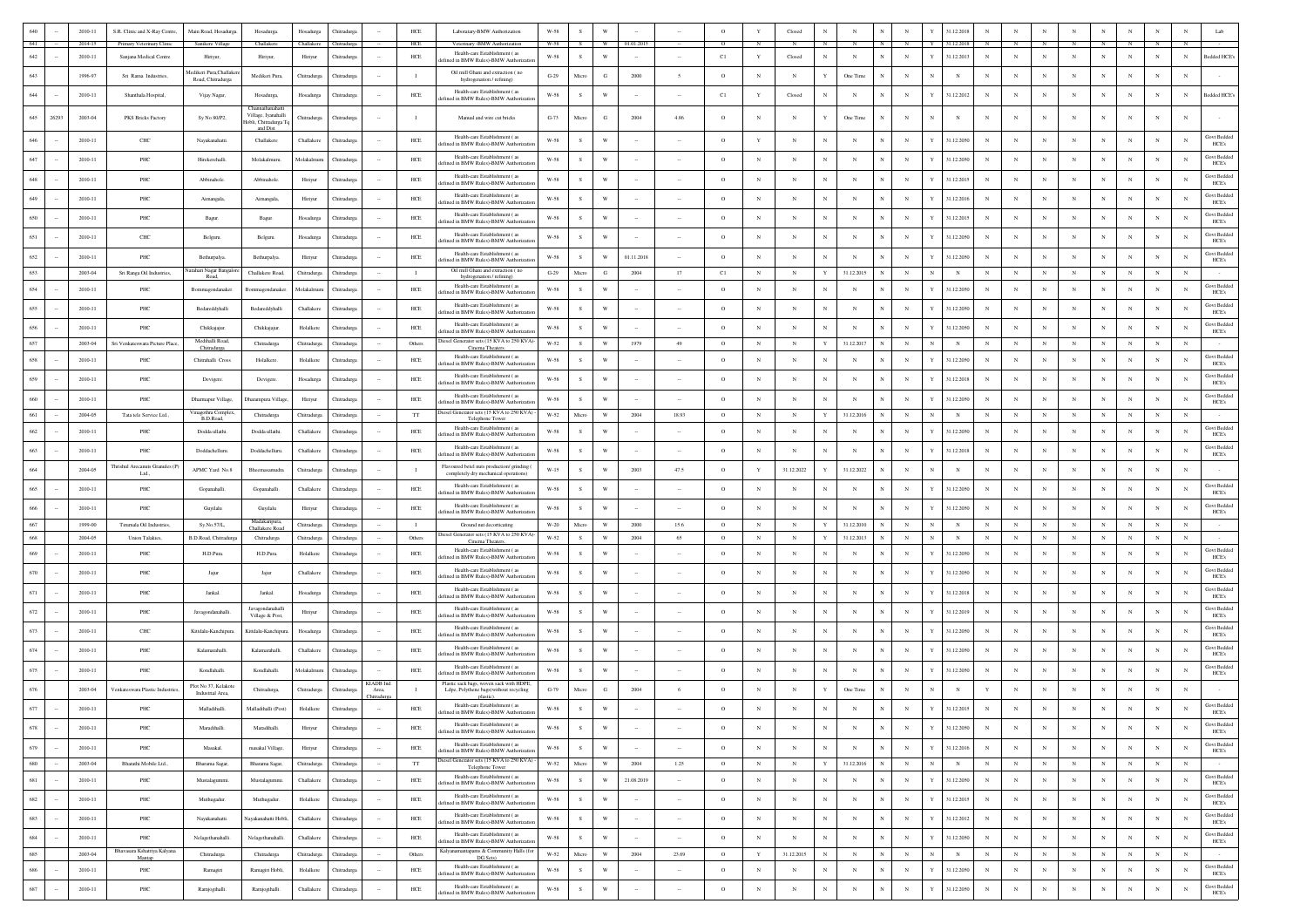|               | 2010-11            | S.R. Clinic and X-Ray Centre,                       | Main Road, Hosadurga            | Hosadurga                                               | Hosadurga          | Chitradurga                           |                     | ${\rm HCE}$       | Laboratary-BMW Authorization                                                                                           | $_{\rm W\text{-}58}$              |               |                         |            |                      | $\circ$       |              | Closed     |              |                |                 |            | 31.12.2018                |              |            |             |                |                |            |             |            | Lab                         |
|---------------|--------------------|-----------------------------------------------------|---------------------------------|---------------------------------------------------------|--------------------|---------------------------------------|---------------------|-------------------|------------------------------------------------------------------------------------------------------------------------|-----------------------------------|---------------|-------------------------|------------|----------------------|---------------|--------------|------------|--------------|----------------|-----------------|------------|---------------------------|--------------|------------|-------------|----------------|----------------|------------|-------------|------------|-----------------------------|
| 641<br>642    | 2014-15<br>2010-11 | Primary Veterinary Clinic<br>Sanjana Medical Centre | Sanikere Village<br>Hiriyur,    | Challakere<br>Hiriyur,                                  | Hiriyur            | Challakere Chitradurga<br>Chitradurga |                     | <b>HCE</b><br>HCE | Veterinary -BMW Authorization<br>Health-care Establishment (as                                                         | W-58<br>W-58                      | S             | W                       | 01.01.2015 |                      | $\circ$<br>C1 | Y            | Closed     | $_{\rm N}$   | $_{\rm N}$     | $_{\rm N}$      | $_{\rm N}$ | Y<br>31.12.2013           | $\mathbf{N}$ | $_{\rm N}$ | $_{\rm N}$  | $_{\rm N}$     | N              | $_{\rm N}$ | $_{\rm N}$  | $_{\rm N}$ | Bedded HCE's                |
|               | 1996-97            |                                                     | dedikeri Pura Challak           |                                                         |                    |                                       |                     |                   | efined in BMW Rules)-BMW Authoriza<br>Oil mill Ghani and extraction (no                                                |                                   | Micro         | G                       | 2000       |                      | $\circ$       | $_{\rm N}$   | $_{\rm N}$ | Y            |                | N               | $_{\rm N}$ |                           |              |            |             |                |                |            |             |            |                             |
|               |                    | Sri Rama Industries,                                | Road, Chitradurga               | Medikeri Pura,                                          | Chitradurga        | Chitradurga                           |                     | $\blacksquare$    | hydrogenation / refining)<br>Health-care Establishment (as                                                             | $\operatorname{G-29}$             |               |                         |            |                      |               |              |            |              | One Time       |                 |            |                           |              |            |             |                |                |            |             |            |                             |
|               | 2010-11            | Shanthala Hospital                                  | Vijay Nagar,                    | Hosadurga,<br>Channaihanahat                            | Hosadurga          | Chitradurga                           |                     | $HEE$             | lefined in BMW Rules)-BMW Authorizat                                                                                   | $W-58$                            | s             | W                       |            |                      | C1            | $\mathbf Y$  | Closed     | $_{\rm N}$   | $_{\rm N}$     | $_{\rm N}$      | $_{\rm N}$ | 31.12.2012<br>Y           |              |            | N           | N              |                | $_{\rm N}$ |             | N          | Bedded HCE's                |
| 645<br>26293  | 2003-04            | PKS Bricks Factory                                  | Sy No 80/P2,                    | Village, Iyanahalli<br>Hobli, Chitradurga T<br>and Dist | <b>Thitradurga</b> | <b>hitradurga</b>                     |                     | $\blacksquare$    | Manual and wire cut bricks                                                                                             | $G-73$                            | Micro         | G                       | 2004       | 4.86                 | $\circ$       |              |            |              | One Time       | N               | $_{\rm N}$ | N                         |              |            |             |                |                |            |             |            |                             |
|               | 2010-11            | CHC                                                 | Nayakanahatti                   | Challakere                                              | Challaker          | Chitradurg                            |                     | HCE               | Health-care Establishment (as<br>efined in BMW Rules)-BMW Authoriza                                                    | W-58                              | s             | W                       |            |                      | $\circ$       | Y            | N          | N            | N              |                 | $_{\rm N}$ | 31.12.2050                |              |            |             | N              |                |            |             | N          | Govt Bedded<br>HCE's        |
|               | 2010-11            | PHC                                                 | Hirekerehalli                   | Molakalmuru.                                            | Molakalmuru        | Chitradurga                           |                     | $HEE$             | Health-care Establishment (as<br>lefined in BMW Rules)-BMW Authoriza                                                   | W-58                              | $\,$ s        | W                       |            |                      | $\circ$       | $_{\rm N}$   | $_{\rm N}$ | N            | N              |                 | $_{\rm N}$ | 31.12.2050                |              |            |             |                |                |            |             | $_{\rm N}$ | <b>Govt Bedded</b><br>HCE's |
|               | 2010-11            | PHC                                                 | Abbinahole                      | Abbinahole                                              | Hiriyur            | Chitradurg                            |                     | HCE               | Health-care Establishment (as<br>efined in BMW Rules)-BMW Authorizatio                                                 | W-58                              | -S            | W                       |            |                      | $\circ$       | $_{\rm N}$   | N          | $_{\rm N}$   | N              | N               | $_{\rm N}$ | Y<br>31.12.2015           |              |            | N           | N              | N              |            |             | N          | Govt Bedded<br>HCE's        |
| 649           | 2010-11            | PHC                                                 | Aimangala                       | Aimangala                                               | Hiriyur            | Chitradurga                           |                     | HCE               | Health-care Establishment (as<br>lefined in BMW Rules)-BMW Authorizatio                                                | W-58                              | -S            | W                       |            |                      | $\circ$       | $_{\rm N}$   | N          | $_{\rm N}$   | N              | $_{\rm N}$      | $_{\rm N}$ | Y<br>31.12.2016           | $_{\rm N}$   | $_{\rm N}$ | N           | N              | N              | $_{\rm N}$ | $_{\rm N}$  | N          | <b>Govt Bedded</b><br>HCE's |
| 650           | 2010-11            | PHC                                                 | Bagur                           | Bagur.                                                  | Hosadurga          | Chitradurga                           |                     | $HEE$             | Health-care Establishment (as<br>lefined in BMW Rules)-BMW Authorizatio                                                | W-58                              | s             | W                       |            |                      | $\circ$       | $_{\rm N}$   | N          | $_{\rm N}$   | $_{\rm N}$     | $_{\rm N}$      | $_{\rm N}$ | 31.12.2015<br>Y           | $_{\rm N}$   | $_{\rm N}$ | $_{\rm N}$  | N              | $_{\rm N}$     | $_{\rm N}$ | $_{\rm N}$  | $_{\rm N}$ | <b>Govt Bedded</b><br>HCE's |
|               | 2010-11            | CHC                                                 | Belguru.                        | Belguru                                                 | Hosadurga          | Chitradurga                           |                     | HCE               | Health-care Establishment (as<br>lefined in BMW Rules)-BMW Authorizatio                                                | W-58                              | -S            | W                       |            |                      | $\circ$       | $_{\rm N}$   | N          | $_{\rm N}$   | N              | $_{\rm N}$      | $_{\rm N}$ | Y<br>31.12.2050           | $_{\rm N}$   |            | N           | N              | N              | N          | N           | N          | Govt Beddec<br>HCE's        |
|               | 2010-11            | $\ensuremath{\mathsf{PHC}}$                         | Bethurpalya                     | Bethurpalya                                             | Hiriyur            | Chitradurga                           |                     | HCE               | Health-care Establishment (as                                                                                          | $_{\rm W\text{-}58}$              | s             | W                       | 01.11.2018 |                      | $\circ$       | N            | N          | $_{\rm N}$   | N              | $\mathbb{N}$    | $_{\rm N}$ | 31.12.2050                |              |            | N           | N              | N              |            | N           | N          | Govt Bedded                 |
| 653           | 2003-04            | Sri Ranga Oil Industries,                           | Jarahari Nagar Bangal           | Challakere Road.                                        | Chitradurga        | Chitradurga                           |                     | $\mathbf{I}$      | lefined in BMW Rules)-BMW Authorizatio<br>Oil mill Ghani and extraction (no                                            | $G-29$                            | Micro         | G                       | 2004       | 17                   | C1            | $_{\rm N}$   | N          | Y            | 31.12.2015     | N               | $_{\rm N}$ | $_{\rm N}$                |              | N          | $_{\rm N}$  | $_{\rm N}$     | N              | $_{\rm N}$ | $_{\rm N}$  | $_{\rm N}$ | HCE's                       |
|               | 2010-11            | PHC                                                 | Road,<br>Bommagondanaker.       | Bommagondanaker                                         | Molakalmuru        | Chitradurg:                           |                     | $HEE$             | hydrogenation / refining)<br>Health-care Establishment (as<br>efined in BMW Rules)-BMW Authoriza                       | W-58                              | s.            | W                       |            |                      | $\circ$       | $_{\rm N}$   | $_{\rm N}$ | $_{\rm N}$   | N              |                 | $_{\rm N}$ | Y<br>31.12.2050           |              |            |             | N              |                |            | N           | N          | Govt Bedded<br>HCE's        |
|               | 2010-11            | PHC                                                 | Bedareddyhalli                  | Bedareddyhalli                                          | Challakere         | Chitradurga                           |                     | $HEE$             | Health-care Establishment (as<br>efined in BMW Rules)-BMW Authoriza                                                    | $_{\rm W\text{-}58}$              | $\,$ s        | W                       |            |                      | $\circ$       | $_{\rm N}$   | $_{\rm N}$ | N            | N              |                 | $_{\rm N}$ | 31.12.2050                |              |            |             | N              |                |            |             | N          | Govt Bedded<br>HCE's        |
|               | 2010-11            | PHC                                                 | Chikkajajur.                    | Chikkajajur                                             | Holalkere          | Chitradurga                           |                     | $HEE$             | Health-care Establishment (as                                                                                          | $_{\rm W\text{-}58}$              |               | W                       |            |                      | $\circ$       | $_{\rm N}$   | N          | N            | $\mathbf N$    |                 | $_{\rm N}$ | 31.12.2050<br>Y           |              |            |             | N              |                |            |             | N          | Govt Bedded                 |
|               | 2003-04            | Sri Venkateswara Picture Place,                     | Medihalli Road<br>Chitradurga   | Chitradurga                                             | Chitradurga        | Chitradurga                           |                     | Others            | efined in BMW Rules)-BMW Authoriza<br>iesel Generator sets (15 KVA to 250 KVA)<br>Cinema Theaters                      | $W-52$                            | s             | W                       | 1979       | 49                   | $\circ$       | $_{\rm N}$   | $_{\rm N}$ | $\mathbf Y$  | 31.12.2017     | N               | $_{\rm N}$ | N<br>$_{\rm N}$           |              | $_{\rm N}$ | $_{\rm N}$  | $_{\rm N}$     | $_{\rm N}$     | $_{\rm N}$ |             | $_{\rm N}$ | HCE's                       |
|               | 2010-11            | PHC                                                 | Chitrahalli Cross               | Holalkere.                                              | Holalkere          | Chitradurga                           |                     | ${\tt HCE}$       | Health-care Establishment (as<br>efined in BMW Rules)-BMW Authoriza                                                    | W-58                              |               | W                       |            |                      | $\circ$       | $_{\rm N}$   | $_{\rm N}$ | N            | N              |                 | $_{\rm N}$ | 31.12.2050                |              |            | N           | N              |                | N          |             | $_{\rm N}$ | <b>Govt Bedded</b><br>HCE's |
|               | 2010-11            | PHC                                                 | Devigere.                       | Devigere.                                               | Hosadurga          | Chitradurga                           |                     | ${\rm HCE}$       | Health-care Establishment (as<br>fined in BMW Rules)-BMW Authoriza                                                     | $_{\rm W\text{-}58}$              | s             | W                       |            |                      | $\circ$       | $_{\rm N}$   | N          | $_{\rm N}$   | $\mathbf N$    | N               | $_{\rm N}$ | 31.12.2018                |              |            | N           | $_{\rm N}$     |                | N          |             | N          | Govt Bedded<br>HCE's        |
| 660           | 2010-11            | PHC                                                 | Dharmapur Village,              | Dharampura Village                                      | Hiriyur            | Chitradurga                           |                     | HCE               | Health-care Establishment (as<br>efined in BMW Rules)-BMW Authorizat                                                   | W-58                              | <sub>S</sub>  | W                       |            |                      | $\circ$       | $_{\rm N}$   | N          | $\mathbb{N}$ | N              | N               | $_{\rm N}$ | Y<br>31.12.2050           |              |            | N           | N              | N              | N          | $_{\rm N}$  | $_{\rm N}$ | <b>Govt Bedded</b><br>HCE's |
| 661           | 2004-05            | Tata tele Service Ltd.                              | Vinagothra Complex<br>B.D.Road, | Chitradurga                                             | Chitradurga        | Chitradure:                           |                     | <b>TT</b>         | liesel Generator sets (15 KVA to 250 KVA) -<br>Telephone Tower                                                         | $\ensuremath{\text{W-}52}\xspace$ | Micro         | W                       | 2004       | 18.93                | $\circ$       | $_{\rm N}$   | $_{\rm N}$ | Y            | 31.12.2016     |                 | $_{\rm N}$ | $_{\rm N}$                |              |            | $_{\rm N}$  | $_{\rm N}$     | $_{\rm N}$     | $_{\rm N}$ | $_{\rm N}$  | $_{\rm N}$ |                             |
|               | 2010-11            | PHC                                                 | Dodda ullathi.                  | Dodda ullathi.                                          | Challaker          | Chitradurea                           |                     | HCE               | Health-care Establishment (as<br>efined in BMW Rules)-BMW Authorizati                                                  | W-58                              | S.            | W                       |            |                      | $\circ$       | $_{\rm N}$   | $_{\rm N}$ | $_{\rm N}$   | $_{\rm N}$     | N               | $_{\rm N}$ | 31.12.2050<br>Y           | $_{\rm N}$   | $_{\rm N}$ | N           | N              | N              | $_{\rm N}$ | N           | N          | Govt Bedded<br>HCE's        |
| 663           | 2010-11            | PHC                                                 | Doddachelluru                   | Doddachelluru.                                          | Challaken          | Chitradurga                           |                     | HCE               | Health-care Establishment (as<br>lefined in BMW Rules)-BMW Authorizatio                                                | W-58                              | -S            | W                       |            |                      | $\circ$       | $_{\rm N}$   | N          | $_{\rm N}$   | $_{\rm N}$     | $_{\rm N}$      | $_{\rm N}$ | Y<br>31.12.2018           | $_{\rm N}$   | N          | $_{\rm N}$  | N              | N              | N          | $_{\rm N}$  | $_{\rm N}$ | Govt Bedded<br>HCE's        |
|               | 2004-05            | Thrishul Arecanuts Granules (P)<br>Ltd.,            | APMC Yard No.8                  | Bheemasamudra                                           | Chitradurga        | Chitradurga                           |                     |                   | Flavoured betel nuts production/ grinding<br>completely dry mechanical operations)                                     | $W-15$                            | s             | W                       | 2003       | 47.5                 | $\circ$       | Y            | 31.12.2022 | Y            | 31.12.2022     | N               | $_{\rm N}$ |                           |              |            |             | N              |                |            |             |            |                             |
|               | 2010-11            | PHC                                                 | Gopanahalli.                    | Gopanahalli                                             | Challakere         | Chitradurga                           |                     | HCE               | Health-care Establishment (as<br>efined in BMW Rules)-BMW Authorizatio                                                 | W-58                              | s             | W                       |            |                      | $\circ$       | $_{\rm N}$   | $_{\rm N}$ | $_{\rm N}$   | N              | $\mathbb{N}$    | $_{\rm N}$ | Y<br>31.12.2050           | $_{\rm N}$   |            | N           | N              | N              | N          | N           | N          | Govt Beddec<br>HCE's        |
|               | 2010-11            | PHC                                                 | Guyilalu                        | Guyilalu                                                | Hiriyur            | Chitradurga                           |                     | HCE               | Health-care Establishment (as<br>lefined in BMW Rules)-BMW Authorizatio                                                | $_{\rm W\text{-}58}$              | s             | W                       |            |                      | $\circ$       | N            | N          | $_{\rm N}$   | N              | $\mathbb{N}$    | $_{\rm N}$ | 31.12.2050                |              |            | N           | N              |                |            | $_{\rm N}$  | N          | <b>Govt Bedded</b><br>HCE's |
| 667           | 1999-00            | Tirumala Oil Industries                             | Sy.No.57/L,                     | Madakaripura<br>Challakere Road                         | Chitradurga        | Chitradurga                           |                     | $\mathbf{I}$      | Ground nut decorticating                                                                                               | $W-20$                            | Micro         | W                       | 2000       | 15.6                 | $\circ$       | $\mathbb{N}$ | N          | Y            | 31.12.2010     |                 | N          | $_{\rm N}$                |              |            | N           | $_{\rm N}$     | N              | N          | $_{\rm N}$  | $_{\rm N}$ |                             |
|               | 2004-05            | Union Talakies,                                     | B.D.Road, Chitradurg            | Chitradurga                                             | Chitradurga        | Chitradurga                           |                     | Others            | Diesel Generator sets (15 KVA to 250 KVA)-<br>Cinema Theater                                                           | $W-52$                            | $\mathbf{s}$  | W                       | 2004       | 65                   | $\circ$       | $_{\rm N}$   | $_{\rm N}$ | Y            | 31.12.2013     |                 | $_{\rm N}$ | N<br>$_{\rm N}$           |              | $_{\rm N}$ | $_{\rm N}$  | $_{\rm N}$     | $\overline{N}$ | $_{\rm N}$ | $_{\rm N}$  | $_{\rm N}$ |                             |
|               | 2010-11            | PHC                                                 | H.D.Pura                        | H.D.Pura.                                               | Holalkere          | Chitradurga                           |                     | $HEE$             | Health-care Establishment (as<br>lefined in BMW Rules)-BMW Authorizatio                                                | W-58                              | s             | W                       |            |                      | $\circ$       | N            | N          | $_{\rm N}$   | N              |                 | $_{\rm N}$ | 31.12.2050<br>Y           |              |            |             | N              |                |            |             | N          | Govt Bedded<br>HCE's        |
| 670           | 2010-11            | PHC                                                 | Jajur                           | Jajur                                                   | Challakere         | Chitradurga                           |                     | HCE               | Health-care Establishment (as<br>efined in BMW Rules)-BMW Authorizati                                                  | W-58                              | -S            | W                       |            |                      | $\circ$       | $_{\rm N}$   | $_{\rm N}$ | $_{\rm N}$   | N              | $_{\rm N}$      | $_{\rm N}$ | Y<br>31.12.2050           | $\mathbf{N}$ |            | $_{\rm N}$  | N              | N              | $_{\rm N}$ | N           | N          | Govt Beddec<br>HCE's        |
|               | 2010-11            | $\ensuremath{\mathsf{PHC}}$                         | Jankal.                         | Jankal.                                                 | Hosadurga          | Chitradurga                           |                     | HCE               | Health-care Establishment (as<br>efined in BMW Rules)-BMW Authorizati                                                  | $_{\rm W\text{-}58}$              | s             | W                       |            |                      | $\circ$       | $_{\rm N}$   | N          | N            | N              | N               | $_{\rm N}$ | 31.12.2018                |              | N          | N           | N              | N              | N          | N           | N          | Govt Bedded<br>HCE's        |
|               | 2010-11            | PHC                                                 | Javagondanahalli                | avagondanahalli<br>Village & Post,                      | Hiriyur            | Chitradurga                           |                     | ${\rm HCE}$       | Health-care Establishment (as<br>efined in BMW Rules)-BMW Authorizat                                                   | $_{\rm W\text{-}58}$              |               | W                       |            |                      | $\circ$       | $_{\rm N}$   | N          | N            | N              |                 | $_{\rm N}$ | 31.12.2019                |              |            | N           | N              |                |            |             | N          | <b>Govt Bedded</b><br>HCE's |
| 673           | 2010-11            | CHC                                                 | Kittdalu-Kanchipura             | Kittdalu-Kanchipus                                      | Hosadurga          | Chitradurea                           |                     | HCE               | Health-care Establishment (as<br>ined in BMW Rules)-BMW Authoriza                                                      | W-58                              | <sub>S</sub>  | W                       |            |                      | $\circ$       | $_{\rm N}$   | $_{\rm N}$ | $_{\rm N}$   | N              | $_{\rm N}$      | $_{\rm N}$ | 31.12.2050<br>Y           |              | N          | N           | N              | N              | N          | $_{\rm N}$  | N          | Govt Bedded<br>HCE's        |
| 674           | 2010-11            | $_{\rm PHC}$                                        | Kalamarahalli.                  | Kalamarahalli.                                          | Challaken          | Chitradurga                           |                     | HCE               | Health-care Establishment (as<br>efined in BMW Rules)-BMW Authoriza                                                    | W-58                              | -S            | W                       |            |                      | $\circ$       | $_{\rm N}$   | $_{\rm N}$ | $_{\rm N}$   | N              | N               | $_{\rm N}$ | Y<br>31.12.2050           |              |            | N           | N              | N              |            | $_{\rm N}$  | $_{\rm N}$ | <b>Govt Bedded</b><br>HCE's |
| 675           | 2010-11            | PHC                                                 | Kondlahalli.                    | Kondlahalli.                                            | Molakalmuru        | <b>hitradurg</b>                      |                     | HCE               | Health-care Establishment (as                                                                                          | W-58                              | s             | W                       |            |                      | $\circ$       |              | N          | $_{\rm N}$   | N              | $_{\rm N}$      | $_{\rm N}$ | 31.12.2050                |              |            |             | N              |                |            |             |            | <b>Govt Bedded</b>          |
|               | 2003-04            | /enkateswara Plastic Industri                       | Plot No 37, Kelakote            |                                                         |                    | Chitradurs                            | KIADB Ind.<br>Area, | - 1               | efined in BMW Rules)-BMW Authorizati<br>Plastic sack bags, woven sack with HDPE,                                       | $G-79$                            | Micro         | G                       | 2004       | -6                   | $\circ$       | $_{\rm N}$   | N          | Y            | One Time       |                 | $_{\rm N}$ |                           |              |            |             | N              |                |            | N           | N          | HCE's                       |
|               |                    |                                                     | Industrial Area,                | Chitradurga,                                            | Chitradurga        |                                       | hitradurg           |                   | Ldpe, Polythene bags(without recycling<br>plastic).<br>Health-care Establishment (as                                   |                                   |               |                         |            |                      |               |              |            |              |                |                 |            |                           |              |            |             |                |                |            |             |            | <b>Govt Bedded</b>          |
|               | 2010-11            | PHC                                                 | Malladihalli.                   | Malladihalli (Post)                                     | Holalkere          | Chitradurga                           |                     | HCE               | lefined in BMW Rules)-BMW Authoriza<br>Health-care Establishment (28)                                                  | $_{\rm W\text{-}58}$              | $\mathcal{S}$ |                         |            |                      | $\circ$       | $_{\rm N}$   |            |              | $\mathbf{N}$   |                 |            | 31.12.2015                |              |            |             |                |                |            |             |            | HCE's<br><b>Govt Bedded</b> |
| 678           | 2010-11            | $\ensuremath{\mathsf{PHC}}$                         | Maradihalli.                    | Maradihalli.                                            | Hiriyur            | Chitradurga                           |                     | $HEE$             | defined in BMW Rules)-BMW Authorizatio                                                                                 | $W-58$                            | ${\bf S}$     | W                       |            | $\ddot{\phantom{a}}$ | $\circ$       | $_{\rm N}$   | $_{\rm N}$ | $_{\rm N}$   | $_{\rm N}$     | $_{\rm N}$      | $_{\rm N}$ | $\mathbf Y$<br>31.12.2050 | $_{\rm N}$   | $_{\rm N}$ | $_{\rm N}$  | $_{\rm N}$     | $_{\rm N}$     | $_{\rm N}$ | $_{\rm N}$  | $_{\rm N}$ | HCE's                       |
| 679<br>$\sim$ | 2010-11            | PHC                                                 | Masakal.                        | masakal Village,                                        | Hiriyur            | Chitradurga                           | $\sim$              | HCE               | Health-care Establishment (as<br>defined in BMW Rules)-BMW Authorizatio<br>Diesel Generator sets (15 KVA to 250 KVA) - | W-58                              | S             | $\mathbf{W}$            |            | $\sim$               | $\circ$       | $_{\rm N}$   | $_{\rm N}$ | $_{\rm N}$   | $_{\rm N}$     | ${\bf N}$       | $_{\rm N}$ | $\mathbf Y$<br>31.12.2016 | $_{\rm N}$   | $_{\rm N}$ | $_{\rm N}$  | $_{\rm N}$     | $_{\rm N}$     | $_{\rm N}$ | $_{\rm N}$  | $_{\rm N}$ | Govt Bedded<br><b>HCE's</b> |
| 680           | 2003-04            | Bharathi Mobile Ltd.,                               | Bharama Sagar,                  | Bharama Sagar,                                          | Chitradurga        | Chitradurga                           | $\sim$              | $_{\rm TT}$       | Telephone Tower<br>Health-care Establishment (as                                                                       | W-52                              | Micro         | $\ensuremath{\text{W}}$ | 2004       | 1.25                 | $\circ$       | $_{\rm N}$   | $_{\rm N}$ | $\mathbf Y$  | 31.12.2016     | N               | $_{\rm N}$ | $_{\rm N}$<br>$_{\rm N}$  | $_{\rm N}$   | $_{\rm N}$ | $\,$ N $\,$ | $_{\rm N}$     | $_{\rm N}$     | $_{\rm N}$ | $\,$ N $\,$ | $_{\rm N}$ | $\sim$<br>Govt Bedded       |
| 681<br>$\sim$ | 2010-11            | $\ensuremath{\mathsf{PHC}}$                         | Mustalagummi.                   | Mustalagummi                                            | Challakere         | Chitradurga                           | $\sim$              | $HEE$             | lefined in BMW Rules)-BMW Authorizat<br>Health-care Establishment (as                                                  | $_{\rm W\text{-}58}$              | $\,$ s        | W                       | 21.08.2019 | $\sim$               | $\circ$       | $_{\rm N}$   | $_{\rm N}$ | $_{\rm N}$   | $_{\rm N}$     | $_{\mathrm{N}}$ | $_{\rm N}$ | $\mathbf Y$<br>31.12.2050 | $_{\rm N}$   | $_{\rm N}$ | $_{\rm N}$  | $_{\rm N}$     | $_{\rm N}$     | $_{\rm N}$ | $_{\rm N}$  | $_{\rm N}$ | HCE's<br>Govt Bedded        |
| 682<br>$\sim$ | 2010-11            | $\ensuremath{\mathsf{PHC}}$                         | Muthugadur.                     | Muthugadur.                                             | Holalkere          | Chitradurga                           | $\sim$              | HCE               | efined in BMW Rules)-BMW Authoriza                                                                                     | <b>W-58</b>                       | S             | $\mathbf{W}$            | $\sim$     | $\sim$               | $\circ$       | $_{\rm N}$   | $_{\rm N}$ | $_{\rm N}$   | $_{\rm N}$     | $_{\rm N}$      | $_{\rm N}$ | 31.12.2015<br>Y           | $_{\rm N}$   | $_{\rm N}$ | $_{\rm N}$  | $_{\rm N}$     | $_{\rm N}$     | $_{\rm N}$ | $_{\rm N}$  | $_{\rm N}$ | HCE's                       |
| 683           | 2010-11            | $\ensuremath{\mathsf{PHC}}$                         | Nayakanahatti.                  | ayakanahatti Hobli,                                     | Challakere         | Chitradurga                           |                     | $HEE$             | Health-care Establishment (as<br>defined in BMW Rules)-BMW Authorizatio                                                | $W-58$                            | S             | $\mathbf{W}$            |            |                      | $\circ$       | $_{\rm N}$   | $_{\rm N}$ | $_{\rm N}$   | $_{\rm N}$     | $_{\mathrm{N}}$ | $_{\rm N}$ | $\mathbf Y$<br>31.12.2012 | $_{\rm N}$   | $_{\rm N}$ | $_{\rm N}$  | $_{\rm N}$     | $_{\rm N}$     | $_{\rm N}$ | $_{\rm N}$  | $_{\rm N}$ | <b>Govt Bedded</b><br>HCE's |
| 684           | 2010-11            | $\ensuremath{\mathsf{PHC}}$                         | Nelagethanahalli.               | Nelagethanahalli.                                       | Challakere         | Chitradurga                           |                     | $HEE$             | Health-care Establishment (as<br>defined in BMW Rules)-BMW Authorizatio                                                | $W-58$                            | S             | W                       | $\sim$     | $\sim$               | $\circ$       | $_{\rm N}$   | $_{\rm N}$ | $_{\rm N}$   | $_{\rm N}$     | $_{\mathrm{N}}$ | $_{\rm N}$ | $\mathbf Y$<br>31.12.2050 | $_{\rm N}$   | $_{\rm N}$ | $_{\rm N}$  | $_{\rm N}$     | $_{\rm N}$     | $_{\rm N}$ | $_{\rm N}$  | $_{\rm N}$ | <b>Govt Bedded</b><br>HCE's |
| 685           | 2003-04            | Bhavasara Kshatriya Kalyana<br>Mantap               | Chitradurga                     | Chitradurga                                             | Chitradurga        | Chitradurga                           | $\sim$              | Others            | Kalyanamantapams & Community Halls (for<br>DG Sets)<br>Health-care Establishment (as                                   | W-52                              | Micro         | $\ensuremath{\text{W}}$ | 2004       | 23.69                | $\circ$       | $\mathbf Y$  | 31.12.2015 | $_{\rm N}$   | $_{\rm N}$     | $_{\rm N}$      | $_{\rm N}$ | $_{\rm N}$<br>$_{\rm N}$  | $_{\rm N}$   | $_{\rm N}$ | $_{\rm N}$  | $_{\rm N}$     | $_{\rm N}$     | $_{\rm N}$ | $\,$ N $\,$ | $_{\rm N}$ | <b>Govt Bedded</b>          |
| 686           | $2010 - 11$        | $\ensuremath{\mathsf{PHC}}$                         | Ramagiri                        | Ramagiri Hobli,                                         | Holalkere          | Chitradurga                           |                     | $HEE$             | defined in BMW Rules)-BMW Authorization                                                                                | $_{\rm W\text{-}58}$              | $\,$ s        | $\ensuremath{\text{W}}$ |            |                      | $\circ$       | $_{\rm N}$   | $_{\rm N}$ | $_{\rm N}$   | $_{\rm N}$     | ${\bf N}$       | $_{\rm N}$ | $\mathbf Y$<br>31.12.2050 | $_{\rm N}$   | $_{\rm N}$ | $_{\rm N}$  | $_{\rm N}$     | $_{\rm N}$     | $_{\rm N}$ | $_{\rm N}$  | $_{\rm N}$ | HCE's                       |
| 687<br>$\sim$ | 2010-11            | PHC                                                 | Ramjogihalli                    | Ramjogihalli.                                           | Challakere         | Chitradurga                           | $\sim$              | ${\rm HCE}$       | Health-care Establishment (as<br>defined in BMW Rules)-BMW Authorizatio                                                | $W-58$                            | ${\bf S}$     | $\ensuremath{\text{W}}$ | $\sim$     | $\sim$               | $\circ$       | $_{\rm N}$   | $_{\rm N}$ | $_{\rm N}$   | $\overline{N}$ | $_{\rm N}$      | $_{\rm N}$ | $\mathbf Y$<br>31.12.2050 | $_{\rm N}$   | $_{\rm N}$ | $_{\rm N}$  | $\overline{N}$ | $_{\rm N}$     | $_{\rm N}$ | $_{\rm N}$  | $_{\rm N}$ | Govt Bedded<br>HCE's        |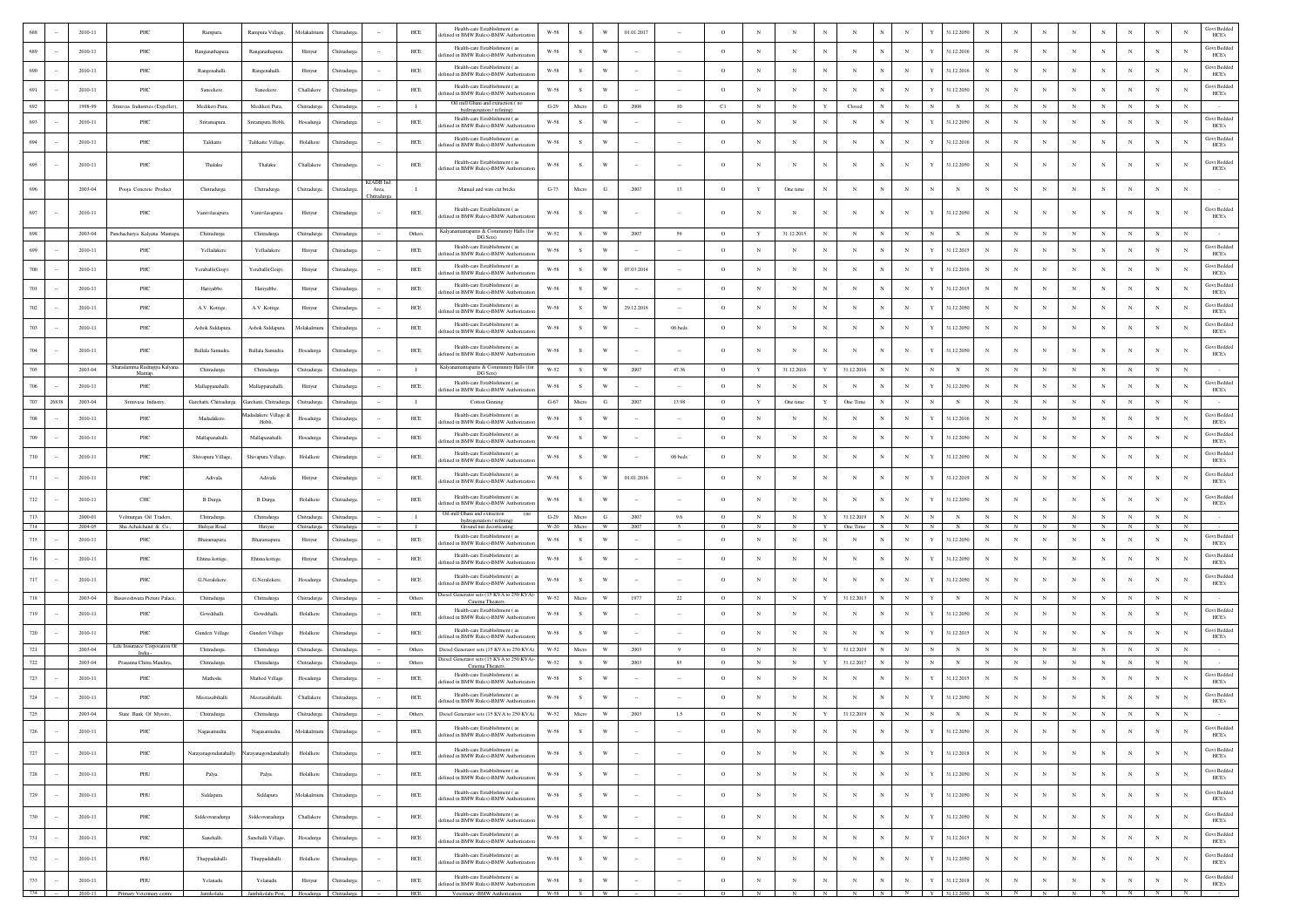|            |        | 2010-11                | PHC                                             | Rampura                     | Rampura Village,                                      | Molakalmuru                | Chitradury                 |                                         | HCE                | Health-care Establishment (as<br>ined in BMW Rules)-BMW Authorizati                           | W-58                 | s            | W                              | 01.01.2017   |                          | $\circ$                   |                              |                 |                              |                                                |                          |                              | 31.12.2050                     |                          |                          |                           |                          |                 |                          |                           |                 | Govt Bedde<br>HCE's                  |
|------------|--------|------------------------|-------------------------------------------------|-----------------------------|-------------------------------------------------------|----------------------------|----------------------------|-----------------------------------------|--------------------|-----------------------------------------------------------------------------------------------|----------------------|--------------|--------------------------------|--------------|--------------------------|---------------------------|------------------------------|-----------------|------------------------------|------------------------------------------------|--------------------------|------------------------------|--------------------------------|--------------------------|--------------------------|---------------------------|--------------------------|-----------------|--------------------------|---------------------------|-----------------|--------------------------------------|
| 689        |        | 2010-11                | PHC                                             | Ranganathapura.             | Ranganathapura.                                       | Hiriyur                    | Chitradurga                |                                         | $HEE$              | Health-care Establishment (28)<br>fined in BMW Rules)-BMW Authorizatio                        | $W-58$               | $\mathbf S$  | W                              |              |                          | $\circ$                   | $_{\rm N}$                   | N               |                              | $_{\rm N}$                                     | $_{\rm N}$               |                              | 31.12.2016                     |                          | $_{\rm N}$               | $_{\rm N}$                | $_{\rm N}$               |                 | $_{\rm N}$               |                           | $_{\rm N}$      | <b>Govt Bedded</b><br>HCE's          |
| 690        |        | 2010-11                | PHC                                             | Rangenahalli.               | Rangenahalli                                          | Hiriyur                    | Chitradurga                |                                         | $HEE$              | Health-care Establishment (as<br>ined in BMW Rules)-BMW Authorizat                            | $W-58$               | s            | W                              |              |                          | $\circ$                   | $_{\rm N}$                   | N               | N                            | $_{\rm N}$                                     | $_{\rm N}$               | Y                            | 31.12.2016                     |                          | $_{\rm N}$               | $_{\rm N}$                | $_{\rm N}$               |                 | $\mathbf N$              |                           | N               | <b>Govt Bedded</b><br>HCE's          |
| 691        |        | 2010-11                | PHC                                             | Sancekere.                  | Saneekere.                                            | Challakere                 | Chitradurga                |                                         | HCE                | Health-care Establishment (as<br>ed in BMW Rules)-BMW Authorizati                             | W-58                 | <sub>S</sub> | W                              |              |                          | $\circ$                   | $_{\rm N}$                   | $_{\rm N}$      | N                            | $_{\rm N}$                                     | N                        | Y                            | 31.12.2050                     |                          | $_{\rm N}$               | $_{\rm N}$                | $_{\rm N}$               | N               | N                        |                           | $_{\rm N}$      | <b>Govt Bedded</b><br>HCE's          |
| 692        |        | 1998-99                | Sriniyas Industries (Expeller)                  | Medikeri Pura               | Medikeri Pura.                                        | Chitradurga                | Chitradure                 |                                         | $\blacksquare$     | Oil mill Ghani and extraction (no<br>hydrogenation / refining)                                | $G-29$               | Micro        | G                              | 2006         | 10                       | C1                        | $_{\rm N}$                   | $_{\rm N}$      | Y                            | Closed                                         | N                        | $\mathbb{N}$                 | $\mathbf{N}$                   | $_{\rm N}$               | $_{\rm N}$               | $_{\rm N}$                | $_{\rm N}$               | N               | $_{\rm N}$               |                           | $_{\rm N}$      |                                      |
| 693        |        | 2010-11                | PHC                                             | Sriramapura.                | Srirampura Hobli.                                     | Hosadurga                  | Chitradure                 |                                         | HCE                | Health-care Establishment (as<br>ined in BMW Rules)-BMW Authorizatio                          | W-58                 | <sub>S</sub> | W                              |              |                          | $\circ$                   | $_{\rm N}$                   | N               | N                            | $_{\rm N}$                                     | N                        | Y                            | 31.12.2050                     |                          | N                        | N                         | N                        |                 | N                        |                           | $_{\rm N}$      | Govt Bedded<br>HCE's                 |
| 694        |        | 2010-11                | PHC                                             | Talikatte                   | Talikatte Village,                                    | Holalkere                  | Chitradurg                 |                                         | HCE                | Health-care Establishment (as<br>defined in BMW Rules)-BMW Authorization                      | W-58                 | ${\bf S}$    | W                              |              |                          | $\circ$                   | $_{\rm N}$                   | $_{\rm N}$      | $_{\rm N}$                   | $_{\rm N}$                                     | $_{\rm N}$               | Y                            | 31.12.2016                     | N                        | $_{\rm N}$               | $_{\rm N}$                | $_{\rm N}$               | N               | $_{\rm N}$               | $_{\rm N}$                | $_{\rm N}$      | <b>Govt Bedded</b><br>HCE's          |
| 695        |        | 2010-11                | PHC                                             | Thalaku                     | Thalaku                                               | Challakere                 | Chitradurga                |                                         | HCE                | Health-care Establishment (as<br>defined in BMW Rules)-BMW Authorizatio                       | W-58                 | $\,$ s       | W                              |              |                          | $\circ$                   | $_{\rm N}$                   | $_{\rm N}$      | N                            | $_{\rm N}$<br>N                                | N                        | Y                            | 31.12.2050                     | $_{\rm N}$               | $_{\rm N}$               | $_{\rm N}$                | N                        | N               | N                        | $_{\rm N}$                | $_{\rm N}$      | Govt Bedded<br>HCE's                 |
| 696        |        | 2003-04                | Pooja Concrete Product                          | Chitradurga                 | Chitradurga                                           | Chitradurga                | Thitradurg                 | KIADB Inc<br>Area,<br><b>hitradurga</b> | $\blacksquare$     | Manual and wire cut bricks                                                                    | $G-73$               | Micro        | G                              | 2007         | 13                       | $\circ$                   | $\mathbf Y$                  | One time        | $_{\rm N}$                   | N                                              | N                        | $_{\rm N}$                   |                                |                          | $_{\rm N}$               | $_{\rm N}$                | $_{\rm N}$               | N               | $\mathbf N$              |                           |                 |                                      |
| 697        |        | 2010-11                | PHC                                             | Vanivilasapura              | Vanivilasapura.                                       | Hiriyur                    | Chitradurga                |                                         | $HEE$              | Health-care Establishment (as<br>lefined in BMW Rules)-BMW Authorizat                         | W-58                 | s            | $\mathbf w$                    |              |                          | $\circ$                   |                              | N               | N                            | N                                              |                          |                              | 31.12.2050                     |                          |                          | $_{\rm N}$                | N                        |                 |                          |                           |                 | Govt Bedded<br>HCE's                 |
| 698        |        | 2003-04                | Panchacharya Kalyana Mantapa,                   | Chitradurga                 | Chitradurga                                           | Chitradurga                | Chitradurga                |                                         | Others             | Kalyanamantapams & Community Halls (for<br>DG Sets)                                           | W-52                 | s            | W                              | 2007         | 59                       | $\circ$                   | Y                            | 31.12.2015      | $_{\rm N}$                   | $_{\rm N}$                                     | $_{\rm N}$               | $_{\rm N}$                   | $_{\rm N}$                     |                          | $_{\rm N}$               | $_{\rm N}$                | $_{\rm N}$               | N               | $_{\rm N}$               |                           | N               |                                      |
| 699        |        | $2010 - 11$            | PHC                                             | Yelladakere                 | Yelladakere                                           | Hiriyur                    | Chitradurg                 |                                         | $HEE$              | Health-care Establishment (as<br>lefined in BMW Rules)-BMW Authorizati                        | $W-58$               | s            | W                              |              |                          | $\circ$                   | $_{\rm N}$                   | N               |                              | N                                              |                          | Y                            | 31.12.2015                     |                          | N                        | $_{\rm N}$                | $_{\rm N}$               |                 |                          |                           |                 | <b>Govt Bedded</b><br>HCE's          |
| $700\,$    |        | 2010-11                | PHC                                             | Yeraballi(Goip)             | Yeraballi(Goip)                                       | Hiriyur                    | Chitradurg                 |                                         | HCE                | Health-care Establishment (as<br>fined in BMW Rules)-BMW Authorizati                          | W-58                 | -S           | W                              | 07.03.2014   |                          | $\circ$                   | $_{\rm N}$                   | $_{\rm N}$      | N                            | $_{\rm N}$                                     | $_{\rm N}$               | Y                            | 31.12.2016                     |                          | $_{\rm N}$               | $_{\rm N}$                | $_{\rm N}$               |                 | N                        | $_{\rm N}$                | N               | Govt Bedded<br>HCE's                 |
| $701\,$    |        | 2010-11                | PHC                                             | Hariyabbe.                  | Hariyabbe.                                            | Hiriyur                    | Chitradurg                 |                                         | $HEE$              | Health-care Establishment (as<br>efined in BMW Rules)-BMW Authorizati                         | $W-58$               | $\,$ s       | W                              |              |                          | $\circ$                   | $_{\rm N}$                   | $_{\rm N}$      |                              | $_{\rm N}$                                     | N                        | Y                            | 31.12.2015                     |                          | $_{\rm N}$               | $_{\rm N}$                | $_{\rm N}$               |                 |                          |                           |                 | <b>Govt Bedded</b><br>HCE's          |
| 702        |        | $2010 - 11$            | PHC                                             | A.V. Kottige.               | A.V. Kottige.                                         | Hiriyur                    | Chitradurg                 |                                         | $HEE$              | Health-care Establishment (as<br>efined in BMW Rules)-BMW Authorizat                          | $W-58$               | $\,$ s       | W                              | 29.12.2018   |                          | $\circ$                   | $_{\rm N}$                   | N               | N                            | $_{\rm N}$                                     | $_{\rm N}$               | Y                            | 31.12.2050                     |                          | $_{\rm N}$               | $_{\rm N}$                | $_{\rm N}$               |                 | N                        |                           | N               | <b>Govt Bedded</b><br>HCE's          |
| 703        |        | 2010-11                | PHC                                             | Ashok Siddapura.            | Ashok Siddapura                                       | Molakalmuru                | Chitradurga                |                                         | $HEE$              | Health-care Establishment (as<br>lefined in BMW Rules)-BMW Authorization                      | W-58                 | <sub>S</sub> | W                              |              | 06 beds                  | $\circ$                   | $_{\rm N}$                   | $_{\rm N}$      | N                            | $_{\rm N}$                                     | $_{\rm N}$               | Y                            | 31.12.2050                     | N                        | $_{\rm N}$               | $_{\rm N}$                | $_{\rm N}$               | N               | N                        | N                         | $_{\rm N}$      | Govt Bedded<br>HCE's                 |
| 704        |        | 2010-11                | PHC                                             | Ballala Samudra.            | Ballala Samudra.                                      | Hosadurga                  | Chitradurga                |                                         | $HEE$              | Health-care Establishment (as<br>defined in BMW Rules)-BMW Authorizatio                       | $W-58$               | s            | W                              |              |                          | $\circ$                   | $_{\rm N}$                   | N               | N                            | N                                              | $_{\rm N}$               | Y                            | 31.12.2050                     |                          | $_{\rm N}$               | $_{\rm N}$                | N                        |                 |                          |                           | N               | <b>Govt Bedded</b><br>HCE's          |
| 705        |        | 2003-04                | Sharadamma Rudrappa Kalyana<br>Mantap           | Chitradurga                 | Chitradurga                                           | Chitradurga                | Chitradurga                |                                         | $\blacksquare$     | Kalyanamantapams & Community Halls (for<br>DG Sets)                                           | W-52                 | ${\bf S}$    | W                              | 2007         | 47.36                    | $\circ$                   | $\mathbf Y$                  | 31.12.2016      | Y                            | 31.12.2016                                     | $_{\rm N}$               | $_{\rm N}$                   | $_{\rm N}$                     |                          | $_{\rm N}$               | $_{\rm N}$                | $_{\rm N}$               | $_{\rm N}$      | $_{\rm N}$               | $_{\rm N}$                | $_{\rm N}$      |                                      |
| 706        |        | 2010-11                | PHC                                             | Mallappanahalli.            | Mallappanahalli                                       | Hiriyur                    | Chitradurga                |                                         | HCE                | Health-care Establishment (as<br>efined in BMW Rules)-BMW Authorization                       | W-58                 | $\,$ s       | W                              |              |                          | $\circ$                   | $_{\rm N}$                   | N               | N                            | $_{\rm N}$                                     | $_{\rm N}$               | Y                            | 31.12.2050                     |                          | N                        | $_{\rm N}$                | $_{\rm N}$               |                 | $_{\rm N}$               | $_{\rm N}$                | $_{\rm N}$      | Govt Bedded<br>HCE's                 |
| 707        | 26838  | 2003-04                | Srinivasa Industry                              | Garehatti, Chitradurga      | Garehatti, Chitradure                                 | Chitradurga                | Chitradurga                |                                         | $\blacksquare$     | Cotton Ginning                                                                                | $G-67$               | Micro        | G                              | 2007         | 13.98                    | $\circ$                   | Y                            | One time        | Y                            | One Time                                       | $_{\rm N}$               | $_{\rm N}$                   | $\mathbb{N}$                   | N                        | $_{\rm N}$               | $_{\rm N}$                | $_{\rm N}$               | $_{\rm N}$      | $_{\rm N}$               | $_{\rm N}$                | $_{\rm N}$      |                                      |
| $708\,$    |        | 2010-11                | PHC                                             | Madadakere                  | ladakere Village<br>Hobli,                            | Hosadurga                  | Chitradurg                 |                                         | $HEE$              | Health-care Establishment (as<br>fined in BMW Rules)-BMW Authorizati                          | W-58                 | <sub>S</sub> | W                              |              |                          | $\circ$                   | $_{\rm N}$                   | N               | N                            | $_{\rm N}$                                     | $_{\rm N}$               | Y                            | 31.12.2016                     |                          | $_{\rm N}$               | $_{\rm N}$                | $_{\rm N}$               |                 | N                        | $_{\rm N}$                | N               | Govt Bedded<br>HCE's                 |
| $709\,$    |        | 2010-11                | PHC                                             | Mallapanahalli.             | Mallapanahalli                                        | Hosadurga                  | Chitradurg                 |                                         | HCE                | Health-care Establishment (as<br>efined in BMW Rules)-BMW Authorizatio                        | W-58                 | s            | W                              |              |                          | $\circ$                   | $_{\rm N}$                   | N               | N                            | $_{\rm N}$                                     | N                        | Y                            | 31.12.2050                     |                          | $_{\rm N}$               | $_{\rm N}$                | $_{\rm N}$               |                 | N                        | $_{\rm N}$                | N               | <b>Govt Bedded</b><br>HCE's          |
| 710        |        | $2010 - 11$            | PHC                                             | Shivapura Village,          | Shivapura Village                                     | Holalkere                  | Chitradurg                 |                                         | $HEE$              | Health-care Establishment (as<br>lefined in BMW Rules)-BMW Authorizatio                       | $W-58$               | s            |                                |              | 06 beds                  | $\circ$                   | $_{\rm N}$                   | N               | N                            | $_{\rm N}$                                     | $_{\rm N}$               | Y                            | 31.12.2050                     |                          | $_{\rm N}$               | $_{\rm N}$                | $_{\rm N}$               |                 | $\mathbf N$              |                           | N               | <b>Govt Bedded</b><br>HCE's          |
| $711\,$    |        | 2010-11                | PHC                                             | Adivala                     | Adivala                                               | Hiriyur                    | Chitradurga                |                                         | $HEE$              | Health-care Establishment (as<br>defined in BMW Rules)-BMW Authorization                      | $W-58$               | $\,$ s       | W                              | 01.01.2016   |                          | $\circ$                   | $_{\rm N}$                   |                 | $_{\rm N}$                   | N                                              | N                        | Y                            | 31.12.2019                     |                          | $_{\rm N}$               | $_{\rm N}$                | N                        |                 | $\mathbf N$              |                           |                 | Govt Bedde<br>HCE's                  |
| 712        |        | 2010-11                | <b>CHC</b>                                      | <b>B</b> Durga              | B Durga                                               | Holalkere                  | Chitradurea                |                                         | HCE                | Health-care Establishment (as<br>ined in BMW Rules)-BMW Authorizatio                          | W-58                 | <sub>S</sub> | W                              |              |                          | $\circ$                   | $_{\rm N}$                   | N               | N                            | N                                              | N                        |                              | 31.12.2050                     |                          | N                        | N                         | N                        |                 |                          |                           | $_{\rm N}$      | Govt Bedded<br>HCE's                 |
| 713<br>714 |        | 2000-01<br>2004-05     | Velmurgan Oil Traders,<br>Sha Achalchand & Co., | Chitradurga<br>Huliyar Road | Chitradurga<br>Hiriyur                                | Chitradurga<br>Chitradurga | Chitradurga<br>Chitradurga |                                         | $\mathbf{I}$       | Oil mill Ghani and extraction<br>(no<br>hydrogenation / refining)<br>Ground nut decorticating | $G-29$<br>W-20       | Micro        | G<br>W                         | 2007<br>2007 | 9.6                      | $\circ$<br>$\overline{O}$ | $_{\rm N}$                   | $_{\rm N}$      | Y<br>Y                       | 31.12.2019<br>$\overline{N}$<br>One Time       | $_{\rm N}$<br>N          | $_{\rm N}$<br>$\overline{N}$ | $_{\rm N}$<br>$\mathbb{N}$     | $_{\rm N}$<br>N          | ${\bf N}$                | $_{\rm N}$<br>N           | $_{\rm N}$<br>N          | $_{\rm N}$<br>N | $_{\rm N}$               | $_{\rm N}$                | $_{\rm N}$      |                                      |
| 715        |        | 2010-11                | PHC                                             | Bharamapura.                | Bharamapura                                           | Hiriyur                    | Chitradurg                 |                                         | HCE                | Health-care Establishment (as<br>efined in BMW Rules)-BMW Authoriza                           | $W-58$               | <sub>S</sub> | W                              |              |                          | $\circ$                   | $_{\rm N}$                   | N               |                              | $_{\rm N}$                                     | N                        | Y                            | 31.12.2050                     |                          | $_{\rm N}$               | $_{\rm N}$                | $_{\rm N}$               |                 | N                        | N                         | N               | Govt Bedded<br>HCE's                 |
| 716        |        | 2010-11                | PHC                                             | Ehtina kottige.             | Ehtina kottige.                                       | Hiriyur                    | Chitradurga                |                                         | HCE                | Health-care Establishment (as<br>efined in BMW Rules)-BMW Authorizatio                        | W-58                 | ${\bf S}$    | W                              |              |                          | $\circ$                   | $_{\rm N}$                   | $_{\rm N}$      | $_{\rm N}$                   | $_{\rm N}$                                     | $_{\rm N}$               | Y                            | 31.12.2050                     |                          | $_{\rm N}$               | $_{\rm N}$                | $_{\rm N}$               | N               | $_{\rm N}$               | $_{\rm N}$                | $_{\rm N}$      | Govt Bedded<br>HCE's                 |
| $717\,$    |        | 2010-11                | PHC                                             | G.Neralekere                | G.Neralekere.                                         | Hosadurga                  | Chitradurg                 |                                         | ${\rm HCE}$        | Health-care Establishment (as<br>lefined in BMW Rules)-BMW Authorization                      | W-58                 | s            | W                              |              |                          | $\circ$                   | $_{\rm N}$                   |                 | N                            | N                                              | N                        | Y                            | 31.12.2050                     |                          | N                        | $_{\rm N}$                | N                        | N               | $\mathbf N$              |                           |                 | <b>Govt Bedded</b><br>HCE's          |
| 718        |        | 2003-04                | Basayeshwara Picture Palace.                    | Chitradurga                 | Chitradurga                                           | Chitradurga                | Chitradurga                |                                         | Others             | Diesel Generator sets (15 KVA to 250 KVA)-<br>Cinema Theaters.                                | W-52                 | Micro        | W                              | 1977         | $22\,$                   | $\circ$                   | $_{\rm N}$                   | $_{\rm N}$      | Y                            | 31.12.2013                                     | $_{\rm N}$               | Y                            | $_{\rm N}$                     | N                        | $_{\rm N}$               | $_{\rm N}$                | $_{\rm N}$               | N               | $_{\rm N}$               | $_{\rm N}$                | $_{\rm N}$      |                                      |
| 719        |        | 2010-11                | PHC                                             | Gowdihalli.                 | Gowdihalli                                            | Holalkere                  | Chitradurga                |                                         | HCE                | Health-care Establishment (as<br>fined in BMW Rules)-BMW Authorizat                           | W-58                 | -S           | W                              |              |                          | $\circ$                   | $_{\rm N}$                   | N               | N                            | $_{\rm N}$                                     | N                        | Y                            | 31.12.2050                     |                          | $_{\rm N}$               | $_{\rm N}$                | $_{\rm N}$               |                 | N                        | N                         | N               | Govt Bedded<br>HCE's                 |
| 720        |        | 2010-11                | PHC                                             | Gunderi Village             | Gunderi Village                                       | Holalkere                  | Chitradurg                 |                                         | HCE                | Health-care Establishment (as<br>efined in BMW Rules)-BMW Authorizatio                        | $W-58$               | $\,$ s       | W                              |              |                          | $\circ$                   | $_{\rm N}$                   | $_{\rm N}$      | $_{\rm N}$                   | $_{\rm N}$                                     | N                        | Y                            | 31.12.2015                     |                          | $_{\rm N}$               | $_{\rm N}$                | $_{\rm N}$               |                 | N                        | $_{\rm N}$                | N               | Govt Bedded<br>HCE's                 |
| $721\,$    |        | 2003-04                | Life Insurance Corporation Of<br>India          | Chitradurga                 | Chitradurga                                           | Chitradurga                | Chitradurga                |                                         | Others             | Diesel Generator sets (15 KVA to 250 KVA)<br>Diesel Generator sets (15 KVA to 250 KVA)-       | W-52                 | Micro        | W                              | 2003         | -9                       | $\circ$                   | $_{\rm N}$                   | $_{\rm N}$      | Y                            | 31.12.2019                                     | $_{\rm N}$               | $_{\rm N}$                   | $_{\rm N}$                     | $_{\rm N}$               | $_{\rm N}$               | $_{\rm N}$                | $_{\rm N}$               | $_{\rm N}$      | $_{\rm N}$               | $_{\rm N}$                | $_{\rm N}$      |                                      |
| 722<br>723 |        | $2003 - 04$<br>2010-11 | Prasanna Chitra Mandira.<br>PHC                 | Chitradurga<br>Mathodu.     | Chitradurga<br>Mathod Village                         | Chitradurga<br>Hosadurga   | Chitradurga<br>Chitradurga |                                         | Others<br>$HEE$    | Cinema Theaters<br>Health-care Establishment (as                                              | W-52<br>$W-58$       | s<br>s       | $\ensuremath{\text{W}}$<br>W   | 2003         | 85                       | $\circ$<br>$\circ$        | $_{\rm N}$<br>$_{\rm N}$     | $_{\rm N}$<br>N | Y                            | 31.12.2017<br>$_{\rm N}$                       | N                        | $_{\rm N}$<br>Y              | $_{\rm N}$<br>31.12.2015       | N                        | $_{\rm N}$               | $_{\rm N}$<br>$_{\rm N}$  | $_{\rm N}$<br>$_{\rm N}$ | N               | $_{\rm N}$               | $_{\rm N}$                | $_{\rm N}$<br>N | <b>Govt Bedded</b>                   |
| $724\,$    |        | 2010-11                | PHC                                             | Meerasabihalli              | Meerasabihalli                                        | Challakere                 |                            |                                         | HCE                | lefined in BMW Rules)-BMW Authorizatio<br>Health-care Establishment (as                       | W-58                 | s.           | W                              |              |                          | $\circ$                   | $_{\rm N}$                   | N               | N                            | $_{\rm N}$                                     | $_{\rm N}$               | Y                            | 31.12.2050                     |                          | $_{\rm N}$               | $_{\rm N}$                | $_{\rm N}$               | N               | N                        | N                         | N               | HCE's<br><b>Govt Bedded</b>          |
| $725\,$    |        | 2003-04                | State Bank Of Mysore.                           | Chitradurga                 | Chitradurga                                           | Chitradurga                | Chitradurga<br>Chitradurga |                                         | Others             | lefined in BMW Rules)-BMW Authorization<br>Diesel Generator sets (15 KVA to 250 KVA)          | W-52                 | Micro        | $\ensuremath{\text{W}}\xspace$ | 2003         | 1.5                      | $\circ$                   | $_{\rm N}$                   | $_{\rm N}$      | $\mathbf Y$                  | 31.12.2019<br>$_{\rm N}$                       | $_{\rm N}$               | $_{\rm N}$                   | $_{\rm N}$                     | $_{\rm N}$               | $_{\rm N}$               | $_{\rm N}$                | $_{\rm N}$               | $_{\rm N}$      | $_{\rm N}$               |                           |                 | HCE's                                |
| $726\,$    |        | 2010-11                | PHC                                             | Nagasamudra.                | Nagasamudra.                                          | Molakalmuru                | Chitradurga                |                                         | HCE                | Health-care Establishment (28)<br>fined in BMW Rules)-BMW Authorizatio                        | $W-58$               | s            | W                              |              | $\sim$                   | $\circ$                   | $_{\rm N}$                   | $_{\rm N}$      | $_{\rm N}$                   | $_{\rm N}$                                     | $_{\rm N}$               | $\mathbf{v}$                 | 31.12.2050                     | $_{\rm N}$               | $_{\rm N}$               | $_{\rm N}$                | $_{\rm N}$               | $_{\rm N}$      | $_{\rm N}$               | $_{\rm N}$                | $_{\rm N}$      | <b>Govt Bedded</b>                   |
| 727        |        | 2010-11                | PHC                                             | Narayanagondanahally.       | rayanagondanaha                                       | Holalkere                  | Chitradurga                |                                         | ${\tt HCE}$        | Health-care Establishment (as<br>defined in BMW Rules)-BMW Authorizatio                       | $_{\rm W-58}$        | $\,$ s       | W                              |              |                          | $\circ$                   | $_{\rm N}$                   | N               | N                            | $_{\rm N}$<br>$_{\rm N}$                       | $_{\rm N}$               | Y                            | 31.12.2018                     | $_{\rm N}$               | $_{\rm N}$               | $_{\rm N}$                | $\mathbb{N}$             | $_{\rm N}$      | N                        | $_{\rm N}$                | N               | HCE's<br><b>Govt Bedded</b><br>HCE's |
| $728\,$    |        | 2010-11                | PHU                                             | Palya.                      | Palya.                                                | Holalkere                  | Chitradurga                | $\sim$                                  | ${\rm HCE}$        | Health-care Establishment (as                                                                 | $_{\rm W\text{-}58}$ | $\,$ s       | W                              |              | $\sim$                   | $\circ$                   | $_{\rm N}$                   | $_{\rm N}$      | $_{\rm N}$                   | $_{\rm N}$<br>N                                | $_{\rm N}$               | Y                            | 31.12.2050                     | $_{\rm N}$               | $_{\rm N}$               | $_{\rm N}$                | $_{\rm N}$               | $_{\rm N}$      | $_{\rm N}$               | $_{\rm N}$                | $_{\rm N}$      | <b>Govt Bedded</b>                   |
| 729        |        | 2010-11                | PHU                                             | Siddapura                   | Siddapura                                             | Molakalmuru                |                            |                                         | ${\rm HCE}$        | lefined in BMW Rules)-BMW Authorizat<br>Health-care Establishment (as                         | <b>W-58</b>          | s            | W                              | $\sim$       | $\sim$                   | $\circ$                   | $_{\rm N}$                   | N               | $\mathbb{N}$                 | $_{\rm N}$<br>$_{\rm N}$                       | $_{\rm N}$               | Y                            | 31.12.2050                     | $_{\rm N}$               | $_{\rm N}$               | $_{\rm N}$                | $\mathbb{N}$             | $_{\rm N}$      | $_{\rm N}$               | $_{\rm N}$                | $_{\rm N}$      | HCE's<br>Govt Bedded                 |
| 730        | $\sim$ | 2010-11                | PHC                                             | Siddeswaradurga             | Siddeswaradurga                                       | Challakere                 | Chitradurga<br>Chitradurga |                                         | $HEE$              | lefined in BMW Rules)-BMW Authorizatio<br>Health-care Establishment (as                       | W-58                 | $\,$ s       | $\mathbf{W}$                   |              |                          | $\circ$                   | $_{\rm N}$                   | $_{\rm N}$      | N                            | $_{\rm N}$<br>$_{\rm N}$                       | $_{\rm N}$               | Y                            | 31.12.2050                     | $_{\rm N}$               | $_{\rm N}$               | $_{\rm N}$                | $_{\rm N}$               | $_{\rm N}$      | $_{\rm N}$               | $_{\rm N}$                | $_{\rm N}$      | HCE's<br><b>Govt Bedded</b>          |
|            |        |                        |                                                 |                             |                                                       |                            |                            |                                         |                    | lefined in BMW Rules)-BMW Authorizatio<br>Health-care Establishment (as                       |                      |              |                                |              |                          |                           |                              |                 |                              |                                                |                          |                              |                                |                          |                          |                           |                          |                 |                          |                           |                 | HCE's<br><b>Govt Bedded</b>          |
| 731        | $\sim$ | 2010-11<br>2010-11     | PHC<br>PHU                                      | Sanehalli.                  | Sanehalli Village,                                    | Hosadurga                  | Chitradurga                | $\sim$                                  | ${\rm HCE}$<br>HCE | lefined in BMW Rules)-BMW Authorizatio<br>Health-care Establishment (as                       | $W-58$<br>W-58       | s<br>$\,$ s  | W<br>W                         | $\sim$       | $\sim$                   | $\circ$<br>$\circ$        | $_{\rm N}$<br>$\mathbf N$    | $_{\rm N}$<br>N | $_{\rm N}$<br>N              | $_{\rm N}$<br>N<br>$_{\rm N}$<br>$_{\rm N}$    | $_{\rm N}$<br>$_{\rm N}$ | Y<br>Y                       | 31.12.2015                     | $_{\rm N}$<br>$_{\rm N}$ | $_{\rm N}$<br>$_{\rm N}$ | $_{\rm N}$<br>$_{\rm N}$  | $_{\rm N}$<br>N          | $_{\rm N}$<br>N | $_{\rm N}$<br>$_{\rm N}$ | $_{\rm N}$<br>$_{\rm N}$  | $_{\rm N}$      | HCE's<br>Govt Bedded                 |
| 732        |        |                        |                                                 | Thuppadahalli.              | Thuppadahalli.                                        | Holalkere                  | Chitradurga                |                                         |                    | fined in BMW Rules)-BMW Authorizatio<br>Health-care Establishment (as                         |                      |              |                                |              |                          |                           |                              |                 |                              |                                                |                          |                              | 31.12.2050                     |                          |                          |                           |                          |                 |                          |                           |                 | HCE's<br><b>Govt Bedded</b>          |
| 733        |        | $2010 - 11$            | PHU<br>734 - 2010-11 Primary Veterinary centre  | Yelanadu.<br>Jantikolalu.   | Yelanadu.<br>Janthikolalu Post, Hosadurga Chitradurga | Hiriyur                    | Chitradurga                | $\sim$                                  | $HEE$<br>HCE       | lefined in BMW Rules)-BMW Authorization<br>Veterinary -BMW Authorization                      | $W-58$<br>W-58 S W   | ${\bf S}$    | W                              | $\cdot$      | $\overline{\phantom{a}}$ | $\,$ O<br>$\overline{0}$  | $_{\rm N}$<br>$\overline{N}$ | $_{\rm N}$<br>N | $_{\rm N}$<br>$\overline{N}$ | $_{\rm N}$<br>$\overline{N}$<br>$\overline{N}$ | $_{\rm N}$<br>N          | $\mathbf Y$                  | 31.12.2018<br>$Y = 31.12.2050$ | $_{\rm N}$<br>N          | $_{\rm N}$               | $_{\rm N}$<br>$N$ $N$ $N$ | $_{\rm N}$               | $_{\rm N}$<br>N | $_{\rm N}$               | $_{\rm N}$<br>$N$ $N$ $N$ | $_{\rm N}$      | HCE's                                |
|            |        |                        |                                                 |                             |                                                       |                            |                            |                                         |                    |                                                                                               |                      |              |                                |              |                          |                           |                              |                 |                              |                                                |                          |                              |                                |                          |                          |                           |                          |                 |                          |                           |                 |                                      |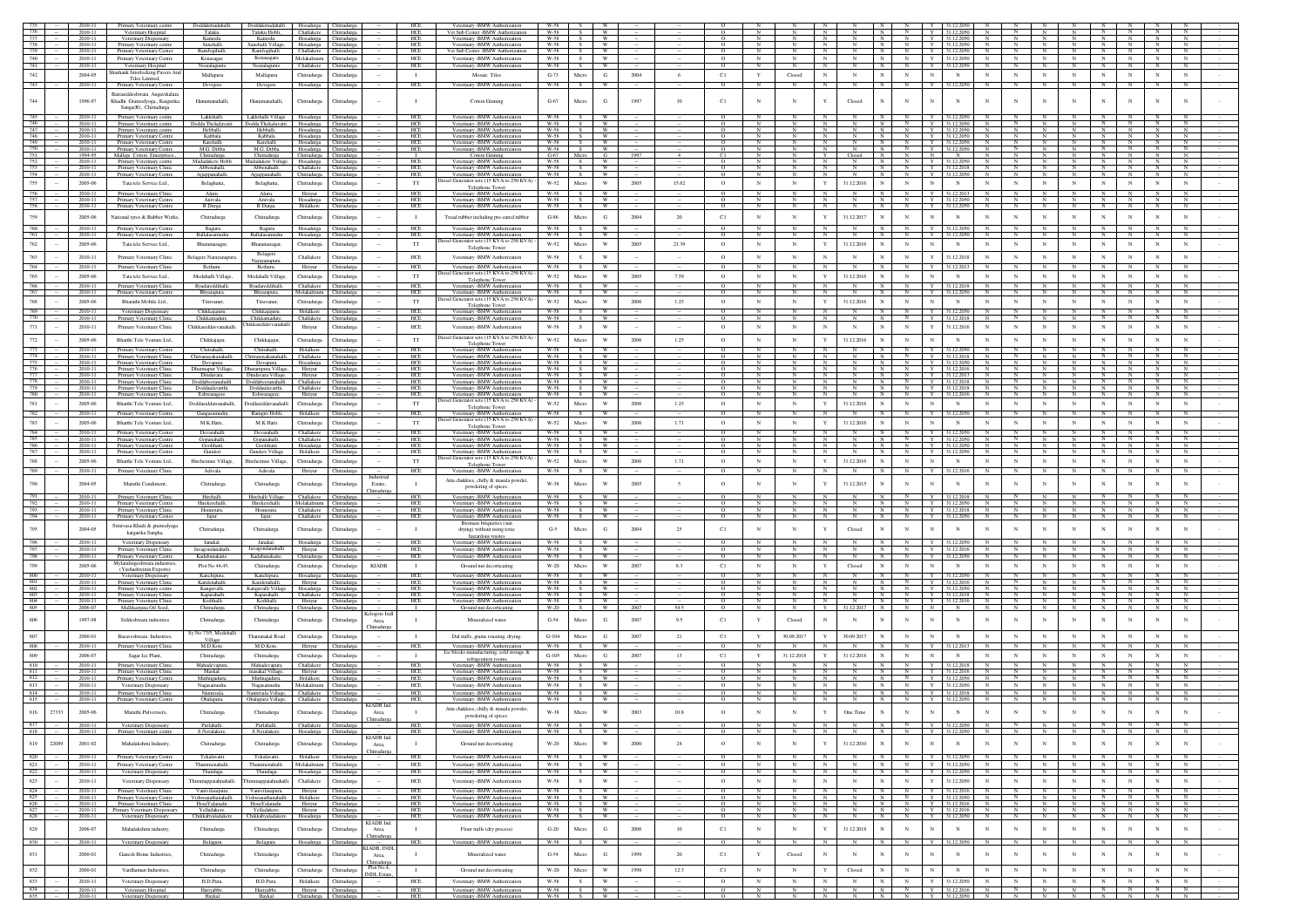|                   | 2010-11            | Primary Veterinary centre Doddakittadahalli. Doddakittadahalli Hosadurga Chitradurga |                                 |                                                                            |                                                                         |             | <b>HCE</b>                      | Veterinary -BMW Authorization                                              | $W-58$              |                 |                                |        |        |                           |                 |              |                                               |                            |                                                                                                                                 |                            |                                   |                                |                     |                                |        |
|-------------------|--------------------|--------------------------------------------------------------------------------------|---------------------------------|----------------------------------------------------------------------------|-------------------------------------------------------------------------|-------------|---------------------------------|----------------------------------------------------------------------------|---------------------|-----------------|--------------------------------|--------|--------|---------------------------|-----------------|--------------|-----------------------------------------------|----------------------------|---------------------------------------------------------------------------------------------------------------------------------|----------------------------|-----------------------------------|--------------------------------|---------------------|--------------------------------|--------|
|                   | 2010-11            | Veterinary Hospital                                                                  | Talaku.                         |                                                                            | Taluku Hobli, Challakere Chitradurga                                    |             | <b>HCE</b>                      | Vet Sub Center -BMW Authorization                                          | W-58                | - s - l         |                                |        |        |                           |                 |              |                                               |                            |                                                                                                                                 |                            |                                   |                                |                     |                                |        |
|                   | 2010-11            | Veterinary Dispensary                                                                |                                 | Kainodu.                                                                   | Hosadurga Chitradurga                                                   |             | HCE                             | Veterinary - BMW Authorization                                             | $W-58$              |                 | W                              |        |        |                           |                 |              |                                               |                            |                                                                                                                                 |                            |                                   |                                |                     |                                |        |
|                   | 2010-11            | Primary Veterinary centre                                                            | Sanehalli                       | Sanehalli Village,                                                         | Hosadurga Chitradurga                                                   |             | HCE                             | Veterinary -BMW Authorization                                              | $W-58$<br>W-58      |                 | <b>W</b><br><b>W</b>           |        |        | $\circ$                   | N<br>$_{\rm N}$ |              | N<br>N.<br>N<br>N                             | N                          | Y 31.12.2050<br>Y 31.12.2050                                                                                                    | N                          | $_{\rm N}$                        | $\mathbb{N}$<br>N              | $_{\rm N}$<br>N     | N<br>N                         |        |
| 740               | 2010-11<br>2010-11 | Primary Veterinary Center<br>Primary Veterinary Centre                               | RamJogihalli.<br>Konasagar.     | RamJogihalli.<br>Konasagara                                                | Challakere Chitradurga<br>Molakalmuru Chitradurga                       |             | HCE<br>HCE                      | Vet Sub Center -BMW Authorization<br>Veterinary -BMW Authorization         | W-58                | S.<br>S         | W                              |        |        | $\circ$<br>$\overline{0}$ | $\overline{N}$  | $_{\rm N}$   | N<br>$\mathbf{z}$<br>N                        |                            | N<br>N Y 31.12.2050<br>N                                                                                                        | $\mathbf N$                | N<br>N                            | $\mathbb{N}$<br>N              | $\mathbb{N}$        | $\overline{N}$<br>N            |        |
| 741               | 2010-11            | Veterinary Hospital                                                                  | Nearalagunte                    | Nearalagunte                                                               | Challakere Chitradurga                                                  |             | HCE                             | Veterinary -BMW Authorization                                              | W-58                | S               | <b>W</b>                       |        |        | $\Omega$                  | $\mathbb{N}$    |              | N<br>N                                        | N                          | Y 31.12.2050<br>$\mathbf{N}$                                                                                                    | $_{\rm N}$                 | $\mathbf N$                       | N                              | N                   | $_{\rm N}$                     |        |
| 742               | 2004-05            | ashank Interlocking Pavers An                                                        |                                 |                                                                            |                                                                         |             | $\blacksquare$                  | Mosaic Tiles                                                               | $G-73$              | Micro           | G                              | 2004   | -6     | C1                        | $\mathbf Y$     | Closed       | ${\bf N}$<br>$_{\rm N}$<br>$_{\rm N}$         | $_{\rm N}$                 | N<br>$\mathbb{N}$<br>${\bf N}$                                                                                                  | $_{\rm N}$                 | $_{\rm N}$<br>$_{\rm N}$          | $_{\rm N}$                     | $_{\rm N}$          | $_{\rm N}$<br>$_{\rm N}$       |        |
|                   |                    | Tiles Limited,                                                                       | Mallapura                       | Mallapura                                                                  | Chitradurga                                                             | Chitradurga |                                 |                                                                            | $W-58$              |                 |                                |        |        |                           |                 |              |                                               |                            |                                                                                                                                 |                            |                                   |                                |                     |                                |        |
| 743               | 2010-11            | Primary                                                                              | Devigere                        | Devigere                                                                   | Hosadurga Chitradurga                                                   |             | HCE                             | Veterinary - BMW Authori                                                   |                     | $\sim$          | - W                            |        |        | $\circ$                   | $\mathbf{N}$    | <b>N</b>     | N<br>N<br>N                                   | $\mathbf{N}$               | Y 31.12.2050<br>N                                                                                                               | N                          |                                   | $_{\rm N}$<br>N                | $\mathbf{N}$        | $\mathbb{N}$                   |        |
|                   |                    | Bairasiddeshwara Angavikalara                                                        |                                 |                                                                            |                                                                         |             |                                 |                                                                            |                     |                 |                                |        |        |                           |                 |              |                                               |                            |                                                                                                                                 |                            |                                   |                                |                     |                                |        |
| 744               | 1996-97            | Khadhi Gramodyoga, Kaigarika<br>Sanga(R), Chitradurga                                | Hanumanahalli                   | Hanumanahalli,                                                             | Chitradurga                                                             | Chitradurga | $\mathbf{I}$                    | <b>Cotton Ginning</b>                                                      | $G-67$              | Micro           | G                              | 1997   |        | C1                        |                 |              | Closed                                        | $_{\rm N}$                 | $_{\rm N}$<br>N                                                                                                                 | N                          |                                   |                                | $_{\rm N}$          |                                |        |
|                   |                    |                                                                                      |                                 |                                                                            |                                                                         |             |                                 |                                                                            |                     |                 |                                |        |        |                           |                 |              |                                               |                            |                                                                                                                                 |                            |                                   |                                |                     |                                |        |
|                   | 2010-11<br>2010-11 | Primary Veterinary centre<br>Primary Veterinary centre                               | Lakkihalli.                     | Lakkihalli Village                                                         | Hosadurga Chitradurg                                                    |             | HCE<br><b>HCE</b>               | Veterinary -BMW Authorization<br>Veterinary -BMW Authorization             | W-58<br>W-58        | s I w           |                                |        |        | $\circ$                   | $\mathbf{N}$    |              | N<br>N                                        |                            | Y 31.12.2050<br>$Y = 31122050$<br>N                                                                                             |                            |                                   |                                |                     |                                |        |
|                   |                    | 2010-11 Primary Veterinary centre                                                    | Hebballi.                       | Dodda Thekalavatti. Dodda Thekalavatti. Hosadurga Chitradurga<br>Hebballi. | Hosadurga Chitradurga                                                   |             | HCE                             | Veterinary -BMW Authorization                                              | W-58                | S W             |                                |        |        | $\circ$                   | N               |              | $\mathbb{N}$<br>N                             |                            | N Y 31.12.2050 N                                                                                                                | $\mathbb N$                | N<br>N                            |                                | $\mathbb{N}$        |                                |        |
| 748               | 2010-11            | Primary Veterinary Centr                                                             | Kabbala                         | Kabbala                                                                    | Hosadurga Chitradurga                                                   |             | <b>HCE</b>                      | Veterinary -BMW Authorizatio                                               | W-58                | S               | - W                            |        |        | $\Omega$                  | $\overline{N}$  |              | N<br>z                                        | N                          | $Y = 31122050$ N                                                                                                                | $\overline{N}$             | N<br>N                            | $\overline{N}$                 | N                   | N<br>$\mathbb{N}$              |        |
|                   | 2010-11            | Primary Veterinary Centre                                                            | Karehalli                       | Karehalli                                                                  | Hosadurga Chitradurga                                                   |             | HCE                             | Veterinary -BMW Authorization                                              | $W-58$              |                 |                                |        |        | $\Omega$                  |                 |              | N<br>N                                        |                            | Y 31.12.2050                                                                                                                    |                            |                                   |                                |                     |                                |        |
|                   |                    | 2010-11 Primary Veterinary Centre<br>1994-95 Mallige Cotton Enterprises.,            | M.G. Dibba<br>Chitradurga       |                                                                            | M.G. Dibba Hosadurga Chitradurga<br>Chitradurga Chitradurga Chitradurga |             | <b>HCE</b>                      | Veterinary -BMW Authorization<br>Cotton Ginning                            | $W-58$<br>$G-67$    | - s 1<br>Micro  | <b>W</b><br>G                  |        |        | $\circ$<br>C1             | N               |              | N<br>N I<br>Y<br>N<br>Closed                  |                            | Y 31.12.2050                                                                                                                    |                            | $_{\rm N}$                        | N                              | $_{\rm N}$          |                                |        |
|                   | 2010-11            | Primary Veterinary cents                                                             |                                 | Madadakere Hobli Madadakere Village Hosadurga Chitradurga                  |                                                                         |             | HCE                             | Veterinary -BMW Authorization                                              | $W-58$              | S               | <b>W</b>                       |        |        | $\circ$                   | $_{\rm N}$      |              | $\overline{N}$<br>N                           | N                          | Y 31.12.2050 N                                                                                                                  | N                          | N                                 | N                              | $\mathbb{N}$        | N<br>N                         |        |
|                   | 2010-11            | Primary Veterinary Clinic                                                            | Abbenahalli.                    | Abbenahalli. Challakere Chitradurea                                        |                                                                         |             | <b>HCE</b>                      | Veterinary -BMW Authorization                                              | W-58                | S               | W                              |        |        | $\Omega$                  | $\mathbb{N}$    |              | $\mathbb{N}$<br>N<br><b>N</b>                 |                            | Y 31.12.2018 N                                                                                                                  | - N                        | $\mathbb{N}$<br>- N               | $\mathbb{N}$                   |                     |                                |        |
|                   | 2010-11            | Primary Veterinary Centre                                                            | Ajjappanahalli.                 | Ajjappanahalli.                                                            | Chitradurga Chitradurga                                                 |             | HCE                             | Veterinary -BMW Authorization<br>tiesel Generator sets (15 KVA to 250 KVA) | W-58                | S               | <b>W</b>                       |        |        | $\circ$                   | N               |              | N                                             |                            | Y 31.12.2050<br>N                                                                                                               |                            | N                                 |                                |                     |                                |        |
|                   | 2005-06            | Tata tele Service Ltd.                                                               | Belaghatta,                     | Belaghatta,                                                                | Chitradurga                                                             | Chitradurga | <b>TT</b>                       | Telephone Tower                                                            | W-52                | Micro           | $\ensuremath{\text{W}}$        | 2005   | 15.62  | $\circ$                   | $_{\rm N}$      |              | $\mathbf{Y}$<br>31.12.2016<br>$_{\rm N}$      | $_{\rm N}$                 | N<br>N<br>N                                                                                                                     | $_{\rm N}$                 | $_{\rm N}$<br>$_{\rm N}$          | $_{\rm N}$                     | $_{\rm N}$          |                                |        |
|                   | 2010-11            | Primary Veterinary Clinic                                                            | Aluru.                          | Aluru.                                                                     | Hiriyur Chitradurga                                                     |             | HCE                             | Veterinary -BMW Authorization                                              | W-58 1              | S               | <b>W</b>                       |        |        | $\circ$                   | N               |              | $\mathbb{N}$<br>N                             | N                          | Y 31.12.2013<br>N                                                                                                               | N                          | N<br>N                            | N                              | N                   |                                |        |
| 757               | 2010-11            | Primary Veterinary Centre                                                            | Anivala                         | Anivala                                                                    | Hosadurga Chitradurga<br>Holalkere Chitradurga                          |             | HCE                             | Veterinary -BMW Authorization                                              | W-58                | S               | <b>W</b>                       |        |        | $\circ$                   | $_{\rm N}$      |              | $\overline{N}$                                | N                          | Y 31.12.2050<br>$_{\rm N}$<br>Y                                                                                                 | – N                        | $_{\rm N}$<br>N                   |                                | $\overline{N}$      |                                |        |
|                   | 2010-11            | Primary Veterinary Centre                                                            | <b>B</b> Durga                  | B Durga.                                                                   |                                                                         |             | HCE                             | Veterinary -BMW Authorization                                              | W-58                | S.              |                                |        |        |                           |                 |              |                                               |                            | 31.12.2050                                                                                                                      |                            |                                   |                                |                     |                                |        |
|                   | 2005-06            | National tyres & Rubber Works.                                                       | Chitradurea                     | Chitradurga                                                                | Chitradurga Chitradurga                                                 |             | $\blacksquare$                  | Tread rubber including pre-cured rubber                                    | $G-86$              | Micro           | G                              | 2004   | 20     | C1                        | $_{\rm N}$      | $\mathbf N$  | 31.12.2017<br>N<br>$\mathbf{Y}$               | $_{\rm N}$                 | N<br>$_{\rm N}$<br>$_{\rm N}$                                                                                                   | $_{\rm N}$                 | $_{\rm N}$<br>$_{\rm N}$          | $_{\rm N}$                     | $_{\rm N}$          |                                |        |
|                   | 2010-11            | Primary Veterinary Centre                                                            | Baguru                          | Baguru                                                                     | Hosadurga Chitradurga                                                   |             | HCE                             | Veterinary -BMW Authorization                                              | W-58                | - S             | <b>W</b>                       |        |        | $\circ$                   | $_{\rm N}$      |              | $\mathbb N$                                   |                            | Y 31.12.2050                                                                                                                    |                            |                                   |                                |                     |                                |        |
|                   | 2010-11            | Primary Veterinary Centre                                                            | Ballalasamudra                  | Ballalasamudra                                                             | Hosadurga Chitradurga                                                   |             | HCE                             | Veterinary - BMW Authorization                                             | W-58                | S.              | W                              |        |        | $\circ$                   |                 |              |                                               |                            | Y<br>31.12.2050                                                                                                                 |                            |                                   |                                |                     |                                |        |
| 762               | 2005-06            | Tata tele Service Ltd.                                                               | Bharamasagar,                   | Bharamasagar,                                                              | Chitradurga Chitradurga                                                 |             | $_{\rm TT}$                     | Diesel Generator sets (15 KVA to 250 KVA)                                  | W-52                | Micro           | $\ensuremath{\text{W}}\xspace$ | 2005   | 21.39  | $\circ$                   | $_{\rm N}$      | $_{\rm N}$   | $\mathbf{Y}$<br>31.12.2016                    | $_{\rm N}$                 | $_{\rm N}$<br>$_{\rm N}$<br>$_{\rm N}$                                                                                          | $_{\rm N}$                 | $_{\rm N}$<br>$_{\rm N}$          | $_{\rm N}$                     | $_{\rm N}$          |                                |        |
|                   |                    |                                                                                      |                                 | Belagere                                                                   |                                                                         |             |                                 | Telephone Tower                                                            |                     |                 |                                |        |        |                           |                 |              |                                               |                            |                                                                                                                                 |                            |                                   |                                |                     |                                |        |
| 763               | 2010-11            | Primary Veterinary Clinic                                                            | Belagere Narayanapura.          | Narayanapura                                                               | Challakere                                                              | Chitradurga | HCE                             | Veterinary -BMW Authorization                                              | W-58                | s.              | W                              |        |        | $\circ$                   | $_{\rm N}$      | $_{\rm N}$   | N<br>$_{\rm N}$                               | $_{\rm N}$                 | Y<br>31.12.2018<br>N                                                                                                            | $_{\rm N}$                 | $_{\rm N}$<br>$_{\rm N}$          | $_{\rm N}$                     | $_{\rm N}$          | $_{\rm N}$<br>$_{\rm N}$       |        |
|                   | 2010-11            | Primary Veterinary Clinic                                                            | Bethuru.                        | Bethuru.                                                                   | Hiriyur                                                                 | Chitradurga | HCE                             | Veterinary -BMW Authorization                                              | W-58                | S               | W                              |        |        | $\circ$                   | $_{\rm N}$      |              | $_{\rm N}$                                    |                            | Y<br>31.12.2013                                                                                                                 |                            |                                   |                                |                     |                                |        |
| 765               | 2005-06            | Tata tele Service Ltd.,                                                              | Medahalli Village,              | Medahalli Village,                                                         | Chitradurga                                                             | Chitradurga | TT                              | esel Generator sets (15 KVA to 250 KVA)<br>Telephone Tower                 | W-52                | Micro           | $\ensuremath{\text{W}}\xspace$ | 2005   | 7.59   | $\circ$                   | $_{\rm N}$      | $_{\rm N}$   | $\mathbf Y$<br>31.12.2016<br>$_{\rm N}$       | $_{\rm N}$                 | $\mathbb N$<br>$_{\rm N}$<br>$_{\rm N}$                                                                                         | $_{\rm N}$                 | $_{\rm N}$<br>$_{\rm N}$          | $_{\rm N}$                     | $_{\rm N}$          | $_{\rm N}$                     |        |
|                   | 2010-11            | Primary Veterinary Clinic                                                            | Byadareddihalli.                | Byadareddihalli.                                                           | Challakere Chitradurga                                                  |             | HCE                             | Veterinary - BMW Authorization                                             | W-58                | S               | <b>W</b>                       |        |        | $\circ$                   | N               |              | N<br>N                                        | $\mathbb{N}$               | Y 31.12.2018<br>$\mathbb N$                                                                                                     | N                          | N                                 | $\mathbb{N}$                   | $_{\rm N}$          |                                |        |
| $\frac{766}{767}$ | 2010-11            | Primary Veterinary Centre                                                            | Bhyarapura.                     | Bhyarapura.                                                                | Molakalmuru Chitradurga                                                 |             | HCE                             | Veterinary -BMW Authorization                                              | W-58                | S.              | <b>W</b>                       |        |        |                           |                 |              |                                               |                            | Y 31.12.2050                                                                                                                    |                            |                                   |                                | $\mathbb{N}$        |                                |        |
| 768               | 2005-06            | Bharathi Mobile Ltd.,                                                                | Tiruvanur,                      | Tiruvanur,                                                                 | Chitradurga                                                             | Chitradurga | $_{\rm TT}$                     | liesel Generator sets (15 KVA to 250 KVA)                                  | W-52                | Micro           | $\ensuremath{\text{W}}$        | 2006   | 1.25   | $\circ$                   | $_{\rm N}$      | $_{\rm N}$   | 31.12.2016<br>$\mathbf Y$                     | $_{\rm N}$                 | $_{\rm N}$<br>$_{\rm N}$<br>$_{\rm N}$                                                                                          | $_{\rm N}$                 | $_{\rm N}$<br>N                   | $_{\rm N}$                     | $_{\rm N}$          | $_{\rm N}$                     |        |
|                   | 2010-11            | Veterinary Dispensary                                                                | Chikkajajuru.                   | Chikkajajuru.                                                              | Holalkere Chitradurga                                                   |             | HCE                             | Telephone Tower<br>Veterinary -BMW Authorization                           | W-58                | S               | <b>W</b>                       |        |        | $\circ$                   | ${\bf N}$       |              | N<br>$_{\rm N}$                               | $\,N$                      | Y 31.12.2050<br>N                                                                                                               |                            | N<br>N                            |                                |                     |                                |        |
| 770               | 2010-11            | Primary Veterinary Clinic                                                            | Chikkamadure.                   | Chikkamadure.                                                              | Challakere Chitradurga                                                  |             | HCE                             | Veterinary -BMW Authorization                                              | W-58                |                 | <b>W</b>                       |        |        |                           |                 |              |                                               | N                          |                                                                                                                                 |                            |                                   | N                              |                     |                                |        |
| 771               | 2010-11            | Primary Veterinary Clinic                                                            | Chikkasiddavvanahalli.          | Chikkasiddavvanahal                                                        | Hiriyur                                                                 | Chitradurga | HCE                             | Veterinary -BMW Authorization                                              | W-58                | S               | W                              |        |        | $\circ$                   | $_{\rm N}$      | $_{\rm N}$   | $_{\rm N}$                                    | $_{\rm N}$                 | $\mathbf Y$<br>31.12.2016<br>$_{\rm N}$                                                                                         |                            | N                                 | $_{\rm N}$                     | $_{\rm N}$          |                                |        |
|                   |                    |                                                                                      |                                 |                                                                            |                                                                         |             |                                 | Diesel Generator sets (15 KVA to 250 KVA)                                  |                     |                 |                                |        |        |                           |                 |              |                                               |                            |                                                                                                                                 |                            |                                   |                                |                     |                                |        |
| 772               | 2005-06            | Bharthi Tele Venture Ltd.,                                                           | Chikkaiajur.                    | Chikkaiajur.                                                               | Chitradurga                                                             | Chitradurea | $_{\rm TT}$                     | Telephone Tower                                                            | W-52                | Micro           | $\ensuremath{\text{W}}\xspace$ | 2006   | 1.25   | $\circ$                   | $_{\rm N}$      | $_{\rm N}$   | $\mathbf Y$<br>31.12.2016                     | $_{\rm N}$                 | $_{\rm N}$<br>$_{\rm N}$<br>$_{\rm N}$                                                                                          | $_{\rm N}$                 | $_{\rm N}$<br>$_{\rm N}$          | $_{\rm N}$                     | $\mathbf N$         | $\mathbf N$<br>$_{\rm N}$      |        |
|                   | 2010-11            | Primary Veterinary Centre                                                            | Chitrahalli.                    | Chitrahalli.                                                               | Holalkere                                                               | Chitradurga | $\frac{\text{HCE}}{\text{HCE}}$ | Veterinary -BMW Authorization                                              | W-58                |                 |                                |        |        |                           |                 |              |                                               |                            | 31.12.2050                                                                                                                      |                            |                                   |                                |                     |                                |        |
|                   | 2010-11            | Primary Veterinary Clinic                                                            |                                 | Chitranayakanahalli. Chitranayakanahalli. Challakere Chitradurga           |                                                                         |             |                                 | Veterinary -BMW Authorization                                              | $W-58$              |                 |                                |        |        | $\circ$                   |                 |              |                                               |                            | Y 31.12.2018                                                                                                                    |                            |                                   |                                |                     |                                |        |
|                   | 2010-11<br>2010-11 | Primary Veterinary Centre<br>Primary Veterinary Clini                                | Devapura<br>Dharmapur Village,  | Dharampura Village,                                                        | Devapura Hosadurga Chitradurga<br>Hiriyur                               | Chitradurga | HCE<br>HCF                      | Veterinary - BMW Authorization<br>Veterinary -BMW Authorization            | $W-58$<br>$W-58$    | S<br>S          | W<br>W                         |        |        | $\circ$<br>$\Omega$       | $_{\rm N}$      |              | N<br>N                                        | N                          | N Y 31.12.2050<br>$Y$ 31.12.2016 N                                                                                              | $_{\rm N}$<br>$\mathbb{N}$ | N                                 | N                              | N<br>$\mathbb{N}$   | N                              |        |
|                   | 2010-11            | Primary Veterinary Clinic                                                            | Dindavara.                      | Dindavara Village.                                                         | Hiriyur                                                                 | Chitradurga | HCE                             | Veterinary -BMW Authorization                                              | W-58                |                 |                                |        |        | $\Omega$                  |                 |              | N<br>N                                        |                            | Y 31.12.2013                                                                                                                    |                            |                                   |                                |                     |                                |        |
|                   | 2010-11            | Primary Veterinary Clinic                                                            |                                 | Doddabeeranahalli. Doddabeeranahalli. Challakere Chitradurga               |                                                                         |             | <b>HCE</b>                      | Veterinary -BMW Authorization                                              | W-58                | s =             | - W                            |        |        | $\circ$                   | N               |              | z<br>N                                        |                            | Y 31.12.2018                                                                                                                    |                            |                                   |                                |                     |                                |        |
| 780               | 2010-11            | Primary Veterinary Clinic                                                            |                                 | Doddaulavarthi. Doddaulavarthi. Challakere Chitradurga                     |                                                                         |             | <b>HCE</b>                      | Veterinary -BMW Authorization                                              | W-58<br>W-58        |                 | <b>W</b>                       |        |        | $\circ$                   |                 |              | $\mathbb{N}$                                  |                            | Y 31.12.2018                                                                                                                    |                            |                                   |                                |                     |                                |        |
|                   | 2010-11            | Primary Veterinary Clinic                                                            | Eshwaragere.                    | Eshwaragere.                                                               | Hiriyur                                                                 | Chitradurga | HCE                             | Veterinary -BMW Authorization<br>Diesel Generator sets (15 KVA to 250 KVA) |                     |                 |                                |        |        |                           |                 |              |                                               |                            | Y 31.12.2016<br>N                                                                                                               |                            |                                   |                                |                     |                                |        |
|                   | 2005-06            | Bharthi Tele Venture Ltd.,                                                           | Doddasiddawanahalli,            | Doddasiddavanahalli                                                        | Chitradurga                                                             | Chitradurga | $_{\rm TT}$                     | Telephone Tower                                                            | W-52                | Micro           | W                              | 2006   | 1.25   | $\circ$                   | $_{\rm N}$      | $\mathbf N$  | Y<br>31.12.2016                               | $_{\rm N}$                 | $_{\rm N}$<br>$_{\rm N}$                                                                                                        | N                          | $_{\rm N}$<br>$_{\rm N}$          | $_{\rm N}$                     | N                   | $_{\rm N}$                     |        |
|                   | 2010-11            | Primary Veterinary Centre                                                            | Gangasamudra                    | Ramgiri Hobli,                                                             | Holalkere Chitradurga                                                   |             | $HEE$                           | Veterinary -BMW Authorization                                              | W-58                | s.              | W                              |        |        | $\circ$                   | N               |              | N                                             |                            | Y<br>31.12.205                                                                                                                  |                            |                                   |                                |                     |                                |        |
| 783               | 2005-06            | Bharthi Tele Venture Ltd.                                                            | M.K.Hatti.                      | M.K Hatti                                                                  | Chitradurga                                                             | Chitradurga | $_{\rm TT}$                     | iesel Generator sets (15 KVA to 250 KVA)<br>Telephone Tower                | W-52                | Micro           | $\mathbf{W}$                   | 2006   | 1.71   | $\Omega$                  | $_{\rm N}$      | $_{\rm N}$   | 31.12.2016<br>$\mathbf Y$<br>N                | $_{\rm N}$                 | $_{\rm N}$<br>$_{\rm N}$<br>$_{\rm N}$                                                                                          | $_{\rm N}$                 | $_{\rm N}$<br>$_{\rm N}$          | $_{\rm N}$                     | $_{\rm N}$          | $_{\rm N}$                     |        |
| 784               | 2010-11            | Primary Veterinary Center                                                            | Devarahalli                     | Devarahalli                                                                | Challakere Chitradurga                                                  |             | HCE                             | Veterinary -BMW Authorization                                              | W-58                | S               | w                              |        |        | $\circ$                   | $_{\rm N}$      |              | $\overline{N}$<br>N                           | $\overline{N}$             | Y 31.12.2050<br>N                                                                                                               |                            | $_{\rm N}$                        | N                              | $\overline{N}$      |                                |        |
| 785               | 2010-11            | Primary Veterinary Centre                                                            | Gopanahalli                     | Gopanahalli.                                                               | Challakere Chitradurga                                                  |             | HCE                             | Veterinary -BMW Authorization                                              | $W-58$              | S.              |                                |        |        |                           |                 |              | N                                             |                            | Y 31.12.2050                                                                                                                    |                            |                                   |                                |                     |                                |        |
| 786<br>787        | 2010-11<br>2010-11 | Primary Veterinary Centre                                                            | Goolihatti                      | Goolihatti                                                                 | Hosadurga Chitradurga<br>Holalkere Chitradurga                          |             | HCE<br>HCE                      | Veterinary -BMW Authorization                                              | <b>W-58</b><br>W-58 | S<br>S.         | <b>W</b><br><b>W</b>           |        |        | $\circ$<br>$\circ$        | N<br>N          |              | $\mathbb{N}$<br>N<br>N<br>N                   | $\mathbb{N}$<br>$_{\rm N}$ | Y 31.12.2050<br>$\mathbb N$<br>Y 31.12.2050<br>$_{\rm N}$                                                                       | N<br>$\mathbf{N}$          | N                                 | N<br>$_{\rm N}$                | $_{\rm N}$<br>N     |                                |        |
|                   |                    | Primary Veterinary Centre                                                            | Gunderi                         | Gunderi Village                                                            |                                                                         |             |                                 | Veterinary -BMW Authoriz<br>esel Generator sets (15 KVA to 250 KVA)        |                     |                 |                                |        |        |                           |                 |              |                                               |                            |                                                                                                                                 |                            |                                   |                                |                     |                                |        |
| 788               | 2005-06            | Bharthi Tele Venture Ltd.,                                                           | Hirehennue Village,             | Hirehennue Village,                                                        | Chitradurga Chitradurga                                                 |             | $_{\rm TT}$                     | Telephone Tower                                                            | W-52                | Micro           | $\ensuremath{\text{W}}\xspace$ | 2006   | 1.71   | $\circ$                   | N               | $_{\rm N}$   | 31.12.2016<br>Y<br>$_{\rm N}$                 | $_{\rm N}$                 | ${\bf N}$<br>$\mathbb{N}$<br>${\bf N}$                                                                                          | $_{\rm N}$                 | ${\bf N}$                         | $_{\rm N}$<br>$_{\rm N}$       | $_{\rm N}$          | $_{\rm N}$<br>$_{\rm N}$       |        |
| 789               | 2010-11            | Primary Veterinary Clinic                                                            | Adivala                         | Adivala                                                                    | Hiriyur Chitradurga                                                     |             | HCE                             | Veterinary -BMW Authorization                                              | W-58                | S               | <b>W</b>                       |        |        | $\circ$                   | N               |              | $\mathbb{N}$                                  | N                          | Y 31.12.2016<br>N                                                                                                               |                            | N                                 | N                              |                     |                                |        |
|                   | 2004-05            | Maruthi Condiment,                                                                   | Chitradurga                     | Chitradurga                                                                | Chitradurga                                                             | Chitradurga | $\mathbf{I}$                    | Atta chakkies, chilly & masala powder.                                     | W-38                | Micro           | W                              | 2005   |        | $\circ$                   | $_{\rm N}$      |              | 31.12.2015<br>Y                               | $_{\rm N}$                 | $_{\rm N}$<br>$_{\rm N}$<br>$_{\rm N}$                                                                                          |                            |                                   |                                |                     |                                |        |
|                   |                    |                                                                                      |                                 |                                                                            |                                                                         |             | Estate.<br>.hitradurg:          | powdering of spices.                                                       |                     |                 |                                |        |        |                           |                 |              |                                               |                            |                                                                                                                                 |                            |                                   |                                |                     |                                |        |
|                   | 2010-11            | Primary Veterinary Clinic                                                            | Hirehalli.                      | Hirehalli Village                                                          | Challakere Chitradurga                                                  |             | HCE                             | Veterinary -BMW Authorization                                              |                     | W-58 S W        |                                |        |        | $\circ$                   | N               |              | $\mathbb{N}$<br>N I                           |                            | N   Y   31.12.2018   N   N   N                                                                                                  |                            | N                                 |                                | N N N N             | N                              |        |
|                   | 2010-11            | Primary Veterinary Centre                                                            | Hirekerehalli.                  | Hirekerehalli.                                                             | Molakalmuru Chitradurga                                                 |             | HCE                             | Veterinary -BMW Authorization                                              | W-58                | S               | W -                            |        |        | $\circ$                   | N               | N            | N<br>N<br>N I                                 |                            | N Y 31.12.2050 N                                                                                                                | N                          | N<br>N                            | N                              | N                   | N<br>N                         |        |
| 793               | 2010-11            | Primary Veterinary Clinic                                                            | Honnouru.                       | Honnouru.                                                                  | Challakere Chitradurga                                                  |             | HCE                             | Veterinary -BMW Authorization                                              | W-58                | S               | W -                            |        |        | $\circ$                   | N               |              | N<br>$_{\rm N}$<br>N I                        | $\frac{N}{N}$              | Y   31.12.2018   N                                                                                                              | $\frac{N}{N}$              | N<br>N<br>$\overline{\mathbf{N}}$ | $N$                            | $\frac{N}{N}$       | N<br>N                         |        |
|                   | 2010-11            | Primary Veterinary Center                                                            | Jajur.                          | Jajur.                                                                     | Challakere Chitradurga                                                  |             | HCE                             | Veterinary -BMW Authorization<br>Biomass briquettes (sur                   | W-58                | s.              | W                              |        |        | $\circ$                   |                 |              | $_{\rm N}$                                    |                            | Y 31.12.2050<br>$_{\rm N}$                                                                                                      |                            |                                   |                                |                     |                                |        |
|                   | 2004-05            | Srinivasa Khadi & gramodyaga<br>kaigarika Sangha,                                    | Chitradurga.                    | Chitradurga                                                                | Chitradurga                                                             | Chitradurga | $\mathbf{I}$                    | drying) without using toxic                                                | $G-5$               | Micr            | G                              | 2004   | 25     | C1                        | $_{\rm N}$      | $_{\rm N}$   | Closed                                        | $_{\rm N}$                 | $_{\rm N}$<br>$_{\rm N}$                                                                                                        |                            |                                   | N                              |                     |                                |        |
|                   |                    |                                                                                      |                                 |                                                                            |                                                                         |             |                                 | hazardous waste                                                            |                     |                 |                                |        |        |                           |                 |              |                                               |                            |                                                                                                                                 |                            |                                   |                                |                     |                                |        |
|                   | 2010-11<br>2010-11 | Veterinary Dispensary                                                                | Janakal.<br>Javagondanahalli.   | Janakal.<br>Javagondanahalli                                               | Hosadurga Chitradurga<br>Hiriyur Chitradurga                            |             | HCE<br>HCE                      | Veterinary -BMW Authorization<br>Veterinary -BMW Authorization             | W-58<br>W-58        | S.<br>S.        | W<br><b>W</b>                  |        |        | $\circ$<br>$\circ$        | $_{\rm N}$      | N            | N<br>N<br>N                                   | $_{\rm N}$                 | Y 31.12.2050<br>$\mathbb{N}$<br>Y 31.12.2016<br>N                                                                               | $_{\rm N}$<br>$_{\rm N}$   | $_{\rm N}$<br>$_{\rm N}$<br>N     | N<br>N                         | N<br>$_{\rm N}$     |                                |        |
|                   | 2010-11            | Primary Veterinary Clinic                                                            | Kadabanakatte.                  | Kadabanakatte.                                                             | Chitradurga Chitradurga                                                 |             | <b>HCE</b>                      | Veterinary -BMW Authorization                                              | W-58                | S               | <b>W</b>                       |        |        | $\circ$                   | $\mathbb{N}$    | <b>N</b>     | N<br>N<br>$\mathbf N$                         |                            | Y 31.12.2050<br>$\mathbb{N}$                                                                                                    | $_{\rm N}$                 | $\mathbb{N}$<br>$\mathbb{N}$      | N                              | N                   |                                |        |
|                   | 2005-06            | Primary Veterinary Centre<br>Mylaralingeshwara industries                            | Plot No 44.45.                  |                                                                            |                                                                         |             | $\blacksquare$                  |                                                                            | W-20                | Micro           | W                              | 2007   | 8.3    | C1                        | $\mathbf N$     | $_{\rm N}$   | $\mathbb{N}$<br>Y<br>Closed                   | $_{\rm N}$                 | ${\bf N}$<br>$_{\rm N}$<br>$_{\rm N}$                                                                                           | $_{\rm N}$                 | $_{\rm N}$<br>$_{\rm N}$          | $_{\rm N}$                     | $_{\rm N}$          | $_{\rm N}$<br>$_{\rm N}$       |        |
|                   |                    | (Yashashwinin Exports)                                                               |                                 | Chitradurea                                                                | Chitradurga Chitradurga                                                 |             | <b>KIADB</b>                    | Ground nut decorticating                                                   |                     |                 |                                |        |        |                           |                 |              |                                               |                            |                                                                                                                                 |                            |                                   |                                |                     |                                |        |
|                   | $2010 - 11$        | Veterinary Dispensary                                                                | Kanchipura.                     | Kanchipura                                                                 | Hosadurga Chitradurga                                                   |             | HCE                             | Veterinary -BMW Authorization                                              | $W-58$<br>$W-58$    | s l             | <b>W</b>                       |        |        | $\Omega$<br>$\circ$       | $\frac{N}{N}$   |              | $\frac{N}{N}$<br>N<br>N                       |                            | $\begin{tabular}{ c c c c c c c c c c } \hline N & Y & 31.12.2050 & N \\ \hline N & Y & 31.12.2016 & N \\ \hline \end{tabular}$ | N                          | $\frac{N}{N}$<br>$\frac{N}{N}$    | N                              | N                   |                                |        |
| 802               | 2010-11<br>2010-11 | Primary Veterinary Clinic<br>Primary Veterinary centr                                | Kandenahalli.<br>Kanguvalli.    | Kandenahalli.                                                              | Hiriyur Chitradurga<br>Kangavalli Village Hosadurga Chitradurga         |             | HCE<br>HCE                      | Veterinary -BMW Authorization<br>Veterinary - BMW Authorization            | W-58                |                 | – W                            |        |        | $\circ$                   | N               |              | N<br>N                                        | $\mathbb{N}$               | Y 31.12.2050<br>$\overline{N}$                                                                                                  | N                          | N<br>N                            | N                              | N                   | N                              |        |
| 803               | 2010-11            | Primary Veterinary Clini                                                             | Kaparahalli.                    | Kaparahalli.                                                               | Challakere Chitradurga                                                  |             | HCE                             | Veterinary - BMW Authorization                                             | $W-58$              | S               | W                              |        |        | $\overline{0}$            | $\mathbb{N}$    |              | N<br>$\mathbf{N}$                             |                            | N Y 31.12.2018 N                                                                                                                | $N$ $N$                    | N                                 |                                | $N$ $N$             | $\mathbb{N}$<br>N              |        |
| 804               | 2010-11            | Primary Veterinary Clini                                                             | Kodihalli                       | Kodihalli.                                                                 | Hiriyur Chitradurga                                                     |             | HCE                             | Veterinary -BMW Authorization                                              | $W-58$              |                 |                                |        | 54.5   |                           |                 |              |                                               |                            | Y 31.12.2016                                                                                                                    |                            |                                   |                                |                     |                                |        |
| 805               | 2006-07            | Mallikarjuna Oil Seed,                                                               | Chitradurga                     | Chitradurga                                                                | Chitradurga Chitradurga                                                 |             | $\blacksquare$<br>Celogote Indi | Ground nut decorticating                                                   | $W-20$              | S.              | W                              | 2007   |        | $\circ$                   | $_{\rm N}$      |              | Y<br>N<br>31.12.2017                          |                            | N<br>$\mathbb N$                                                                                                                |                            |                                   | $_{\rm N}$                     |                     |                                |        |
| 806               | 1997-98            | Siddeshwara industries                                                               | Chitradurga                     | Chitradurga                                                                | Chitradurga                                                             | Chitradurga | $\mathbf{I}$<br>Area            | Mineralized water                                                          | $G-54$              | Micro           | G                              | 2007   | 9.5    | C1                        | Y               | Closed       | $_{\rm N}$<br>$\mathbf{N}$                    | $_{\rm N}$                 | $_{\rm N}$<br>$_{\rm N}$<br>N                                                                                                   |                            | N<br>N                            | $_{\rm N}$                     | $_{\rm N}$          |                                |        |
|                   |                    |                                                                                      |                                 |                                                                            |                                                                         |             |                                 |                                                                            |                     |                 |                                |        |        |                           |                 |              |                                               |                            |                                                                                                                                 |                            |                                   |                                |                     |                                |        |
| 807               | 2000-01            | Basayeshwara Industries.                                                             | Sy No 73/5, Medehalli           | Thamatakal Road                                                            | Chitradurga                                                             | Chitradurea | $\mathbf{I}$                    | Dal mills, grams roasting, drying                                          | $G-104$             | Micro           | G                              | 2007   | 21     | C1                        | $\mathbf Y$     | 30.09.2017   | $\mathbf{v}$<br>30.09.2017                    | $_{\rm N}$                 | $_{\rm N}$<br>$_{\rm N}$<br>$_{\rm N}$                                                                                          |                            | $_{\rm N}$<br>$\mathbf{N}$        | $_{\rm N}$                     | $_{\rm N}$          |                                |        |
| 808               | 2010-11            | Primary Veterinary Clini                                                             | Village<br>M.D.Kote             | M.D.Kote.                                                                  | Hiriyur                                                                 | Chitradurga | HCE                             | Veterinary - BMW Authorization                                             | W-58                |                 |                                |        |        | $\overline{0}$            |                 |              |                                               |                            |                                                                                                                                 |                            |                                   |                                |                     |                                |        |
| 809               | 2006-07            | Sagar Ice Plant                                                                      | Chitradurga                     | Chitradurga                                                                | Chitradurga                                                             | Chitradurga | $\blacksquare$                  | Ice blocks manufacturing, cold storage &                                   | $G-105$             | Micro           | G                              | 2007   | 13     | C1                        | Y               | 31.12.2018   | $\mathbf{v}$<br>31.12.2018                    | $_{\rm N}$                 | $\mathbb{N}$<br>$_{\rm N}$<br>$_{\rm N}$                                                                                        | $_{\rm N}$                 | $_{\rm N}$<br>$_{\rm N}$          | $_{\rm N}$                     | $_{\rm N}$          | $\mathbf N$                    |        |
| 810               | 2010-11            | Primary Veterinary Clinis                                                            | Mahadevapura.                   | Mahadevapura                                                               | Challakere Chitradurga                                                  |             | HCE                             | refrigeration rooms<br>Veterinary - BMW Authorization                      | W-58                |                 | W                              |        |        | $\overline{O}$            |                 |              |                                               | $\overline{N}$             | N<br>Y 31.12.2018                                                                                                               | $\overline{N}$             |                                   |                                |                     |                                |        |
|                   | 2010-11            | Primary Veterinary Clini                                                             | Maskal.                         | masakal Village,                                                           | Hiriyur Chitradurga                                                     |             | HCE                             | Veterinary - BMW Authorization                                             | W-58                |                 |                                |        |        |                           |                 |              |                                               |                            |                                                                                                                                 |                            |                                   |                                |                     |                                |        |
| 812               | 2010-11            | Primary Veterinary Centre                                                            | Muthugaduru.                    | Muthugaduru.                                                               | Holalkere Chitradurga                                                   |             | HCE                             | Veterinary -BMW Authorization                                              | W-58                | S               | <b>W</b>                       |        |        | $\circ$                   | N               |              | N<br>N                                        | $\mathbb{N}$               | Y 31.12.2050<br>N                                                                                                               | N                          | <b>N</b><br>- N                   | $\mathbb N$                    | $\mathbb{N}$        | $\mathbb{N}$<br>N              |        |
| 813               | 2010-11            | Veterinary Dispensary                                                                | Nagasamudra.                    | Nagasamudra.                                                               | Molakalmuru Chitradurga                                                 |             | HCE                             | Veterinary -BMW Authorization                                              | W-58                | S.              | W                              |        |        | $\circ$                   | $_{\rm N}$      | $_{\rm N}$   | N<br>$_{\rm N}$<br>N                          | N                          | Y 31.12.2050<br>$_{\rm N}$                                                                                                      | N                          | N<br>$_{\rm N}$                   | $\mathbb{N}$                   | N                   | N<br>N                         |        |
| $rac{814}{815}$   | 2010-11            | Primary Veterinary Clinic                                                            | Nannivala.                      |                                                                            | Nannivala Village, Challakere Chitradurga                               |             | HCE                             | Veterinary -BMW Authorization                                              | W-58<br>W-58        | S               | W                              |        |        | $\circ$                   |                 |              | N<br>$\,$ N $\,$                              | ${\bf N}$                  | Y 31.12.2018<br>N<br>$Y$ 31.12.2050                                                                                             | ${\bf N}$                  | N                                 | N                              | ${\bf N}$           |                                |        |
|                   | 2010-11            | Primary Veterinary Centre                                                            | Obalapura.                      | Obalapura Village,                                                         | Challakere Chitradurga                                                  |             | HCE<br>KIADB Ind.               | Veterinary -BMW Authorization                                              |                     |                 |                                |        |        |                           |                 |              |                                               |                            |                                                                                                                                 |                            |                                   |                                |                     |                                |        |
| 816               | 27333<br>2005-06   | Maruthi Pulverisers                                                                  | Chitradurga                     | Chitradurga                                                                | Chitradurga                                                             | Chitradurga | $\mathbf{L}$<br>Area,           | Atta chakkies, chilly & masala powder,                                     | W-38                | Micr            | W                              |        | 10.8   |                           |                 |              | One Time                                      |                            | $_{\rm N}$<br>$_{\rm N}$                                                                                                        |                            |                                   |                                |                     |                                |        |
|                   |                    |                                                                                      |                                 |                                                                            |                                                                         |             |                                 |                                                                            |                     |                 |                                |        |        |                           |                 |              |                                               |                            |                                                                                                                                 |                            |                                   |                                |                     |                                |        |
| $\frac{817}{818}$ | 2010-11            | Veterinary Dispensary<br>2010-11 Primary Veterinary centre                           | Purlahalli.<br>S.Neralakere.    | Purlahalli.<br>S.Neralakere. Hosadurga Chitradurga                         | Challakere Chitradurga                                                  |             | HCE<br>HCE                      | Veterinary -BMW Authorization<br>Veterinary -BMW Authorization             | $W-58$              | S<br>W-58 S W   | W                              |        |        | $\circ$<br>$\circ$        | $_{\rm N}$<br>N | N            | N<br>N<br>N<br>N<br>N                         | $\frac{N}{N}$              | Y 31.12.2050<br>N<br>$Y$   31.12.2050   N                                                                                       | $\frac{N}{N}$              | N<br>N<br>N<br>N                  | N                              | $\frac{N}{N}$       |                                |        |
|                   |                    |                                                                                      |                                 |                                                                            |                                                                         |             | KIADB Ind.                      |                                                                            |                     |                 |                                |        |        |                           |                 |              |                                               |                            |                                                                                                                                 |                            |                                   |                                |                     |                                |        |
| 819               | 22089<br>2001-02   | Mahalakshmi Industry,                                                                | Chitradurga                     | Chitradurga                                                                | Chitradurga                                                             | Chitradurga | $\mathbf{I}$<br>Area.           | Ground nut decorticating                                                   | W-20                | Micro           | W                              | 2000   | $24\,$ | $\circ$                   | $_{\rm N}$      | $_{\rm N}$   | 31.12.2010<br>Y                               | $_{\rm N}$                 | $_{\rm N}$<br>$_{\rm N}$<br>$_{\rm N}$                                                                                          | $_{\rm N}$                 |                                   | $_{\rm N}$                     | $_{\rm N}$          | $_{\rm N}$                     |        |
|                   | 2010-11            | Primary Veterinary Centre                                                            | Tekalavatti.                    | Tekalavatti. Holalkere Chitradurga                                         |                                                                         |             | hitradur<br><b>HCE</b>          | Veterinary -BMW Authorization                                              |                     | $W-58$ S W      |                                |        |        | $\circ$                   | N               | N.           | N<br>N                                        |                            | N   Y 3112.2050   N                                                                                                             |                            | $N \mid N \mid$<br>N              | $N$ $\blacksquare$             | N N                 | N                              |        |
| $\frac{820}{821}$ | 2010-11            | Primary Veterinary Centre                                                            | Thammenahalli.                  |                                                                            | Thammenaballi Molakalmum Chitradurea                                    |             | HCE                             | Veterinary - RMW Authorization                                             | W-58                | S               | <b>W</b>                       |        | $\sim$ | $\circ$                   | N               | N            | N<br>N<br>N                                   | N                          | Y 31.12.2050<br>N                                                                                                               | N                          | N<br>N                            | N                              | N                   | N<br>N                         |        |
| 822               | 2010-11            | Veterinary Dispensary                                                                | Thandaga.                       | Thandaga.                                                                  | Hosadurga Chitradurga                                                   |             | HCE                             | Veterinary - BMW Authorization                                             | W-58                |                 | - W                            |        |        | $\overline{0}$            | N               |              | N<br>N                                        | $_{\rm N}$                 | Y 31.12.2050                                                                                                                    | N                          | N<br>N                            |                                | N                   |                                |        |
| 823               | 2010-11            | Veterinary Dispensary                                                                | Thimmappaiahnahalli.            | Thimmappaiahnahalli.                                                       | Challakere Chitradurga                                                  |             | HCE                             | Veterinary -BMW Authorization                                              | W-58                | S               | W                              |        |        | $\circ$                   | $_{\rm N}$      | N            | $_{\rm N}$<br>N<br>$_{\rm N}$                 | $_{\rm N}$                 | Y 31.12.2050<br>$_{\rm N}$                                                                                                      | N                          | $_{\rm N}$<br>$_{\rm N}$          | $_{\rm N}$                     | $_{\rm N}$          | $_{\rm N}$<br>$_{\rm N}$       |        |
| 824               | 2010-11            | Primary Veterinary Clinic                                                            |                                 |                                                                            | Hiriyur Chitradurga                                                     |             | HCE                             | Veterinary - BMW Authorization                                             | $W-58$              | S               | $\mathbf{w}$                   |        |        | $\circ$                   | $_{\rm N}$      |              | $\overline{N}$<br>$\overline{N}$              | $\overline{N}$             | Y 31.12.2016 N                                                                                                                  | $\mathbb N$                | N                                 | $\mathbf{N}$<br>$\overline{N}$ | $\mathbf N$         | $\mathbf{N}$<br>$\mathbf{N}$   |        |
| 825               | 2010-11            | Primary Veterinary Centre                                                            | Vanivilasapura.<br>Vishwanathar | Vanivilasapura.<br>ahalli. Vishwana                                        | Holalkere Chitradurga                                                   |             | <b>HCE</b>                      | Veterinary -BMW Authorization                                              | $W-58$              | S               | - W                            |        |        | $\overline{0}$            | N               |              | N<br>N<br>N                                   | N                          | Y 31.12.2050 N                                                                                                                  | N                          | N<br>$\mathbb{N}$                 | N                              | N                   | $\overline{N}$<br>$\mathbf{N}$ |        |
| $\frac{826}{827}$ | 2010-11            | Primary Veterinary Clinic                                                            |                                 | HosaYalanadu. HosaYalanadu. Hiriyur Chitradurga                            |                                                                         |             | HCE                             | Veterinary -BMW Authorization                                              | $W-58$              | $S \t W$        |                                |        |        | $\circ$                   |                 |              | $\frac{N}{N}$<br>N                            | $N$ $N$                    | N Y 31.12.2016 N N N<br>N Y 31.12.2016 N N N N                                                                                  |                            | N                                 |                                | $N$ $N$             | $\mathbb{N}$<br>N              |        |
| 828               |                    | 2010-11 Primary Veterinary Dispensary                                                | Yelladakere.                    | Yelladakere.                                                               | Hiriyur Chitradurga                                                     |             | HCE                             | Veterinary -BMW Authorization                                              | W-58                | s l             | <b>W</b>                       |        |        | $\circ$                   | $\frac{N}{N}$   | $\mathbb{N}$ | N<br>N                                        |                            |                                                                                                                                 |                            | N                                 | N<br>N                         | N<br>$\overline{N}$ | N<br>N<br>N<br>$\mathbb{N}$    |        |
|                   | 2010-11            | Veterinary Dispensary                                                                |                                 | Chikkabyaladakere Chikkabyaladakere Hosadurga Chitradurga                  |                                                                         |             | HCE<br>KIADB Ind.               | Veterinary -BMW Authorization                                              | W-58                |                 | W.                             |        |        |                           |                 |              | N                                             |                            | N Y 31.12.2050 N N N N                                                                                                          |                            | N                                 |                                |                     |                                |        |
| 829               | 2006-07            | Mahalakshmi industry,                                                                | Chitradurga                     | Chitradurga                                                                | Chitradurga                                                             | Chitradurga | $\mathbf{I}$<br>Area.           | Flour mills (dry process)                                                  | $G-20$              | Micro           | G                              | 2006   | 10     | C1                        | ${\bf N}$       | $_{\rm N}$   | 31.12.2018<br>Y<br>N                          | $_{\rm N}$                 | $_{\rm N}$<br>$_{\rm N}$<br>$_{\rm N}$                                                                                          | $_{\rm N}$                 | $_{\rm N}$<br>$_{\rm N}$          | $_{\rm N}$                     | $_{\rm N}$          | $_{\rm N}$                     | $\sim$ |
|                   |                    |                                                                                      |                                 |                                                                            |                                                                         |             | Chitradure                      |                                                                            |                     |                 |                                |        |        |                           |                 |              |                                               |                            |                                                                                                                                 |                            |                                   |                                |                     |                                |        |
| 830               | 2010-11            | Veterinary Dispensary                                                                | Belaguru                        | Belaguru.                                                                  | Hosadurga                                                               | Chitradurga | HCE<br><b>KLADB INDI</b>        | Veterinary -BMW Authorization                                              | W-58                | S               | W                              |        |        | $\circ$                   | $\mathbb{N}$    | $\mathbf N$  | N<br>N                                        | $\overline{N}$             | Y 31.12.2050<br>N                                                                                                               | N                          | N<br>N                            | N                              | N                   | $\overline{N}$                 |        |
| 831               | 2000-01            | Ganesh Home Industries.                                                              | Chitradurga                     | Chitradurga                                                                | Chitradurga                                                             | Chitradurga | $\;$ I<br>Area.                 | Mineralized water                                                          | $G-54$              | Micro           | G                              | 1999   | 20     | C1                        | $\mathbf Y$     | Closed       | $_{\rm N}$<br>$\overline{N}$<br>$_{\rm N}$    | $_{\rm N}$                 | $_{\mathrm{N}}$<br>$_{\rm N}$<br>$_{\rm N}$                                                                                     | $_{\rm N}$                 | $_{\rm N}$<br>$_{\rm N}$          | $_{\rm N}$                     | $_{\rm N}$          | $_{\rm N}$<br>$_{\rm N}$       | $\sim$ |
|                   |                    |                                                                                      |                                 |                                                                            |                                                                         |             | Chitradure                      |                                                                            |                     |                 |                                |        |        |                           |                 |              |                                               |                            |                                                                                                                                 |                            |                                   |                                |                     |                                |        |
| 832               | 2000-01            | Vardhaman Industries,                                                                | Chitradurga                     | Chitradurga                                                                | Chitradurga                                                             | Chitradurga | Plot No.4,<br>$\mathbf{I}$      | Ground nut decorticating                                                   | $W-20$              | Micro           | $\ensuremath{\text{W}}\xspace$ | 1998   | 12.3   | C1                        | $_{\rm N}$      | $_{\rm N}$   | $\mathbb{N}$<br>Y<br>Closed                   | $_{\rm N}$                 | N<br>${\bf N}$<br>$_{\rm N}$                                                                                                    | $_{\rm N}$                 | $_{\rm N}$<br>$_{\rm N}$          | $_{\rm N}$                     | $_{\rm N}$          | $_{\rm N}$<br>$_{\rm N}$       | $\sim$ |
| 833               | 2010-11            | Veterinary Dispensary                                                                | H.D.Pura.                       | HD Pura                                                                    | Holalkere Chitradurga                                                   |             | <b>INDL</b> Estat<br>HCE        | Veterinary -BMW Authorization                                              | W-58                | S               | <b>W</b>                       | $\sim$ | $\sim$ | $\circ$                   | N               | N            | N<br>N<br>$_{\rm N}$                          | N                          | Y 31.12.2050<br>N                                                                                                               | N                          | N                                 | N<br>N                         | N                   | N<br>N                         |        |
| 834               |                    |                                                                                      |                                 |                                                                            |                                                                         |             |                                 |                                                                            |                     |                 |                                |        |        |                           |                 |              |                                               |                            | N Y 31.12.2016 N N                                                                                                              |                            |                                   |                                | $N$   $N$   $N$     |                                | $\sim$ |
|                   | 2010-11<br>2010-11 | Veterinary Hospital<br>Veterinary Dispensary                                         | Harivabbe.<br>Haykal            | Harivabbe.<br>Haykal                                                       | Hiriyur Chitradurea<br>Chitradurea Chitradurea                          |             | HCE<br><b>HCE</b>               | Veterinary -BMW Authorization<br>Veterinary -BMW Authorization             | W-58 1              | S W<br>W-58 S W |                                |        |        | $\circ$<br>$\circ$        | N<br>N          | N            | N<br>N<br>N<br>$\overline{z}$<br>$\mathbb{N}$ |                            | N Y 31.12.2050 N N N N                                                                                                          |                            | $N$ $\blacksquare$<br>N           | $\overline{N}$                 |                     | N<br>N N N<br>$\overline{N}$   |        |
| 835               |                    |                                                                                      |                                 |                                                                            |                                                                         |             |                                 |                                                                            |                     |                 |                                |        |        |                           |                 |              |                                               |                            |                                                                                                                                 |                            |                                   |                                |                     |                                |        |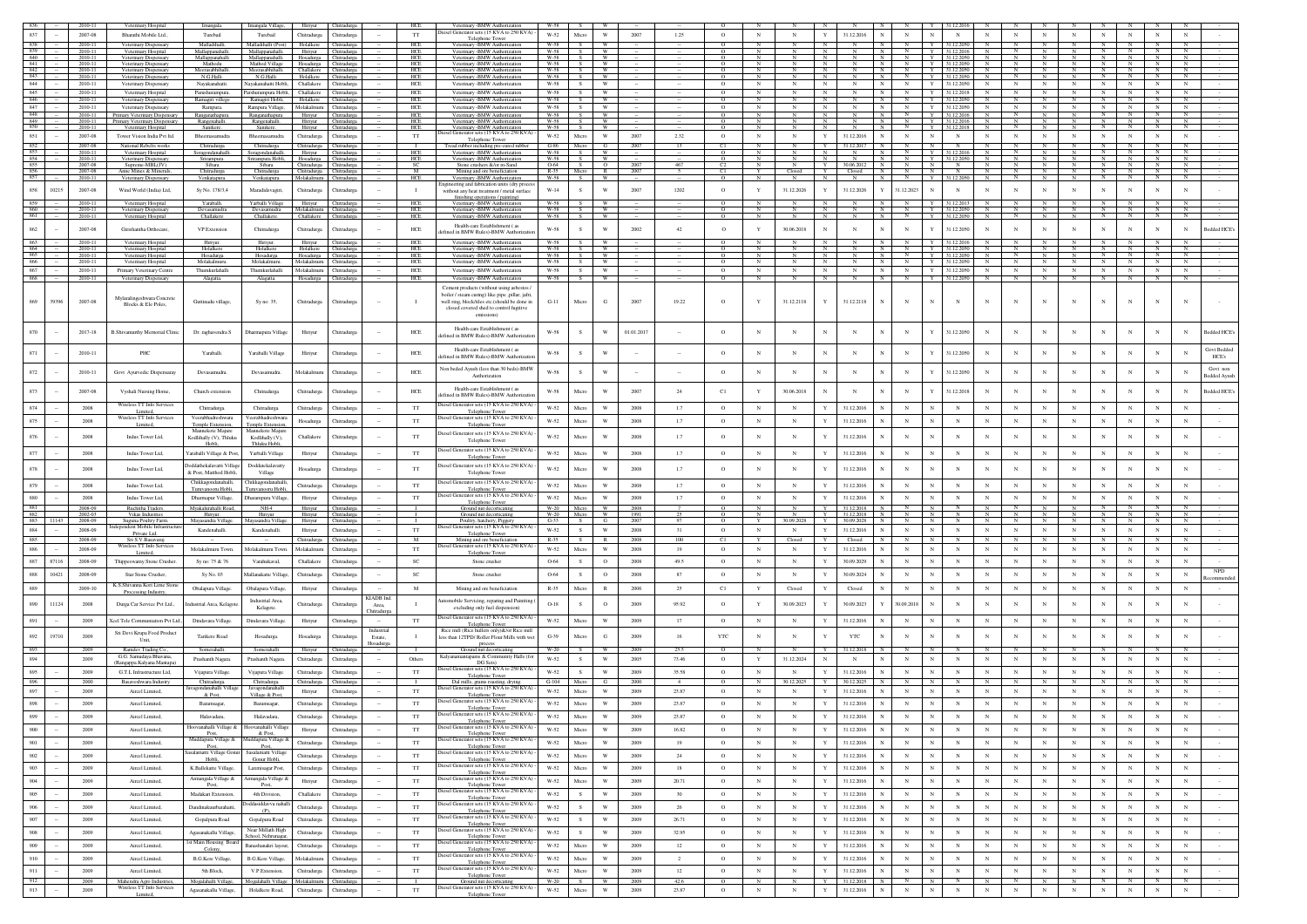|                          |       | 2010-11            | Veterinary Hospital                                               | Imangala                                         | Imangala Villag                                                                      | Hiriyur                                | Chitradurg                             |                       | HCE                         | Veterinary -BMW Authorizatio                                                                              | W-58                |                          |                         |              |                |                      |                   |                                 |   |                              |                                      |                   |                              |                                                        |                          |                          |                            |                 |                 |                     |                                 |
|--------------------------|-------|--------------------|-------------------------------------------------------------------|--------------------------------------------------|--------------------------------------------------------------------------------------|----------------------------------------|----------------------------------------|-----------------------|-----------------------------|-----------------------------------------------------------------------------------------------------------|---------------------|--------------------------|-------------------------|--------------|----------------|----------------------|-------------------|---------------------------------|---|------------------------------|--------------------------------------|-------------------|------------------------------|--------------------------------------------------------|--------------------------|--------------------------|----------------------------|-----------------|-----------------|---------------------|---------------------------------|
| 837                      |       | 2007-08            | <b>Bharathi Mobile Ltd</b>                                        | Turebail                                         | Turebail                                                                             | Chitradurga                            | Chitradurga                            |                       | <b>TT</b>                   | liesel Generator sets (15 KVA to 250 KVA) -<br>Telephone Tower                                            | W-52                | Micro                    | W                       | 2007         | 1.25           | $\circ$              | N                 |                                 |   | 31.12.2016                   | $_{\rm N}$<br>N                      | N                 | N                            | $_{\rm N}$                                             |                          |                          |                            |                 |                 |                     |                                 |
| 838<br>839               |       | 2010-11<br>2010-11 | Veterinary Dispensary<br>Veterinary Hospital                      | Malladihalli<br>Mallappanahalli                  | Malladihalli (Post)<br>Mallappanahalli.                                              | Holalkere<br>Hiriyur                   | Chitradurga<br>Chitradurga             |                       | HCE<br>HCE                  | Veterinary - BMW Authorization<br>Veterinary -BMW Authorization                                           | W-58<br>W-58        |                          | W<br><b>W</b>           |              |                |                      |                   | N                               | N |                              | N<br>N<br>N                          |                   | Y 31.12.2050<br>Y 31.12.2016 | $\mathbb{N}$<br>N                                      |                          |                          | N                          |                 |                 | N                   |                                 |
| 840<br>841               |       | 2010-11<br>2010-11 | Veterinary Dispensary<br>Veterinary Dispensary                    | Mallappanahalli<br>Mathodu                       | Mallappanahalli. Hosadurga Chitradurga<br>Mathod Village Hosadurga Chitradurga       |                                        |                                        |                       | <b>HCE</b><br>HCE           | Veterinary -BMW Authorization<br>Veterinary -BMW Authorization                                            | $W-58$<br>W-58      |                          |                         |              |                |                      |                   |                                 |   |                              | N                                    |                   | Y 31.12.2050<br>Y 31.12.2050 |                                                        |                          |                          |                            |                 |                 |                     |                                 |
| 842<br>843               |       | 2010-11<br>2010-11 | Veterinary Dispensary<br>Veterinary Dispensar                     | Meerasabhihalli<br>N.G.Hall                      | Meerasabhihalli. Challakere<br>N.G.Halli                                             | Holalkere Chitraduri                   | Chitradurga                            |                       | HCE<br>HCE                  | Veterinary -BMW Authorizatio<br>Veterinary - BMW Authorization                                            | $W-58$<br>$W-58$    |                          | - W<br><b>W</b>         |              |                |                      | N                 | N                               |   |                              | N<br>N                               |                   | Y 3112.2050<br>Y 31.12.2050  | $\mathbb{N}$<br>N                                      | N                        |                          | N                          |                 |                 |                     |                                 |
| 844                      |       | 2010-11            | Veterinary Dispensary                                             | Nayakanahatti.                                   | Navakanahatti Hobli                                                                  | Challakere                             | Chitradurga                            |                       | HCE                         | Veterinary -BMW Authorization                                                                             | W-58                | $\mathcal{S}$            | <b>W</b>                |              |                | $\circ$              | $_{\rm N}$        | N<br>$\mathbf{N}$               |   |                              | $_{\rm N}$<br>$\mathbf{N}$           | Y                 | 31.12.2050                   | $_{\rm N}$<br>$\mathbf N$                              | $_{\rm N}$               | $_{\rm N}$               | $\mathbf N$                | N               | $_{\rm N}$      | $_{\rm N}$          |                                 |
| 845<br>846               |       | 2010-11<br>2010-11 | Veterinary Hospital<br>Veterinary Dispensary                      | Parushurampura.<br>Ramagiri villege              | Parshurampura Hobli, Challakere Chitradurga<br>Ramagiri Hobli, Holalkere Chitradurga |                                        |                                        |                       | <b>HCE</b><br>HCE           | Veterinary -BMW Authorization<br>Veterinary -BMW Authorization                                            | W-58<br>W-58        | S.<br>S                  | W<br><b>W</b>           |              |                | $\Omega$<br>$\Omega$ | N<br>$_{\rm N}$   | N<br>N                          |   |                              | N<br>N<br>N                          | Y                 | 31.12.2018<br>Y 31.12.2050   | N<br>$\mathbf N$<br>N<br>$\mathbb N$                   | N                        | $_{\rm N}$               | N<br>N                     |                 |                 |                     |                                 |
| 847                      |       | 2010-11            | Veterinary Disnensary                                             | Rampura.                                         | Rampura Village.                                                                     | Molakalmuru Chitradurga                |                                        |                       | <b>HCE</b>                  | Veterinary -BMW Authorization                                                                             | W-58                | S.                       | <b>W</b>                |              |                | $\circ$              | N                 | $_{\rm N}$<br>N                 |   | $_{\rm N}$                   | N<br>N                               |                   | Y 31.12.2050                 | N<br>N                                                 | N                        | N                        | N                          | N               | N               | N                   |                                 |
| 848<br>849               |       | 2010-11<br>2010-11 | Primary Veterinary Dispensary<br>Primary Veterinary Dispensary    | Ranganathapura.<br>Rangenahalli.                 | Ranganathapura.<br>Rangenahalli.                                                     | Hiriyur<br>Hiriyur                     | Chitradurga<br>Chitradurga             |                       | HCE<br>HCE                  | Veterinary -BMW Authorization<br>Veterinary -BMW Authorization                                            | W-58<br>W-58        |                          | W<br><b>W</b>           |              |                |                      |                   | N                               |   |                              | N                                    |                   | 31.12.201<br>Y 31.12.2016    |                                                        |                          |                          |                            |                 |                 |                     |                                 |
| 850<br>851               |       | 2010-11<br>2007-08 | Veterinary Hospital<br>Tower Vision India Pvt Itd.                | Sanikere.<br>Bheemasamudra                       | Sanikere.<br>Bheemasamudra                                                           | Chitradurga                            | Hiriyur Chitradurga<br>Chitradurga     |                       | HCE<br>$_{\rm TT}$          | Veterinary - BMW Authorization<br>ator sets (15 KVA to 250 KVA)                                           | W-58<br>W-52        | S.<br>Micro              | <b>W</b><br>W           | 2007         | 2.32           | $\circ$              | $_{\rm N}$        | N<br>$\mathbf Y$                |   | 31.12.2016                   | N<br>$_{\rm N}$                      | $_{\rm N}$        | Y 31.12.2018<br>$_{\rm N}$   | N<br>$_{\rm N}$<br>N                                   | N                        | N                        | $_{\rm N}$                 |                 |                 |                     |                                 |
| 852                      |       | 2007-08            | National Rebelts works                                            | Chitradurga                                      | Chitradurga                                                                          | Chitradurga Chitradurga                |                                        |                       |                             | Telephone Tower                                                                                           | $G-86$              | Micro                    |                         | 2007         |                |                      |                   |                                 |   | 31.12.2017                   |                                      |                   |                              |                                                        |                          |                          |                            |                 |                 |                     |                                 |
|                          |       | 2010-11<br>2010-11 | Veterinary Hospital<br>Veterinary Dispensary                      | Soragondanahall<br>Srirampura.                   | Soragondanahal<br>Srirampura Hobli,                                                  | Hosadurga                              | Hiriyur Chitradurga<br>Chitradurga     |                       | HCF<br>HCE                  | Tread rubber including pre-cured rubber<br>Veterinary -BMW Authorization<br>Veterinary -BMW Authorization | W-58                | S                        | W                       |              |                |                      | $\mathbb{N}$      | N                               |   |                              | N                                    |                   | Y 31.12.2050                 |                                                        |                          |                          |                            |                 |                 |                     |                                 |
| $\frac{854}{855}$<br>856 |       | 2007-08            | Supreme-MBL(JV)                                                   | Sibara                                           | Sibara                                                                               | Chitradurga Chitradurga                |                                        |                       | - SC                        | Stone crushers &/or m-Sand                                                                                | 0-64                | S                        | $\circ$                 | 2007         | 467            | C <sub>2</sub>       | $\mathbb{N}$      | N                               |   | Y 30.06.2012 N               |                                      | N                 | N                            |                                                        |                          |                          |                            |                 |                 |                     |                                 |
| 857                      |       | 2007-08<br>2010-11 | Anne Mines & Minerals,<br>Veterinary Dispensary                   | Chitradurga<br>Venkatapura.                      | Chitradurga<br>Venkatapura.                                                          | Chitradurga Chitradurga<br>Molakalmuru | Chitradurga                            |                       | M<br>HCE                    | Mining and ore beneficiation<br>Veterinary -BMW Authorization                                             | R-35 Micro<br>W-58  | S                        | R<br>W                  | 2007         | $\sim$         | C1                   | Y                 | Closed                          |   | Y Closed N                   | N                                    | N                 | Y 31.12.2050                 | N<br>- N                                               | N                        | N                        | N                          | N               |                 | N                   |                                 |
| 858                      | 10215 | 2007-08            | Wind World (India) Ltd,                                           | Sy No. 178/3,4                                   | Maradidevagiri,                                                                      | Chitradurga                            | Chitradurga                            |                       | $\mathbf{I}$                | ering and fabrication units (dry proce<br>without any heat treatment / metal surface                      | $_{\mathrm{W-14}}$  | $\mathbf{s}$             | W                       | 2007         | 1202           | $\circ$              | Y                 | 31.12.2026<br>Y                 |   | 31.12.2026                   | 31.12.2023<br>$\mathbf{Y}$           | $_{\rm N}$        |                              |                                                        |                          |                          | $_{\rm N}$                 | N               |                 |                     |                                 |
| 859                      |       | 2010-11            | Veterinary Hospital                                               | Yaraballi.                                       | Yarballi Village                                                                     | Hiriyur                                | Chitradurga                            |                       | HCE                         | finishing operations / painting)<br>Veterinary -BMW Authorization                                         | W-58                |                          |                         |              |                |                      |                   |                                 |   |                              |                                      |                   | 31.12.2013                   |                                                        |                          |                          |                            |                 |                 |                     |                                 |
| 860<br>861               |       | 2010-11<br>2010-11 | Veterinary Dispensary<br>Veterinary Hospital                      | Devasamudra<br>Challakere                        | Devasamudra<br>Challakere.                                                           | Challakere Chitradurga                 | Molakalmuru Chitradurga                |                       | HCE<br><b>HCE</b>           | Veterinary-BMW Authorization<br>Veterinary -BMW Authorization                                             | W-58<br><b>W-58</b> | s =                      | W<br><b>W</b>           |              |                |                      |                   |                                 |   |                              | $\mathbb{N}$<br>N                    |                   | Y 31.12.2050<br>Y 3112.2050  | N<br>N                                                 |                          |                          | N                          | $_{\rm N}$      |                 |                     |                                 |
|                          |       |                    |                                                                   |                                                  |                                                                                      |                                        |                                        |                       |                             | Health-care Establishment (as                                                                             |                     |                          |                         |              |                |                      |                   |                                 |   |                              |                                      |                   |                              |                                                        |                          |                          |                            |                 |                 |                     |                                 |
| 862                      |       | 2007-08            | Girishantha Orthocare                                             | VP Extension                                     | Chitradurga                                                                          | Chitradurga                            | Chitradurga                            |                       | HCE                         | efined in BMW Rules)-BMW Authorizatio                                                                     | W-58                | $\,$ s                   | W                       | 2002         | 42             | $\circ$              |                   | 30.06.2018                      |   |                              | $_{\rm N}$                           |                   | 31.12.2050                   | N                                                      |                          |                          |                            | $\mathbf N$     |                 |                     | Bedded HCE's                    |
| 863<br>864               |       | 2010-11<br>2010-11 | Veterinary Hospital<br>Veterinary Hospital                        | Hiriyur.<br>Holalkere                            | Hiriyur.<br>Holalkere                                                                | Hiriyur<br>Holalkere Chitradurea       | Chitradurga                            |                       | HCE<br><b>HCE</b>           | Veterinary -BMW Authorization<br>Veterinary -BMW Authorization                                            | W-58<br>$W-58$      | S<br>S                   | W.                      |              |                | $\circ$              | $\mathbb{N}$      | N                               | N | N                            | N<br>$\frac{N}{N}$<br>$\mathbb{N}$   |                   | 31.12.2016<br>Y 31.12.2050   | $\frac{N}{N}$<br>$\mathbb{N}$                          | N                        | N                        | N                          | $\frac{N}{N}$   | N               |                     |                                 |
| 865<br>866               |       | 2010-11<br>2010-11 | Veterinary Hospital<br>Veterinary Hospital                        | Hosadurga<br>Molakalmuru.                        | Hosadurga<br>Molakalmuru.                                                            | Molakalmuru                            | Hosadurga Chitradurga<br>Chitradurga   |                       | HCE<br>HCE                  | Veterinary - BMW Authorization<br>Veterinary -BMW Authorization                                           | W-58<br>W-58        | S .<br>S.                | W<br>W                  |              |                | $\circ$<br>$\circ$   | N<br>$\mathbb{N}$ | N<br>$\mathbf{N}$<br>$_{\rm N}$ |   | $_{\rm N}$<br>$_{\rm N}$     | N<br>$\mathbb{N}$<br>$_{\rm N}$<br>N | Y                 | Y 31.12.2050<br>31.12.2050   | N<br>N<br>$_{\rm N}$<br>$\mathbb{N}$                   | N<br>N                   | ${\bf N}$<br>$_{\rm N}$  | N<br>N                     | N<br>$_{\rm N}$ | N               | $_{\rm N}$          |                                 |
| 867                      |       | 2010-11            | Primary Veterinary Centre                                         | Thumkurlahalli                                   | Thumkurlahalli                                                                       | Molakalmuru                            | Chitradurga                            |                       | HCE                         | Veterinary -BMW Authorization                                                                             | W-58                | - S                      | W                       |              |                | $\circ$              | $_{\rm N}$        | N                               |   | $_{\rm N}$                   | N<br>$\mathbf{N}$                    | Y                 | 31.12.2050                   | $_{\rm N}$<br>$_{\rm N}$                               | N                        | $_{\rm N}$               | $_{\rm N}$                 | $_{\rm N}$      | N               | $_{\rm N}$          |                                 |
| 868                      |       | 2010-11            | Veterinary Dispensary                                             | Alagatta.                                        | Alagatta.                                                                            | Hosadurga Chitradurga                  |                                        |                       | HCE                         | Veterinary -BMW Authorization                                                                             | $W-58$              | S.                       | W                       |              |                | $\circ$              |                   |                                 |   |                              | $\overline{N}$<br>$\mathbb{N}$       |                   | Y 31.12.2050                 | – N                                                    |                          | - N                      |                            |                 |                 |                     |                                 |
|                          |       |                    |                                                                   |                                                  |                                                                                      |                                        |                                        |                       |                             | Cement products (without using asbestos<br>boiler / steam curing) like pipe .pillar, jafri.               |                     |                          |                         |              |                |                      |                   |                                 |   |                              |                                      |                   |                              |                                                        |                          |                          |                            |                 |                 |                     |                                 |
| 869                      | 39396 | 2007-08            | Mylaralingeshwara Concrete<br>Blocks & Ele Poles,                 | Guttinadu village,                               | Sy no: 35,                                                                           | Chitradurga                            | Chitradurga                            |                       |                             | well ring, block/tiles etc.(should be done in                                                             | $G-11$              | Micro                    | G                       | 2007         | 19.22          | $\circ$              |                   | 31.12.2118                      |   | 31.12.2118                   | $_{\rm N}$                           | $_{\rm N}$        | $_{\rm N}$                   |                                                        |                          |                          | $_{\rm N}$                 |                 |                 |                     |                                 |
|                          |       |                    |                                                                   |                                                  |                                                                                      |                                        |                                        |                       |                             | closed covered shed to control fugitive<br>emissions)                                                     |                     |                          |                         |              |                |                      |                   |                                 |   |                              |                                      |                   |                              |                                                        |                          |                          |                            |                 |                 |                     |                                 |
|                          |       |                    |                                                                   |                                                  |                                                                                      |                                        |                                        |                       |                             | Health-care Establishment (as                                                                             |                     |                          |                         |              |                |                      |                   |                                 |   |                              |                                      |                   |                              |                                                        |                          |                          |                            |                 |                 |                     |                                 |
| 870                      |       | 2017-18            | <b>B.Shivamurthy Memorial Clinic</b>                              | Dr. raghavendra S                                | Dharmapura Village                                                                   | Hiriyur                                | Chitradurga                            |                       | HCE                         | fined in BMW Rules)-BMW Authorizat                                                                        | $W-58$              | s                        | W                       | 01.01.2017   |                | $\circ$              |                   |                                 |   |                              | N                                    |                   | 1.12.2050                    | $_{\rm N}$                                             | N                        |                          |                            |                 |                 |                     | <b>Bedded HCE's</b>             |
| 871                      |       | 2010-11            | PHC                                                               | Yaraballi.                                       | Yaraballi Village                                                                    | Hiriyur                                | Chitradurg:                            |                       | HCE                         | Health-care Establishment (as                                                                             | W-58                | $\mathbf{s}$             | W                       |              |                | $\circ$              |                   |                                 |   |                              | N                                    |                   | 31.12.2050                   |                                                        |                          |                          |                            |                 |                 |                     | Govt Bedded                     |
|                          |       |                    |                                                                   |                                                  |                                                                                      |                                        |                                        |                       |                             | defined in BMW Rules)-BMW Authorizatio                                                                    |                     |                          |                         |              |                |                      |                   |                                 |   |                              |                                      |                   |                              |                                                        |                          |                          |                            |                 |                 |                     | HCE's                           |
| 872                      |       | 2010-11            | Govt Ayurvedic Dispensaray                                        | Devasamudra.                                     | Devasamudra.                                                                         | Molakalmur                             | Chitradure:                            |                       | <b>HCE</b>                  | Non beded Ayush (less than 30 beds)-BMW<br>Authorization                                                  | W-58                | s.                       | W                       |              |                | $\circ$              | $_{\rm N}$        | $_{\rm N}$                      |   | N                            | $\mathbf N$                          |                   | 31.12.2050                   | $\mathbf N$                                            | $_{\rm N}$               | N                        | N                          |                 |                 |                     | Govt non<br><b>Sedded Ayush</b> |
|                          |       |                    |                                                                   |                                                  |                                                                                      |                                        |                                        |                       |                             |                                                                                                           |                     |                          |                         |              |                |                      |                   |                                 |   |                              |                                      |                   |                              |                                                        |                          |                          |                            |                 |                 |                     |                                 |
| 873                      |       | 2007-08            | Vyshali Nursing Home,                                             | Church extension                                 | Chitradurga                                                                          | Chitradurga                            | Chitradurg                             |                       | HCE                         | Health-care Establishment (as<br>lefined in BMW Rules)-BMW Authorizatio                                   | W-58                | Micr                     |                         | 2007         | 24             | C1                   |                   | 30.06.2018                      |   |                              | $_{\rm N}$                           |                   | 1.12.2018                    |                                                        |                          |                          |                            |                 |                 |                     | sedded HCE                      |
| 874                      |       | 2008               | Wireless TT Info Service                                          | Chitradurga.                                     | Chitradurga                                                                          | Chitradurga                            | Chitradurg:                            |                       | $_{\rm TT}$                 | biesel Generator sets (15 KVA to 250 KVA)                                                                 | W-52                | Micro                    | $\ensuremath{\text{W}}$ | 2008         | 1.7            | $\circ$              | $_{\rm N}$        | $_{\rm N}$<br>Y                 |   | 31.12.2016                   | $_{\rm N}$                           | N                 | $_{\rm N}$                   | $_{\rm N}$<br>N                                        | $\,$ N                   | N                        | $_{\rm N}$                 | N               |                 |                     |                                 |
| 875                      |       | $2008\,$           | Limited,<br>Wireless TT Info Services                             | Veerabhadreshwara                                | eerabhadreshwar                                                                      | Hosadurga                              | Chitradurga                            |                       | $_{\rm TT}$                 | Telephone Towe<br>biesel Generator sets (15 KVA to 250 KVA)                                               | $W-52$              | Micro                    | W                       | $2008\,$     | 1.7            | $\circ$              | $_{\rm N}$        | Y<br>$_{\rm N}$                 |   | 31.12.2016                   | $_{\rm N}$                           |                   | $_{\rm N}$                   | $_{\rm N}$<br>$_{\rm N}$                               | $\mathbf N$              | $_{\rm N}$               | $_{\rm N}$                 | $\mathbf N$     |                 |                     |                                 |
|                          |       |                    | Limited                                                           | Temple Extension,<br>Mannekote Maiure            | <b>Femple Extension</b><br>Mannekote Maiur                                           |                                        |                                        |                       |                             | Telephone Towe                                                                                            |                     |                          |                         |              |                |                      |                   |                                 |   |                              |                                      |                   |                              |                                                        |                          |                          |                            |                 |                 |                     |                                 |
| $876\,$                  |       | 2008               | Indus Tower Ltd,                                                  | Kodlihally (V), Thluku<br>Hobli,                 | Kodlihally (V)<br>Thluku Hobli,                                                      | Challakere                             | Chitradurg:                            |                       | $_{\rm TT}$                 | liesel Generator sets (15 KVA to 250 KVA)<br>Telephone Tower                                              | $W-52$              | Micro                    | W                       | 2008         | 1.7            | $\circ$              |                   |                                 |   | 31.12.2016                   | $\mathbf N$                          |                   |                              |                                                        | N                        |                          | N                          | $\overline{N}$  |                 |                     |                                 |
| 877                      |       | $2008\,$           | Indus Tower Ltd,                                                  | Yaraballi Village & Post,                        | Yarballi Village                                                                     | Hiriyur                                | Chitradurga                            |                       | $_{\rm TT}$                 | Diesel Generator sets (15 KVA to 250 KVA)                                                                 | W-52                | Micro                    | W                       | $2008\,$     | 1.7            | $\circ$              | $_{\rm N}$        | $_{\rm N}$                      |   | 31.12.2016                   | $_{\rm N}$                           |                   |                              | $_{\rm N}$                                             | N                        | $_{\rm N}$               | $_{\rm N}$                 | $\mathbf N$     |                 |                     |                                 |
| 878                      |       |                    |                                                                   | oddathekalavatti Villa                           | Doddatekalavatty                                                                     |                                        |                                        |                       |                             | Telephone To<br>liesel Generator sets (15 KVA to 250 KVA)                                                 |                     |                          |                         |              |                |                      |                   |                                 |   |                              |                                      |                   |                              |                                                        |                          |                          |                            |                 |                 |                     |                                 |
|                          |       | 2008               | Indus Tower Ltd,                                                  |                                                  | Village                                                                              | Hosadurga                              | Chitradurga                            |                       | TT                          |                                                                                                           | $W-52$              | Micro                    | W                       | 2008         | 1.7            | $\circ$              |                   |                                 |   | 31.12.2016                   | $_{\rm N}$                           |                   |                              |                                                        | N                        |                          |                            |                 |                 |                     |                                 |
|                          |       |                    |                                                                   | & Post, Matthod Hobli.                           |                                                                                      |                                        |                                        |                       |                             | Telephone Tower                                                                                           |                     |                          |                         |              |                |                      |                   |                                 |   |                              |                                      |                   |                              |                                                        |                          |                          |                            |                 |                 |                     |                                 |
| 879                      |       | 2008               | Indus Tower Ltd.                                                  | Chikkagondanahalli,                              | Chikkagondanahal                                                                     | Chitradurga                            | Chitradurga                            |                       | TT                          | liesel Generator sets (15 KVA to 250 KVA)                                                                 | $W-52$              | Micro                    | W                       | 2008         | 1.7            | $\circ$              | $_{\rm N}$        |                                 |   | 31.12.2016                   | $_{\rm N}$                           |                   |                              |                                                        |                          |                          |                            |                 |                 |                     |                                 |
| 880                      |       | 2008               | Indus Tower Ltd.                                                  | Turuvanooru Hobli,<br>Dharmapur Village,         | Turuvanooru Hobli<br>Dharampura Village                                              | Hiriyur                                | Chitradure:                            |                       | <b>TT</b>                   | Telephone Tower<br>iesel Generator sets (15 KVA to 250 KVA)                                               | W-52                | Micro                    | W                       | 2008         | 1.7            | $\circ$              | $_{\rm N}$        | $_{\rm N}$<br>$\mathbf{Y}$      |   | 31.12.2016                   | $_{\rm N}$                           | $_{\rm N}$        | $\mathbf N$                  | $_{\rm N}$<br>N                                        | $\mathbf N$              | $\mathbf N$              | $_{\rm N}$                 | $_{\rm N}$      |                 |                     |                                 |
| 881                      |       | 2008-09            | Ruchitha Traders                                                  | Myakalurahalli Road,                             | $NH-4$                                                                               | Hiriyur                                | Chitradurga                            |                       |                             | Telephone Tower<br>Ground nut decorticati                                                                 | W-20                | Micro                    | W                       | 2008         |                | $\circ$              | $\overline{N}$    |                                 |   | Y 31.12.2018                 | $\overline{N}$                       |                   |                              |                                                        |                          |                          |                            | $\overline{N}$  |                 |                     |                                 |
| 882<br>883               |       | 2002-03<br>2008-09 | Vikas Industries<br>Suguna Poultry Farm                           | Hiriyur.<br>Mayasandra Villag                    | Hiriyur<br>Mayasandra Villag                                                         | Hiriyur<br>Hiriyur                     | Chitradurea<br>Chitradurga             |                       |                             | Ground nut decorticating<br>Poultry, hatchery, Piggery                                                    | W-20<br>$G-33$      | <b>Micro</b><br><b>S</b> | <b>W</b><br>G           | 1991<br>200  |                | $\Omega$<br>$\circ$  | $_{\rm N}$        | $\mathbb{N}$<br>30.09.2028<br>Y |   | Y 31.12.2018 N<br>30.09.2028 |                                      |                   |                              |                                                        |                          |                          |                            | N               |                 |                     |                                 |
| 884                      |       | 2008-09            | dependent Mobile Infrastruct<br>Private Ltd.                      | Kandenahalli.                                    | Kandenahalli.                                                                        | Hiriyur                                | Chitradurga                            |                       | <b>TT</b>                   | biesel Generator sets (15 KVA to 250 KVA) -<br>Telephone Towe                                             | $W-52$              | s                        | W                       | 2008         | 31             | $\circ$              | $_{\rm N}$        | $_{\rm N}$<br>Y                 |   | 31.12.2016                   | N                                    | $_{\rm N}$        |                              | N                                                      | N                        | N                        | $_{\rm N}$                 | $_{\rm N}$      |                 |                     |                                 |
| 885                      |       | 2008-09            | Sri S.V.Basavaraj<br>Wireless TT Info Services                    |                                                  |                                                                                      | Chitradurga                            | Chitradurga                            |                       | $\mathbf{M}$                | Mining and ore beneficiation<br>Diesel Generator sets (15 KVA to 250 KVA)                                 | $R-35$              | S.                       | R                       | 2008         | 100            | C1                   | Y                 | Closed<br>Y                     |   | Closed                       | N                                    |                   |                              |                                                        |                          | - N                      | $_{\rm N}$                 | N               |                 |                     |                                 |
| 886                      |       | 2008-09            | Limited,                                                          | Molakalmuru Town                                 | Molakalmuru Towi                                                                     | Molakalmur                             | Chitradure:                            |                       | TT                          | <b>Telephone Tower</b>                                                                                    | W-52                | Micro                    | W                       | 2008         | 19             | $\circ$              | $_{\rm N}$        | N<br>Y                          |   | 31.12.2016                   | $_{\rm N}$                           | $_{\rm N}$        | $\mathbf N$                  | $\mathbf{N}$<br>N                                      | $_{\rm N}$               | $_{\rm N}$               | $_{\rm N}$                 | $_{\rm N}$      |                 | $_{\rm N}$          |                                 |
| 887                      | 87116 | 2008-09            | Thippeswamy Stone Crusher                                         | Sy no: 75 & 76                                   | Varahukaval,                                                                         | Challakere                             | Chitradurga                            |                       | SC                          | Stone crusher                                                                                             | 0-64                | s                        | $\circ$                 | 2008         | 49.5           | $\circ$              | $_{\rm N}$        | $\mathbf{N}$<br>Y               |   | 30.09.2029                   | $_{\rm N}$                           |                   | $_{\rm N}$                   | $_{\rm N}$<br>N                                        | $_{\rm N}$               | $_{\rm N}$               | $_{\rm N}$                 | $_{\rm N}$      |                 | $_{\rm N}$          |                                 |
| 888                      | 10421 | 2008-09            | Star Stone Crusher.                                               | Sy No. 03                                        | Mallanakatte Villag                                                                  | Chitradurga                            | Chitradurga                            |                       | SC                          | Stone crusher                                                                                             | 0-64                | -S                       | $\circ$                 | 2008         | 87             | $\circ$              | N                 | $_{\rm N}$<br>Y                 |   | 30.09.2024                   | $_{\rm N}$                           | N                 | $\mathbf N$                  | $_{\rm N}$<br>$_{\rm N}$                               | N                        | $_{\rm N}$               | $_{\rm N}$                 | $_{\rm N}$      | $_{\rm N}$      | $_{\rm N}$          | <b>NPD</b>                      |
| 889                      |       | 2009-10            | K.S.Shivanna Kori Lime Stone                                      | Obalapura Village.                               | Obalapura Village                                                                    | Hiriyur                                | Chitradurga                            |                       | $\mathbf M$                 | Mining and ore beneficiation                                                                              | $R - 35$            | Micro                    | $\mathbb{R}$            | 2006         | 25             | C1                   | Y                 | Closed<br>Y                     |   | Closed                       | $_{\rm N}$                           |                   |                              | $_{\rm N}$                                             | $_{\rm N}$               | N                        | $_{\rm N}$                 | $_{\rm N}$      |                 |                     |                                 |
|                          |       |                    | Processing Industry,                                              |                                                  | <b>Industrial Area</b>                                                               |                                        |                                        | <b>KIADB</b> Ind      |                             | tomobile Servicing, reparing and Painiti                                                                  |                     |                          |                         |              |                |                      |                   |                                 |   |                              |                                      |                   |                              |                                                        |                          |                          |                            |                 |                 |                     |                                 |
| 890                      | 11124 | 2008               | Durga Car Service Pvt Ltd.,                                       | dustrial Area, Kelagot                           | Kelagote.                                                                            | Chitradurga                            | Chitradurg                             | Area,<br>hitradurga   |                             | excluding only fuel dispension)                                                                           | $O-18$              | s                        | $\circ$                 | 2009         | 95.92          | $\circ$              |                   | 30.09.2023                      |   | 30.09.2023                   | 80.09.2018                           |                   |                              |                                                        |                          |                          |                            |                 |                 |                     |                                 |
| 891                      |       | 2009               | Keel Tele Communiation Pvt Ltd.,                                  | Dindavara Village.                               | Dindavara Village                                                                    | Hiriyur                                | Chitradurga                            |                       | TT                          | iesel Generator sets (15 KVA to 250 KVA<br><b>Telephone Tower</b>                                         | W-52                | Micro                    | W                       | 2009         | 17             | $\circ$              | $_{\rm N}$        | $_{\rm N}$                      |   | 31.12.2016                   | $_{\rm N}$                           |                   |                              |                                                        | N                        | N                        |                            | $_{\rm N}$      |                 |                     |                                 |
| 892                      | 19710 | 2009               | Sri Devi Krupa Food Produc                                        | Tarikere Road                                    | Hosadurga                                                                            | Hosadurga                              | Chitradurg                             | Industrial<br>Estate, |                             | Rice mill (Rice hullers only)&/or Rice mill<br>less than 12TPD/ Roller Flour Mills with we                | $G-39$              | Micro                    | G                       | 2009         | 16             | $_{\rm YTC}$         |                   |                                 |   | YTC                          | $_{\rm N}$                           |                   |                              |                                                        | $_{\rm N}$               | N                        |                            | N               |                 |                     |                                 |
| 893                      |       | 2009               | Unit.                                                             |                                                  |                                                                                      |                                        |                                        | losadurga             |                             | process                                                                                                   | W-20                |                          |                         | 2005         | 255            | $\Omega$             |                   |                                 |   | 31 12 2018                   |                                      |                   |                              |                                                        |                          |                          |                            |                 |                 |                     |                                 |
| 894                      |       | 2009               | Ramdev Trading Co.<br>G.G. Samudaya Bhayana                       | Somerahalli.<br>Prashanth Nagara.                | Somerahalli<br>Prashanth Nagara.                                                     | Hiriyun<br>Chitradurga                 | Chitradur<br>Chitradurga               |                       | Others                      | Ground nut decorticati<br>Kalyanamantapams & Community Halls (fo                                          | W-52                | S                        | $\mathbf{W}$            | 2005         | 73.46          | $\circ$              | Y                 | 31.12.2024<br>$_{\rm N}$        |   | $_{\rm N}$                   | $_{\rm N}$                           | $\mathbf N$       | $_{\rm N}$                   | $_{\rm N}$                                             | $_{\rm N}$               | $_{\rm N}$               | $_{\rm N}$                 | $_{\rm N}$      | $_{\rm N}$      | $_{\rm N}$          |                                 |
| 895                      |       | 2009               | (Rangappa Kalyana Mantapa<br>G.T.L Infrastructure Ltd,            | Vijapura Village                                 | Vijapura Village                                                                     | Chitradurga                            | Chitradurga                            |                       | $_{\rm TT}$                 | DG Sets)<br>biesel Generator sets (15 KVA to 250 KVA)                                                     | $W-52$              | s                        | W                       | 2009         | 35.58          | $\circ$              | $_{\rm N}$        | Y<br>$_{\rm N}$                 |   | 31.12.2016                   | $_{\rm N}$                           |                   | $_{\rm N}$                   | $\mathbb{N}$<br>N                                      | $_{\rm N}$               | $_{\rm N}$               | $_{\rm N}$                 | $\mathbf N$     | $_{\rm N}$      |                     |                                 |
| 896                      |       | 2000               | Basaveshwara Industry                                             | Chitradurga                                      | Chitradurga                                                                          | Chitradurga                            | Chitradurga                            |                       |                             | Telephone Tower<br>Dal mills, grams roasting, drying                                                      | $G-104$             | Micro                    | G                       | 2000         |                | $\circ$              |                   | 30.12.2025<br>Y                 |   | 30.12.2025                   |                                      |                   |                              |                                                        |                          |                          |                            |                 |                 |                     |                                 |
| 897                      |       | 2009               | Aircel Limited.                                                   | agondanahalli Villag<br>& Post,                  | Javagondanahall<br>Village & Post                                                    | Hiriyur                                | Chitradurea                            |                       | <b>TT</b>                   | biesel Generator sets (15 KVA to 250 KVA)<br>Telephone Tower                                              | W-52                | Micro                    | W                       | 2009         | 23.87          | $\circ$              | $\mathbb{N}$      | $_{\rm N}$<br>Y                 |   | 31.12.2016                   | $_{\rm N}$                           |                   |                              | $_{\rm N}$<br>N                                        | $_{\rm N}$               | $_{\rm N}$               | $_{\rm N}$                 | $_{\rm N}$      |                 |                     |                                 |
| 898                      |       | 2009               | Aircel Limited,                                                   | Baramsagar                                       | Baramsagar,                                                                          | Chitradurga                            | Chitradurga                            |                       | TT                          | Diesel Generator sets (15 KVA to 250 KVA) -                                                               | W-52                | Micro                    | W                       | 2009         | 23.87          | $\circ$              | $_{\rm N}$        |                                 |   | 31.12.2016                   |                                      |                   |                              |                                                        |                          |                          |                            |                 |                 |                     |                                 |
|                          |       | 2009               |                                                                   | Halavadar                                        |                                                                                      |                                        |                                        |                       | TT.                         | Telephone Tower<br>Diesel Generator sets (15 KVA to 250 KVA) -                                            | W-52                |                          |                         | 2005         | 23.87          |                      |                   |                                 |   |                              |                                      |                   |                              |                                                        |                          |                          |                            |                 |                 |                     |                                 |
|                          |       | 2009               | Aircel Limited,                                                   | Hoovanahalli Village & Hoovanahalli Village      |                                                                                      | Hiriyur                                | Chitradurga                            |                       | TT                          | Telephone Towe<br>Diesel Generator sets (15 KVA to 250 KVA) -                                             |                     |                          | $\ensuremath{\text{W}}$ | 2009         | 16.82          | $\circ$              | $_{\rm N}$        | $_{\rm N}$<br>$\mathbf Y$       |   |                              | $_{\rm N}$                           | $_{\rm N}$        | $_{\rm N}$                   | $_{\rm N}$<br>$_{\rm N}$                               | $_{\rm N}$               | $_{\rm N}$               | $_{\rm N}$                 | $_{\rm N}$      | $_{\rm N}$      | $_{\rm N}$          |                                 |
| 900                      |       |                    |                                                                   | Post.<br>Muddapura Village & Muddapura Village & | & Post,                                                                              |                                        |                                        |                       |                             | Telephone Tower<br>Diesel Generator sets (15 KVA to 250 KVA) -                                            | W-52                | Micro                    |                         |              |                |                      |                   |                                 |   | 31.12.2016                   |                                      |                   |                              |                                                        |                          |                          |                            |                 |                 |                     |                                 |
| 901                      |       | 2009               | Aircel Limited.                                                   | Post,                                            | Post,                                                                                | Chitradurea                            | Chitradurea                            |                       | <b>TT</b>                   | Telephone Tower                                                                                           | W-52                | Micro                    | W                       | 2009         | 19             | $\circ$              | N                 | $_{\rm N}$<br>Y                 |   | 31.12.2016                   | $_{\rm N}$                           | $_{\rm N}$        | $_{\rm N}$                   | N<br>$_{\rm N}$                                        | $_{\rm N}$               | ${\bf N}$                | $_{\rm N}$                 | $_{\rm N}$      | $_{\rm N}$      | $_{\rm N}$          | $\sim$                          |
| 902                      |       | 2009               | Aircel Limited,                                                   | asalamatti Village Gonur<br>Hobli,               | Sasalamatti Villag<br>Gonur Hobli,                                                   | Chitradurga                            | Chitradurga                            |                       | $_{\rm TT}$                 | Diesel Generator sets (15 KVA to 250 KVA)<br>Telephone Tower                                              | W-52                | Micro                    | W                       | 2009         | 24             | $\circ$              | $_{\rm N}$        | $_{\rm N}$<br>Y                 |   | 31.12.2016                   | $_{\rm N}$                           | N                 | $_{\rm N}$                   | $_{\rm N}$<br>$_{\rm N}$                               | $_{\rm N}$               | $_{\rm N}$               | $_{\rm N}$                 | $_{\rm N}$      |                 | $_{\rm N}$          | $\sim$                          |
| 903                      |       | 2009               | Aircel Limited.                                                   | K.Ballekatte Village,                            | Laxmisagar Post,                                                                     | Chitradurga                            | Chitradurga                            | $\sim$                | <b>TT</b>                   | Diesel Generator sets (15 KVA to 250 KVA) -<br>Telephone Tower                                            | W-52                | Micro                    | W                       | 2009         | <b>18</b>      | $\circ$              | $_{\rm N}$        | Y<br>$_{\rm N}$                 |   | 31.12.2016                   | $_{\rm N}$                           | $_{\rm N}$        | ${\bf N}$                    | ${\bf N}$<br>$_{\rm N}$                                | $_{\rm N}$               | $_{\rm N}$               | $_{\rm N}$                 | $_{\rm N}$      | N               | $_{\rm N}$          | $\sim$                          |
| 904                      |       | 2009               | Aircel Limited,                                                   | Aimangala Village &<br>Post,                     | Aimangala Village &<br>Post,                                                         | Hiriyur                                | Chitradurga                            |                       | $_{\rm TT}$                 | Diesel Generator sets (15 KVA to 250 KVA) -<br>Telephone Towe                                             | W-52                | Micro                    | $\mathbf{W}$            | 2009         | 20.71          | $\circ$              | $_{\rm N}$        | $_{\rm N}$<br>Y                 |   | 31.12.2016                   | $_{\rm N}$                           | $_{\rm N}$        | ${\bf N}$                    | $_{\rm N}$<br>$_{\rm N}$                               | $_{\rm N}$               | $_{\rm N}$               | $_{\rm N}$                 | $_{\rm N}$      | $_{\rm N}$      | $_{\rm N}$          | $\sim$                          |
| 905                      |       | 2009               | Aircel Limited.                                                   | Madakari Extension.                              | 4th Division.                                                                        | Challakere                             | Chitradurga                            |                       | <b>TT</b>                   | Diesel Generator sets (15 KVA to 250 KVA) -<br>Telephone Tower                                            | W-52                | S                        | W                       | 2009         | 30             | $\circ$              | $_{\rm N}$        | Y<br>$_{\rm N}$                 |   | 31.12.2016                   | ${\bf N}$                            | $_{\rm N}$        | $_{\rm N}$                   | $_{\rm N}$<br>$_{\rm N}$                               | $_{\rm N}$               | $_{\rm N}$               | N                          | ${\bf N}$       | $_{\rm N}$      | N                   | $\sim$                          |
| $906\,$                  |       | 2009               | Aircel Limited,                                                   | Dandinakuurbarahatti,                            | oddasiddavva nahall<br>$(P)$ .                                                       | Chitradurga                            | Chitradurga                            |                       | $_{\rm TT}$                 | Diesel Generator sets (15 KVA to 250 KVA) -                                                               | W-52                | $\,$ s                   | $\ensuremath{\text{W}}$ | 2009         | 26             | $\,$ O               | $_{\rm N}$        | $_{\rm N}$<br>Y                 |   | 31.12.2016                   | $_{\rm N}$                           | $_{\rm N}$        | $_{\rm N}$                   | $_{\rm N}$<br>$\,$ N                                   | $_{\rm N}$               | $_{\rm N}$               | $_{\rm N}$                 | $\,$ N          | $_{\rm N}$      | $_{\rm N}$          | $\sim$                          |
| 907                      |       | 2009               | Aircel Limited.                                                   | Gopalpura Road                                   | Gopalpura Road                                                                       | Chitradurea                            | Chitradures                            |                       | <b>TT</b>                   | Telephone Tower<br>Diesel Generator sets (15 KVA to 250 KVA)                                              | W-52                | ${\bf s}$                | W                       | 2009         | 26.71          | $\circ$              | $_{\rm N}$        | Y<br>$_{\rm N}$                 |   | 31.12.2016                   | $_{\rm N}$                           | $\mathbf{N}$      | $_{\rm N}$                   | $_{\rm N}$<br>$_{\rm N}$                               | $_{\rm N}$               | $_{\rm N}$               | $_{\rm N}$                 | $_{\rm N}$      | $_{\rm N}$      | $_{\rm N}$          | $\sim$                          |
| 908                      |       | 2009               | Aircel Limited,                                                   | Agasanakallu Village,                            | Near Millath High                                                                    | Chitradurga                            | Chitradurga                            |                       | $_{\rm TT}$                 | Telephone Tower<br>Diesel Generator sets (15 KVA to 250 KVA) -                                            | W-52                | S                        | $\ensuremath{\text{W}}$ | 2009         | 32.95          | $\circ$              | $_{\rm N}$        | $_{\rm N}$<br>$\mathbf Y$       |   | 31.12.2016                   | $_{\rm N}$                           | $_{\rm N}$        | $_{\rm N}$                   | $_{\rm N}$<br>$_{\rm N}$                               | $_{\rm N}$               | $_{\rm N}$               | $_{\rm N}$                 | $_{\rm N}$      | $_{\rm N}$      | N                   | $\sim$                          |
| 909                      |       | 2009               | Aircel Limited,                                                   | 1st Main Housing Board                           | School, Nehrunaga<br>Banashanakri layout.                                            |                                        |                                        |                       | TT                          | Telephone Tower<br>Diesel Generator sets (15 KVA to 250 KVA) -                                            |                     |                          |                         | 2009         |                | $\circ$              | $_{\rm N}$        | $_{\rm N}$<br>Y                 |   | 31.12.2016                   | N                                    | $_{\rm N}$        | ${\bf N}$                    |                                                        |                          |                          | ${\bf N}$                  |                 | $_{\rm N}$      | $_{\rm N}$          |                                 |
|                          |       |                    |                                                                   | Colony,                                          |                                                                                      | Chitradurga                            | Chitradurga                            |                       |                             | Telephone Tower<br>Diesel Generator sets (15 KVA to 250 KVA) -                                            | W-52                | Micro                    | $\ensuremath{\text{W}}$ |              | 12             |                      |                   |                                 |   |                              | ${\bf N}$                            |                   |                              | $_{\mathrm{N}}$<br>$\,$ N $\,$                         | $_{\rm N}$               | $\,$ N $\,$              |                            | $\,$ N          |                 |                     | $\sim$                          |
| 910                      |       | 2009               | Aircel Limited,                                                   | B.G.Kere Village,                                | B.G.Kere Village,                                                                    | Molakalmuru                            | Chitradurga                            |                       | $_{\rm TT}$                 | Telephone Tower<br>Diesel Generator sets (15 KVA to 250 KVA) -                                            | W-52                | Micro                    | W                       | 2009         | $\overline{2}$ | $\circ$              | $_{\rm N}$        | $_{\rm N}$<br>Y                 |   | 31.12.2016                   | $_{\rm N}$                           | N                 | $_{\rm N}$                   | $_{\rm N}$<br>$_{\rm N}$                               | $_{\rm N}$               | $_{\rm N}$               | $_{\rm N}$                 | $_{\rm N}$      | $_{\rm N}$      | $_{\rm N}$          | $\sim$                          |
| 911<br>912               |       | 2009<br>2009       | Aircel Limited,<br>Mahendra Agro Industries, Mogalahalli Village, | 5th Block,                                       | V.P.Extension<br>Mogalahalli Village                                                 | Chitradurga                            | Chitradurga<br>Molakalmuru Chitradurga |                       | $_{\rm TT}$<br>$\mathbf{I}$ | Telephone Tower<br>Ground nut decorticating                                                               | W-52<br>$W-20$      | Micro<br>S               | W<br>W                  | 2009<br>2009 | 12<br>42.6     | $\circ$<br>$\Omega$  | $_{\rm N}$<br>N   | N<br>$\mathbf{v}$<br>$_{\rm N}$ |   | 31.12.2016<br>Y 31.12.2018 N | $_{\rm N}$<br>$\mathbb{N}$           | $\mathbf{N}$<br>N | $_{\rm N}$<br>N              | $_{\rm N}$<br>$_{\rm N}$<br>$\mathbb{N}$<br>$_{\rm N}$ | $_{\rm N}$<br>${\cal N}$ | $_{\rm N}$<br>$_{\rm N}$ | $_{\rm N}$<br>$\mathbb{N}$ | $_{\rm N}$<br>N | $_{\rm N}$<br>N | N<br>$\overline{N}$ | $\sim$                          |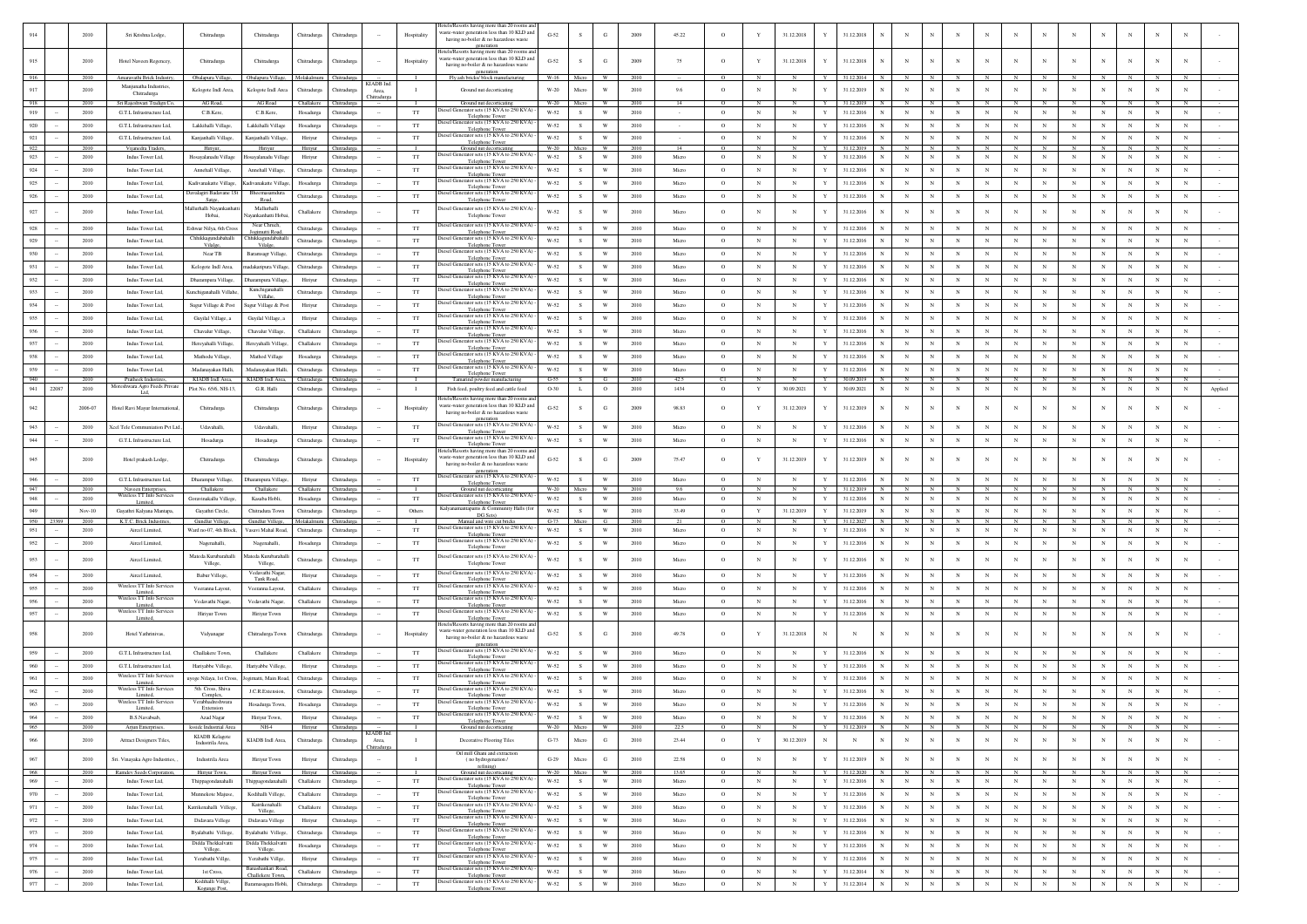|            |           | 2010                    | Sri Krishna Lodge,                                           | Chitradurga                                | Chitradurga                          | Chitradurga                | Thitradurg                 |                           | Hospitality                 | lotels/Resorts having more than 20 rooms a<br>waste-water generation less than 10 KLD and<br>having no-boiler & no hazardous waste | $G-52$             |                    | G                            | 2009         | 45.22          | $\circ$             |                             | 31.12.2018               |               | 31.12.2018                                    |                          |                            |                          |                           |                           |                           |                          |                          |                          |                          |                          |         |
|------------|-----------|-------------------------|--------------------------------------------------------------|--------------------------------------------|--------------------------------------|----------------------------|----------------------------|---------------------------|-----------------------------|------------------------------------------------------------------------------------------------------------------------------------|--------------------|--------------------|------------------------------|--------------|----------------|---------------------|-----------------------------|--------------------------|---------------|-----------------------------------------------|--------------------------|----------------------------|--------------------------|---------------------------|---------------------------|---------------------------|--------------------------|--------------------------|--------------------------|--------------------------|--------------------------|---------|
|            |           |                         |                                                              |                                            |                                      |                            |                            |                           |                             | generation<br>lotels/Resorts having more than 20 rooms a                                                                           |                    |                    |                              |              |                |                     |                             |                          |               |                                               |                          |                            |                          |                           |                           |                           |                          |                          |                          |                          |                          |         |
| 915        |           | 2010                    | Hotel Naveen Regencey,                                       | Chitradurga                                | Chitradurga                          | Chitradurga                | Chitradurga                |                           | Hospitality                 | aste-water generation less than 10 KLD and<br>having no-boiler & no hazardous waste                                                | $G-52$             | s                  | G                            | 2009         | 75             | $\circ$             |                             | 31.12.2018               |               | 31.12.2018                                    | N                        |                            |                          | $\mathbf N$               | N                         | $_{\rm N}$                | N                        |                          |                          | $\mathbf N$              |                          |         |
| 916        |           | 2010                    | Amaravathi Brick Industry,                                   | Obalapura Village,                         | Obalapura Villag                     | Molakalmuru                | Chitradurg                 |                           | $\blacksquare$              | generation<br>Fly ash bricks/ block manufacturing                                                                                  | W-16               | Micro              | W                            | 2010         |                | $\overline{0}$      | N                           |                          | Y             | 31.12.2014                                    | $_{\rm N}$               | $_{\mathrm{N}}$            |                          | $_{\rm N}$                | N                         | N                         | $_{\rm N}$               |                          |                          |                          |                          |         |
| 917        |           | 2010                    | Manjunatha Industries                                        | Kelogote Indl Area,                        | Kelogote Indl Are                    | Chitradurga                | Chitradurga                | KIADB Ind.<br>Area.       | $\blacksquare$              | Ground nut decorticating                                                                                                           | $_{\mathrm{W-20}}$ | Micro              | W                            | 2010         | 9.6            | $\circ$             | $_{\rm N}$                  | $_{\rm N}$               | Y             | 31.12.2019                                    | $\mathbf N$              | $_{\rm N}$                 |                          | $_{\rm N}$                | $_{\rm N}$                | $_{\rm N}$                | $_{\rm N}$               | $_{\rm N}$               | $_{\rm N}$               | $_{\rm N}$               | $_{\rm N}$               |         |
| 918        |           | 2010                    | Chitradurga<br>Sri Rajeshwari Tradign Co.                    | AG Road,                                   | AG Road                              | Challakere                 | Chitradur                  |                           |                             | Ground nut decorticating                                                                                                           | $W-20$             |                    |                              | 2010         | -14            | $\circ$             |                             |                          |               | 1.12.2019                                     |                          | N                          |                          |                           |                           |                           |                          |                          |                          |                          |                          |         |
| 919        |           | 2010                    | G.T.L Infrastructure Ltd,                                    | C.B.Kere,                                  | C.B.Kere                             | Hosadurga                  | Chitradurga                |                           | TT                          | esel Generator sets (15 KVA to 250 KVA)<br>Telephone Tower                                                                         | W-52               | S                  | W                            | 2010         |                | $\circ$             | $_{\rm N}$                  | $_{\rm N}$               | Y             | 31.12.2016                                    | $_{\rm N}$               | $_{\rm N}$                 | $_{\rm N}$               | $\mathbf N$               | $_{\rm N}$                | $_{\rm N}$                | $_{\rm N}$               | $_{\rm N}$               | $_{\rm N}$               | $_{\rm N}$               | $_{\rm N}$               |         |
| 920        |           | 2010                    | G.T.L Infrastructure Ltd.                                    | Lakkihalli Village                         | Lakkihalli Village                   | Hosadurga                  | Chitradurea                |                           | TT                          | biesel Generator sets (15 KVA to 250 KVA)<br>Telephone Tower                                                                       | W-52               | -S                 | W                            | 2010         |                | $\circ$             | $_{\rm N}$                  | $_{\rm N}$               | Y             | 31.12.2016                                    | $_{\rm N}$               | $_{\rm N}$                 | $_{\rm N}$               | $\mathbb{N}$              | $_{\rm N}$                | $_{\rm N}$                | $_{\rm N}$               | $_{\rm N}$               | $_{\rm N}$               | $_{\rm N}$               | $_{\rm N}$               |         |
| 921        |           | 2010                    | G.T.L Infrastructure Ltd,                                    | Kanjanhalli Village,                       | anjanhalli Villag                    | Hiriyur                    | hitradurg:                 |                           | $_{\rm TT}$                 | liesel Generator sets (15 KVA to 250 KVA)<br>Telephone Tower                                                                       | $W-52$             | s                  | W                            | 2010         |                | $\circ$             | $_{\rm N}$                  | $_{\rm N}$               | Y             | 31.12.201                                     | $_{\rm N}$               | $_{\rm N}$                 | $_{\rm N}$               | $_{\rm N}$                | $_{\rm N}$                | $_{\rm N}$                | N                        | $_{\rm N}$               | $_{\rm N}$               | $_{\rm N}$               | $_{\rm N}$               |         |
| 922<br>923 |           | 2010<br>2010            | Vijanedra Traders,<br>Indus Tower Ltd,                       | Hiriyur,<br>Hosayalanadu Village           | Hiriyur<br>osayalanadu Villag        | Hiriyur<br>Hiriyur         | Chitradurga<br>Chitradurga |                           | $_{\rm TT}$                 | Ground nut decorticating<br>tiesel Generator sets (15 KVA to 250 KVA)                                                              | W-20<br>$W-52$     | Micro<br>$\,$ s    | W<br>W                       | 2010<br>2010 | -14<br>Micro   | -0<br>$\circ$       | $_{\rm N}$                  | $_{\rm N}$               | Y<br>Y        | 31.12.2019<br>31.12.2016                      | N<br>$\mathbf N$         | $_{\rm N}$                 | $_{\rm N}$               | $_{\rm N}$                | $_{\rm N}$                | $_{\rm N}$                | $_{\rm N}$               | N<br>$_{\rm N}$          | $_{\rm N}$               | $_{\rm N}$               | $_{\rm N}$<br>$_{\rm N}$ |         |
| 924        |           | 2010                    | Indus Tower Ltd,                                             |                                            | Annehall Village                     |                            |                            |                           | TT                          | Telephone Towe<br>liesel Generator sets (15 KVA to 250 KVA)                                                                        | W-52               | s                  | W                            | 2010         | Micro          | $\circ$             | $_{\rm N}$                  | N                        | Y             | 31.12.2016                                    | $_{\rm N}$               | $\mathbb{N}$               | $_{\rm N}$               | $_{\rm N}$                | $_{\rm N}$                | $_{\rm N}$                | $_{\rm N}$               | $_{\rm N}$               | $_{\rm N}$               | $_{\rm N}$               | $_{\rm N}$               |         |
| 925        |           | 2010                    | Indus Tower Ltd,                                             | Annehall Village,<br>Kadivanakatte Village |                                      | Chitradurga                | Chitradurga                |                           | $_{\rm TT}$                 | Telephone Tower<br>liesel Generator sets (15 KVA to 250 KVA)                                                                       | W-52               | $\mathbf{s}$       | W                            | 2010         | Micro          | $\circ$             | $_{\rm N}$                  | $_{\rm N}$               | Y             | 31.12.2016                                    | $\mathbf N$              | $_{\rm N}$                 | $_{\rm N}$               | $_{\rm N}$                | $_{\rm N}$                | $_{\rm N}$                | $_{\rm N}$               | $_{\rm N}$               | $_{\rm N}$               | $_{\rm N}$               | $_{\rm N}$               |         |
|            |           | 2010                    |                                                              | Davalagiri Badavane 1S                     | Kadivanakatte Villa<br>emasamdura    | Hosadurga                  | Chitradurga                |                           |                             | Telephone Towe<br>liesel Generator sets (15 KVA to 250 KVA)                                                                        |                    |                    | W                            | 2010         |                |                     |                             |                          |               |                                               |                          | $_{\mathrm{N}}$            |                          |                           |                           |                           |                          |                          |                          |                          |                          |         |
| 926        |           |                         | Indus Tower Ltd,                                             | Satee.<br>Aallurhalli Nayankanha           | Road.<br>Mallurhalli                 | Chitradurga                | Chitradurga                |                           | $_{\rm TT}$                 | Telephone Tower<br>liesel Generator sets (15 KVA to 250 KVA)                                                                       | W-52               | S                  |                              |              | Micro          | $\circ$             | $_{\rm N}$                  | $_{\rm N}$               | Y             | 31.12.2016                                    | N                        |                            | $_{\rm N}$               | $\mathbf N$               | $_{\rm N}$                | N                         | $_{\rm N}$               | $_{\rm N}$               | $_{\rm N}$               | $_{\rm N}$               | $_{\rm N}$               |         |
| 927        |           | 2010                    | Indus Tower Ltd,                                             | Hobai,                                     | ayankanhatti Hob:                    | Challakere                 | Chitradurga                |                           | $_{\rm TT}$                 | Telephone Tower                                                                                                                    | W-52               | s                  | W                            | 2010         | Micro          | $\circ$             | $_{\rm N}$                  | N                        |               | 31.12.2016                                    | N                        | $\mathbf{N}$               |                          | N                         | N                         | $_{\rm N}$                | N                        |                          | $_{\rm N}$               | $_{\rm N}$               |                          |         |
| 928        |           | 2010                    | Indus Tower Ltd,                                             | Eshwar Nilya, 6th Cros                     | Near Chruch<br>Jogimutti Road        | Chitradurga                | Chitradurga                |                           | TT                          | liesel Generator sets (15 KVA to 250 KVA)<br>Telephone Tower                                                                       | W-52               | s                  | W                            | 2010         | Micro          | $\circ$             | $_{\rm N}$                  | $_{\rm N}$               | Y             | 31.12.2016                                    | $_{\rm N}$               | $_{\rm N}$                 | $_{\rm N}$               | $_{\rm N}$                | $_{\rm N}$                | $_{\rm N}$                | $_{\rm N}$               | $_{\rm N}$               | $_{\rm N}$               | $_{\rm N}$               | $_{\rm N}$               |         |
| 929        |           | 2010                    | Indus Tower Ltd,                                             | Chhikkagundabahall<br>Vilalge              | hhikkagundal<br>Vilalge,             | Chitradurga                | Chitradurga                |                           | $_{\rm TT}$                 | Diesel Generator sets (15 KVA to 250 KVA)<br>Telephone Towe                                                                        | $W-52$             | $\,$ s             | W                            | 2010         | Micro          | $\circ$             | $_{\rm N}$                  | $_{\rm N}$               | Y             | 31.12.2016                                    | N                        | $_{\rm N}$                 | $_{\rm N}$               | N                         | $\mathbb{N}$              | $_{\rm N}$                | $_{\rm N}$               | N                        | $_{\rm N}$               | $_{\rm N}$               | $_{\rm N}$               |         |
| 930        |           | 2010                    | Indus Tower Ltd,                                             | Near TB                                    | Baramsagr Village                    | Chitradurga                | Chitradurga                |                           | TT                          | Diesel Generator sets (15 KVA to 250 KVA)<br>Telephone Tower                                                                       | W-52               | s                  | W                            | 2010         | Micro          | $\circ$             | $_{\rm N}$                  | $_{\rm N}$               | $\mathbf{v}$  | 31.12.2016                                    | N                        | $\mathbb{N}$               | $\mathbf N$              | $_{\rm N}$                | $_{\rm N}$                | $_{\rm N}$                | $_{\rm N}$               | $_{\rm N}$               | $_{\rm N}$               | $_{\rm N}$               | $_{\rm N}$               |         |
| 931        |           | 2010                    | Indus Tower Ltd,                                             | Kelogote Indi Area                         | nadakaripura Villa;                  | Chitradurga                | Chitradurga                |                           | $_{\rm TT}$                 | liesel Generator sets (15 KVA to 250 KVA)<br>Telephone To                                                                          | W-52               | s                  | W                            | 2010         | Micro          | $\circ$             | $_{\rm N}$                  | $_{\rm N}$               | Y             | 31.12.2016                                    | $\mathbf N$              | $_{\rm N}$                 | $_{\rm N}$               | $_{\rm N}$                | $_{\rm N}$                | $_{\rm N}$                | $\mathbf N$              |                          | $_{\rm N}$               | $_{\rm N}$               | $_{\rm N}$               |         |
| 932        |           | 2010                    | Indus Tower Ltd,                                             | Dharampura Village                         | Dharampura Village                   | Hiriyur                    | Chitradurga                |                           | TT                          | liesel Generator sets (15 KVA to 250 KVA)<br>Telephone Tower                                                                       | W-52               | S                  | W                            | 2010         | Micro          | $\circ$             | $_{\rm N}$                  | $_{\rm N}$               | Y             | 31.12.2016                                    | $_{\rm N}$               | $_{\rm N}$                 | $_{\rm N}$               | ${\bf N}$                 | $_{\rm N}$                | $_{\rm N}$                | $_{\rm N}$               | $_{\rm N}$               | $_{\rm N}$               | $_{\rm N}$               | $_{\rm N}$               |         |
| 933        |           | 2010                    | Indus Tower Ltd,                                             | Kunchiganahalli Villah                     | Kunchiganahall<br>Villahe.           | Chitradurga                | Chitradurga                |                           | $_{\rm TT}$                 | biesel Generator sets (15 KVA to 250 KVA)<br>Telephone Tower                                                                       | $W-52$             | $\mathbf{s}$       | W                            | 2010         | Micro          | $\circ$             | $_{\rm N}$                  | $_{\rm N}$               | Y             | 31.12.2016                                    | $_{\rm N}$               | $_{\rm N}$                 | $_{\rm N}$               | $_{\rm N}$                | $_{\rm N}$                | $_{\rm N}$                | $_{\rm N}$               | $_{\rm N}$               | $_{\rm N}$               | $_{\rm N}$               | $_{\rm N}$               |         |
| 934        |           | 2010                    | Indus Tower Ltd,                                             | Sugur Village & Post                       | gur Village & Pos                    | Hiriyur                    | Chitradurga                |                           | TT                          | liesel Generator sets (15 KVA to 250 KVA)<br>Telephone Tow                                                                         | W-52               | s                  | W                            | 2010         | Micro          | $\circ$             | $_{\rm N}$                  | $_{\rm N}$               | $\mathbf{v}$  | 31.12.2016                                    | N                        | $\mathbb{N}$               | $_{\rm N}$               | $_{\rm N}$                | $_{\rm N}$                | $_{\rm N}$                | $_{\rm N}$               | $_{\rm N}$               | $_{\rm N}$               | $_{\rm N}$               | $_{\rm N}$               |         |
| 935        |           | 2010                    | Indus Tower Ltd,                                             | Guyilal Village, a                         | Guyilal Village, a                   | Hiriyur                    | Chitradurga                |                           | $_{\rm TT}$                 | iesel Generator sets (15 KVA to 250 KVA) -<br>Telephone Towe                                                                       | $W-52$             | S                  | W                            | 2010         | Micro          | $\circ$             | $_{\rm N}$                  | $_{\rm N}$               | Y             | 31.12.2016                                    | N                        | $_{\rm N}$                 | $_{\rm N}$               | $\mathbf N$               | $_{\rm N}$                | $_{\rm N}$                | $_{\rm N}$               | $_{\rm N}$               | $_{\rm N}$               | $_{\rm N}$               | $_{\rm N}$               |         |
| 936        |           | 2010                    | Indus Tower Ltd,                                             | Chavalur Village,                          | Chavalur Village,                    | Challakere                 | Chitradurga                |                           | $_{\rm TT}$                 | liesel Generator sets (15 KVA to 250 KVA<br>Telephone Tower                                                                        | W-52               | s                  | W                            | 2010         | Micro          | $\circ$             | $_{\rm N}$                  | $_{\rm N}$               | Y             | 31.12.2016                                    | $_{\rm N}$               | $_{\rm N}$                 | $_{\rm N}$               | $_{\rm N}$                | $_{\rm N}$                | N                         | $_{\rm N}$               | $_{\rm N}$               | $_{\rm N}$               | $_{\rm N}$               | $_{\rm N}$               |         |
| 937        |           | 2010                    | Indus Tower Ltd,                                             | Hereyahalli Village.                       | Hereyahalli Village                  | Challakere                 | Chitradurga                |                           | $_{\rm TT}$                 | esel Generator sets (15 KVA to 250 KVA<br>Telephone Towe                                                                           | $W-52$             | $\mathbf{s}$       | W                            | 2010         | Micro          | $\circ$             | $_{\rm N}$                  | $_{\rm N}$               | Y             | 31.12.2016                                    | N                        | $_{\rm N}$                 | $_{\rm N}$               | $_{\rm N}$                | $_{\rm N}$                | $_{\rm N}$                | $_{\rm N}$               | $_{\rm N}$               | $_{\rm N}$               | $_{\rm N}$               | $_{\rm N}$               |         |
| 938        |           | 2010                    | Indus Tower Ltd,                                             | Mathodu Village,                           | Mathod Village                       | Hosadurga                  | Chitradurga                |                           | TT                          | biesel Generator sets (15 KVA to 250 KVA)<br>Telephone Tower                                                                       | W-52               | s                  | W                            | 2010         | Micro          | $\circ$             | $_{\rm N}$                  | N                        |               | 31.12.2016                                    | N                        | N                          | N                        | $_{\rm N}$                | N                         | N                         | N                        |                          | $_{\rm N}$               | $_{\rm N}$               | $_{\rm N}$               |         |
| 939        |           | 2010                    | Indus Tower Ltd.                                             | Madanayakan Halli                          | Madanayakan Hall                     | Chitradures                | Chitradurea                |                           | <b>TT</b>                   | Diesel Generator sets (15 KVA to 250 KVA<br>Telephone Tower                                                                        | W-52               | $\mathbf{s}$       | W                            | 2010         | Micro          | $\circ$             | $_{\rm N}$                  | $\mathbf N$              | $\mathbf{v}$  | 31.12.2016                                    | $\mathbf{N}$             | $_{\rm N}$                 | $_{\rm N}$               | $_{\rm N}$                | $_{\rm N}$                | $_{\rm N}$                | $_{\rm N}$               | $_{\rm N}$               | $_{\rm N}$               | $_{\rm N}$               | $_{\rm N}$               |         |
| 940        |           | 2010                    | Pratheek Industires<br>loreshwara Agro Feeds Private         | KIADB Indi Area.                           | KIADB Indl Area                      | Chitradurga                | <b>hitradurea</b>          |                           |                             | Tamarind powder manufacturing                                                                                                      | $G-55$             | - S                |                              | 2010         | 425            |                     |                             |                          |               | 30.09.2019                                    |                          | N                          |                          |                           |                           |                           |                          |                          |                          |                          |                          |         |
| 941        | 22087     | 2010                    | Ltd.                                                         | Plot No. 65/6, NH-13                       | G.R. Halli                           | Chitradurga                | Chitradurga                |                           | $\mathbf{I}$                | Fish feed, poultry feed and cattle feed<br>lotels/Resorts having more than 20 rooms a                                              | O-30               | L                  | $\mathbf{o}$                 | 2010         | 1434           | $\circ$             | Y                           | 30.09.2021               | Y             | 30.09.202                                     | N                        | $_{\rm N}$                 | $\mathbf N$              | $_{\rm N}$                | $_{\rm N}$                | $_{\rm N}$                | $_{\rm N}$               | $_{\rm N}$               | $_{\rm N}$               | $_{\rm N}$               | $_{\rm N}$               | Applied |
| 942        |           | 2006-07                 | Hotel Ravi Mayur International                               | Chitradurga                                | Chitradurga                          | Chitradurga                | <b>hitradurga</b>          |                           | Hospitality                 | vaste-water generation less than 10 KLD and<br>having no-boiler & no hazardous waste                                               | $G-52$             | $\mathbf S$        | G                            | 2009         | 98.83          | $\circ$             |                             | 31.12.2019               |               | 31.12.2019                                    |                          |                            |                          | $_{\rm N}$                | N                         | $_{\rm N}$                | N                        |                          | N                        | $_{\rm N}$               |                          |         |
|            |           |                         |                                                              |                                            |                                      |                            |                            |                           |                             | eeneration<br>liesel Generator sets (15 KVA to 250 KVA)                                                                            |                    |                    | W                            |              |                |                     |                             |                          |               |                                               |                          |                            |                          |                           |                           |                           |                          |                          |                          |                          |                          |         |
| 943        |           | 2010<br>2010            | Ccel Tele Communiation Pvt Ltd.<br>G.T.L Infrastructure Ltd, | Udavahalli,                                | Udavahalli,                          | Hiriyur                    | Chitradurga                |                           | $_{\rm TT}$<br>TT           | Telephone Tower<br>liesel Generator sets (15 KVA to 250 KVA)                                                                       | $W-52$<br>W-52     | s<br>s             | W                            | 2010<br>2010 | Micro<br>Micro | $\circ$<br>$\circ$  | $_{\rm N}$<br>$_{\rm N}$    | $_{\rm N}$<br>$_{\rm N}$ | Y<br>Y        | 31.12.2016<br>31.12.2016                      | N<br>$_{\rm N}$          | $_{\rm N}$<br>$_{\rm N}$   | $_{\rm N}$<br>$_{\rm N}$ | $_{\rm N}$<br>$\mathbf N$ | $_{\rm N}$<br>$_{\rm N}$  | $_{\rm N}$<br>$_{\rm N}$  | $_{\rm N}$<br>$_{\rm N}$ | N<br>$_{\rm N}$          | $_{\rm N}$<br>$_{\rm N}$ | $_{\rm N}$<br>$_{\rm N}$ | $_{\rm N}$               |         |
| 944        |           |                         |                                                              | Hosadurga                                  | Hosadurga                            | Chitradurga                | Chitradurga                |                           |                             | Telephone Tower<br>otels/Resorts having more than 20 rooms an                                                                      |                    |                    |                              |              |                |                     |                             |                          |               |                                               |                          |                            |                          |                           |                           |                           |                          |                          |                          |                          |                          |         |
| 945        |           | 2010                    | Hotel prakash Lodge,                                         | Chitradurga                                | Chitradurga                          | Chitradurga                | hitradurg:                 |                           | Hospitality                 | vaste-water generation less than 10 KLD and<br>having no-boiler & no hazardous waste                                               | $G-52$             | s                  | G                            | 2009         | 75.47          | $\circ$             |                             | 31.12.2019               |               | 31.12.2019                                    | $_{\rm N}$               |                            |                          | $\mathbf N$               | N                         | $_{\rm N}$                | N                        |                          | N                        | $_{\rm N}$               |                          |         |
| 946        |           | 2010                    | G.T.L Infrastructure Ltd.                                    | Dharampur Village                          | Dharamoura Village                   | Hiriyur                    | Chitradurga                |                           | TT                          | liesel Generator sets (15 KVA to 250 KVA)                                                                                          | W-52               | s.                 | W                            | 2010         | Micro          | $\circ$             | $_{\rm N}$                  | $_{\rm N}$               | Y             | 31.12.2016                                    | $_{\rm N}$               | $_{\rm N}$                 | $_{\rm N}$               | $\mathbf N$               | $_{\rm N}$                | $_{\rm N}$                | $_{\rm N}$               | $_{\rm N}$               | $_{\rm N}$               | $_{\rm N}$               | $_{\rm N}$               |         |
| 947        |           | 2010                    | Naveen Enterprises,                                          | Challakere                                 | Challakere                           | Challakere                 | <b>Chitradurg</b>          |                           |                             | Telephone Tower<br>Ground nut decorticati                                                                                          | W-20               | Micro              | w                            | 2010         | 96             | $\Omega$            |                             |                          | Y             | 31 12 2019<br>N                               |                          | N                          |                          |                           |                           | $\mathbf{N}$              |                          |                          |                          |                          |                          |         |
| 948        |           | 2010                    | Wireless TT Info Services<br>Limited,                        | Goravinakallu Villege                      | Kasaba Hobli,                        | Hosadurga                  | Chitradurga                |                           | TT                          | liesel Generator sets (15 KVA to 250 KVA)<br>Telephone Tower                                                                       | W-52               | S                  | W                            | 2010         | Micro          | $\circ$             | $_{\rm N}$                  | $_{\rm N}$               | Y             | 31.12.2016                                    | $_{\rm N}$               | $_{\rm N}$                 | $_{\rm N}$               | $\mathbf N$               | $_{\rm N}$                | $_{\rm N}$                | $_{\rm N}$               | $_{\rm N}$               | $_{\rm N}$               | $_{\rm N}$               | $_{\rm N}$               |         |
| 949        | 950 23369 | $_{\rm Nov-10}$<br>2010 | Gayathri Kalyana Mantapa,<br>K.T.C. Brick Industries         | Gayathri Circle,<br>Gundlur Villege        | Chitradura Towr<br>Gundlur Villege.  | Chitradurga<br>Molakalmuru | Chitradurga<br>Chitradurea |                           | Others<br>- 11              | Kalyanamantapams & Community Halls (fo<br>DG Sets)<br>Manual and wire cut bricks                                                   | W-52<br>$G-73$     | ${\bf s}$<br>Micro | W<br>- 61                    | 2010<br>2010 | 33.49          | $\circ$<br>$\Omega$ | $\mathbf Y$<br>$\mathbb{N}$ | 31.12.2019<br>- N        | Y<br><b>Y</b> | 31.12.2019<br>31.12.2027<br>N                 | $\mathbf N$<br>N         | $_{\rm N}$<br>$\mathbb{N}$ | $_{\rm N}$               | $_{\rm N}$<br>N           | $_{\rm N}$                | $_{\rm N}$<br>N           | $_{\rm N}$<br>- N        | $_{\rm N}$               | $_{\rm N}$               | $_{\rm N}$               | $_{\rm N}$               |         |
| 951        |           | 2010                    | Aircel Limited.                                              | Ward no-07, 4th Block                      | Vasavi Mahal Road                    | Chitradurea                | Chitradurga                |                           | <b>TT</b>                   | Diesel Generator sets (15 KVA to 250 KVA)<br><b>Telephone Tower</b>                                                                | W-52               | S                  | $\mathbf{W}$                 | 2010         | Micro          | $\circ$             | $_{\rm N}$                  | $_{\rm N}$               | Y             | 31.12.2016                                    | $_{\rm N}$               | $_{\rm N}$                 | $_{\rm N}$               | $_{\rm N}$                | $_{\rm N}$                | $_{\rm N}$                | $_{\rm N}$               | $_{\rm N}$               | $_{\rm N}$               | $_{\rm N}$               | $_{\rm N}$               |         |
| 952        |           | 2010                    | Aircel Limited                                               | Nagenahalli,                               | Nagenahalli                          | Hosadurga                  | <b>hitradurga</b>          |                           | TT                          | tiesel Generator sets (15 KVA to 250 KVA)<br>Telephone Tower                                                                       | W-52               | s                  | W                            | 2010         | Micro          | $\circ$             | $_{\rm N}$                  | $_{\rm N}$               |               | 31.12.2016                                    | $_{\rm N}$               | $_{\rm N}$                 | $_{\rm N}$               | $_{\rm N}$                | $_{\rm N}$                | $_{\rm N}$                | $_{\rm N}$               | $_{\rm N}$               | $_{\rm N}$               | $_{\rm N}$               | $_{\rm N}$               |         |
| 953        |           | 2010                    | Aircel Limited                                               | Mateda Kurubarahall                        | lateda Kurubaraha                    | Chitradurga                | Chitradurga                |                           | $_{\rm TT}$                 | biesel Generator sets (15 KVA to 250 KVA                                                                                           | $W-52$             | s                  | W                            | 2010         | Micro          | $\circ$             | $_{\rm N}$                  |                          | Y             | 31.12.2016                                    | N                        | $_{\rm N}$                 |                          | $_{\rm N}$                | $\mathbb{N}$              | $_{\rm N}$                | N                        |                          | $_{\rm N}$               | $_{\rm N}$               |                          |         |
|            |           | 2010                    | Aircel Limited                                               | Villege,                                   | Villege,<br>Vedavathi Nagar          |                            |                            |                           |                             | Telephone Tower<br>liesel Generator sets (15 KVA to 250 KVA                                                                        |                    |                    | W                            |              | Micro          |                     | $_{\rm N}$                  |                          |               |                                               |                          | $\mathbb{N}$               | N                        |                           |                           |                           |                          | $\mathbb{N}$             | $_{\rm N}$               |                          | N                        |         |
| 954<br>955 |           | 2010                    | Wireless TT Info Services                                    | Babur Villege,<br>Veeranna Layout          | Tank Road,<br>Veeranna Layout        | Hiriyur<br>Challakere      | Chitradurga                |                           | TT<br>$_{\rm TT}$           | Telephone Tower<br>esel Generator sets (15 KVA to 250 KVA)                                                                         | W-52<br>W-52       | s<br>s             | W                            | 2010<br>2010 | Micro          | $\circ$<br>$\circ$  | $_{\rm N}$                  | $_{\rm N}$<br>$_{\rm N}$ | Y<br>Y        | 31.12.2016<br>31.12.2016                      | N<br>N                   | $_{\rm N}$                 | $_{\rm N}$               | $_{\rm N}$<br>$_{\rm N}$  | $_{\rm N}$<br>$_{\rm N}$  | N<br>$_{\rm N}$           | $_{\rm N}$<br>$_{\rm N}$ | $_{\rm N}$               | $_{\rm N}$               | N<br>$_{\rm N}$          | $_{\rm N}$               |         |
| 956        |           | 2010                    | Wireless TT Info Services                                    | Vedavathi Nagar                            |                                      | Challakere                 | Chitradurga                |                           | TT                          | Telephone Tower<br>liesel Generator sets (15 KVA to 250 KVA)                                                                       | W-52               | s                  | W                            | 2010         | Micro          | $\circ$             | $_{\rm N}$                  | $_{\rm N}$               | Y             | 31.12.2016                                    | $_{\rm N}$               | $_{\rm N}$                 | $_{\rm N}$               | $_{\rm N}$                | $_{\rm N}$                | $_{\rm N}$                | $_{\rm N}$               | $_{\rm N}$               | $_{\rm N}$               | $_{\rm N}$               | $_{\rm N}$               |         |
| 957        |           | 2010                    | Limited<br>Wireless TT Info Services                         | Hiriyur Town                               | Vedavathi Nagar<br>Hiriyur Town      | Hiriyur                    | Chitradurga<br>Chitradurga |                           | $_{\rm TT}$                 | Telephone Towe<br>Diesel Generator sets (15 KVA to 250 KVA                                                                         | $W-52$             | S                  | W                            | 2010         | Micro          | $\circ$             | $_{\rm N}$                  |                          |               | 31.12.2016                                    | $_{\rm N}$               | $_{\mathrm{N}}$            | $_{\rm N}$               | $\mathbf N$               | $_{\rm N}$                | $_{\rm N}$                | $_{\rm N}$               | $_{\rm N}$               | $_{\rm N}$               | $_{\rm N}$               | $_{\rm N}$               |         |
|            |           |                         | Limited,                                                     |                                            |                                      |                            |                            |                           |                             | Telephone Tower<br>lotels/Resorts having more than 20 rooms an                                                                     |                    |                    |                              |              |                |                     |                             | $_{\rm N}$               | Y             |                                               |                          |                            |                          |                           |                           |                           |                          |                          |                          |                          |                          |         |
| 958        |           | 2010                    | Hotel Yathrinivas                                            | Vidyanaga                                  | Chitradurga Town                     | Chitradurga                | Chitradurga                |                           | Hospitality                 | vaste-water generation less than 10 KLD and<br>having no-boiler & no hazardous waste                                               | $G-52$             | s                  | G                            | 2010         | 49.78          | $\circ$             | Y                           | 31.12.2018               | N             | N<br>N                                        | N                        | N                          |                          | N                         | N                         | $_{\rm N}$                | N                        |                          | $_{\rm N}$               | $_{\rm N}$               |                          |         |
| 959        |           | 2010                    | G.T.L Infrastructure Ltd.                                    | Challakere Town                            | Challakere                           | Challakere                 | Chitradurga                |                           | TT                          | esel Generator sets (15 KVA to 250 KVA)                                                                                            | W-52               | s                  | W                            | 2010         | Micro          | $\circ$             | $_{\rm N}$                  | $_{\rm N}$               | Y             | 31.12.2016                                    | $_{\rm N}$               | $_{\rm N}$                 | $_{\rm N}$               | $_{\rm N}$                | $_{\rm N}$                | $_{\rm N}$                | N                        | $_{\rm N}$               | $_{\rm N}$               | $_{\rm N}$               | $_{\rm N}$               |         |
| 960        |           | 2010                    | G.T.L Infrastructure Ltd.                                    | Hariyabbe Villege,                         | Hariyabbe Villege                    | Hiriyur                    | Chitradurga                |                           | TT                          | Telephone Tower<br>liesel Generator sets (15 KVA to 250 KVA)                                                                       | W-52               | S                  | W                            | 2010         | Micro          | $\circ$             | $_{\rm N}$                  | $_{\rm N}$               | Y             | 31.12.2016                                    | $_{\rm N}$               | $_{\rm N}$                 | $_{\rm N}$               | $\mathbf N$               | $_{\rm N}$                | $_{\rm N}$                | $_{\rm N}$               | $_{\rm N}$               | $_{\rm N}$               | $_{\rm N}$               | $_{\rm N}$               |         |
| 961        |           | 2010                    | Wireless TT Info Service                                     | oge Nilaya, 1st Cros                       | matti, Main Ro                       | Chitradurga                | <b>hitradurga</b>          |                           | $_{\rm TT}$                 | Telephone Tower<br>biesel Generator sets (15 KVA to 250 KVA)                                                                       | $W-52$             | $\,$ s             | W                            | 2010         | Micro          | $\circ$             | $_{\rm N}$                  | $_{\rm N}$               | Y             | 31.12.2016                                    | $_{\rm N}$               | $_{\rm N}$                 | $_{\rm N}$               | $_{\rm N}$                | $_{\rm N}$                | $_{\rm N}$                | $_{\rm N}$               | $_{\rm N}$               | $_{\rm N}$               | $_{\rm N}$               | $_{\rm N}$               |         |
| $962\,$    |           | 2010                    | <b>Wireless TT Info Services</b>                             | 5th Cross, Shiva                           | J.C.R.Extension                      | Chitradurea                | Chitradurg:                |                           | TT                          | Telephone To<br>liesel Generator sets (15 KVA to 250 KVA)                                                                          | W-52               | -S                 | W                            | 2010         | Micro          | $\circ$             | $_{\rm N}$                  | N                        | Y             | 31.12.2010                                    | $_{\rm N}$               | $_{\rm N}$                 | N                        | $_{\rm N}$                | N                         | N                         | $_{\rm N}$               | $\mathbb{N}$             | $_{\rm N}$               | $_{\rm N}$               | $_{\rm N}$               |         |
| 963        |           | 2010                    | Limited,<br>Wireless TT Info Services                        | Complex,<br>Verabhadreshwara               | Hosadurga Towr                       | Hosadurga                  | Chitradurga                |                           | $_{\rm TT}$                 | Telephone Towe<br>biesel Generator sets (15 KVA to 250 KVA)                                                                        | $W-52$             | S                  | $\mathbf{W}$                 | 2010         | Micro          | $\circ$             | $_{\rm N}$                  | $_{\rm N}$               | Y             | 31.12.2016                                    | $_{\rm N}$               | $_{\rm N}$                 | $_{\rm N}$               | $_{\rm N}$                | $_{\rm N}$                | $_{\rm N}$                | $_{\rm N}$               | $_{\rm N}$               | $_{\rm N}$               | $_{\rm N}$               | $_{\rm N}$               |         |
| 964        |           | 2010                    | B.S.Navabsab.                                                | Extension<br>Azad Nagar                    | Hiriyur Town.                        | Hiriyur                    | Chitradurga                |                           | TT                          | Telephone Towe<br>rator sets (                                                                                                     | $W-52$             | s.                 | W                            | 2010         | Micro          | $\circ$             | N                           | N                        | Y             | 31.12.2016 N                                  | N                        | N                          | $\mathbb{N}$             | N                         | $N$                       | N                         | N                        | N                        | N                        | N                        | N                        |         |
| 965        |           | 2010                    | Arjun Enterprises,                                           | ksside Industrial Area                     | $NH-4$                               |                            | Hiriyur Chitradurga        |                           | T 1                         | Telephone Tower<br>Ground nut decorticating                                                                                        |                    |                    | W-20 Micro W                 | 2010         | 22.5           | $\circ$             | $\overline{N}$              | $\overline{N}$           |               | Y 31.12.2019 N                                | N                        | N                          | N                        | N                         | N                         | N                         | N                        | $\overline{N}$           | $\overline{N}$           | $\overline{N}$           | $\mathbb{N}$             |         |
| 966        |           | 2010                    | Attract Designers Tiles,                                     | <b>KIADB</b> Kelagote<br>Industrila Area,  | KIADB Indl Area,                     | Chitradurga                | Chitradurga                | <b>KIADB</b> Ind<br>Area. | $\blacksquare$              | Decorative Flooring Tiles                                                                                                          | $G-73$             | Micro              | ${\bf G}$                    | 2010         | 23.44          | $\circ$             | $\mathbf Y$                 | 30.12.2019               | $_{\rm N}$    | $_{\rm N}$                                    | $_{\rm N}$               | $_{\rm N}$                 | $_{\rm N}$               | $_{\rm N}$                | $\,$ N $\,$               | $\,$ N $\,$               | $_{\rm N}$               | $_{\rm N}$               | $_{\rm N}$               | $_{\rm N}$               | $_{\rm N}$               |         |
|            |           |                         |                                                              |                                            |                                      |                            |                            | Chitradurga               |                             | Oil mill Ghani and extraction                                                                                                      |                    |                    |                              |              |                |                     |                             |                          |               |                                               |                          |                            |                          |                           |                           |                           |                          |                          |                          |                          |                          |         |
| 967        |           | 2010                    | Sri. Vinayaka Agro Industries, .                             | Industrila Area                            | Hiriyur Town                         | Hiriyur                    | Chitradurga                | $\sim$                    | $\blacksquare$              | (no hydrogenation /<br>refining)                                                                                                   | $G-29$             | Micro              | G                            | 2010         | 22.58          | $\circ$             | N                           | $_{\rm N}$               | Y             | 31.12.2019<br>$_{\rm N}$                      | $_{\rm N}$               | $_{\rm N}$                 | $_{\rm N}$               | $_{\rm N}$                | $_{\rm N}$                | $_{\rm N}$                | $_{\rm N}$               | $_{\rm N}$               | $_{\rm N}$               | $_{\rm N}$               | $_{\rm N}$               |         |
| 968<br>969 |           | 2010<br>2010            | Ramdev Seeds Corporation,<br>Indus Tower Ltd,                | Hiriyur Town,<br>Thippagondanahalli        | Hiriyur Town<br>Thippagondanahalli   | Hiriyur<br>Challakere      | Chitradurga<br>Chitradurga | $\sim$                    | $\mathbf{I}$<br>$_{\rm TT}$ | Ground nut decorticating<br>Diesel Generator sets (15 KVA to 250 KVA)                                                              | W-20<br>W-52       | Micro<br>S         | W<br>$\ensuremath{\text{W}}$ | 2010<br>2010 | 13.65<br>Micro | $\circ$<br>$\circ$  | $_{\rm N}$<br>$_{\rm N}$    | N<br>$_{\rm N}$          | Y<br>Y        | $\mathbf{x}$<br>31.12.2020<br>31.12.2016<br>N | $_{\rm N}$<br>$_{\rm N}$ | N<br>$_{\rm N}$            | $_{\rm N}$               | $_{\rm N}$<br>${\bf N}$   | $_{\rm N}$<br>$\,$ N $\,$ | $\mathbb{N}$<br>${\bf N}$ | $_{\rm N}$<br>$_{\rm N}$ | $_{\rm N}$<br>$_{\rm N}$ | $_{\rm N}$<br>$_{\rm N}$ | $_{\rm N}$               | $_{\rm N}$               |         |
| 970        |           | 2010                    | Indus Tower Ltd,                                             | Munnekote Majuse                           | Kodihalli Villege                    | Challakere                 | Chitradurga                | $\sim$                    | TT                          | Telephone Tower<br>Diesel Generator sets (15 KVA to 250 KVA) -                                                                     | $W-52$             | S                  | W                            | 2010         | Micro          | $\circ$             | $_{\rm N}$                  | $_{\rm N}$               | Y             | 31.12.2016                                    | $_{\rm N}$               | $_{\rm N}$                 | $_{\rm N}$               | $_{\rm N}$                | $_{\rm N}$                | ${\bf N}$                 | ${\bf N}$                | $_{\rm N}$               | $_{\rm N}$               | $_{\rm N}$               | $_{\rm N}$               |         |
| 971        |           | 2010                    | Indus Tower Ltd,                                             | Katrikenahalli Villege.                    | Katrikenahalli                       | Challakere                 | Chitradurga                | $\sim$                    | TT                          | Telephone Tower<br>Diesel Generator sets (15 KVA to 250 KVA) -                                                                     | $W-52$             | S                  | W                            | 2010         | Micro          | $\circ$             | $_{\rm N}$                  | $_{\rm N}$               | $\mathbf Y$   | 31.12.2016                                    | $_{\rm N}$               | $_{\rm N}$                 | $_{\rm N}$               | $_{\rm N}$                | $_{\rm N}$                | ${\bf N}$                 | ${\bf N}$                | $_{\rm N}$               | ${\bf N}$                | $_{\rm N}$               | $_{\rm N}$               | $\sim$  |
| 972        |           | 2010                    | Indus Tower Ltd,                                             | Didavara Villege                           | Villege,<br>Didavara Villege         | Hiriyur                    | Chitradurga                | $\sim$                    | TT                          | Telephone Tower<br>Diesel Generator sets (15 KVA to 250 KVA) -                                                                     | W-52               | S                  | $\mathbf{W}$                 | 2010         | Micro          | $\circ$             | $_{\rm N}$                  | $\,$ N $\,$              | $\mathbf Y$   | 31.12.2016                                    | $_{\rm N}$               | $_{\rm N}$                 | $_{\rm N}$               | $_{\rm N}$                | ${\bf N}$                 | $\,$ N $\,$               | ${\bf N}$                | $\,$ N                   | ${\bf N}$                | $_{\rm N}$               | ${\bf N}$                | $\sim$  |
| 973        |           | 2010                    | Indus Tower Ltd,                                             | Byalabathi Villege,                        | Byalabathi Villege,                  | Chitradurga                | Chitradurga                |                           | TT                          | Telephone Tower<br>Diesel Generator sets (15 KVA to 250 KVA) -                                                                     | $W-52$             | S                  | $\mathbf{W}$                 | 2010         | Micro          | $\circ$             | $_{\rm N}$                  | $_{\rm N}$               | $\mathbf Y$   | 31.12.2016                                    | $_{\rm N}$               | $_{\rm N}$                 | $_{\rm N}$               | $_{\rm N}$                | ${\bf N}$                 | ${\bf N}$                 | ${\bf N}$                | $_{\rm N}$               | $_{\rm N}$               | ${\bf N}$                | ${\bf N}$                | $\sim$  |
| 974        |           | 2010                    | Indus Tower Ltd,                                             | Didda Thekkalvatti                         | Didda Thekkalvatti                   | Hosadurga                  | Chitradurga                | $\sim$                    | $_{\rm TT}$                 | Telephone Tower<br>Diesel Generator sets (15 KVA to 250 KVA) -                                                                     | W-52               | S                  | $\ensuremath{\text{W}}$      | 2010         | Micro          | $\circ$             | $_{\rm N}$                  | $_{\rm N}$               | Y             | 31.12.2016                                    | $_{\rm N}$               | $_{\rm N}$                 | $_{\rm N}$               | $_{\rm N}$                | $_{\rm N}$                | $_{\rm N}$                | $_{\rm N}$               | $_{\rm N}$               | $_{\rm N}$               | $_{\rm N}$               | $_{\rm N}$               | $\sim$  |
| 975        |           | 2010                    | Indus Tower Ltd,                                             | Villege,<br>Yerabathi Villge,              | Villege,<br>Yerabathi Villge.        | Hiriyur                    | Chitradurga                | $\sim$                    | $_{\rm TT}$                 | Telephone Tower<br>Diesel Generator sets (15 KVA to 250 KVA) -<br>Telephone Tower                                                  | W-52               | S                  | W                            | 2010         | Micro          | $\circ$             | $_{\rm N}$                  | $_{\rm N}$               | Y             | 31.12.2016                                    | $_{\rm N}$               | $_{\rm N}$                 | $_{\rm N}$               | $_{\rm N}$                | $_{\rm N}$                | ${\bf N}$                 | ${\bf N}$                | $_{\rm N}$               | ${\bf N}$                | $\,$ N $\,$              | $_{\rm N}$               | $\sim$  |
| 976        |           | 2010                    | Indus Tower Ltd,                                             | 1st Cross,                                 | Banashankari Road<br>Challekere Town | Challakere                 | Chitradurga                |                           | $_{\rm TT}$                 | Diesel Generator sets (15 KVA to 250 KVA)<br>Telephone Tower                                                                       | W-52               | S                  | $\ensuremath{\text{W}}$      | 2010         | Micro          | $\circ$             | $_{\rm N}$                  | $_{\rm N}$               | Y             | 31.12.2014                                    | $_{\rm N}$               | $_{\rm N}$                 | $_{\rm N}$               | $_{\rm N}$                | $\,$ N $\,$               | $\,$ N $\,$               | $\,$ N $\,$              | $_{\rm N}$               | ${\bf N}$                | $\,$ N $\,$              | ${\bf N}$                | $\sim$  |
| 977        |           | 2010                    | Indus Tower Ltd.                                             | Kodihalli Villge,<br>Kogunge Post.         | Baramasagara Hobli,                  | Chitradurga                | Chitradurga                | $\sim$                    | $_{\rm TT}$                 | Diesel Generator sets (15 KVA to 250 KVA) -<br>Telephone Tower                                                                     | W-52               | S                  | $\ensuremath{\text{W}}$      | 2010         | Micro          | $\circ$             | $_{\rm N}$                  | ${\bf N}$                | $\mathbf Y$   | 31.12.2014<br>$\mathbb{N}$                    | $_{\rm N}$               | $_{\rm N}$                 | $_{\rm N}$               | $_{\rm N}$                | $_{\rm N}$                | $_{\rm N}$                | $_{\rm N}$               | $_{\rm N}$               | $_{\rm N}$               | $_{\rm N}$               | $_{\rm N}$               |         |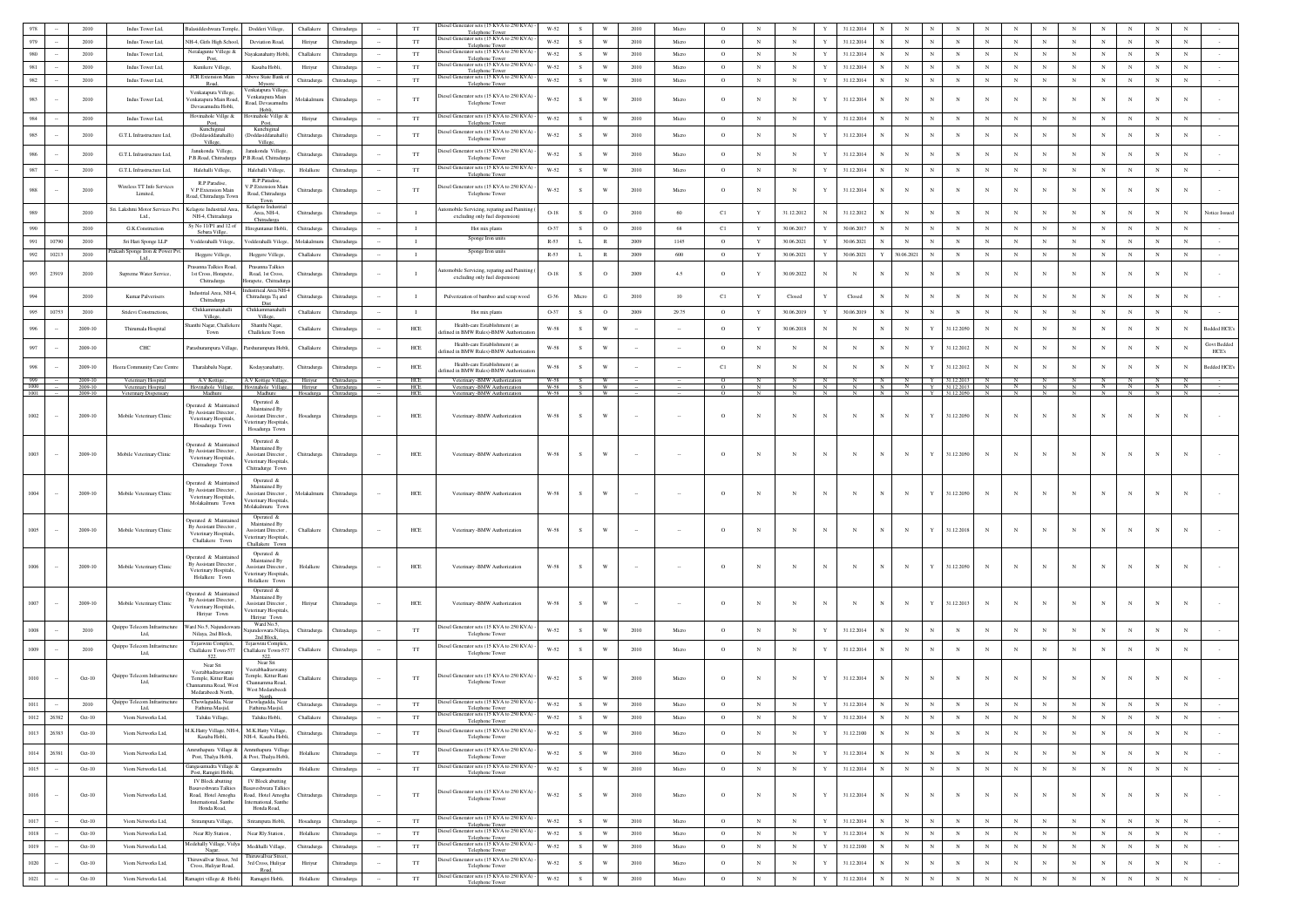|              |        | 2010               | Indus Tower Ltd,                             | alasiddeshwara Temple<br>Dodderi Villege,                                                                                                                                                                         | Challakere  | Chitradurga           |        | $_{\rm TT}$       | iesel Generator sets (15 KVA to 250 KVA)                               | W-52                 |               | W                              | 2010 | Micro       | $\circ$<br>N                                    |            | N                          | 31.12.2014                           |                          |              |                                |            |              |              |                   |              |                       |             |                     |               |
|--------------|--------|--------------------|----------------------------------------------|-------------------------------------------------------------------------------------------------------------------------------------------------------------------------------------------------------------------|-------------|-----------------------|--------|-------------------|------------------------------------------------------------------------|----------------------|---------------|--------------------------------|------|-------------|-------------------------------------------------|------------|----------------------------|--------------------------------------|--------------------------|--------------|--------------------------------|------------|--------------|--------------|-------------------|--------------|-----------------------|-------------|---------------------|---------------|
|              |        | 2010               | Indus Tower Ltd.                             | NH-4. Girls High Schoo<br><b>Deviation Road</b>                                                                                                                                                                   | Hiriyur     | Chitradure:           |        | <b>TT</b>         | Telephone Tower<br>Diesel Generator sets (15 KVA to 250 KVA) -         | W-52                 | $\mathcal{S}$ | $\ensuremath{\text{W}}$        | 2010 | Micro       | $_{\rm N}$<br>$\circ$                           |            | $_{\rm N}$<br>$\mathbf{Y}$ | 31.12.2014                           | $_{\rm N}$               |              | $_{\rm N}$                     | $_{\rm N}$ | $_{\rm N}$   | $_{\rm N}$   | $_{\rm N}$        | $_{\rm N}$   | $_{\rm N}$            | $_{\rm N}$  | $_{\rm N}$          |               |
|              |        | 2010               | Indus Tower Ltd,                             | Veralagunte Villege &<br>layakanahatty Hobli                                                                                                                                                                      | Challakere  | Chitradurga           |        | TT                | Telephone Town<br>iesel Generator sets (15 KVA to 250 KVA)             | W-52                 | S             | $\ensuremath{\text{W}}$        | 2010 | Micro       | $\circ$<br>$_{\rm N}$                           |            | $_{\rm N}$<br>Y            | 31.12.2014                           | $_{\rm N}$               | $_{\rm N}$   | $_{\rm N}$                     | $_{\rm N}$ | $_{\rm N}$   | $_{\rm N}$   | $_{\rm N}$        | $_{\rm N}$   | $_{\rm N}$            | $_{\rm N}$  | $_{\rm N}$          |               |
|              |        |                    |                                              | Post,                                                                                                                                                                                                             |             |                       |        |                   | Telephone Towe<br>Diesel Generator sets (15 KVA to 250 KVA) -          |                      |               |                                |      |             |                                                 |            |                            |                                      |                          |              |                                |            |              |              |                   |              |                       |             |                     |               |
|              |        | 2010               | Indus Tower Ltd.                             | Kunikere Villege.<br>Kasaba Hobli.<br>JCR Extension Mai<br>Above State Bank                                                                                                                                       | Hiriyur     | Chitradurea           |        | <b>TT</b>         | Telephone Towe<br>iesel Generator sets (15 KVA to 250 KVA)             | W-52                 | s.            | $\ensuremath{\text{W}}$        | 2010 | Micro       | $\circ$<br>N                                    |            | $_{\rm N}$                 | 31.12.2014                           | $_{\rm N}$               |              | $_{\rm N}$                     | $_{\rm N}$ | N            | $_{\rm N}$   | $_{\rm N}$        | $_{\rm N}$   | $_{\rm N}$            | $_{\rm N}$  | $_{\rm N}$          |               |
|              |        | 2010               | Indus Tower Ltd,                             | Myson                                                                                                                                                                                                             | Chitradurga | hitradurga            |        | $_{\rm TT}$       | <b>Telephone Towe</b>                                                  | $W-52$               | S             | $\ensuremath{\text{W}}$        | 2010 | Micro       | $_{\rm N}$<br>$\circ$                           |            | $_{\rm N}$                 | 31.12.2014                           | $_{\rm N}$               |              | $_{\rm N}$                     | $_{\rm N}$ | $_{\rm N}$   | $_{\rm N}$   | $_{\rm N}$        | $_{\rm N}$   | $_{\rm N}$            | $_{\rm N}$  | $_{\rm N}$          |               |
|              |        | 2010               | Indus Tower Ltd,                             | 'enkatapura Villege<br>Venkatapura Villege<br>Venkatapura Main<br>'enkatapura Main Road,                                                                                                                          | Molakalmur  | Chitradurga           |        | $_{\rm TT}$       | iesel Generator sets (15 KVA to 250 KVA)                               | $W-52$               |               |                                | 2010 | Micro       | $_{\rm N}$<br>$\circ$                           |            | N                          | 31.12.2014                           | $_{\rm N}$               |              | N                              | N          | N            | N            |                   | $\mathbf N$  |                       | N           | $\mathbf N$         |               |
|              |        |                    |                                              | load, Devasamudra<br>Devasamudra Hobli,<br>Hobl                                                                                                                                                                   |             |                       |        |                   | Telephone Tower                                                        |                      |               |                                |      |             |                                                 |            |                            |                                      |                          |              |                                |            |              |              |                   |              |                       |             |                     |               |
| 984          |        | 2010               | Indus Tower Ltd,                             | Hovinahole Villge &<br>Iovinahole Villge &<br>Post,<br>Post,                                                                                                                                                      | Hiriyur     | Chitradurga           |        | TT                | Diesel Generator sets (15 KVA to 250 KVA)<br>Telephone Tower           | W-52                 | S             | W                              | 2010 | Micro       | $_{\rm N}$<br>$\circ$                           |            | $_{\rm N}$                 | 31.12.2014                           | $\mathbf{N}$             |              | $\mathbf N$                    | N          |              |              | $_{\rm N}$        | $_{\rm N}$   | $\mathbb{N}$          | N           | $_{\rm N}$          |               |
|              |        | 2010               |                                              | Kunchiginal<br>Kunchiginal<br>Ooddasiddanahalli)                                                                                                                                                                  |             |                       |        |                   | liesel Generator sets (15 KVA to 250 KVA)                              | W-52                 |               | W                              | 2010 | Micro       | $\circ$                                         |            |                            |                                      | $_{\rm N}$               |              |                                | N          |              |              |                   | N            | $_{\rm N}$            | N           |                     |               |
|              |        |                    | G.T.L Infrastructure Ltd,                    | (Doddasiddanahalli)<br>Villege<br>Villeg                                                                                                                                                                          | Chitradurg  | hitradurg:            |        | $_{\rm TT}$       | Telephone Tower                                                        |                      |               |                                |      |             | N                                               |            | N                          | 31.12.2014                           |                          |              | $_{\rm N}$                     |            |              |              |                   |              |                       |             | $_{\rm N}$          |               |
|              |        | 2010               | G.T.L Infrastructure Ltd,                    | Janukonda Villege,<br>Janukonda Villege<br>P.B.Road, Chitradurez<br><sup>2</sup> .B.Road, Chitradur                                                                                                               | Chitradurga | hitradurg:            |        | TT                | Diesel Generator sets (15 KVA to 250 KVA)<br>Telephone Tower           | $W-52$               |               |                                | 2010 | Micro       | $_{\rm N}$                                      |            | N                          | 31.12.2014                           |                          |              | $\mathbf N$                    | $_{\rm N}$ |              |              |                   | $_{\rm N}$   |                       | N           | N                   |               |
|              |        |                    |                                              |                                                                                                                                                                                                                   |             |                       |        |                   | liesel Generator sets (15 KVA to 250 KVA)                              |                      |               |                                |      |             |                                                 |            |                            |                                      |                          |              |                                |            |              |              |                   |              |                       |             |                     |               |
|              |        | 2010               | G.T.L Infrastructure Ltd,                    | Halehalli Villege,<br>Halehalli Villege,<br>R.P.Paradise.                                                                                                                                                         | Holalkere   | Chitradurga           |        | $_{\rm TT}$       | Telephone Tower                                                        | W-52                 | s.            | W                              | 2010 | Micro       | $_{\rm N}$<br>$\circ$                           |            | $_{\rm N}$<br>Y            | 31.12.2014                           | $_{\rm N}$               | N            | $_{\rm N}$                     | $_{\rm N}$ | N            | N            | $_{\rm N}$        | $_{\rm N}$   | $_{\rm N}$            | $\,$ N      | $_{\rm N}$          |               |
|              |        | 2010               | Wireless TT Info Services                    | R.P.Paradise,<br>/.P.Extension Main<br>V.P.Extension Main                                                                                                                                                         | Chitradurga | Chitradurga           |        | $_{\rm TT}$       | iesel Generator sets (15 KVA to 250 KVA)                               | $W-52$               |               |                                | 2010 | Micro       | N                                               |            |                            | 31.12.2014                           |                          |              | N                              |            |              | N            |                   |              |                       | N           |                     |               |
|              |        |                    | Limited,                                     | Road, Chitradurga<br>toad, Chitradurga Tow<br>Town                                                                                                                                                                |             |                       |        |                   | Telephone Tower                                                        |                      |               |                                |      |             |                                                 |            |                            |                                      |                          |              |                                |            |              |              |                   |              |                       |             |                     |               |
|              |        | 2010               | šri. Lakshmi Motor Services Pvt.             | Kelagote Industria<br>Kelagote Industrial Ar-<br>Area, NH-4,                                                                                                                                                      | Chitradurga | hitradurg:            |        |                   | tomobile Servicing, reparing and Painitin                              | $O-18$               |               | $\mathbf{o}$                   | 2010 | 60          | C1<br>Y                                         |            | 31.12.2012                 | 31.12.2012                           | $_{\rm N}$               |              | $\mathbf N$                    | $_{\rm N}$ |              |              |                   | $_{\rm N}$   |                       | N           | N                   | Notice Issued |
|              |        |                    | Ltd.,                                        | NH-4, Chitradurga<br>Chitradurga<br>$Sv$ No. 11/P1 and 12 of                                                                                                                                                      |             |                       |        |                   | excluding only fuel dispension)                                        |                      |               |                                |      |             |                                                 |            |                            |                                      |                          |              |                                |            |              |              |                   |              |                       |             |                     |               |
|              |        | 2010               | G.K.Construction                             | Hireguntanur Hobli,<br>Sebara Villge                                                                                                                                                                              | Chitradurga | Chitradurga           |        | $\mathbf{I}$      | Hot mix plan                                                           | O-37                 | S             | $\circ$                        | 2010 | 68          | C1<br>Y                                         |            | 30.06.2017<br>$\mathbf{Y}$ | 30.06.2017                           | $_{\rm N}$               |              | $_{\rm N}$                     | N          |              | N            | $_{\rm N}$        | $_{\rm N}$   | $\mathbb{N}$          | $_{\rm N}$  | $_{\rm N}$          |               |
|              | 10790  | 2010               | Sri Hari Sponge LLI                          | Vodderahalli Vilege,<br>Vodderahalli Vilege                                                                                                                                                                       | Molakalmur  | Thitradurga           |        | $\mathbf{I}$      | Sponge Iron unit:                                                      | $R - 53$             |               | $\mathbb{R}$                   | 2009 | 1145        | $\circ$<br>Y                                    |            | 30.06.2021                 | 30.06.2021                           | $_{\rm N}$               |              | N                              | N          |              | N            | $_{\rm N}$        | $_{\rm N}$   | $_{\rm N}$            | $_{\rm N}$  | N                   |               |
| 992          | 10213  | 2010               | skash Sponge Iron & Power Pv                 | Heggere Villege<br>Heggere Villege,                                                                                                                                                                               | Challakere  | Chitradurga           |        | $\mathbf{I}$      | Sponge Iron units                                                      | $R - 53$             | <b>L</b>      | $\mathbb{R}$                   | 2009 | 600         | $\circ$<br>$\mathbf Y$                          |            | 30.06.2021<br>$\mathbf{Y}$ | 30.06.2021                           | 30.06.2021               |              | $_{\rm N}$                     | $_{\rm N}$ | N            | $_{\rm N}$   | $_{\rm N}$        | $_{\rm N}$   | $_{\rm N}$            | $_{\rm N}$  | $_{\rm N}$          |               |
|              |        |                    |                                              | rasanna Talkies Road<br>Prasanna Talkies                                                                                                                                                                          |             |                       |        |                   | mobile Servicing, reparing and Paini                                   |                      |               |                                |      |             |                                                 |            |                            |                                      |                          |              |                                |            |              |              |                   |              |                       |             |                     |               |
| 993          | 23919  | 2010               | Supreme Water Service.                       | Road, 1st Cross,<br>1st Cross, Horapete,<br>Chitradurga<br>lorapete, Chitradur                                                                                                                                    | Chitradurga | Chitradurga           |        |                   | excluding only fuel dispension)                                        | $O-18$               |               | $\circ$                        | 2009 | 4.5         | $\circ$<br>Y                                    |            | 30.09.2022                 |                                      |                          |              | N                              | N          |              | N            |                   | $_{\rm N}$   |                       | N           |                     |               |
|              |        |                    |                                              | dustrieal Area NH-<br>Industrial Area, NH-4                                                                                                                                                                       |             |                       |        |                   |                                                                        |                      |               |                                |      |             |                                                 |            |                            |                                      |                          |              |                                |            |              |              |                   |              |                       |             |                     |               |
|              |        | 2010               | Kumar Palverisers                            | Chitradurga Tq and<br>Chitradurga<br>Dist                                                                                                                                                                         | Chitradurga | hitradurg:            |        | $\mathbf I$       | Pulverization of bamboo and scrap wood                                 | $\textrm{G-}36$      | Micro         | G                              | 2010 | 10          | C1<br>Y                                         |            | Closed                     | Closed                               | $_{\rm N}$               |              | N                              | $_{\rm N}$ |              |              |                   | $_{\rm N}$   |                       | $_{\rm N}$  | $_{\rm N}$          |               |
| 995          | 10753  | 2010               | Sridevi Constructions                        | Chikkammanahall<br>Chikkammanahall<br>Villess<br>Villege.                                                                                                                                                         | Challakere  | Chitradurga           |        | -1                | Hot mix plants                                                         | O-37                 |               | $\circ$                        | 2009 | 29.75       | $\circ$<br>Y                                    |            | 30.06.2019                 | 30.06.2019                           | $_{\rm N}$               |              | $_{\rm N}$                     | $_{\rm N}$ |              | N            | N                 | $_{\rm N}$   | $\mathbb{N}$          | N           | N                   |               |
|              |        |                    |                                              | Shanthi Nagar,<br>tanthi Nagar, Challeke                                                                                                                                                                          |             |                       |        |                   | Health-care Establishment (as                                          |                      |               |                                |      |             |                                                 |            |                            |                                      |                          |              |                                |            |              |              |                   |              |                       |             |                     |               |
|              |        | 2009-10            | Thirumala Hospital                           | Challekere Town<br>Town                                                                                                                                                                                           | Challakere  | Chitradurga           |        | HCE               | lefined in BMW Rules)-BMW Authorizatio                                 | W-58                 | S             | w                              |      |             | $\circ$<br>Y                                    |            | 30.06.2018                 | $_{\rm N}$<br>$_{\rm N}$             | $_{\rm N}$               |              | 31.12.2050                     | $_{\rm N}$ |              | N            |                   | $_{\rm N}$   |                       | N           | N                   | Bedded HCE    |
|              |        | 2009-10            | CHC                                          | Parashurampura Village,<br>Parshurampura Hobli                                                                                                                                                                    | Challakere  | Chitradurga           |        | HCE               | Health-care Establishment (as                                          | $_{\rm W\text{-}58}$ | s.            | W                              |      |             | $\circ$<br>N                                    |            | N                          | $_{\rm N}$                           | $_{\rm N}$               |              | 31.12.2012                     | $_{\rm N}$ |              |              |                   | $_{\rm N}$   |                       | N           | N                   | Govt Bedded   |
|              |        |                    |                                              |                                                                                                                                                                                                                   |             |                       |        |                   | lefined in BMW Rules)-BMW Authorizatio                                 |                      |               |                                |      |             |                                                 |            |                            |                                      |                          |              |                                |            |              |              |                   |              |                       |             |                     | HCE's         |
| 998          |        | 2009-10            | Heera Community Care Centre                  | Tharalabalu Nagar,<br>Kodayyanahatty,                                                                                                                                                                             | Chitradurga | Chitradurga           |        | HCE               | Health-care Establishment (as<br>efined in BMW Rules)-BMW Authorizatio | W-58                 | S.            | W                              |      |             | C1<br>N                                         |            | $_{\rm N}$                 | $_{\rm N}$                           | $_{\rm N}$               |              | 31.12.2012                     | $_{\rm N}$ | N            | N            | N                 | $_{\rm N}$   | N                     | $_{\rm N}$  | $_{\rm N}$          | Bedded HCE's  |
|              |        | 2009-10            | Veterinary Hospital                          | A.V Kottige,<br>A.V Kottige Village, Hiriyur Chitradurga                                                                                                                                                          |             |                       |        | HCE               | Veterinary -BMW Authorization                                          | W-58                 |               | W.                             |      |             |                                                 |            |                            |                                      | N                        |              | Y 31.12.2013 N                 |            | $\mathbb{N}$ | N            | N                 |              | $N$ $N$               |             |                     |               |
| 1000<br>1001 |        | 2009-10<br>2009-10 | Veterinary Hospital<br>Veterinary Dispensary | Hovinahole Village, Hiriyur Chitradurga<br>Hovinahole Village,<br>Madhure<br>Madhure                                                                                                                              |             | Hosadurea Chitradurea |        | <b>HCE</b><br>HCE | Veterinary -BMW Authorization<br>Veterinary -BMW Authorization         | W-58 S W<br>W-58     | S             | <b>W</b>                       |      |             | $\circ$<br>$_{\rm N}$<br>$\circ$<br>$\mathbf N$ |            | N<br>$\mathbf N$           | N<br>$_{\rm N}$<br>$_{\rm N}$<br>-N. | N<br>N<br>N<br>N         |              | Y 31.12.2013 N<br>31.12.2050 N |            | N            | $N$ $N$<br>N | N<br>$\mathbb{N}$ | $\mathbb{N}$ | N N N<br>$\mathbb{N}$ | N           | $\overline{N}$<br>N |               |
|              |        |                    |                                              | Operated &<br>perated & Maintai                                                                                                                                                                                   |             |                       |        |                   |                                                                        |                      |               |                                |      |             |                                                 |            |                            |                                      |                          |              |                                |            |              |              |                   |              |                       |             |                     |               |
| 1002         |        | 2009-10            | Mobile Veterinary Clinic                     | Maintained By<br>By Assistant Director<br><b>Assistant Director</b><br>Veterinary Hospitals.<br>eterinary Hospital<br>Hosadurga Town<br>Hosadurga Town                                                            | Hosadurga   | Chitradurga           |        | ${\rm HCE}$       | Veterinary -BMW Authorization                                          | $_{\rm W\text{-}58}$ |               | W                              |      |             | $\circ$<br>$_{\rm N}$                           |            | N                          | $_{\rm N}$                           | $_{\rm N}$               |              | 31.12.2050                     | $_{\rm N}$ | N            | $_{\rm N}$   |                   | $_{\rm N}$   |                       |             |                     |               |
| 1003         |        | 2009-10            | Mobile Veterinary Clinic                     | Operated &<br>Inerated & Maintaine<br>Maintained By<br>By Assistant Director<br><b>Assistant Director</b><br>Veterinary Hospitals,<br>eterinary Hospitals<br>Chitradurge Town<br>Chitradurge Town                 | Chitradurga | Chitradurga           |        | ${\rm HCE}$       | Veterinary -BMW Authorization                                          | W-58                 |               | W                              |      |             | $_{\rm N}$<br>$\circ$                           |            | N                          | N<br>$\mathbf N$                     | $_{\rm N}$               | Y            | 31.12.2050                     | $_{\rm N}$ | N            | $_{\rm N}$   |                   |              |                       | N           |                     |               |
|              |        | 2009-10            | Mobile Veterinary Clinic                     | Operated &<br>perated & Maintaine<br>Maintained By<br>By Assistant Director,<br><b>Assistant Director</b><br>Veterinary Hospitals,<br>eterinary Hospitals<br>Molakalmuru Town<br>Molakalmuru Tow                  | Molakalmuru | Chitradure:           |        | HCE               | Veterinary -BMW Authorization                                          | W-58                 |               | w                              |      |             | $\circ$<br>$\mathbb{N}$                         |            | N                          |                                      | $_{\rm N}$               |              | 31.12.2050                     | $_{\rm N}$ |              | $_{\rm N}$   |                   |              |                       |             |                     |               |
|              |        |                    |                                              | Operated &<br>Operated & Maintaine                                                                                                                                                                                |             |                       |        |                   |                                                                        |                      |               |                                |      |             |                                                 |            |                            |                                      |                          |              |                                |            |              |              |                   |              |                       |             |                     |               |
|              |        | 2009-10            | Mobile Veterinary Clinic                     | Maintained By<br>By Assistant Director<br>Assistant Director                                                                                                                                                      | Challakere  | Chitradurga           |        | HCE               | Veterinary -BMW Authorization                                          | $_{\rm W\text{-}58}$ |               |                                |      |             | N<br>$\circ$                                    |            | N                          |                                      | $_{\rm N}$               |              | 31.12.2018                     | $_{\rm N}$ |              | $_{\rm N}$   |                   |              |                       |             |                     |               |
|              |        |                    |                                              | Veterinary Hospitals,<br>eterinary Hospitals<br>Challakere Town<br>Challakere Tow                                                                                                                                 |             |                       |        |                   |                                                                        |                      |               |                                |      |             |                                                 |            |                            |                                      |                          |              |                                |            |              |              |                   |              |                       |             |                     |               |
|              |        | 2009-10            | Mobile Veterinary Clinic                     | Operated &<br>perated & Maintain<br>Maintained By<br>By Assistant Director<br><b>Assistant Director</b><br>Veterinary Hospitals,<br>eterinary Hospitals<br>Holalkere Town<br>Holalkere Town                       | Holalkere   | hitradurga            |        | HCE               | Veterinary - BMW Authorization                                         | $_{\rm W\text{-}58}$ |               | W                              |      |             | $\circ$<br>$_{\rm N}$                           |            |                            | $_{\rm N}$                           | $_{\rm N}$               | Y            | 31.12.2050                     | $_{\rm N}$ |              | $_{\rm N}$   |                   |              |                       | $_{\rm N}$  |                     |               |
|              |        |                    |                                              | Operated &<br>boerated & Maintaine<br>Maintained By                                                                                                                                                               |             |                       |        |                   |                                                                        |                      |               |                                |      |             |                                                 |            |                            |                                      |                          |              |                                |            |              |              |                   |              |                       |             |                     |               |
| 1007         |        | 2009-10            | Mobile Veterinary Clinic                     | By Assistant Director<br><b>Assistant Director</b><br>Veterinary Hospitals,                                                                                                                                       | Hiriyur     | Chitradury            |        | HCE               | Veterinary -BMW Authorization                                          | W-58                 | S             | W                              |      |             | $_{\rm N}$<br>$\Omega$                          |            | N                          | $_{\rm N}$<br>$\mathbf N$            | $_{\rm N}$               | Y            | 31.12.2013                     | $_{\rm N}$ |              | $_{\rm N}$   |                   | N            |                       | N           | N                   |               |
|              |        |                    |                                              | eterinary Hospitals<br>Hiriyur Town<br>Hiriyur Town                                                                                                                                                               |             |                       |        |                   |                                                                        |                      |               |                                |      |             |                                                 |            |                            |                                      |                          |              |                                |            |              |              |                   |              |                       |             |                     |               |
|              |        | 2010               | Quippo Telecom Infrastructure                | Ward No.5.<br>Ward No.5, Najundesw<br>sundeswara Nilaya                                                                                                                                                           | Chitradurga | <b>hitradurga</b>     |        | $_{\rm TT}$       | Diesel Generator sets (15 KVA to 250 KVA)                              | $W-52$               |               |                                | 2010 | Micro       | $_{\rm N}$<br>$\circ$                           |            | $_{\rm N}$                 | 31.12.2014                           |                          |              | N                              | N          |              |              |                   | N            |                       | N           | N                   |               |
|              |        |                    | Ltd.                                         | Nilaya, 2nd Block,<br>2nd Block,                                                                                                                                                                                  |             |                       |        |                   | Telephone Towe                                                         |                      |               |                                |      |             |                                                 |            |                            |                                      |                          |              |                                |            |              |              |                   |              |                       |             |                     |               |
|              |        | 2010               | Quippo Telecom Infrastructure<br>Ltd.        | aswini Comple:<br>Compl<br>Challakere Town-577<br>Challakere Town-57                                                                                                                                              | Challakere  | Chitradurga           |        | <b>TT</b>         | liesel Generator sets (15 KVA to 250 KVA)<br>Telephone Tower           | W-52                 |               | W                              | 2010 | Micro       | $\circ$<br>$_{\rm N}$                           |            | $_{\rm N}$                 | 31.12.2014                           | $_{\rm N}$               |              | $_{\rm N}$                     | N          |              | N            | N                 | N            |                       | $_{\rm N}$  | $_{\rm N}$          |               |
|              |        |                    |                                              | 522<br>522<br>Near Sri<br>Near Sri                                                                                                                                                                                |             |                       |        |                   |                                                                        |                      |               |                                |      |             |                                                 |            |                            |                                      |                          |              |                                |            |              |              |                   |              |                       |             |                     |               |
|              |        |                    | Quippo Telecom Infrastructure                | eerabhadraswam<br>Veerabhadraswamy<br>Temple, Kittur Rani                                                                                                                                                         |             |                       |        |                   | liesel Generator sets (15 KVA to 250 KVA)                              |                      |               |                                |      |             |                                                 |            |                            |                                      |                          |              |                                |            |              |              |                   |              |                       |             |                     |               |
|              |        | Oct-10             | Ltd.                                         | Temple, Kittur Rani<br>Channamma Road,<br>hannamma Road, West                                                                                                                                                     | Challakere  | Chitradurga           |        | TT                | Telephone Tower                                                        | W-52                 |               | W                              | 2010 | Micro       | $\circ$<br>$_{\rm N}$                           |            |                            | 31.12.2014                           | $_{\rm N}$               |              |                                |            |              |              |                   |              |                       |             |                     |               |
|              |        |                    |                                              | West Medarabeed<br>Medarabeedi North,<br>North.                                                                                                                                                                   |             |                       |        |                   |                                                                        |                      |               |                                |      |             |                                                 |            |                            |                                      |                          |              |                                |            |              |              |                   |              |                       |             |                     |               |
|              |        | 2010               | Quippo Telecom Infrastructure                | Chowlagudda, Near<br>Chowlagudda, Near<br>Fathima Masjid,<br>Fathima Masjid,                                                                                                                                      | Chitradurga | Chitradurga           |        | $_{\rm TT}$       | Diesel Generator sets (15 KVA to 250 KVA) -<br>Telephone Tower         | W-52                 |               | W                              | 2010 | Micro       | $_{\rm N}$<br>$\circ$                           |            | N                          | 31.12.2014                           |                          |              |                                |            |              |              |                   |              |                       |             |                     |               |
|              |        |                    |                                              | Taluku Village,<br>Talaka Hobli                                                                                                                                                                                   |             |                       |        | $_{\rm TT}$       | Diesel Generator sets (15 KVA to 250 KVA) -                            | $W-52$               |               |                                |      |             |                                                 |            |                            |                                      |                          |              |                                |            |              |              |                   |              |                       |             |                     |               |
|              |        |                    |                                              | M.K.Hatty Village, NH-4,<br>M.K.Hatty Village,                                                                                                                                                                    |             |                       |        |                   | Telephone Tower<br>Diesel Generator sets (15 KVA to 250 KVA) -         |                      |               |                                | 2010 |             |                                                 |            |                            |                                      |                          |              |                                |            |              |              | $_{\rm N}$        |              |                       |             |                     |               |
| 1013         | 26383  | $Oct-10$           | Viom Networks Ltd.                           | NH-4, Kasaba Hobli<br>Kasaba Hobli,                                                                                                                                                                               | Chitradurga | Chitradurea           |        | <b>TT</b>         | Telephone Tower                                                        | W-52                 | $\mathcal{S}$ | W                              |      | Micro       | $_{\rm N}$<br>$\Omega$                          |            | $\mathbf N$                | 31.12.2100<br>$\mathbf{Y}$           | $_{\rm N}$<br>$_{\rm N}$ | $\mathbb{N}$ | $_{\rm N}$                     | $_{\rm N}$ | $_{\rm N}$   | $_{\rm N}$   |                   | $_{\rm N}$   | $_{\rm N}$            | $_{\rm N}$  | $_{\rm N}$          |               |
| 1014         | 26381  | $Oct-10$           | Viom Networks Ltd,                           | Amruthapura Village &<br>Amruthapura Villas<br>Post Thalya Hobli<br>& Post Thalya Hobli                                                                                                                           | Holalkere   | Chitradurga           |        | TT                | Diesel Generator sets (15 KVA to 250 KVA)                              | W-52                 | s.            | $\ensuremath{\text{W}}\xspace$ | 2010 | Micro       | $\circ$<br>$_{\rm N}$                           |            | $_{\rm N}$                 | 31.12.2014                           | $_{\rm N}$<br>$_{\rm N}$ | $_{\rm N}$   | $_{\rm N}$                     | $_{\rm N}$ | $_{\rm N}$   | $_{\rm N}$   | $_{\rm N}$        | $_{\rm N}$   | $_{\rm N}$            | $_{\rm N}$  | $_{\rm N}$          |               |
|              |        |                    |                                              | kaneasamudra Village &                                                                                                                                                                                            |             |                       |        |                   | Telephone Tower<br>Diesel Generator sets (15 KVA to 250 KVA) -         |                      |               |                                |      |             |                                                 |            |                            |                                      |                          |              |                                |            |              |              |                   |              |                       |             |                     |               |
| 1015         |        | Oct-10             | Viom Networks Ltd,                           | Gangasamudra<br>Post, Ramgiri Hobli,                                                                                                                                                                              | Holalkere   | Chitradurga           | $\sim$ | TT                | Telephone Tower                                                        | W-52                 | s.            | $\ensuremath{\text{W}}$        | 2010 | Micro       | $\circ$                                         | $_{\rm N}$ | $_{\rm N}$                 | 31.12.2014<br>Y                      | $_{\rm N}$               | N            | $_{\rm N}$                     | $_{\rm N}$ | $_{\rm N}$   | $_{\rm N}$   | $_{\rm N}$        | $_{\rm N}$   | $_{\rm N}$            | $_{\rm N}$  | $\,$ N              | $\sim$        |
| 1016         | $\sim$ | $Oct-10$           | Viom Networks Ltd,                           | IV Block abutting<br>IV Block abutting<br>Basaveshwara Talkies<br>kasaveshwara Talkie<br>Road, Hotel Amogha<br>Road, Hotel Amogha<br>International, Santhe<br>International, Santhe<br>Honda Road,<br>Honda Road, | Chitradurga | Chitradurga           |        | TT                | Diesel Generator sets (15 KVA to 250 KVA) -<br>Telephone Tower         | W-52                 | S             | $\ensuremath{\text{W}}$        | 2010 | Micro       | $\circ$                                         | $_{\rm N}$ | $_{\rm N}$                 | 31.12.2014<br>$\mathbf Y$            | $_{\rm N}$<br>$_{\rm N}$ | $_{\rm N}$   | $_{\rm N}$                     | $_{\rm N}$ | $_{\rm N}$   | $\,$ N $\,$  | $_{\rm N}$        | $_{\rm N}$   | $_{\rm N}$            | $_{\rm N}$  | $_{\rm N}$          |               |
| 1017         |        | $Oct-10$           | Viom Networks Ltd,                           | Srirampura Village,<br>Srirampura Hobli,                                                                                                                                                                          | Hosadurga   | Chitradurga           | $\sim$ | TT                | Diesel Generator sets (15 KVA to 250 KVA) -                            | W-52                 | S             | $\ensuremath{\text{W}}$        | 2010 | Micro       | $\circ$<br>$_{\rm N}$                           |            | $_{\rm N}$                 | 31.12.2014<br>$\mathbf Y$            | $_{\rm N}$               | $_{\rm N}$   | $_{\rm N}$                     | $_{\rm N}$ | $_{\rm N}$   | $\,$ N $\,$  | $_{\rm N}$        | ${\bf N}$    | $_{\rm N}$            | $_{\rm N}$  | $_{\rm N}$          | $\sim$        |
| 1018         |        | Oct-10             | Viom Networks Ltd                            | Near Rly Station.<br>Near Rly Station                                                                                                                                                                             | Holalkere   | Chitradurga           |        | TT                | Telephone Tower<br>Diesel Generator sets (15 KVA to 250 KVA) -         | W-52                 | s.            | W                              | 2010 | Micro       | $\circ$<br>$_{\rm N}$                           |            | $_{\rm N}$                 | $\mathbf{Y}$<br>31.12.2014           | $_{\rm N}$               | N            | $_{\rm N}$                     | $_{\rm N}$ | $_{\rm N}$   | $_{\rm N}$   | $_{\rm N}$        | $_{\rm N}$   | $_{\rm N}$            | $_{\rm N}$  | $_{\rm N}$          |               |
| 1019         |        | $Oct-10$           | Viom Networks Ltd.                           | Medehally Village, Vidya<br>Medihalli Village,                                                                                                                                                                    | Chitradurga | Chitradurga           | $\sim$ | TT                | Telephone Tower<br>Diesel Generator sets (15 KVA to 250 KVA)           | W-52                 | S             | $\ensuremath{\text{W}}$        | 2010 | Micro       | $\circ$<br>$_{\rm N}$                           |            | $_{\rm N}$                 | $\mathbf Y$<br>31.12.2100            | $_{\rm N}$               | $_{\rm N}$   | $_{\rm N}$                     | $_{\rm N}$ | $_{\rm N}$   | $_{\rm N}$   | $_{\rm N}$        | $_{\rm N}$   | $_{\rm N}$            | $_{\rm N}$  | $_{\rm N}$          | $\sim$        |
|              |        |                    |                                              | Nagar,<br>Thiruwallyar Street.                                                                                                                                                                                    |             |                       |        |                   | Telephone Tower                                                        |                      |               |                                |      |             |                                                 |            |                            |                                      |                          |              |                                |            |              |              |                   |              |                       |             |                     |               |
| $1020\,$     |        | Oct-10             | Viom Networks Ltd,                           | Thiruwallvar Street, 3rd<br>3rd Cross, Huliyar<br>Cross, Hulivar Road.                                                                                                                                            | Hiriyur     | <b>hitradurga</b>     |        | TT                | Diesel Generator sets (15 KVA to 250 KVA) -<br>Telephone Tower         | W-52                 | S             | $\ensuremath{\text{W}}$        | 2010 | $\rm Micro$ | $\circ$                                         | $_{\rm N}$ | $_{\rm N}$                 | 31.12.2014                           | $_{\rm N}$               |              | $_{\rm N}$                     | $_{\rm N}$ | $_{\rm N}$   | $_{\rm N}$   | $_{\rm N}$        | $_{\rm N}$   | $_{\rm N}$            | $_{\rm N}$  | $_{\rm N}$          | $\sim$        |
| 1021         | $\sim$ | $Oct-10$           | Viom Networks Ltd,                           | Road<br>Ramagiri villege & Hobli<br>Ramagiri Hobli,                                                                                                                                                               | Holalkere   | Chitradurga           | $\sim$ | TT                | Diesel Generator sets (15 KVA to 250 KVA) -                            | W-52                 | S             | $\ensuremath{\text{W}}$        | 2010 | Micro       | $\circ$<br>$_{\rm N}$                           |            | $_{\rm N}$                 | $\mathbf Y$<br>31.12.2014            | ${\bf N}$<br>$_{\rm N}$  | $_{\rm N}$   | $_{\rm N}$                     | ${\bf N}$  | $\,$ N $\,$  | $\,$ N $\,$  | $\,$ N $\,$       | $_{\rm N}$   | $_{\rm N}$            | $\mathbf N$ | $\mathbf N$         | $\sim$        |
|              |        |                    |                                              |                                                                                                                                                                                                                   |             |                       |        |                   | Telephone Tower                                                        |                      |               |                                |      |             |                                                 |            |                            |                                      |                          |              |                                |            |              |              |                   |              |                       |             |                     |               |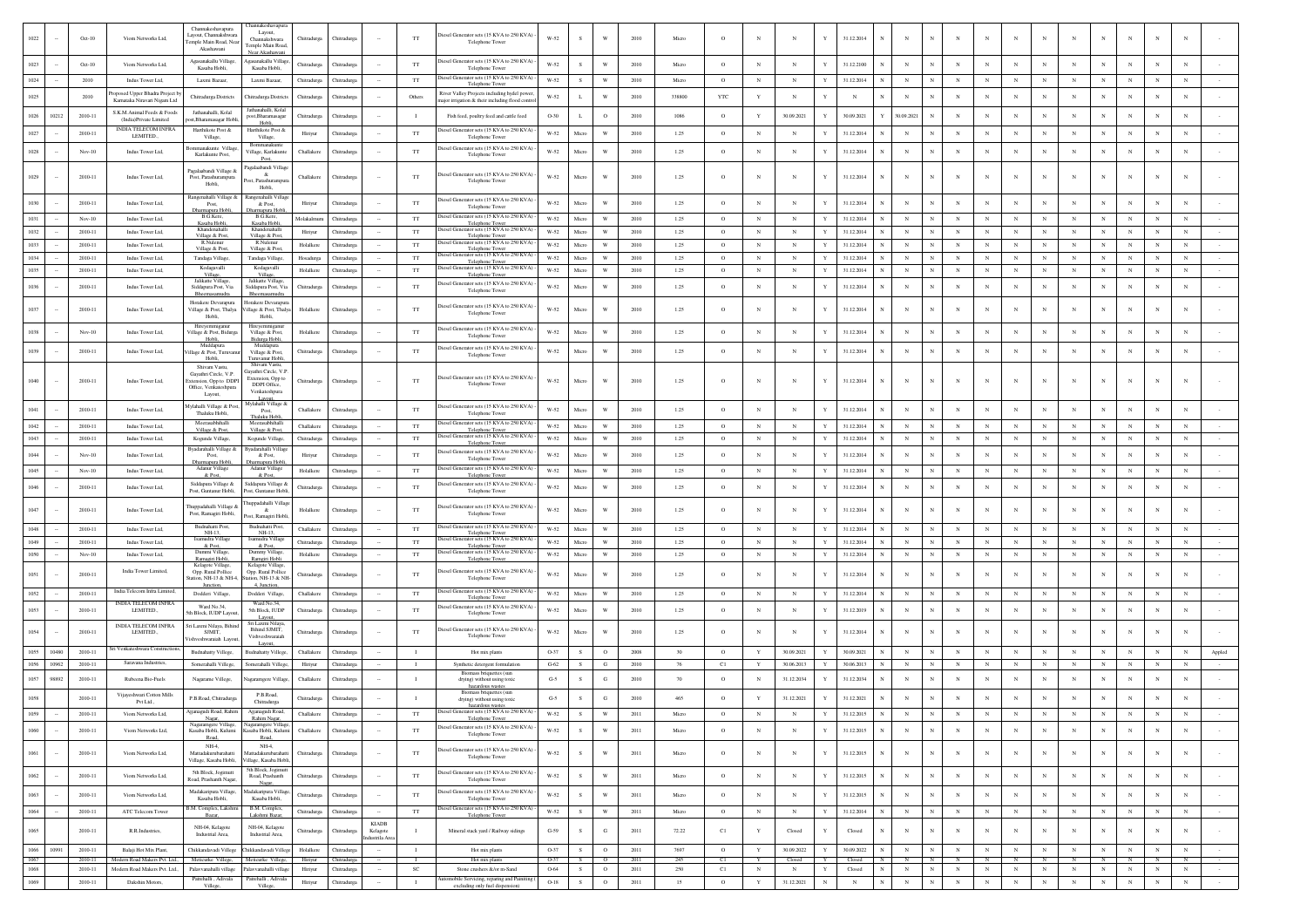|      |       |          |                                                      | Channakeshavapura                              | hannakeshavapur                              |             |                     |                          |                |                                                                       |                      |        |                         |      |        |            |              |            |             |            |              |                               |            |              |                 |                 |            |              |            |                 |                 |        |
|------|-------|----------|------------------------------------------------------|------------------------------------------------|----------------------------------------------|-------------|---------------------|--------------------------|----------------|-----------------------------------------------------------------------|----------------------|--------|-------------------------|------|--------|------------|--------------|------------|-------------|------------|--------------|-------------------------------|------------|--------------|-----------------|-----------------|------------|--------------|------------|-----------------|-----------------|--------|
| 1022 |       | $Oct-10$ | Viom Networks Ltd,                                   | Layout, Channakshwar<br>emple Main Road, Nea   | Layout,<br>Channakshwara                     | Chitradurga | Chitradurga         |                          | TT             | liesel Generator sets (15 KVA to 250 KVA)<br>Telephone Tower          | W-52                 | -S     | W                       | 2010 | Micro  | $\circ$    | $\mathbb{N}$ | N          | Y           | 31.12.2014 | N            | N<br>$\mathbf N$              |            | $_{\rm N}$   |                 | N               |            | N            | N          | N               |                 |        |
|      |       |          |                                                      | Akashawani                                     | mple Main Road<br>er Akashar                 |             |                     |                          |                |                                                                       |                      |        |                         |      |        |            |              |            |             |            |              |                               |            |              |                 |                 |            |              |            |                 |                 |        |
| 1023 |       | $Oct-10$ | Viom Networks Ltd,                                   | Agasanakallu Villaes<br>Kasaba Hobli,          | sanakallu Villas<br>Kasaba Hobli,            | Chitradurga | Chitradurga         |                          | TT             | liesel Generator sets (15 KVA to 250 KVA)<br>Telephone Tower          | W-52                 | S      | W                       | 2010 | Micro  | $\circ$    | $_{\rm N}$   | N          | Y           | 31.12.2100 |              | $_{\rm N}$                    | N          |              |                 | N               | N          |              | $_{\rm N}$ | $_{\rm N}$      |                 |        |
| 1024 |       | 2010     | Indus Tower Ltd,                                     | Laxmi Bazaar,                                  | Laxmi Bazaar.                                | Chitradurga | Chitradurga         |                          | TT             | liesel Generator sets (15 KVA to 250 KVA) -<br>Telephone Tower        | W-52                 | S      | W                       | 2010 | Micro  | $\circ$    | $_{\rm N}$   | $_{\rm N}$ | $\mathbf Y$ | 31.12.2014 | $\mathbb{N}$ | $_{\rm N}$<br>N               | $_{\rm N}$ | $_{\rm N}$   | $_{\rm N}$      | $_{\rm N}$      | $_{\rm N}$ | $_{\rm N}$   | $_{\rm N}$ | $_{\rm N}$      | $_{\rm N}$      |        |
| 1025 |       | 2010     | oposed Upper Bhadra Project by                       | Chitradurga Districts                          | Chitradurga Distric                          | Chitradurga | <b>hitradurga</b>   |                          | Others         | River Valley Projects including hydel power,                          | $_{\rm W\text{-}52}$ | L      | W                       | 2010 | 338800 | <b>YTC</b> | Y            | $_{\rm N}$ |             | N          |              | $_{\rm N}$                    | N          | N            | N               | $_{\rm N}$      | N          |              | $_{\rm N}$ | N               | N               |        |
|      |       |          | Karnataka Niravari Nigam Ltd                         |                                                | Jathanahalli, Kola                           |             |                     |                          |                | sajor irrigation & their including flood contro                       |                      |        |                         |      |        |            |              |            |             |            |              |                               |            |              |                 |                 |            |              |            |                 |                 |        |
| 1026 | 10212 | 2010-11  | S K M Animal Feeds & Foods<br>(India)Private Limited | Jathanahalli, Kolal<br>ost.Bharamasagar Hob    | post, Bharamasaga<br>Hobli                   | Chitradurga | <b>hitradurg</b>    |                          | $\blacksquare$ | Fish feed, poultry feed and cattle feed                               | O-30                 | L      | $\mathbf{o}$            | 2010 | 1086   | $\circ$    |              | 30.09.2021 |             | 30.09.2021 |              | 30.09.2021                    |            |              |                 | N               | N          |              | $_{\rm N}$ | $_{\rm N}$      | $_{\rm N}$      |        |
| 1027 |       | 2010-11  | <b>INDIA TELECOM INFRA</b><br>LEMITED.               | Harthikote Post &<br>Village,                  | Harthikote Post &<br>Village,                | Hiriyur     | Chitradurea         |                          | TT             | liesel Generator sets (15 KVA to 250 KVA) -<br>Telephone Tower        | W-52                 | Micro  | W                       | 2010 | 1.25   | $\circ$    | $_{\rm N}$   | $_{\rm N}$ | Y           | 31.12.2014 | $\mathbb{N}$ | N<br>$_{\rm N}$               | $_{\rm N}$ | $\mathbf{N}$ | $_{\rm N}$      | N               | $_{\rm N}$ | N            | $_{\rm N}$ | $_{\rm N}$      | N               |        |
|      |       |          |                                                      | manakunte Villa                                | Bommanakunte                                 |             |                     |                          |                | iesel Generator sets (15 KVA to 250 KVA)                              |                      |        | W                       |      |        |            |              |            |             |            |              |                               |            |              |                 |                 |            |              |            |                 |                 |        |
| 1028 |       | $Nov-10$ | Indus Tower Ltd,                                     | Karlakunte Post,                               | 'illage, Karlakunte<br>Post                  | Challakere  | Chitradurga         |                          | $_{\rm TT}$    | Telephone Tower                                                       | $W-52$               | Micro  |                         | 2010 | 1.25   | $\circ$    | $_{\rm N}$   | N          | Y           | 31.12.2014 | $_{\rm N}$   | $_{\rm N}$                    |            |              |                 | $_{\rm N}$      | N          | N            | N          | N               | N               |        |
| 1029 |       | 2010-11  |                                                      | Pagalaabandi Village &<br>Post, Parashurampura | galaabandi Villag                            |             |                     |                          | TT             | iesel Generator sets (15 KVA to 250 KVA)                              | $W-52$               | Micro  | W                       |      | 1.25   | $\circ$    |              |            |             | 31.12.2014 |              | $_{\rm N}$<br>N               |            |              |                 | N               |            |              |            |                 |                 |        |
|      |       |          | Indus Tower Ltd,                                     | Hobli,                                         | Parashin<br>Hobli                            | Challakere  | Chitradurga         |                          |                | Telephone Tower                                                       |                      |        |                         | 2010 |        |            | N            | N          |             |            |              |                               |            |              |                 |                 | N          |              |            | N               |                 |        |
| 1030 |       | 2010-11  |                                                      | Rangenahalli Village &<br>Post.                | genahalli Villa<br>& Post.                   |             | Chitradure          |                          | TT             | liesel Generator sets (15 KVA to 250 KVA)                             | W-52                 | Micro  | W                       | 2010 | 1.25   | $\circ$    | $_{\rm N}$   | N          | Y           | 31.12.2014 |              | $_{\rm N}$                    |            |              |                 |                 | N          |              |            | N               | N               |        |
|      |       |          | Indus Tower Ltd,                                     | Dharmapura Hobli<br>B.G.Kere,                  | rmapura Hobl<br>B.G.Kere,                    | Hiriyur     |                     |                          |                | Telephone Tower<br>biesel Generator sets (15 KVA to 250 KVA)          |                      |        |                         |      |        |            |              |            |             |            |              |                               |            |              |                 |                 |            |              |            |                 |                 |        |
| 1031 |       | $Nov-10$ | Indus Tower Ltd,                                     | Kasaba Hobli<br>Khandenahalli                  | Kasaba Hobl<br>Khandenahalli                 | Molakalmur  | Chitradurga         |                          | $_{\rm TT}$    | Telephone Town<br>liesel Generator sets (15 KVA to 250 KVA            | W-52                 | Micro  | W                       | 2010 | 1.25   | $\circ$    | $_{\rm N}$   | $_{\rm N}$ | Y           | 31.12.2014 |              | $_{\rm N}$<br>N               | $_{\rm N}$ | $_{\rm N}$   | $_{\rm N}$      | $_{\rm N}$      | $_{\rm N}$ | $_{\rm N}$   | $_{\rm N}$ | $_{\rm N}$      | $_{\rm N}$      |        |
| 1032 |       | 2010-11  | Indus Tower Ltd,                                     | Village & Post,<br>R.Nulenur                   | Village & Post<br>R.Nulenur                  | Hiriyur     | Chitradurga         |                          | $_{\rm TT}$    | Telephone Tower<br>iesel Generator sets (15 KVA to 250 KVA) -         | W-52                 | Micro  | W                       | 2010 | 1.25   | $\circ$    | $_{\rm N}$   | N          | Y           | 31.12.2014 |              | N                             |            |              | $_{\rm N}$      | $_{\rm N}$      | N          |              | $_{\rm N}$ | $_{\rm N}$      | N               |        |
| 1033 |       | 2010-11  | Indus Tower Ltd,                                     | Village & Pos                                  | Village & Por                                | Holalkere   | Chitradurg:         |                          | $_{\rm TT}$    | Telephone Tow<br>iesel Generator sets (15 KVA to 250 KVA              | $W-52$               | Micro  | W                       | 2010 | 1.25   | $\circ$    | $_{\rm N}$   | $_{\rm N}$ | $\mathbf Y$ | 31.12.2014 | $\mathbb{N}$ | $_{\rm N}$<br>$_{\rm N}$      | $_{\rm N}$ | $_{\rm N}$   | $_{\rm N}$      | $_{\rm N}$      | $_{\rm N}$ | $_{\rm N}$   | $_{\rm N}$ | $_{\rm N}$      | $_{\rm N}$      |        |
| 1034 |       | 2010-11  | Indus Tower Ltd,                                     | Tandaga Village,<br>Kodagavalli                | Tandaga Village<br>Kodagavalli               | Hosadurga   | Chitradurga         |                          | $_{\rm TT}$    | Telephone Tower<br>biesel Generator sets (15 KVA to 250 KVA)          | W-52                 | Micro  | $\ensuremath{\text{W}}$ | 2010 | 1.25   | $\circ$    | $_{\rm N}$   | $_{\rm N}$ | Y           | 31.12.2014 | N            | $_{\rm N}$<br>N               | $_{\rm N}$ | $_{\rm N}$   | $_{\rm N}$      | $_{\rm N}$      | $_{\rm N}$ | N            | $_{\rm N}$ | $_{\rm N}$      | $_{\rm N}$      |        |
| 1035 |       | 2010-11  | Indus Tower Ltd.                                     | Village,<br>Jalikatte Village                  | Village,<br>Jalikatte Village                | Holalkere   | Chitradurga         |                          | TT             | <b>Telephone Tower</b>                                                | W-52                 | Micro  | W                       | 2010 | 1.25   | $\circ$    | $_{\rm N}$   | N          | Y           | 31.12.2014 | N            | $_{\rm N}$<br>N               | $_{\rm N}$ | $_{\rm N}$   | $_{\rm N}$      | $_{\rm N}$      | $_{\rm N}$ | N            | $_{\rm N}$ | $_{\rm N}$      | $_{\rm N}$      |        |
| 1036 |       | 2010-11  | Indus Tower Ltd,                                     | Siddapura Post, Via<br>Bheemasamudra           | Siddapura Post, Via                          | Chitradurga | Chitradurga         |                          | $_{\rm TT}$    | iesel Generator sets (15 KVA to 250 KVA)<br>Telephone Tower           | $W-52$               | Micro  | W                       | 2010 | 1.25   | $\circ$    | $_{\rm N}$   | N          | Y           | 31.12.2014 |              | N<br>$_{\rm N}$               |            |              |                 | $_{\rm N}$      | N          | N            | $_{\rm N}$ | $_{\rm N}$      | $_{\rm N}$      |        |
|      |       |          |                                                      | Horakere Devarapura                            | Horakere Devarapu                            |             |                     |                          |                | iesel Generator sets (15 KVA to 250 KVA)                              |                      |        |                         |      |        |            |              |            |             |            |              |                               |            |              |                 | N               |            |              |            |                 |                 |        |
| 1037 |       | 2010-11  | Indus Tower Ltd,                                     | Village & Post, Thalya<br>Hobli,               | llage & Post, Thaly<br>Hobli                 | Holalkere   | Chitradurga         |                          | $_{\rm TT}$    | Telephone Tower                                                       | W-52                 | Micro  | W                       | 2010 | 1.25   | $\circ$    |              |            |             | 31.12.2014 | N            | $\mathbf N$                   |            |              |                 |                 |            |              |            |                 |                 |        |
| 1038 |       | $Nov-10$ | Indus Tower Ltd,                                     | lireyemmiganur<br>Village & Post, Bidurga      | Village & Post,                              | Holalkere   | Chitradurga         |                          | TT             | liesel Generator sets (15 KVA to 250 KVA)                             | W-52                 | Micro  | W                       | 2010 | 1.25   | $\circ$    | $_{\rm N}$   | $_{\rm N}$ | Y           | 31.12.2014 | N            | $_{\rm N}$<br>N               | $_{\rm N}$ | $_{\rm N}$   | N               | $_{\rm N}$      | N          | N            | N          | $_{\rm N}$      | $_{\rm N}$      |        |
|      |       |          |                                                      | Hobli,<br>Muddapura                            | 3idurga Hobli,<br>Muddapura                  |             |                     |                          |                | Telephone Tower<br>iesel Generator sets (15 KVA to 250 KVA            |                      |        |                         |      |        |            |              |            |             |            |              |                               |            |              |                 |                 |            |              |            |                 |                 |        |
| 1039 |       | 2010-11  | Indus Tower Ltd,                                     | llage & Post, Turuv<br>Hobli.                  | Village & Post,<br>'uruvanur Hobl            | Chitradurga | Chitradurga         |                          | $_{\rm TT}$    | Telephone Tower                                                       | W-52                 | Micro  | W                       | 2010 | 1.25   | $\circ$    |              | N          |             | 31.12.2014 | N            | $_{\rm N}$<br>N               |            | $_{\rm N}$   |                 | $_{\rm N}$      | N          | N            | $_{\rm N}$ | $_{\rm N}$      | $_{\rm N}$      |        |
|      |       |          |                                                      | Shivam Vastr<br>Gayathri Circle, V.P.          | Shiyam Vast<br>avathri Circle, V.F           |             |                     |                          |                |                                                                       |                      |        |                         |      |        |            |              |            |             |            |              |                               |            |              |                 |                 |            |              |            |                 |                 |        |
| 1040 |       | 2010-11  | Indus Tower Ltd,                                     | xtension, Opp to DDP<br>Office, Venkateshoura  | Extension, Opp to<br>DDPI Office,            | Chitradurga | Chitradure          |                          | TT             | Diesel Generator sets (15 KVA to 250 KVA) -<br>Telephone Tower        | W-52                 | Micro  | W                       | 2010 | 1.25   | $\circ$    | $\mathbf N$  | N          | Y           | 31.12.2014 | N            | $_{\rm N}$<br>N               |            |              |                 | N               |            |              |            | N               |                 |        |
|      |       |          |                                                      | Layout,                                        | Venkateshpura                                |             |                     |                          |                |                                                                       |                      |        |                         |      |        |            |              |            |             |            |              |                               |            |              |                 |                 |            |              |            |                 |                 |        |
|      |       | 2010-11  | Indus Tower Ltd,                                     | Aylahalli Village & Po<br>Thaluku Hobli.       | Mylahalli Village &<br>Post.                 | Challakere  | Chitradurga         |                          | $_{\rm TT}$    | liesel Generator sets (15 KVA to 250 KVA)<br>Telephone Tower          | $W-52$               | Micro  | W                       | 2010 | 1.25   | $\circ$    | N            |            |             | 31.12.2014 |              | $_{\rm N}$                    |            |              |                 |                 | N          |              |            |                 |                 |        |
| 1042 |       | 2010-11  | Indus Tower Ltd,                                     | Meerasabhihall                                 | haluku Hobi                                  | Challaken   | Chitradurga         |                          | TT             | esel Generator sets (15 KVA to 250 KVA)                               | W-52                 | Micro  | W                       | 2010 | 1.25   | $\circ$    | $_{\rm N}$   | $_{\rm N}$ | $\mathbf Y$ | 31.12.2014 | N            | $_{\rm N}$<br>N               | $_{\rm N}$ | $_{\rm N}$   | $_{\rm N}$      | $_{\rm N}$      | $_{\rm N}$ | $_{\rm N}$   | $_{\rm N}$ | $_{\rm N}$      | $_{\rm N}$      |        |
| 1043 |       | 2010-11  | Indus Tower Ltd.                                     | Village & Pos<br>Kogunde Village,              | Village & Po<br>Kogunde Village              | Chitradurga | Chitradurga         |                          | TT             | Telephone Tow<br>liesel Generator sets (15 KVA to 250 KVA) -          | W-52                 | Micro  | W                       | 2010 | 1.25   | $\circ$    | $_{\rm N}$   | $_{\rm N}$ | Y           | 31.12.2014 | $_{\rm N}$   | N<br>$\mathbb N$              | $_{\rm N}$ | $_{\rm N}$   | $_{\rm N}$      | $_{\rm N}$      | $_{\rm N}$ | N            | $_{\rm N}$ | $_{\rm N}$      | $_{\rm N}$      |        |
| 1044 |       | $Nov-10$ |                                                      | syadarahalli Village d                         | adarahalli Villa                             |             | Chitradurga         |                          | TT             | Telephone Tower<br>iesel Generator sets (15 KVA to 250 KVA)           | W-52                 | Micro  | W                       | 2010 | 1.25   | $\circ$    | $_{\rm N}$   | N          | Y           |            |              | N<br>$_{\rm N}$               |            |              |                 | N               | N          | N            | $_{\rm N}$ | N               | N               |        |
|      |       |          | Indus Tower Ltd,                                     | Post,<br>harmapura Hobli,                      | & Post,<br>armapura Hobl                     | Hiriyur     |                     |                          |                | Telephone Tower<br>Diesel Generator sets (15 KVA to 250 KVA) -        |                      |        |                         |      |        |            |              |            |             | 31.12.2014 |              |                               |            |              |                 |                 |            |              |            |                 |                 |        |
| 1045 |       | $Nov-10$ | Indus Tower Ltd.                                     | Adanur Village                                 | Adanur Village<br>& Pos                      | Holalkere   | Chitradurga         |                          | TT             | elephone Towe                                                         | W-52                 | Micro  | W                       | 2010 | 1.25   | $\circ$    | $_{\rm N}$   | N          | Y           | 31.12.2014 | N            | $_{\rm N}$<br>N               | $_{\rm N}$ | $_{\rm N}$   | $_{\rm N}$      | $_{\rm N}$      | $_{\rm N}$ | $_{\rm N}$   | $_{\rm N}$ | N               | $_{\rm N}$      |        |
| 1046 |       | 2010-11  | Indus Tower Ltd,                                     | Siddapura Village &<br>Post, Guntanur Hobli,   | iddapura Village &<br>Post, Guntanur Hobl    | Chitradurga | Chitradurga         |                          | $_{\rm TT}$    | iesel Generator sets (15 KVA to 250 KVA) -<br>Telephone Tower         | $W-52$               | Micro  | W                       | 2010 | 1.25   | $\circ$    | $_{\rm N}$   | N          | Y           | 31.12.2014 | N            | $_{\rm N}$<br>N               | N          |              |                 | $_{\rm N}$      | N          | N            | $_{\rm N}$ | $_{\rm N}$      | $_{\rm N}$      |        |
|      |       |          |                                                      | Thuppadahalli Village &                        | uppadahalli Villa;                           |             |                     |                          |                | biesel Generator sets (15 KVA to 250 KVA)                             |                      |        |                         |      |        |            |              |            |             |            |              |                               |            |              |                 |                 |            |              |            |                 |                 |        |
| 1047 |       | 2010-11  | Indus Tower Ltd,                                     | Post, Ramagiri Hobli                           | st, Ramagiri Hob                             | Holalkere   | Chitradurga         |                          | $_{\rm TT}$    | Telephone Tower                                                       | $W-52$               | Micro  | W                       | 2010 | 1.25   | $\circ$    |              |            |             | 31.12.2014 | N            | $_{\rm N}$<br>$_{\rm N}$      |            | $_{\rm N}$   |                 | $_{\rm N}$      |            | N            | $_{\rm N}$ | $_{\rm N}$      |                 |        |
| 1048 |       | 2010-11  | Indus Tower Ltd.                                     | Budnahatti Post,<br>NH-13                      | <b>Budnahatti Post</b><br>$NH-13$            | Challaker   | Chitradure:         |                          | <b>TT</b>      | iesel Generator sets (15 KVA to 250 KVA)<br>Telephone Towe            | $W-52$               | Micro  | W                       | 2010 | 1.25   | $\circ$    | $_{\rm N}$   | $_{\rm N}$ | $\mathbf Y$ | 31.12.2014 | $\mathbb{N}$ | $_{\rm N}$<br>$\mathbf{N}$    | $_{\rm N}$ | $_{\rm N}$   | $_{\rm N}$      | $_{\rm N}$      | $_{\rm N}$ | $_{\rm N}$   | $_{\rm N}$ | $_{\rm N}$      | $_{\rm N}$      |        |
| 1049 |       | 2010-11  | Indus Tower Ltd,                                     | Isamudra Village<br>& Post,                    | Isamudra Villag<br>& Post.                   | Chitradurga | Chitradurga         |                          | TT             | iesel Generator sets (15 KVA to 250 KVA)<br>Telephone Tower           | $W-52$               | Micro  | W                       | 2010 | 1.25   | $\circ$    | $_{\rm N}$   | $_{\rm N}$ | $\mathbf Y$ | 31.12.2014 | $_{\rm N}$   | $_{\rm N}$                    | $_{\rm N}$ | $_{\rm N}$   | $_{\rm N}$      | $_{\rm N}$      | $_{\rm N}$ | $\mathbf N$  | $_{\rm N}$ | $_{\rm N}$      | $_{\rm N}$      |        |
| 1050 |       | $Nov-10$ | Indus Tower Ltd.                                     | Dummi Village,<br>Ramagiri Hobli,              | Dummy Village<br>Ramgiri Hobli               | Holalkere   | Chitradurga         |                          | TT             | Diesel Generator sets (15 KVA to 250 KVA) -<br><b>Telephone Tower</b> | W-52                 | Micro  | W                       | 2010 | 1.25   | $\circ$    | N            | N          | Y           | 31.12.2014 | N            | $_{\rm N}$<br>N               | $_{\rm N}$ | $_{\rm N}$   | $_{\rm N}$      | $_{\rm N}$      | $_{\rm N}$ | $_{\rm N}$   | $_{\rm N}$ | $_{\rm N}$      | $_{\rm N}$      |        |
| 1051 |       | 2010-11  | India Tower Limited,                                 | Kelagote Village<br>Opp. Rural Pollice         | Kelagote Vil<br>Opp. Rural Pollice           | Chitradurga | Chitradurga         |                          | TT             | liesel Generator sets (15 KVA to 250 KVA)                             | W-52                 | Micro  | W                       | 2010 | 1.25   | $\circ$    | $_{\rm N}$   | N          | Y           | 31.12.2014 | N            | N<br>N                        |            | $\mathbf{N}$ | $_{\rm N}$      | N               | N          | N            | N          | $_{\rm N}$      | $_{\rm N}$      |        |
|      |       |          |                                                      | Station, NH-13 & NH-4<br>Junction,             | Itation, NH-13 & NI<br>4, Junction,          |             |                     |                          |                | Telephone Tower                                                       |                      |        |                         |      |        |            |              |            |             |            |              |                               |            |              |                 |                 |            |              |            |                 |                 |        |
| 1052 |       | 2010-11  | India Telecom Infra Limited,                         | Dodderi Village                                | Dodderi Village                              | Challaken   | Chitradurga         |                          | TT             | iesel Generator sets (15 KVA to 250 KVA)<br><b>Telephone Towe</b>     | $W-52$               | Micro  | W                       | 2010 | 1.25   | $\circ$    | $_{\rm N}$   | $_{\rm N}$ | $\mathbf Y$ | 31.12.2014 | N            | $_{\rm N}$<br>N               | $_{\rm N}$ | $_{\rm N}$   | $_{\rm N}$      | $_{\rm N}$      | $_{\rm N}$ | $_{\rm N}$   | $_{\rm N}$ |                 | $_{\rm N}$      |        |
| 1053 |       | 2010-11  | <b>INDIA TELECOM INFRA</b><br>LEMITED.,              | Ward No.34.<br>h Block, IUDP Lav               | Ward No.34,<br>5th Block, IUDP               | Chitradurga | Thitradurga         |                          | $_{\rm TT}$    | liesel Generator sets (15 KVA to 250 KVA) -<br>Telephone Tower        | $W-52$               | Micro  | W                       | 2010 | 1.25   | $\circ$    | $_{\rm N}$   | $_{\rm N}$ |             | 31.12.2019 |              | $_{\rm N}$                    |            |              | $_{\rm N}$      | $_{\rm N}$      | N          |              | $_{\rm N}$ | $_{\rm N}$      | $_{\rm N}$      |        |
|      |       |          | <b>INDIA TELECOM INFRA</b>                           | Sri Laxmi Nilaya, Bihir                        | Layout,<br>Sri Laxmi Nila                    |             |                     |                          |                |                                                                       |                      |        |                         |      |        |            |              |            |             |            |              |                               |            |              |                 |                 |            |              |            |                 |                 |        |
| 1054 |       | 2010-11  | LEMITED.                                             | <b>SIMIT</b><br>'ishveshwaraiah Lavou          | Bihind SJMIT.<br>Vishveshwaraial             | Chitradurga | <b>hitradur</b>     |                          | TT             | liesel Generator sets (15 KVA to 250 KVA)<br>Telephone Tower          | W-52                 | Micro  | W                       | 2010 | 1.25   | $\Omega$   |              |            |             | 31.12.2014 |              | N<br>$\mathbf N$              |            | $\mathbf{N}$ |                 | N               |            | N            |            |                 |                 |        |
| 1055 | 10480 | 2010-11  | Venkateshwara Constr                                 | Budnahatty Villege,                            | Layout,<br>Budnahatty Villege                | Challakere  | Chitradurga         |                          | $\mathbf{I}$   | Hot mix plants                                                        | O-37                 | s      | $\circ$                 | 2008 | 30     | $\circ$    | Y            | 30.09.2021 | Y           | 30.09.2021 |              | $_{\rm N}$                    | N          |              |                 | $_{\rm N}$      | N          |              | N          | N               | N               | Appled |
| 1056 | 10962 | 2010-11  | Saravana Industries,                                 | Somerahalli Villege                            | Somerahalli Villege                          | Hiriyur     | Chitradurga         |                          | $\mathbf{I}$   | Synthetic detergent formulation                                       | $G-62$               | $\,$ s | G                       | 2010 | 76     | C1         | Y            | 30.06.2013 | Y           | 30.06.2013 |              | $_{\rm N}$<br>N               | $_{\rm N}$ | $_{\rm N}$   | $_{\rm N}$      | $_{\rm N}$      | $_{\rm N}$ | $_{\rm N}$   | $_{\rm N}$ | $_{\rm N}$      | $_{\rm N}$      |        |
| 1057 | 98892 | 2010-11  | Rubeena Bio-Fuels                                    | Nagarame Villege,                              | igaramgere Villa;                            | Challaker   | <b>hitradurga</b>   |                          |                | Biomass briquettes (sur<br>drying) without using toxic                | $G-5$                | s      | G                       | 2010 | 70     | $\circ$    | $_{\rm N}$   | 31.12.2034 |             | 31.12.2034 |              | N                             |            |              |                 |                 |            |              | N          | N               |                 |        |
|      |       |          | Vijayeshwari Cotton Mills                            |                                                | P.B.Road.                                    |             |                     |                          |                | azardous wastes<br>Biomass briquettes (sur                            |                      |        |                         |      |        |            |              |            |             |            |              |                               |            |              |                 |                 |            |              |            |                 |                 |        |
| 1058 |       | 2010-11  | Pvt Ltd.,                                            | P.B.Road, Chitradurga                          | Chitradurea                                  | Chitradurga | Chitradurga         |                          | $\blacksquare$ | drying) without using toxic<br>hazardous wastes                       | $G-5$                | s      | G                       | 2010 | 465    | $\circ$    | $\mathbf Y$  | 31.12.2021 |             | 31.12.2021 |              | $_{\rm N}$                    |            |              |                 |                 |            |              | $_{\rm N}$ | N               |                 |        |
| 1059 |       | 2010-11  | Viom Networks Ltd,                                   | Ajjanagudi Road, Rahim                         | gudi Road,<br>Rahim Naga                     | Challakere  | Chitradurga         |                          | TT             | Diesel Generator sets (15 KVA to 250 KVA) -                           | W-52                 | s      | W                       | 2011 | Micro  | $\circ$    |              | N          |             | 31.12.2015 | N            | $_{\rm N}$<br>$\mathbf N$     |            |              | N               | $_{\rm N}$      | $_{\rm N}$ | $\mathbf N$  | $_{\rm N}$ |                 |                 |        |
| 1060 |       | 2010-11  | Viom Networks Ltd,                                   | Vagaramgere Village,<br>Kasaba Hobli, Kulumi   | Nagaramgere Villag<br>Kasaba Hobli, Kulum    | Challakere  | Chitradurga         |                          | $_{\rm TT}$    | Diesel Generator sets (15 KVA to 250 KVA) -<br>Telephone Tower        | $W-52$               | $\,$ s | W                       | 2011 | Micro  | $\circ$    | $_{\rm N}$   | $_{\rm N}$ | Y           | 31.12.2015 | $_{\rm N}$   | $_{\rm N}$<br>N               | $_{\rm N}$ | $_{\rm N}$   | $_{\rm N}$      | $_{\rm N}$      | $_{\rm N}$ | $_{\rm N}$   | $_{\rm N}$ | $_{\rm N}$      | $_{\rm N}$      |        |
|      |       |          |                                                      | Road<br>$NH-4$                                 | Road<br>$NH-4$                               |             |                     |                          |                |                                                                       |                      |        |                         |      |        |            |              |            |             |            |              |                               |            |              |                 |                 |            |              |            |                 |                 |        |
| 1061 |       | 2010-11  | Viom Networks Ltd                                    | Mattadakurubarahatti<br>Village, Kasaba Hobli. | Mattadakurubarahat<br>Village, Kasaba Hobli  | Chitradurga | Chitradures         |                          | <b>TT</b>      | biesel Generator sets (15 KVA to 250 KVA)<br>Telephone Tower          | W-52                 | s      | $\ensuremath{\text{W}}$ | 2011 | Micro  | $\circ$    | $_{\rm N}$   | $_{\rm N}$ | Y           | 31.12.2015 | $_{\rm N}$   | $\mathbb{N}$<br>$_{\rm N}$    | $_{\rm N}$ | $_{\rm N}$   | $_{\rm N}$      | $_{\rm N}$      | N          | $_{\rm N}$   | $_{\rm N}$ | $_{\rm N}$      | $_{\rm N}$      |        |
|      |       |          |                                                      | 5th Block, Jogimutt                            | 5th Block, Joermu                            |             |                     |                          |                | Diesel Generator sets (15 KVA to 250 KVA) -                           |                      |        |                         |      |        |            |              |            |             |            |              |                               |            |              |                 |                 |            |              |            |                 |                 |        |
| 1062 |       | 2010-11  | Viom Networks Ltd,                                   | Road, Prashanth Nagar,                         | Road, Prashanth<br>Nagar,                    | Chitradurga | Chitradurga         |                          | $_{\rm TT}$    | Telephone Tower                                                       | $W-52$               | $\,$ s | W                       | 2011 | Micro  | $\circ$    | $_{\rm N}$   | $_{\rm N}$ | $\mathbf Y$ | 31.12.2015 | $_{\rm N}$   | $_{\rm N}$<br>$_{\rm N}$      | $_{\rm N}$ | $_{\rm N}$   | $_{\rm N}$      | $_{\rm N}$      | $_{\rm N}$ | $_{\rm N}$   | $_{\rm N}$ | $_{\rm N}$      | $_{\rm N}$      |        |
| 1063 |       | 2010-11  | Viom Networks Ltd,                                   | Madakaripura Village,<br>Kasaba Hobli,         | Madakaripura Village<br>Kasaba Hobli,        | Chitradurga | Chitradurga         |                          | TT             | Diesel Generator sets (15 KVA to 250 KVA) -<br>Telephone Tower        | W-52                 | s      | $\ensuremath{\text{W}}$ | 2011 | Micro  | $\circ$    | $_{\rm N}$   | $_{\rm N}$ | Y           | 31.12.2015 | $_{\rm N}$   | $_{\rm N}$<br>N               | $_{\rm N}$ | $_{\rm N}$   | $_{\rm N}$      | $_{\rm N}$      | $_{\rm N}$ | $_{\rm N}$   | $_{\rm N}$ | $_{\rm N}$      | $_{\rm N}$      |        |
| 1064 |       | 2010-11  | ATC Telecom Tower                                    | 3.M. Complex, Lakshmi                          | B.M. Complex,                                | Chitradurga | ${\it Chitradurga}$ |                          | $_{\rm TT}$    | Diesel Generator sets (15 KVA to 250 KVA) -                           | W-52                 | S      | $\ensuremath{\text{W}}$ | 2011 | Micro  | $\circ$    | ${\bf N}$    | $_{\rm N}$ | $\mathbf Y$ | 31.12.2014 | N            | $_{\rm N}$<br>$_{\rm N}$      | $_{\rm N}$ | ${\bf N}$    | $_{\rm N}$      | $\,$ N $\,$     | ${\bf N}$  | $_{\rm N}$   | ${\bf N}$  | $_{\rm N}$      | $_{\rm N}$      |        |
|      |       |          |                                                      | Bazar,<br>NH-04, Kelagote                      | Lakshmi Bazar,<br>NH-04, Kelagote            |             |                     | <b>KIADB</b>             |                | Telephone Tower                                                       |                      |        |                         |      |        |            |              |            |             |            |              |                               |            |              |                 |                 |            |              |            |                 |                 |        |
| 1065 |       | 2010-11  | R.R.Industries                                       | Industrial Area,                               | Industrial Area,                             | Chitradurga | Chitradurg          | Kelagote<br>dustrila Are | $\blacksquare$ | Mineral stack yard / Railway sidings                                  | $G-59$               | S      | G                       | 2011 | 72.22  | C1         | Y            | Closed     | Y           | Closed     | $_{\rm N}$   | $_{\rm N}$<br>$_{\rm N}$      | $_{\rm N}$ | $_{\rm N}$   | $_{\rm N}$      | $_{\rm N}$      | N          | N            | $_{\rm N}$ | $_{\rm N}$      | $_{\rm N}$      |        |
| 1066 | 10991 | 2010-11  | Balaji Hot Mix Plant,                                | Chikkandavadi Villege                          | Chikkandavadi Villeg                         | Holalkere   | Chitradurga         | $\sim$                   | $\mathbf{I}$   | Hot mix plants                                                        | O-37                 | S      | $\circ$                 | 2011 | 7697   | $\circ$    | $\mathbf Y$  | 30.09.2022 | $\mathbf Y$ | 30.09.2022 | $_{\rm N}$   | $_{\rm N}$<br>$_{\rm N}$      | $_{\rm N}$ | $_{\rm N}$   | $_{\rm N}$      | ${\bf N}$       | $_{\rm N}$ | $_{\rm N}$   | $_{\rm N}$ | ${\bf N}$       | $_{\rm N}$      |        |
| 1067 |       | 2010-11  | Modern Road Makers Pvt. Ltd.,                        | Meticurke Villege,                             | Meticurke Villege.                           |             | Hiriyur Chitradurga |                          | $\mathbf{I}$   | Hot mix plants                                                        | $O-37$               | S      | $\overline{O}$          | 2011 | 245    | C1         | Y            | Closed     | Y           | Closed     | N            | N<br>N                        |            | N            |                 | N               | $_{\rm N}$ | $\mathbb{N}$ | $_{\rm N}$ | N               | $_{\rm N}$      |        |
| 1068 |       | 2010-11  | Modern Road Makers Pvt Ltd                           | Palayyanahalli village<br>Patrehalli, Adivala  | Palayyanahalli villae<br>Patrehalli, Adivala | Hiriyur     | Chitradurga         |                          | $_{\rm SC}$    | Stone crushers &/or m-Sand<br>utomobile Servicing, reparing and Paini | 0-64                 | S      | $\circ$                 | 2011 | 250    | C1         | $_{\rm N}$   | $_{\rm N}$ | $\mathbf Y$ | Closed     | ${\bf N}$    | $_{\rm N}$<br>$_{\mathrm{N}}$ | $_{\rm N}$ | $_{\rm N}$   | $_{\mathrm{N}}$ | $_{\mathrm{N}}$ | N          | $_{\rm N}$   | $_{\rm N}$ | $_{\mathrm{N}}$ | $_{\mathrm{N}}$ |        |
| 1069 |       | 2010-11  | Dakshin Motors,                                      | Villege,                                       | Villege,                                     | Hiriyur     | Chitradurga         | $\sim$                   | $\blacksquare$ | excluding only fuel dispension)                                       | $O-18$               | S      | $\circ$                 | 2011 | 15     | $\,$ O     | $\mathbf Y$  | 31.12.2021 | $_{\rm N}$  | $_{\rm N}$ | $\,$ N $\,$  | $_{\rm N}$<br>$_{\rm N}$      | $_{\rm N}$ | $_{\rm N}$   | ${\bf N}$       | ${\bf N}$       | $_{\rm N}$ | $_{\rm N}$   | ${\bf N}$  | ${\bf N}$       | ${\bf N}$       |        |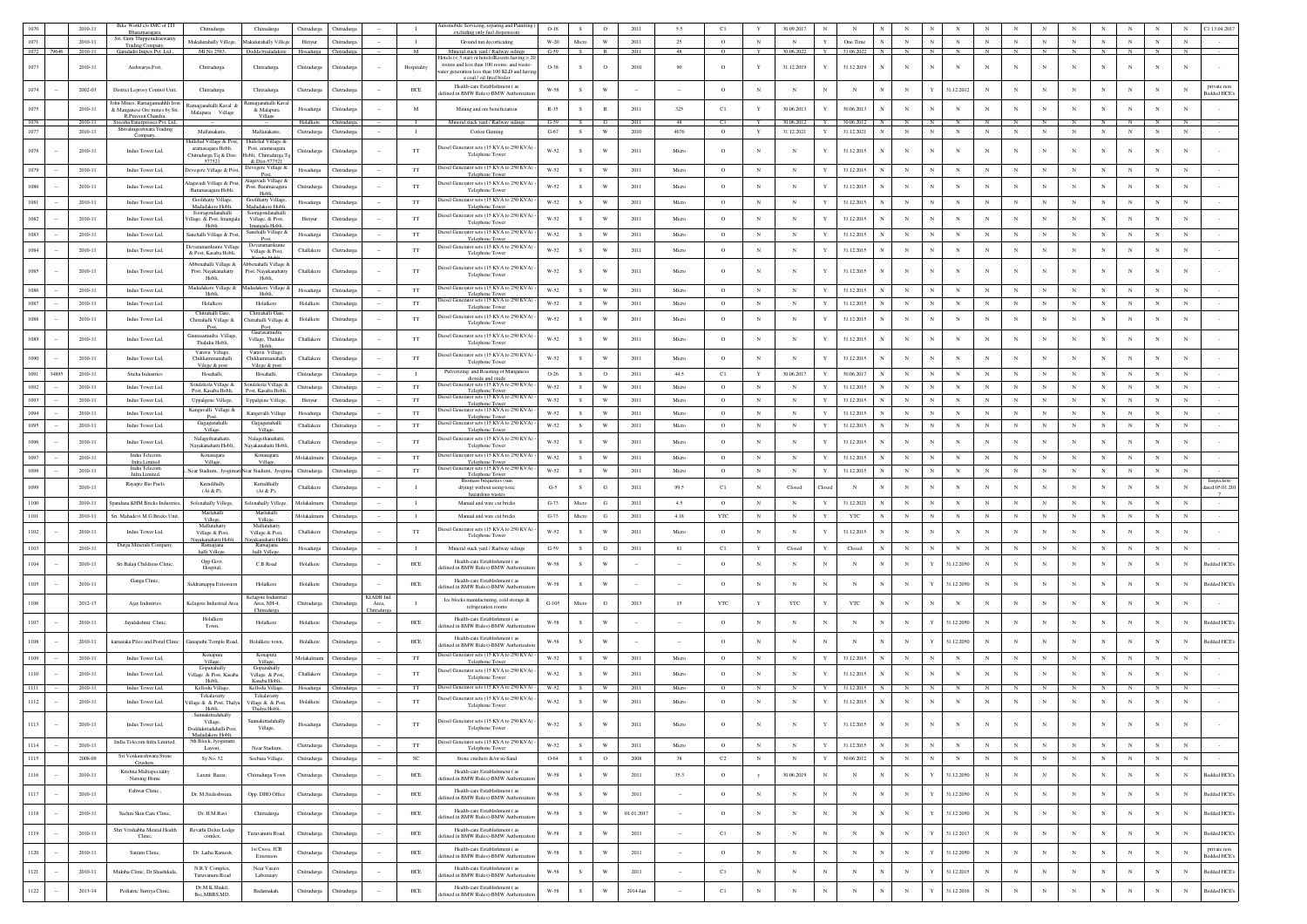| 1070         |            | 2010-11            | Bike World c/o IMC of ITI<br>Bharamasagara,                       | Chitradurga                                                         | Chitradurga                                   | Chitradurga                | Chitradurga                |                    | $\mathbf{I}$       | Automobile Servicing, reparing and Painiting (<br>excluding only fuel dispension)          | $O-18$           | s.            | $\circ$                 | 2011         | 5.5           | C1            |                          | 30.09.2017               | N                                             |             |                          |                           |                          |                          |            |            |                          |                          |                          |                          | N<br>C1 13.04.201                          |
|--------------|------------|--------------------|-------------------------------------------------------------------|---------------------------------------------------------------------|-----------------------------------------------|----------------------------|----------------------------|--------------------|--------------------|--------------------------------------------------------------------------------------------|------------------|---------------|-------------------------|--------------|---------------|---------------|--------------------------|--------------------------|-----------------------------------------------|-------------|--------------------------|---------------------------|--------------------------|--------------------------|------------|------------|--------------------------|--------------------------|--------------------------|--------------------------|--------------------------------------------|
| 1071         |            | 2010-11            | Sri. Guru Thipperudraswamy<br><b>Trading Company</b>              | Makalurahally Villege,                                              | Makalurahally Villeg                          | Hiriyur                    | Chitradurga                |                    | $\mathbf{I}$       | Ground nut decorticating                                                                   | $W-20$           | Micro         | w                       | 2011         | 25            | $\circ$       | $_{\rm N}$               | $_{\rm N}$               | One Time                                      |             | $_{\rm N}$               | N                         | $_{\rm N}$               | $_{\rm N}$               | $_{\rm N}$ | $_{\rm N}$ | $_{\rm N}$               | $_{\rm N}$               | $_{\rm N}$               | $_{\rm N}$               | $_{\rm N}$                                 |
|              | 1072 79646 | 2010-11            | Garudadri Impex Pvt. Ltd.,                                        | Ml No 2583.                                                         | Dodda byaladakere                             | Hosadurga Chitradurga      |                            |                    | M                  | Mineral stack vard / Railway sidines<br>lotels $(<$ 3 star) or hotels/Resorts having $>$ 2 | $G-59$           | - 8           | $\mathbb{R}$            | 2011         | 48            | $\circ$       | Y                        | 30.06.2022               | 31.06.2022<br>Y                               | N           | N                        |                           | N                        |                          |            |            |                          |                          |                          | - N                      | N                                          |
| 1073         |            | 2010-11            | Aishwarya Fort,                                                   | Chitradurga.                                                        | Chitradurga                                   | Chitradurga                | Chitradurga                |                    | Hospitality        | rooms and less than 100 rooms. and waste-<br>ater generation less than 100 KLD and hav     | O-38             |               | $\circ$                 | 2010         | 90            | $\circ$       | Y                        | 31.12.2019               | 31.12.2019<br>Y                               |             |                          | $_{\rm N}$                | N                        | N                        |            | $_{\rm N}$ |                          | $\overline{N}$           |                          | N                        | N                                          |
|              |            |                    |                                                                   |                                                                     |                                               |                            |                            |                    |                    | a coal / oil fired boiler<br>Health-care Establishment (as                                 |                  |               |                         |              |               |               |                          |                          |                                               |             |                          |                           |                          |                          |            |            |                          |                          |                          |                          | private not                                |
| 1074         |            | 2002-03            | District Leprosy Control Unit,<br>John Mines, Ramajjannahhli Iron | Chitradurga                                                         | Chitradurga<br>najjanahalli Kav               | Chitradurga                | Chitradurga                |                    | HCE                | efined in BMW Rules)-BMW Authorizati                                                       | $W-58$           | s             | W                       |              |               | $\circ$       | $_{\rm N}$               | $_{\rm N}$               | $_{\rm N}$                                    |             | $_{\rm N}$               |                           | 31.12.2012               | $_{\rm N}$               |            |            | $_{\rm N}$               | $_{\rm N}$               |                          | $_{\rm N}$               | N<br>Bedded HCE?                           |
| 1075         |            | 2010-11            | & Manganese Ore mines by Sri.<br>R.Prayeen Chandra                | <b>Ramajianahalli Kaval</b><br>Malapura Village                     | & Malapura<br>Village                         | Hosadurga                  | Chitradurga                |                    | M                  | Mining and ore beneficiation                                                               | $R - 35$         | s             |                         | 2011         | 325           | C1            | Y                        | 30.06.2013               | 30.06.2013                                    |             | $_{\rm N}$               |                           | $\mathbf N$              | $_{\rm N}$               |            |            |                          | $\overline{N}$           |                          | $\mathbf N$              | $\mathbf N$                                |
| 1076<br>1077 |            | 2010-11<br>2010-11 | Sreesha Enterpreises Pvt. Ltd.<br>Shivalingeshwara Trading        | Mallanakatte.                                                       | Mallanakatte                                  | Holalkere<br>Chitradurga   | Chitradurga<br>Chitradurga |                    | $\mathbf{I}$       | Mineral stack yard / Railway sidings<br>Cotton Ginning                                     | $G-59$<br>$G-67$ | S             | $\mathbf{W}$            | 2011<br>2010 | 48<br>4676    | C1<br>$\circ$ | $\mathbf Y$              | 30.06.201<br>31.12.2021  | 30.06.201<br>$\mathbf Y$<br>31.12.2021        | $_{\rm N}$  | $_{\rm N}$               | $_{\rm N}$                | $_{\rm N}$               | $_{\rm N}$               | $_{\rm N}$ | $_{\rm N}$ | $_{\rm N}$               | $_{\rm N}$               | $_{\rm N}$               | $_{\rm N}$               | $_{\rm N}$                                 |
|              |            |                    | Company                                                           | <b>Iullehal Village &amp; Post</b>                                  | Hullehal Village &                            |                            |                            |                    |                    |                                                                                            |                  |               |                         |              |               |               |                          |                          |                                               |             |                          |                           |                          |                          |            |            |                          |                          |                          |                          |                                            |
| 1078         |            | 2010-11            | Indus Tower Ltd,                                                  | aramasagara Hobli,<br>Chitradurga Tq & Dist-<br>577521              | Post, aramasagara<br>Iobli, Chitradurga To    | Chitradurga                | Chitradurga                |                    | $_{\rm TT}$        | iesel Generator sets (15 KVA to 250 KVA<br>Telephone Tower                                 | $W-52$           |               | W                       | 2011         | Micro         | $\circ$       | N                        |                          | 31.12.2015                                    |             |                          | $_{\rm N}$                | N                        | $_{\rm N}$               |            | N          |                          | $\overline{N}$           |                          | N                        | N                                          |
| 1079         |            | 2010-11            | Indus Tower Ltd.                                                  | Devegere Village & Pos                                              | & Dist-577521<br>Devegere Village &<br>Post   | Hosadurga                  | Chitradure                 |                    | TT                 | Diesel Generator sets (15 KVA to 250 KVA)<br>Telephone Tower                               | W-52             | s.            | W                       | 2011         | Micro         | $\circ$       | $_{\rm N}$               | N                        | 31.12.2015                                    |             | $_{\rm N}$               |                           | $_{\rm N}$               | $_{\rm N}$               | $_{\rm N}$ | $_{\rm N}$ | $_{\rm N}$               | $_{\rm N}$               | $_{\rm N}$               | $_{\rm N}$               | $_{\rm N}$                                 |
| 1080         |            | 2010-11            | Indus Tower Ltd.                                                  | lagavadi Village & Pos                                              | vadi Village (<br>Post, Baramasagara          | Chitradurga                | Chitradurea                |                    | TT                 | tiesel Generator sets (15 KVA to 250 KVA)                                                  | W-52             | $\mathbf{s}$  | W                       | 2011         | Micro         | $\circ$       | $_{\rm N}$               | $_{\rm N}$               | 31.12.2015                                    |             | $_{\rm N}$               |                           | $_{\rm N}$               | N                        | $_{\rm N}$ | $_{\rm N}$ | $_{\rm N}$               | $_{\rm N}$               | $_{\rm N}$               | $_{\rm N}$               | N                                          |
| 1081         |            | 2010-11            | Indus Tower Ltd.                                                  | Baramasagara Hobli,<br>Goolihatty Village,                          | Hobli.<br>Goolihatty Village                  | Hosadurga                  | Chitradurea                |                    | <b>TT</b>          | Telephone Tower<br>liesel Generator sets (15 KVA to 250 KVA)                               | W-52             | s.            | W                       | 2011         | Micro         | $\circ$       | N                        | $\mathbb{N}$             | 31.12.2015                                    |             | $_{\rm N}$               | N                         | $_{\rm N}$               | $_{\rm N}$               | N          | $_{\rm N}$ | $_{\rm N}$               | $_{\rm N}$               | $_{\rm N}$               | N                        | N                                          |
|              |            |                    |                                                                   | Madadakere Hobli<br>Sooragondanahalli                               | Madadakere Hobli<br>Sooragondanahall          |                            |                            |                    |                    | Telephone Tower<br>tiesel Generator sets (15 KVA to 250 KVA)                               |                  |               |                         |              |               |               |                          |                          |                                               |             |                          |                           |                          |                          |            |            |                          |                          |                          |                          |                                            |
| 1082         |            | 2010-11            | Indus Tower Ltd.                                                  | /illage, & Post, Imangala<br>Hobli.                                 | Village, & Post,<br>Imangala Hobli,           | Hiriyur                    | Chitradurea                |                    | TT                 | Telephone Towe                                                                             | W-52             |               | W                       | 2011         | Micro         | $\circ$       | $_{\rm N}$               | $_{\rm N}$               | 31.12.2015                                    |             | $_{\rm N}$               |                           | $_{\rm N}$               | N                        | $_{\rm N}$ | $_{\rm N}$ | $_{\rm N}$               | $_{\rm N}$               | $_{\rm N}$               | $_{\rm N}$               | $_{\rm N}$                                 |
| 1083         |            | 2010-11            | Indus Tower Ltd,                                                  | sanehalli Village & Post                                            | Sanehalli Village &<br>Post.<br>Devaramarikun | Hosadurga                  | Chitradurga                |                    | TT                 | iesel Generator sets (15 KVA to 250 KVA)<br>Telephone Tower                                | W-52             | s.            | W                       | 2011         | Micro         | $\circ$       | N                        | $_{\rm N}$               | 31.12.2015                                    |             | $_{\rm N}$               | N                         | $_{\rm N}$               | $_{\rm N}$               | N          | $_{\rm N}$ | $_{\rm N}$               | $_{\rm N}$               | $_{\rm N}$               | $_{\rm N}$               | $\mathbf N$                                |
| 1084         |            | 2010-11            | Indus Tower Ltd,                                                  | Jevaramarikunte Village<br>& Post, Kasaba Hobli                     | Village & Post,                               | Challakere                 | Chitradurga                |                    | $_{\rm TT}$        | liesel Generator sets (15 KVA to 250 KVA)<br>Telephone Tower                               | W-52             | s             | W                       | 2011         | Micro         | $\circ$       | $_{\rm N}$               | $_{\rm N}$               | 31.12.2015                                    |             | $_{\rm N}$               |                           | $\mathbf N$              | N                        |            |            |                          |                          | $_{\rm N}$               | $_{\rm N}$               | N                                          |
| 1085         |            | 2010-11            | Indus Tower Ltd,                                                  | Abbenahalli Village &<br>Post, Nayakanahatty                        | bbenahalli Village &<br>Post, Nayakanahatty   | Challakere                 | Chitradurga                |                    | TT                 | tiesel Generator sets (15 KVA to 250 KVA)                                                  | W-52             | $\mathcal{S}$ | W                       | 2011         | Micro         | $\circ$       | $_{\rm N}$               | N                        | 31.12.2015<br>$\mathbf{Y}$                    |             | N                        | N                         | N                        | N                        |            | $_{\rm N}$ |                          | $_{\rm N}$               | $_{\rm N}$               | $_{\rm N}$               | N                                          |
|              |            |                    |                                                                   | Hobli.<br>Madadakere Village &                                      | Hobli.<br>Madadakere Village &                |                            |                            |                    |                    | Telephone Tower<br>iesel Generator sets (15 KVA to 250 KVA)                                |                  |               |                         |              |               |               |                          |                          |                                               |             |                          |                           |                          |                          |            |            |                          |                          |                          |                          |                                            |
| 1086         |            | 2010-11            | Indus Tower Ltd,                                                  | Hobli.                                                              | Hobli,                                        | Hosadurga                  | Chitradurga                |                    | $_{\rm TT}$        | Telephone Toy<br>Diesel Generator sets (15 KVA to 250 KVA)                                 | W-52             | s             | W                       | 2011         | Micro         | $\circ$       | $_{\rm N}$               | $_{\rm N}$               | $\mathbf{Y}$<br>31.12.2015                    |             | $_{\rm N}$               | $\mathbf N$               | $_{\rm N}$               | $_{\rm N}$               |            | $_{\rm N}$ | $_{\rm N}$               | $_{\rm N}$               | $_{\rm N}$               | $_{\rm N}$               | $_{\rm N}$                                 |
| 1087         |            | 2010-11            | Indus Tower Ltd,                                                  | Holalkere<br>Chitrahalli Gate,                                      | Holalkere<br>Chitrahalli Gate                 | Holalkere                  | Chitradurga                |                    | TT                 | Telephone Tower<br>liesel Generator sets (15 KVA to 250 KVA)                               | W-52             | S             | W                       | 2011         | Micro         | $\circ$       | $_{\rm N}$               | $_{\rm N}$               | $\mathbf{Y}$<br>31.12.2015                    |             | ${\bf N}$                | $_{\rm N}$                | $_{\rm N}$               | $_{\rm N}$               | $_{\rm N}$ | $_{\rm N}$ | $_{\rm N}$               | $_{\rm N}$               | $_{\rm N}$               | $_{\rm N}$               | $_{\rm N}$                                 |
| 1088         |            | 2010-11            | Indus Tower Ltd.                                                  | Chitrahalli Village &<br>Post                                       | Chitrahalli Village &<br>Post                 | Holalkere                  | Chitradurga                |                    | TT                 | Telephone Tower                                                                            | $W-52$           |               | W                       | 2011         | Micro         | $\circ$       | $_{\rm N}$               | $\mathbb{N}$             | 31.12.2015                                    |             | $_{\rm N}$               |                           | N                        | N                        |            |            |                          | N                        | $_{\rm N}$               | $_{\rm N}$               | N                                          |
| 1089         |            | 2010-11            | Indus Tower Ltd,                                                  | Jaurasamudra Village<br>Thaluku Hobli,                              | Gaurasamudra<br>Village, Thaluku              | Challakere                 | Chitradurga                |                    | TT                 | tiesel Generator sets (15 KVA to 250 KVA)<br>Telephone Tower                               | $W-52$           |               | W                       | 2011         | Micro         | $\circ$       | $_{\rm N}$               | $_{\rm N}$               | 31.12.2015                                    |             | $_{\rm N}$               |                           | $_{\rm N}$               | $_{\rm N}$               |            |            | $_{\rm N}$               | $\mathbf N$              |                          | N                        | N                                          |
| 1090         |            | 2010-11            | Indus Tower Ltd,                                                  | Varavu Village<br>Chikkammanahalli                                  | Hobli<br>Varavu Village<br>Chikkammanahalli   | Challakere                 | Chitradurga                |                    | $_{\rm TT}$        | tiesel Generator sets (15 KVA to 250 KVA)                                                  | $W-52$           | s             | W                       | 2011         | Micro         | $\circ$       | $_{\rm N}$               | $_{\rm N}$               | 31.12.2015                                    |             | $_{\rm N}$               |                           | $_{\rm N}$               | N                        | N          | N          | $_{\rm N}$               | $_{\rm N}$               | $_{\rm N}$               | $_{\rm N}$               | $_{\rm N}$                                 |
|              |            |                    |                                                                   | Vilege & post                                                       | Vilege & post                                 |                            |                            |                    |                    | Telephone Tower<br>Pulverizing and Roasting of Manganese                                   |                  |               |                         |              |               |               |                          |                          |                                               |             |                          |                           |                          |                          |            |            |                          |                          |                          |                          |                                            |
| 1091<br>1092 | 34895      | 2010-11<br>2010-11 | Sneha Industries<br>Indus Tower Ltd,                              | Hosahalli,<br>Sondekola Village &                                   | Hosahalli,<br>Sondekola Village &             | Chitradurga<br>Chitradurga | Chitradurga<br>Chitradurga |                    | $\mathbf{I}$<br>TT | dioxide and c<br>liesel Generator sets (15 KVA to 250 KVA                                  | $O-26$<br>W-52   | s.<br>s.      | $\circ$<br>W            | 2011<br>2011 | 44.5<br>Micro | C1<br>$\circ$ | Y<br>$_{\rm N}$          | 30.06.2017<br>$_{\rm N}$ | $\mathbf{Y}$<br>30.06.2017<br>31.12.2015<br>Y |             | $_{\rm N}$<br>$_{\rm N}$ | $\mathbf N$<br>$_{\rm N}$ | $_{\rm N}$<br>$_{\rm N}$ | $_{\rm N}$<br>$_{\rm N}$ | $_{\rm N}$ | $_{\rm N}$ | $_{\rm N}$<br>$_{\rm N}$ | $_{\rm N}$<br>$_{\rm N}$ | $_{\rm N}$<br>$_{\rm N}$ | N<br>$_{\rm N}$          | $_{\rm N}$<br>$\mathbf N$                  |
| 1093         |            | 2010-11            | Indus Tower Ltd,                                                  | Post, Kasaba Hobli,<br>Uppalgene Villege,                           | Post, Kasaba Hobl<br>Uppalgene Villege        | Hiriyur                    | Chitradurga                |                    | $_{\rm TT}$        | Telephone Tower<br>Diesel Generator sets (15 KVA to 250 KVA)                               | $W-52$           | s.            | W                       | 2011         | Micro         | $\circ$       | $_{\rm N}$               | $_{\rm N}$               | 31.12.2015                                    |             | $_{\rm N}$               |                           | $_{\rm N}$               | $_{\rm N}$               | $_{\rm N}$ | $_{\rm N}$ | $_{\rm N}$               | $\mathbf N$              | $_{\rm N}$               | $\mathbf N$              | $_{\rm N}$                                 |
| 1094         |            | 2010-11            | Indus Tower Ltd,                                                  | Kanguvalli Village &                                                | Kangavalli Village                            | Hosadurga                  | Chitradurga                |                    | TT                 | Telephone Towe<br>Diesel Generator sets (15 KVA to 250 KVA)                                | W-52             | $\mathcal{S}$ | W                       | 2011         | Micro         | $\circ$       | $_{\rm N}$               | N                        | 31.12.2015                                    |             | $_{\rm N}$               |                           | $_{\rm N}$               | $_{\rm N}$               |            | N          | $\mathbf N$              | $_{\rm N}$               | $_{\rm N}$               | $\mathbf{N}$             | $_{\rm N}$                                 |
| 1095         |            | 2010-11            | Indus Tower Ltd,                                                  | Post,<br>Gajjaganahalli<br>Villa                                    | Gajjaganahalli                                | Challakere                 | Chitradurga                |                    | $_{\rm TT}$        | Telephone Tower<br>tiesel Generator sets (15 KVA to 250 KVA)<br>Telephone Tower            | $W-52$           | s.            | w                       | 2011         | Micro         | $\circ$       | $_{\rm N}$               | $_{\rm N}$               | $\mathbf{Y}$<br>31.12.2015                    |             | $_{\rm N}$               | $_{\rm N}$                | $_{\rm N}$               | $_{\rm N}$               | $_{\rm N}$ | $_{\rm N}$ | $_{\rm N}$               | $_{\rm N}$               | $_{\rm N}$               | N                        | $_{\rm N}$                                 |
| 1096         |            | 2010-11            | Indus Tower Ltd,                                                  | Nalagethanahatti,                                                   | Nalagethanahatti                              | Challakere                 | Chitradurga                |                    | $_{\rm TT}$        | tiesel Generator sets (15 KVA to 250 KVA)                                                  | $W-52$           | s             | W                       | 2011         | Micro         | $\circ$       | $_{\rm N}$               | $_{\rm N}$               | 31.12.2015                                    |             | $_{\rm N}$               |                           | $_{\rm N}$               | N                        | N          | N          | $_{\rm N}$               | $_{\rm N}$               | $_{\rm N}$               | $_{\rm N}$               | $_{\rm N}$                                 |
| 1097         |            | 2010-11            | India Telecon                                                     | Navakanahatti Hobli.<br>Konasagara                                  | Navakanahatti Hobli<br>Konasagara             | Molakalmuru                | Chitradurga                |                    | $_{\rm TT}$        | Telephone Tower<br>viesel Generator sets (15 KVA to 250 KVA                                | $W-52$           | S             | $\mathbf{W}$            | 2011         | Micro         | $\circ$       | $_{\rm N}$               | $_{\rm N}$               | Y<br>31.12.2015                               |             | $_{\rm N}$               | $_{\rm N}$                | $_{\rm N}$               | $_{\rm N}$               | $_{\rm N}$ | $_{\rm N}$ | $_{\rm N}$               | $_{\rm N}$               | $_{\rm N}$               | $\mathbf N$              | $_{\rm N}$                                 |
|              |            |                    | <b>Infra Limited</b>                                              | Village.                                                            | Villag                                        |                            |                            |                    |                    | Telephone Tow<br>liesel Generator sets (15 KVA to 250 KVA                                  |                  |               |                         |              |               |               |                          |                          |                                               |             |                          |                           |                          |                          |            |            |                          |                          |                          | $_{\rm N}$               |                                            |
| 1098         |            | 2010-11            | India Telecom                                                     |                                                                     |                                               | Chitradurga                | Chitradurga                |                    | <b>TT</b>          |                                                                                            | W-52             | S.            | W                       | 2011         | Micro         | $\circ$       | N                        | N                        | 31.12.2015<br>Y                               |             | $_{\rm N}$               | $_{\rm N}$                | $_{\rm N}$               | $_{\rm N}$               | $_{\rm N}$ | $_{\rm N}$ | $_{\rm N}$               | $_{\rm N}$               | $_{\rm N}$               |                          | $_{\rm N}$                                 |
|              |            |                    | Infra Limited.<br>Rayapre Bio Fuels                               | Near Stadium, JyogimattNear Stadium, Jyogir<br>Kurudihally          | Kurudihally                                   |                            |                            |                    |                    | Telephone Tower<br>Biomass briquettes (su                                                  |                  |               |                         |              |               |               |                          |                          |                                               |             |                          |                           |                          |                          |            |            |                          |                          |                          |                          | Inspection                                 |
| 1099         |            | 2010-11            |                                                                   | (At & P)                                                            | (At & P)                                      | Challakere                 | Chitradurga                |                    | - 1                | drying) without using toxic<br>hazardous waster                                            | $G-5$            | -S            | G                       | 2011         | 99.5          | C1            | N                        | Closed                   | $_{\rm N}$<br>"losed                          |             | $_{\rm N}$               |                           | $_{\rm N}$               | N                        |            | $_{\rm N}$ | $_{\rm N}$               | N                        | $_{\rm N}$               | $_{\rm N}$               | N<br>ated:05.01.20                         |
| 1100         |            | 2010-11            | Spandana KHM Bricks Industries                                    | Solenahally Villege,<br>Marlahalli                                  | Solenahally Villege<br>Marlahalli             | Molakalmuru                | Chitradurea                |                    | $\mathbf{I}$       | Manual and wire cut bricks                                                                 | $G-73$           | Micro         | G                       | 2011         | 4.5           | $\circ$       | N                        | N                        | 31.12.2021                                    |             | $_{\rm N}$               | N                         | $_{\rm N}$               | $_{\rm N}$               | $_{\rm N}$ | $_{\rm N}$ | $_{\rm N}$               | $_{\rm N}$               | $_{\rm N}$               | $_{\rm N}$               | $_{\rm N}$                                 |
| 1101         |            | 2010-11            | Sri. Mahadevi M.G.Bricks Unit                                     | Villege.<br>Mallurahatty                                            | Villege,<br>Mallurahatty                      | Molakalmuru                | Chitradurga                |                    | $\mathbf{I}$       | Manual and wire cut bricks                                                                 | $G-73$           | Micro         | G                       | 2011         | 4.18          | YTC           | $_{\rm N}$               | $_{\rm N}$               | YTC                                           |             | $_{\rm N}$               | N                         | $_{\rm N}$               | $_{\rm N}$               |            | $_{\rm N}$ | $_{\rm N}$               | $_{\rm N}$               | $_{\rm N}$               | $_{\rm N}$               | $_{\rm N}$                                 |
| 1102         |            | 2010-11            | Indus Tower Ltd,                                                  | Village & Post,<br>layakanahatti Hobl                               | Village & Post,<br>akanahatti Hob             | Challakere                 | Chitradurga                |                    | $_{\rm TT}$        | liesel Generator sets (15 KVA to 250 KVA<br>Telephone Tower                                | $W-52$           | $\mathbf{c}$  | $\mathbf{W}$            | 2011         | Micro         | $\circ$       | $_{\rm N}$               |                          | 31.12.2015                                    |             | $_{\rm N}$               | N                         | $\mathbf N$              | $_{\rm N}$               |            |            |                          | $_{\rm N}$               |                          | N                        | N                                          |
| 1103         |            | 2010-11            | Durga Minerals Company                                            | Ramai<br>halli Villege                                              | Ramajiana<br>halli Villege                    | Hosadurga                  | Chitradurga                |                    | $\blacksquare$     | Mineral stack yard / Railway sidings                                                       | $G-59$           | S             | G                       | 2011         | 81            | C1            | Y                        | Closed                   | Y<br>Closed                                   |             | $_{\rm N}$               |                           | $_{\rm N}$               | $_{\rm N}$               |            | $_{\rm N}$ | $_{\rm N}$               | $_{\rm N}$               | $_{\rm N}$               | $_{\rm N}$               | $_{\rm N}$                                 |
| 1104         |            | 2010-11            | Sri Balaji Childrens Clinic,                                      | Opp Govt<br>Hospital,                                               | C.B Road                                      | Holalkere                  | Chitradurga                |                    | HCE                | Health-care Establishment (as<br>fined in BMW Rules)-BMW Authoriza                         | W-58             | s             | W                       |              |               | $\circ$       | $_{\rm N}$               | $_{\rm N}$               | $_{\rm N}$<br>$_{\rm N}$                      |             | $_{\rm N}$               | Y                         | 31.12.2050               | $_{\rm N}$               |            | $_{\rm N}$ | $\mathbf N$              | $_{\rm N}$               | $_{\rm N}$               | N                        | Bedded HCE's<br>$_{\rm N}$                 |
| $1105\,$     |            | 2010-11            | Ganga Clinic,                                                     | Siddramappa Extensi                                                 | Holalkere                                     | Holalkere                  | Chitradurga                |                    | ${\rm HCE}$        | Health-care Establishment (as                                                              | $W-58$           | s             | W                       |              |               | $\circ$       | $_{\rm N}$               | N                        | N                                             |             | $_{\rm N}$               |                           | 31.12.2050               | N                        |            |            | $_{\rm N}$               | $_{\rm N}$               |                          | $_{\rm N}$               | Bedded HCE<br>N                            |
|              |            |                    |                                                                   |                                                                     | Kelagote Industria                            |                            |                            | KIADB Ind.         |                    | efined in BMW Rules)-BMW Authorizati                                                       |                  |               |                         |              |               |               |                          |                          |                                               |             |                          |                           |                          |                          |            |            |                          |                          |                          |                          |                                            |
| $1106\,$     |            | 2012-13            | Ajay Industries                                                   | Kelagote Industrial Area                                            | Area, NH-4.<br>Chitradurga                    | Chitradurga                | Chitradurea                | Area.<br>hitradurg | $\mathbf{I}$       | Ice blocks manufacturing, cold storage &<br>refrigeration rooms                            | $G-105$          | Micro         | G                       | 2013         | 15            | <b>YTC</b>    | Y                        | <b>YTC</b>               | <b>YTC</b>                                    |             | $_{\rm N}$               |                           | $_{\rm N}$               | $_{\rm N}$               |            | N          |                          | $\overline{N}$           |                          | $_{\rm N}$               | N                                          |
| 1107         |            | 2010-11            | Jayalakshmi Clinic,                                               | Holalkere<br>Town,                                                  | Holalkero                                     | Holalkere                  | Chitradurga                |                    | HCE                | Health-care Establishment (as<br>efined in BMW Rules)-BMW Authoriza                        | W-58             | S             | W                       |              |               | $\circ$       | $_{\rm N}$               | $_{\rm N}$               | $_{\rm N}$<br>$_{\rm N}$                      |             | $_{\rm N}$               |                           | 31.12.2050               | $_{\rm N}$               |            | $_{\rm N}$ | $_{\rm N}$               | $_{\rm N}$               | $_{\rm N}$               | $_{\rm N}$               | $_{\rm N}$<br><b>Bedded HCE</b>            |
| $1108\,$     |            | 2010-11            | kamataka Piles and Pistul Clinic                                  | kanapathi Temple Road,                                              | Holalkere town,                               | Holalkere                  | Chitradurga                |                    | HCE                | Health-care Establishment (as                                                              | $W-58$           | s             | W                       |              |               | $\circ$       | $_{\rm N}$               | $_{\rm N}$               | N                                             |             | $_{\rm N}$               |                           | 31.12.2050               | $_{\rm N}$               |            |            |                          |                          |                          |                          | <b>Bedded HCE</b>                          |
|              |            | 2010-11            | Indus Tower Ltd,                                                  |                                                                     | Konapur:                                      | Molakalmuru                | Chitradurga                |                    | TT                 | efined in BMW Rules)-BMW Authoriza<br>Diesel Generator sets (15 KVA to 250 KVA)            |                  | S             | W                       | 2011         | Micro         | $\circ$       | $_{\rm N}$               | $_{\rm N}$               | $\mathbf Y$<br>31.12.2015                     | $_{\rm N}$  | $_{\rm N}$               | $_{\rm N}$                | $_{\rm N}$               | $_{\rm N}$               |            | $_{\rm N}$ | $_{\rm N}$               | $_{\rm N}$               | $_{\rm N}$               | $_{\rm N}$               | $_{\rm N}$                                 |
| 1109         |            |                    |                                                                   | Village.<br>Gopanahally                                             | Village<br>Gopanahally                        |                            |                            |                    |                    | Telephone Towe<br>liesel Generator sets (15 KVA to 250 KVA)                                | W-52             |               |                         |              |               |               |                          |                          |                                               |             |                          |                           |                          |                          |            |            |                          |                          |                          |                          |                                            |
| 1110         |            | 2010-11            | Indus Tower Ltd,                                                  | illage & Post, Kasaba                                               | Village & Post<br>Casaba Hobi                 | Challakere                 | Chitradurga                |                    | TT                 | Telephone Tower                                                                            | $W-52$           |               | W                       | 2011         | Micro         | $\circ$       | $_{\rm N}$               |                          | 31.12.2015<br>$\mathbf{v}$                    |             | $_{\rm N}$               |                           | $_{\rm N}$               |                          |            |            | $_{\rm N}$               | $\mathbf N$              |                          | N                        | N                                          |
| 1111         |            | 2010-11            | Indus Tower Ltd,                                                  | Kellodu Village<br>Tekalavatty                                      | Kellodu Village,<br>Tekalavatty               | Hosadurga                  | Chitradurga                |                    | TT                 | Diesel Generator sets (15 KVA to 250 KVA) -<br>liesel Generator sets (15 KVA to 250 KVA)   | W-52             | S             | W                       | 2011         | Micro         | $\circ$       | $_{\rm N}$               | N                        | 31.12.2015                                    |             | N                        |                           | N                        |                          |            |            | $\mathbf N$              | N                        |                          | $_{\rm N}$               | $_{\rm N}$                                 |
| $1112\,$     |            | 2010-11            | Indus Tower Ltd,                                                  | llage & & Post, Thalya<br>Hobli,                                    | Village & & Post,<br>Thalya Hobli             | Holalkere                  | Chitradurga                |                    | $_{\rm TT}$        | Telephone Tower                                                                            | W-52             | s             | W                       | 2011         | Micro         | $\circ$       | $_{\rm N}$               | N                        | 31.12.2015                                    |             | $_{\rm N}$               |                           | N                        |                          |            |            |                          |                          |                          | $_{\rm N}$               | N                                          |
| 1113         |            | 2010-11            | Indus Tower Ltd.                                                  | Sannakittadahall<br>Village,                                        | Sannakittadahally                             | Hosadurga                  | Chitradurga                |                    | TT                 | Diesel Generator sets (15 KVA to 250 KVA)                                                  | $W-52$           | s.            | W                       | 2011         | Micro         | $\circ$       | $_{\rm N}$               | $_{\rm N}$               | 31.12.2015<br>Y                               |             | $_{\rm N}$               | $_{\rm N}$                | $_{\rm N}$               | $_{\rm N}$               | N          | $_{\rm N}$ | $_{\rm N}$               | $_{\rm N}$               | $_{\rm N}$               | $_{\rm N}$               | $_{\rm N}$                                 |
|              |            |                    | India Telecom Infra Limited                                       | Doddakittadahalli Post<br>Madadakere Hobli,<br>5th Block, Jyogimatt | Village,                                      |                            |                            |                    |                    | Telephone Tower<br>tiesel Generator sets (15 KVA to 250 KVA)                               |                  |               |                         |              |               |               |                          |                          |                                               |             |                          |                           |                          |                          |            |            |                          |                          |                          |                          |                                            |
| 1114         |            | 2010-11            | Sri Venkateshwara Ston                                            | Layout.                                                             | Near Stadium                                  |                            | Chitradurga Chitradurga    |                    | $_{\rm TT}$        | Telephone Tower                                                                            | W-52             | S             | $\ensuremath{\text{W}}$ | 2011         | Micro         | $\circ$       | $_{\rm N}$               | $_{\rm N}$               | 31.12.2015<br>Y                               |             | $_{\rm N}$               | $_{\rm N}$                | $_{\rm N}$               | $_{\rm N}$               | N          | $_{\rm N}$ | $_{\rm N}$               | $_{\rm N}$               | $_{\rm N}$               | $_{\rm N}$               | $_{\rm N}$                                 |
| 1115         |            | 2008-09            | Crusher                                                           | Sy.No. 52                                                           | Seebara Village,                              | Chitradurga                | Chitradurga                | $\sim$             | $_{\rm SC}$        | Stone crushers &/or m-Sand                                                                 | 0-64             | s.            | $\circ$                 | 2008         | 38            | C2            | $_{\rm N}$               | $_{\rm N}$               | 30.06.2012                                    |             | $_{\rm N}$               | N                         | $_{\rm N}$               | $_{\rm N}$               | $_{\rm N}$ | $_{\rm N}$ | $_{\rm N}$               | $_{\rm N}$               | $_{\rm N}$               | $_{\rm N}$               | $_{\rm N}$<br>$\sim$                       |
| 1116         |            | 2010-11            | Krishna Maltispeciality<br>Nursing Home                           | Laxmi Bazar,                                                        | Chitradurga Town                              | Chitradurga                | Chitradurga                |                    | $HEE$              | Health-care Establishment (as<br>efined in BMW Rules)-BMW Authorizatio                     | $W-58$           | s             | $\mathbf{W}$            | 2011         | 35.3          | $\circ$       | y                        | 30.06.2019               | $_{\rm N}$<br>$_{\rm N}$                      |             | $_{\rm N}$               | Y                         | 31.12.2050               | $_{\rm N}$               | $_{\rm N}$ | $_{\rm N}$ |                          | $_{\rm N}$               | $_{\rm N}$               | $_{\rm N}$               | $\mathbf N$<br><b>Bedded HCE's</b>         |
| 1117         |            | 2010-11            | Eshwar Clinic.,                                                   | Dr. M.Siideshwara.                                                  | Opp. DHO Office                               | Chitradurga                | Chitradurga                | $\sim$             | $HEE$              | Health-care Establishment (as<br>efined in BMW Rules)-BMW Authorizatio                     | $W-58$           | s             | W                       | 2011         | $\sim$        | $\circ$       | $_{\rm N}$               | N                        | $_{\rm N}$<br>$_{\rm N}$                      |             | $_{\rm N}$               | Y                         | 31.12.2050               | $_{\rm N}$               | $_{\rm N}$ | $_{\rm N}$ | $_{\rm N}$               | $_{\rm N}$               | $_{\rm N}$               | $_{\rm N}$               | Bedded HCE <sup>®</sup><br>N               |
|              |            | 2010-11            | Sachin Skin Care Clinic                                           | Dr. H.M.Ravi                                                        |                                               |                            |                            |                    | HCE                | Health-care Establishment (as                                                              | W-58             | s.            | W                       | 01.01.2017   | $\sim$        |               |                          | $_{\rm N}$               | $_{\rm N}$<br>$_{\rm N}$                      |             | $_{\rm N}$               |                           |                          | $_{\rm N}$               | N          | $_{\rm N}$ | $_{\rm N}$               |                          | $_{\rm N}$               | $_{\rm N}$               | Bedded HCE                                 |
| 1118         |            |                    |                                                                   |                                                                     | Chitradurga                                   | Chitradurga                | Chitradurga                |                    |                    | efined in BMW Rules)-BMW Authorizatio                                                      |                  |               |                         |              |               | $\circ$       | $_{\rm N}$               |                          |                                               |             |                          |                           | 31.12.2050               |                          |            |            |                          | $_{\rm N}$               |                          |                          | $_{\rm N}$                                 |
| 1119         |            | 2010-11            | Shri Vrishabha Mental Health<br>Clinic.                           | Revathi Delux Lodge<br>comlex.                                      | Turuvanuru Road,                              | Chitradurga                | Chitradurga                | $\sim$             | $HEE$              | Health-care Establishment (28)<br>efined in BMW Rules)-BMW Authorizati                     | $W-58$           | s             | W                       | 2011         | $\sim$        | C1            | $_{\rm N}$               | $_{\rm N}$               | $_{\rm N}$<br>$_{\rm N}$                      |             | $_{\rm N}$               |                           | 31.12.2017               | $_{\rm N}$               | $_{\rm N}$ | $_{\rm N}$ | $_{\rm N}$               | $_{\rm N}$               | $_{\rm N}$               | $_{\rm N}$               | $_{\rm N}$<br>Bedded HCE's                 |
| 1120         |            | 2010-11            | Sairam Clinic.                                                    | Dr. Latha Ramesh,                                                   | 1st Cross, JCR<br>Extension                   | Chitradurga                | Chitradurga                | $\sim$             | HCE                | Health-care Establishment (as<br>fined in BMW Rules)-BMW Authorizat                        | W-58             | -S            | W                       | 2011         | $\sim$        | $\circ$       | $_{\rm N}$               | $_{\rm N}$               | $_{\rm N}$<br>$_{\rm N}$                      |             | $_{\rm N}$               |                           | 31.12.2050               | $_{\rm N}$               | $_{\rm N}$ | $_{\rm N}$ | $_{\rm N}$               | $_{\rm N}$               | $_{\rm N}$               | $_{\rm N}$               | private non<br>$_{\rm N}$<br>Bedded HCE    |
|              |            | 2010-11            |                                                                   | N.R.Y Complex,                                                      | Near Vasavi                                   |                            |                            |                    |                    | Health-care Establishment (as                                                              |                  | s             | W                       | 2011         | $\bar{a}$     |               |                          | $_{\rm N}$               | $_{\rm N}$<br>$_{\rm N}$                      | $_{\rm N}$  | $_{\rm N}$               |                           |                          | $_{\rm N}$               | $_{\rm N}$ | $_{\rm N}$ | $_{\rm N}$               |                          | $_{\rm N}$               |                          | $_{\rm N}$                                 |
| 1121<br>1122 |            | 2013-14            | Muktha Clinic, Dr.Shashikala<br>Pediatric Surriya Clinic          | Turuvanuru Road<br>Dr.M.K.Shakil.                                   | Laboratary<br>Badamakah,                      | Chitradurga<br>Chitradurga | Chitradurga<br>Chitradurga |                    | $HEE$<br>$HEE$     | efined in BMW Rules)-BMW Authorizati<br>Health-care Establishment (as                      | $W-58$<br>$W-58$ | S             | $\ensuremath{\text{W}}$ | 2014-Jan     |               | C1<br>C1      | $_{\rm N}$<br>$_{\rm N}$ | $_{\rm N}$               | $_{\rm N}$<br>$_{\rm N}$                      | $\,$ N $\,$ | $_{\rm N}$               | $\mathbb {Y}$             | 31.12.2015<br>31.12.2016 | $_{\rm N}$               | $_{\rm N}$ | $_{\rm N}$ | $_{\rm N}$               | $_{\rm N}$<br>$_{\rm N}$ | $_{\rm N}$               | $_{\rm N}$<br>$_{\rm N}$ | Bedded HCE's<br>Bedded HCE's<br>$_{\rm N}$ |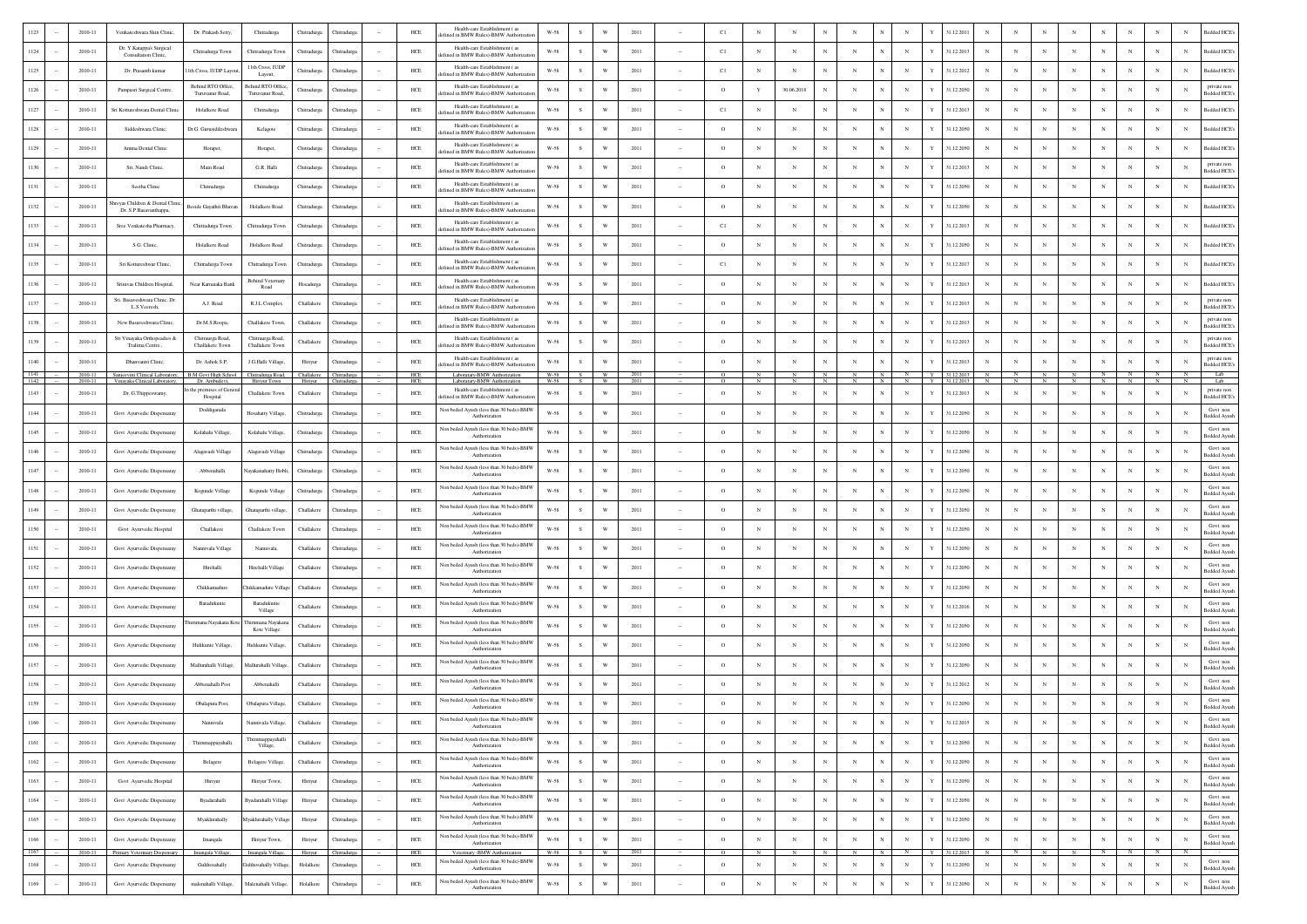|                | 2010-11            | Venkateshwara Skin Clinic                                                             | Dr. Prakash Setty                    | Chitradurga                              | Chitradurga | Chitradurga                       | HCE          | Health-care Establishment (as<br>fined in BMW Rules)-BMW Authorizat      | W-58                 | $\mathcal{S}$ |                         | 2011         |                          | C1       |              |            |             |            |            |                |   | 31.12.201                |             |              |              |             |                |            |              | <b>Bedded HCE</b>                              |
|----------------|--------------------|---------------------------------------------------------------------------------------|--------------------------------------|------------------------------------------|-------------|-----------------------------------|--------------|--------------------------------------------------------------------------|----------------------|---------------|-------------------------|--------------|--------------------------|----------|--------------|------------|-------------|------------|------------|----------------|---|--------------------------|-------------|--------------|--------------|-------------|----------------|------------|--------------|------------------------------------------------|
| 1124           | 2010-11            | Dr. Y.Katappa's Surgical<br><b>Consultation Clinic</b>                                | Chitradurga Town                     | Chitradurga Town                         | Chitradurga | <b>hitradurg</b>                  | ${\rm HCE}$  | Health-care Establishment (28)<br>lefined in BMW Rules)-BMW Authorizat   | $W-58$               | s             | W                       | 2011         |                          | C1       | $_{\rm N}$   | $_{\rm N}$ |             |            |            | $_{\rm N}$     |   | 31.12.2013               |             |              |              | $_{\rm N}$  | $\mathbf N$    |            | N            | Bedded HCE <sup>®</sup><br>N                   |
| 1125           | 2010-11            | Dr. Prasanth kumar                                                                    | 1th Cross, IUDP Layor                | 11th Cross, IUDP<br>Layout               | Chitradurga | <b>Thitradurga</b>                | ${\rm HCE}$  | Health-care Establishment (as<br>fined in BMW Rules)-BMW Authoriza       | $W-58$               | s             | W                       | 2011         |                          | C1       | $_{\rm N}$   | $_{\rm N}$ |             |            |            | $_{\rm N}$     |   | 31.12.2012               |             |              |              | $_{\rm N}$  | N              |            | N            | sedded HCE's<br>N                              |
| 1126           | 2010-11            | Pampasri Surgical Centre                                                              | Behind RTO Office<br>Turuvanur Road, | Behind RTO Office<br>Turuvanur Road      | Chitradurga | <b>Thitradure:</b>                | HCE          | Health-care Establishment (as<br>ted in BMW Rules)-BMW Authoriz          | W-58                 | -S            | W                       | 2011         | $\sim$                   | $\circ$  | Y            | 30.06.2018 |             | N          |            | $_{\rm N}$     |   | 31.12.2050               | $\mathbf N$ |              |              | $_{\rm N}$  | N              |            | N            | private non<br>N<br>edded HCE                  |
| 1127           | 2010-11            | Sri Kottureshwara Dental Clinic                                                       | Holalkere Road                       | Chitradurga                              | Chitradurga | <b>hitradurg</b>                  | ${\rm HCE}$  | Health-care Establishment (28<br>efined in BMW Rules)-BMW Authoriza      | $W-58$               | s.            | W                       | 2011         |                          | C1       | N            | $_{\rm N}$ |             | N          |            | $_{\rm N}$     |   | 31.12.2013               |             |              |              | $_{\rm N}$  | N              |            | N            | Bedded HCE<br>N                                |
| 1128           | 2010-11            | Siddeshwara Clinic                                                                    | Dr.G. Gurusiddeshwar                 | Kelagote                                 | Chitradurga | <b>Thitradurga</b>                | ${\rm HCE}$  | Health-care Establishment (as<br>efined in BMW Rules)-BMW Authoriza      | $W-58$               | s             | W                       | 2011         |                          | $\circ$  | N            | N          |             |            |            | $\mathbf N$    |   | 31.12.2050               |             |              |              |             |                |            | N            | Bedded HCE<br>N                                |
| 1129           | 2010-11            | Amma Dental Clinic                                                                    | Horapet,                             | Horapet,                                 | Chitradurg  | <b>hitradure</b>                  | HCE          | Health-care Establishment (as<br>fined in BMW Rules)-BMW Authoriz        | $W-58$               | -S            | W                       | 2011         |                          | $\circ$  | N            | $_{\rm N}$ |             |            |            | $_{\rm N}$     |   | 31.12.2050               |             |              |              |             |                |            | N            | Bedded HCE<br>N                                |
|                | 2010-11            | Sri. Nandi Clinic,                                                                    | Main Road                            | G.R. Halli                               | Chitradurga | <b>hitradurg</b>                  | HCE          | Health-care Establishment (as<br>lefined in BMW Rules)-BMW Authorizati   | $W-58$               | S             | W                       | 2011         |                          | $\circ$  | N            | N          |             |            |            | $_{\rm N}$     |   | 31.12.2013               |             |              |              |             |                |            |              | private non<br><b>Bedded HCE</b>               |
| 1131           | 2010-11            | Seetha Clinic                                                                         | Chitradurga                          | Chitradurga                              | Chitradurga | Thitradurg                        | ${\rm HCE}$  | Health-care Establishment (as<br>lefined in BMW Rules)-BMW Authoriza     | $W-58$               | S             | W                       | 2011         |                          | $\circ$  | $_{\rm N}$   | $_{\rm N}$ | $_{\rm N}$  | N          |            | $_{\rm N}$     |   | 31.12.2050               | $_{\rm N}$  |              |              | $_{\rm N}$  | N              |            | N            | Bedded HCE <sup>®</sup><br>N                   |
| 1132           | 2010-11            | reyas Children & Dental Clinic<br>Dr. S.P.Basavanthappa,                              | Beside Gayathri Bhav.                | Holalkere Road                           | Chitradurga | Thitradure                        | HCE          | Health-care Establishment (as<br>efined in BMW Rules)-BMW Authorizat     | W-58                 | S.            | W                       | 2011         |                          | $\circ$  | $_{\rm N}$   | $_{\rm N}$ | $_{\rm N}$  |            |            | $_{\rm N}$     |   | 31.12.2050               | N           |              |              |             | N              |            | N            | N<br><b>Bedded HCE</b>                         |
| 1133           | 2010-11            | Sree Venkatesha Pharmacy,                                                             | Chitradurga Town                     | Chitradurga Town                         | Chitradurga | Chitradurga                       | HCE          | Health-care Establishment (as<br>lefined in BMW Rules)-BMW Authorizatio  | W-58                 | S.            | W                       | 2011         |                          | C1       | $_{\rm N}$   | $_{\rm N}$ | $_{\rm N}$  | N          |            | $_{\rm N}$     |   | 31.12.2013               | $_{\rm N}$  |              | $\mathbf{N}$ | N           | $_{\rm N}$     | $_{\rm N}$ | N            | N<br>Bedded HCE's                              |
| 1134           | 2010-11            | S.G. Clinic                                                                           | Holalkere Road                       | Holalkere Road                           | Chitradurga | <b>Thitradurg:</b>                | ${\rm HCE}$  | Health-care Establishment (as<br>lefined in BMW Rules)-BMW Authorizatio  | W-58                 | s             | W                       | 2011         |                          | $\circ$  | $_{\rm N}$   |            |             |            |            | $_{\rm N}$     |   | 31.12.2050               |             |              |              |             | $\overline{N}$ |            | N            | Bedded HCE's<br>N                              |
| 1135           | 2010-11            | Sri Kottureshwar Clinic                                                               | Chitradurga Town                     | Chitradurga Town                         | Chitradurga | <b>Thitradurg:</b>                | HCE          | Health-care Establishment (as<br>efined in BMW Rules)-BMW Authorizatio   | W-58                 | s             | W                       | 2011         |                          | C1       | N            | N          |             |            |            | $_{\rm N}$     |   | 31.12.2017               | N           |              |              |             | N              |            | N            | Bedded HCE's<br>N                              |
| 1136           | 2010-11            | Srinivas Children Hospital,                                                           | Near Karnataka Bank                  | Behind Veternar<br>Road                  | Hosadurga   | <b>hitradurg</b>                  | HCE          | Health-care Establishment (as<br>efined in BMW Rules)-BMW Authorizatio   | W-58                 | s             | W                       | 2011         |                          | $\circ$  | N            | N          |             |            |            | $_{\rm N}$     |   | 31.12.2013               |             |              |              |             | N              |            | N            | Bedded HCE<br>N                                |
| 1137           | 2010-11            | Sri. Basaveshwara Clinic, Dr.<br>L.S.Veeresh.                                         | A.J. Road                            | R.J.L Complex                            | Challakere  | <b>Thitradurga</b>                | ${\rm HCE}$  | Health-care Establishment (as<br>efined in BMW Rules)-BMW Authorizat     | $W-58$               | s             | W                       | 2011         |                          | $\circ$  | N            | $_{\rm N}$ |             |            |            | $_{\rm N}$     |   | 31.12.2013               |             |              |              | N           |                |            | N            | private nor<br>N<br><b>Bedded HCE</b>          |
| 1138           | 2010-11            | New Basaveshwara Clinic,                                                              | Dr.M.S.Roopa,                        | Challakere Town                          | Challakere  | <b>Thitradure:</b>                | <b>HCE</b>   | Health-care Establishment (as<br>ted in BMW Rules)-BMW Authoriz          | W-58                 | S.            | W                       | 2011         |                          | $\circ$  | N            | $_{\rm N}$ |             | N          |            | $_{\rm N}$     |   | 31.12.2013               |             |              |              | $_{\rm N}$  | N              |            | N            | private non<br>N<br>edded HCE                  |
| 1139           | 2010-11            | Sri Vinayaka Orthopeadies &<br>Tralima Centre.,                                       | Chitraurga Road<br>Challakere Town   | Chitraurga Road<br>Challakere Town       | Challakere  | Chitradurg                        | HCE          | Health-care Establishment (as<br>efined in BMW Rules)-BMW Authoriza      | W-58                 | S.            | W                       | 2011         |                          | $\circ$  | $_{\rm N}$   | $_{\rm N}$ |             | N          |            | $_{\rm N}$     |   | 31.12.2013               |             |              |              | N           | N              |            | N            | private nor<br>N<br>Bedded HCE's               |
| 1140           | 2010-11            | Dhanvantri Clinic,                                                                    | Dr. Ashok S.P.                       | J.G.Halli Village.                       | Hiriyur     | <b>Chitradurga</b>                | ${\rm HCE}$  | Health-care Establishment (as<br>lefined in BMW Rules)-BMW Authorizati   | W-58                 | s             | W                       | 2011         |                          | $\circ$  | N            | $_{\rm N}$ |             | N          |            | $_{\rm N}$     |   | 31.12.2013               |             |              |              |             | N              |            | N            | private no<br>N<br>Bedded HCE                  |
| 1141<br>1142   | 2010-11<br>2010-11 | Sanjeevini Clinical Laboratory, B.M Govt High School<br>Vinayaka Clinical Laboratory, | Dr. Ambudevi,                        | Chitradurga Road,<br><b>Hiriyur Town</b> | Challakere  | Chitradurg<br>Hiriyur Chitradurea | $HEE$<br>HCE | Laboratary-BMW Authorization<br>Laboratary-BMW Authorization             | W-58<br>W-58         | S<br>S.       | <b>W</b><br><b>W</b>    | 2011<br>2011 |                          | $\Omega$ | $\mathbb{N}$ | N          | N           | N          | N          | N              |   | 31.12.2013<br>Y 31122013 | N           | N            | N            | N           | $\frac{N}{N}$  | $_{\rm N}$ | N            | Lab<br>N<br>Lab                                |
| 1143           | $2010 - 11$        | Dr. G.Thippeswamy,                                                                    | the premises of Gene<br>Hospital     | Challakere Town                          | Challakere  | <b>Chitradurga</b>                | ${\rm HCE}$  | Health-care Establishment (as<br>efined in BMW Rules)-BMW Authorizati    | $W-58$               | S             | W                       | 2011         |                          | $\circ$  | N            | N          | $_{\rm N}$  | N          |            | $_{\rm N}$     | Y | 31.12.2013               | $_{\rm N}$  |              | $_{\rm N}$   | $_{\rm N}$  | $\mathbf N$    | N          | $_{\rm N}$   | private non<br>N<br>Bedded HCE's               |
| 1144           | 2010-11            | Govt Ayurvedic Dispensaray                                                            | Doddiganala                          | Hosahatty Village.                       | Chitradurga | Thitradurga                       | ${\rm HCE}$  | Non beded Ayush (less than 30 beds)-BMV<br>Authorization                 | $W-58$               | s             | W                       | 2011         |                          | $\circ$  | N            | N          |             |            |            | $_{\rm N}$     |   | 31.12.2050               |             |              |              |             | $\overline{N}$ |            | N            | Govt nor<br>N<br><b>Bedded Ayush</b>           |
| 1145           | 2010-11            | Govt Ayurvedic Dispensaray                                                            | Kolahalu Village,                    | Kolahalu Village                         | Chitradurga | <b>Thitradure:</b>                | HCE          | Non beded Ayush (less than 30 beds)-BMW<br>Authorization                 | $W-58$               | $\mathcal{S}$ | W                       | 2011         |                          | $\circ$  | $_{\rm N}$   | N          |             |            |            | $_{\rm N}$     |   | 31.12.2050               | N           |              |              | N           | N              |            | N            | Govt non<br>N<br><b>Bedded Ayusl</b>           |
| 1146           | 2010-11            | Govt Ayurvedic Dispensaray                                                            | Alagavadi Village                    | Alagavadi Village                        | Chitradurga | Chitradurga                       | HCE          | Non beded Ayush (less than 30 beds)-BMW<br>Authorization                 | W-58                 | s             | W                       | 2011         |                          | $\circ$  | $_{\rm N}$   | $_{\rm N}$ |             |            |            | $_{\rm N}$     |   | 31.12.2050               |             |              |              | N           | $\mathbf N$    |            | N            | Govt non<br>N<br><b>Bedded Ayus</b>            |
| 1147           | 2010-11            | Govt Ayurvedic Dispensaray                                                            | Abbenahalli                          | layakanahatty Hobl                       | Chitradurga | <b>Thitradurg:</b>                | ${\rm HCE}$  | Non beded Ayush (less than 30 beds)-BMW<br>Authorization                 | $W-58$               |               | W                       | 2011         |                          | $\circ$  | $_{\rm N}$   | N          |             |            |            | $_{\rm N}$     |   | 31.12.2050               |             |              |              | N           |                |            | N            | Govt nor<br>N<br><b>Bedded Ayus</b>            |
| 1148           | 2010-11            | Govt Ayurvedic Dispensaray                                                            | Kogunde Village                      | Kogunde Village                          | Chitradurea | <b>Thitradure:</b>                | HCE          | Non beded Ayush (less than 30 beds)-BMV<br>Authorization                 | $W-58$               | s             | W                       | 2011         |                          | $\circ$  | N            | $_{\rm N}$ |             | N          |            | $_{\rm N}$     |   | 31.12.2050               | $\mathbf N$ |              |              | $_{\rm N}$  | N              |            | N            | Govt nor<br>N<br><b>Sedded Ayusl</b>           |
| 1149           | 2010-11            | Govt Ayurvedic Dispensaray                                                            | Ghataparthi village,                 | Ghataparthi village.                     | Challakere  | Chitradurga                       | HCE          | Non beded Ayush (less than 30 beds)-BMW<br>Authorization                 | W-58                 | s             | W                       | 2011         |                          | $\circ$  | $_{\rm N}$   | $_{\rm N}$ |             | N          |            | $_{\rm N}$     | Y | 31.12.2050               |             |              |              | $\mathbf N$ | N              |            | N            | Govt non<br>N<br><b>Bedded Ayusl</b>           |
| 1150           | 2010-11            | Govt Ayurvedic Hospital                                                               | Challakere                           | Challakere Town                          | Challakere  | <b>Thitradurg:</b>                | ${\rm HCE}$  | Non beded Ayush (less than 30 beds)-BMV<br>Authorization                 | $W-58$               | s             | W                       | 2011         |                          | $\circ$  | N            | N          |             |            |            |                |   | 31.12.2050               |             |              |              |             |                |            |              | Govt non<br><b>Bedded Ayusl</b>                |
| 1151           | 2010-11            | Govt Ayurvedic Dispensaray                                                            | Nannivala Village                    | Nannivala,                               | Challakere  | Thitradure                        | HCE          | Non beded Ayush (less than 30 beds)-BMW<br>Authorization                 | <b>W-58</b>          | s             | w                       | 2011         |                          | $\circ$  | N            | N          |             |            |            | $_{\rm N}$     |   | 31.12.2050               |             |              |              |             |                |            | $\mathbf{N}$ | Govt non<br>N<br><b>Bedded Ayusl</b>           |
| 1152           | 2010-11            | Govt Ayurvedic Dispensaray                                                            | Hirehalli                            | Hirehalli Village                        | Challaker   | Thitradurg                        | HCE          | Non beded Ayush (less than 30 beds)-BMW<br>Authorization                 | W-58                 | S.            | W                       | 2011         |                          | $\circ$  | N            | $_{\rm N}$ | $_{\rm N}$  |            |            | $_{\rm N}$     |   | 31.12.2050               |             |              |              |             |                |            | N            | Govt non<br>N<br><b>Bedded Ayus</b>            |
|                | 2010-11            | Govt Ayurvedic Dispensaray                                                            | Chikkamadure                         | iikkamadure Villa;                       | Challakere  | <b>hitradurg</b>                  | ${\rm HCE}$  | Non beded Ayush (less than 30 beds)-BMW<br>Authorization                 | $W-58$               | ${\bf s}$     | W                       | 2011         |                          | $\circ$  | $_{\rm N}$   | $_{\rm N}$ |             |            |            | $_{\rm N}$     |   | 31.12.2050               |             |              |              |             | N              |            |              | Govt non<br>N<br><b>Bedded Avus</b>            |
| 1154           | 2010-11            | Govt Ayurvedic Dispensaray                                                            | Baradukunte                          | Baradukunt<br>Village                    | Challakere  | Chitradure                        | HCE          | Non beded Ayush (less than 30 beds)-BMV<br>Authorization                 | <b>W-58</b>          | S.            | W                       | 2011         |                          | $\circ$  | N            | $_{\rm N}$ | $_{\rm N}$  | N          |            | $_{\rm N}$     |   | 31.12.2016               | N           |              |              | N           | N              |            | N            | Govt nor<br>N<br><b>Bedded Ayusl</b>           |
| 1155           | 2010-11            | Govt Ayurvedic Dispensaray                                                            | immana Nayakana K                    | mmana Nayakar<br>Kote Village            | Challakere  | Chitradurg                        | HCE          | Non beded Ayush (less than 30 beds)-BMW<br>Authorization                 | $W-58$               | S.            | W                       | 2011         |                          | $\circ$  | $_{\rm N}$   | $_{\rm N}$ | $_{\rm N}$  | N          |            | $_{\rm N}$     |   | 31.12.2050               | $_{\rm N}$  |              |              | N           | $_{\rm N}$     |            | N            | Govt non<br>N<br><b>Bedded Ayusl</b>           |
| 1156           | 2010-11            | Govt Ayurvedic Dispensaray                                                            | Hulikunte Village,                   | Hulikunte Village,                       | Challakere  | <b>Chitradurga</b>                | ${\rm HCE}$  | Non beded Ayush (less than 30 beds)-BMW<br>Authorization                 | $W-58$               | S             | W                       | 2011         |                          | $\circ$  | N            | N          | $_{\rm N}$  | N          |            | $_{\rm N}$     |   | 31.12.2050               |             |              |              |             | N              |            | N            | Govt non<br>N<br><b>Bedded Ayusl</b>           |
| 1157           | 2010-11            | Govt Ayurvedic Dispensaray                                                            | Mallurahalli Village                 | Mallurahalli Villae                      | Challakere  | Chitradurg                        | ${\rm HCE}$  | Non beded Ayush (less than 30 beds)-BMW<br>Authorization                 | $W-58$               |               | W                       | 2011         |                          | $\circ$  | N            | N          |             |            |            | $_{\rm N}$     |   | 31.12.2050               | N           |              |              |             | N              |            | N            | Govt non<br>N<br><b>Bedded Ayush</b>           |
|                | 2010-11            | Govt Ayurvedic Dispensaray                                                            | Abbenahalli Post                     | Abbenahalli                              | Challakere  | <b>hitradurg</b>                  | HCE          | Non beded Ayush (less than 30 beds)-BMW<br>Authorization                 | W-58                 |               | W                       | 2011         |                          | $\circ$  | N            | N          |             |            |            | N              |   | 31.12.2012               |             |              |              |             |                |            | N            | Govt non<br>N<br><b>Bedded Ayus</b>            |
|                | $2010 - 11$        | Govt Ayurvedic Dispensaray                                                            | Obalapura Post,                      | Obalapura Village,                       | Challakere  | Chitradurga                       | ${\rm HCE}$  | Non beded Ayush (less than 30 beds)-BMW<br>Authorization                 | $W-58$               | s.            | W                       | 2011         |                          | $\circ$  |              |            |             |            |            |                |   | 31.12.2050               |             |              |              |             |                |            |              | Govt non<br>N<br><b>Bedded Avus</b>            |
| 1160           | 2010-11            | Govt Ayurvedic Dispensaray                                                            | Nannivala                            | Nannivala Village,                       | Challakere  | Chitradurga                       | $HEE$        | Non beded Ayush (less than 30 beds)-BMV<br>Authorization                 | $W-58$               | S             | $\ensuremath{\text{W}}$ | 2011         | $\sim$                   | $\circ$  | $_{\rm N}$   | $_{\rm N}$ | $_{\rm N}$  | $_{\rm N}$ |            | $_{\rm N}$     | Y | 31.12.2015               | $_{\rm N}$  | $_{\rm N}$   | $_{\rm N}$   | $_{\rm N}$  | $_{\rm N}$     | $_{\rm N}$ | $_{\rm N}$   | Govt nor<br>$_{\rm N}$<br>Bedded Ayush         |
| 1161<br>$\sim$ | 2010-11            | Govt Ayurvedic Dispensaray                                                            | Thimmappayahalli                     | Thimmappayahalli<br>Village,             | Challakere  | Chitradurga                       | HCE          | Non beded Ayush (less than 30 beds)-BMW<br>Authorization                 | $W-58$               | s             | $\mathbf{W}$            | 2011         | $\sim$                   | $\circ$  | $_{\rm N}$   | $_{\rm N}$ | $_{\rm N}$  | $_{\rm N}$ | $_{\rm N}$ | $_{\rm N}$     | Y | 31.12.2050               | $_{\rm N}$  | $_{\rm N}$   | $_{\rm N}$   | $_{\rm N}$  | $_{\rm N}$     | $_{\rm N}$ | $_{\rm N}$   | Govt non<br>$_{\rm N}$<br><b>Bedded Ayush</b>  |
| 1162           | 2010-11            | Govt Ayurvedic Dispensaray                                                            | Belagere                             | Belagere Village,                        | Challakere  | Chitradurga                       | ${\rm HCE}$  | Non beded Ayush (less than 30 beds)-BMW<br>Authorization                 | $_{\rm W\text{-}58}$ | S             | $\ensuremath{\text{W}}$ | 2011         | $\overline{\phantom{a}}$ | $\circ$  | $_{\rm N}$   | $_{\rm N}$ | $_{\rm N}$  | $_{\rm N}$ | $_{\rm N}$ | $_{\rm N}$     | Y | 31.12.2050               | $_{\rm N}$  | $_{\rm N}$   | $_{\rm N}$   | $_{\rm N}$  | $_{\rm N}$     | $_{\rm N}$ | $_{\rm N}$   | Govt non<br>$_{\rm N}$<br><b>Bedded Ayush</b>  |
| 1163           | 2010-11            | Govt Ayurvedic Hospital                                                               | Hiriyur                              | Hiriyur Town,                            | Hiriyur     | Chitradurga                       | ${\rm HCE}$  | Non beded Ayush (less than 30 beds)-BMW<br>Authorization                 | $_{\rm W\text{-}58}$ | ${\bf S}$     | $\ensuremath{\text{W}}$ | 2011         | $\sim$                   | $\circ$  | $_{\rm N}$   | $\,$ N     | $_{\rm N}$  | $_{\rm N}$ |            | $_{\rm N}$     | Y | 31.12.2050               | $_{\rm N}$  | $_{\rm N}$   | $_{\rm N}$   | $\,$ N      | $_{\rm N}$     | $_{\rm N}$ | $\mathbb N$  | Govt non<br>$_{\rm N}$<br>Bedded Ayush         |
| 1164           | 2010-11            | Govt Ayurvedic Dispensaray                                                            | Byadarahalli                         | Byadarahalli Village                     | Hiriyur     | Chitradurga                       | HCE          | Non beded Ayush (less than 30 beds)-BMW<br>Authorization                 | $_{\rm W\text{-}58}$ | S             | $\ensuremath{\text{W}}$ | 2011         | $\sim$                   | $\circ$  | $_{\rm N}$   | $_{\rm N}$ | $_{\rm N}$  | $_{\rm N}$ |            | $_{\rm N}$     | Y | 31.12.2050               | $_{\rm N}$  | $_{\rm N}$   | $_{\rm N}$   | $_{\rm N}$  | $_{\rm N}$     | $_{\rm N}$ | $_{\rm N}$   | Govt non<br>$_{\rm N}$<br>Bedded Ayush         |
| 1165           | 2010-11            | Govt Ayurvedic Dispensaray                                                            | Myaklurahally                        | Myaklurahally Villag                     | Hiriyur     | Chitradurga                       | ${\rm HCE}$  | Non beded Ayush (less than 30 beds)-BMW<br>Authorization                 | $_{\rm W\text{-}58}$ | S             | $\mathbf{W}$            | 2011         | $\sim$                   | $\circ$  | $_{\rm N}$   | $_{\rm N}$ | $_{\rm N}$  | $_{\rm N}$ |            | $_{\rm N}$     |   | 31.12.2050               | $_{\rm N}$  | $_{\rm N}$   | $_{\rm N}$   | $_{\rm N}$  | $_{\rm N}$     | $_{\rm N}$ | $_{\rm N}$   | Govt non<br>N<br><b>Bedded Ayush</b>           |
| 1166           | 2010-11            | Govt Ayurvedic Dispensaray                                                            | Imangala                             | Hiriyur Town,                            | Hiriyur     | Chitradurga                       | ${\rm HCE}$  | Non beded Ayush (less than 30 beds)-BMW<br>Authorization                 | $_{\rm W\text{-}58}$ | S             | W                       | 2011         | $\sim$                   | $\circ$  | $_{\rm N}$   | $_{\rm N}$ | $_{\rm N}$  | $_{\rm N}$ |            | $_{\rm N}$     |   | 31.12.2050               | $_{\rm N}$  | $_{\rm N}$   | $_{\rm N}$   | $_{\rm N}$  | $_{\rm N}$     | $_{\rm N}$ | $\mathbf N$  | Govt nor<br>$\mathbf N$<br><b>Bedded Ayusl</b> |
| 1167           | 2010-11            | Primary Veterinary Dispensary                                                         | Imangala Village,                    | Imangala Village,                        | Hiriyur     | Chitradurga                       | HCE          | Veterinary -BMW Authorization<br>Non beded Ayush (less than 30 beds)-BMW | W-58                 | S             | W                       | 2011         |                          | $\circ$  | ${\cal N}$   | $_{\rm N}$ | $\mathbb N$ | $_{\rm N}$ | N          | $\overline{N}$ |   | Y 31.12.2013             | N           | $\mathbf{N}$ | N            |             | N              | $N$ $N$    |              | - N<br>Govt non                                |
| 1168           | 2010-11            | Govt Ayurvedic Dispensaray                                                            | Gulihosahally                        | iulihosahally Village                    | Holalkere   | Chitradurga                       | ${\rm HCE}$  | Authorization<br>Non beded Ayush (less than 30 beds)-BMW                 | $_{\rm W\text{-}58}$ | ${\bf S}$     | $\ensuremath{\text{W}}$ | 2011         | $\sim$                   | $\circ$  | $_{\rm N}$   | $_{\rm N}$ | $_{\rm N}$  | $_{\rm N}$ | $_{\rm N}$ | $_{\rm N}$     | Y | 31.12.2050               | $_{\rm N}$  | $_{\rm N}$   | $_{\rm N}$   | $_{\rm N}$  | $_{\rm N}$     | $_{\rm N}$ | $_{\rm N}$   | $_{\rm N}$<br>Bedded Ayush<br>Govt non         |
| 1169           | 2010-11            | Govt Ayurvedic Dispensaray                                                            | malenahalli Village,                 | Malenahalli Village,                     | Holalkere   | Chitradurga                       | ${\rm HCE}$  | Authorization                                                            | $_{\rm W\text{-}58}$ | S             | $\ensuremath{\text{w}}$ | 2011         | $\sim$                   | $\,$ O   | $_{\rm N}$   | $_{\rm N}$ | $_{\rm N}$  | $_{\rm N}$ |            | $_{\rm N}$     | Y | 31.12.2050               | $_{\rm N}$  | $_{\rm N}$   | $_{\rm N}$   | $_{\rm N}$  | $_{\rm N}$     | $_{\rm N}$ | $_{\rm N}$   | $_{\rm N}$<br>Bedded Ayush                     |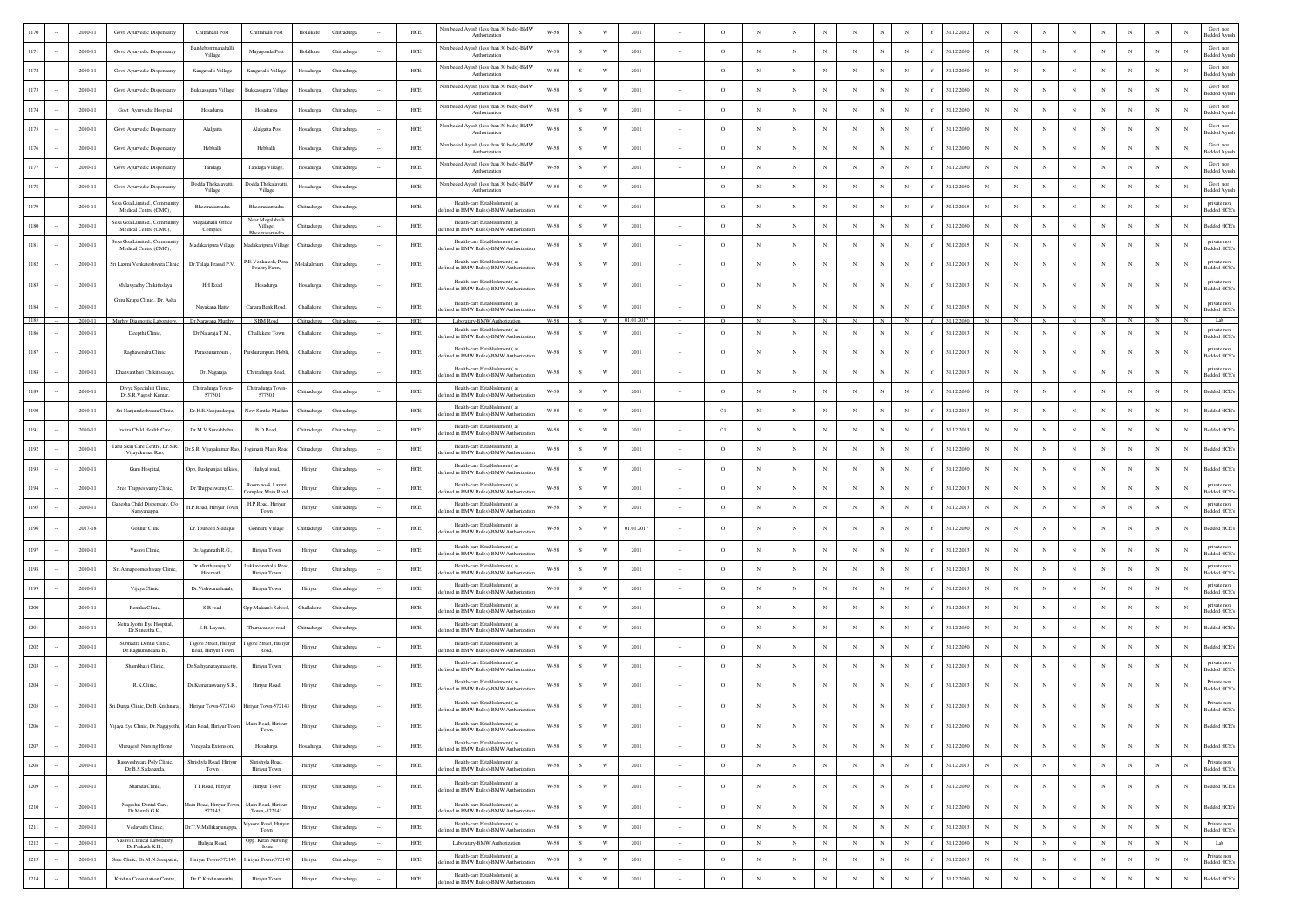|          | 2010-11 | Govt Ayurvedic Dispensaray                                | Chitrahalli Post                             | Chitrahalli Post                             | Holalkere   | Chitradure         |        | HCE         | Non beded Ayush (less than 30 beds)-BMW<br>Authorization                  | W-58                 |               |                         | 2011      |        |          |              |              |            |                            |                 | \$1.12.201 |            |             |            |            |             |              |            |              | Govt nor<br><b>Bedded Ayush</b>   |
|----------|---------|-----------------------------------------------------------|----------------------------------------------|----------------------------------------------|-------------|--------------------|--------|-------------|---------------------------------------------------------------------------|----------------------|---------------|-------------------------|-----------|--------|----------|--------------|--------------|------------|----------------------------|-----------------|------------|------------|-------------|------------|------------|-------------|--------------|------------|--------------|-----------------------------------|
| 1171     | 2010-11 | Govt Ayurvedic Dispensaray                                | Bandebommanahalli<br>Village                 | Mayagonda Post                               | Holalkere   | Chitradure         |        | HCE         | Non beded Ayush (less than 30 beds)-BMW<br>Authorization                  | W-58                 |               | W                       | 2011      |        | $\circ$  | N            | N            |            |                            | $_{\rm N}$      | 31.12.205  | N          | N           | $_{\rm N}$ |            |             |              |            | N            | Govt non<br><b>Bedded Ayus</b>    |
| 1172     | 2010-11 | Govt Ayurvedic Dispensaray                                | Kangavalli Village                           | Kangavalli Village                           | Hosadurga   | <b>hitradurga</b>  |        | ${\rm HCE}$ | Non beded Ayush (less than 30 beds)-BMW<br>Authorization                  | $_{\rm W\text{-}58}$ |               | W                       | 2011      |        | $\circ$  | N            | N            |            |                            |                 | 31.12.2050 |            | $_{\rm N}$  | $_{\rm N}$ |            |             |              |            | N            | Govt non<br><b>Bedded Avus</b>    |
| 1173     | 2010-11 | Govt Ayurvedic Dispensaray                                | Bukkasagara Village                          | Bukkasagara Village                          | Hosadurga   | Chitradurga        |        | HCE         | Non beded Ayush (less than 30 beds)-BMW<br>Authorizatio                   | $_{\rm W\text{-}58}$ |               | W                       | 2011      |        | $\circ$  | N            | $_{\rm N}$   |            |                            | $_{\rm N}$      | 31.12.2050 | N          | N           | $_{\rm N}$ |            |             |              |            | N            | Govt nor<br><b>Bedded Ayush</b>   |
| 1174     | 2010-11 | Govt Ayurvedic Hospital                                   | Hosadurga                                    | Hosadurga                                    | Hosadurga   | <b>hitradurg</b>   |        | HCE         | Non beded Ayush (less than 30 beds)-BMV<br>Authorization                  | <b>W-58</b>          |               | W                       | 2011      |        | $\Omega$ | N            | $\mathbf{N}$ |            |                            | $\mathbf{N}$    | 31.12.205  | N          |             | $_{\rm N}$ |            |             |              |            | $_{\rm N}$   | Govt nor<br><b>Sedded Ayush</b>   |
| 1175     | 2010-11 | Govt Ayurvedic Dispensaray                                | Alalgatta                                    | Alalgatta Post                               | Hosadurga   | Chitradurg         |        | ${\rm HCE}$ | Non beded Avush (less than 30 beds)-BMV<br>Authorization                  | $_{\rm W\text{-}58}$ |               | W                       | 2011      |        | $\circ$  | $_{\rm N}$   | N            |            |                            | $_{\rm N}$      | 31.12.2050 | N          |             | $_{\rm N}$ |            | N           |              | N          | N            | Govt non                          |
| 1176     | 2010-11 | Govt Ayurvedic Dispensaray                                | Hebballi                                     | Hebballi                                     | Hosadurga   | Chitradurg         |        | ${\rm HCE}$ | Non beded Ayush (less than 30 beds)-BMV                                   | $_{\rm W\text{-}58}$ |               |                         | 2011      |        | $\circ$  | N            | N            |            |                            | $_{\rm N}$      | 31.12.2050 | N          |             | $_{\rm N}$ |            |             |              |            |              | <b>Bedded Ayush</b><br>Govt non   |
| 1177     | 2010-11 |                                                           |                                              |                                              |             | <b>hitradurg</b>   |        | HCE         | Authorization<br>Non beded Ayush (less than 30 beds)-BMW                  | W-58                 |               | W                       | 2011      |        | $\Omega$ | N            | N            |            |                            | $_{\rm N}$      |            |            |             | N          |            |             |              |            |              | <b>Bedded Ayush</b><br>Govt non   |
|          |         | Govt Ayurvedic Dispensaray                                | Tandaga<br>Dodda Thekalavatti.               | Tandaga Village,<br>Dodda Thekalavatti       | Hosadurga   |                    |        |             | Authorization<br>Non beded Ayush (less than 30 beds)-BMW                  |                      |               |                         |           |        |          |              |              |            |                            |                 | 31.12.2050 |            |             |            |            |             |              |            |              | <b>Bedded Ayush</b><br>Govt non   |
| 1178     | 2010-11 | Govt Ayurvedic Dispensaray<br>Sesa Goa Limited., Comm     | Village                                      | Village                                      | Hosadurga   | Chitradurg         |        | HCE         | Authorization<br>Health-care Establishment (as                            | $_{\rm W\text{-}58}$ |               |                         | 2011      |        |          | N            | N            |            |                            |                 | 31.12.2050 | N          |             | $_{\rm N}$ |            |             |              |            |              | <b>Bedded Avus</b><br>private nor |
| 1179     | 2010-11 | Medical Centre (CMC),                                     | Bheemasamudra                                | Bheemasamudra<br>Near Megalahal              | Chitradurga | Chitradurg         |        | HCE         | fined in BMW Rules)-BMW Authoriza                                         | W-58                 |               |                         | 2011      |        | $\circ$  | N            | N            |            |                            | $_{\rm N}$      | 30.12.2015 | $_{\rm N}$ | N           | N          |            |             |              |            | N            | edded HCE's                       |
|          | 2010-11 | Sesa Goa Limited., Comr<br>Medical Centre (CMC),          | Megalahalli Office<br>Complex                | Village,                                     | Chitradurga | Chitradurea        |        | HCE         | Health-care Establishment (as<br>fined in BMW Rules)-BMW Authorizat       | W-58                 | $\mathcal{S}$ | W                       | 2011      |        | $\circ$  | $\mathbf N$  | N            |            |                            | $\mathbf{N}$    | 31.12.2050 | $_{\rm N}$ | N           | N          |            | N           |              |            | N            | <b>Bedded HCE</b>                 |
| 181      | 2010-11 | Sesa Goa Limited Comr<br>Medical Centre (CMC),            | Madakaripura Village                         | Madakaripura Village                         | Chitradurga | Chitradurga        |        | ${\rm HCE}$ | Health-care Establishment (as<br>fined in BMW Rules)-BMW Authorizatio     | $_{\rm W\text{-}58}$ |               | W                       | 2011      |        | $\circ$  | N            |              |            |                            | $_{\rm N}$      | 30.12.2015 | N          |             | $_{\rm N}$ |            | N           |              |            | N            | private nor<br>edded HCE          |
| 1182     | 2010-11 | Sri Laxmi Venkateshwara Clinic,                           | Dr.Tulaja Prasad P.V.                        | P.E Venkatesh, Poral<br>Poultry Farm,        | Molakalmuru | Chitradurga        |        | ${\rm HCE}$ | Health-care Establishment (as<br>fined in BMW Rules)-BMW Authorizatio     | W-58                 |               |                         | 2011      |        | $\circ$  | N            | N            |            |                            | $_{\rm N}$      | 31.12.2013 | N          | N           | $_{\rm N}$ |            |             |              | N          | N            | private no<br><b>Bedded HCE</b>   |
| 1183     | 2010-11 | Mulavyadhy Chikithslaya                                   | HH Road                                      | Hosadurga                                    | Hosadurga   | Chitradurga        |        | HCE         | Health-care Establishment (as<br>fined in BMW Rules)-BMW Authorizat       | $_{\rm W\text{-}58}$ |               | W                       | 2011      |        | $\circ$  | N            | N            |            |                            | $_{\rm N}$      | 31.12.2013 | N          | $_{\rm N}$  | $_{\rm N}$ |            |             |              |            |              | private non<br><b>Bedded HCE</b>  |
| 1184     | 2010-11 | Guru Krupa Clinic., Dr. Asha                              | Nayakana Hatty                               | Canara Bank Road                             | Challakere  | Chitradurga        |        | ${\rm HCE}$ | Health-care Establishment (as<br>efined in BMW Rules)-BMW Authorizat      | W-58                 |               |                         | 2011      |        | $\circ$  | N            |              |            |                            | $_{\rm N}$      | 31.12.2015 |            |             | $_{\rm N}$ |            |             |              |            |              | private nor<br><b>Bedded HCE</b>  |
| 1185     | 2010-11 | Murhty Diagnostic Laboratory. Dr.Narayana Murthy          |                                              | SBM Road                                     | Chitradurga | Chitradure:        |        | HCE         | Laboratary-BMW Authorization                                              | W-58                 |               |                         | 01.01.20  |        |          |              |              |            |                            |                 | 31.12.20   |            |             |            |            |             |              |            |              | Lab                               |
| 1186     | 2010-11 | Deepthi Clinic,                                           | Dr.Nataraja T.M.,                            | Challakere Town                              | Challakere  | Chitradurga        |        | HCE         | Health-care Establishment (as<br>fined in BMW Rules)-BMW Authorizat       | W-58                 |               | W                       | 2011      |        | $\Omega$ | $_{\rm N}$   | $\mathbf{N}$ |            | $\mathbf N$                | $_{\rm N}$      | 31.12.2013 | $_{\rm N}$ | $_{\rm N}$  | $_{\rm N}$ |            | $_{\rm N}$  | $\mathbf{N}$ | $_{\rm N}$ | $_{\rm N}$   | private nos<br>Bedded HCE         |
| 1187     | 2010-11 | Raghavendra Clinic,                                       | Parashurampura,                              | Parshurampura Hobl                           | Challakere  | Chitradurga        |        | ${\rm HCE}$ | Health-care Establishment (as<br>fined in BMW Rules)-BMW Authorizat       | $W-58$               |               | W                       | 2011      |        | $\circ$  | N            | N            |            | N                          | $_{\rm N}$      | 31.12.2013 | N          |             | $_{\rm N}$ |            | N           |              | N          |              | private nor<br><b>Bedded HCE</b>  |
| 1188     | 2010-11 | Dhanvanthari Chikithsalaya,                               | Dr. Nagaraja                                 | Chitradurga Road                             | Challakere  | Chitradurga        |        | ${\rm HCE}$ | Health-care Establishment (as<br>fined in BMW Rules)-BMW Authoriza        | $_{\rm W\text{-}58}$ |               |                         | 2011      |        | $\circ$  | N            | $_{\rm N}$   |            |                            | $_{\rm N}$      | 31.12.2013 | N          |             | $_{\rm N}$ |            |             |              |            |              | private nor<br>Bedded HCE         |
| 1189     | 2010-11 | Divya Specialist Clinic<br>Dr.S.R.Vagesh Kumar,           | Chitradurga Town-<br>577501                  | Chitradurga Town<br>577501                   | Chitradurga | Chitradurg         |        | HCE         | Health-care Establishment (as<br>ined in BMW Rules)-BMW Authoriza         | $W-58$               |               | W                       | 2011      |        | $\circ$  | N            | N            |            |                            | $_{\rm N}$      | 31.12.2050 | N          |             | N          |            |             |              |            | N            | <b>Bedded HCE</b>                 |
|          | 2010-11 | Sri Nanjundeshwara Clinic,                                | Dr.H.E.Nanjundappa,                          | Vew Santhe Maida                             | Chitradurga | Chitradurg         |        | HCE         | Health-care Establishment (as<br>efined in BMW Rules)-BMW Authoriza       | W-58                 |               |                         | 2011      |        | C1       | N            |              |            |                            |                 | 31.12.2013 | N          |             | $_{\rm N}$ |            |             |              |            |              | ledded HCE                        |
|          | 2010-11 | Indira Child Health Care,                                 | Dr.M.V.Sureshbabu,                           | B.D.Road,                                    | Chitradurga | Chitradurg         |        | HCE         | Health-care Establishment (as<br>efined in BMW Rules)-BMW Authoriza       | W-58                 |               |                         | 2011      |        | C1       | N            | N            |            |                            | $_{\rm N}$      | 31.12.2013 | $_{\rm N}$ | N           | N          |            |             |              |            | N            | Bedded HCE's                      |
|          | 2010-11 | Tanu Skin Care Centre, Dr.S.R.<br>Vijayakumar Rao,        |                                              | Dr.S.R. Vijayakumar Rao, Jogimatti Main Road | Chitradurga | Chitradurga        |        | HCE         | Health-care Establishment (as<br>fined in BMW Rules)-BMW Authorizati      | W-58                 | $\mathcal{S}$ | W                       | 2011      |        | $\circ$  | N            | N            |            |                            | $_{\rm N}$      | 31.12.2050 | $_{\rm N}$ | N           | $_{\rm N}$ |            | N           |              |            | N            | Bedded HCE's                      |
| 193      | 2010-11 | Guru Hospital,                                            | Opp, Pushpanjali talkies                     | Huliyal road,                                | Hiriyur     | Chitradurga        |        | ${\rm HCE}$ | Health-care Establishment (as<br>efined in BMW Rules)-BMW Authorizatio    | W-58                 |               | W                       | 2011      |        |          | N            |              |            |                            | $_{\rm N}$      | 31.12.2050 | N          |             | $_{\rm N}$ |            | $\mathbf N$ |              |            | N            | Bedded HCE's                      |
| 194      | 2010-11 | Sree Thippeswamy Clinic                                   | Dr.Thippeswamy C.                            | Room no-4, Laxn                              | Hiriyur     | Chitradurga        |        | HCE         | Health-care Establishment (as<br>efined in BMW Rules)-BMW Authorizatio    | W-58                 |               |                         | 2011      |        | $\circ$  | N            |              |            |                            | $_{\rm N}$      | 31.12.2013 | N          |             | $_{\rm N}$ |            |             |              | N          | N            | private non<br><b>Bedded HCE</b>  |
| 1195     | 2010-11 | Ganesha Child Dispensary, C/o                             | H.P.Road, Hiriyur Tow                        | Complex, Main Road<br>H.P.Road, Hiriyu       | Hiriyur     | Chitradurea        |        | HCE         | Health-care Establishment (as                                             | W-58                 |               | W                       | 2011      |        | $\circ$  | $\mathbb{N}$ | $_{\rm N}$   |            |                            | $_{\rm N}$      | 31.12.2013 | N          | N           | $_{\rm N}$ |            |             |              | N          | N            | private nor                       |
|          |         | Narayanappa,                                              |                                              | Town                                         |             |                    |        |             | ined in BMW Rules)-BMW Authorizati<br>Health-care Establishment (as       |                      |               |                         |           |        |          | N            |              |            |                            |                 |            |            |             | $_{\rm N}$ |            |             |              |            |              | edded HCE                         |
|          | 2017-18 | Gonnur Clinc                                              | Dr.Touheed Siddique                          | Gonnuru Village                              | Chitradurga | Chitradurg         |        | HCE         | ined in BMW Rules)-BMW Authorizati<br>Health-care Establishment (as       | W-58                 |               | W                       | 01.01.201 |        | $\Omega$ |              |              |            |                            | $\mathbf{N}$    | 31.12.205  |            |             |            |            |             |              | N          | N            | <b>Bedded HCE</b><br>private non  |
|          | 2010-11 | Vasavi Clinic,                                            | Dr.Jagannath R.G.,                           | Hiriyur Town                                 | Hiriyur     | Chitradurg         |        | HCE         | fined in BMW Rules)-BMW Authoriza                                         | W-58                 | S.            |                         | 2011      |        | $\circ$  | N            | N            |            |                            | $_{\rm N}$      | 31.12.2013 |            |             | N          |            |             |              |            | N            | Bedded HCE                        |
|          | 2010-11 | Sri.Annapoorneshwary Clinic                               | Dr.Murthyunjay V<br>Hiremath.                | akkavanahalli Roa<br>Hiriyur Town            | Hiriyur     | Chitradurg         |        | HCE         | Health-care Establishment (as<br>efined in BMW Rules)-BMW Authorizat      | W-58                 |               |                         | 2011      |        |          | N            |              |            |                            |                 | 31.12.2013 |            |             | $_{\rm N}$ |            |             |              |            |              | private nos<br><b>Bedded HCE</b>  |
|          | 2010-11 | Vijaya Clinic,                                            | Dr. Vishwanathaiah.                          | Hiriyur Town                                 | Hiriyun     | Chitradurea        |        | HCE         | Health-care Establishment (as<br>efined in BMW Rules)-BMW Authoriza       | W-58                 | $\mathcal{S}$ | W                       | 2011      |        | $\circ$  | N            | N            |            |                            | $_{\rm N}$      | 31.12.2013 | N          | $\mathbf N$ | N          |            | N           |              |            | N            | private no<br>Bedded HCE          |
| 1200     | 2010-11 | Renuka Clinic,                                            | S.R road                                     | Opp.Makam's School                           | Challaken   | Chitradurga        |        | HCE         | Health-care Establishment (as<br>efined in BMW Rules)-BMW Authorizatio    | W-58                 | $\mathcal{S}$ | W                       | 2011      |        | $\circ$  | $\mathbf N$  | N            |            |                            | $_{\rm N}$      | 31.12.2013 | $_{\rm N}$ | $\mathbf N$ | $_{\rm N}$ |            | N           |              | N          | N            | private nor<br>Bedded HCE         |
| 1201     | 2010-11 | Netra Jyothi Eye Hospital<br>Dr.Suneetha C.,              | S.R. Layout,                                 | Phuruvanoor road                             | Chitradurga | Chitradurga        |        | HCE         | Health-care Establishment (as<br>efined in BMW Rules)-BMW Authorizatio    | $_{\rm W\text{-}58}$ |               | W                       | 2011      |        | $\circ$  | N            |              |            |                            | $_{\rm N}$      | 31.12.2050 | N          |             | $_{\rm N}$ |            | $\mathbf N$ |              |            | N            | Bedded HCE's                      |
| 1202     | 2010-11 | Subhadra Dental Clinic<br>Dr.Raghunandana B.              | Tagore Street, Huliyar<br>Road, Hiriyur Town | agore Street, Huliya<br>Road,                | Hiriyur     | Chitradurga        |        | HCE         | Health-care Establishment (as<br>efined in BMW Rules)-BMW Authorizatio    | W-58                 |               |                         | 2011      |        | $\circ$  | N            |              |            |                            | $_{\rm N}$      | 31.12.205  | N          |             | $_{\rm N}$ |            |             |              | N          | N            | Bedded HCE's                      |
| 1203     | 2010-11 | Shambhavi Clinic                                          | Dr.Sathyanarayanaset                         | Hiriyur Town                                 | Hiriyur     | <b>Chitradurgs</b> |        | HCE         | Health-care Establishment (as<br>fined in BMW Rules)-BMW Authorizat       | W-58                 |               | W                       | 2011      |        | $\circ$  | N            | N            |            |                            | $_{\rm N}$      | 31.12.2013 | N          | N           | N          |            |             |              |            | N            | private non<br>Bedded HCE         |
| 1204     | 2010-11 | R.K.Clinic,                                               | Dr.Kumaraswamy S.R.                          | Hiriyur Road                                 | Hiriyur     | <b>hitradurga</b>  |        | HCE         | Health-care Establishment (as<br>fined in BMW Rules)-BMW Authorizat       | $_{\rm W\text{-}58}$ |               |                         | 2011      |        | $\circ$  | N            | N            |            |                            |                 | 31.12.2013 |            | N           | $_{\rm N}$ |            |             |              |            | N            | Private non<br><b>Bedded HCE</b>  |
| 1205     | 2010-11 | Sri.Durga Clinic, Dr.B.Krishnaraj,                        | Hiriyur Town-572143                          | Hiriyur Town-572143                          | Hiriyur     | Chitradurga        |        | HCE         | Health-care Establishment (as<br>efined in BMW Rules)-BMW Authorizatio    | W-58                 |               |                         | 2011      |        |          |              |              |            |                            |                 | 31.12.2013 |            |             |            |            |             |              |            |              | Private no<br>edded HCE           |
| 1206     | 2010-11 | Vijaya Eye Clinic, Dr.Nagajyothi, Main Road, Hiriyur Town |                                              | Main Road, Hiriyur<br>Town                   | Hiriyur     | Chitradurga        |        | HCE         | Health-care Establishment (as<br>lefined in BMW Rules)-BMW Authorizati    | $W-58$               | S.            | $\ensuremath{\text{W}}$ | 2011      |        | $\circ$  | $_{\rm N}$   | $_{\rm N}$   | $_{\rm N}$ | $_{\rm N}$<br>$\mathbf{N}$ | $_{\rm N}$      | 31.12.2050 | $_{\rm N}$ | $_{\rm N}$  | $_{\rm N}$ | $_{\rm N}$ | $_{\rm N}$  | $_{\rm N}$   | $\,$ N     | $_{\rm N}$   | <b>Bedded HCE's</b>               |
| 1207     | 2010-11 | Murugesh Nursing Home                                     | Vinayaka Extension,                          | Hosadurga                                    | Hosadurga   | Chitradurga        |        | $HEE$       | Health-care Establishment (as                                             | $W-58$               | s             | $\ensuremath{\text{W}}$ | 2011      |        | $\circ$  | $_{\rm N}$   | $_{\rm N}$   | $_{\rm N}$ | $_{\rm N}$                 | $_{\rm N}$      | 31.12.2050 | $_{\rm N}$ | $_{\rm N}$  | $_{\rm N}$ | $_{\rm N}$ | $_{\rm N}$  | $_{\rm N}$   | $_{\rm N}$ | $_{\rm N}$   | Bedded HCE's                      |
| 1208     | 2010-11 | Basaveshwara Poly Clinic,                                 | Shrishyla Road, Hiriyur                      | Shrishyla Road,                              | Hiriyur     | Chitradurga        | $\sim$ | $HEE$       | defined in BMW Rules)-BMW Authorizatio<br>Health-care Establishment (as   | $W-58$               | S             | $\ensuremath{\text{W}}$ | 2011      | $\sim$ | $\circ$  | $_{\rm N}$   | $_{\rm N}$   | $_{\rm N}$ | $_{\rm N}$                 | $_{\rm N}$      | 31.12.2013 | $_{\rm N}$ | $_{\rm N}$  | $_{\rm N}$ | $_{\rm N}$ | $_{\rm N}$  | $_{\rm N}$   | $_{\rm N}$ | N            | Private non                       |
|          |         | Dr.B.S.Sadananda,                                         | Town                                         | Hiriyur Town                                 |             |                    |        |             | defined in BMW Rules)-BMW Authorizat<br>Health-care Establishment (as     |                      |               |                         |           |        |          |              |              |            |                            |                 |            |            |             |            |            |             |              |            |              | <b>Bedded HCE</b>                 |
| 1209     | 2010-11 | Sharada Clinic,                                           | TT Road, Hiriyur                             | Hiriyur Town                                 | Hiriyur     | Chitradurga        |        | $HEE$       | defined in BMW Rules)-BMW Authorizatio                                    | $W-58$               |               | W                       | 2011      | $\sim$ | $\circ$  | $\mathbf N$  |              | $_{\rm N}$ | $\mathbb{N}$<br>$_{\rm N}$ | $_{\rm N}$      | 31.12.2050 | $_{\rm N}$ | $_{\rm N}$  | $_{\rm N}$ |            | $\mathbf N$ | $_{\rm N}$   | N          | $\mathbb{N}$ | <b>Bedded HCE's</b>               |
| 1210     | 2010-11 | Nagashri Dental Care,<br>Dr.Murali.G.K.,                  | Main Road, Hiriyur Town,<br>572143           | Main Road, Hiriyur<br>Town,-572143           | Hiriyur     | Chitradurga        | $\sim$ | HCE         | Health-care Establishment (as<br>efined in BMW Rules)-BMW Authoriza       | W-58                 | -S            | W                       | 2011      | $\sim$ | $\circ$  | $_{\rm N}$   | N            | $_{\rm N}$ | $_{\rm N}$<br>$\mathbf{N}$ | $_{\rm N}$      | 31.12.2050 | $_{\rm N}$ | $_{\rm N}$  | $_{\rm N}$ | $_{\rm N}$ | $_{\rm N}$  | $_{\rm N}$   | $_{\rm N}$ | N            | Bedded HCE's                      |
| 1211     | 2010-11 | Vedavathi Clinic,                                         | h.T.V.Mallikarjunappa                        | Mysore Road, Hiriyu<br>Town                  | Hiriyur     | Chitradurga        |        | HCE         | Health-care Establishment (as<br>efined in BMW Rules)-BMW Authorizatio    | W-58                 | -S            | W                       | 2011      | $\sim$ | $\circ$  | $_{\rm N}$   | $_{\rm N}$   | $_{\rm N}$ | $_{\rm N}$<br>$_{\rm N}$   | $_{\rm N}$      | 31.12.2013 | $_{\rm N}$ | $_{\rm N}$  | $_{\rm N}$ | $_{\rm N}$ | $_{\rm N}$  | $_{\rm N}$   | $\,$ N     | $_{\rm N}$   | Private non<br>Bedded HCE's       |
| 1212     | 2010-11 | Vasavi Clinical Laboratory,<br>Dr.Prakash K.H.,           | Huliyar Road,                                | Opp. Kiran Nursing<br>Home                   | Hiriyur     | Chitradurga        |        | HCE         | Laboratary-BMW Authorization<br>Health-care Establishment (as             | W-58                 | $\mathcal{S}$ | W                       | 2011      |        | $\circ$  | $_{\rm N}$   | $_{\rm N}$   | $_{\rm N}$ | $_{\rm N}$                 | $_{\rm N}$      | 31.12.2050 | $_{\rm N}$ | $_{\rm N}$  | $_{\rm N}$ | $_{\rm N}$ | $_{\rm N}$  | $_{\rm N}$   | $_{\rm N}$ | $_{\rm N}$   | Lab<br>Private non                |
| 1213     | 2010-11 | Sree Clinic, Dr.M.N.Sreepathi,                            | Hiriyur Town-572143                          | Hiriyur Town-57214                           | Hiriyur     | Chitradurea        |        | HCE         | fined in BMW Rules)-BMW Authorizati                                       | W-58                 | -S            | W                       | 2011      | $\sim$ | $\circ$  | $_{\rm N}$   | $_{\rm N}$   | $_{\rm N}$ | $_{\rm N}$<br>$\mathbf{N}$ | ${\bf N}$       | 31.12.2013 | $_{\rm N}$ | $_{\rm N}$  | $_{\rm N}$ | $_{\rm N}$ | $_{\rm N}$  | $_{\rm N}$   | $_{\rm N}$ | $\mathbb{N}$ | Sedded HCE's                      |
| $1214\,$ | 2010-11 | Krishna Consultation Centre,                              | Dr.C.Krishnamurthi,                          | Hiriyur Town                                 | Hiriyur     | Chitradurga        |        | ${\rm HCE}$ | Health-care Establishment (28)<br>defined in BMW Rules)-BMW Authorization | $W-58$               | s             | $\ensuremath{\text{W}}$ | 2011      | $\sim$ | $\circ$  | $_{\rm N}$   | $_{\rm N}$   | $_{\rm N}$ | $_{\rm N}$<br>$_{\rm N}$   | $_{\rm N}$<br>Y | 31.12.2050 | $_{\rm N}$ | $_{\rm N}$  | $_{\rm N}$ | $_{\rm N}$ | $_{\rm N}$  | $_{\rm N}$   | $_{\rm N}$ | $_{\rm N}$   | <b>Bedded HCE's</b>               |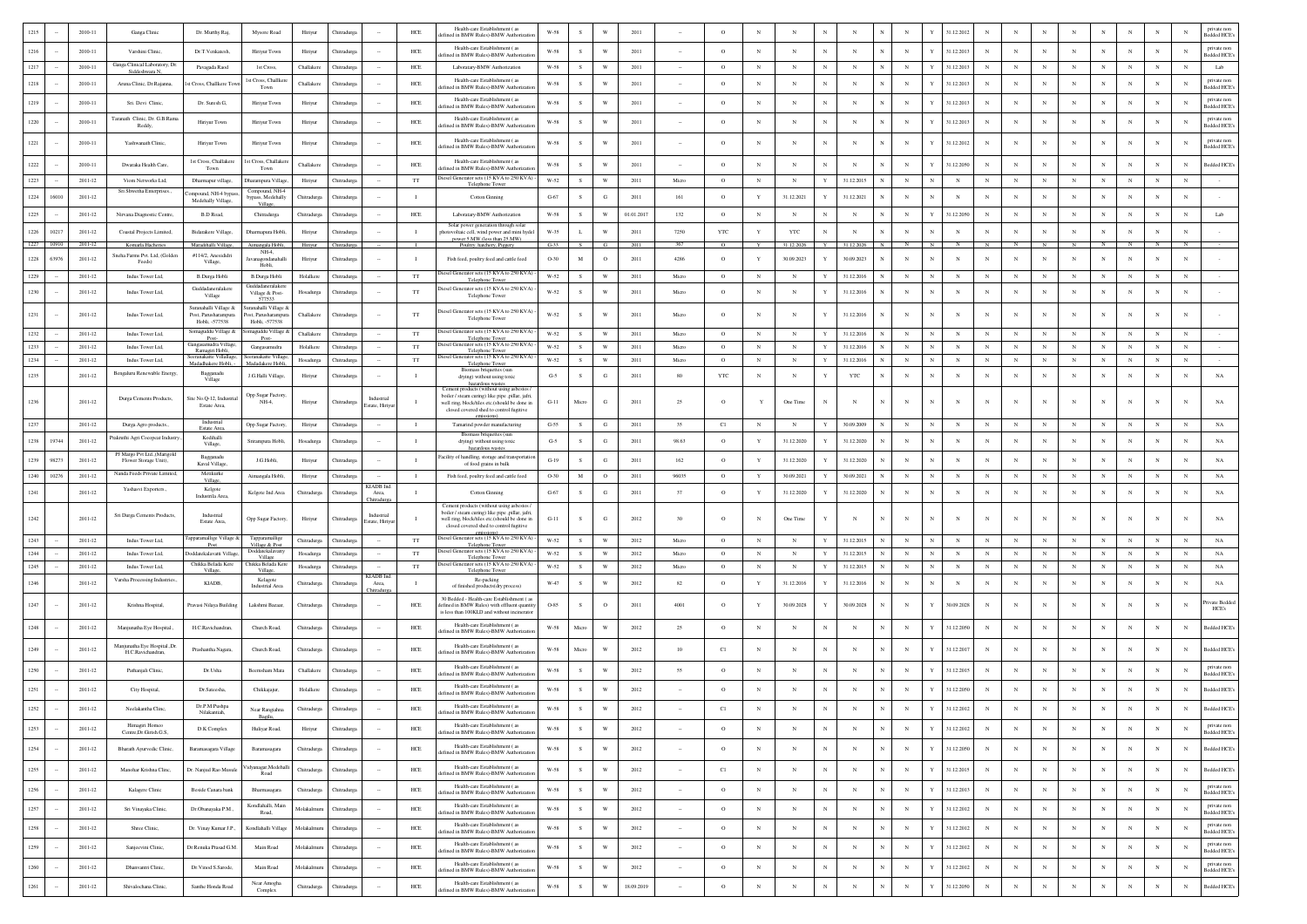|      |            |             |                                                       |                                           |                                               |             |                    |                                      |                | Health-care Establishment (as                                                                                                                                                           |                      |              |                         |            |        |             |              |            |             |              |              |              |              |            |              |             |             |              |             |             |            |            |                                    |
|------|------------|-------------|-------------------------------------------------------|-------------------------------------------|-----------------------------------------------|-------------|--------------------|--------------------------------------|----------------|-----------------------------------------------------------------------------------------------------------------------------------------------------------------------------------------|----------------------|--------------|-------------------------|------------|--------|-------------|--------------|------------|-------------|--------------|--------------|--------------|--------------|------------|--------------|-------------|-------------|--------------|-------------|-------------|------------|------------|------------------------------------|
|      |            | 2010-11     | Ganga Clinic                                          | Dr. Murthy Raj.                           | Mysore Road                                   | Hiriyur     | Chitradure         |                                      | $HEE$          | fined in BMW Rules)-BMW Authoriza                                                                                                                                                       | $_{\rm W\text{-}58}$ |              |                         | 2011       |        | $\circ$     |              |            |             |              |              | $_{\rm N}$   |              | 31.12.2012 |              |             |             |              |             |             |            | N          | <b>Bedded HCE</b>                  |
| 1216 |            | 2010-11     | Varshini Clinic.                                      | Dr.T.Venkatesh.                           | Hiriyur Town                                  | Hiriyur     | Chitradure         |                                      | <b>HCE</b>     | Health-care Establishment (as<br>ted in BMW Rules)-BMW Authoriza                                                                                                                        | W-58                 | s.           | W                       | 2011       |        | $\circ$     | $_{\rm N}$   | $_{\rm N}$ | $_{\rm N}$  | $_{\rm N}$   | $\mathbb{N}$ | $_{\rm N}$   | Y            | 31.12.2013 | $\mathbf{N}$ |             | $_{\rm N}$  | $_{\rm N}$   | N           | $\mathbf N$ | $_{\rm N}$ | $_{\rm N}$ | private non<br>edded HCE's         |
| 1217 |            | 2010-11     | Ganga Clinical Laboratory, Dr.<br>Siddeshwara N       | Pavagada Raod                             | 1st Cross,                                    | Challakere  | Chitradurg         |                                      | $HEE$          | Laboratary-BMW Authorization                                                                                                                                                            | W-58                 | $\mathbf{s}$ | W                       | 2011       |        | $\circ$     | $_{\rm N}$   | $_{\rm N}$ | $_{\rm N}$  | $_{\rm N}$   |              | $_{\rm N}$   |              | 31.12.2013 | $_{\rm N}$   |             |             | $\mathbf N$  | N           |             | $_{\rm N}$ | $_{\rm N}$ | Lab                                |
| 1218 |            | 2010-11     | Aruna Clinic, Dr.Rajanna,                             | st Cross, Challkere To                    | 1st Cross, Challker<br>Town                   | Challakere  | Thitradure         |                                      | $HEE$          | Health-care Establishment (as<br>fined in BMW Rules)-BMW Authoriza                                                                                                                      | $_{\rm W\text{-}58}$ | s            | W                       | 2011       |        | $\circ$     | $_{\rm N}$   | N          | $_{\rm N}$  | $_{\rm N}$   |              | N            |              | 31.12.2013 |              |             |             | N            |             |             | N          | N          | private non<br>edded HCE           |
| 1219 |            | 2010-11     | Sri. Devi Clinic,                                     | Dr. Suresh G,                             | Hiriyur Town                                  | Hiriyur     | Chitradurga        |                                      | HCE            | Health-care Establishment (as<br>fined in BMW Rules)-BMW Authorizat                                                                                                                     | W-58                 | s            | W                       | 2011       |        | $\circ$     | $_{\rm N}$   | $_{\rm N}$ | $_{\rm N}$  | $_{\rm N}$   | $_{\rm N}$   | $_{\rm N}$   | Y            | 31.12.2013 | $_{\rm N}$   |             | N           | N            | N           |             | N          | N          | private non<br>edded HCE's         |
| 1220 |            | 2010-11     | Taranath Clinic, Dr. G.B.Rama<br>Reddy.               | Hiriyur Town                              | Hiriyur Town                                  | Hiriyur     | Chitradurga        |                                      | ${\rm HCE}$    | Health-care Establishment (as<br>efined in BMW Rules)-BMW Authorizatio                                                                                                                  | W-58                 | s            | W                       | 2011       |        | $\circ$     | $_{\rm N}$   | N          | $_{\rm N}$  | $_{\rm N}$   | N            | $_{\rm N}$   | Y            | 31.12.2013 | $_{\rm N}$   |             |             |              | $\mathbf N$ |             | $_{\rm N}$ |            | private non<br><b>Bedded HCE's</b> |
| 1221 |            | 2010-11     | Yashwanath Clinic,                                    | Hiriyur Town                              | Hiriyur Town                                  | Hiriyur     | <b>Thitradurg</b>  |                                      | ${\rm HCE}$    | Health-care Establishment (as                                                                                                                                                           | $_{\rm W\text{-}58}$ | s            | W                       | 2011       |        | $\circ$     |              | N          | $_{\rm N}$  | N            |              | $_{\rm N}$   |              | 31.12.2012 |              |             | $_{\rm N}$  |              |             |             | $_{\rm N}$ | $_{\rm N}$ | private non                        |
| 1222 |            | 2010-11     |                                                       | 1st Cross, Challakere                     | 1st Cross, Challake                           | Challakere  | Chitradurg         |                                      | HCE            | fined in BMW Rules)-BMW Authorizat<br>Health-care Establishment (as                                                                                                                     | W-58                 | $\mathbf S$  | W                       | 2011       |        | $\circ$     |              | N          | N           | $_{\rm N}$   |              | N            |              | 1.12.2050  |              |             |             | N            | $\mathbf N$ |             | $_{\rm N}$ | $_{\rm N}$ | Bedded HCE's<br>ledded HCE's       |
|      |            |             | Dwaraka Health Care,                                  | Town                                      | Town                                          |             |                    |                                      |                | efined in BMW Rules)-BMW Authorizat<br>Diesel Generator sets (15 KVA to 250 KVA)                                                                                                        |                      |              |                         |            |        |             |              |            |             |              |              |              |              |            |              |             |             |              |             |             |            |            |                                    |
| 1223 |            | $2011 - 12$ | Viom Networks Ltd,<br>Sri Shwetha Enterprises         | Dharmapur village,<br>mpound, NH-4 by:    | Dharampura Village<br>Compound, NH-4          | Hiriyur     | Chitradurga        |                                      | $_{\rm TT}$    | Telephone Tower                                                                                                                                                                         | $W-52$               | $\mathbf{s}$ | $\ensuremath{\text{W}}$ | 2011       | Micro  | $\circ$     | $_{\rm N}$   | $_{\rm N}$ | $\mathbf Y$ | 31.12.2015   |              | $_{\rm N}$   |              | $_{\rm N}$ |              | $_{\rm N}$  | $_{\rm N}$  | $_{\rm N}$   | $_{\rm N}$  | $_{\rm N}$  | $_{\rm N}$ | $_{\rm N}$ |                                    |
| 1224 | 16010      | $2011 - 12$ |                                                       | Medehally Village,                        | sypass, Medehally<br>Village                  | Chitradurga | Chitradurg         |                                      |                | Cotton Ginning                                                                                                                                                                          | $G-67$               | $\mathbf S$  | G                       | 2011       | 161    | $\circ$     | Y            | 31.12.2021 | Y           | 31.12.2021   |              | $_{\rm N}$   |              |            |              |             |             |              | $\mathbf N$ |             | $_{\rm N}$ |            |                                    |
| 1225 |            | $2011 - 12$ | Nirvana Diagnostic Centre.                            | <b>B.D Road.</b>                          | Chitradurga                                   | Chitradurga | Chitradures        |                                      | <b>HCE</b>     | Laboratary-BMW Authorization                                                                                                                                                            | W-58                 | s.           | W                       | 01.01.2017 | 132    | $\circ$     | $_{\rm N}$   | N          | $_{\rm N}$  | $_{\rm N}$   | N            | $\mathbb{N}$ | Y            | 31.12.2050 | $_{\rm N}$   | N           | N           | $_{\rm N}$   | N           |             | $_{\rm N}$ | $_{\rm N}$ | Lab                                |
| 1226 | 10217      | $2011 - 12$ | Coastal Projects Limited,                             | Bidarakere Village,                       | Dharmapura Hobli                              | Hiriyu      | Chitradurg         |                                      | - 1            | Solar power generation through solar<br>totovoltaic cell, wind power and mini hydel<br>power 5 MW (less than 25 MW).                                                                    | W-35                 | $\mathbf L$  | W                       | 2011       | 7250   | <b>YTC</b>  | Y            | YTC        | N           | $_{\rm N}$   |              | $_{\rm N}$   |              |            |              |             |             |              | N           |             | N          | N          |                                    |
|      | 1227 10910 | 2011-12     | Komarla Hacheries                                     | Maradihalli Village,                      | Aimangala Hobli<br>NH-4.                      | Hiriyur     | Chitradurga        |                                      | $\blacksquare$ | Poultry, hatchery, Piggery                                                                                                                                                              | $G-33$               | s.           | G                       | 2011       | 367    | $\circ$     | Y            | 31.12.2026 | Y           | 31.12.2026   | N            | $\mathbb{N}$ | N            |            | N            |             | - N         | <b>N</b>     |             |             |            | $_{\rm N}$ |                                    |
| 1228 | 63976      | $2011 - 12$ | Sneha Farms Pvt. Ltd, (Golden<br>Feeds)               | #114/2, Anesididri<br>Village,            | vanaeondanahall<br>Hobli,                     | Hiriyur     | Chitradurga        |                                      | $\blacksquare$ | Fish feed, poultry feed and cattle feed                                                                                                                                                 | O-30                 | $_{\rm M}$   | $\circ$                 | 2011       | 4286   | $\circ$     | Y            | 30.09.2023 | Y           | 30.09.2023   | $\mathbb{N}$ | $_{\rm N}$   | $\mathbf{N}$ | $_{\rm N}$ | $_{\rm N}$   |             | $_{\rm N}$  | N            | N           |             | $_{\rm N}$ | N          |                                    |
| 1229 |            | $2011 - 12$ | Indus Tower Ltd,                                      | B.Durga Hobli                             | B.Durga Hobli                                 | Holalkere   | Chitradurga        |                                      | TT             | iesel Generator sets (15 KVA to 250 KVA)<br><b>Telephone Tower</b>                                                                                                                      | W-52                 | s            | W                       | 2011       | Micro  | $\circ$     | $_{\rm N}$   | $_{\rm N}$ | Y           | 31.12.2016   | $_{\rm N}$   | $_{\rm N}$   | N            | $_{\rm N}$ | $_{\rm N}$   | $_{\rm N}$  | $_{\rm N}$  | $_{\rm N}$   | N           |             | $_{\rm N}$ | $_{\rm N}$ |                                    |
| 1230 |            | $2011 - 12$ | Indus Tower Ltd,                                      | Guddadaneralakere<br>Village              | Guddadaneralaker<br>Village & Post-<br>577533 | Hosadurga   | <b>Thitradurga</b> |                                      | $_{\rm TT}$    | Diesel Generator sets (15 KVA to 250 KVA)<br>Telephone Tower                                                                                                                            | $W-52$               |              | W                       | 2011       | Micro  | $\circ$     | $_{\rm N}$   | $_{\rm N}$ |             | 31.12.2016   |              | $_{\rm N}$   |              | $_{\rm N}$ |              |             | $_{\rm N}$  | N            |             |             | $_{\rm N}$ | $_{\rm N}$ |                                    |
|      |            |             |                                                       | Suranahalli Village &                     | Suranahalli Village &                         |             |                    |                                      |                | Diesel Generator sets (15 KVA to 250 KVA)                                                                                                                                               |                      |              |                         |            |        |             |              |            |             |              |              |              |              |            |              |             |             |              |             |             |            |            |                                    |
| 1231 |            | $2011 - 12$ | Indus Tower Ltd.                                      | Post, Parusharampur<br>Hobli, -577538     | Post, Parusharamn<br>Hobli, -577538           | Challakere  | Chitradure         |                                      | TT             | Telephone Tower                                                                                                                                                                         | W-52                 | - S          | W                       | 2011       | Micro  | $\circ$     | $\mathbf N$  | N          | Y           | 31.12.2016   |              | $_{\rm N}$   |              | N          | $_{\rm N}$   |             | N           |              | N           |             | $_{\rm N}$ | N          |                                    |
| 1232 |            | $2011 - 12$ | Indus Tower Ltd,                                      | omaguddu Village &<br>Post-               | aguddu Villag<br>Post-                        | Challakere  | Chitradurg         |                                      | $_{\rm TT}$    | esel Generator sets (15 KVA to 250 KVA)<br>Telephone Tower                                                                                                                              | $W-52$               | s            | W                       | 2011       | Micro  | $\circ$     | $_{\rm N}$   | $_{\rm N}$ | Y           | 31.12.2016   |              | $_{\rm N}$   |              |            |              |             |             | N            |             |             | N          | $_{\rm N}$ |                                    |
| 1233 |            | $2011 - 12$ | Indus Tower Ltd.                                      | Gangasamudra Village<br>Ramagiri Hobli,   | Gangasamudra                                  | Holalkere   | Chitradure         |                                      | TT             | Diesel Generator sets (15 KVA to 250 KVA)<br>Telephone Tower                                                                                                                            | W-52                 | s            | W                       | 2011       | Micro  | $\circ$     | $_{\rm N}$   | $_{\rm N}$ | $\mathbf Y$ | 31.12.2016   |              | $_{\rm N}$   | N            | $_{\rm N}$ | $\mathbf{N}$ |             |             | $\mathbf N$  | N           |             | $_{\rm N}$ | $_{\rm N}$ |                                    |
| 1234 |            | $2011 - 12$ | Indus Tower Ltd,                                      | anakatte Villallage<br>Madadhakere Hobli, | makatte Villa<br>Madadakere Hobl              | Hosadurga   | <b>Thitradurga</b> |                                      | $_{\rm TT}$    | iesel Generator sets (15 KVA to 250 KVA)<br>Telephone Tower<br>Biomass briquettes (sur                                                                                                  | W-52                 | s            | $\ensuremath{\text{W}}$ | 2011       | Micro  | $\circ$     | $_{\rm N}$   | $_{\rm N}$ | Y           | 31.12.2016   |              | $_{\rm N}$   | N            | $_{\rm N}$ |              | $_{\rm N}$  | $_{\rm N}$  | $_{\rm N}$   | N           | $_{\rm N}$  | $_{\rm N}$ | $_{\rm N}$ |                                    |
| 1235 |            | $2011 - 12$ | Bengaluru Renewable Energy,                           | Bagganadu<br>Village                      | J.G.Halli Village,                            | Hiriyur     | Thitradurg         |                                      | $\mathbf{I}$   | drying) without using toxic<br>hazardous wastes                                                                                                                                         | $G-5$                | $\mathbf S$  | G                       | 2011       | 80     | YTC         | $_{\rm N}$   | $_{\rm N}$ |             | $_{\rm YTC}$ |              | $_{\rm N}$   |              | $_{\rm N}$ |              |             | $_{\rm N}$  | N            |             | $_{\rm N}$  | $_{\rm N}$ | $_{\rm N}$ | $_{\rm NA}$                        |
| 1236 |            | $2011 - 12$ | Durga Cements Products,                               | Site No.O-12. Industri<br>Estate Area.    | Opp Sugar Factory<br>NH-4,                    | Hiriyur     | Chitradurga        | Industrial<br><b>Estate</b> , Hiriyu |                | Cement products (without using asbesto<br>boiler / steam curing) like pipe ,pillar, jafri<br>well ring, block/tiles etc.(should be done in<br>closed covered shed to control fugitive   | $G-11$               | Micro        | G                       | 2011       | 25     | $\circ$     | Y            | One Time   | $_{\rm N}$  | N            | $_{\rm N}$   | $_{\rm N}$   |              |            |              |             | $_{\rm N}$  |              | $_{\rm N}$  |             | $_{\rm N}$ |            |                                    |
| 1237 |            | $2011 - 12$ | Durga Agro products                                   | Industrial                                | Opp Sugar Factory                             | Hiriyur     | Chitradurga        |                                      | $\mathbf{I}$   | Tamarind powder manufacturing                                                                                                                                                           | $G-55$               | s            | G                       | 2011       | 35     | C1          | $_{\rm N}$   | $_{\rm N}$ | Y           | 30.09.2009   | N            | $_{\rm N}$   |              | $_{\rm N}$ | $_{\rm N}$   | $_{\rm N}$  | N           | $_{\rm N}$   | $_{\rm N}$  | N           | $_{\rm N}$ | $_{\rm N}$ | $_{\rm NA}$                        |
| 1238 | 19744      | $2011 - 12$ | rakruthi Agri Cocopeat Industry                       | Estate Area<br>Kodihalli                  | Srirampura Hobli,                             | Hosadurga   | Chitradurg         |                                      | $\blacksquare$ | Biomass briquettes (sun<br>drying) without using toxic                                                                                                                                  | $G-5$                | s            | G                       | 2011       | 98.63  | $\circ$     | Y            | 31.12.2020 | Y           | 31.12.2020   |              | $_{\rm N}$   |              | $_{\rm N}$ | N            |             | N           | N            | N           | N           | $_{\rm N}$ | $_{\rm N}$ | $_{\rm NA}$                        |
|      |            |             | PJ Margo Pvt Ltd.,(Marigold                           | Village,<br>Baeganadu                     |                                               |             |                    |                                      |                | hazardous wastes<br>Facility of handling, storage and transportation                                                                                                                    |                      |              |                         |            |        |             |              |            |             |              |              |              |              |            |              |             |             |              |             |             |            |            |                                    |
| 1239 | 98273      | $2011 - 12$ | Flower Storage Unit),<br>Nanda Feeds Private Limited, | Kaval Village<br>Metikurke                | J.G.Hobli,                                    | Hiriyur     | Chitradurg         |                                      | $\blacksquare$ | of food grains in bulk                                                                                                                                                                  | $G-19$               | $\mathbf S$  | G                       | 2011       | 162    | $\circ$     | $\mathbf Y$  | 31.12.2020 |             | 31.12.2020   |              | $_{\rm N}$   |              | $_{\rm N}$ |              |             |             | N            |             |             | $_{\rm N}$ | $_{\rm N}$ | NA                                 |
| 1240 | 10276      | $2011 - 12$ |                                                       | Village.                                  | Aimangala Hobli,                              | Hiriyur     | Chitradurga        | KIADB Ind                            | $\mathbf{I}$   | Fish feed, poultry feed and cattle feed                                                                                                                                                 | $O-30$               | $\mathbf M$  | $\circ$                 | 2011       | 96035  | $\circ$     | Y            | 30.09.2021 | Y           | 30.09.2021   | N            | $_{\rm N}$   | N            | $_{\rm N}$ |              | $_{\rm N}$  | $_{\rm N}$  | $_{\rm N}$   | $_{\rm N}$  | $_{\rm N}$  | $_{\rm N}$ | $_{\rm N}$ | NA                                 |
| 1241 |            | $2011 - 12$ | Yashasvi Exporters.,                                  | Kelgote<br>Industrila Area,               | Kelgote Ind Area                              | Chitradurga | Chitradurs         | Area,                                | $\mathbf{I}$   | Cotton Ginning                                                                                                                                                                          | $G-67$               | s            | G                       | 2011       | 37     | $\circ$     | $\mathbf Y$  | 31.12.2020 | Y           | 31.12.2020   |              | $_{\rm N}$   |              | $_{\rm N}$ | $_{\rm N}$   |             | N           | N            | N           |             | $_{\rm N}$ | $_{\rm N}$ | NA                                 |
| 1242 |            | $2011 - 12$ | Sri Durga Cements Products,                           | Industrial<br>Estate Area.                | Opp Sugar Factory,                            | Hiriyur     | Chitradurga        | Industrial<br><b>Estate</b> , Hiriye |                | Cement products (without using asbestos<br>boiler / steam curing) like pipe .pillar, jafri.<br>well ring, block/tiles etc.(should be done in<br>closed covered shed to control fugitive | $G-11$               | s            | G                       | 2012       | 30     | $\circ$     |              | One Time   | Y           | $_{\rm N}$   | $_{\rm N}$   | N            |              |            | $_{\rm N}$   |             | $_{\rm N}$  |              | $\mathbf N$ |             | $_{\rm N}$ |            | NA                                 |
| 1243 |            | $2011 - 12$ | Indus Tower Ltd,                                      | apparamallige Village &<br>Post           | Tapparamallige<br>Village & Post              | Chitradurga | Chitradurga        |                                      | TT             | Diesel Generator sets (15 KVA to 250 KVA)<br>Telephone Tower                                                                                                                            | W-52                 | S            | $\mathbf{W}$            | 2012       | Micro  | $\circ$     | $_{\rm N}$   | $_{\rm N}$ | $\mathbf Y$ | 31.12.2015   | N            | ${\bf N}$    | N            | $_{\rm N}$ | $_{\rm N}$   | N           | N           | $_{\rm N}$   | $_{\rm N}$  | $_{\rm N}$  | $_{\rm N}$ | $_{\rm N}$ | $_{\rm NA}$                        |
| 1244 |            | $2011 - 12$ | Indus Tower Ltd,                                      | oddatekalavatti Villag                    | Doddatekalavatt<br>Village                    | Hosadurga   | Chitradurga        |                                      | $_{\rm TT}$    | Diesel Generator sets (15 KVA to 250 KVA)<br>Telephone Towe                                                                                                                             | $W-52$               | $\,$ s       | $\mathbf{W}$            | 2012       | Micro  | $\circ$     | $_{\rm N}$   | $_{\rm N}$ | Y           | 31.12.2015   |              | $_{\rm N}$   |              | $_{\rm N}$ |              |             |             | $_{\rm N}$   | $\mathbf N$ |             | $_{\rm N}$ | $_{\rm N}$ | $_{\rm NA}$                        |
| 1245 |            | $2011 - 12$ | Indus Tower Ltd,                                      | Chikka Belada Kere<br>Village,            | Chikka Belada Ker<br>Village                  | Hosadurga   | Chitradurg         |                                      | TT             | Diesel Generator sets (15 KVA to 250 KVA)<br>Telephone Tower                                                                                                                            | W-52                 | s            | W                       | 2012       | Micro  | $\circ$     | $_{\rm N}$   | $_{\rm N}$ | Y           | 31.12.2015   |              | N            |              | $_{\rm N}$ | $\mathbb{N}$ | $\mathbf N$ |             | $_{\rm N}$   | N           | $_{\rm N}$  | $_{\rm N}$ | $_{\rm N}$ | $_{\rm NA}$                        |
| 1246 |            | $2011 - 12$ | Varsha Processing Industries.                         | KIADB,                                    | Kelagote<br><b>Industrial Area</b>            | Chitradurga | Chitradurg         | KIADB Ind<br>Area,<br>iitradu        | <b>T</b>       | Re-packing<br>of finished products(dry process)                                                                                                                                         | W-47                 | s            | W                       | 2012       | 82     | $\circ$     | $\mathbf{Y}$ | 31.12.2016 | Y           | 31.12.2016   | $_{\rm N}$   | $_{\rm N}$   | N            | $_{\rm N}$ | $\mathbf{N}$ | $_{\rm N}$  | $\mathbf N$ | $\mathbf{N}$ | N           | $_{\rm N}$  | $_{\rm N}$ | $_{\rm N}$ | $_{\rm NA}$                        |
| 1247 |            | $2011 - 12$ | Krishna Hospital,                                     | Pravasi Nilaya Building                   | Lakshmi Bazaar                                | Chitradurga | Chitradurg         |                                      | HCE            | 30 Bedded - Health-care Establishment (a<br>lefined in BMW Rules) with effluent quantity<br>is less than 100KLD and without incinerato                                                  | O-85                 | s            | $\circ$                 | 2011       | 4001   | $\circ$     | Y            | 30.09.2028 | Y           | 30.09.2028   |              | N            |              | 30.09.2028 |              |             | $_{\rm N}$  |              |             |             | N          |            | ivate Bedded<br>HCE's              |
| 1248 |            | $2011 - 12$ | Manjunatha Eye Hospital.,                             | H.C.Ravichandran,                         | Church Road,                                  | Chitradurga | Chitradurg         |                                      | $HEE$          | Health-care Establishment (as<br>fined in BMW Rules)-BMW Authoriza                                                                                                                      | W-58                 | Micro        | W                       | 2012       | 25     | $\circ$     | $_{\rm N}$   | N          | $_{\rm N}$  | $_{\rm N}$   |              | $_{\rm N}$   |              | 31.12.2050 |              |             |             | N            |             |             | $_{\rm N}$ | $_{\rm N}$ | ledded HCE's                       |
| 1249 |            | $2011 - 12$ | Manjunatha Eye Hospital., Dr.<br>H.C.Ravichandran     | Prashantha Nagara,                        | Church Road,                                  | Chitradurga | Chitradurga        |                                      | $HEE$          | Health-care Establishment (as<br>efined in BMW Rules)-BMW Authorizat                                                                                                                    | W-58                 | Micro        | W                       | 2012       | 10     | C1          | N            | N          | $\mathbf N$ | N            |              | $_{\rm N}$   |              | 31.12.2017 | $_{\rm N}$   |             |             |              | N           |             | N          |            | <b>Sedded HCE's</b>                |
| 1250 |            | $2011 - 12$ | Pathanjali Clinic,                                    | Dr.Usha                                   | Beemsham Mata                                 | Challakere  | Chitradurg         |                                      | $HEE$          | Health-care Establishment (as<br>efined in BMW Rules)-BMW Authoriza                                                                                                                     | W-58                 | s            | W                       | 2012       | 55     | $\circ$     | $_{\rm N}$   | $_{\rm N}$ | $_{\rm N}$  | $_{\rm N}$   |              | ${\bf N}$    |              | 31.12.2015 |              |             |             | N            |             |             | N          | N          | private non<br>edded HCE           |
| 1251 |            | $2011 - 12$ | City Hospital,                                        | Dr.Sateesha.                              | Chikkajajur.                                  | Holalkere   | Chitradure         |                                      | HCE            | Health-care Establishment (as<br>ined in BMW Rules)-BMW Authorizat                                                                                                                      | W-58                 | -S           | W                       | 2012       |        | $\circ$     | $_{\rm N}$   | N          | $_{\rm N}$  | $_{\rm N}$   |              | $_{\rm N}$   |              | 31.12.2050 | $_{\rm N}$   |             |             |              |             |             | N          | N          | <b>Sedded HCE's</b>                |
| 1252 |            | $2011 - 12$ | Neelakantha Clinc,                                    | Dr.P.M.Pushpa<br>Nilakantiah,             | Near Rangiahna                                | Chitradurga | Chitradurga        |                                      | $HEE$          | Health-care Establishment (as<br>efined in BMW Rules)-BMW Authorizatio                                                                                                                  | $W-58$               | ${\bf s}$    | $\ensuremath{\text{W}}$ | 2012       |        | C1          |              |            | $_{\rm N}$  | $_{\rm N}$   | $_{\rm N}$   | $_{\rm N}$   |              | 31.12.2012 |              |             |             |              |             |             |            | N          | ledded HCE's                       |
| 1253 |            | $2011 - 12$ | Himagiri Homes<br>Centre.Dr.Girish.G.S.               | D.K Complex                               | Huliyar Road,                                 | Hiriyur     | Chitradurga        |                                      | $HEE$          | Health-care Establishment (as<br>efined in BMW Rules)-BMW Authorizatio                                                                                                                  | $_{\rm W\text{-}58}$ | S            | W                       | 2012       |        | $\circ$     | $_{\rm N}$   | $_{\rm N}$ | $_{\rm N}$  | $_{\rm N}$   | $_{\rm N}$   | $_{\rm N}$   | Y            | 31.12.2012 | $_{\rm N}$   |             | $_{\rm N}$  | N            | $_{\rm N}$  | $_{\rm N}$  | $_{\rm N}$ | $_{\rm N}$ | private non<br><b>Sedded HCE's</b> |
| 1254 |            | $2011 - 12$ | Bharath Ayurvedic Clinic,                             | Baramasagara Village                      | Baramasagara                                  | Chitradurga | Chitradurga        | $\sim$                               | $HEE$          | Health-care Establishment (as<br>efined in BMW Rules)-BMW Authorizati                                                                                                                   | $_{\rm W\text{-}58}$ | s            | W                       | 2012       | $\sim$ | $\circ$     | $_{\rm N}$   | N          | $_{\rm N}$  | $_{\rm N}$   | $_{\rm N}$   | $_{\rm N}$   | Y            | 31.12.2050 | $_{\rm N}$   | $_{\rm N}$  | $_{\rm N}$  | N            | $\mathbf N$ | $_{\rm N}$  | $_{\rm N}$ | $_{\rm N}$ | Bedded HCE's                       |
| 1255 |            | $2011 - 12$ | Manohar Krishna Clinc,                                | Dr. Nanjud Rao Musule                     | Vidyanagar, Medehal<br>Road                   | Chitradurga | Chitradurga        |                                      | $HEE$          | Health-care Establishment ( as<br>fefined in BMW Rules)-BMW Authorizati                                                                                                                 | $W-58$               | ${\bf s}$    | $\ensuremath{\text{W}}$ | 2012       | $\sim$ | C1          | $_{\rm N}$   | $_{\rm N}$ | $_{\rm N}$  | $_{\rm N}$   | $_{\rm N}$   | $_{\rm N}$   | $\mathbf Y$  | 31.12.2015 | $_{\rm N}$   | $_{\rm N}$  | $_{\rm N}$  | $_{\rm N}$   | $_{\rm N}$  | $_{\rm N}$  | $_{\rm N}$ | $_{\rm N}$ | ledded HCE's                       |
| 1256 |            | $2011 - 12$ | Kalagere Clinic                                       | Beside Canara bank                        | Bharmasagara                                  | Chitradurga | Chitradurga        | $\sim$                               | $HEE$          | Health-care Establishment (as<br>fefined in BMW Rules)-BMW Authoriza                                                                                                                    | W-58                 | s.           | W                       | 2012       | $\sim$ | $\circ$     | $_{\rm N}$   | $_{\rm N}$ | $_{\rm N}$  | $_{\rm N}$   | $_{\rm N}$   | $_{\rm N}$   | Y            | 31.12.2013 | $_{\rm N}$   | $_{\rm N}$  | $_{\rm N}$  | $_{\rm N}$   | $_{\rm N}$  | $_{\rm N}$  | $_{\rm N}$ | $_{\rm N}$ | private non<br><b>Bedded HCE's</b> |
| 1257 |            | $2011 - 12$ | Sri Vinayaka Clinic,                                  | Dr.Obanayaka P.M.,                        | Kondlahalli, Main<br>Road,                    | Molakalmuru | Chitradurga        | $\sim$                               | $HEE$          | Health-care Establishment (as<br>efined in BMW Rules)-BMW Authorizati                                                                                                                   | $W-58$               | s            | $\mathbf{W}$            | 2012       | $\sim$ | $\,$ O $\,$ | $_{\rm N}$   | $_{\rm N}$ | $_{\rm N}$  | $_{\rm N}$   | $_{\rm N}$   | $_{\rm N}$   |              | 31.12.2012 | $_{\rm N}$   | $_{\rm N}$  | $_{\rm N}$  | N            | $_{\rm N}$  | $_{\rm N}$  | $_{\rm N}$ | $_{\rm N}$ | private non<br><b>Sedded HCE's</b> |
|      |            |             |                                                       | Dr. Vinay Kumar J.P.,                     | Kondlahalli Village                           |             |                    |                                      |                | Health-care Establishment (as                                                                                                                                                           | $_{\rm W\text{-}58}$ | s            | $\ensuremath{\text{W}}$ | 2012       | $\sim$ | $\circ$     | $_{\rm N}$   | $_{\rm N}$ | $_{\rm N}$  | $_{\rm N}$   | $_{\rm N}$   | $_{\rm N}$   |              | 31.12.2012 | $_{\rm N}$   | $_{\rm N}$  | $_{\rm N}$  | $_{\rm N}$   | $_{\rm N}$  | $_{\rm N}$  | $_{\rm N}$ | $_{\rm N}$ | private non                        |
|      |            |             |                                                       |                                           |                                               |             |                    |                                      |                |                                                                                                                                                                                         |                      |              |                         |            |        |             |              |            |             |              |              |              |              |            |              |             |             |              |             |             |            |            | Bedded HCE's                       |
| 1258 |            | $2011 - 12$ | Shree Clinic,                                         |                                           |                                               | Molakalmuru | Chitradurga        | $\sim$                               | $HEE$          | lefined in BMW Rules)-BMW Authorizati                                                                                                                                                   |                      |              |                         |            |        |             |              |            |             |              |              |              |              |            |              |             |             |              |             |             |            |            |                                    |
| 1259 |            | $2011 - 12$ | Sanieevini Clinic.                                    | Dr.Renuka Prasad G.M.                     | Main Road                                     | Molakalmuru | Chitradurga        | $\sim$                               | HCE            | Health-care Establishment (as<br>fefined in BMW Rules)-BMW Authorizat                                                                                                                   | <b>W-58</b>          | s            | $\mathbf{W}$            | 2012       | $\sim$ | $\circ$     | $_{\rm N}$   | $_{\rm N}$ | $_{\rm N}$  | $_{\rm N}$   | $_{\rm N}$   | $_{\rm N}$   | Y            | 31.12.2012 | $_{\rm N}$   | $_{\rm N}$  | $_{\rm N}$  | $_{\rm N}$   | N           | $_{\rm N}$  | $_{\rm N}$ | $_{\rm N}$ | private non<br>edded HCE           |
| 1260 |            | $2011 - 12$ | Dhanvantri Clinic                                     | Dr.Vinod S.Sarode,                        | Main Road                                     | Molakalmuru | Chitradurga        | $\sim$                               | $HEE$          | Health-care Establishment (as<br>defined in BMW Rules)-BMW Authorizatio                                                                                                                 | W-58                 | S            | W                       | 2012       | $\sim$ | $\circ$     | $_{\rm N}$   | $_{\rm N}$ | $_{\rm N}$  | $_{\rm N}$   | $_{\rm N}$   | $_{\rm N}$   | Y            | 31.12.2012 | $_{\rm N}$   | $_{\rm N}$  | $_{\rm N}$  | $_{\rm N}$   | $_{\rm N}$  | $_{\rm N}$  | $_{\rm N}$ | N          | private non<br><b>Sedded HCE's</b> |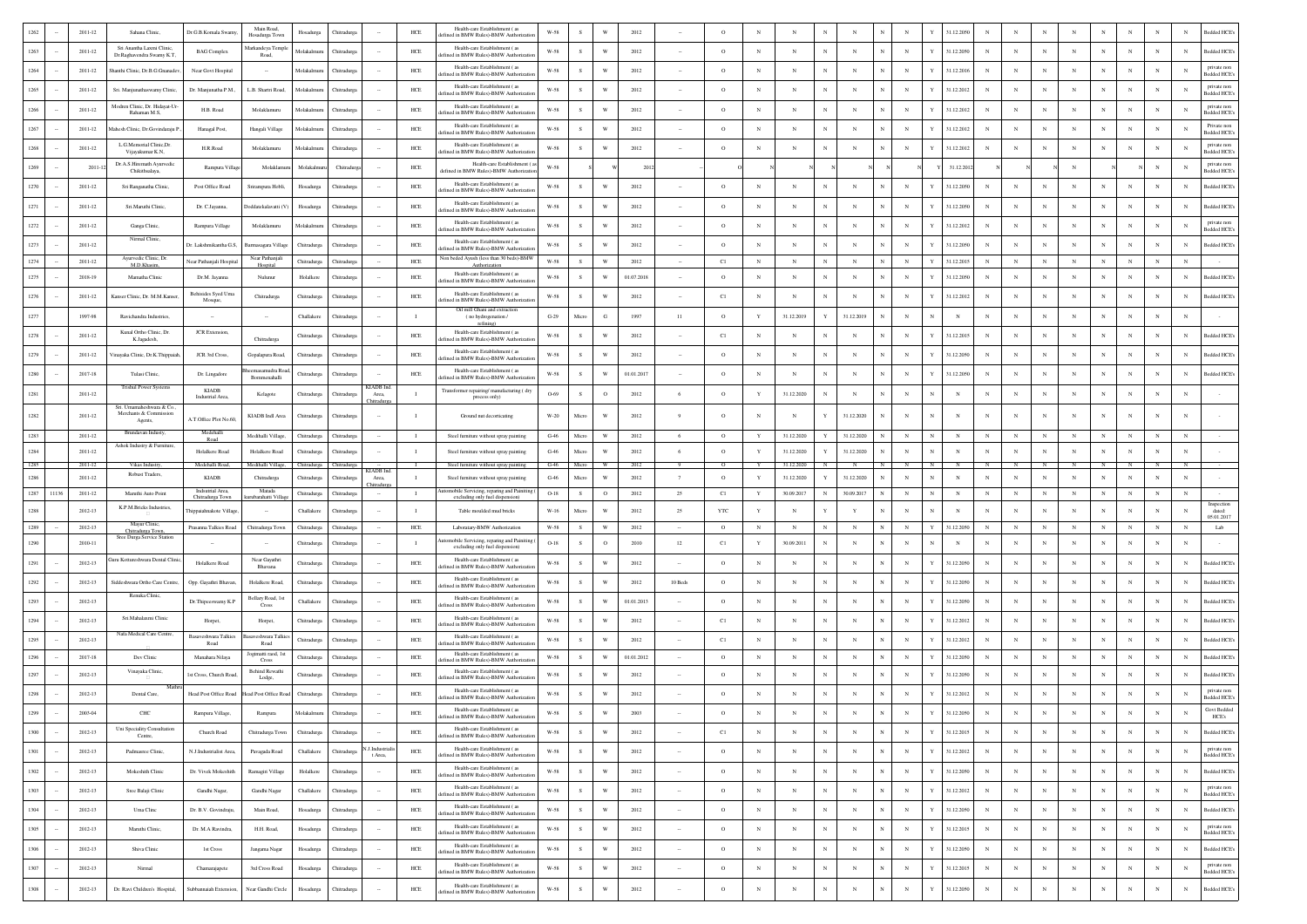|              |       | 2011-12     | Sahana Clinic,                                                   | Dr.G.B.Komala Swamy                 | Main Road.<br>Hosadurga Tow   | Hosadurga   | Chitradur   |                           | ${\rm HCE}$    | Health-care Establishment (as<br>ined in BMW Rules)-BMW Authoriza                                  | W-58                  |              |                                                    | 2012       |                | $\circ$           |              |            |                          |              |            |                      |             | 31.12.205                |             |            |              |            |                          |            |              |              | ledded HCE                         |
|--------------|-------|-------------|------------------------------------------------------------------|-------------------------------------|-------------------------------|-------------|-------------|---------------------------|----------------|----------------------------------------------------------------------------------------------------|-----------------------|--------------|----------------------------------------------------|------------|----------------|-------------------|--------------|------------|--------------------------|--------------|------------|----------------------|-------------|--------------------------|-------------|------------|--------------|------------|--------------------------|------------|--------------|--------------|------------------------------------|
| 1263         |       | $2011 - 12$ | Sri Anantha Laxmi Clinic<br>Dr.Raghavendra Swamy K.T,            | <b>BAG</b> Complex                  | Markandeya Templ<br>Road,     | Molakalmur  | Chitradurga |                           | $HEE$          | Health-care Establishment (as<br>ined in BMW Rules)-BMW Authoriza                                  | $_{\rm W-58}$         | s            | W                                                  | 2012       |                | $\circ$           | N            | N          |                          | N            |            | $_{\rm N}$           |             | 31.12.2050               |             |            | $_{\rm N}$   | $_{\rm N}$ | $\mathbf N$              | N          | N            | N            | Bedded HCE's                       |
| 1264         |       | 2011-12     | hanthi Clinic, Dr.B.G.Gnanadev                                   | Near Govt Hospital                  | $\sim$                        | Molakalmur  | Chitradure: |                           | HCE            | Health-care Establishment (as<br>ned in BMW Rules)-BMW Authoriz                                    | W-58                  | s            | W                                                  | 2012       |                | $\circ$           | $_{\rm N}$   | N          | N                        | N            |            | $_{\rm N}$           |             | 31.12.2016               | N           | $_{\rm N}$ | $_{\rm N}$   | $_{\rm N}$ | $_{\rm N}$               | $_{\rm N}$ | $_{\rm N}$   | N            | private nor<br>edded HCE's         |
| 1265         |       | 2011-12     | Sri. Manjunathaswamy Clinic,                                     | Dr. Manjunatha P.M.                 | L.B. Shartri Road,            | Molakalmu   | Chitradurg  |                           | HCE            | Health-care Establishment (as<br>fined in BMW Rules)-BMW Authoriza                                 | W-58                  | s            | W                                                  | 2012       |                | $\circ$           | $_{\rm N}$   | N          | N                        | N            |            | $_{\rm N}$           |             | 31.12.2012               | N           |            | $\mathbb{N}$ |            | N                        |            | $\mathbf N$  | N            | private nor<br>edded HCE's         |
| 1266         |       | $2011 - 12$ | Modren Clinic, Dr. Hidayat-Ur<br>Rahaman M.S.                    | H.B. Road                           | Molaklamuru                   | Molakalr    | Chitradurg  |                           | $HEE$          | Health-care Establishment (as<br>efined in BMW Rules)-BMW Authoriza                                | $_{\rm W-58}$         | s            | W                                                  | 2012       |                | $\circ$           | N            | N          |                          |              |            |                      |             | 31.12.2012               |             |            |              |            |                          |            |              |              | private nor<br><b>Bedded HCE</b>   |
| 1267         |       | 2011-12     | Mahesh Clinic, Dr.Govindaraju P                                  | Hanagal Post,                       | Hangali Village               | Molakalmur  | Chitradure  |                           | HCE            | Health-care Establishment (as                                                                      | W-58                  | - S          | W                                                  | 2012       |                | $\circ$           | $_{\rm N}$   | $_{\rm N}$ | $_{\rm N}$               | N            |            | $_{\rm N}$           |             | 31.12.2012               | -N          |            | N            |            | $_{\rm N}$               |            | N            | N            | Private non                        |
| 1268         |       | 2011-12     | L.G.Memorial Clinic.Dr.                                          | H.R.Road                            | Molaklamuru                   | Molakalm    | Chitradur   |                           | HCE            | fined in BMW Rules)-BMW Authoriz<br>Health-care Establishment (as                                  | W-58                  | s            | W                                                  | 2012       |                | $\circ$           | $_{\rm N}$   | N          | $_{\rm N}$               | N            |            | $_{\rm N}$           |             | 31.12.2012               |             |            | N            |            | N                        |            |              | N            | Sedded HCE's<br>private non        |
|              |       |             | Vijayakumar K.N.<br>Dr.A.S.Hiremath Ayurvedic                    |                                     |                               |             |             |                           |                | fined in BMW Rules)-BMW Authoriza<br>Health-care Establishment (                                   | W-58                  |              |                                                    |            |                |                   |              |            |                          |              |            |                      |             |                          |             |            |              |            |                          |            |              | $_{\rm N}$   | edded HCE<br>private nor           |
| 1269         |       | $2011-1$    | Chikithsalaya                                                    | Rampura Villa                       | Molaklan                      | Molakaln    | Chitradu    |                           | $HEE$          | defined in BMW Rules)-BMW Authorizatio<br>Health-care Establishment (as                            |                       |              |                                                    | 2012       |                |                   |              |            |                          |              |            |                      |             | 31.12.201                |             |            |              |            |                          |            |              |              | <b>Bedded HCE</b>                  |
| 1270         |       | 2011-12     | Sri Ranganatha Clinic,                                           | Post Office Road                    | Srirampura Hobli,             | Hosadurga   | Chitradure: |                           | HCE            | efined in BMW Rules)-BMW Authorizat<br>Health-care Establishment (as                               | W-58                  | -S           | W                                                  | 2012       |                | $\circ$           | $_{\rm N}$   | N          | $_{\rm N}$               | $_{\rm N}$   |            | $_{\rm N}$           |             | 31.12.2050               | $_{\rm N}$  |            | $_{\rm N}$   |            | $_{\rm N}$               | $_{\rm N}$ | N            | N            | Bedded HCE's                       |
| 1271         |       | 2011-12     | Sri.Maruthi Clinic                                               | Dr. C.Jayanna,                      | Doddatekalavatti (V           | Hosadurga   | Chitradurg  |                           | HCE            | efined in BMW Rules)-BMW Authorizati                                                               | W-58                  | s            | W                                                  | 2012       |                | $\circ$           | $_{\rm N}$   | N          | $_{\rm N}$               | N            |            | $_{\rm N}$           |             | 31.12.2050               | $_{\rm N}$  |            | $_{\rm N}$   |            | $_{\rm N}$               | $_{\rm N}$ | N            | $_{\rm N}$   | Bedded HCE's                       |
| 1272         |       | $2011 - 12$ | Ganga Clinic,<br>Nirmal Clinic,                                  | Rampura Village                     | Molaklamuru                   | Molakalmuru | Chitradurga |                           | $HEE$          | Health-care Establishment (as<br>efined in BMW Rules)-BMW Authorizatio                             | W-58                  | $\mathbf S$  | W                                                  | 2012       |                | $\circ$           | $_{\rm N}$   | N          | $_{\rm N}$               | N            |            | $_{\rm N}$           |             | 31.12.2012               |             |            |              |            | $_{\rm N}$               |            |              | N            | private non<br>Bedded HCE's        |
| 1273         |       | $2011 - 12$ |                                                                  | Dr. Lakshmikantha G.S.              | <b>Barmasagara Villa</b>      | Chitradurga | Chitradure  |                           | HCE            | Health-care Establishment (as<br>lefined in BMW Rules)-BMW Authorizati                             | W-58                  | -S           | W                                                  | 2012       |                | $\circ$           | N            | N          | N                        |              |            | $_{\rm N}$           |             | 31.12.2050               |             |            |              |            | N                        |            | N            | N            | Bedded HCE's                       |
| 1274         |       | $2011 - 12$ | Ayurvedic Clinic, Dr.<br>M.D.Khasim,                             | Vear Pathanjali Hospital            | Near Pathanjal<br>Hospital    | Chitradurga | Chitradurga |                           | $HEE$          | Ion beded Ayush (less than 30 beds)-BMW<br>Authorization<br>Health-care Establishment (as          | $W-58$                | s            | W                                                  | 2012       | $\sim$         | C1                | $_{\rm N}$   | $_{\rm N}$ | $_{\rm N}$               | $_{\rm N}$   |            | $_{\rm N}$           |             | 31.12.2015               | $_{\rm N}$  | N          | $_{\rm N}$   | $_{\rm N}$ | $_{\rm N}$               | N          | N            | N            |                                    |
| 1275         |       | 2018-19     | Mamatha Clinic                                                   | Dr.M. Jayanna                       | Nulunur                       | Holalkere   | Chitradurg  |                           | $HEE$          | fined in BMW Rules)-BMW Authoriza                                                                  | W-58                  | <sub>S</sub> | W                                                  | 01.07.2018 |                | $\circ$           | $_{\rm N}$   | N          | N                        | N            |            |                      |             | 31.12.2050               |             |            |              |            | $_{\rm N}$               |            | N            | N            | <b>Bedded HCE</b>                  |
| 1276         |       | 2011-12     | Kanser Clinic, Dr. M.M.Kanser                                    | Behisides Syed Um<br>Mosque,        | Chitradurga                   | Chitradurga | Chitradure  |                           | $HEE$          | Health-care Establishment (as<br>ined in BMW Rules)-BMW Authoriza<br>Oil mill Ghani and extraction | W-58                  | - S          | W                                                  | 2012       |                | C1                | $_{\rm N}$   | $_{\rm N}$ | $_{\rm N}$               | $_{\rm N}$   |            | $_{\rm N}$           |             | 31.12.2012               | N           |            | N            |            | $_{\rm N}$               | N          | $\mathbf{N}$ | $_{\rm N}$   | Bedded HCE's                       |
| 1277         |       | 1997-98     | Ravichandra Industries,                                          |                                     |                               | Challakere  | Chitradurs  |                           |                | (no hydrogenation/<br>refining)                                                                    | $G-29$                | Micro        | G                                                  | 1997       | 11             | $\circ$           | $\mathbf Y$  | 31.12.2019 |                          | 31.12.2019   |            | $_{\rm N}$           |             | $_{\rm N}$               |             |            |              |            | $_{\rm N}$               |            |              |              |                                    |
| 1278         |       | $2011 - 12$ | Kunal Ortho Clinic, Dr.<br>K.Jagadesh,                           | <b>JCR</b> Extension.               | Chitradurga                   | Chitradurga | Chitradurg  |                           | $HEE$          | Health-care Establishment (as<br>fined in BMW Rules)-BMW Authoriz                                  | $_{\rm W-58}$         | -S           | W                                                  | 2012       |                | C1                | $_{\rm N}$   | N          | N                        | $\mathbb{N}$ |            | $_{\rm N}$           |             | 31.12.2015               | $_{\rm N}$  |            | N            |            | $_{\rm N}$               |            |              | N            | Bedded HCE's                       |
| 1279         |       | 2011-12     | Vinayaka Clinic, Dr.K.Thippaiah                                  | JCR 3rd Cross.                      | Gopalapura Road               | Chitradurga | Chitradurga |                           | HCE            | Health-care Establishment (as<br>efined in BMW Rules)-BMW Authorizat                               | W-58                  | S.           | W                                                  | 2012       |                | $\circ$           | $_{\rm N}$   | N          | $_{\rm N}$               | N            |            | $_{\rm N}$           |             | 31.12.2050               | $_{\rm N}$  | N          | $\mathbb{N}$ | N          | $_{\rm N}$               | N          | N            | N            | Bedded HCE's                       |
| 1280         |       | $2017 - 18$ | Tulasi Clinic                                                    | Dr. Lingadore                       | masamudra Roa<br>Bommenahalli | Chitradurga | Chitradury  |                           | $HCE$          | Health-care Establishment (as<br>efined in BMW Rules)-BMW Authorizati                              | W-58                  | s            | W                                                  | 01.01.2017 |                | $\circ$           | $_{\rm N}$   | N          | $_{\rm N}$               | N            |            | $_{\rm N}$           |             | 31.12.2050               | $_{\rm N}$  |            |              |            | $_{\rm N}$               |            |              | $_{\rm N}$   | Bedded HCE's                       |
| 1281         |       | $2011 - 12$ | <b>Trishul Power Systems</b>                                     | <b>KLADB</b><br>Industrial Area,    | Kelagote                      | Chitradurga | Chitradurga | <b>KIADB</b> Ind<br>Area, | $\mathbf{I}$   | Fransformer repairing/manufacturing (dry<br>process only)                                          | O-69                  | s            | $\circ$                                            | 2012       | 6              | $\circ$           | $\mathbf{Y}$ | 31.12.2020 | $\mathbf N$              |              |            | $_{\rm N}$           |             | N                        |             |            |              |            | $\mathbf N$              |            | $\mathbb{N}$ | N            |                                    |
| 1282         |       | $2011 - 12$ | Sri. Umamaheshwara & Co.<br>Merchants & Commission               |                                     | KIADB Indl Area               | Chitradurga | Chitradurga | <b>Thitradurg</b>         | $\blacksquare$ | Ground nut decorticating                                                                           | W-20                  | Micro        | W                                                  | 2012       | $\overline{9}$ | $\circ$           | $_{\rm N}$   |            |                          | 31.12.2020   |            | $_{\rm N}$           | $_{\rm N}$  | N                        |             |            |              |            | $_{\rm N}$               |            |              |              |                                    |
| 1283         |       | $2011 - 12$ | Agents,<br>Brundavan Industy,                                    | A.T.Office Plot No.60,<br>Medehalli | Medihalli Village.            | Chitradurga | Chitradurga |                           | $\blacksquare$ | Steel furniture without spray painting                                                             | $G-46$                | Micro        | W                                                  | 2012       | 6              | $\circ$           | Y            | 31.12.2020 |                          | 31.12.2020   |            | $_{\rm N}$           | $\mathbf N$ | $_{\rm N}$               | $_{\rm N}$  |            |              | $_{\rm N}$ | $_{\rm N}$               |            |              | N            |                                    |
| 1284         |       | $2011 - 12$ | Ashok Industry & Furniture,                                      | Road<br>Holalkere Road              | Holalkere Road                | Chitradurga | Chitradurga |                           | $\blacksquare$ | Steel furniture without spray painting                                                             | $\operatorname{G-46}$ | Micro        | W                                                  | 2012       | 6              | $\circ$           | Y            | 31.12.2020 |                          | 31.12.2020   |            | $_{\rm N}$           |             | $_{\rm N}$               | N           |            |              |            | $\mathbf N$              | N          | $\mathbb{N}$ | $_{\rm N}$   |                                    |
| 1285         |       | 2011-12     | Vikas Industry                                                   | Medehalli Road                      | Medihalli Villag              | Chitradurga |             | <b>KIADB</b> Ind          | $\blacksquare$ | Steel furniture without spray painting                                                             | $G-46$                | Micro        |                                                    |            |                |                   |              | 31.12.2020 |                          |              |            |                      |             |                          |             |            |              |            |                          |            |              |              |                                    |
| 1286         |       |             | Robust Traders,                                                  |                                     |                               |             |             |                           |                |                                                                                                    |                       |              |                                                    |            |                |                   |              |            |                          |              |            |                      |             |                          |             |            |              |            |                          |            |              |              |                                    |
|              |       | $2011 - 12$ |                                                                  | <b>KIADB</b>                        | Chitradurga                   | Chitradurga | Chitradurg  | Area,<br>hitradur         | $\blacksquare$ | Steel furniture without spray painting                                                             | $G-46$                | Micro        | W                                                  | 2012       | $\overline{7}$ | $\circ$           | Y            | 31.12.2020 |                          | 31.12.2020   |            | $_{\rm N}$           |             | N                        |             |            |              |            | $_{\rm N}$               |            | N            | N            |                                    |
| 1287         | 11136 | $2011 - 12$ | Maruthi Auto Point                                               | Indsutrial Area<br>Chitradurga Town | Matada<br>ubarahatti Vill     | Chitradurga | Chitradurga |                           | $\mathbf{I}$   | omobile Servicing, reparing and Painit<br>excluding only fuel dispension)                          | $O-18$                | s            | $\circ$                                            | 2012       | 25             | C1                | $\mathbf Y$  | 30.09.2017 | N                        | 30.09.2017   |            | $_{\rm N}$           | $_{\rm N}$  | $_{\rm N}$               | $_{\rm N}$  |            |              | $_{\rm N}$ | $_{\rm N}$               | $_{\rm N}$ |              | N            |                                    |
| 1288         |       | 2012-13     | K.P.M.Bricks Industries,                                         | hippaiahnakote Villag               |                               | Challakere  | Chitradurea |                           | $\blacksquare$ | Table moulded mud bricks                                                                           | W-16                  | Micro        | W                                                  | 2012       | 25             | <b>YTC</b>        | Y            | N          |                          | Y            |            |                      |             | N                        | $_{\rm N}$  |            |              |            | $\mathbf N$              |            |              | N            | Inspection<br>dated:<br>05.01.2017 |
| 1289         |       | 2012-13     | Mayur Clinic,<br>Chitradurga Town,<br>Sree Durga Service Station | Prasanna Talkies Road               | Chitradurga Town              | Chitradurga | Chitradurga |                           | HCE            | Laboratary-BMW Authorization<br>mobile Servicing, reparing and Painiti                             | W-58                  | s            | W                                                  | 2012       |                | $\circ$           | $_{\rm N}$   | $_{\rm N}$ | $_{\rm N}$               | $_{\rm N}$   |            | $_{\rm N}$           |             | 31.12.2050               | $_{\rm N}$  | $_{\rm N}$ | N            | $_{\rm N}$ | $\mathbb{N}$             | $_{\rm N}$ | N            | $_{\rm N}$   | ${\rm Lab}$                        |
| 1290         |       | 2010-11     |                                                                  |                                     | Near Gavathri                 | Chitradurga | Chitradure  |                           | $\blacksquare$ | excluding only fuel dispension)<br>Health-care Establishment (as                                   | $O-18$                | -S           | $\circ$                                            | 2010       | 12             | C1                | Y            | 30.09.2011 | $\mathbf N$              | N            |            | $_{\rm N}$           |             | $_{\rm N}$               | $_{\rm N}$  | N          | N            |            | $_{\rm N}$               | N          | $_{\rm N}$   | N            |                                    |
| $1291\,$     |       | 2012-13     | iuru Kottureshwara Dental Clinic                                 | Holalkere Road                      | Bhavana                       | Chitradurga | Chitradurg  |                           | HCE            | ined in BMW Rules)-BMW Authoriza                                                                   | $W-58$                | s            | W                                                  | 2012       |                | $\circ$           | $_{\rm N}$   | N          |                          | N            |            | $_{\rm N}$           |             | 31.12.2050               | $\mathbf N$ |            | N            |            | $_{\rm N}$               | N          | N            | $_{\rm N}$   | Bedded HCE's                       |
| 1292         |       | 2012-13     | Siddeshwara Ortho Care Centre,<br>Renuka Clinic                  | Opp. Gayathri Bhavan,               | Holalkere Road                | Chitradurga | Chitradurga |                           | $HEE$          | Health-care Establishment (as<br>fined in BMW Rules)-BMW Authorizat                                | $_{\rm W-58}$         | s            | W                                                  | 2012       | 10 Beds        | $\circ$           | $_{\rm N}$   | N          |                          |              |            | $_{\rm N}$           |             | 31.12.2050               |             |            | N            |            | $_{\rm N}$               |            | N            | $_{\rm N}$   | Bedded HCE's                       |
| 1293         |       | 2012-13     |                                                                  | Dr.Thipeeswamy K.P                  | Bellary Road, 1s<br>Cross     | Challakere  | Chitradure: |                           | HCE            | Health-care Establishment (as<br>ned in BMW Rules)-BMW Authoriz                                    | W-58                  | s.           | W                                                  | 01.01.2013 |                | $\circ$           | $_{\rm N}$   | N          | N                        |              |            | $_{\rm N}$           |             | 31.12.2050               | $\mathbf N$ |            | N            | $_{\rm N}$ | $_{\rm N}$               | $_{\rm N}$ | $_{\rm N}$   | N            | <b>Bedded HCE's</b>                |
| 1294         |       | 2012-13     | Sri.Mahalaxmi Clinis                                             | Horpet,                             | Horpet                        | Chitradurga | Chitradurg  |                           | HCE            | Health-care Establishment (as<br>fined in BMW Rules)-BMW Authoriza                                 | W-58                  | s            | W                                                  | 2012       |                | C1                | $_{\rm N}$   | N          | N                        | N            |            | $_{\rm N}$           |             | 31.12.2012               |             |            | N            |            | N                        | $_{\rm N}$ | $_{\rm N}$   | N            | <b>Bedded HCE</b>                  |
| 1295         |       | $2012 - 13$ | Nafa Medical Care Centre,                                        | Basayeshwara Talkies<br>Road        | saveshwara Tali<br>Road       | Chitradurga | Chitradury  |                           | $HEE$          | Health-care Establishment (as<br>efined in BMW Rules)-BMW Authorizat                               | W-58                  | $\mathbf S$  | W                                                  | 2012       |                | C1                | $_{\rm N}$   | N          |                          |              |            | $_{\rm N}$           |             | 31.12.2012               |             |            |              |            | $_{\rm N}$               |            | N            | N            | Bedded HCE's                       |
| 1296         |       | 2017-18     | Dev Clinic                                                       | Manahara Nilaya                     | Jogimatti raod, 1:<br>Cross   | Chitradurga | Chitradurg  |                           | $HEE$          | Health-care Establishment (as<br>ed in BMW Rules)-BMW Authoria                                     | $_{\rm W-58}$         | s            | W                                                  | 01.01.2012 |                | $\circ$           | $_{\rm N}$   | $_{\rm N}$ |                          | N            |            | $_{\rm N}$           |             | 31.12.2050               |             |            | $_{\rm N}$   | $_{\rm N}$ | $_{\rm N}$               | $_{\rm N}$ | $\mathbb{N}$ | $_{\rm N}$   | Bedded HCE's                       |
| 1297         |       | 2012-13     | Vinayaka Clinic,                                                 | 1st Cross, Church Road              | Behind Rewathi<br>Lodge,      | Chitradurga | Chitradurg  |                           | HCE            | Health-care Establishment (as<br>fined in BMW Rules)-BMW Authorizati                               | W-58                  | s            | W                                                  | 2012       |                | $\circ$           | $_{\rm N}$   | N          |                          |              |            | $_{\rm N}$           |             | 31.12.2050               |             |            | $_{\rm N}$   |            | N                        | N          | N            | $_{\rm N}$   | <b>Bedded HCE</b>                  |
|              |       | $2012 - 13$ | Dental Care,                                                     | Head Post Office Road               | Head Post Office Roa          | Chitradurga | Chitradurga |                           | $HEE$          | Health-care Establishment (as<br>fined in BMW Rules)-BMW Authorizati                               | W-58                  | $\mathbf S$  | W                                                  | 2012       |                | $\circ$           | $_{\rm N}$   | N          |                          |              |            | $_{\rm N}$           |             | 31.12.2012               |             |            |              |            |                          |            |              | $_{\rm N}$   | private non<br><b>Bedded HCE</b>   |
| 1299         |       | $2003 - 04$ | CHC                                                              | Rampura Village,                    | Rampura                       | Molakal     |             |                           | HCE            | Health-care Establishment (as                                                                      | $W-58$                |              |                                                    | 2003       |                |                   |              |            |                          |              |            |                      |             |                          |             |            |              |            |                          |            |              |              | <b>Govt Bedded</b><br><b>ILLES</b> |
| 1300         |       | 2012-13     | Uni Speciality Consultation<br>Centre,                           | Church Road                         | Chitradurga Town              | Chitradurga | Chitradure: |                           | HCE            | Health-care Establishment (as<br>ined in BMW Rules)-BMW Authoriza                                  | W-58                  | s            | W                                                  | 2012       |                | C1                | $_{\rm N}$   | N          | $_{\rm N}$               | $\mathbf{N}$ | $_{\rm N}$ | $_{\rm N}$           | Y           | 31.12.2015               | $_{\rm N}$  | $_{\rm N}$ | $_{\rm N}$   | $_{\rm N}$ | $_{\rm N}$               | $_{\rm N}$ | $_{\rm N}$   | N            | Bedded HCE's                       |
| 1301         |       | 2012-13     | Padmasree Clinic,                                                | N.J.Industrialist Area,             | Pavagada Road                 | Challakere  | Chitradurga | J.Industriali<br>t Area.  | $HEE$          | Health-care Establishment (as<br>lefined in BMW Rules)-BMW Authorizati                             | $W-58$                | $\,$ s       | $\ensuremath{\text{W}}$                            | 2012       |                | $\circ$           | $_{\rm N}$   | $_{\rm N}$ | $_{\rm N}$               | $_{\rm N}$   | $_{\rm N}$ | $_{\rm N}$           | Y           | 31.12.2012               | $_{\rm N}$  | $_{\rm N}$ | $_{\rm N}$   | $_{\rm N}$ | $_{\rm N}$               | $_{\rm N}$ | $\,$ N       | $_{\rm N}$   | private non<br>Bedded HCE's        |
| 1302         |       | 2012-13     | Mokeshith Clinic                                                 | Dr. Vivek Mokeshith                 | Ramagiri Village              | Holalkere   | Chitradurga |                           | $HEE$          | Health-care Establishment (as<br>lefined in BMW Rules)-BMW Authorizati                             | $_{\rm W-58}$         | ${\bf s}$    | $\ensuremath{\text{W}}$                            | 2012       | $\sim$         | $\circ$           | $_{\rm N}$   | $_{\rm N}$ | $_{\rm N}$               | $_{\rm N}$   |            | $_{\rm N}$           | Y           | 31.12.2050               | $_{\rm N}$  | $_{\rm N}$ | $_{\rm N}$   | $_{\rm N}$ | $_{\rm N}$               | $_{\rm N}$ | $\,$ N       | $_{\rm N}$   | <b>Bedded HCE's</b>                |
| 1303         |       | 2012-13     | Sree Balaji Clinic                                               | Gandhi Nagar,                       | Gandhi Nagar                  | Challakere  | Chitradurga | $\sim$                    | $HEE$          | Health-care Establishment (as                                                                      | $W-58$                | s            | $\ensuremath{\text{W}}$                            | 2012       | $\cdot$        | $\circ$           | $_{\rm N}$   | $_{\rm N}$ | $_{\rm N}$               | $_{\rm N}$   |            | $_{\rm N}$           | v           | 31.12.2012               | $_{\rm N}$  | $_{\rm N}$ | $_{\rm N}$   | $_{\rm N}$ | $_{\rm N}$               | $_{\rm N}$ | $\,$ N       | $_{\rm N}$   | private non                        |
| 1304         |       | 2012-13     | Uma Clinc                                                        |                                     | Main Road,                    |             |             | $\sim$                    | $HEE$          | efined in BMW Rules)-BMW Authoriza<br>Health-care Establishment (as                                | $_{\rm W-58}$         | ${\bf s}$    | $\ensuremath{\text{W}}$                            | 2012       | $\cdot$        | $\circ$           | $_{\rm N}$   | $_{\rm N}$ | $_{\rm N}$               | $_{\rm N}$   |            | $_{\rm N}$           |             | 31.12.2050               | $_{\rm N}$  | $_{\rm N}$ | $_{\rm N}$   | $_{\rm N}$ | $_{\rm N}$               | $_{\rm N}$ | $_{\rm N}$   | $_{\rm N}$   | sedded HCE's<br>Bedded HCE's       |
|              |       |             |                                                                  | Dr. B.V. Govindraju.                |                               | Hosadurga   | Chitradurga |                           |                | lefined in BMW Rules)-BMW Authorizat<br>Health-care Establishment (as                              |                       |              |                                                    |            | $\sim$         |                   |              |            |                          |              |            |                      | Y           |                          |             |            |              |            |                          |            |              |              | private non                        |
| 1305         |       | 2012-13     | Maruthi Clinic,                                                  | Dr. M.A Ravindra,                   | H.H. Road,                    | Hosadurga   | Chitradurga | $\sim$                    | HCE            | fefined in BMW Rules)-BMW Authorizat<br>Health-care Establishment (as                              | $_{\rm W-58}$         | ${\bf s}$    | $\ensuremath{\text{W}}\xspace$                     | 2012       |                | $\circ$           | $_{\rm N}$   | $_{\rm N}$ | $_{\rm N}$               | $_{\rm N}$   |            | $_{\rm N}$           |             | 31.12.2015               | $_{\rm N}$  | $_{\rm N}$ | $\,$ N $\,$  | $_{\rm N}$ | $_{\rm N}$               | $_{\rm N}$ | $_{\rm N}$   | $_{\rm N}$   | Bedded HCE                         |
| 1306         |       | 2012-13     | Shiva Clinic                                                     | 1st Cross                           | Jangama Nagar                 | Hosadurga   | Chitradurga | $\sim$                    | $HEE$          | efined in BMW Rules)-BMW Authorizat<br>Health-care Establishment (as                               | W-58                  | s            | W                                                  | 2012       | $\sim$         | $\circ$           | $_{\rm N}$   | $_{\rm N}$ | $_{\rm N}$               | $_{\rm N}$   |            | $_{\rm N}$           | Y           | 31.12.2050               | $_{\rm N}$  | $_{\rm N}$ | $_{\rm N}$   | $_{\rm N}$ | $_{\rm N}$               | $_{\rm N}$ | $_{\rm N}$   | $\mathbb{N}$ | Bedded HCE's<br>private non        |
| 1307<br>1308 |       | 2012-13     | Nirmal                                                           | Chamarajapete                       | 3rd Cross Road                | Hosadurga   | Chitradurga |                           | $HEE$          | defined in BMW Rules)-BMW Authorizatio<br>Health-care Establishment (as                            | $W-58$                | $\mathbf{s}$ | $\ensuremath{\text{W}}$<br>$\ensuremath{\text{W}}$ | 2012       |                | $\circ$<br>$\,$ O | $_{\rm N}$   | $_{\rm N}$ | $_{\rm N}$<br>$_{\rm N}$ | $_{\rm N}$   | $_{\rm N}$ | $_{\rm N}$<br>$\,$ N | Y           | 31.12.2015<br>31.12.2050 | $_{\rm N}$  | $_{\rm N}$ | $_{\rm N}$   | $_{\rm N}$ | $_{\rm N}$<br>$_{\rm N}$ | $_{\rm N}$ | $_{\rm N}$   | $_{\rm N}$   | edded HCE's<br><b>Bedded HCE's</b> |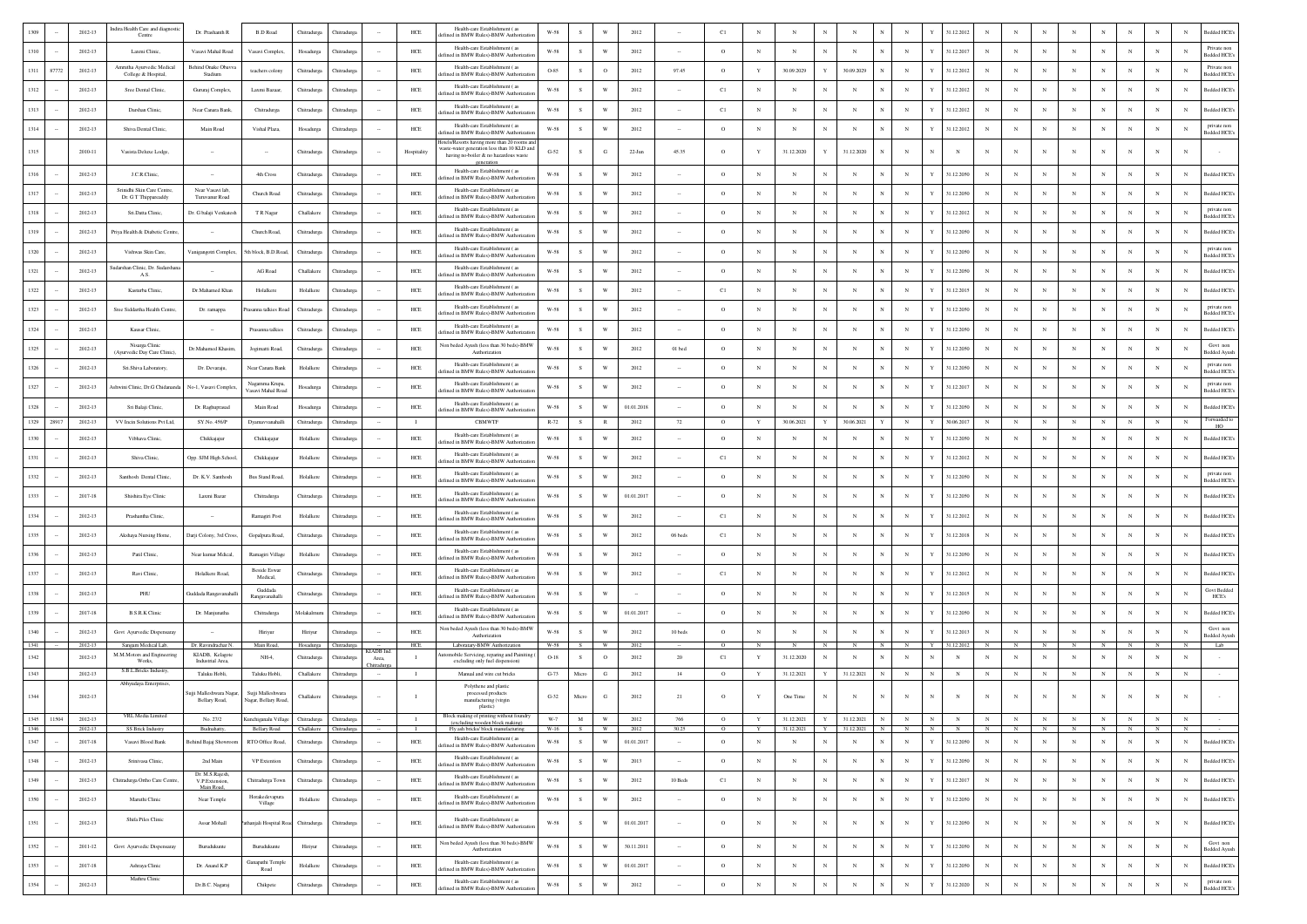|              |       | 2012-13                | ndira Health Care and diagnostic<br>Centre                  | Dr. Prashanth R                                           | <b>B.D Road</b>                                         | Chitradurga             | <b>Thitradur</b>   |                          | HCE                     | Health-care Establishment (as<br>fined in BMW Rules)-BMW Authorizati                                                                | W-58               |               | W                       | 2012               |                          | C1                    |                 |                            |              |                            |             |             |                  | 31.12.2012                   |                 |                            |                 |                 |                              |                              |                             | Bedded HCE <sup>®</sup><br>N                  |
|--------------|-------|------------------------|-------------------------------------------------------------|-----------------------------------------------------------|---------------------------------------------------------|-------------------------|--------------------|--------------------------|-------------------------|-------------------------------------------------------------------------------------------------------------------------------------|--------------------|---------------|-------------------------|--------------------|--------------------------|-----------------------|-----------------|----------------------------|--------------|----------------------------|-------------|-------------|------------------|------------------------------|-----------------|----------------------------|-----------------|-----------------|------------------------------|------------------------------|-----------------------------|-----------------------------------------------|
| 1310         |       | 2012-13                | Laxmi Clinic                                                | Vasavi Mahal Road                                         | Vasavi Complex,                                         | Hosadurga               | <b>Thitradure</b>  |                          | HCE                     | Health-care Establishment (as<br>fined in BMW Rules)-BMW Authorizati                                                                | W-58               | s             | W                       | 2012               |                          | $\circ$               | $_{\rm N}$      | N                          | N            | N                          |             | $_{\rm N}$  |                  | 31.12.2017                   | $_{\rm N}$      |                            | $_{\rm N}$      | N               | N                            | $_{\rm N}$                   | N                           | Private non<br>N<br><b>Bedded HCE's</b>       |
| 1311         | 87772 | 2012-13                | Amrutha Ayurvedic Medical<br>College & Hospital.            | Behind Onake Obavy:<br>Stadium                            | teachers colony                                         | Chitradurga             | Thitradurg         |                          | ${\rm HCE}$             | Health-care Establishment (as<br>fined in BMW Rules)-BMW Authorizati                                                                | O-85               | s             | $\mathbf{o}$            | 2012               | 97.45                    | $\circ$               | $\mathbf Y$     | 30.09.2029                 |              | 30.09.2029                 |             | $_{\rm N}$  |                  | 31.12.2012                   |                 |                            |                 | $_{\rm N}$      |                              |                              | N                           | Private non<br>N<br><b>Bedded HCE</b>         |
| 1312         |       | 2012-13                | Sree Dental Clinic,                                         | Gururaj Complex,                                          | Laxmi Bazaar.                                           | Chitradurga             | Thitradurg         |                          | $HEE$                   | Health-care Establishment (as<br>ined in BMW Rules)-BMW Authoriza                                                                   | $_{\rm W-58}$      | s             | W                       | 2012               |                          | C1                    | N               | N                          |              | $\mathbb{N}$               |             | $_{\rm N}$  |                  | 31.12.2012                   |                 |                            |                 | $_{\rm N}$      |                              |                              | N                           | Bedded HCE's<br>N                             |
| 1313         |       | 2012-13                | Darshan Clinic                                              | Near Canara Bank                                          | Chitradurg                                              | Chitradurga             | Chitradurg         |                          | HCE                     | Health-care Establishment (as<br>ted in BMW Rules)-BMW Authoriz                                                                     | W-58               | s             | W                       | 2012               |                          | C1                    | $_{\rm N}$      | $\mathbf{N}$               | N            | $_{\rm N}$                 |             | $_{\rm N}$  | Y                | 31.12.2012                   | $_{\rm N}$      |                            | $_{\rm N}$      | $_{\rm N}$      | N                            |                              | $\mathbf{N}$                | Bedded HCE's<br>N                             |
| 1314         |       | $2012 - 13$            | Shiva Dental Clinic,                                        | Main Road                                                 | Vishal Plaza,                                           | Hosadurga               | Chitradurg         |                          | $HEE$                   | Health-care Establishment (as<br>efined in BMW Rules)-BMW Authorizati                                                               | $_{\rm W-58}$      | $\mathbf S$   | W                       | 2012               |                          | $\circ$               | $_{\rm N}$      | N                          | $_{\rm N}$   | N                          |             | $_{\rm N}$  | Y                | 31.12.2012                   |                 |                            | $_{\rm N}$      | $_{\rm N}$      | N                            |                              | $_{\rm N}$                  | private non<br>N<br>Bedded HCE?               |
| 1315         |       | 2010-11                | Vasista Deluxe Lodge,                                       |                                                           |                                                         | Chitradurga             | Chitradurg         |                          | Hospitality             | lotels/Resorts having more than 20 rooms ar<br>vaste-water generation less than 10 KLD and<br>having no-boiler & no hazardous waste | $G-52$             | s             | G                       | $22$ -Jun          | 45.35                    | $\circ$               | Y               | 31.12.2020                 | $\mathbf{v}$ | 31.12.2020                 |             | N           | N                | N                            | $_{\rm N}$      |                            | $_{\rm N}$      |                 | N                            |                              | N                           | N                                             |
| 1316         |       | 2012-13                | J.C.R.Clinic                                                |                                                           | 4th Cross                                               | Chitradurga             | <b>Thitradure:</b> |                          | HCE                     | Health-care Establishment (as<br>ted in BMW Rules)-BMW Authoriza                                                                    | W-58               | s             | W                       | 2012               |                          | $\circ$               | $_{\rm N}$      | N                          | N            | $_{\rm N}$                 |             | $_{\rm N}$  | Y                | 31.12.2050                   | N               |                            | $_{\rm N}$      | N               | N                            |                              | N                           | <b>Bedded HCE's</b><br>N                      |
| 1317         |       | 2012-13                | Srinidhi Skin Care Centre<br>Dr. G T Thippareaddy           | Near Vasavi lab<br>Turuvanur Road                         | Church Road                                             | Chitradurga             | Chitradurg         |                          | HCE                     | Health-care Establishment (as<br>fined in BMW Rules)-BMW Authoriza                                                                  | W-58               | s             | W                       | 2012               |                          | $\circ$               | $_{\rm N}$      | N                          | $_{\rm N}$   | $_{\rm N}$                 |             | $_{\rm N}$  | Y                | 31.12.2050                   | $\mathbf{N}$    |                            | $_{\rm N}$      | $_{\rm N}$      | $_{\rm N}$                   | $_{\rm N}$                   | $_{\rm N}$                  | Bedded HCE's<br>N                             |
| 1318         |       | 2012-13                | Sri.Datta Clinic,                                           | Dr. G balaji Venkatesl                                    | T R Nagar                                               | Challaker               | Chitradurg         |                          | $HEE$                   | Health-care Establishment (as<br>fined in BMW Rules)-BMW Authorizati                                                                | $_{\rm W-58}$      | s             | W                       | 2012               |                          | $\circ$               | $_{\rm N}$      | N                          | $_{\rm N}$   | N                          |             | $_{\rm N}$  | Y                | 31.12.2012                   |                 |                            | $_{\rm N}$      | $_{\rm N}$      | N                            |                              | $_{\rm N}$                  | private non<br>N<br>Bedded HCE                |
| 1319         |       | 2012-13                | Priya Health & Diabetic Centre,                             |                                                           | Church Road,                                            | Chitradurga             | Thitradure         |                          | $HEE$                   | Health-care Establishment (as<br>fined in BMW Rules)-BMW Authorizat                                                                 | $_{\rm W-58}$      | - S           | W                       | 2012               |                          | $\circ$               | N               | N                          | $_{\rm N}$   | N                          |             | $_{\rm N}$  |                  | 31.12.2050                   |                 |                            | $\mathbf N$     | $\mathbf N$     |                              |                              | $\mathbf N$                 | Bedded HCE<br>N                               |
| 1320         |       | 2012-13                | Vishwas Skin Care                                           | Vanigangotri Complex,                                     | ith block, B.D.Roa                                      | Chitradurga             | <b>Thitradu</b>    |                          | HCE                     | Health-care Establishment (as<br>fined in BMW Rules)-BMW Authoriza                                                                  | W-58               | -S            | W                       | 2012               |                          | $\circ$               | $_{\rm N}$      | N                          | $_{\rm N}$   | $_{\rm N}$                 |             | $_{\rm N}$  |                  | 31.12.2050                   |                 |                            | $\mathbf{N}$    | N               |                              |                              | N                           | private non<br>N<br><b>Bedded HCE's</b>       |
| 1321         |       | $2012 - 13$            | Judarshan Clinic, Dr. Sudarshana<br>A.S.                    |                                                           | AG Road                                                 | Challaker               | Thitradurg         |                          | $HEE$                   | Health-care Establishment (as<br>efined in BMW Rules)-BMW Authorizat                                                                | W-58               | $\mathbf S$   | W                       | 2012               |                          | $\circ$               | $_{\rm N}$      | N                          | N            | $_{\rm N}$                 |             | $_{\rm N}$  |                  | 31.12.2050                   |                 |                            |                 | $_{\rm N}$      |                              |                              | N                           | Bedded HCE<br>N                               |
| 1322         |       | 2012-13                | Kasturba Clinic.                                            | Dr.Mahamed Khan                                           | Holalkere                                               | Holalkere               | Chitradurg         |                          | $HEE$                   | Health-care Establishment (as<br>efined in BMW Rules)-BMW Authorizat                                                                | W-58               | S.            | W                       | 2012               |                          | C1                    | $_{\rm N}$      | N                          | $_{\rm N}$   | N                          |             | $_{\rm N}$  | Y                | 31.12.2015                   | N               |                            | $_{\rm N}$      | $_{\rm N}$      | N                            |                              | N                           | Bedded HCE's<br>$_{\rm N}$                    |
| 1323         |       | 2012-13                | Sree Siddartha Health Centre                                | Dr. ramappa                                               | sanna talkies Ro                                        | Chitradurga             | Chitradurg         |                          | $HEE$                   | Health-care Establishment (as<br>defined in BMW Rules)-BMW Authorizatio                                                             | W-58               | $\mathcal{S}$ | W                       | 2012               |                          | $\circ$               | $_{\rm N}$      | $\mathbf{N}$               | $_{\rm N}$   | $_{\rm N}$                 |             | $_{\rm N}$  | Y                | 31.12.2050                   | $_{\rm N}$      |                            | $\mathbf{N}$    |                 | N                            |                              | N                           | private non<br>N<br>Bedded HCE's              |
| 1324         |       | $2012 - 13$            | Kausar Clinic                                               |                                                           | Prasanna talkies                                        | Chitradurga             | <b>Chitradurga</b> |                          | $HEE$                   | Health-care Establishment (as<br>efined in BMW Rules)-BMW Authorizati                                                               | $_{\rm W-58}$      | s             | W                       | 2012               |                          | $\circ$               | $_{\rm N}$      | N                          | $_{\rm N}$   | N                          |             | $_{\rm N}$  | Y                | 31.12.2050                   |                 |                            | $_{\rm N}$      | N               | N                            |                              | N                           | Bedded HCE<br>N                               |
| 1325         |       | $2012 - 13$            | Nisarga Clinic<br>(Ayurvedic Day Care Clinic),              | Dr.Mahamed Khasin                                         | Jogimatti Road,                                         | Chitradurga             | Chitradurga        |                          | $HEE$                   | Non beded Ayush (less than 30 beds)-BMW<br>Authorization                                                                            | $_{\rm W-58}$      | s             | W                       | 2012               | $01$ bed                 | $\circ$               | $_{\rm N}$      | N                          | $\mathbb{N}$ | N                          |             | $_{\rm N}$  | Y                | 31.12.2050                   | $_{\rm N}$      |                            | $_{\rm N}$      | N               | N                            |                              | $_{\rm N}$                  | Govt non<br>N<br>Bedded Ayush                 |
| 1326         |       | 2012-13                | Sri.Shiva Laboratory,                                       | Dr. Devaraju,                                             | Near Canara Bank                                        | Holalkere               | Chitradurg         |                          | HCE                     | Health-care Establishment (as<br>fined in BMW Rules)-BMW Authoriza                                                                  | W-58               | s             | W                       | 2012               |                          | $\circ$               | $_{\rm N}$      | N                          | N            | N                          |             | $_{\rm N}$  |                  | 31.12.205                    | $_{\rm N}$      |                            | $_{\rm N}$      | N               | N                            |                              | N                           | private non<br>N<br>Bedded HCE                |
| 1327         |       | $2012 - 13$            | shwini Clinic, Dr.G Chidananda                              | No-1, Vasavi Complex                                      | Nagamma Krupa,<br>Vasavi Mahal Roa                      | Hosadurga               | Chitradurg         |                          | ${\rm HCE}$             | Health-care Establishment (as<br>fined in BMW Rules)-BMW Authorizat                                                                 | W-58               | s             | W                       | 2012               |                          | $\circ$               | $_{\rm N}$      | N                          | N            | N                          |             | $_{\rm N}$  |                  | 31.12.2017                   |                 |                            |                 | $_{\rm N}$      |                              |                              | N                           | private non<br>N<br><b>Bedded HCE</b>         |
| 1328         |       | 2012-13                | Sri Balaji Clinic,                                          | Dr. Raghuprasad                                           | Main Road                                               | Hosadurga               | <b>Thitradurga</b> |                          | $HEE$                   | Health-care Establishment (as<br>fined in BMW Rules)-BMW Authoriza                                                                  | $_{\rm W-58}$      | s             | W                       | 01.01.2018         |                          | $\circ$               | N               | N                          |              | $\mathbb{N}$               |             | $_{\rm N}$  |                  | 31.12.2050                   |                 |                            |                 | $_{\rm N}$      | N                            |                              | N                           | Bedded HCE's<br>N                             |
| 1329         | 28917 | 2012-13                | VV Incin Solutions Pvt Ltd,                                 | SY.No. 456/P                                              | Dyamavvanahall                                          | Chitradurga             | Chitradurg         |                          | $\blacksquare$          | <b>CBMWTF</b>                                                                                                                       | R-72               | s             | $\,$ R                  | 2012               | 72                       | $\circ$               | $\mathbf Y$     | 30.06.2021                 | $\mathbf Y$  | 30.06.2021                 |             | $_{\rm N}$  | Y                | 30.06.201                    |                 | $_{\rm N}$                 | $_{\rm N}$      | $_{\rm N}$      | $_{\rm N}$                   | $_{\rm N}$                   | $_{\rm N}$                  | Forwarded to<br>$_{\rm N}$<br>HO              |
| 1330         |       | 2012-13                | Vibhava Clinic                                              | Chikkajajur                                               | Chikkajajur                                             | Holalkere               | Thitradurg         |                          | HCE                     | Health-care Establishment (as<br>fined in BMW Rules)-BMW Authoriza                                                                  | W-58               | s             | W                       | 2012               |                          | $\circ$               | $_{\rm N}$      | N                          | N            | N                          |             | $_{\rm N}$  |                  | 31.12.205                    |                 |                            | $_{\rm N}$      |                 |                              |                              | N                           | Bedded HCE<br>$_{\rm N}$                      |
| 1331         |       | $2012 - 13$            | Shiva Clinic,                                               | Opp. SJM High School                                      | Chikkajajus                                             | Holalkere               | Thitradurg         |                          | $HEE$                   | Health-care Establishment (as<br>efined in BMW Rules)-BMW Authorizati                                                               | $_{\rm W-58}$      | s             | W                       | 2012               |                          | C1                    | $_{\rm N}$      | N                          | N            | $\mathbb{N}$               |             | $_{\rm N}$  |                  | 31.12.2012                   | N               |                            |                 | $_{\rm N}$      |                              |                              | N                           | $_{\rm N}$<br>Bedded HCE's                    |
| 1332         |       | 2012-13                | Santhosh Dental Clinic.                                     | Dr. K.V. Santhosh                                         | <b>Bus Stand Road</b>                                   | Holalkere               | Chitradure         |                          | HCE                     | Health-care Establishment (as<br>fined in BMW Rules)-BMW Authorizat                                                                 | W-58               | -S            | W                       | 2012               |                          | $\circ$               | $_{\rm N}$      | N                          | $_{\rm N}$   | N                          |             | $_{\rm N}$  | Y                | 31.12.2050                   | $_{\rm N}$      |                            | $_{\rm N}$      | $\mathbf N$     | N                            |                              | N                           | private non<br>N<br>edded HCE                 |
| 1333         |       | 2017-18                | Shishira Eye Clinic                                         | Laxmi Bazar                                               | Chitradurga                                             | Chitradurga             | Chitradurg         |                          | $HEE$                   | Health-care Establishment (as<br>defined in BMW Rules)-BMW Authorizatio                                                             | W-58               | s             | W                       | 01.01.2017         |                          | $\circ$               | $_{\rm N}$      | N                          | $_{\rm N}$   | $_{\rm N}$                 |             | $_{\rm N}$  | Y                | 31.12.2050                   | $_{\rm N}$      |                            | $_{\rm N}$      | N               | $_{\rm N}$                   |                              | N                           | N<br>Bedded HCE's                             |
| 1334         |       | $2012 - 13$            | Prashantha Clinic                                           |                                                           | Ramagiri Post                                           | Holalkere               | <b>Chitradurga</b> |                          | $HEE$                   | Health-care Establishment (as<br>fefined in BMW Rules)-BMW Authorizatio                                                             | $_{\rm W-58}$      | s             | W                       | 2012               |                          | C1                    | $_{\rm N}$      | N                          | $_{\rm N}$   | N                          |             | $_{\rm N}$  | Y                | 31.12.2012                   |                 |                            |                 | N               | N                            |                              | N                           | Bedded HCE<br>N                               |
| 1335         |       | 2012-13                | Akshaya Nursing Home.                                       | Darji Colony, 3rd Cros                                    | Gopalpura Road,                                         | Chitradurga             | Chitradurga        |                          | HCE                     | Health-care Establishment (as<br>fined in BMW Rules)-BMW Authorizati                                                                | W-58               | -S            | W                       | 2012               | 06 beds                  | C1                    | $_{\rm N}$      | N                          | $_{\rm N}$   | N                          |             | $_{\rm N}$  | Y                | 31.12.2018                   | N               |                            | $_{\rm N}$      | $_{\rm N}$      | N                            |                              | N                           | Bedded HCE's<br>N                             |
| 1336         |       | $2012 - 13$            | Patil Clinic                                                | Near kumar Mdical,                                        | Ramagiri Village                                        | Holalkere               | Thitradurg         |                          | HCE                     | Health-care Establishment (as<br>fined in BMW Rules)-BMW Authorizatio                                                               | W-58               | s             | W                       | 2012               |                          | $\circ$               | $_{\rm N}$      | N                          | N            | N                          |             | $_{\rm N}$  |                  | 31.12.205                    | $_{\rm N}$      |                            | $_{\rm N}$      | N               | N                            |                              | N                           | $_{\rm N}$<br>Bedded HCE                      |
| 1337         |       | $2012 - 13$            | Ravi Clinic                                                 | Holalkere Road                                            | <b>Beside Eswar</b><br>Medical.                         | Chitradurga             | <b>Chitradurga</b> |                          | ${\rm HCE}$             | Health-care Establishment (as<br>fined in BMW Rules)-BMW Authorizati                                                                | W-58               |               | W                       | 2012               |                          | C1                    |                 | N                          |              | N                          |             | $_{\rm N}$  |                  | 31.12.2012                   |                 |                            |                 | $_{\rm N}$      |                              |                              | N                           | Bedded HCE <sup>®</sup><br>N                  |
| 1338         |       | 2012-13                | PHU                                                         | Guddada Rangavanaha                                       | Guddada<br>Rangavanahalli                               | Chitradurea             | <b>Thitradure:</b> |                          | HCE                     | Health-care Establishment (as<br>ned in BMW Rules)-BMW Authoriza                                                                    | W-58               | -S            | W                       |                    |                          | $\circ$               | N               | N                          | $_{\rm N}$   | N                          |             | $_{\rm N}$  | Y                | 31.12.2015                   | N               |                            | $_{\rm N}$      | $_{\rm N}$      | N                            |                              | $_{\rm N}$                  | Govt Beddec<br>N<br>HCE's                     |
| 1339         |       | 2017-18                | <b>B.S.R.K Clinic</b>                                       | Dr. Manjunatha                                            | Chitradurga                                             | Molakalmur              | Chitradurg         |                          | HCE                     | Health-care Establishment (as<br>fined in BMW Rules)-BMW Authoriza                                                                  | W-58               | -S            | W                       | 01.01.2017         |                          | $\circ$               | $_{\rm N}$      | N                          | $_{\rm N}$   | N                          |             | $_{\rm N}$  | Y                | 31.12.2050                   |                 |                            | $_{\rm N}$      | $_{\rm N}$      | N                            |                              | $_{\rm N}$                  | N<br>Bedded HCE <sup>®</sup>                  |
| 1340         |       | $2012 - 13$            | Govt Ayurvedic Dispensaray                                  |                                                           | Hiriyu                                                  | Hiriyur                 | <b>Chitradurga</b> |                          | $HEE$                   | Non beded Avush (less than 30 beds)-BMV<br>Authorization                                                                            | $_{\rm W-58}$      | s             | W                       | 2012               | 10 beds                  | $\circ$               | $_{\rm N}$      | N                          | $_{\rm N}$   | $\mathbb{N}$               | N           | $_{\rm N}$  | Y                | 31.12.2013                   | $_{\rm N}$      |                            | $_{\rm N}$      | $_{\rm N}$      | $_{\rm N}$                   | $_{\rm N}$                   | $_{\rm N}$                  | Govt non<br>$_{\rm N}$<br><b>Bedded Ayusl</b> |
| 1341<br>1342 |       | 2012-13<br>2012-13     | Sangam Medical Lab,<br>M.M.Motors and Engineering<br>Works. | Dr. Ravindrachar N.<br>KIADB, Kelagote<br>Industrial Area | Main Road<br>$NH-4$                                     | Hosadurg<br>Chitradurga | Thitradurg         | <b>CIADB</b> In<br>Area, | $HEE$<br>$\blacksquare$ | Laboratary-BMW Authorization<br>omobile Servicing, reparing and Painitin<br>excluding only fuel dispension)                         | W-58<br>$O-18$     | $\mathbf S$   | $\circ$                 | 2012               | 20                       | C1                    |                 | 31.12.2020                 | N            | $_{\rm N}$                 |             | $_{\rm N}$  |                  | 31.12.201<br>$_{\rm N}$      |                 |                            |                 | $_{\rm N}$      |                              |                              | N                           | Lab<br>N                                      |
| 1343         |       | 2012-13                | S.B.L.Bricks Industry,                                      | Taluku Hobli,                                             | Taluku Hobli,                                           | Challakere              | <b>Chitradurga</b> |                          | $\mathbf{I}$            | Manual and wire cut bricks                                                                                                          | $G-73$             | Micro         | G                       | 2012               | 14                       | $\circ$               | Y               | 31.12.2021                 | $\mathbf Y$  | 31.12.2021                 |             | $_{\rm N}$  | $_{\rm N}$       | $_{\rm N}$                   |                 |                            | $_{\rm N}$      | $_{\rm N}$      | $_{\rm N}$                   | $_{\rm N}$                   | $_{\rm N}$                  | $_{\rm N}$                                    |
| 1344         |       | 2012-13                | Abhyudaya Enterprises,                                      | Sujji Malleshwara Naga<br>Bellary Road,                   | Sujji Malleshwara<br>Nagar, Bellary Road,               | Challakere              | Chitradurga        |                          | $\mathbf{I}$            | Polythene and plastic<br>processed products<br>manufacturing (virgin                                                                | $G-32$             | Micro         | $_{\rm G}$              | 2012               | 21                       | $\circ$               | $\mathbf Y$     | One Time                   | $_{\rm N}$   | $_{\rm N}$                 | $_{\rm N}$  | $_{\rm N}$  | $_{\rm N}$       | $_{\rm N}$                   | $_{\rm N}$      | $_{\rm N}$                 | $_{\rm N}$      | $_{\rm N}$      | $_{\rm N}$                   | $_{\rm N}$                   | ${\bf N}$                   | $_{\rm N}$                                    |
| 1345         | 11504 | 2012-13                | VRL Media Limited                                           | No. 27/2                                                  | Kunchiganalu Village Chitradurga                        |                         | Chitradurga        |                          | $\mathbf{I}$            | plastic)<br>Block making of printing without foundry<br>(excluding wooden block making)                                             | $W-7$              | M             | <b>W</b>                | 2012               | 766                      | $\circ$               | Y               | 31.12.2021                 |              | Y 31.12.2021 N             |             | N           | N                | N                            | N               | N                          | N               | N               | N                            | N                            | N                           | N                                             |
| 1346<br>1347 |       | 2012-13<br>$2017 - 18$ | SS Brick Industry<br>Vasavi Blood Bank                      | Budnahatty,<br>Behind Bajaj Showroom                      | Bellary Road Challakere Chitradurga<br>RTO Office Road, | Chitradurga             | Chitradurga        | $\sim$                   | $\mathbf{I}$<br>HCE     | Fly ash bricks/ block manufacturing<br>Health-care Establishment (as                                                                | W-16 S W<br>$W-58$ | ${\bf S}$     | $\mathbf{W}$            | 2012<br>01.01.2017 | 30.25<br>$\sim$          | $^{\circ}$<br>$\circ$ | Y<br>$_{\rm N}$ | 31.12.2021 Y<br>$_{\rm N}$ | $_{\rm N}$   | 31.12.2021 N<br>$_{\rm N}$ | $_{\rm N}$  | N<br>$\,$ N | N<br>$\mathbf Y$ | $\overline{N}$<br>31.12.2050 | N<br>$_{\rm N}$ | $\mathbb{N}$<br>$_{\rm N}$ | N<br>$_{\rm N}$ | N<br>$_{\rm N}$ | $\overline{N}$<br>$_{\rm N}$ | $\overline{N}$<br>$_{\rm N}$ | $\overline{N}$<br>${\bf N}$ | $\mathbb{N}$<br>$_{\rm N}$<br>Bedded HCE's    |
| 1348         |       | 2012-13                | Srinivasa Clinic,                                           | 2nd Main                                                  | VP Extention                                            | Chitradurga             | Chitradurga        | $\sim$                   | HCE                     | defined in BMW Rules)-BMW Authorizatio<br>Health-care Establishment ( $\rm as$                                                      | W-58               | S             | $\ensuremath{\text{W}}$ | 2013               | $\sim$                   | $\circ$               | N               | ${\bf N}$                  | ${\bf N}$    | $_{\rm N}$                 | $_{\rm N}$  | $_{\rm N}$  | $\mathbf Y$      | 31.12.2050                   | $_{\rm N}$      | $_{\rm N}$                 | $_{\rm N}$      | $_{\rm N}$      | $_{\rm N}$                   | $_{\rm N}$                   | ${\bf N}$                   | $_{\rm N}$<br><b>Bedded HCE's</b>             |
| 1349         |       | 2012-13                | Chitradurga Ortho Care Centre,                              | Dr. M.S.Rajesh,<br>V.P.Extension,                         | Chitradurga Town                                        | Chitradurga             | Chitradurga        |                          | HCE                     | fefined in BMW Rules)-BMW Authorizatio<br>Health-care Establishment (as                                                             | W-58               | S             | $\mathbf{W}$            | 2012               | 10 Beds                  | C1                    | $_{\rm N}$      | $_{\rm N}$                 | $\,$ N       | $_{\rm N}$                 | $_{\rm N}$  | $_{\rm N}$  | $\mathbf Y$      | 31.12.2017                   | $_{\rm N}$      | $_{\rm N}$                 | $_{\rm N}$      | $_{\rm N}$      | $_{\rm N}$                   | $_{\rm N}$                   | $_{\rm N}$                  | Bedded HCE's<br>$_{\rm N}$                    |
| 1350         |       | $2012 - 13$            | Maruthi Clinic                                              | Main Road,<br>Near Temple                                 | Horakedevapura                                          | Holalkere               | Chitradurga        |                          | $HEE$                   | lefined in BMW Rules)-BMW Authorizati<br>Health-care Establishment (as                                                              | $W-58$             | s             | $\mathbf{W}$            | 2012               | $\cdot$                  | $\circ$               | $_{\rm N}$      | $_{\rm N}$                 | $_{\rm N}$   | $_{\rm N}$                 | $_{\rm N}$  | $_{\rm N}$  | $\mathbf Y$      | 31.12.2050                   | $_{\rm N}$      | $_{\rm N}$                 | $_{\rm N}$      | $_{\rm N}$      | $_{\rm N}$                   | $_{\rm N}$                   | $_{\rm N}$                  | $_{\rm N}$<br>Bedded HCE's                    |
| 1351         |       | $2012 - 13$            | Shifa Piles Clinic                                          | Assar Mohall                                              | Village<br>athanjali Hospital Road                      | Chitradurga             | Chitradurga        |                          | HCE                     | lefined in BMW Rules)-BMW Authorizatio<br>Health-care Establishment (as                                                             | W-58               | ${\bf s}$     | $\ensuremath{\text{W}}$ | 01.01.2017         | $\cdot$                  | $\circ$               | $_{\rm N}$      | N                          | $_{\rm N}$   | $_{\rm N}$                 | $_{\rm N}$  | $_{\rm N}$  | $\mathbf Y$      | 31.12.2050                   | $_{\rm N}$      |                            | $_{\rm N}$      | $_{\rm N}$      | $_{\rm N}$                   | $_{\rm N}$                   | $_{\rm N}$                  | Bedded HCE's<br>$_{\rm N}$                    |
| 1352         |       | $2011 - 12$            | Govt Ayurvedic Dispensaray                                  | Burudukunte                                               | Burudukunte                                             |                         | Chitradurga        |                          | $HEE$                   | defined in BMW Rules)-BMW Authorization<br>Non beded Ayush (less than 30 beds)-BMW                                                  | $W-58$             | ${\bf s}$     | $\ensuremath{\text{W}}$ | 30.11.2011         | $\cdot$                  | $\circ$               | $_{\rm N}$      | $_{\rm N}$                 | $_{\rm N}$   | $_{\rm N}$                 | $_{\rm N}$  | $_{\rm N}$  | $\mathbf Y$      | 31.12.2050                   | $_{\rm N}$      | $_{\rm N}$                 | $_{\rm N}$      | $_{\rm N}$      | $_{\rm N}$                   | $_{\rm N}$                   | $_{\rm N}$                  | Govt non<br>$_{\rm N}$                        |
| 1353         |       | $2017 - 18$            | Ashraya Clinic                                              | Dr. Anand K.P                                             | Ganapathi Temple                                        | Hiriyur<br>Holalkere    | Chitradurga        |                          | $HEE$                   | Authorization<br>Health-care Establishment (as                                                                                      | $W-58$             | S             | $\ensuremath{\text{W}}$ | 01.01.2017         |                          | $\circ$               | $_{\rm N}$      | $_{\rm N}$                 | $_{\rm N}$   | $_{\rm N}$                 | $_{\rm N}$  | $_{\rm N}$  | $\mathbf Y$      | 31.12.2050                   | $_{\rm N}$      | $_{\rm N}$                 | $_{\rm N}$      | $_{\rm N}$      | $_{\rm N}$                   | $_{\rm N}$                   | $_{\rm N}$                  | Bedded Ayush<br>$\,$ N<br>Bedded HCE's        |
|              |       |                        | Mathru Clinic                                               |                                                           | Road                                                    |                         |                    |                          |                         | efined in BMW Rules)-BMW Authorizat<br>Health-care Establishment (as                                                                |                    |               |                         |                    | $\overline{\phantom{a}}$ |                       |                 |                            |              |                            |             |             |                  |                              |                 |                            |                 |                 |                              |                              |                             | private non                                   |
| 1354         |       | $2012 - 13$            |                                                             | Dr.B.C. Nagaraj                                           | Chikpete                                                | Chitradurga             | Chitradurg         |                          | $HEE$                   | efined in BMW Rules)-BMW Authorizati                                                                                                | $_{\rm W-58}$      | ${\bf s}$     | $\ensuremath{\text{W}}$ | $2012\,$           | $\overline{\phantom{a}}$ | $\,$ O                | $_{\rm N}$      | $_{\rm N}$                 | $_{\rm N}$   | $_{\rm N}$                 | $\mathbf N$ | $_{\rm N}$  | $\mathbf Y$      | 31.12.2020                   | $_{\rm N}$      | $_{\rm N}$                 | $_{\rm N}$      | $_{\rm N}$      | $_{\rm N}$                   | $_{\rm N}$                   | $_{\rm N}$                  | $_{\rm N}$<br>Bedded HCE's                    |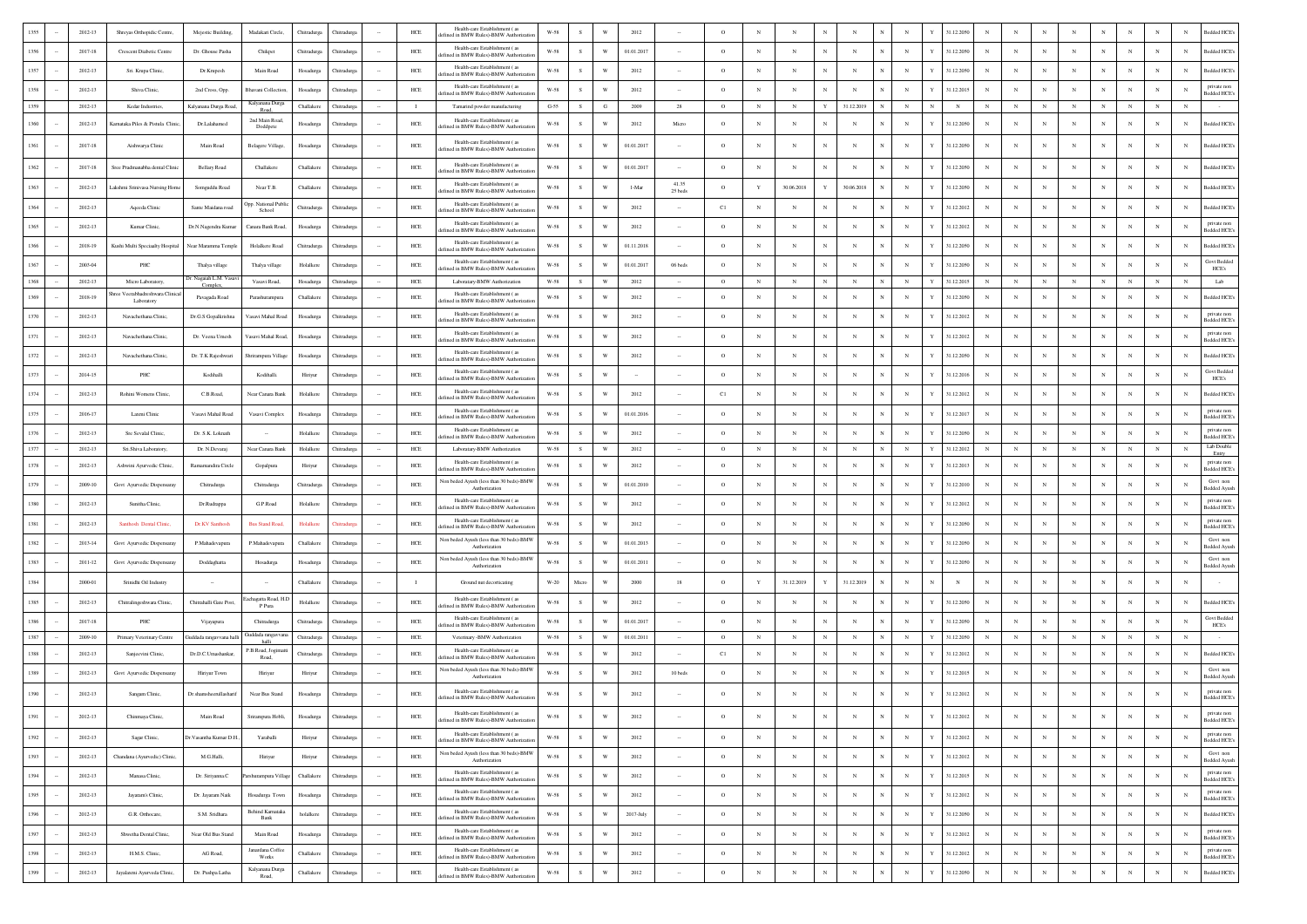|      | 2012-13     | Shreyas Orthopidic Centre               | Mejestic Building,                | Madakari Circle                | Chitradurga | Tutradur         |        | $HEE$        | Health-care Establishment (as<br>efined in BMW Rules)-BMW Authorizati         | W-58                 |               |                         | 2012         |                      |          |             |              |             |            |            |            |   | 31.12.205  |            |            |              |            |                |            |             | Bedded HCE                                       |
|------|-------------|-----------------------------------------|-----------------------------------|--------------------------------|-------------|------------------|--------|--------------|-------------------------------------------------------------------------------|----------------------|---------------|-------------------------|--------------|----------------------|----------|-------------|--------------|-------------|------------|------------|------------|---|------------|------------|------------|--------------|------------|----------------|------------|-------------|--------------------------------------------------|
| 1356 | 2017-18     | Crescent Diabetic Centre                | Dr. Ghouse Pasha                  | Chikpet                        | Chitradurga | Thitradurg       |        | HCE          | Health-care Establishment (as<br>efined in BMW Rules)-BMW Authorizatio        | W-58                 | s             | W                       | 01.01.2017   |                      | $\circ$  | $_{\rm N}$  | N            |             |            |            | $_{\rm N}$ |   | 31.12.2050 |            |            | $_{\rm N}$   |            | N              |            | N           | N<br>Bedded HCE <sup>®</sup>                     |
|      | 2012-13     | Sri. Krupa Clinic,                      | Dr.Krupesh                        | Main Road                      | Hosadurga   | <b>hitradurg</b> |        | HCE          | Health-care Establishment (as<br>efined in BMW Rules)-BMW Authorizat          | $_{\rm W\text{-}58}$ | $\mathbf S$   | W                       | 2012         |                      | $\circ$  | $_{\rm N}$  | N            |             |            |            | $_{\rm N}$ |   | 31.12.2050 |            |            |              | $_{\rm N}$ |                |            | N           | Bedded HCE <sup>®</sup><br>N                     |
| 1358 | 2012-13     | Shiva Clinic,                           | 2nd Cross, Opp.                   | Bhavani Collection             | Hosadurga   | Chitradurga      |        | ${\rm HCE}$  | Health-care Establishment (as<br>ined in BMW Rules)-BMW Authoriza             | $W-58$               | s             | W                       | 2012         |                      | $\circ$  | N           | N            |             | N          |            | $_{\rm N}$ |   | 31.12.2015 |            |            |              | N          |                |            | N           | private non<br>N<br><b>Bedded HCE</b>            |
| 1359 | 2012-13     | Kedar Industries,                       | Kalyanana Durga Roa               | Kalyanana Durga                | Challakere  | Chitradurg       |        | $\;$ 1       | Tamarind powder manufacturing                                                 | $G-55$               | S             | $_{\rm G}$              | 2009         | 28                   | $\circ$  | $_{\rm N}$  | $_{\rm N}$   |             | 31.12.2019 |            | $_{\rm N}$ | N | $_{\rm N}$ |            |            |              | $_{\rm N}$ | $_{\rm N}$     | $_{\rm N}$ | $\mathbf N$ | $\mathbf N$                                      |
| 1360 | 2012-13     | Kamataka Piles & Pistula Clinic         | Dr.Lalahamed                      | 2nd Main Road<br>Doddpete      | Hosadurga   | Chitradurga      |        | HCE          | Health-care Establishment (as<br>efined in BMW Rules)-BMW Authorizatio        | W-58                 | s             | W                       | 2012         | Micro                | $\Omega$ | N           |              | N           |            |            |            |   | 31.12.2050 |            |            |              |            |                |            | N           | Bedded HCE<br>N                                  |
| 1361 | $2017 - 18$ | Aishwarya Clinic                        | Main Road                         | Belagere Village,              | Hosadurga   | Chitradurga      |        | ${\rm HCE}$  | Health-care Establishment (as<br>efined in BMW Rules)-BMW Authorizat          | $W-58$               | s             | W                       | 01.01.2017   |                      | $\circ$  | N           | N            |             |            |            | $_{\rm N}$ |   | 31.12.2050 |            |            |              |            |                |            | N           | Bedded HCE's<br>N                                |
|      | 2017-18     | Sree Pradmanabha dental Clinis          | <b>Bellary Road</b>               | Challakere                     | Challaken   | <b>hitradurg</b> |        | HCE          | Health-care Establishment (as<br>lefined in BMW Rules)-BMW Authorizat         | $W-58$               | s             | W                       | 01.01.2017   |                      | $\circ$  | $_{\rm N}$  | N            | N           | N          |            | $_{\rm N}$ |   | 31.12.2050 |            |            | $_{\rm N}$   | N          |                |            | N           | N<br>Bedded HCE                                  |
|      | 2012-13     | Lakshmi Srinivasa Nursing Home          | Somguddu Road                     | Near T.B.                      | Challakere  | Chitradurg       |        | $HEE$        | Health-care Establishment (a<br>efined in BMW Rules)-BMW Authorizat           | $W-58$               | s             | W                       | 1-Mar        | 41.35<br>25 beds     | $\circ$  | $\mathbf Y$ | 30.06.2018   |             | 30.06.2018 |            | N          |   | 31.12.2050 |            |            |              |            |                |            |             | Bedded HCE<br>N                                  |
| 1364 | 2012-13     | Aqeeda Clinic                           | Sante Maidana road                | Opp. National Publ<br>School   | Chitradurga | Chitradure       |        | $HEE$        | Health-care Establishment (as<br>efined in BMW Rules)-BMW Authorizati         | W-58                 | -S            | W                       | 2012         |                      | C1       | $_{\rm N}$  | N            | N           | N          |            | $_{\rm N}$ |   | 31.12.2012 | N          |            |              |            |                |            | N           | N<br>Bedded HCE <sup>®</sup>                     |
| 1365 | $2012 - 13$ | Kumar Clinic,                           | Dr.N.Nagendra Kuma                | Canara Bank Road               | Hosadurga   | Chitradurg       |        | ${\rm HCE}$  | Health-care Establishment (28<br>lefined in BMW Rules)-BMW Authorizatio       | $_{\rm W\text{-}58}$ | S             | W                       | 2012         |                      | $\circ$  | N           | N            | N           |            |            | $_{\rm N}$ |   | 31.12.2012 |            |            |              |            | N              |            | N           | private non<br>N<br>Bedded HCE's                 |
| 1366 | 2018-19     | Kushi Multi Speciaalty Hospital         | Near Maramma Temple               | Holalkere Road                 | Chitradurga | Chitradurga      |        | $HEE$        | Health-care Establishment (as<br>lefined in BMW Rules)-BMW Authorizatio       | $W-58$               | s             | W                       | 01.11.2018   |                      | $\circ$  | $_{\rm N}$  | N            |             |            |            |            |   | 31.12.2050 |            |            |              |            |                |            | N           | Bedded HCE<br>N                                  |
| 1367 | 2003-04     | PHC                                     | Thalya village                    | Thalya village                 | Holalkere   | Chitradure       |        | HCE          | Health-care Establishment (as<br>efined in BMW Rules)-BMW Authorizati         | W-58                 | s             | W                       | 01.01.2017   | 06 beds              | $\circ$  | N           | N            |             |            |            | $_{\rm N}$ |   | 31.12.2050 |            |            |              |            |                |            | N           | Govt Bedded<br>N<br>HCE's                        |
| 1368 | 2012-13     | Micro Laboratory.                       | br. Nagaiah L.M. Vasa<br>Complex, | Vasavi Road.                   | Hosadurga   | Chitradurga      |        | HCE          | Laboratary-BMW Authorization                                                  | W-58                 | S             | W                       | 2012         |                      | $\circ$  | $_{\rm N}$  | N            |             | $_{\rm N}$ |            | $_{\rm N}$ | Y | 31.12.2015 | N          |            | $\mathbf{N}$ | $_{\rm N}$ | N              |            | $_{\rm N}$  | Lab<br>$_{\rm N}$                                |
| 1369 | 2018-19     | 'eerabhadreshwara Clinica<br>Laboratory | Pavagada Road                     | Parashurampura                 | Challaker   | Chitradure       |        | HCE          | Health-care Establishment (as<br>efined in BMW Rules)-BMW Authoriza           | W-58                 | -S            | W                       | 2012         |                      | $\circ$  | N           | N            |             |            |            |            |   | 31.12.2050 |            |            |              |            |                |            |             | Bedded HCE<br>N                                  |
|      | $2012 - 13$ | Navachethana Clinic                     | Dr.G.S Gopalkrishna               | Vasavi Mahal Road              | Hosadurga   | <b>hitradurg</b> |        | HCE          | Health-care Establishment (as<br>lefined in BMW Rules)-BMW Authorizat         | $_{\rm W\text{-}58}$ | $\mathcal{S}$ | W                       | 2012         |                      | $\circ$  | N           | N            |             |            |            | N          |   | 31.12.2012 |            |            |              |            |                |            |             | private non<br><b>Bedded HCE's</b>               |
|      | 2012-13     | Navachethana Clinic,                    | Dr. Veena Umesh                   | 'asavi Mahal Road              | Hosadurga   | Thitradurg       |        | ${\rm HCE}$  | Health-care Establishment (as<br>lefined in BMW Rules)-BMW Authorizat         | W-58                 |               | W                       | 2012         |                      | $\circ$  | $_{\rm N}$  | N            |             |            |            | $_{\rm N}$ |   | 31.12.2012 |            |            |              |            |                |            |             | private non<br><b>Bedded HCE</b>                 |
| 1372 | 2012-13     | Navachethana Clinic                     | Dr. T.K Rajeshwari                | Shrirampura Villag             | Hosadurga   | Chitradure       |        | HCE          | Health-care Establishment (as<br>efined in BMW Rules)-BMW Authorizat          | W-58                 | s.            | W                       | 2012         |                      | $\circ$  | N           | N            | N           | N          |            | $_{\rm N}$ |   | 31.12.2050 | N          |            |              |            | N              |            | N           | <b>Bedded HCE</b><br>N                           |
| 1373 | 2014-15     | $_{\rm PHC}$                            | Kodihalli                         | Kodihalli.                     | Hiriyur     | Chitradurg       |        | HCE          | Health-care Establishment (as<br>lefined in BMW Rules)-BMW Authorizatio       | W-58                 | s.            | W                       |              |                      | $\circ$  | $_{\rm N}$  | N            | N           |            |            | N          |   | 31.12.2016 | $_{\rm N}$ |            |              |            | N              |            | N           | <b>Govt Bedded</b><br>N<br>HCE's                 |
| 1374 | $2012 - 13$ | Rohini Womens Clinic,                   | C.B.Road,                         | Near Canara Bank               | Holalkere   | Chitradurg       |        | ${\rm HCE}$  | Health-care Establishment (as<br>lefined in BMW Rules)-BMW Authorizatio       | W-58                 | s             | W                       | 2012         |                      | C1       | $_{\rm N}$  | N            | $_{\rm N}$  |            |            | $_{\rm N}$ |   | 31.12.2012 |            |            |              |            | N              |            | N           | Bedded HCE <sup>®</sup><br>N                     |
| 1375 | $2016 - 17$ | Laxmi Clinic                            | Vasavi Mahal Road                 | Vasavi Complex                 | Hosadurga   | Chitradurg       |        | $HEE$        | Health-care Establishment (as<br>efined in BMW Rules)-BMW Authorizatio        | $W-58$               | s             | $\ensuremath{\text{W}}$ | 01.01.2016   |                      | $\circ$  | $_{\rm N}$  | N            |             |            |            | $_{\rm N}$ | Y | 31.12.2017 |            |            |              |            | $\overline{N}$ |            | N           | private non<br>N<br><b>Bedded HCE</b>            |
| 1376 | 2012-13     | Sre Sevalal Clinic,                     | Dr. S.K. Loknath                  |                                | Holalkere   | <b>hitradurg</b> |        | HCE          | Health-care Establishment (as<br>efined in BMW Rules)-BMW Authorizatio        | $W-58$               | s             | W                       | 2012         |                      | $\circ$  | N           | N            |             |            |            | $_{\rm N}$ |   | 31.12.2050 |            |            |              |            | N              |            | N           | private non<br>N<br>Bedded HCE's                 |
| 1377 | 2012-13     | Sri Shiva Laboratory                    | Dr. N.Devarai                     | Near Canara Bank               | Holalkere   | Chitradurea      |        | HCE          | Laboratary-BMW Authorization<br>Health-care Establishment (as                 | W-58                 | S             | W                       | 2012         |                      | $\circ$  | $_{\rm N}$  | N            | $\mathbf N$ | N          |            | $_{\rm N}$ | Y | 31.12.2012 | N          |            | $_{\rm N}$   | $_{\rm N}$ | N              | N          | $_{\rm N}$  | Lab Double<br>N<br>Entry<br>private non          |
| 1378 | 2012-13     | Ashwini Ayurvedic Clinic                | Ramamandira Circle                | Gopalpura                      | Hiriyur     | Chitradure       |        | $HEE$        | efined in BMW Rules)-BMW Authoriza<br>Non beded Ayush (less than 30 beds)-BMW | W-58                 | s             | W                       | 2012         |                      | $\circ$  | N           | N            |             |            |            | $_{\rm N}$ |   | 31.12.2013 | N          |            |              | $_{\rm N}$ |                |            | N           | N<br>Bedded HCE<br>Govt non                      |
|      | 2009-10     | Govt Ayurvedic Dispensaray              | Chitradurga                       | Chitradurga                    | Chitradurga | <b>hitradurg</b> |        | HCE          | Authorization                                                                 | W-58                 | s.            | W                       | 01.01.2010   |                      | $\circ$  | $_{\rm N}$  | N            |             | N          |            | $_{\rm N}$ |   | 31.12.2010 |            |            |              | $_{\rm N}$ |                |            |             | N<br><b>Bedded Ayusl</b>                         |
|      | $2012 - 13$ | Sunitha Clinic,                         | Dr.Rudrappa                       | G.P.Road                       | Holalkere   | Chitradure       |        | $HEE$        | Health-care Establishment (as<br>lefined in BMW Rules)-BMW Authorizati        | $_{\rm W\text{-}58}$ | s             | W                       | 2012         |                      | $\circ$  | $_{\rm N}$  | N            |             |            |            | $_{\rm N}$ |   | 31.12.2012 | N          |            |              |            |                |            |             | private non<br>N<br>Bedded HCE?                  |
| 1381 | 2012-13     | Santhosh Dental Clinic                  | Dr.KV Santhosh                    | <b>Bus Stand Road</b>          | Holalken    |                  |        | HCE          | Health-care Establishment (as<br>efined in BMW Rules)-BMW Authorizat          | W-58                 | S.            | W                       | 2012         |                      | $\circ$  | $_{\rm N}$  | N            | $\mathbf N$ |            |            | $_{\rm N}$ |   | 31.12.2050 | N          |            |              | $_{\rm N}$ | N              |            | N           | private nor<br>N<br>edded HCE                    |
| 1382 | 2013-14     | Govt Ayurvedic Dispensaray              | P.Mahadevapura                    | P.Mahadevapura                 | Challaken   | Chitradurg       |        | HCE          | Non beded Ayush (less than 30 beds)-BMW<br>Authorization                      | W-58                 | s.            | W                       | 01.01.2013   |                      | $\circ$  | $_{\rm N}$  | $\mathbf{N}$ | $\mathbf N$ |            |            | N          |   | 31.12.2050 | $_{\rm N}$ |            | $\mathbf{N}$ |            | N              |            | N           | Govt non<br>N<br><b>Bedded Ayusl</b>             |
| 1383 | $2011 - 12$ | Govt Ayurvedic Dispensaray              | Doddaghatta                       | Hosadurga                      | Hosadurga   | Chitradurga      |        | ${\rm HCE}$  | Non beded Ayush (less than 30 beds)-BMW<br>Authorization                      | $W-58$               | $\mathbf{s}$  | W                       | 01.01.2011   |                      | $\circ$  | $_{\rm N}$  |              |             | N          |            | $_{\rm N}$ |   | 31.12.2050 |            |            |              |            |                |            | N           | Govt non<br>N<br><b>Bedded Ayusl</b>             |
| 1384 | 2000-01     | Srinidhi Oil Industry                   |                                   |                                | Challaken   | Chitradurga      |        | $\mathbf{I}$ | Ground nut decorticating                                                      | $_{\mathrm{W-20}}$   | Micr          | W                       | 2000         | 18                   | $\circ$  |             | 31.12.2019   |             | 31.12.2019 |            |            |   | N          |            |            |              |            |                |            | N           | N                                                |
| 1385 | $2012 - 13$ | Chitralingeshwara Clinic,               | Chitrahalli Gate Post,            | Eachagatta Road, H.I<br>P Pura | Holalkere   | Chitradurga      |        | ${\rm HCE}$  | Health-care Establishment (as<br>ined in BMW Rules)-BMW Authoriza             | $W-58$               | s             | W                       | 2012         |                      | $\circ$  | N           | N            |             |            |            | $_{\rm N}$ |   | 31.12.2050 |            |            |              | N          |                |            | N           | Bedded HCE's<br>N                                |
| 1386 | 2017-18     | PHC                                     | Vijayapura                        | Chitradurga                    | Chitradures | Chitradure       |        | HCE          | Health-care Establishment (as<br>ined in BMW Rules)-BMW Authorizat            | W-58                 | s             | W                       | 01.01.2017   |                      | $\circ$  | N           | N            |             |            |            | N          |   | 31.12.2050 |            |            |              | $_{\rm N}$ |                |            | N           | <b>Govt Bedded</b><br>N<br>HCE's                 |
| 1387 | 2009-10     | Primary Veterinary Centre               | Guddada rangavvana hall           | Guddada rangavv<br>halli       | Chitradurea | Chitradure       |        | HCE          | Veterinary -BMW Authorization<br>Health-care Establishment (as                | W-58                 | s.            | W                       | 01.01.2011   |                      | $\circ$  | $_{\rm N}$  | $_{\rm N}$   |             | N          |            | $_{\rm N}$ |   | 31.12.205  |            |            |              | $_{\rm N}$ | N              |            | N           | $\mathbf N$                                      |
| 1388 | 2012-13     | Sanjeevini Clinic,                      | Dr.D.C.Umashankan                 | P.B.Road, Jogima<br>Road,      | Chitradures | Chitradure       |        | HCE          | efined in BMW Rules)-BMW Authorizat                                           | W-58                 | s.            | W                       | 2012         |                      | C1       | $_{\rm N}$  | N            | $\mathbf N$ | N          |            | $_{\rm N}$ |   | 31.12.2012 | N          |            | $_{\rm N}$   | $_{\rm N}$ | N              |            | N           | Bedded HCE<br>N<br>Govt nor                      |
| 1389 | $2012 - 13$ | Govt Ayurvedic Dispensaray              | Hiriyur Town                      | Hiriyu                         | Hiriyur     | Chitradurga      |        | HCE          | Non beded Ayush (less than 30 beds)-BMV<br>Authorization                      | W-58                 | s.            | W                       | 2012         | 10 beds              | $\circ$  | $_{\rm N}$  | N            | N           |            |            | N          |   | 31.12.2015 | $_{\rm N}$ |            | $_{\rm N}$   |            | N              |            | N           | N<br><b>Bedded Ayusl</b>                         |
|      | 2012-13     | Sangam Clinic,                          | Dr.shamsheerullasharif            | Near Bus Stand                 | Hosadurga   | Chitradurga      |        | HCE          | Health-care Establishment (as<br>defined in BMW Rules)-BMW Authorization      | $_{\rm W\text{-}58}$ |               | $\ensuremath{\text{W}}$ | 2012         |                      | $\circ$  | $_{\rm N}$  | N            |             |            |            | $_{\rm N}$ |   | 31.12.2012 |            |            |              |            |                |            |             | private non<br>N<br>Bedded HCE                   |
|      |             |                                         | Main Road                         | ura Hobli,                     |             |                  |        | HCE          | Health-care Establishment (as<br>defined in BMW Rules)-BMW Authorizatio       | $W-58$               |               |                         |              |                      |          |             |              |             |            |            |            |   |            |            |            |              |            |                |            |             | <b>Bedded HCE</b>                                |
| 1392 | $2012 - 13$ | Sagar Clinic,                           | Dr. Vasantha Kumar D.H.,          | Yaraballi                      | Hiriyur     | Chitradurga      |        | $HEE$        | Health-care Establishment (as<br>defined in BMW Rules)-BMW Authorizatio       | $W-58$               | S             | $\ensuremath{\text{W}}$ | 2012         |                      | $\circ$  | $_{\rm N}$  | $\mathbf N$  | $_{\rm N}$  | $_{\rm N}$ |            | $_{\rm N}$ | Y | 31.12.2012 | $_{\rm N}$ | $_{\rm N}$ | $_{\rm N}$   | $_{\rm N}$ | $_{\rm N}$     | $_{\rm N}$ | $_{\rm N}$  | private non<br>N<br>Bedded HCE                   |
| 1393 | 2012-13     | Chandana (Ayurvedic) Clinic,            | M.G.Halli.                        | Hiriyur                        | Hiriyur     | Chitradurga      | $\sim$ | $HEE$        | Non beded Ayush (less than 30 beds)-BMW<br>Authorization                      | $W-58$               | S             | $\mathbf{W}$            | 2012         | $\sim$               | $\circ$  | $_{\rm N}$  | $_{\rm N}$   | $_{\rm N}$  | $_{\rm N}$ |            | $_{\rm N}$ | Y | 31.12.2012 | $_{\rm N}$ | $_{\rm N}$ | $_{\rm N}$   | $_{\rm N}$ | $_{\rm N}$     | $_{\rm N}$ | $_{\rm N}$  | Govt nor<br>$_{\rm N}$<br><b>Bedded Ayush</b>    |
| 1394 | 2012-13     | Manasa Clinic,                          | Dr. Siriyanna.C                   | rshurampura Villag             | Challakere  | Chitradurga      | $\sim$ | $HEE$        | Health-care Establishment (as<br>defined in BMW Rules)-BMW Authorization      | $W-58$               | S             | $\ensuremath{\text{W}}$ | 2012         | $\sim$               | $\circ$  | N           | $_{\rm N}$   | $_{\rm N}$  | $_{\rm N}$ | $_{\rm N}$ | $_{\rm N}$ | Y | 31.12.2015 | $_{\rm N}$ | $_{\rm N}$ | $_{\rm N}$   | $_{\rm N}$ | $_{\rm N}$     | $_{\rm N}$ | $_{\rm N}$  | private non<br>$_{\rm N}$<br>Bedded HCE's        |
| 1395 | $2012 - 13$ | Jayaram's Clinic,                       | Dr. Jayaram Naik                  | Hosadurga Town                 | Hosadurga   | Chitradurga      |        | $HEE$        | Health-care Establishment ( as<br>defined in BMW Rules)-BMW Authorization     | $W-58$               | S             | $\ensuremath{\text{W}}$ | 2012         | $\scriptstyle\cdots$ | $\circ$  | $_{\rm N}$  | $_{\rm N}$   | $_{\rm N}$  | $_{\rm N}$ |            | $_{\rm N}$ | Y | 31.12.2012 | $_{\rm N}$ | $_{\rm N}$ | $_{\rm N}$   | $_{\rm N}$ | $_{\rm N}$     | $_{\rm N}$ | $_{\rm N}$  | private non<br>$_{\rm N}$<br>Bedded HCE          |
| 1396 | 2012-13     | G.R. Orthocare,                         | S.M. Sridhara                     | Behind Kamataka<br>Bank        | holalkere   | Chitradurga      | $\sim$ | $HEE$        | Health-care Establishment (as<br>lefined in BMW Rules)-BMW Authorizatio       | W-58                 | ${\bf s}$     | $\mathbf{W}$            | $2017$ -July | $\cdot$              | $\circ$  | $_{\rm N}$  | $_{\rm N}$   | $_{\rm N}$  | $_{\rm N}$ |            | $_{\rm N}$ | Y | 31.12.2050 | $_{\rm N}$ | $_{\rm N}$ | $_{\rm N}$   | $_{\rm N}$ | $_{\rm N}$     | $_{\rm N}$ | $_{\rm N}$  | $_{\rm N}$<br>Bedded HCE's                       |
| 1397 | 2012-13     | Shwetha Dental Clinic                   | Near Old Bus Stand                | Main Road                      | Hosadurga   | Chitradurga      |        | HCE          | Health-care Establishment (as<br>lefined in BMW Rules)-BMW Authorization      | W-58                 | S             | $\ensuremath{\text{W}}$ | 2012         | $\cdot$              | $\circ$  | $_{\rm N}$  | $_{\rm N}$   | $_{\rm N}$  | $_{\rm N}$ |            | $_{\rm N}$ |   | 31.12.2012 | $_{\rm N}$ | $_{\rm N}$ | $_{\rm N}$   | N          | $_{\rm N}$     | $_{\rm N}$ | $_{\rm N}$  | private non<br>$_{\rm N}$<br><b>Bedded HCE's</b> |
| 1398 | $2012 - 13$ | H.M.S. Clinic,                          | AG Road,                          | Janardana Coffee<br>Works      | Challakere  | Chitradurga      |        | $HEE$        | Health-care Establishment (as<br>lefined in BMW Rules)-BMW Authorizatio       | $_{\rm W\text{-}58}$ | ${\bf s}$     | $\ensuremath{\text{W}}$ | 2012         | $\cdot$              | $\circ$  | $_{\rm N}$  | N            | $_{\rm N}$  | $_{\rm N}$ |            | $_{\rm N}$ |   | 31.12.2012 | $_{\rm N}$ | $_{\rm N}$ | $_{\rm N}$   | $_{\rm N}$ | $_{\rm N}$     | $_{\rm N}$ | N           | private nor<br>$_{\rm N}$<br>Bedded HCE          |
| 1399 | $2012 - 13$ | Jayalaxmi Ayurveda Clinic.              | Dr. Pushpa Latha                  | Kalyanana Durga<br>Road,       | Challakere  | Chitradurga      |        | $HEE$        | Health-care Establishment (as<br>lefined in BMW Rules)-BMW Authorizat         | $W-58$               | ${\bf S}$     | $\ensuremath{\text{W}}$ | 2012         | $\sim$               | $\circ$  | $_{\rm N}$  | $_{\rm N}$   | $_{\rm N}$  | $_{\rm N}$ | N          | $_{\rm N}$ | Y | 31.12.2050 | $_{\rm N}$ | $_{\rm N}$ | $_{\rm N}$   | $_{\rm N}$ | $_{\rm N}$     | $_{\rm N}$ | $_{\rm N}$  | $_{\rm N}$<br><b>Bedded HCE's</b>                |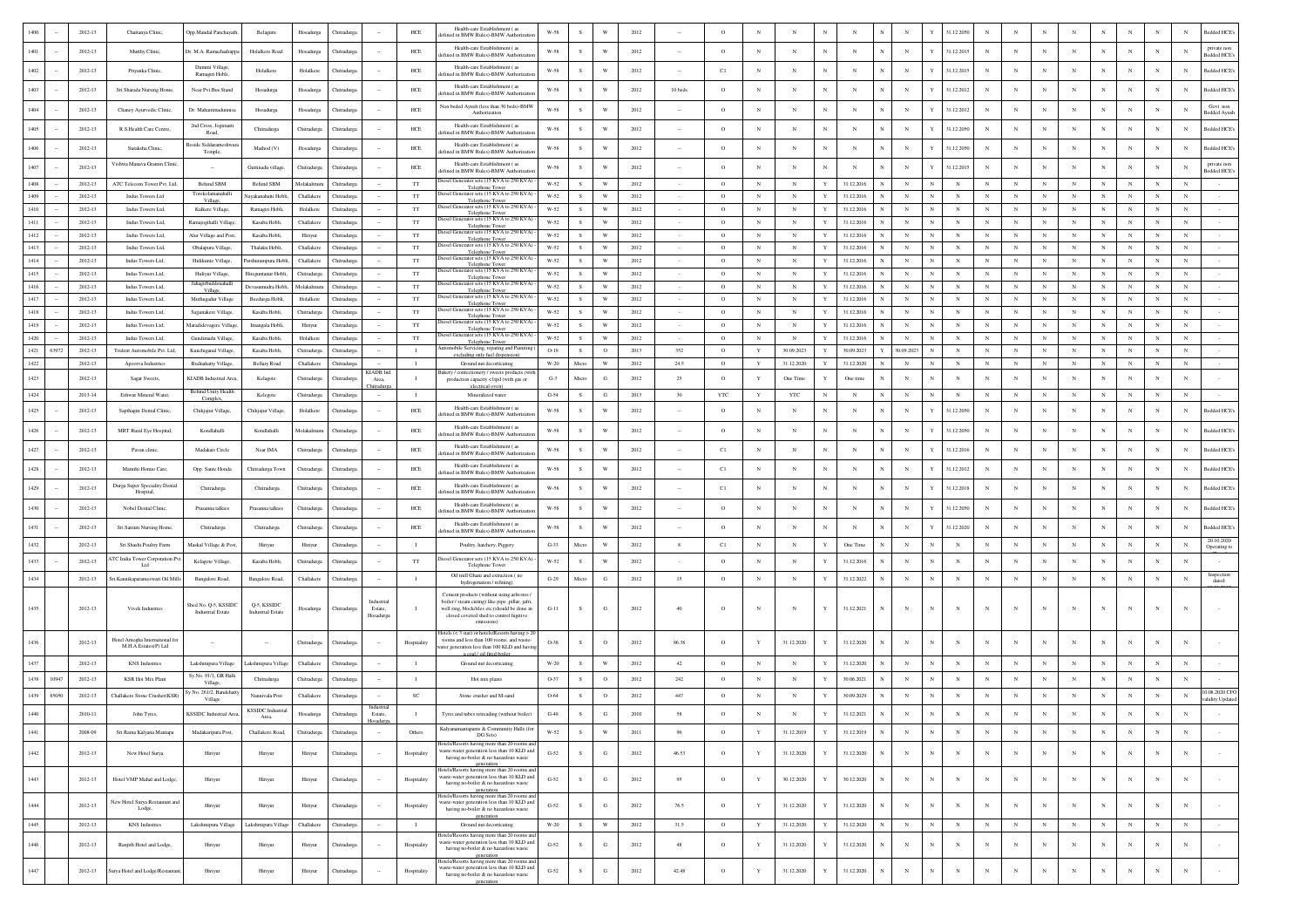|              |       | 2012-13            | Chaitanya Clinic                                  | Opp.Mandal Panchayat                             | Belaguru                                | Hosadurga                 | <b>Thitradur</b>         |                                  | $HEE$                    | Health-care Establishment (as<br>fined in BMW Rules)-BMW Authorizati                                                                                                                                  | W-58                  |               |                              | 2012         |           | $\circ$            |                          |                 |              |                          |              |                 | 31.12.2050                                           |                          |                          |                          |                            |                 |                          |                          |                          | Bedded HCE's                       |
|--------------|-------|--------------------|---------------------------------------------------|--------------------------------------------------|-----------------------------------------|---------------------------|--------------------------|----------------------------------|--------------------------|-------------------------------------------------------------------------------------------------------------------------------------------------------------------------------------------------------|-----------------------|---------------|------------------------------|--------------|-----------|--------------------|--------------------------|-----------------|--------------|--------------------------|--------------|-----------------|------------------------------------------------------|--------------------------|--------------------------|--------------------------|----------------------------|-----------------|--------------------------|--------------------------|--------------------------|------------------------------------|
| 1401         |       | 2012-13            | Murthy Clinic,                                    | Or. M.A. Ramachadrapp                            | Holalkere Road                          | Hosadurga                 | <b>Thitradur</b>         |                                  | HCE                      | Health-care Establishment (as<br>fined in BMW Rules)-BMW Authorizat                                                                                                                                   | W-58                  | s             | W                            | 2012         |           | $\circ$            | $_{\rm N}$               | N               | $\mathbb{N}$ | N                        |              | $_{\rm N}$      | $\mathbf{v}$<br>31.12.2015                           |                          | N                        | N                        | N                          |                 | N                        | $_{\rm N}$               | N                        | private non<br><b>Bedded HCE's</b> |
| 1402         |       | 2012-13            | Priyanka Clinic,                                  | Dummi Village.<br>Ramagiri Hobli.                | Holalkere                               | Holalkere                 | hitradurg                |                                  | HCE                      | Health-care Establishment (as<br>fined in BMW Rules)-BMW Authorizat                                                                                                                                   | W-58                  |               | W                            | 2012         |           | C1                 | $_{\rm N}$               | $_{\rm N}$      | N            | N                        |              | $\mathbf N$     | 31.12.2015                                           |                          | $_{\rm N}$               | $_{\rm N}$               | N                          |                 | $_{\rm N}$               |                          |                          | <b>Sedded HCE's</b>                |
| 1403         |       | 2012-13            | Sri Sharada Nursing Home,                         | Near Pvt.Bus Stand                               | Hosadurga                               | Hosadurga                 | Thitradurg               |                                  | $HEE$                    | Health-care Establishment (as<br>ined in BMW Rules)-BMW Authoriza                                                                                                                                     | W-58                  | s             | W                            | 2012         | 10 beds   | $\circ$            | $_{\rm N}$               | $_{\rm N}$      | N            | $_{\rm N}$               |              | N               | 31.12.2012<br>Y                                      |                          | N                        | N                        | $_{\rm N}$                 |                 | $\mathbf N$              | N                        | N                        | <b>Bedded HCE's</b>                |
| 1404         |       | 2012-13            |                                                   | Dr. Mahammadunn                                  |                                         |                           | Thitradurg               |                                  | HCE                      | Non beded Ayush (less than 30 beds)-BMW                                                                                                                                                               | W-58                  | $\mathcal{S}$ | W                            | 2012         |           | $\circ$            | $\mathbf N$              | $_{\rm N}$      | $\mathbb{N}$ | $\mathbf{N}$             | $\mathbf{N}$ | N               | Y<br>31.12.2012                                      |                          | $_{\rm N}$               | $_{\rm N}$               | N                          |                 |                          | $_{\rm N}$               | $_{\rm N}$               | Govt non                           |
|              |       |                    | Chaney Ayurvedic Clinic,                          | 2nd Cross, Jogimatti                             | Hosadurga                               | Hosadurga                 |                          |                                  |                          | Authorization<br>Health-care Establishment (as                                                                                                                                                        |                       |               |                              |              |           |                    |                          |                 |              |                          |              |                 |                                                      |                          |                          |                          |                            |                 |                          |                          |                          | <b>Sedded Ayush</b>                |
| 1405         |       | $2012 - 13$        | R.S. Health Care Centre,                          | Road.                                            | Chitradurga                             | Chitradurga               | Chitradurg               |                                  | $HEE$                    | efined in BMW Rules)-BMW Authoriza                                                                                                                                                                    | W-58                  | s             | W                            | 2012         |           | $\circ$            | $_{\rm N}$               | $_{\rm N}$      | N            | $_{\rm N}$               | $_{\rm N}$   | N               | 31.12.2050<br>Y                                      |                          | $_{\rm N}$               | $_{\rm N}$               | $_{\rm N}$                 | N               | N                        | $_{\rm N}$               |                          | <b>Bedded HCE's</b>                |
| 1406         |       | $2012 - 13$        | Suraksha Clinic,                                  | Beside Siddarameshwa<br>Temple.                  | Mathod (V)                              | Hosadurga                 | Chitradurg               |                                  | $HEE$                    | Health-care Establishment (as<br>fined in BMW Rules)-BMW Authoriza                                                                                                                                    | $W-58$                | s             | W                            | 2012         |           | $\circ$            | $_{\rm N}$               | $_{\rm N}$      | $_{\rm N}$   | $_{\rm N}$               | N            | $\mathbf N$     | Y<br>31.12.2050                                      |                          |                          | $_{\rm N}$               | $_{\rm N}$                 |                 |                          | $_{\rm N}$               | N                        | <b>Bedded HCE's</b>                |
| 1407         |       | 2012-13            | Vishwa Manava Gramin Clinic                       |                                                  | Guttinadu village,                      | Chitradurga               |                          |                                  | HCE                      | Health-care Establishment (as<br>fined in BMW Rules)-BMW Authoriza                                                                                                                                    | W-58                  | -S            | W                            | 2012         |           | $\circ$            | $_{\rm N}$               | $_{\rm N}$      | $\mathbb{N}$ | N                        |              | $_{\rm N}$      | Y<br>31.12.2015                                      |                          | $_{\rm N}$               | $_{\rm N}$               | N                          |                 | N                        | $_{\rm N}$               | N                        | private non<br>edded HCE's         |
| $1408\,$     |       | 2012-13            | ATC Telecom Tower Pvt 1.td                        | Behind SBM                                       | Behind SBM                              | Molakalmuru               | Chitradurea              |                                  | <b>TT</b>                | Diesel Generator sets (15 KVA to 250 KVA)<br>Telephone Tower                                                                                                                                          | W-52                  | s             | W                            | 2012         |           | $\circ$            | $_{\rm N}$               | $_{\rm N}$      | Y            | 31.12.2016               | N            | $_{\rm N}$      | $_{\rm N}$<br>$_{\rm N}$                             | $_{\rm N}$               | $_{\rm N}$               | $_{\rm N}$               | $_{\rm N}$                 | N               | $_{\rm N}$               | $_{\rm N}$               | $_{\rm N}$               |                                    |
| 1409         |       | 2012-13            | Indus Towers Ltd                                  | Torekolamanahall<br>Village,                     | yakanahatti Hobl                        | Challaker                 |                          |                                  | $_{\rm TT}$              | viesel Generator sets (15 KVA to 250 KVA<br>Telephone Tower<br>Nesel Generator sets (15 KVA to 250 KVA)                                                                                               | W-52                  | $\,$ s        | W                            | $2012\,$     |           | $\circ$            | $_{\rm N}$               | $_{\rm N}$      | Y            | 31.12.2016               |              | $_{\rm N}$      | N                                                    |                          | $_{\rm N}$               | $_{\rm N}$               | $_{\rm N}$                 | N               | $_{\rm N}$               |                          |                          |                                    |
| 1410         |       | 2012-13            | Indus Towers Ltd.                                 | Kalkere Village,                                 | Ramagiri Hobli                          | Holalkero                 | Chitradure               |                                  | <b>TT</b>                | Telephone Towe<br>iesel Generator sets (15 KVA to 250 KVA                                                                                                                                             | W-52                  | s             | W                            | 2012         |           | $\circ$            | $_{\rm N}$               | $_{\rm N}$      | Y            | 31.12.2016               |              | $_{\rm N}$      | $_{\rm N}$<br>$_{\rm N}$                             | $_{\rm N}$               | $_{\rm N}$               | $_{\rm N}$               | $_{\rm N}$                 | $_{\rm N}$      | $_{\rm N}$               | $_{\rm N}$               | $_{\rm N}$               |                                    |
| 1411<br>1412 |       | 2012-13<br>2012-13 | Indus Towers Ltd,<br>Indus Towers Ltd.            | Ramajogihalli Village<br>Alur Village and Pos    | Kasaba Hobli,<br>Kasaba Hobli.          | Challaker<br>Hiriyur      | Chitradurg<br>Chitradure |                                  | $_{\rm TT}$<br><b>TT</b> | Telephone Toy<br>iesel Generator sets (15 KVA to 250 KVA)                                                                                                                                             | W-52<br>W-52          | s<br>S        | $\ensuremath{\text{W}}$<br>W | 2012<br>2012 |           | $\circ$<br>$\circ$ | $_{\rm N}$<br>$_{\rm N}$ | $_{\rm N}$<br>N | Y<br>Y       | 31.12.201<br>31.12.2016  | N            | $_{\rm N}$<br>N | $_{\rm N}$<br>$_{\rm N}$<br>$_{\rm N}$<br>$_{\rm N}$ | $_{\rm N}$<br>$_{\rm N}$ | $_{\rm N}$<br>$_{\rm N}$ | $_{\rm N}$<br>$_{\rm N}$ | $_{\rm N}$<br>$\mathbb{N}$ | $_{\rm N}$<br>N | $_{\rm N}$<br>$_{\rm N}$ | $_{\rm N}$<br>$_{\rm N}$ | $_{\rm N}$<br>$_{\rm N}$ |                                    |
| 1413         |       | $2012 - 13$        | Indus Towers Ltd,                                 | Obalapura Village,                               | Thalaku Hobli,                          | Challakere                | <b>Thitradurga</b>       |                                  | $_{\rm TT}$              | Telephone Tower<br>viesel Generator sets (15 KVA to 250 KVA)                                                                                                                                          | W-52                  | s             | W                            | 2012         |           | $\circ$            | $_{\rm N}$               | $_{\rm N}$      | Y            | 31.12.2016               |              | $\mathbf N$     | $\mathbf N$<br>$_{\rm N}$                            | $_{\rm N}$               | $_{\rm N}$               | $_{\rm N}$               | $\mathbb{N}$               | N               | $_{\rm N}$               | $_{\rm N}$               | $_{\rm N}$               |                                    |
| 1414         |       | 2012-13            | Indus Towers Ltd,                                 | Hulikunte Village,                               | arshurampura Hob                        | Challaker                 | Thitradurg               |                                  | TT                       | Telephone Toy<br>liesel Generator sets (15 KVA to 250 KVA                                                                                                                                             | W-52                  | $\,$ s        | W                            | 2012         |           | $\circ$            | $\mathbf{N}$             | $_{\rm N}$      | Y            | 31.12.2016               |              | N               | $\overline{N}$                                       | $_{\rm N}$               | $_{\rm N}$               | $_{\rm N}$               | N                          | N               | $_{\rm N}$               | $_{\rm N}$               | $_{\rm N}$               |                                    |
| 1415         |       | 2012-13            | Indus Towers Ltd,                                 | Huliyur Village.                                 | Hireguntanur Hobli                      | Chitradurga               | Thitradurg               |                                  | $_{\rm TT}$              | Telephone Tower<br>iesel Generator sets (15 KVA to 250 KVA) -                                                                                                                                         | W-52                  | s             | W                            | 2012         |           | $\circ$            | $_{\rm N}$               | $_{\rm N}$      | Y            | 31.12.2016               |              | $\mathbf N$     | $_{\rm N}$<br>$_{\rm N}$                             | $_{\rm N}$               | $_{\rm N}$               | $_{\rm N}$               | $_{\rm N}$                 | $\overline{N}$  | $_{\rm N}$               | $_{\rm N}$               | $_{\rm N}$               |                                    |
| 1416         |       | 2012-13            | Indus Towers Ltd,                                 | Jahagirbuddenahalli                              | Devasamudra Hobli                       | Molakalmun                | Chitradurg               |                                  | TT                       | Telephone To<br>Diesel Generator sets (15 KVA to 250 KVA)                                                                                                                                             | W-52                  | $\,$ s        | W                            | 2012         |           | $\circ$            | $_{\rm N}$               | $_{\rm N}$      | Y            | 31.12.2016               |              | $_{\rm N}$      | $_{\rm N}$<br>$_{\rm N}$                             | $_{\rm N}$               | $_{\rm N}$               | $_{\rm N}$               | N                          | N               | $_{\rm N}$               | $_{\rm N}$               | $_{\rm N}$               |                                    |
| 1417         |       | 2012-13            | Indus Towers Ltd,                                 | Village,<br>Muthugadur Village                   | Beedurga Hobli                          | Holalkere                 | Thitradurg               |                                  | $_{\rm TT}$              | Telephone Tower<br>tiesel Generator sets (15 KVA to 250 KVA)                                                                                                                                          | W-52                  | $\,$ s        | W                            | 2012         |           | $\circ$            | $_{\rm N}$               | $_{\rm N}$      | Y            | 31.12.2016               |              | $\mathbf N$     | $\mathbf N$<br>N                                     |                          | $_{\rm N}$               | $_{\rm N}$               | N                          | N               | N                        | N                        | $_{\rm N}$               |                                    |
| $1418\,$     |       | 2012-13            | Indus Towers Ltd                                  | Sajjanakere Village.                             | Kasaba Hobli,                           | Chitradurga               | <b>Thitradurg</b>        |                                  | TT                       | <b>Telephone Towe</b><br>Diesel Generator sets (15 KVA to 250 KVA)<br>Telephone Tower                                                                                                                 | W-52                  | $\mathbf{s}$  | W                            | 2012         |           | $\circ$            | $\mathbf N$              | $_{\rm N}$      | Y            | 31.12.201                |              | $\mathbf N$     | $\overline{N}$<br>$_{\rm N}$                         | $_{\rm N}$               | $_{\rm N}$               | $_{\rm N}$               | $_{\rm N}$                 | N               | $_{\rm N}$               | $_{\rm N}$               | $_{\rm N}$               |                                    |
| 1419         |       | 2012-13            | Indus Towers Ltd,                                 | Maradidevagere Villa;                            | Imangala Hobli                          | Hiriyur                   | Thitradurg               |                                  | $_{\rm TT}$              | tiesel Generator sets (15 KVA to 250 KVA)<br>Telephone Towe                                                                                                                                           | W-52                  | $\,$ s        | W                            | 2012         |           | $\circ$            | $_{\rm N}$               | $_{\rm N}$      | Y            | 31.12.201                |              | $\mathbf N$     | $_{\rm N}$<br>$_{\rm N}$                             | $_{\rm N}$               | $_{\rm N}$               | $_{\rm N}$               | $_{\rm N}$                 | N               | $_{\rm N}$               | $_{\rm N}$               | $_{\rm N}$               |                                    |
| 1420         |       | 2012-13            | Indus Towers Ltd,                                 | Gundimadu Village,                               | Kasaba Hobli,                           | Holalkero                 | Chitradurga              |                                  | TT                       | iesel Generator sets (15 KVA to 250 KVA)<br>Telephone Tower                                                                                                                                           | W-52                  | S             | W                            | 2012         |           | $\circ$            | $_{\rm N}$               | $_{\rm N}$      | $\mathbf Y$  | 31.12.2016               |              | $_{\rm N}$      | $_{\rm N}$<br>N                                      | $_{\rm N}$               | $_{\rm N}$               | $_{\rm N}$               | $_{\rm N}$                 | $_{\rm N}$      | $\,$ N                   | $_{\rm N}$               | $_{\rm N}$               |                                    |
| 1421         | 63972 | 2012-13            | Trident Automobile Pvt. Ltd,                      | Kunchiganal Village                              | Kasaba Hobli,                           | Chitradurga               | <b>Thitradurga</b>       |                                  | $\blacksquare$           | tomobile Servicing, reparing and Paini<br>excluding only fuel dispension                                                                                                                              | $O-18$                | s             | $\mathbf{o}$                 | 2013         | 352       | $\circ$            | Y                        | 30.09.2023      | Y            | 30.09.2023               |              | 30.09.2023      | N<br>N                                               | N                        | $_{\rm N}$               | $_{\rm N}$               | $_{\rm N}$                 | N               | $_{\rm N}$               | $_{\rm N}$               | $_{\rm N}$               |                                    |
| 1422         |       | 2012-13            | Apoorva Industries                                | Budnahatty Village.                              | <b>Bellary Road</b>                     | Challaker                 | Thitradure               |                                  | $\mathbf{I}$             | Ground nut decorticating<br>akery / confectionery / sweets products (x                                                                                                                                | W-20                  | Micro         | W                            | 2012         | 24.5      | $\circ$            | Y                        | 31.12.2020      | Y            | 31.12.2020               |              | N               | N                                                    | $\mathbf N$              | $_{\rm N}$               | $_{\rm N}$               | $_{\rm N}$                 | $_{\rm N}$      | $_{\rm N}$               | $_{\rm N}$               | $_{\rm N}$               |                                    |
| 1423         |       | 2012-13            | Sagar Sweets,                                     | KIADB Industrial Area                            | Kelagote                                | Chitradurga               | <b>Thitradure</b>        | <b>CIADB</b> Ind<br>Area.        | - 1                      | production capacity <1tpd (with gas or                                                                                                                                                                | $G-3$                 | Micro         | G                            | 2012         | 25        | $\circ$            | Y                        | One Time        | Y            | One time                 |              | $_{\rm N}$      | N<br>N                                               | N                        | $_{\rm N}$               | $_{\rm N}$               | $_{\rm N}$                 | N               | $_{\rm N}$               | N                        | $_{\rm N}$               |                                    |
| 1424         |       | 2013-14            | Eshwar Mineral Water                              | <b>Behind Unity Health</b>                       | Kelegote                                | Chitradurga               | Chitradurg               | hitradurg                        | $\;$ I                   | electrical oven)<br>Mineralized water                                                                                                                                                                 | $G-54$                | ${\bf s}$     | G                            | 2013         | 30        | $_{\rm YTC}$       | $\mathbf Y$              | YTC             | $_{\rm N}$   | $_{\rm N}$               |              | $\mathbf N$     | $_{\rm N}$<br>$_{\rm N}$                             | $_{\rm N}$               | $_{\rm N}$               | $_{\rm N}$               | $_{\rm N}$                 | $_{\rm N}$      | $_{\rm N}$               | $_{\rm N}$               | $_{\rm N}$               |                                    |
| 1425         |       | 2012-13            | Sapthagiri Dental Clinic,                         | Complex,<br>Chikjajur Village,                   | Chikjajur Village                       | Holalkere                 | <b>Thitradury</b>        |                                  | $HEE$                    | Health-care Establishment (as                                                                                                                                                                         | W-58                  | s             | W                            | 2012         |           | $\circ$            | $_{\rm N}$               | N               | $_{\rm N}$   | N                        |              | N               | Y<br>31.12.2050                                      |                          | $_{\rm N}$               | $_{\rm N}$               | N                          |                 | N                        | N                        | $_{\rm N}$               | <b>Bedded HCE's</b>                |
|              |       |                    |                                                   |                                                  |                                         |                           |                          |                                  |                          | efined in BMW Rules)-BMW Authorizat<br>Health-care Establishment (as                                                                                                                                  |                       |               |                              |              |           |                    |                          |                 |              |                          |              |                 |                                                      |                          |                          |                          |                            |                 |                          |                          |                          |                                    |
| 1426         |       | 2012-13            | MRT Rural Eye Hospital,                           | Kondlahalli                                      | Kondlahalli                             | Molakalmun                | Chitradure               |                                  | HCE                      | efined in BMW Rules)-BMW Authoriza                                                                                                                                                                    | W-58                  | S.            | W                            | 2012         |           | $\circ$            | $_{\rm N}$               | $_{\rm N}$      | $_{\rm N}$   | $\mathbf N$              | N            | $_{\rm N}$      | Y<br>31.12.2050                                      | $_{\rm N}$               | $_{\rm N}$               | $_{\rm N}$               | N                          | N               | $_{\rm N}$               | N                        | $_{\rm N}$               | <b>Bedded HCE's</b>                |
| 1427         |       | 2012-13            | Pavan clinic,                                     | Madakari Circle                                  | Near IMA                                | Chitradurga               | Chitradurga              |                                  | HCE                      | Health-care Establishment (as<br>efined in BMW Rules)-BMW Authorizati                                                                                                                                 | W-58                  | s             | W                            | 2012         |           | C1                 | $_{\rm N}$               | $_{\rm N}$      | N            | N                        | N            | $_{\rm N}$      | Y<br>31.12.2016                                      | $_{\rm N}$               | $_{\rm N}$               | $_{\rm N}$               | N                          | N               | $_{\rm N}$               | $_{\rm N}$               | $_{\rm N}$               | Bedded HCE's                       |
| 1428         |       | $2012 - 13$        | Maruthi Homio Care,                               | Opp. Sante Honda                                 | Chitradurga Town                        | Chitradurga               | <b>Thitradurga</b>       |                                  | $HEE$                    | Health-care Establishment (as<br>efined in BMW Rules)-BMW Authorizatio                                                                                                                                | W-58                  | s             | W                            | 2012         |           | C1                 | $_{\rm N}$               | N               | N            | N                        | N            | $\mathbf N$     | Y<br>31.12.2012                                      | $_{\rm N}$               | N                        | $_{\rm N}$               | N                          | N               | $\mathbf N$              |                          |                          | Bedded HCE's                       |
| 1429         |       | 2012-13            | Durga Super Speciality Dental<br>Hospital,        | Chitradurga                                      | Chitradurga                             | Chitradurga               | Chitradure               |                                  | HCE                      | Health-care Establishment (as<br>efined in BMW Rules)-BMW Authorizati                                                                                                                                 | W-58                  | -S            | W                            | 2012         |           | C1                 | $_{\rm N}$               | $_{\rm N}$      | $_{\rm N}$   | N                        | $\mathbf{N}$ | $\mathbf N$     | Y<br>31.12.2018                                      |                          | N                        | $_{\rm N}$               | N                          | N               | N                        | N                        | $_{\rm N}$               | Bedded HCE's                       |
| 1430         |       | $2012 - 13$        | Nobel Dental Clinic,                              | Prasanna talkies                                 | Prasanna talkies                        | Chitradurga               | Thitradurg               |                                  | HCE                      | Health-care Establishment (as<br>fined in BMW Rules)-BMW Authorizati                                                                                                                                  | $_{\rm W\text{-}58}$  | s             | W                            | 2012         |           | $\circ$            | $_{\rm N}$               | $_{\rm N}$      | $_{\rm N}$   | N                        |              | $_{\rm N}$      | $\mathbf{v}$<br>31.12.2050                           |                          | N                        | $_{\rm N}$               | N                          | N               | $_{\rm N}$               | N                        | N                        | Bedded HCE's                       |
| 1431         |       | 2012-13            | Sri Sairam Nursing Home,                          | Chitradurga                                      | Chitradurga                             | Chitradurga               | Thitradurg               |                                  | HCE                      | Health-care Establishment (as                                                                                                                                                                         | W-58                  |               | W                            | 2012         |           | $\circ$            | $_{\rm N}$               | $_{\rm N}$      |              | N                        |              | $\mathbf N$     | 31.12.2020                                           |                          | N                        | N                        |                            |                 | $_{\rm N}$               |                          | N                        | edded HCE                          |
| 1432         |       | 2012-13            | Sri Shashi Poultry Farm                           | Maskal Village & Pos                             | Hiriyur                                 | Hiriyur                   | Chitradure               |                                  | $\blacksquare$           | efined in BMW Rules)-BMW Authorizati<br>Poultry, hatchery, Piggery                                                                                                                                    | $G-33$                | Micro         | W                            | 2012         | -8        | C1                 | $_{\rm N}$               | $_{\rm N}$      | Y            | One Time                 |              | N               | $\overline{N}$                                       |                          | N                        | N                        | $_{\rm N}$                 | N               | $_{\rm N}$               | $_{\rm N}$               | $_{\rm N}$               | 20.10.2020                         |
|              |       |                    | <b>ATC India Tower Corporation P</b>              |                                                  |                                         |                           |                          |                                  |                          | Diesel Generator sets (15 KVA to 250 KVA                                                                                                                                                              |                       |               |                              |              |           |                    |                          |                 |              |                          |              |                 |                                                      |                          |                          |                          |                            |                 |                          |                          |                          | Operating to                       |
| 1433         |       | $2012 - 13$        | Ltd                                               | Kelagote Village,                                | Kasaba Hobli,                           | Chitradurga               | Thitradurg               |                                  | $_{\rm TT}$              | Telephone Tower                                                                                                                                                                                       | W-52                  | s             | W                            | 2012         |           | $\circ$            | $_{\rm N}$               | N               | Y            | 31.12.2016               | N            | N               | $_{\rm N}$                                           | $_{\rm N}$               | $_{\rm N}$               | $_{\rm N}$               | N                          | N               | $\mathbf N$              |                          |                          |                                    |
| 1434         |       | 2012-13            | Sri Kannikaparameswari Oil Mills                  | Bangalore Road,                                  | Bangalore Road,                         | Challakere                | <b>Thitradurga</b>       |                                  | $\blacksquare$           | Oil mill Ghani and extraction (no<br>hydrogenation / refining)                                                                                                                                        | $G-29$                | Micro         | G                            | 2012         | 15        | $\circ$            | $_{\rm N}$               | $_{\rm N}$      | Y            | 31.12.2022               |              | $_{\rm N}$      | N<br>N                                               | N                        | $_{\rm N}$               | $_{\rm N}$               | N                          | N               | $_{\rm N}$               | N                        | N                        | Inspection<br>dated:               |
| 1435         |       | 2012-13            | Vivek Industries                                  | Shed No. Q-5, KSSIDC<br><b>Industrial Estate</b> | O-5, KSSIDC<br><b>Industrial Estate</b> | Hosadurga                 | Chitradurga              | ndustria<br>Estate,<br>Hosadurga | $\mathbf{I}$             | Cement products (without using asbestos<br>boiler / steam curing) like pipe ,pillar, jafri,<br>well ring, block/tiles etc.(should be done in<br>closed covered shed to control fugitive<br>emissions) | $G-11$                | s             | G                            | 2012         | 40        | $\circ$            | $_{\rm N}$               |                 | Y            | 31.12.2021               | N            | $\mathbf N$     | $_{\rm N}$                                           |                          |                          | $_{\rm N}$               |                            |                 |                          |                          |                          |                                    |
|              |       |                    | Hotel Amogha International fo                     |                                                  |                                         |                           |                          |                                  |                          | lotels $(< 3$ star) or hotels/Resorts having $> 2$<br>rooms and less than 100 rooms, and waste-                                                                                                       |                       |               |                              |              |           |                    |                          |                 | Y            |                          |              |                 | N                                                    |                          |                          |                          |                            |                 |                          |                          |                          |                                    |
| 1436         |       | 2012-13            | M.H.A Estates(P) Ltd                              |                                                  |                                         | Chitradurga               | Thitradur                |                                  | Hospitality              | ater generation less than 100 KLD and havi<br>a coal / oil fired boiler                                                                                                                               | O-38                  | s             | $\circ$                      | 2012         | 86.38     | $\circ$            | Y                        | 31.12.2020      |              | 31.12.2020               |              | N               |                                                      |                          |                          | $_{\rm N}$               |                            |                 |                          |                          |                          |                                    |
| 1437<br>1438 | 10947 | 2012-13<br>2012-13 | <b>KNS</b> Industries<br><b>KSR Hot Mix Plant</b> | Lakshmipura Village<br>Sy.No. 91/1, GR Halli     | Lakshmipura Villag<br>Chitradurga       | Challakere<br>Chitradurga | Chitradure<br>Thitradurg |                                  | $\blacksquare$<br>- 1    | Ground nut decorticating<br>Hot mix plants                                                                                                                                                            | W-20<br>O-37          | -S<br>-S      | W<br>$\circ$                 | 2012<br>2012 | 42<br>242 | $\circ$<br>$\circ$ | $_{\rm N}$<br>$_{\rm N}$ | N<br>N          | Y<br>Y       | 31.12.2020<br>30.06.2021 |              | N<br>N          | N<br>N<br>$_{\rm N}$                                 |                          | $_{\rm N}$               | $_{\rm N}$               | $_{\rm N}$<br>N            |                 | N<br>N                   | N<br>N                   |                          |                                    |
|              |       |                    |                                                   | Village,<br>Sy No. 261/2, Bandehatt              |                                         |                           |                          |                                  |                          |                                                                                                                                                                                                       |                       |               |                              |              |           |                    |                          |                 |              |                          |              |                 |                                                      |                          |                          |                          |                            |                 |                          |                          |                          | 10.08.2020 CFO                     |
| 1439         | 85050 | 2012-13            | Challakere Stone Crusher(KSR)                     | Village                                          | Nannivala Post                          | Challakere                | Chitradure               | Industria                        | <b>SC</b>                | Stone crusher and M-sand                                                                                                                                                                              | 0-64                  | S.            | $\circ$                      | 2012         | 447       | $\circ$            | $_{\rm N}$               | N               | Y            | 30.09.2029               |              | N               | N<br>$_{\rm N}$                                      | N                        | $_{\rm N}$               | $_{\rm N}$               | N                          | N               | $_{\rm N}$               | $_{\rm N}$               | $_{\rm N}$               | validity Updated                   |
| 1440         |       | $2010 - 11$        | John Tyres                                        | <b>KSSIDC</b> Industrial Are                     | <b>KSSIDC</b> Industrial                | Hosadurga                 | <b>Thitrad</b>           | Estate,                          |                          | Tyres and tubes retreading (without boiler)                                                                                                                                                           | $\operatorname{G-48}$ |               | $\epsilon$                   | 2010         | 58        | $\Omega$           |                          | $_{\rm N}$      |              | 31.12.2021               |              |                 |                                                      |                          |                          |                          |                            |                 |                          |                          |                          |                                    |
| 1441         |       | 2008-09            | Sri Rama Kalyana Mantapa                          | Madakaripura Post,                               | Challakere Road,                        | Chitradurga               | Chitradurg               |                                  | Others                   | Kalyanamantapams & Community Halls (for<br>DG Sets)                                                                                                                                                   | W-52                  | s             | W                            | 2011         | 96        | $\circ$            | $\mathbf Y$              | 31.12.2019      | Y            | 31.12.2019               | N            | $_{\rm N}$      | $_{\rm N}$                                           | $_{\rm N}$               | $_{\rm N}$               | $_{\rm N}$               | $_{\rm N}$                 | $\mathbf N$     | $_{\rm N}$               | $_{\rm N}$               | $_{\rm N}$               |                                    |
| 1442         |       | 2012-13            | New Hotel Surya                                   | Hiriyur                                          | Hiriyur                                 | Hiriyur                   | Chitradurga              |                                  | Hospitality              | lotels/Resorts having more than 20 rooms an<br>vaste-water generation less than 10 KLD and<br>having no-boiler & no hazardous waste                                                                   | $G-52$                | ${\bf s}$     | $_{\rm G}$                   | 2012         | 46.53     | $\circ$            | $\mathbf Y$              | 31.12.2020      | Y            | 31.12.2020               | N            | $\mathbf N$     | $_{\rm N}$                                           | $_{\rm N}$               | $_{\rm N}$               | $_{\rm N}$               | $\mathbb{N}$               | $\mathbf N$     | $\mathbf N$              | $_{\rm N}$               | $_{\rm N}$               |                                    |
| 1443         |       | 2012-13            | Hotel VMP Mahal and Lodge,                        | Hiriyur                                          | Hiriyur                                 | Hiriyur                   | Chitradurga              |                                  | Hospitality              | eneration<br>Hotels/Resorts having more than 20 rooms and<br>vaste-water generation less than 10 KLD and<br>having no-boiler & no hazardous waste                                                     | $G-52$                | $\,$ s        | $_{\rm G}$                   | 2012         | 95        | $\circ$            | $\mathbf Y$              | 30.12.2020      | Y            | 30.12.2020               | N            | $_{\rm N}$      | $_{\rm N}$<br>$_{\rm N}$                             | $_{\rm N}$               | $_{\rm N}$               | $_{\rm N}$               | $\mathbb{N}$               | $\mathbf N$     | $_{\rm N}$               | $_{\rm N}$               | $_{\rm N}$               |                                    |
|              |       |                    | New Hotel Surya Restaurant and                    |                                                  |                                         |                           |                          |                                  |                          | generation<br>Hotels/Resorts having more than 20 rooms and<br>waste-water generation less than 10 KLD and                                                                                             |                       |               |                              |              |           |                    |                          |                 |              |                          | $_{\rm N}$   | $_{\rm N}$      | $\mathbb{N}$                                         |                          |                          |                          |                            |                 |                          |                          |                          |                                    |
| 1444         |       | 2012-13            | Lodge,                                            | Hiriyur                                          | Hiriyur                                 | Hiriyur                   | Chitradurga              | $\sim$                           | Hospitality              | having no-boiler & no hazardous waste<br>generation                                                                                                                                                   | $G-52$                | s             | ${\bf G}$                    | 2012         | 76.5      | $\circ$            | $\mathbf Y$              | 31.12.2020      | Y            | 31.12.2020               |              |                 |                                                      | $_{\rm N}$               | $_{\rm N}$               | $_{\rm N}$               | N                          | $_{\rm N}$      | $_{\rm N}$               | $_{\rm N}$               | $_{\rm N}$               |                                    |
| 1445         |       | 2012-13            | <b>KNS</b> Industries                             | Lakshmipura Village                              | Lakshmipura Villag                      | Challakere                | Chitradurga              | $\sim$                           | $\blacksquare$           | Ground nut decorticating<br>lotels/Resorts having more than 20 rooms and                                                                                                                              | W-20                  | S             | $\ensuremath{\text{W}}$      | 2012         | 31.5      | $\circ$            | $\mathbf Y$              | 31.12.2020      | Y            | 31.12.2020               | N            | $_{\rm N}$      | $_{\rm N}$<br>$_{\rm N}$                             | $_{\rm N}$               | $_{\rm N}$               | $_{\rm N}$               | $_{\rm N}$                 | $_{\rm N}$      | $_{\rm N}$               | $_{\rm N}$               | $_{\rm N}$               |                                    |
| 1446         |       | 2012-13            | Ranjith Hotel and Lodge,                          | Hiriyur                                          | Hiriyur                                 | Hiriyur                   | <b>Thitradurga</b>       |                                  | Hospitality              | waste-water generation less than 10 KLD and<br>having no-boiler & no hazardous waste<br>eeneration<br>Hotels/Resorts having more than 20 rooms and                                                    | $G-52$                | $\,$ s        | ${\bf G}$                    | 2012         | $48\,$    | $\circ$            | $\mathbf Y$              | 31.12.2020      | Y            | 31.12.2020               | N            | $_{\rm N}$      | $_{\rm N}$<br>N                                      | $_{\rm N}$               | $_{\rm N}$               | $_{\rm N}$               | $\mathbb{N}$               | $\mathbf N$     | $_{\rm N}$               | $_{\rm N}$               | $_{\rm N}$               |                                    |
| 1447         |       | 2012-13            | Surva Hotel and Lodge/Restauran                   | Hiriyur                                          | Hiriyur                                 | Hiriyur                   | Chitradurga              |                                  | Hospitality              | waste-water generation less than 10 KLD and<br>having no-boiler & no hazardous waste                                                                                                                  | $G-52$                | $\mathbf{s}$  | ${\bf G}$                    | 2012         | 42.48     | $\circ$            | $\mathbf Y$              | 31.12.2020      | Y            | 31.12.2020               | $_{\rm N}$   | $_{\rm N}$      | $_{\rm N}$<br>$_{\rm N}$                             | $_{\rm N}$               | $_{\rm N}$               | $_{\rm N}$               | $_{\rm N}$                 | $_{\rm N}$      | $_{\rm N}$               | $_{\rm N}$               | $_{\rm N}$               |                                    |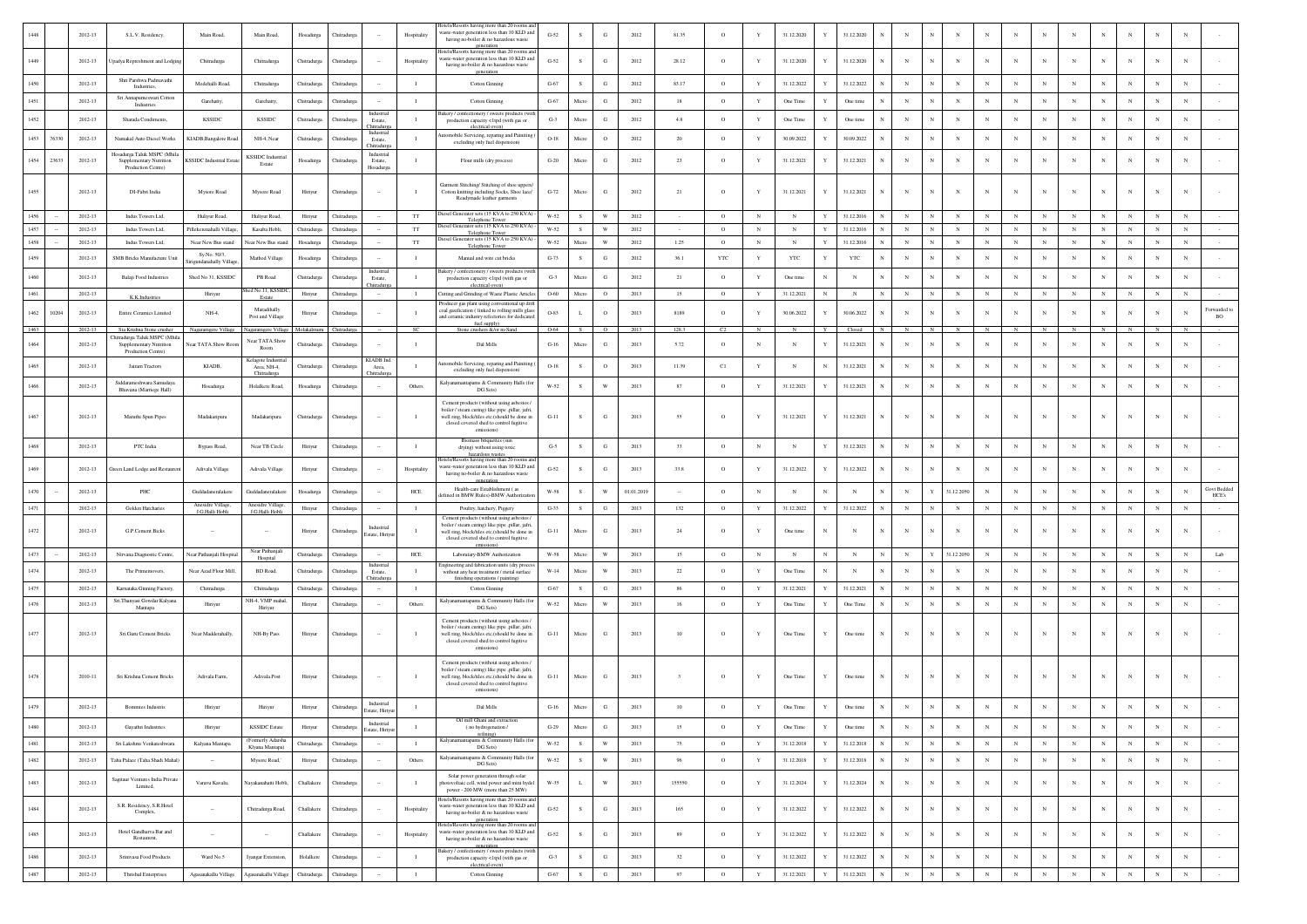| 144           | 2012-13     | S.L.V. Residency,                                         | Main Road,                            | Main Road,                         | Hosadurg    | <b>Thitrad</b> |                                            | Hospitality    | lotels/Resorts having more than 20 rooms an<br>waste-water generation less than 10 KLD and<br>having no-boiler & no hazardous waste                                                                     | $G-52$      | - S          | G                       | 2012       | 81.35                   | $\circ$    | Y            | 31.12.2020 |             | 31.12.2020               |            |                 |              |            |             |            |             |            |            |              |                     |
|---------------|-------------|-----------------------------------------------------------|---------------------------------------|------------------------------------|-------------|----------------|--------------------------------------------|----------------|---------------------------------------------------------------------------------------------------------------------------------------------------------------------------------------------------------|-------------|--------------|-------------------------|------------|-------------------------|------------|--------------|------------|-------------|--------------------------|------------|-----------------|--------------|------------|-------------|------------|-------------|------------|------------|--------------|---------------------|
| 1449          | 2012-13     | Upadya Represhment and Lodging                            | Chitradurga                           | Chitradurga                        | Chitradurga | Chitradurga    |                                            | Hospitality    | generation<br>lotels/Resorts having more than 20 rooms a<br>aste-water generation less than 10 KLD and<br>having no-boiler & no hazardous waste                                                         | $G-52$      | s            | $_{\rm G}$              | 2012       | 28.12                   | $\circ$    | Y            | 31.12.2020 | Y           | 31.12.2020               | N          | N               |              | $_{\rm N}$ | $_{\rm N}$  | $_{\rm N}$ | N           |            |            | $_{\rm N}$   |                     |
| 1450          | 2012-13     | Shri Parshwa Padmavathi<br>Industries,                    | Medehalli Road.                       | Chitradurga                        | Chitradurga | Chitradure     |                                            | $\blacksquare$ | generation<br>Cotton Ginning                                                                                                                                                                            | $G-67$      | $\mathbf{s}$ | G                       | 2012       | 83.17                   | $\circ$    | $\mathbf{Y}$ | 31.12.2022 | Y           | 31.12.2022               | $_{\rm N}$ | $_{\rm N}$      | $\mathbf{N}$ | $_{\rm N}$ | $_{\rm N}$  | $_{\rm N}$ | $_{\rm N}$  | N          | N          |              |                     |
| 145           | 2012-13     | Sri Annapurneswari Cotton<br>Industries                   | Garehatty,                            | Garehatty,                         | Chitradurga | Chitradurga    |                                            | - 1            | Cotton Ginning                                                                                                                                                                                          | $G-67$      | Micro        | G                       | 2012       | 18                      | $\circ$    | $\mathbf Y$  | One Time   | Y           | One time                 | $_{\rm N}$ | $_{\rm N}$      | $_{\rm N}$   |            | $_{\rm N}$  | $_{\rm N}$ | $_{\rm N}$  | N          |            |              |                     |
|               | $2012 - 13$ | Sharada Condiments,                                       | <b>KSSIDC</b>                         | <b>KSSIDC</b>                      | Chitradurga | Chitradurg     | Industria<br>Estate,                       |                | lakery / confectionery / sweets products (wit<br>production capacity <1tpd (with gas or                                                                                                                 | $G-3$       | Micro        | G                       | 2012       | 4.8                     | $\circ$    | $\mathbf Y$  | One Time   |             | One time                 | N          | $_{\rm N}$      |              |            | $_{\rm N}$  | $_{\rm N}$ | N           |            |            |              |                     |
| 1453<br>76330 | 2012-13     | Namakal Auto Diesel Works                                 | KIADB, Bangalore Road                 | NH-4, Near                         | Chitradurga | Chitradurg     | <b>Chitradurga</b><br>Industria<br>Estate. | $\blacksquare$ | electrical oven)<br>mobile Servicing, reparing and Painiting                                                                                                                                            | $O-18$      | Micro        | $\mathbf{o}$            | 2012       | $20\,$                  | $\circ$    | $\mathbf Y$  | 30.09.2022 | Y           | 30.09.2022               | $_{\rm N}$ | $_{\rm N}$      | $_{\rm N}$   |            | $_{\rm N}$  | $_{\rm N}$ | $_{\rm N}$  | N          | $_{\rm N}$ |              |                     |
|               |             | Hosadurga Taluk MSPC (Mhila                               |                                       |                                    |             |                | Chitradurga<br>Industrial                  |                | excluding only fuel dispension)                                                                                                                                                                         |             |              |                         |            |                         |            |              |            |             |                          |            |                 |              |            |             |            |             |            |            |              |                     |
| 1454<br>23633 | 2012-13     | Supplementary Nutrition<br>Production Centre)             | <b>KSSIDC</b> Industrial Estate       | <b>KSSIDC</b> Industrial<br>Estate | Hosadurga   | Chitradurga    | Estate,<br>Hosadurga                       | $\mathbf{I}$   | Flour mills (dry process)                                                                                                                                                                               | $G-20$      | Micro        | G                       | 2012       | 23                      | $\circ$    | Y            | 31.12.2021 | Y           | 31.12.2021               | $_{\rm N}$ | N               |              | $_{\rm N}$ | $_{\rm N}$  | $_{\rm N}$ | N           |            |            | $_{\rm N}$   |                     |
| 1455          | 2012-13     | DI-Fabri India                                            | Mysore Road                           | Mysore Road                        | Hiriyur     | Chitradurg     |                                            | $\blacksquare$ | Garment Stitching/ Stitching of shoe uppers/<br>Cotton knitting including Socks, Shoe lace/<br>Readymade leather garments                                                                               | $G-72$      | Micro        | G                       | 2012       | 21                      | $\circ$    | $\mathbf Y$  | 31.12.2021 | Y           | 31.12.2021<br>N          | $_{\rm N}$ | $_{\rm N}$      |              | $_{\rm N}$ | $_{\rm N}$  | $_{\rm N}$ | $_{\rm N}$  | $_{\rm N}$ | $_{\rm N}$ | $_{\rm N}$   |                     |
| 1456          | 2012-13     | Indus Towers Ltd.                                         | Hulivur Road.                         | Hulivur Road.                      | Hiriyur     | Chitradure     |                                            | $_{\rm TT}$    | Diesel Generator sets (15 KVA to 250 KVA) -<br>Telephone Tower                                                                                                                                          | W-52        | $\mathbf{s}$ | W                       | 2012       |                         | $\circ$    | $_{\rm N}$   | $_{\rm N}$ | Y           | 31.12.2016               | $_{\rm N}$ | $_{\rm N}$      | $\mathbf{N}$ | N          | N           | N          | $_{\rm N}$  | $_{\rm N}$ | $_{\rm N}$ |              | $\mathbf{N}$        |
| 1457          | 2012-13     | Indus Towers Ltd,                                         | Pillekerenahalli Villag               | Kasaba Hobli,                      | Chitradurga | Chitradurga    |                                            | $_{\rm TT}$    | eiesel Generator sets (15 KVA to 250 KVA<br>Telephone Towe<br>Diesel Generator sets (15 KVA to 250 KVA)                                                                                                 | $W-52$      | ${\bf S}$    | $\mathbf{W}$            | 2012       |                         | $\circ$    | $_{\rm N}$   | $_{\rm N}$ | $\mathbf Y$ | 31.12.2016               | $_{\rm N}$ | ${\bf N}$       | $\mathbf N$  | $_{\rm N}$ | ${\bf N}$   | ${\bf N}$  | $_{\rm N}$  | $_{\rm N}$ | $_{\rm N}$ | $_{\rm N}$   | $_{\rm N}$          |
| 1458          | 2012-13     | Indus Towers Ltd.                                         | Near New Bus stand                    | Near New Bus stand                 | Hosadurga   | Chitradurga    |                                            | $_{\rm TT}$    | Telephone Tower                                                                                                                                                                                         | W-52        | Micro        | W                       | 2012       | 1.25                    | $\circ$    | N            | $_{\rm N}$ | Y           | 31.12.2016               | $_{\rm N}$ | $_{\mathrm{N}}$ | $\mathbf N$  | $_{\rm N}$ | $_{\rm N}$  | $_{\rm N}$ | N           | $_{\rm N}$ | $_{\rm N}$ | $_{\rm N}$   | $_{\rm N}$          |
| 1459          | 2012-13     | <b>SMB Bricks Manufacture Unit</b>                        | Sy.No. 50/3<br>rigundanahally Village | Mathod Village                     | Hosadurga   | Chitradure     |                                            | $\blacksquare$ | Manual and wire cut bricks                                                                                                                                                                              | $G-73$      | - S          | G                       | 2012       | 36.1                    | <b>YTC</b> | Y            | YTC        | Y           | <b>YTC</b>               | $_{\rm N}$ | $\mathbf N$     | $\mathbf N$  | N          | $_{\rm N}$  | $_{\rm N}$ | $\mathbf N$ | N          | N          | $\mathbf N$  |                     |
| 1460          | 2012-13     | Balaji Food Industries                                    | Shed No 31, KSSIDO                    | PB Road                            | Chitradurga | Chitradurg     | Industrial<br>Estate,                      | $\blacksquare$ | Bakery / confectionery / sweets products (wit<br>production capacity <1tpd (with gas or                                                                                                                 | $G-3$       | Micro        | G                       | 2012       | 21                      | $\circ$    | Y            | One time   | $_{\rm N}$  | $_{\rm N}$               | N          | $_{\rm N}$      | $\mathbf{N}$ | $_{\rm N}$ | $_{\rm N}$  | $_{\rm N}$ | $_{\rm N}$  | N          |            | $\mathbf{N}$ |                     |
| 1461          | 2012-13     |                                                           | Hiriyur                               | hed No.11, KSSID                   | Hiriyur     | Chitradurga    |                                            | $\mathbf{I}$   | electrical oven)<br>Cutting and Grinding of Waste Plastic Articles                                                                                                                                      | O-60        | Micro        | $\circ$                 | 2013       | 15                      | $\circ$    | Y            | 31.12.2021 | $_{\rm N}$  | $_{\rm N}$<br>N          | $_{\rm N}$ | $_{\rm N}$      | ${\bf N}$    | $_{\rm N}$ | $\,$ N $\,$ | ${\bf N}$  | ${\bf N}$   | $_{\rm N}$ | $_{\rm N}$ | $_{\rm N}$   | $_{\rm N}$          |
|               |             | K.K.Industries                                            |                                       | Estate<br>Maradihally              |             |                |                                            |                | roducer gas plant using conventional up drift                                                                                                                                                           |             |              |                         |            |                         |            |              |            |             |                          |            |                 |              |            |             |            |             |            |            |              | Forwarded to        |
| 1462<br>10204 | 2012-13     | <b>Entire Ceramics Limited</b>                            | NH-4,                                 | Post and Village                   | Hiriyur     | Chitradurga    |                                            |                | coal gasification (linked to rolling mills glass<br>and ceramic industry refectories for dedicated                                                                                                      | O-83        | L            | $\circ$                 | 2013       | 8189                    | $\circ$    | Y            | 30.06.2022 | Y           | 30.06.2022               | N          | $\mathbb{N}$    |              | $_{\rm N}$ | $_{\rm N}$  | $_{\rm N}$ | N           | N          | $_{\rm N}$ | $_{\rm N}$   | BO                  |
| 1463          | 2012-13     | Sia Krishna Stone crusher<br>hitradurga Taluk MSPC (Mhila | Nagaramgere Village                   | Nagaramgere Villag                 | Molakalmun  | Chitradurga    |                                            | SC             | fuel supply)<br>Stone crushers &/or m-Sand                                                                                                                                                              | 0-64        |              | $\circ$                 | 2013       | 128.3                   | C2         |              |            |             | Closed                   |            |                 |              |            |             |            |             |            |            |              |                     |
| 1464          | 2012-13     | Supplementary Nutrition<br>Production Centre)             | Near TATA Show Root                   | Near TATA Show<br>Room             | Chitradurea | Chitradure     |                                            |                | Dal Mills                                                                                                                                                                                               | $G-16$      | Micro        | G                       | 2013       | 5.72                    | $\circ$    | $\mathbb{N}$ | N          | Y           | 31.12.2021               | $_{\rm N}$ | $\mathbb{N}$    |              | N          | $_{\rm N}$  | N          | N           | N          | $_{\rm N}$ | $_{\rm N}$   |                     |
| 1465          | 2012-13     | Jairam Tractors                                           | KIADB,                                | Kelagote Industri<br>Area, NH-4,   | Chitradurga | Chitradurg     | KIADB Ind                                  | $\blacksquare$ | tomobile Servicing, reparing and Painiting                                                                                                                                                              | $O-18$      | $\mathbf S$  | $\mathbf{o}$            | 2013       | 11.39                   | C1         | $\mathbf Y$  | $_{\rm N}$ | N           | 31.12.2021               | $_{\rm N}$ | $_{\rm N}$      | $_{\rm N}$   | $_{\rm N}$ | $_{\rm N}$  | $_{\rm N}$ | N           | $_{\rm N}$ | $_{\rm N}$ |              |                     |
|               |             |                                                           |                                       | Chitradurga                        |             |                | Area,<br>hitradurg                         |                | excluding only fuel dispension)                                                                                                                                                                         |             |              |                         |            |                         |            |              |            |             |                          |            |                 |              |            |             |            |             |            |            |              |                     |
| 1466          | 2012-13     | Siddarameshwara Samudaya<br>Bhavana (Marriege Hall)       | Hosadurga                             | Holalkere Road.                    | Hosadurga   | Chitradurga    | $\sim$                                     | Others         | Kalyanamantapams & Community Halls (for<br>DG Sets)                                                                                                                                                     | W-52        | s.           | W                       | 2013       | 87                      | $\circ$    | Y            | 31.12.2021 | Y           | 31.12.2021               | $_{\rm N}$ | $\mathbf N$     | $_{\rm N}$   | $_{\rm N}$ | $_{\rm N}$  | $_{\rm N}$ | $_{\rm N}$  | N          | N          | $_{\rm N}$   | $_{\rm N}$          |
| 1467          | 2012-13     | Maruthi Spun Pipes                                        | Madakaripura                          | Madakaripura                       | Chitradurea | Chitradure     |                                            | - 1            | Cement products (without using asbestos<br>boiler / steam curing) like pipe .pillar, jafri.<br>well ring, block/tiles etc.(should be done in<br>closed covered shed to control fugitive<br>emissions)   | $G-11$      | s.           | G                       | 2013       | 55                      | $\circ$    | Y            | 31.12.2021 | Y           | 31.12.2021               | N          | N               |              | $_{\rm N}$ | $_{\rm N}$  | N          | $_{\rm N}$  |            |            | $_{\rm N}$   |                     |
| 1468          | 2012-13     | PTC India                                                 | Bypass Road,                          | Near TB Circle                     | Hiriyur     | Chitradure     |                                            | $\blacksquare$ | Biomass briquettes (sur<br>drying) without using toxic                                                                                                                                                  | $G-5$       | s            | G                       | 2013       | 33                      | $\circ$    | $_{\rm N}$   | $_{\rm N}$ | Y           | 31.12.2021               | $_{\rm N}$ | $_{\rm N}$      | $\mathbf{N}$ | $_{\rm N}$ | $_{\rm N}$  | $_{\rm N}$ | $_{\rm N}$  | N          | N          |              |                     |
| 1469          | 2012-13     | Green Land Lodge and Restaurent                           | Adivala Village                       | Adivala Village                    | Hiriyur     | Chitradurga    |                                            | Hospitality    | hazardous wastes<br>Mels/Resorts having more than 20 rooms an<br>vaste-water generation less than 10 KLD and<br>having no-boiler & no hazardous waste                                                   | $G-52$      | s            | $_{\rm G}$              | 2013       | 33.8                    | $\circ$    | Y            | 31.12.2022 | Y           | 31.12.2022               | $_{\rm N}$ | $\mathbb{N}$    |              | N          | $_{\rm N}$  | $_{\rm N}$ | $\mathbf N$ |            |            | $_{\rm N}$   |                     |
| 1470          | 2012-13     | PHC                                                       | Guddadaneralakere                     | <b>juddadaneralakere</b>           | Hosadurga   | Chitradurg     |                                            | $HEE$          | eeneration<br>Health-care Establishment (as                                                                                                                                                             | W-58        | s            | W                       | 01.01.2019 |                         | $\circ$    | $_{\rm N}$   | $_{\rm N}$ | N           | $_{\rm N}$               | N          | $\mathbf Y$     | 31.12.2050   |            | $_{\rm N}$  | $_{\rm N}$ | N           |            |            |              | <b>Govt Bedded</b>  |
| 1471          | 2012-13     | Golden Hatcharies                                         | Anesidre Village                      | Anesidre Villao                    |             |                |                                            | $\blacksquare$ | efined in BMW Rules)-BMW Authorizati                                                                                                                                                                    | $G-33$      |              | G                       |            |                         |            | Y            | 31.12.2022 | Y           | 31.12.2022               | $_{\rm N}$ | $_{\rm N}$      | $\mathbb{N}$ | $_{\rm N}$ |             | ${\bf N}$  |             | $_{\rm N}$ | $_{\rm N}$ | $_{\rm N}$   | HCE's<br>$_{\rm N}$ |
|               |             |                                                           | J.G.Halli Hobli                       | J.G.Halli Hobli                    | Hiriyur     | Chitradurga    |                                            |                | Poultry, hatchery, Piggery<br>Cement products (without using asbestos                                                                                                                                   |             | S            |                         | 2013       | 132                     | $\circ$    |              |            |             |                          |            |                 |              |            | $\,$ N      |            | $\,$ N      |            |            |              |                     |
| 1472          | 2012-13     | <b>G.P.Cement Bicks</b>                                   | $\sim$                                |                                    | Hiriyur     | Chitradurez    | Industrial<br>state, Hiriye                | $\blacksquare$ | boiler / steam curing) like pipe ,pillar, jafri,<br>well ring, block/tiles etc.(should be done in                                                                                                       | $G-11$      | Micro        | G                       | 2013       | 24                      | $\circ$    | Y            | One time   | N           | $_{\rm N}$<br>N          | N          | $_{\rm N}$      |              | N          | $_{\rm N}$  | $_{\rm N}$ | $_{\rm N}$  | N          | N          | $_{\rm N}$   |                     |
|               |             |                                                           |                                       | Near Pathanjal                     |             |                |                                            |                | closed covered shed to control fugitive<br>emissions)                                                                                                                                                   |             |              |                         |            |                         |            |              |            |             |                          |            |                 |              |            |             |            |             |            |            |              |                     |
| 1473          | 2012-13     | Nirvana Diagnostic Centre                                 | Near Pathanjali Hospital              | Hospital                           | Chitradurga | Chitradurga    | Industria                                  | HCE            | Laboratary-BMW Authorization<br>Ingineering and fabrication units (dry proces                                                                                                                           | W-58        | Micro        | W                       | 2013       | 15                      | $\circ$    | $_{\rm N}$   | ${\bf N}$  | $_{\rm N}$  | $_{\rm N}$               | $_{\rm N}$ | Y               | 31.12.2050   | $_{\rm N}$ | $_{\rm N}$  | ${\bf N}$  | ${\bf N}$   | $_{\rm N}$ | $_{\rm N}$ | $_{\rm N}$   | $_{\rm N}$<br>Lab   |
| 1474          | 2012-13     | The Primemovers                                           | Near Azad Flour Mill,                 | BD Road,                           | Chitradurga | Thitradurg     | Estate,<br>itradurg                        |                | without any heat treatment / metal surface<br>finishing operations / painting                                                                                                                           | $W-14$      | Micro        | W                       | 2013       | $22\,$                  | $\circ$    | $\mathbf Y$  | One Time   | $_{\rm N}$  | $_{\rm N}$               | $_{\rm N}$ | $_{\rm N}$      |              | $_{\rm N}$ | $_{\rm N}$  | $_{\rm N}$ | $_{\rm N}$  | $_{\rm N}$ | $_{\rm N}$ | $_{\rm N}$   |                     |
| 1475          | 2012-13     | Karnataka Ginning Factory                                 | Chitradurea                           | Chitradurea                        | Chitradurea | Chitradure     |                                            | $\blacksquare$ | Cotton Ginning                                                                                                                                                                                          | $G-67$      | s            | G                       | 2013       | 86                      | $\circ$    | Y            | 31.12.2021 | Y           | 31.12.2021               | $_{\rm N}$ | $_{\rm N}$      | $\mathbf{N}$ | $_{\rm N}$ | $_{\rm N}$  | $_{\rm N}$ | $_{\rm N}$  | $_{\rm N}$ | N          | $\mathbf{N}$ |                     |
| 1476          | 2012-13     | Sri.Thanyasi Gowdar Kalyana<br>Mantapa                    | Hiriyur                               | NH-4. VMP mahal<br>Hiriyur         | Hiriyur     | Chitradurga    |                                            | Others         | Kalyanamantapams & Community Halls (for<br>DG Sets)                                                                                                                                                     | W-52        | Micro        | $\ensuremath{\text{W}}$ | 2013       | 16                      | $\circ$    | $\mathbf Y$  | One Time   | Y           | One Time                 | $_{\rm N}$ | $_{\rm N}$      | $_{\rm N}$   | $_{\rm N}$ | $_{\rm N}$  | $_{\rm N}$ | $_{\rm N}$  | N          |            |              |                     |
| 1477          | 2012-13     | Sri.Guru Cement Bricks                                    | Near Madderahally,                    | NH-By Pass                         | Hiriyur     | Chitradurga    |                                            | - 1            | Cement products (without using asbestos /<br>boiler / steam curing) like pipe ,pillar, jafri,<br>well ring, block/tiles etc.(should be done in<br>closed covered shed to control fugitive<br>emissions) | $G-11$      | Micro        | G                       | 2013       | 10                      | $\circ$    | $\mathbf{Y}$ | One Time   | Y           | One time                 | N          | N               |              | N          | $_{\rm N}$  | $_{\rm N}$ | N           |            |            | $_{\rm N}$   |                     |
| 1478          | 2010-11     | Sri Krishna Cement Bricks                                 | Adivala Farm,                         | Adivala Post                       | Hiriyur     | Chitradurga    |                                            |                | Cement products (without using asbestos,<br>boiler / steam curing) like pipe ,pillar, jafri,<br>well ring, block/tiles etc.(should be done in<br>closed covered shed to control fugitive<br>emissions)  | $G-11$      | Micro        | G                       | 2013       | $\overline{\mathbf{3}}$ | $\circ$    | $\mathbf Y$  | One Time   | Y           | One time<br>N            | $_{\rm N}$ | N               |              | $_{\rm N}$ | $_{\rm N}$  | $_{\rm N}$ | N           |            |            | $_{\rm N}$   |                     |
| 1479          | 2012-13     | Bommies Industris                                         | Hiriyur                               | Hiriyur                            | Hiriyur     | Chitradure     | Industrial<br>state Hiri <sup>-</sup>      |                | Dal Mills                                                                                                                                                                                               | $G-16$      | Micro        | G                       | 2013       | $10$                    | $\circ$    | Y            | One Time   |             | One time                 | $_{\rm N}$ |                 |              |            |             |            | $_{\rm N}$  |            |            |              |                     |
| 1480          | 2012-13     | Gayathri Industries                                       | Hiriyur                               | <b>KSSIDC</b> Estate               | Hiriyur     | Chitradurga    | Industrial                                 | $\blacksquare$ | Oil mill Ghani and extraction<br>( no hydrogenation $\prime$                                                                                                                                            | $G-29$      | Micro        | G                       | 2013       | 15                      | $\circ$    | Y            | One Time   | Y           | One time<br>N            | $_{\rm N}$ | $_{\rm N}$      | $_{\rm N}$   | $_{\rm N}$ | $_{\rm N}$  | $_{\rm N}$ | $_{\rm N}$  | $_{\rm N}$ | $_{\rm N}$ | $_{\rm N}$   | $_{\rm N}$          |
|               |             |                                                           |                                       | (Formerly Adarsha                  |             |                | <b>Estate</b> , Hiriyur                    |                | refining)<br>Kalyanamantapams & Community Halls (for                                                                                                                                                    |             |              |                         |            |                         |            |              |            |             |                          |            |                 |              |            |             |            |             |            |            |              |                     |
| 1481          | 2012-13     | Sri Lakshmi Venkateshwara                                 | Kalyana Mantapa                       | Klyana Mantana)                    | Chitradurga | Chitradurga    |                                            | $\mathbf{I}$   | DG Sets)                                                                                                                                                                                                | $W-52$      | $\mathbf{s}$ | $\ensuremath{\text{W}}$ | 2013       | 75                      | $\circ$    | $\mathbf Y$  | 31.12.2018 | $\mathbf Y$ | 31.12.2018               | $_{\rm N}$ | $_{\rm N}$      | $_{\rm N}$   | $_{\rm N}$ | $_{\rm N}$  | $_{\rm N}$ | $_{\rm N}$  | $_{\rm N}$ | $_{\rm N}$ | $_{\rm N}$   | $_{\rm N}$          |
| 1482          | 2012-13     | Taha Palace (Taha Shadi Mahal)                            |                                       | Mysore Road,"                      | Hiriyur     | Chitradurga    |                                            | Others         | Kalyanamantapams & Community Halls (for<br>DG Sets)                                                                                                                                                     | <b>W-52</b> | ${\bf S}$    | $\ensuremath{\text{W}}$ | 2013       | 96                      | $\circ$    | $\mathbf Y$  | 31.12.2018 | $\mathbf Y$ | 31.12.2018<br>N          | $_{\rm N}$ | $_{\rm N}$      | $_{\rm N}$   | $_{\rm N}$ | $_{\rm N}$  | $_{\rm N}$ | $_{\rm N}$  | $_{\rm N}$ | $_{\rm N}$ | $_{\rm N}$   | $_{\rm N}$          |
| 1483          | 2012-13     | Sagitaur Ventures India Private<br>Limited,               | Varavu Kavalu,                        | Nayakanahatti Hobli,               | Challakere  | Chitradurga    |                                            | $\blacksquare$ | Solar power generation through solar<br>photovoltaic cell, wind power and mini hydel<br>power - 200 MW (more than 25 MW)                                                                                | W-35        | L            | $\mathbf{W}$            | 2013       | 155550                  | $\circ$    | $\mathbf Y$  | 31.12.2024 | Y           | 31.12.2024<br>$_{\rm N}$ | $_{\rm N}$ | $_{\rm N}$      | $_{\rm N}$   | $_{\rm N}$ | $_{\rm N}$  | $\,$ N     | ${\bf N}$   | $_{\rm N}$ | $_{\rm N}$ | $_{\rm N}$   | $_{\rm N}$          |
| 1484          | 2012-13     | S.R. Residency, S.R. Hotel<br>Complex,                    |                                       | Chitradurga Road,                  | Challakere  | Chitradurg     |                                            | Hospitality    | lotels/Resorts having more than 20 rooms and<br>waste-water generation less than 10 KLD and<br>having no-boiler & no hazardous waste<br>eeneration                                                      | $G-52$      | $\mathbf{s}$ | ${\bf G}$               | 2013       | 165                     | $\circ$    | $\mathbf Y$  | 31.12.2022 | $\mathbf Y$ | 31.12.2022<br>N          | $_{\rm N}$ | $_{\rm N}$      | $_{\rm N}$   | $_{\rm N}$ | $_{\rm N}$  | $_{\rm N}$ | $_{\rm N}$  | $_{\rm N}$ | $_{\rm N}$ | $_{\rm N}$   |                     |
| 1485          | 2012-13     | Hotel Gandharva Bar and<br>Restaurent.                    | $\sim$                                |                                    | Challakere  | Chitradurga    |                                            | Hospitality    | lotels/Resorts having more than 20 rooms and<br>vaste-water generation less than 10 KLD and<br>having no-boiler & no hazardous waste                                                                    | $G-52$      | $\mathbf{s}$ | $_{\rm G}$              | 2013       | 89                      | $\circ$    | $\mathbf Y$  | 31.12.2022 | $\mathbf Y$ | 31.12.2022<br>$_{\rm N}$ | $_{\rm N}$ | $_{\rm N}$      | $_{\rm N}$   | $_{\rm N}$ | $_{\rm N}$  | $_{\rm N}$ | $_{\rm N}$  | $_{\rm N}$ | $_{\rm N}$ | $_{\rm N}$   | $_{\rm N}$          |
|               |             | Srinivasa Food Products                                   | Ward No.5                             | Iyangar Extension,                 | Holalkere   | Chitradurga    | $\sim$                                     | $\blacksquare$ | generation<br>kery / confectionery / sweets products (with<br>production capacity <1tpd (with gas or                                                                                                    | $G-3$       | ${\bf S}$    | G                       | 2013       | 32                      | $\circ$    | $\mathbf Y$  | 31.12.2022 | Y           | 31.12.2022<br>$_{\rm N}$ | $_{\rm N}$ | $_{\rm N}$      | $_{\rm N}$   | $_{\rm N}$ | $\,$ N      | $_{\rm N}$ | $_{\rm N}$  | $_{\rm N}$ | $_{\rm N}$ | $_{\rm N}$   | $_{\rm N}$          |
| 1486          | 2012-13     |                                                           |                                       |                                    |             |                |                                            |                |                                                                                                                                                                                                         |             |              |                         |            |                         |            |              |            |             |                          |            |                 |              |            |             |            |             |            |            |              |                     |
| 1487          | 2012-13     | <b>Thrishul Enterprises</b>                               | Agasanakallu Village                  | Agasanakallu Village               | Chitradurga | Chitradurga    |                                            | $\mathbf{I}$   | electrical oven)<br>Cotton Ginning                                                                                                                                                                      | $G-67$      | $\,$ s       | ${\rm G}$               | 2013       | 97                      | $\circ$    | $\mathbf Y$  | 31.12.2021 | $\mathbf Y$ | 31.12.2021               | $_{\rm N}$ | $_{\rm N}$      | $_{\rm N}$   | $_{\rm N}$ | $_{\rm N}$  | $_{\rm N}$ | $_{\rm N}$  | $_{\rm N}$ | $_{\rm N}$ | $_{\rm N}$   | $_{\rm N}$          |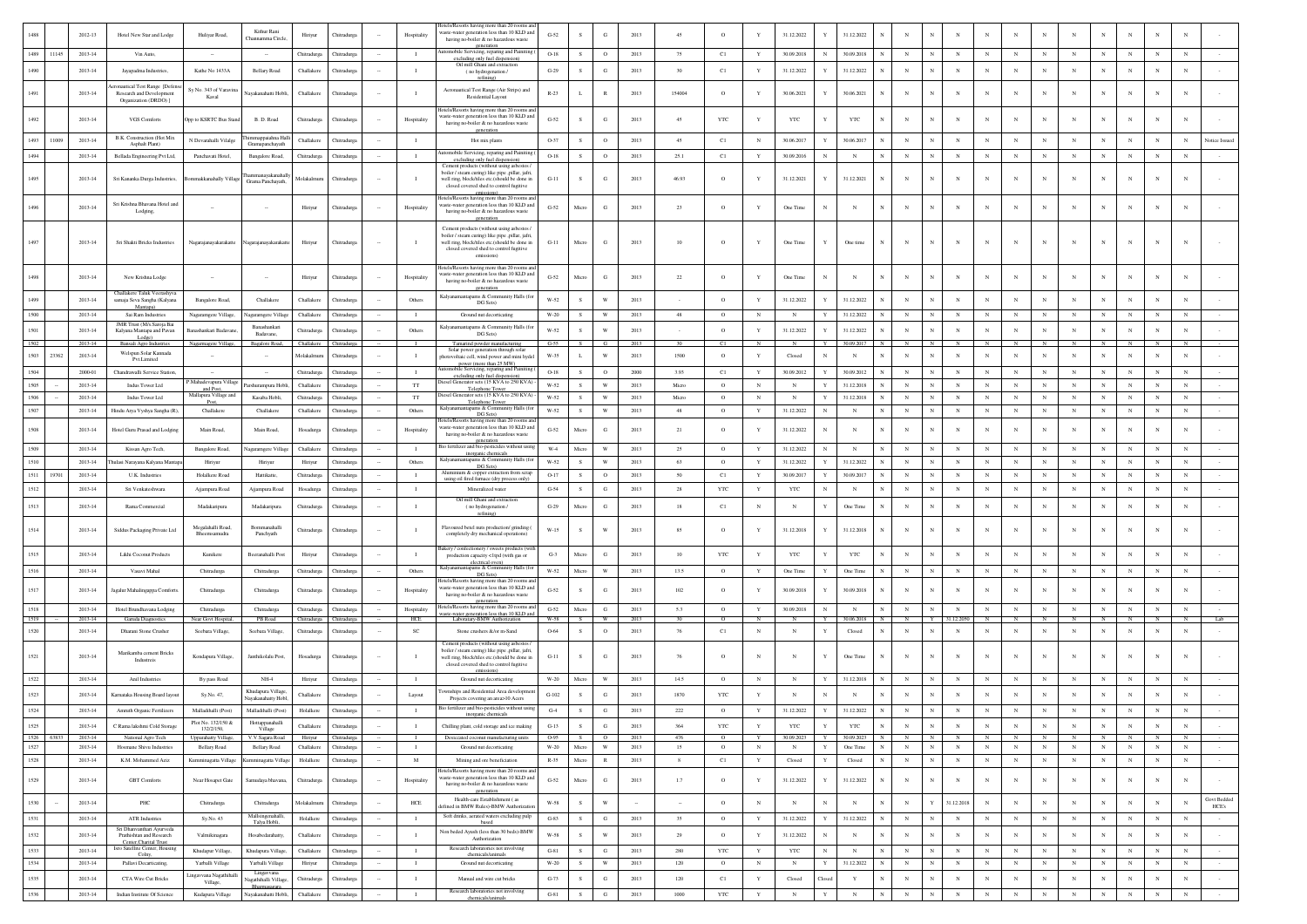|              |            |                    |                                                          |                                                   | Kithur Rani                            |                        |                                    |                |                                  | lotels/Resorts having more than 20 rooms and<br>vaste-water generation less than 10 KLD and               |                        |                |                           |              |                 |                       |                          |                            |                           |                            |                   |                                                        |                          |                            |                           |                           |                          |                           |                          |                          |                          |                             |
|--------------|------------|--------------------|----------------------------------------------------------|---------------------------------------------------|----------------------------------------|------------------------|------------------------------------|----------------|----------------------------------|-----------------------------------------------------------------------------------------------------------|------------------------|----------------|---------------------------|--------------|-----------------|-----------------------|--------------------------|----------------------------|---------------------------|----------------------------|-------------------|--------------------------------------------------------|--------------------------|----------------------------|---------------------------|---------------------------|--------------------------|---------------------------|--------------------------|--------------------------|--------------------------|-----------------------------|
|              |            | 2012-13            | Hotel New Star and Lodge                                 | Huliyar Road,                                     | Channamma Circle                       | Hiriyur                |                                    |                | Hospitality                      | having no-boiler & no hazardous waste                                                                     | $G-52$                 | s              | G                         | 2013         | 45              | $\circ$               |                          | 31.12.2022                 |                           | 31.12.2022                 |                   | $_{\rm N}$                                             |                          |                            |                           |                           |                          |                           |                          |                          |                          |                             |
| 1489         | 11145      | 2013-14            | Vin Auto,                                                |                                                   |                                        | Chitradurga            | Chitradurga                        |                | $\blacksquare$                   | generation<br>mobile Servicing, reparing and Painiting (<br>excluding only fuel dispension)               | $O-18$                 | S              | $\circ$                   | 2013         | 75              | C1                    | Y                        | 30.09.2018                 | $_{\rm N}$                | 30.09.2018                 | $_{\rm N}$        | $_{\rm N}$<br>$_{\rm N}$                               | $_{\rm N}$               | $_{\rm N}$                 | $_{\rm N}$                | $_{\rm N}$                | $_{\rm N}$               | N                         | $_{\rm N}$               | $_{\rm N}$               | $_{\rm N}$               |                             |
| 1490         |            | 2013-14            | Javapadma Industries.                                    | Kathe No 1433A                                    | <b>Bellary Road</b>                    | Challakere             | Chitradurga                        |                | $\blacksquare$                   | Oil mill Ghani and extraction<br>(no hydrogenation /                                                      | $G-29$                 | S              | G                         | 2013         | 30 <sup>°</sup> | C1                    | $\mathbf Y$              | 31.12.2022                 | Y                         | 31.12.2022                 | $_{\rm N}$        | $_{\rm N}$<br>$_{\rm N}$                               | $_{\rm N}$               | $_{\rm N}$                 |                           | $_{\rm N}$                | $\mathbf N$              | $\mathbf N$               | $_{\rm N}$               | $_{\rm N}$               | $_{\rm N}$               |                             |
|              |            |                    | mautical Test Range [Defens                              |                                                   |                                        |                        |                                    |                |                                  | refining)                                                                                                 |                        |                |                           |              |                 |                       |                          |                            |                           |                            |                   |                                                        |                          |                            |                           |                           |                          |                           |                          |                          |                          |                             |
| 1491         |            | 2013-14            | Research and Development<br>Organization (DRDO) ]        | Sv No. 343 of Varavir<br>Kaval                    | Nayakanahatti Hobl                     | Challakere             | Chitradurg                         |                |                                  | Aeronautical Test Range (Air Strips) and<br>Residential Layout                                            | $R-23$                 | L              | $\mathbb R$               | 2013         | 154004          | $\circ$               | $\mathbf{Y}$             | 30.06.2021                 | Y                         | 30.06.2021                 | $_{\rm N}$        | $_{\rm N}$<br>$_{\rm N}$                               | $_{\rm N}$               | $_{\rm N}$                 |                           | $_{\rm N}$                |                          | N                         | $_{\rm N}$               | $_{\rm N}$               | N                        |                             |
|              |            |                    |                                                          |                                                   |                                        |                        |                                    |                |                                  | lotels/Resorts having more than 20 rooms and                                                              |                        |                |                           |              |                 |                       |                          |                            |                           |                            |                   |                                                        |                          |                            |                           |                           |                          |                           |                          |                          |                          |                             |
| 1492         |            | 2013-14            | VGS Comforts                                             | Opp to KSRTC Bus Stan                             | B. D. Road                             | Chitradurga            | Chitradurg                         |                | Hospitality                      | waste-water generation less than 10 KLD and<br>having no-boiler & no hazardous waste                      | $G-52$                 | ${\bf s}$      | $_{\rm G}$                | 2013         | 45              | $_{\rm YTC}$          | Y                        | YTC                        |                           | YTC                        | N                 | $_{\rm N}$<br>$_{\rm N}$                               |                          |                            |                           | $_{\rm N}$                |                          | $\mathbf N$               | $_{\rm N}$               | $_{\rm N}$               | $_{\rm N}$               |                             |
| 1493         | 11009      | 2013-14            | B.K. Construction (Hot Mix                               | N Devarahalli Vilalge                             | amappaiahna Hall                       | Challakere             | Chitradurg                         |                | $\blacksquare$                   | ceneration<br>Hot mix plants                                                                              | O-37                   | s              | $\circ$                   | 2013         | 45              | C1                    | $_{\rm N}$               | 30.06.2017                 | Y                         | 30.06.2017                 | N                 | $_{\rm N}$                                             | $_{\rm N}$               |                            |                           |                           | N                        | N                         |                          | $_{\rm N}$               | N                        | Votice Issued               |
| 1494         |            | 2013-14            | Asphalt Plant)<br>Bellada Engineering Pvt Ltd,           | Panchavati Hotel,                                 | Gramapanchayath<br>Bangalore Road,     | Chitradurga            | Chitradurg                         |                | $\blacksquare$                   | tomobile Servicing, reparing and Painiting                                                                | $O-18$                 | S              | $\circ$                   | 2013         | 25.1            | C1                    | Y                        | 30.09.2016                 | $_{\rm N}$                | $_{\rm N}$                 | N                 | $_{\rm N}$<br>N                                        | $_{\rm N}$               | $_{\rm N}$                 | $_{\rm N}$                | $_{\rm N}$                | $\mathbf N$              | $_{\rm N}$                | $_{\rm N}$               | $_{\rm N}$               | $_{\rm N}$               |                             |
|              |            |                    |                                                          |                                                   |                                        |                        |                                    |                |                                  | excluding only fuel dispension)<br>Cement products (without using asbestos                                |                        |                |                           |              |                 |                       |                          |                            |                           |                            |                   |                                                        |                          |                            |                           |                           |                          |                           |                          |                          |                          |                             |
| 1495         |            | 2013-14            | Sri Kananka Durga Industries,                            | lommakkanahally Village                           | Grama Panchayath,                      | Molakalmuru            | Chitradurga                        |                | - 1                              | boiler / steam curing) like pipe ,pillar, jafri,<br>well ring, block/tiles etc.(should be done in         | $G-11$                 | s              | G                         | 2013         | 46.93           | $\circ$               | Y                        | 31.12.2021                 | Y                         | 31.12.2021                 | $\mathbb{N}$      | $_{\rm N}$<br>N                                        | N                        | $_{\rm N}$                 |                           | $_{\rm N}$                |                          | N                         |                          | $_{\rm N}$               | N                        |                             |
|              |            |                    |                                                          |                                                   |                                        |                        |                                    |                |                                  | closed covered shed to control fugitive<br>emissions)                                                     |                        |                |                           |              |                 |                       |                          |                            |                           |                            |                   |                                                        |                          |                            |                           |                           |                          |                           |                          |                          |                          |                             |
| 1496         |            | 2013-14            | Sri Krishna Bhayana Hotel and<br>Lodging,                |                                                   |                                        | Hiriyur                | <b>Thitradurg</b>                  |                | Hospitality                      | lotels/Resorts having more than 20 rooms and<br>waste-water generation less than 10 KLD and               | $G-52$                 | Micro          | $_{\rm G}$                | 2013         | 23              | $\circ$               |                          | One Time                   | $_{\rm N}$                | $_{\rm N}$                 |                   | $_{\rm N}$<br>$_{\rm N}$                               | $_{\rm N}$               | $_{\rm N}$                 |                           | $_{\rm N}$                |                          | N                         |                          | $_{\rm N}$               |                          |                             |
|              |            |                    |                                                          |                                                   |                                        |                        |                                    |                |                                  | having no-boiler & no hazardous waste<br>generation                                                       |                        |                |                           |              |                 |                       |                          |                            |                           |                            |                   |                                                        |                          |                            |                           |                           |                          |                           |                          |                          |                          |                             |
|              |            |                    |                                                          |                                                   |                                        |                        |                                    |                |                                  | Cement products (without using asbestos /<br>boiler / steam curing) like pipe ,pillar, jafri,             |                        |                |                           |              |                 |                       |                          |                            |                           |                            |                   |                                                        |                          |                            |                           |                           |                          |                           |                          |                          |                          |                             |
| 1497         |            | 2013-14            | Sri Shakti Bricks Industries                             | Nagarajanayakarakatte                             | Nagarajanayakarakatte                  | Hiriyur                | Chitradurg                         |                |                                  | well ring, block/tiles etc.(should be done in<br>closed covered shed to control fugitive                  | $G-11$                 | Micro          | $_{\rm G}$                | 2013         | $10\,$          | $\circ$               | Y                        | One Time                   | Y                         | One time                   | $_{\rm N}$        | $_{\rm N}$<br>N                                        |                          | $_{\rm N}$                 |                           | $_{\rm N}$                |                          | $\mathbf N$               |                          | $_{\rm N}$               |                          |                             |
|              |            |                    |                                                          |                                                   |                                        |                        |                                    |                |                                  | emissions)                                                                                                |                        |                |                           |              |                 |                       |                          |                            |                           |                            |                   |                                                        |                          |                            |                           |                           |                          |                           |                          |                          |                          |                             |
| 1498         |            | 2013-14            | New Krishna Lodge                                        |                                                   |                                        | Hiriyur                | Chitradur                          |                | Hospitality                      | lotels/Resorts having more than 20 rooms and<br>waste-water generation less than 10 KLD and               | $G-52$                 | Micro          | G                         | 2013         | 22              | $\circ$               | Y                        | One Time                   | $\mathbb{N}$              | $_{\rm N}$                 | $\mathbb{N}$      | $\mathbf N$<br>N                                       | $_{\rm N}$               | $_{\rm N}$                 |                           | $_{\rm N}$                |                          | N                         |                          | $_{\rm N}$               | $_{\rm N}$               |                             |
|              |            |                    | <b>Challakere Taluk Veerashyv</b>                        |                                                   |                                        |                        |                                    |                |                                  | having no-boiler & no hazardous waste<br>generation                                                       |                        |                |                           |              |                 |                       |                          |                            |                           |                            |                   |                                                        |                          |                            |                           |                           |                          |                           |                          |                          |                          |                             |
| 1499         |            | 2013-14            | samaja Seva Sangha (Kalyana<br>Mantapa)                  | Bangalore Road,                                   | Challakere                             | Challakere             | Chitradure                         |                | Others                           | Kalyanamantapams & Community Halls (for<br>DG Sets)                                                       | W-52                   | s.             | W                         | 2013         |                 | $\circ$               | Y                        | 31.12.2022                 | $\mathbf Y$               | 31.12.2022                 | $_{\rm N}$        | $\mathbf N$                                            | N                        | $_{\rm N}$                 |                           | $_{\rm N}$                | N                        | N                         |                          | $_{\rm N}$               | $_{\rm N}$               |                             |
| 1500         |            | 2013-14            | Sai Ram Industries                                       | Nagaramgere Village,                              | Nagaramgere Villag                     | Challakere             | Chitradurga                        |                | $\blacksquare$                   | Ground nut decorticating                                                                                  | W-20                   | S              | W                         | 2013         | $48\,$          | $\circ$               | $_{\rm N}$               | $_{\rm N}$                 | Y                         | 31.12.2022                 |                   | $_{\rm N}$                                             | $_{\rm N}$               |                            |                           |                           | N                        |                           |                          | $_{\rm N}$               | $_{\rm N}$               |                             |
| 1501         |            | 2013-14            | MR Trust (M/s.Saroja Bai<br>Kalyana Mantapa and Pavan    | anashankari Badayar                               | Banashankari<br>Badavane,              | Chitradurga            | Chitradurga                        |                | Others                           | Kalvanamantapams & Community Halls (for<br>DG Sets)                                                       | W-52                   | s              | W                         | 2013         |                 | $\circ$               | Y                        | 31.12.2022                 | $\mathbf Y$               | 31.12.2022                 | $\mathbb{N}$      | $_{\rm N}$<br>$_{\rm N}$                               | $_{\rm N}$               | $_{\rm N}$                 | $_{\rm N}$                | $_{\rm N}$                | N                        | $_{\rm N}$                | $_{\rm N}$               | $_{\rm N}$               | $_{\rm N}$               |                             |
| 1502         |            | 2013-14            | Lodge)<br>Bansali Agro Industries                        | Nagarmagere Village,                              | Bagalore Road,                         | Challakere             | Chitradurga                        |                |                                  | Tamarind powder manufacturing<br>Solar power generation through solar                                     | $G-55$                 | s.             | - G                       | 2013         | 30              | C1                    | N                        | N                          | Y                         | 30.09.2017                 |                   | N                                                      |                          |                            |                           |                           |                          |                           |                          |                          |                          |                             |
| 1503         | 23362      | 2013-14            | Welspun Solar Kannada<br>Pvt.Limited                     |                                                   |                                        | Molakalmur             | Thitradurg                         |                | $\blacksquare$                   | hotovoltaic cell, wind power and mini hydel<br>power (more than 25 MW)                                    | W-35                   | L              | W                         | 2013         | 1500            | $\circ$               | Y                        | Closed                     | $_{\rm N}$                | $_{\rm N}$                 |                   | $_{\rm N}$                                             | N                        | $_{\rm N}$                 |                           | N                         | N                        | N                         | N                        | $_{\rm N}$               | $_{\rm N}$               |                             |
| 1504         |            | 2000-01            | Chandrawalli Service Station.                            |                                                   |                                        | Chitradurga            | Chitradurga                        |                | $\blacksquare$                   | utomobile Servicing, reparing and Painiting<br>excluding only fuel dispension)                            | $O-18$                 | S              | $\circ$                   | 2000         | 3.93            | C1                    | Y                        | 30.09.2012                 | $\mathbf Y$               | 30.09.2012                 | N                 | $_{\rm N}$<br>N                                        | $_{\rm N}$               | $_{\rm N}$                 | $_{\rm N}$                | $_{\rm N}$                | $_{\rm N}$               | $_{\rm N}$                | $_{\rm N}$               | $_{\rm N}$               | $_{\rm N}$               |                             |
| 1505         |            | 2013-14            | Indus Tower Ltd                                          | Mahadevapura Village<br>and Post,                 | Parshurampura Hobli                    | Challakere             | Chitradurga                        |                | $_{\rm TT}$                      | tiesel Generator sets (15 KVA to 250 KVA)<br>Telephone Tower                                              | W-52                   | S              | $\mathbf{W}$              | 2013         | Micro           | $\circ$               | $_{\rm N}$               | $_{\rm N}$                 | Y                         | 31.12.2018                 |                   | $_{\rm N}$                                             | $_{\rm N}$               | $_{\rm N}$                 | $_{\rm N}$                | $_{\rm N}$                | $_{\rm N}$               | $_{\rm N}$                | $_{\rm N}$               | $_{\rm N}$               | $_{\rm N}$               |                             |
| 1506         |            | 2013-14            | Indus Tower Ltd                                          | Mallapura Village and<br>Post,                    | Kasaba Hobli,                          | Chitradurga            | Chitradurga                        |                | TT                               | Diesel Generator sets (15 KVA to 250 KVA)<br>Telephone Tower                                              | W-52                   | ${\bf s}$      | W                         | 2013         | Micro           | $\circ$               | $_{\rm N}$               | $_{\rm N}$                 | Y                         | 31.12.2018                 |                   | $_{\rm N}$                                             | $_{\rm N}$               | $_{\rm N}$                 | $\mathbf N$               | $_{\rm N}$                | $_{\rm N}$               | N                         | $_{\rm N}$               | $_{\rm N}$               | $_{\rm N}$               |                             |
| 1507         |            | 2013-14            | Hindu Arya Vyshya Sangha (R),                            | Challakere                                        | Challakere                             | Challakere             | Chitradurga                        |                | Others                           | Kalyanamantapams & Community Halls (for<br>DG Sets)                                                       | W-52                   | S              | W                         | 2013         | 48              | $\circ$               | Y                        | 31.12.2022                 | $_{\rm N}$                | $_{\rm N}$                 |                   | $_{\rm N}$<br>$\mathbb{N}$                             | $_{\rm N}$               | $_{\rm N}$                 | $_{\rm N}$                | $_{\rm N}$                | $_{\rm N}$               | $\mathbf N$               | $_{\rm N}$               | $_{\rm N}$               | $_{\rm N}$               |                             |
| 1508         |            | 2013-14            | Hotel Guru Prasad and Lodging                            | Main Road.                                        | Main Road.                             | Hosadurga              | Chitradure                         |                | Hospitality                      | lotels/Resorts having more than 20 rooms and<br>vaste-water generation less than 10 KLD and               | $G-52$                 | Micro          | G                         | 2013         | 21              | $\circ$               | $\mathbf{Y}$             | 31.12.2022                 | $_{\rm N}$                | $_{\rm N}$                 | $\mathbb{N}$      | $\mathbf{N}$<br>$_{\rm N}$                             | $_{\rm N}$               | $_{\rm N}$                 |                           | $_{\rm N}$                |                          | $\mathbf N$               |                          | $_{\rm N}$               | N                        |                             |
|              |            |                    |                                                          |                                                   |                                        |                        |                                    |                |                                  | having no-boiler & no hazardous waste<br>generation<br>Bio fertilizer and bio-pesticides without usin     |                        |                |                           |              |                 |                       |                          |                            |                           |                            |                   |                                                        |                          |                            |                           |                           |                          |                           |                          |                          |                          |                             |
| 1509         |            | 2013-14            | Kissan Agro Tech                                         | Bangalore Road,                                   | Nagaramgere Villag                     | Challakere             | Chitradurga                        |                | $\blacksquare$                   | inorganic chemicals<br>Kalyanamantapams & Community Halls (for                                            | $W-4$                  | Micro          | $\ensuremath{\text{W}}$   | 2013         | 25              | $\circ$               | Y                        | 31.12.2022                 | $_{\rm N}$                | $_{\rm N}$                 |                   | $_{\rm N}$                                             | $_{\rm N}$               | $_{\rm N}$                 | $_{\rm N}$                | $_{\rm N}$                | $_{\rm N}$               | $_{\rm N}$                | $_{\rm N}$               | $_{\rm N}$               | $_{\rm N}$               |                             |
| 1510         | 19701      | 2013-14<br>2013-14 | julasi Narayana Kalyana Mantar<br>U.K. Industries        | Hiriyur<br>Holalkere Road                         | Hiriyur<br>Hattikatte                  | Hiriyur<br>Chitradurga | Chitradurea<br>Chitradurga         |                | Others<br>$\mathbf{I}$           | DG Sets)<br>Aluminium & copper extraction from scrap                                                      | W-52<br>$O-17$         | s<br>S         | W<br>$\circ$              | 2013<br>2013 | 63<br>50        | $\circ$<br>C1         | Y<br>$\mathbf Y$         | 31.12.2022<br>30.09.2017   | Y<br>$\mathbf Y$          | 31.12.2022<br>30.09.2017   | $\mathbb{N}$<br>N | $\mathbf{N}$<br>$_{\rm N}$<br>$_{\rm N}$<br>$_{\rm N}$ | $_{\rm N}$<br>$_{\rm N}$ | $\mathbf{N}$<br>$_{\rm N}$ | $\mathbf N$<br>$_{\rm N}$ | $\mathbf N$<br>$_{\rm N}$ | N<br>$_{\rm N}$          | $\mathbf N$<br>$_{\rm N}$ | $_{\rm N}$<br>$_{\rm N}$ | $_{\rm N}$<br>$_{\rm N}$ | $_{\rm N}$<br>$_{\rm N}$ |                             |
| 1511         |            | 2013-14            |                                                          |                                                   |                                        |                        |                                    |                |                                  | using oil fired furnace (dry process only)                                                                |                        |                |                           |              |                 |                       |                          |                            |                           |                            | $_{\rm N}$        | $_{\rm N}$                                             |                          | $_{\rm N}$                 | $_{\rm N}$                | $_{\rm N}$                | $_{\rm N}$               |                           | $_{\rm N}$               |                          |                          |                             |
| 1512         |            |                    | Sri Venkateshwara                                        | Ajjampura Road                                    | Ajjampura Road                         | Hosadurga              | Chitradurg                         |                | $\mathbf{I}$                     | Mineralized water<br>Oil mill Ghani and extraction                                                        | $G-54$                 | S              | $_{\rm G}$                | 2013         | 28              | $_{\rm YTC}$          | $\mathbf Y$              | YTC                        | $_{\rm N}$                | $_{\rm N}$                 |                   | $_{\rm N}$                                             | $_{\rm N}$               |                            |                           |                           |                          | $_{\rm N}$                |                          | $_{\rm N}$               | $_{\rm N}$               |                             |
| 1513         |            | $2013 - 14$        | Rama Commercial                                          | Madakaripura                                      | Madakaripura                           | Chitradurga            | Chitradurga                        |                | $\mathbf{I}$                     | (no hydrogenation /<br>refining)                                                                          | $G-29$                 | Micro          | $_{\rm G}$                | 2013         | $18\,$          | C1                    | $_{\rm N}$               | $_{\rm N}$                 | Y                         | One Time                   | $_{\rm N}$        | $_{\rm N}$                                             | $_{\rm N}$               | $_{\rm N}$                 | $_{\rm N}$                | $_{\rm N}$                | $_{\rm N}$               | $\mathbf N$               | $_{\rm N}$               | $_{\rm N}$               | $_{\rm N}$               |                             |
| 1514         |            | 2013-14            |                                                          | Megalahalli Road,                                 | Bommanahalli                           |                        |                                    |                | $\blacksquare$                   | Flavoured betel nuts production/ grinding                                                                 | $W-15$                 | S              | W                         | 2013         | 85              | $\circ$               | Y                        | 31.12.2018                 | Y                         | 31.12.2018                 | N                 | N<br>N                                                 | $_{\rm N}$               | $_{\rm N}$                 |                           | $_{\rm N}$                |                          | N                         | $_{\rm N}$               | $_{\rm N}$               | N                        |                             |
|              |            |                    | Siddus Packaging Private Ltd                             | Bheemsamudra                                      | Panchyath                              | Chitradurga            | Chitradurga                        |                |                                  | completely dry mechanical operations)                                                                     |                        |                |                           |              |                 |                       |                          |                            |                           |                            |                   |                                                        |                          |                            |                           |                           |                          |                           |                          |                          |                          |                             |
| 1515         |            | $2013 - 14$        | Likhi Coconut Products                                   | Kunikere                                          | Beeranahalli Post                      | Hiriyur                | Chitradurg                         |                | $\blacksquare$                   | 3akery / confectionery / sweets products (with<br>production capacity <1tpd (with gas or                  | $G-3$                  | Micro          | $_{\rm G}$                | 2013         | 10              | $_{\rm YTC}$          | $\mathbf Y$              | YTC                        | Y                         | $_{\rm YTC}$               | $_{\rm N}$        | $_{\rm N}$                                             | $_{\rm N}$               | $_{\rm N}$                 |                           |                           | N                        | $\mathbf N$               |                          | N                        | $\mathbb{N}$             |                             |
| 1516         |            | 2013-14            | Vasavi Mahal                                             | Chitradurga                                       | Chitradurga                            | Chitradurga            | Chitradurga                        |                | Others                           | electrical oven)<br>Kalyanamantapams & Community Halls (for                                               | W-52                   | Micro          | $\ensuremath{\text{W}}$   | 2013         | 13.5            | $\circ$               | $\mathbf Y$              | One Time                   | $\mathbf Y$               | One Time                   | N                 | $_{\rm N}$<br>N                                        | $_{\rm N}$               | $_{\rm N}$                 | $_{\rm N}$                | $_{\rm N}$                | $_{\rm N}$               | $_{\rm N}$                | $_{\rm N}$               | $_{\rm N}$               | $_{\rm N}$               |                             |
|              |            |                    |                                                          |                                                   |                                        |                        |                                    |                |                                  | DG Sets)<br>lotels/Resorts having more than 20 rooms and                                                  |                        |                |                           |              |                 |                       |                          |                            |                           |                            |                   |                                                        |                          |                            |                           |                           |                          |                           |                          |                          |                          |                             |
| 1517         |            | 2013-14            | Jagalur Mahalingappa Comforts.                           | Chitradurga                                       | Chitradurga                            | Chitradurga            | Chitradurg                         |                | Hospitality                      | vaste-water generation less than 10 KLD and<br>having no-boiler & no hazardous waste                      | $G-52$                 | $\mathbf{s}$   | $_{\rm G}$                | 2013         | 102             | $\circ$               | Y                        | 30.09.2018                 | Y                         | 30.09.2018                 |                   | $_{\rm N}$                                             | N                        | $_{\rm N}$                 |                           | $_{\rm N}$                | N                        | N                         |                          | $_{\rm N}$               | N                        |                             |
| 1518         |            | 2013-14            | Hotel Brundhavana Lodging                                | Chitradurea                                       | Chitradurga                            | Chitradurga            | Chitradurga                        |                | Hospitality                      | generation<br>lotels/Resorts having more than 20 rooms and<br>waste-water generation less than 10 KLD and | $G-52$                 | Micro          | G                         | 2013         | 5.3             | $\circ$               | Y                        | 30.09.2018                 | N                         | N                          | $_{\rm N}$        | $_{\rm N}$<br>$\mathbf N$                              | $_{\rm N}$               | $_{\rm N}$                 | $_{\rm N}$                | $_{\rm N}$                | $_{\rm N}$               | $_{\rm N}$                | $_{\rm N}$               | N                        | N                        |                             |
| 1519         |            | 2013-14            | Garuda Diagnostic                                        | Near Govt Hospita                                 | PB Road                                | Chitradurga            | Chitradurga                        |                | HCE                              | Laboratary-BMW Authorization                                                                              | W-58                   | $\overline{s}$ | W.                        | 2013         | $30 -$          | $\alpha$              | $\mathbb{N}$             | $\mathbf{N}$               | Y                         | 30.06.2018                 | N                 | $_{\rm N}$<br>Y                                        | 112.2050                 | N                          | N                         | N                         | $\mathbf{N}$             | $\mathbb{N}$              | $\mathbf{N}$             | $_{\rm N}$               | $_{\rm N}$               |                             |
| 1520         |            | 2013-14            | Dharani Stone Crusher                                    | Seebara Village,                                  | Seebara Village,                       | Chitradurga            | Thitradurg                         |                | SC                               | Stone crushers &/or m-Sand                                                                                | 0.64                   | s              | $\mathbf{o}$              | 2013         | 76              | C1                    | $_{\rm N}$               | $_{\rm N}$                 | Y                         | Closed                     | N                 | $_{\rm N}$                                             | N                        |                            | $_{\rm N}$                | N                         | N                        | N                         |                          | $_{\rm N}$               | $_{\rm N}$               |                             |
|              |            |                    | Marikamba cement Bricks                                  |                                                   |                                        |                        |                                    |                |                                  | Cement products (without using asbestos<br>boiler / steam curing) like pipe ,pillar, jafri,               |                        |                |                           |              |                 |                       |                          |                            |                           |                            |                   |                                                        |                          |                            |                           |                           |                          |                           |                          |                          |                          |                             |
| 1521         |            | 2013-14            | Industreis                                               | Kondapura Village,                                | Janthikolalu Post.                     | Hosadurga              | Chitradurga                        |                | $\blacksquare$                   | well ring, block/tiles etc.(should be done in<br>closed covered shed to control fugitive                  | $G-11$                 | S              | G                         | 2013         | 76              | $\circ$               | $_{\rm N}$               | $_{\rm N}$                 | Y                         | One Time                   | N                 | $_{\rm N}$<br>N                                        | $_{\rm N}$               | $_{\rm N}$                 | N                         | $_{\rm N}$                | N                        | $_{\rm N}$                | $_{\rm N}$               | $_{\rm N}$               | $_{\rm N}$               |                             |
| 1522         |            | 2013-14            | Anil Industries                                          | By pass Road                                      | $NH-4$                                 | Hiriyur                | Chitradurga                        |                | $\blacksquare$                   | emissions)<br>Ground nut decorticating                                                                    | W-20                   | Micro          | W                         | 2013         | 14.5            | $\circ$               | N                        | $_{\rm N}$                 | Y                         | 31.12.2018                 | N                 | $_{\rm N}$<br>$\mathbb{N}$                             | $_{\rm N}$               | $_{\rm N}$                 | N                         | N                         | $_{\rm N}$               | $_{\rm N}$                | $\mathbf N$              | $_{\rm N}$               | $_{\rm N}$               |                             |
| 1523         |            | 2013-14            | Karnataka Housing Board layout                           | Sy.No. 47,                                        | Khudapura Village                      | Challakere             | Chitradurga                        |                | Layout                           | wnships and Residential Area developn                                                                     | $\operatorname{G-}102$ | S              | $_{\rm G}$                | 2013         | 1870            | $_{\rm YTC}$          | Y                        | N                          | $_{\rm N}$                | $_{\rm N}$                 |                   | $_{\rm N}$                                             | $_{\rm N}$               | $_{\rm N}$                 |                           |                           | N                        | N                         |                          | $_{\rm N}$               | $_{\rm N}$               |                             |
| 1524         |            |                    |                                                          |                                                   | Navakanahatty Hobl                     |                        |                                    |                |                                  | Projects covering an area>10 Acers<br>Bio fertilizer and bio-pesticides without using                     |                        |                |                           |              |                 |                       | $\mathbf{Y}$             |                            |                           |                            |                   | $\mathbf N$                                            | $_{\rm N}$               | $_{\rm N}$                 | $_{\rm N}$                |                           | $_{\rm N}$               | $_{\rm N}$                | $_{\rm N}$               |                          |                          |                             |
|              |            | 2013-14            | Amruth Organic Fertilizers                               | Malladihalli (Post)<br>Plot No. 132/150 &         | Malladihalli (Post)<br>Hottappanahalli | Holalkere              | Chitradurga                        |                | $\mathbf{I}$                     |                                                                                                           | $G-4$                  | S              | $\mathbf{G}$              | 2013         | 222             | $\circ$               |                          | 31.12.2022                 | $\mathbf Y$               | 31.12.2022                 | $_{\rm N}$        | $_{\rm N}$                                             |                          |                            |                           | $_{\rm N}$                |                          |                           |                          | $_{\rm N}$               | $_{\rm N}$               |                             |
| 1525         | 1526 63833 | 2013-14<br>2013-14 | C Rama lakshmi Cold Storage                              | 132/2/150,                                        | Village                                | Challakere             | Chitradures                        |                | $\blacksquare$<br>$\blacksquare$ | Chilling plant, cold storage and ice making                                                               | $G-13$<br>$0.95$ S     | S.             | G<br>$\circ$ $\circ$      | 2013<br>2013 | 364<br>476      | <b>YTC</b><br>$\circ$ | Y<br>Y                   | <b>YTC</b><br>30.09.2023 Y | Y                         | <b>YTC</b><br>30.09.2023 N | $_{\rm N}$        | $_{\rm N}$<br>N<br>N<br>N                              | $_{\rm N}$<br>$_{\rm N}$ | $_{\rm N}$<br>N            | $_{\rm N}$<br>N           | $_{\rm N}$<br>N           | N<br>N                   | $_{\rm N}$<br>N           | $_{\rm N}$<br>N          | $_{\rm N}$<br>N          | $_{\rm N}$<br>N          |                             |
| 1527         |            | 2013-14            | National Agro Tech<br>Hosmane Shivu Industries           | <b>Upparahatty Village</b><br><b>Bellary Road</b> | V.V.Sagara Road<br><b>Bellary Road</b> | Challakere             | Hiriyur Chitradurga<br>Chitradurga | $\sim$         | $\blacksquare$                   | Desiccated coconut manufacturing units<br>Ground nut decorticating                                        | $W-20$                 | Micro          | $\mathbf{W}$              | 2013         | 15              | $\circ$               | $_{\rm N}$               | $_{\rm N}$                 | $\mathbf Y$               | One Time                   | $_{\rm N}$        | $_{\rm N}$<br>$_{\rm N}$                               | $_{\rm N}$               | $_{\rm N}$                 | $_{\rm N}$                | $_{\rm N}$                | $\mathbf N$              | $_{\rm N}$                | $_{\rm N}$               | $_{\rm N}$               | $_{\rm N}$               |                             |
| 1528         |            | 2013-14            | K M Mohammed Aziz                                        | Kumminagatta Villag                               | minagatta Villa                        | Holalkere              | Chitradures                        | $\sim$         | M                                | Mining and ore beneficiation                                                                              | $R-35$                 | Micro          | R                         | 2013         | 8               | C1                    | Y                        | Closed                     | Y                         | Closed                     | $_{\rm N}$        | $\mathbf{N}$<br>$_{\rm N}$                             | $_{\rm N}$               | $_{\rm N}$                 | $_{\rm N}$                | $_{\rm N}$                | N                        | $_{\rm N}$                | $_{\rm N}$               | $_{\rm N}$               | $_{\rm N}$               |                             |
| 1529         |            | 2013-14            | <b>GBT</b> Comforts                                      | Near Hosapet Gate                                 | Samudaya bhavana,                      | Chitradurga            | Chitradurga                        |                | Hospitality                      | lotels/Resorts having more than 20 rooms and<br>waste-water generation less than 10 KLD and               | $G-52$                 | Micro          | $\mathbf{G}$              | 2013         | 1.7             | $\circ$               | $\mathbf Y$              | 31.12.2022                 | $\mathbf{v}$              | 31.12.2022                 | $\mathbb{N}$      | $_{\rm N}$<br>$\mathbf N$                              | N                        | $_{\rm N}$                 | $_{\rm N}$                | $_{\rm N}$                | N                        | $_{\rm N}$                | $_{\rm N}$               | $_{\rm N}$               | $_{\rm N}$               |                             |
|              |            |                    |                                                          |                                                   |                                        |                        |                                    |                |                                  | having no-boiler & no hazardous waste<br>eeneration                                                       |                        |                |                           |              |                 |                       |                          |                            |                           |                            |                   |                                                        |                          |                            |                           |                           |                          |                           |                          |                          |                          |                             |
| 1530         |            | 2013-14            | PHC                                                      | Chitradurga                                       | Chitradurga                            | Molakalmuru            | Chitradurga                        |                | HCE                              | Health-care Establishment (as<br>efined in BMW Rules)-BMW Authorizatio                                    | W-58                   | s              | W                         | $\sim$       | $\sim$          | $\circ$               | $_{\rm N}$               | $_{\rm N}$                 | $_{\rm N}$                | $_{\rm N}$                 | $_{\rm N}$        | $_{\rm N}$<br>Y                                        | 31.12.2018               | $_{\rm N}$                 | $_{\rm N}$                | $_{\rm N}$                | $_{\rm N}$               | N                         | $_{\rm N}$               | $_{\rm N}$               | $_{\rm N}$               | <b>Govt Bedded</b><br>HCE's |
| 1531         |            | 2013-14            | <b>ATR</b> Industries                                    | Sv.No. 43                                         | Mallsingenahalli,                      | Holalkere              | Chitradurga                        | <b>Section</b> | $\blacksquare$                   | Soft drinks, aerated waters excluding pulp                                                                | $G-83$                 | S              | G                         | 2013         | 35              | $\circ$               | Y                        | 31.12.2022                 | Y                         | 31.12.2022                 | $_{\rm N}$        | $_{\rm N}$<br>$_{\rm N}$                               | $_{\rm N}$               | $_{\rm N}$                 | $_{\rm N}$                | $_{\rm N}$                | N                        | $_{\rm N}$                | $_{\rm N}$               | $_{\rm N}$               | $_{\rm N}$               |                             |
| 1532         |            | 2013-14            | Sri Dhanyanthari Avurveda<br>Prathishtan and Research    | Valmikinagara                                     | Talya Hobli,<br>Hosabedarahatty,       | Challakere             | Chitradurga                        | $\sim$         | $\mathbf{I}$                     | based<br>Non beded Ayush (less than 30 beds)-BMW                                                          | <b>W-58</b>            | S              | W                         | 2013         | $29\,$          | $\circ$               | $\mathbf Y$              | 31.12.2022                 | $_{\rm N}$                | $_{\rm N}$                 | $_{\rm N}$        | $_{\rm N}$<br>$_{\rm N}$                               | $_{\rm N}$               | $_{\rm N}$                 | $_{\rm N}$                | $_{\rm N}$                | $_{\rm N}$               | $_{\rm N}$                | $_{\rm N}$               | $_{\rm N}$               | $_{\rm N}$               |                             |
|              |            |                    | Center, Charital Trust<br>Isro Satellite Center, Housing |                                                   |                                        |                        |                                    |                |                                  | Authorization<br>Research laboratories not involving                                                      |                        |                |                           |              |                 |                       |                          |                            |                           |                            |                   |                                                        |                          |                            |                           |                           |                          |                           |                          |                          |                          |                             |
| 1533<br>1534 |            | 2013-14<br>2013-14 | Colny.                                                   | Khudapur Village,                                 | Khudapura Village,                     | Challakere             | Chitradurga                        | $\sim$         | $\mathbf{I}$                     | chemicals/animals                                                                                         | $_{\mathrm{G-81}}$     | S              | ${\bf G}$<br>$\mathbf{W}$ | 2013         | 280             | <b>YTC</b>            | $\mathbf Y$<br>${\bf N}$ | <b>YTC</b><br>$_{\rm N}$   | $_{\rm N}$<br>$\mathbf Y$ | ${\bf N}$                  | $_{\rm N}$<br>N   | $_{\rm N}$<br>$_{\rm N}$<br>$_{\rm N}$<br>N            | $_{\rm N}$<br>$_{\rm N}$ | $_{\rm N}$<br>$_{\rm N}$   | $_{\rm N}$<br>$_{\rm N}$  | $_{\rm N}$<br>$_{\rm N}$  | $_{\rm N}$<br>$_{\rm N}$ | $_{\rm N}$<br>$_{\rm N}$  | $_{\rm N}$<br>$_{\rm N}$ | $_{\rm N}$<br>$_{\rm N}$ | $_{\rm N}$<br>$_{\rm N}$ |                             |
|              |            |                    | Pallavi Decarticating,                                   | Yarballi Village<br>ingavvana Nagathihall         | Yarballi Village<br>Lingavvana         | Hiriyur                | Chitradurga                        |                | $\mathbf{I}$                     | Ground nut decorticating                                                                                  | $W-20$                 | S              |                           | 2013         | 120             | $\circ$               |                          |                            |                           | 31.12.2022                 |                   |                                                        |                          |                            |                           |                           |                          |                           |                          |                          |                          |                             |
| 1535         |            | 2013-14            | CTA Wire Cut Bricks                                      | Village,                                          | agathihalli Village<br>Rharmacaeara    | Chitradurga            | Chitradurga                        | $\sim$         | $\;$ I                           | Manual and wire cut bricks<br>Research laboratories not involving                                         | $G-73$                 | $\,$ s         | $_{\rm G}$                | 2013         | 120             | C1                    | $\mathbf Y$              | Closed                     | Closed                    | $\mathbf Y$                | $_{\rm N}$        | $_{\rm N}$<br>$\mathbb{N}$                             | $_{\rm N}$               | $_{\rm N}$                 | $_{\rm N}$                | $_{\rm N}$                | $_{\rm N}$               | $_{\rm N}$                | $_{\rm N}$               | $_{\rm N}$               | $_{\rm N}$               |                             |
| 1536         |            | 2013-14            | Indian Institute Of Science                              | Kudapura Village                                  | Nayakanahatti Hobli,                   | Challakere             | Chitradurga                        |                | $\mathbf{I}$                     | chemicals/animals                                                                                         | $_{\mathrm{G-81}}$     | S              | ${\bf G}$                 | 2013         | $1000\,$        | $_{\rm YTC}$          | $\mathbf Y$              | $_{\rm N}$                 | $\mathbf Y$               | $\,$ N                     | $\,$ N            | $_{\rm N}$<br>$_{\rm N}$                               | $_{\rm N}$               | $_{\rm N}$                 | $_{\rm N}$                | $_{\rm N}$                | $\,$ N                   | $_{\rm N}$                | $_{\rm N}$               | $_{\rm N}$               | $_{\rm N}$               |                             |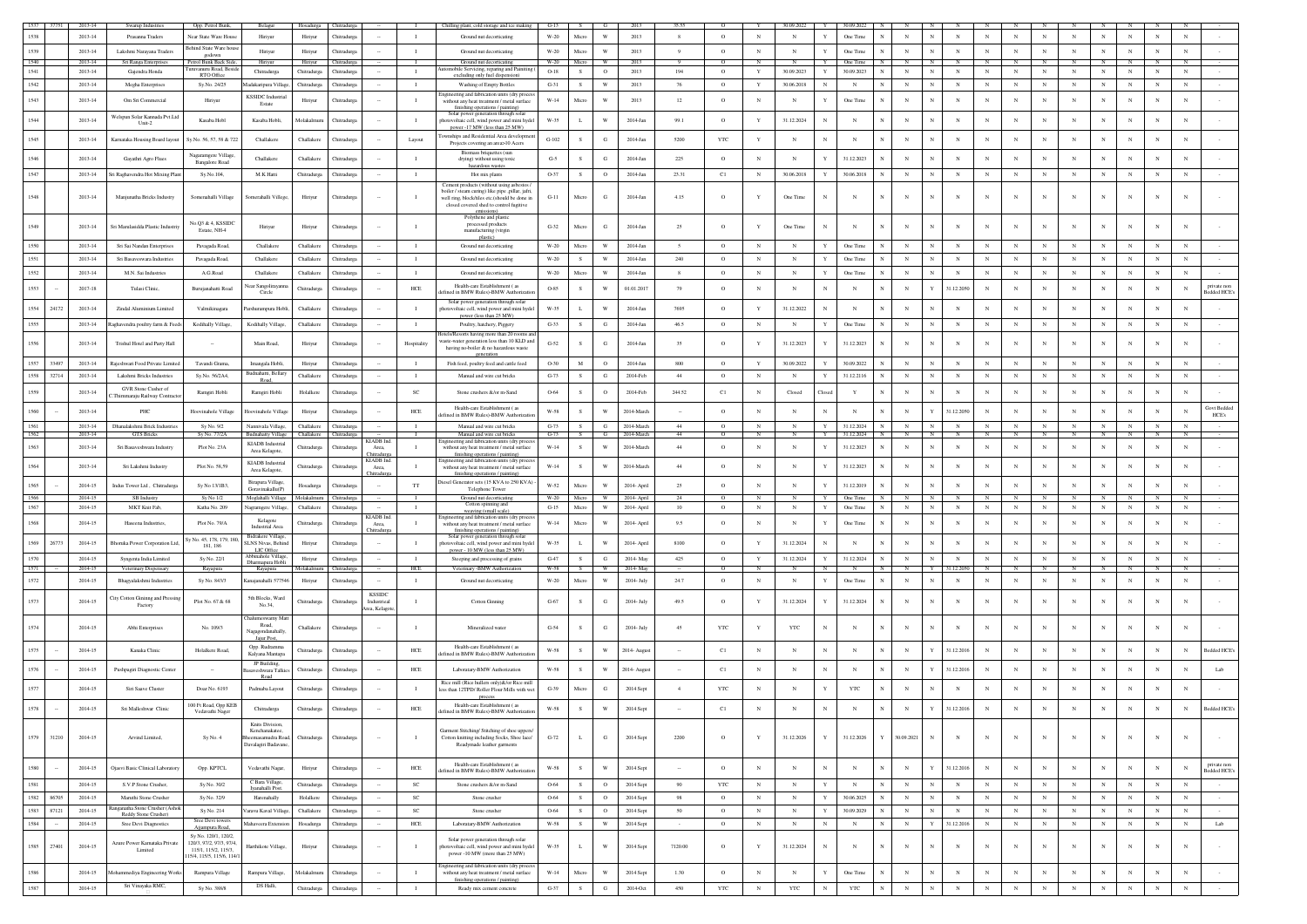| 1535          | 2013-14     | Swarup Industries                               | Opp. Petrol Bunk,                                | Belagur                                                              | Hosadurga Chitradurga  |                            |                               |              | Chilling plant, cold storage and ice making G-13                                             |                | S             | G<br>W                  | 2013          | 35.55          |            | $_{\rm N}$       | 30.09.2022   | $\mathbf{Y}$ | 30.09.2022   | N            | $_{\rm N}$                 | $_{\rm N}$  | $_{\rm N}$   |             | $_{\rm N}$ |             |                | $_{\rm N}$   | N            |              |                   |
|---------------|-------------|-------------------------------------------------|--------------------------------------------------|----------------------------------------------------------------------|------------------------|----------------------------|-------------------------------|--------------|----------------------------------------------------------------------------------------------|----------------|---------------|-------------------------|---------------|----------------|------------|------------------|--------------|--------------|--------------|--------------|----------------------------|-------------|--------------|-------------|------------|-------------|----------------|--------------|--------------|--------------|-------------------|
|               | 2013-14     | Prasanna Traders                                | Near State Ware House                            | Hiriyu                                                               | Hiriyur                | Chitradurg                 |                               | $\mathbf{I}$ | Ground nut decorticating                                                                     | $W-20$         | Micro         |                         | 2013          | 8              | $\circ$    |                  | $\mathbb{N}$ |              | One Time     |              |                            |             |              | N           |            |             | $_{\rm N}$     |              |              |              |                   |
| 1539          | 2013-14     | Lakshmi Narayana Traders                        | Behind State Ware hous<br>godown                 | Hiriyur                                                              | Hiriyur                | Chitradurga                |                               | $\mathbf{I}$ | Ground nut decorticating                                                                     | $W-20$         | Micro         | W                       | 2013          | $\overline{9}$ | $\circ$    | $_{\rm N}$       | $_{\rm N}$   |              | One Time     |              | $_{\rm N}$                 | $_{\rm N}$  | $_{\rm N}$   | $_{\rm N}$  | $_{\rm N}$ | $_{\rm N}$  | $_{\rm N}$     | $_{\rm N}$   | $_{\rm N}$   | $\mathbb{N}$ |                   |
| 1540          | 2013-14     | Sri Ranga Enterprise                            | Petrol Bunk Back Side                            | Hiriyur                                                              | Hiriyur                | Chitradurga                |                               |              | Ground nut decorticating                                                                     | $W-20$         | Micro         | w                       | 2013          |                | $\Omega$   |                  |              | $\mathbf{v}$ | One Time     | N            | $\mathbb{N}$               | $\mathbf N$ | $\mathbb{N}$ | N           | N          |             | $_{\rm N}$     |              | N            |              |                   |
| 1541          | 2013-14     | Gajendra Honda                                  | muyanuru Road, Bes<br><b>RTO Office</b>          | Chitradurga                                                          | Chitradurga            | Chitradurga                |                               | $\mathbf{I}$ | obile Servicing, reparing and Pai<br>excluding only fuel dispension                          | $O-18$         | S             | $\circ$                 | 2013          | 194            | $\circ$    | Y                | 30.09.2023   | Y            | 30.09.2023   | $_{\rm N}$   | $_{\rm N}$<br>N            | $_{\rm N}$  | $_{\rm N}$   | $_{\rm N}$  | $_{\rm N}$ | $_{\rm N}$  | $\mathbf N$    | $_{\rm N}$   | $_{\rm N}$   | $_{\rm N}$   |                   |
| 1542          | 2013-14     | Megha Enterprises                               | Sy.No. 24/25                                     | Madakaripura Villag                                                  | Chitradurea            | Chitradure:                |                               | $\mathbf{I}$ | Washing of Empty Bottles                                                                     | $G-31$         | S             | W                       | 2013          | 76             | $\circ$    | Y                | 30.06.2018   | $_{\rm N}$   | N            |              | $_{\rm N}$                 | $_{\rm N}$  | $_{\rm N}$   | N           | $_{\rm N}$ | $_{\rm N}$  | $_{\rm N}$     | $_{\rm N}$   | $_{\rm N}$   | $_{\rm N}$   |                   |
|               |             |                                                 |                                                  | <b>KSSIDC</b> Industri                                               |                        |                            |                               |              | ngineering and fabrication units (dry proc-                                                  |                |               |                         |               |                |            |                  |              |              |              |              |                            |             |              |             |            |             |                |              |              |              |                   |
| 1543          | 2013-14     | Om Sri Commercial                               | Hiriyur                                          | Estate                                                               | Hiriyur                | Chitradurga                |                               | $\mathbf{I}$ | without any heat treatment / metal surface<br>finishing operations / painting)               | $W-14$         | Micro         | W                       | 2013          | 12             | $\circ$    | $_{\rm N}$       | $_{\rm N}$   |              | One Time     |              | $_{\rm N}$                 | $_{\rm N}$  | $_{\rm N}$   | $_{\rm N}$  | $_{\rm N}$ | $_{\rm N}$  | $_{\rm N}$     | $_{\rm N}$   | $_{\rm N}$   | N            |                   |
|               |             | Welspun Solar Kannada Pvt.Ltd                   |                                                  |                                                                      |                        |                            |                               |              | Solar power generation through solar                                                         |                |               |                         |               |                |            |                  |              |              |              |              |                            |             |              |             |            |             |                |              | $_{\rm N}$   | N            |                   |
| 1544          | 2013-14     | Unit-2                                          | Kasaba Hobl                                      | Kasaba Hobli,                                                        | Molakalmu              | <b>Thitradurga</b>         |                               | $\mathbf{I}$ | otovoltaic cell, wind power and mini hydel<br>power-17 MW (less than 25 MW)                  | W-35           | L             | $\mathbf{W}$            | 2014-Jan      | 99.1           | $\circ$    | Y                | 31.12.2024   |              | $_{\rm N}$   |              | $_{\rm N}$                 | $_{\rm N}$  | $_{\rm N}$   | N           | $_{\rm N}$ |             | ${\bf N}$      | N            |              |              |                   |
| 1545          | 2013-14     | Karnataka Housing Board layout                  | Sy.No. 56, 57, 58 & 722                          | Challakere                                                           | Challakere             | <b>Chitradurga</b>         |                               | Layout       | ownships and Residential Area developme                                                      | $G-102$        | s             | G                       | 2014-Jan      | 5200           | <b>YTC</b> | Y                | $_{\rm N}$   |              | $_{\rm N}$   |              | $_{\rm N}$                 | $_{\rm N}$  | $_{\rm N}$   | N           | $_{\rm N}$ |             | $_{\rm N}$     |              |              |              |                   |
|               |             |                                                 |                                                  |                                                                      |                        |                            |                               |              | Projects covering an area>10 Acers                                                           |                |               |                         |               |                |            |                  |              |              |              |              |                            |             |              |             |            |             |                |              |              |              |                   |
| 1546          | 2013-14     | Gayathri Agro Flues                             | Nagaramgere Village,                             | Challakere                                                           | Challakere             | Chitradurga                |                               | $\mathbf{I}$ | Biomass briquettes (sun<br>drying) without using toxic                                       | $G-5$          | s             | G                       | 2014-Jan      | 225            | $\circ$    | $_{\rm N}$       | $_{\rm N}$   |              | 31.12.2023   |              | $_{\rm N}$                 | $_{\rm N}$  | $_{\rm N}$   | N           | N          |             | N              | $_{\rm N}$   |              |              |                   |
|               |             |                                                 | <b>Bangalore Road</b>                            |                                                                      |                        |                            |                               |              | hazardous wastes                                                                             |                |               |                         |               |                |            |                  |              |              |              |              |                            |             |              |             |            |             |                |              |              |              |                   |
| 1547          | 2013-14     | i Raghavendra Hot Mixing Plant                  | Sy.No.104,                                       | M.K Hatti                                                            | Chitradurga            | Chitradurga                |                               | $\mathbf{I}$ | Hot mix plants                                                                               | O-37           | S             | $\circ$                 | 2014-Jan      | 23.31          | C1         | $_{\rm N}$       | 30.06.2018   | $\mathbf Y$  | 30.06.2018   |              | $_{\rm N}$                 | $_{\rm N}$  | $_{\rm N}$   | $_{\rm N}$  | $_{\rm N}$ | $_{\rm N}$  | $_{\rm N}$     | $_{\rm N}$   | $_{\rm N}$   | N            |                   |
|               |             |                                                 |                                                  |                                                                      |                        |                            |                               |              | Cement products (without using asbestos,<br>boiler / steam curing) like pipe .pillar. iafri. |                |               |                         |               |                |            |                  |              |              |              |              |                            |             |              |             |            |             |                |              |              |              |                   |
| 1548          | 2013-14     | Manjunatha Bricks Industry                      | Somenahalli Village                              | Somerahalli Villege,                                                 | Hiriyur                | Chitradurga                |                               |              | well ring, block/tiles etc.(should be done in                                                | $G-11$         | Micro         | G                       | 2014-Jan      | 4.15           | $\circ$    | Y                | One Time     |              | $_{\rm N}$   |              | $_{\rm N}$                 | $_{\rm N}$  | $_{\rm N}$   | N           | $_{\rm N}$ |             | $_{\rm N}$     |              |              |              |                   |
|               |             |                                                 |                                                  |                                                                      |                        |                            |                               |              | closed covered shed to control fugitive                                                      |                |               |                         |               |                |            |                  |              |              |              |              |                            |             |              |             |            |             |                |              |              |              |                   |
|               |             |                                                 | No.Q3 & 4, KSSIDC                                |                                                                      |                        |                            |                               |              | Polythene and plasti<br>processed products                                                   |                |               |                         |               |                |            |                  |              |              |              |              |                            |             |              |             |            |             |                |              |              |              |                   |
| 1549          | 2013-14     | Sri Marulasidda Plastic Industriy               | Estate, NH-4                                     | Hiriyur                                                              | Hiriyur                | Chitradure:                |                               |              | manufacturing (virgin                                                                        | $G-32$         | Micro         | G                       | 2014-Jan      | 25             | $\circ$    | Y                | One Time     | $_{\rm N}$   | $\mathbf N$  |              | $_{\rm N}$                 | $_{\rm N}$  | N            | N           | $_{\rm N}$ |             | $_{\rm N}$     | $_{\rm N}$   |              | N            |                   |
| 1550          | 2013-14     | Sri Sai Nandan Enterprises                      |                                                  | Challakere                                                           | Challakere             |                            |                               | $\mathbf{L}$ |                                                                                              |                | Micro         | W                       | 2014-Jan      | $\sim$         | $\circ$    | $_{\rm N}$       | $_{\rm N}$   | $\mathbf{Y}$ | One Time     |              | $_{\rm N}$                 | $_{\rm N}$  | N            | $_{\rm N}$  | $_{\rm N}$ | $\mathbf N$ | $_{\rm N}$     | $_{\rm N}$   | $\mathbf{N}$ | $_{\rm N}$   |                   |
|               |             |                                                 | Pavagada Road,                                   |                                                                      |                        | Chitradurga                |                               |              | Ground nut decorticating                                                                     | $W-20$         |               |                         |               |                |            |                  |              |              |              |              |                            |             |              |             |            |             |                |              |              |              |                   |
| 1551          | 2013-14     | Sri Basayeswara Industries                      | Pavagada Road,                                   | Challakere                                                           | Challakere             | Chitradure:                |                               | $\mathbf{I}$ | Ground nut decorticating                                                                     | W-20           | s.            | W                       | 2014-Jan      | 240            | $\circ$    | $_{\rm N}$       | $_{\rm N}$   | $\mathbf{Y}$ | One Time     |              | $_{\rm N}$                 | $_{\rm N}$  | $_{\rm N}$   | N           | N          | N           | $_{\rm N}$     | $_{\rm N}$   | $\mathbf N$  | $\mathbf N$  |                   |
| 1552          | 2013-14     | M.N. Sai Industries                             | A.G.Road                                         | Challakere                                                           | Challakere             | Chitradurga                |                               | $\mathbf{I}$ | Ground nut decorticating                                                                     | $W-20$         | Micro         | W                       | 2014-Jan      | 8              | $\circ$    | $_{\rm N}$       | $_{\rm N}$   | Y            | One Time     |              | $_{\rm N}$                 | $_{\rm N}$  | $_{\rm N}$   | $_{\rm N}$  | $_{\rm N}$ | $_{\rm N}$  | $_{\rm N}$     | $_{\rm N}$   | $_{\rm N}$   | $_{\rm N}$   |                   |
|               |             |                                                 |                                                  | ear Sangoliraya                                                      |                        |                            |                               |              | Health-care Establishment (as                                                                |                |               |                         |               |                |            |                  |              |              |              |              |                            |             |              |             |            |             |                |              |              |              | private non       |
| 1553          | $2017 - 18$ | Tulasi Clinic,                                  | Burujanahatti Road                               | Circle                                                               | Chitradurga            | <b>Thitradurg:</b>         |                               | $HEE$        | efined in BMW Rules)-BMW Authoriza                                                           | O-85           | s             | W                       | 01.01.2017    | 79             | $\circ$    | $_{\rm N}$       | $_{\rm N}$   |              | $_{\rm N}$   |              | $_{\rm N}$                 | 31.12.2050  | $_{\rm N}$   | N           | N          |             | $_{\rm N}$     | N            | $_{\rm N}$   | N            | edded HCE         |
| 1554<br>24172 | 2013-14     | Zindal Aluminium Limited                        | Valmikinagara                                    | arshurampura Hobli                                                   | Challakere             | Chitradure:                |                               | $\mathbf{I}$ | Solar power generation through solar                                                         | W-35           | L.            | W                       | 2014-Jan      | 7695           | $\circ$    | Y                | 31.12.2022   | $_{\rm N}$   | N            |              | $_{\rm N}$                 | $_{\rm N}$  | $_{\rm N}$   | N           | N          |             | $_{\rm N}$     | $_{\rm N}$   | $_{\rm N}$   | N            |                   |
|               |             |                                                 |                                                  |                                                                      |                        |                            |                               |              | photovoltaic cell, wind power and mini hydel<br>power (less than 25 MW)                      |                |               |                         |               |                |            |                  |              |              |              |              |                            |             |              |             |            |             |                |              |              |              |                   |
| 1555          | 2013-14     | aghavendra poultry farm & Feeds                 | Kodihally Village,                               | Kodihally Village                                                    | Challakere             | Chitradure:                |                               | $\mathbf{L}$ | Poultry, hatchery, Piggery                                                                   | $G-33$         | S             | G                       | 2014-Jan      | 46.5           | $\circ$    | $_{\rm N}$       | N            | $\mathbf{Y}$ | One Time     |              | $_{\rm N}$                 | $_{\rm N}$  | $_{\rm N}$   | N           | $_{\rm N}$ | $\mathbf N$ | $_{\rm N}$     | $_{\rm N}$   | $\mathbf N$  | $\mathbf N$  |                   |
|               |             |                                                 |                                                  |                                                                      |                        |                            |                               |              | Hotels/Resorts having more than 20 rooms ar                                                  |                |               |                         |               |                |            |                  |              |              |              |              |                            |             |              |             |            |             |                |              |              |              |                   |
| 1556          | 2013-14     | Trishul Hotel and Party Hall                    |                                                  | Main Road,                                                           | Hiriyur                | Chitradurga                |                               | Hospitality  | vaste-water generation less than 10 KLD and<br>having no-boiler & no hazardous waste         | $G-52$         | $\mathcal{S}$ | G                       | 2014-Jan      | 35             | $\circ$    |                  | 31.12.2023   |              | 31.12.2023   |              | $_{\rm N}$                 | $_{\rm N}$  | N            |             | N          |             | $_{\rm N}$     |              |              |              |                   |
|               |             |                                                 |                                                  |                                                                      |                        |                            |                               |              | generation                                                                                   |                |               |                         |               |                |            |                  |              |              |              |              |                            |             |              |             |            |             |                |              |              |              |                   |
| 1557<br>33497 | 2013-14     | aieshwari Food Private Limited                  | Tavandi Grama,                                   | Imangala Hobli,                                                      | Hiriyur                | Chitradurga                |                               | $\mathbf{I}$ | Fish feed, poultry feed and cattle feed                                                      | $O-30$         | $\mathbf M$   | $\circ$                 | 2014-Jan      | 800            | $\circ$    | $\mathbf Y$      | 30.09.2022   |              | 30.09.2022   |              | $_{\rm N}$                 | $_{\rm N}$  | $_{\rm N}$   | $_{\rm N}$  | $_{\rm N}$ |             | $_{\rm N}$     |              |              |              |                   |
| 1558<br>32714 | 2013-14     | Lakshmi Bricks Industries                       | Sv.No. 56/2A4.                                   | udnahatti, Bellar<br>Road,                                           | Challakere             | Chitradure                 |                               | $\mathbf{I}$ | Manual and wire cut bricks.                                                                  | $G-73$         | S             | G                       | 2014-Feb      | 44             | $\circ$    | $_{\rm N}$       | $\mathbb N$  | $\mathbf{Y}$ | 31.12.2116   |              | $_{\rm N}$                 | $_{\rm N}$  | $_{\rm N}$   | $_{\rm N}$  | $_{\rm N}$ | $_{\rm N}$  | $_{\rm N}$     | $_{\rm N}$   | $_{\rm N}$   | $_{\rm N}$   |                   |
| 1559          | 2013-14     | GVR Stone Cusher of                             | Ramgiri Hobli                                    | Ramgiri Hobli                                                        | Holalkere              |                            |                               | <b>SC</b>    |                                                                                              | 0-64           | s.            |                         | 2014-Feb      | 244.52         |            | $_{\rm N}$       | Closed       |              | Y            |              | $_{\rm N}$                 | $_{\rm N}$  | $_{\rm N}$   | $_{\rm N}$  | $_{\rm N}$ |             | $_{\rm N}$     |              | $_{\rm N}$   | N            |                   |
|               |             | Thimmaraju Railway Contractor                   |                                                  |                                                                      |                        | Chitradure:                |                               |              | Stone crushers &/or m-Sand                                                                   |                |               | $\circ$                 |               |                | C1         |                  |              | Closed       |              |              |                            |             |              |             |            | $_{\rm N}$  |                | $_{\rm N}$   |              |              |                   |
| 1560          | $2013 - 14$ | PHC                                             | Hoovinahole Village                              | oovinahole Villag                                                    | Hiriyur                | Chitradurga                |                               | HCE          | Health-care Establishment (as                                                                | $W-58$         | $\mathcal{S}$ | w                       | 2014-March    |                | $\circ$    | $_{\rm N}$       | N            |              | $_{\rm N}$   |              | $_{\rm N}$                 | 31.12.2050  | $_{\rm N}$   |             | $_{\rm N}$ |             | N              |              |              | N            | <b>Govt Bedde</b> |
|               |             |                                                 |                                                  |                                                                      |                        |                            |                               |              | efined in BMW Rules)-BMW Authorizati                                                         |                |               |                         |               |                |            |                  |              |              |              |              |                            |             |              |             |            |             |                |              |              |              | HCE's             |
| 1561          | 2013-14     | Dhanalakshmi Brick Industries                   | Sy No. 9/2                                       | Nannivala Village,                                                   | Challakere             | Chitradurga                |                               | $\mathbf{I}$ | Manual and wire cut bricks                                                                   | $G-73$         | S             | $_{\rm G}$              | 2014-March    | 44             | $\circ$    | $_{\rm N}$       | $_{\rm N}$   | Y            | 31.12.2024   | N            | $_{\rm N}$<br>$_{\rm N}$   | ${\bf N}$   | $_{\rm N}$   | $\,$ N $\,$ | ${\bf N}$  | $_{\rm N}$  | ${\bf N}$      | $_{\rm N}$   | ${\bf N}$    | $_{\rm N}$   |                   |
| 1562          | 2013-14     | <b>GTS Bricks</b>                               | Sy No. 77/2A                                     | Budnahatty Village Challakere Chitradurga<br><b>KIADB</b> Industrial |                        |                            | KIADB Ind.                    | <b>I</b>     | Manual and wire cut bricks<br>ineering and fabrication units (dry proc                       | $G-73$ $S$ $G$ |               |                         | 2014-March    | 44             | $\circ$    | $\mathbb{N}$     | N            | <b>Y</b>     | 31.12.2024 N |              | N<br>N                     | N           | N            | N           | N          | N           | N              | N            | N            | N            |                   |
| 1563          | 2013-14     | Sri Basaveshwara Industry                       | Plot No. 23A                                     | Area Kelagote,                                                       | Chitradurga            | Chitradurg                 | Area,                         | $\mathbf{I}$ | without any heat treatment / metal surface                                                   | $W-14$         | S             | W                       | 2014-March    | 44             | $\circ$    | N                | $_{\rm N}$   | Y            | 31.12.2023   |              | $_{\rm N}$                 | $_{\rm N}$  | $_{\rm N}$   | $_{\rm N}$  | $_{\rm N}$ | $_{\rm N}$  | $_{\rm N}$     | $_{\rm N}$   | N            | $_{\rm N}$   |                   |
|               |             |                                                 |                                                  | KIADB Industrial                                                     |                        |                            | <b>Thitradure</b><br>KIADB In |              | finishing operations / painting)<br>ngineering and fabrication units (dry prod               |                |               |                         |               |                |            |                  |              |              |              |              |                            |             |              |             |            |             |                |              |              |              |                   |
| 1564          | 2013-14     | Sri Lakshmi Industry                            | Plot No. 58.59                                   | Area Kelagote,                                                       | Chitradurga            | Chitradure                 | Area,<br>Chitradurg           | $\mathbf{I}$ | without any heat treatment / metal surface<br>finishing operations / painting)               | $W-14$         | S             | W                       | 2014-March    | 44             | $\circ$    | $_{\rm N}$       | $_{\rm N}$   | Y            | 31.12.2023   |              | $_{\rm N}$                 | $_{\rm N}$  | $_{\rm N}$   | N           | $_{\rm N}$ | $_{\rm N}$  | $_{\rm N}$     | $_{\rm N}$   | $_{\rm N}$   | N            |                   |
| 1565          | 2014-15     | Indus Tower Ltd. Chitradurga                    | Sy No 13/1B3.                                    | Birapura Village                                                     |                        | <b>Chitradurg</b>          | $\sim$                        | <b>TT</b>    | Diesel Generator sets (15 KVA to 250 KVA)                                                    | W-52           | Micro         | W                       | 2014- April   | 25             | $\circ$    | $_{\rm N}$       | $_{\rm N}$   | $\mathbf{Y}$ | 31.12.2019   |              | $\mathbf{N}$               | $_{\rm N}$  | $_{\rm N}$   | $_{\rm N}$  | $_{\rm N}$ | N           | $_{\rm N}$     | N            | $_{\rm N}$   | N            |                   |
|               |             |                                                 |                                                  | Goravinakallu(P)                                                     | Hosadurga              |                            |                               |              | Telephone Tower                                                                              |                |               |                         |               |                |            |                  |              |              |              |              |                            |             |              |             |            |             |                |              |              |              |                   |
| 1566          | 2014-15     | SB Industry                                     | Sy No 1/2                                        | Moglahalli Village                                                   | Molakalmuru            | <b>Thitradurga</b>         |                               |              | Ground nut decorticating<br>Cotton spinning and                                              | W-20 Micro     |               |                         | 2014- April   |                |            | N                |              |              | One Time     |              | N                          | N           |              | N           |            |             | $\overline{N}$ | $\mathbf{N}$ | N            | N            |                   |
| 1567          | 2014-15     | MKT Knit Fab                                    | Katha No. 209                                    | agramgere Village                                                    | Challakere             | <b>Chitradurga</b>         |                               |              | weaving (small scale)                                                                        | $G-15$         | Micro         | $\ensuremath{\text{W}}$ | 2014- April   | 10             | $\circ$    | $_{\rm N}$       | $_{\rm N}$   |              | One Time     |              | $_{\rm N}$                 | $_{\rm N}$  | $_{\rm N}$   | $_{\rm N}$  | $_{\rm N}$ | $_{\rm N}$  | $_{\rm N}$     | $_{\rm N}$   | $_{\rm N}$   | $_{\rm N}$   |                   |
| 1568          | 2014-15     | Haseena Industries                              | Plot No. 79/A                                    | Kelagote<br>Industrial Area                                          | Chitradurga            | Chitradurg                 | <b>CIADB</b> Ind.<br>Area,    |              | ingineering and fabrication units (dry proces<br>without any heat treatment / metal surface  | $W-14$         | Micro         | $\mathbf{W}$            | $2014$ -April | 9.5            | $\circ$    | $_{\rm N}$       | N            | Y            | One Time     |              | $_{\rm N}$                 | $_{\rm N}$  | $_{\rm N}$   | $_{\rm N}$  | $_{\rm N}$ |             | $_{\rm N}$     | $_{\rm N}$   | $_{\rm N}$   | $_{\rm N}$   |                   |
|               |             |                                                 |                                                  | <b>Bidrakere Village</b>                                             |                        |                            | <b>hitradurg</b>              |              | finishing operations / painting)<br>Solar power generation through solar                     |                |               |                         |               |                |            |                  |              |              |              |              |                            |             |              |             |            |             |                |              |              |              |                   |
| 1569<br>26773 | 2014-15     | <b>Shoruka Power Corporation Ltd.</b>           | iy No. 45, 178, 179, 18<br>181, 186              | <b>SLNS Nivas</b> , Behinc                                           | Hiriyur                | <b>Chitradurg</b>          |                               | $\mathbf{I}$ | hotovoltaic cell, wind power and mini hyde                                                   | W-35           | $\mathbf L$   | w                       | 2014- April   | 8100           | $\circ$    | Y                | 31.12.2024   |              | $_{\rm N}$   |              | $_{\rm N}$                 | $_{\rm N}$  | N            | N           | $_{\rm N}$ |             | $_{\rm N}$     |              |              |              |                   |
| 1570          | 2014-15     |                                                 | Sy No. 22/1                                      | LIC Office<br>binahole Villa                                         |                        |                            |                               | $\mathbf{I}$ | power - 10 MW (less than 25 MW)                                                              | $G-47$         | S             | $_{\rm G}$              | 2014-May      | 425            | $\circ$    |                  | 31.12.2024   |              | 31.12.2024   |              | $_{\rm N}$                 | $_{\rm N}$  | $_{\rm N}$   | $_{\rm N}$  | $_{\rm N}$ | $_{\rm N}$  | ${\bf N}$      | $_{\rm N}$   | N            | $_{\rm N}$   |                   |
| 1571          | 2014-15     | Syngenta India Limited<br>Veterinary Dispensary | Rayapura                                         | Dharmapura Hobl<br>Rayapura                                          | Hiriyur<br>Molakalmuru | Chitradurga<br>Thitradurga |                               | HCE          | Steeping and processing of grains<br>Veterinary -BMW Authorization                           | W-58           |               | <b>W</b>                | 2014-May      |                | $\circ$    | $\mathbf Y$<br>N |              |              | N            |              |                            | 31.12.205   |              |             |            |             |                |              |              |              |                   |
|               |             |                                                 |                                                  |                                                                      |                        |                            |                               | $\mathbf{I}$ |                                                                                              |                |               | W                       |               |                |            |                  |              |              |              |              | $_{\rm N}$                 | $_{\rm N}$  |              |             | $_{\rm N}$ | $_{\rm N}$  | $_{\rm N}$     |              | $_{\rm N}$   | $\mathbb{N}$ |                   |
| 1572          | 2014-15     | Bhagyalakshmi Industries                        | Sy No. 843/3                                     | Kanajanahalli 57754                                                  | Hiriyur                | Chitradurga                |                               |              | Ground nut decorticating                                                                     | $W-20$         | Micro         |                         | 2014- July    | 24.7           | $\circ$    | $_{\rm N}$       | $_{\rm N}$   |              | One Time     |              |                            |             | $_{\rm N}$   | $_{\rm N}$  |            |             |                | $_{\rm N}$   |              |              |                   |
|               |             | <b>Tity Cotton Gininng and Pressing</b>         |                                                  | 5th Blocks, Ward                                                     |                        |                            | <b>KSSIDC</b>                 |              |                                                                                              |                |               |                         |               |                |            |                  |              |              |              |              |                            |             |              |             |            |             |                |              |              |              |                   |
| 1573          | 2014-15     | Factory                                         | Plot No. 67 & 68                                 | No.34,                                                               | Chitradurea            | Chitradure:                | Industrieal<br>rea, Kelagot   | $\mathbf{I}$ | Cotton Ginning                                                                               | $G-67$         | S.            | G                       | 2014- July    | 49.5           | $\circ$    | Y                | 31.12.2024   |              | 31.12.2024   |              | $_{\rm N}$<br>N            | $_{\rm N}$  | $_{\rm N}$   | N           | $_{\rm N}$ |             | $_{\rm N}$     | N            | N            | N            |                   |
|               |             |                                                 |                                                  | ialumeswamy M                                                        |                        |                            |                               |              |                                                                                              |                |               |                         |               |                |            |                  |              |              |              |              |                            |             |              |             |            |             |                |              |              |              |                   |
| 1574          | 2014-15     | Abhi Enterprises                                | No. 109/3                                        | Road.<br>agagondanahall                                              | Challakere             | Chitradurga                |                               |              | Mineralized water                                                                            | $G-54$         | s             | G                       | $2014 - July$ | 45             | YTC        | Y                | <b>YTC</b>   | $_{\rm N}$   |              |              | $_{\rm N}$                 | $_{\rm N}$  | N            | N           | $_{\rm N}$ |             | $\mathbf N$    |              |              |              |                   |
|               |             |                                                 |                                                  | Jaiur Post                                                           |                        |                            |                               |              |                                                                                              |                |               |                         |               |                |            |                  |              |              |              |              |                            |             |              |             |            |             |                |              |              |              |                   |
| 1575          | 2014-15     | Kanaka Clinic                                   | Holalkere Road.                                  | Opp. Rudramma                                                        | Chitradurga            | Chitradurga                |                               | HCE          | Health-care Establishment (as<br>efined in BMW Rules)-BMW Authorizat                         | $W-58$         | s             | w                       | 2014- August  |                | C1         | N                | $\mathbb{N}$ |              | $_{\rm N}$   |              | $_{\rm N}$                 | 31.12.2016  | $_{\rm N}$   | N           | $_{\rm N}$ |             | $_{\rm N}$     |              |              | $_{\rm N}$   | Bedded HCE's      |
|               |             |                                                 |                                                  | Kalyana Mantapa                                                      |                        |                            |                               |              |                                                                                              |                |               |                         |               |                |            |                  |              |              |              |              |                            |             |              |             |            |             |                |              |              |              |                   |
| 1576          | 2014-15     | Pushpagiri Diagnostic Center                    |                                                  | JP Building<br>weshwara Talki                                        | Chitradurga            | <b>Thitradurga</b>         |                               | HCE          | Laboratary-BMW Authorization                                                                 | W-58           | s             | $\mathbf{W}$            | 2014- Augus   |                | C1         | N                | $_{\rm N}$   | $_{\rm N}$   | N            |              | $_{\rm N}$                 | 31.12.2016  | $_{\rm N}$   |             | N          |             | $_{\rm N}$     | N            |              | N            | Lab               |
|               |             |                                                 |                                                  | Road                                                                 |                        |                            |                               |              | Rice mill (Rice hullers only)&/or Rice mil                                                   |                |               |                         |               |                |            |                  |              |              |              |              |                            |             |              |             |            |             |                |              |              |              |                   |
|               | 2014-15     | Siri Saave Cluster                              | Doar No. 6193                                    | Padmaba Layout                                                       | Chitradurga            | hitradurg                  |                               |              | less than 12TPD/ Roller Flour Mills with wet                                                 | $G-39$         | Micro         | G                       | 2014 Sept     | $\overline{4}$ | YTC        | N                | $_{\rm N}$   |              | $_{\rm YTC}$ |              | $_{\rm N}$                 | $_{\rm N}$  | $_{\rm N}$   |             | $_{\rm N}$ |             | $_{\rm N}$     |              |              |              |                   |
|               |             |                                                 | 100 Ft Road, Opp KEB                             |                                                                      |                        |                            |                               |              | process<br>Health-care Establishment (as                                                     |                |               |                         |               |                |            |                  |              |              |              |              |                            |             |              |             |            |             |                |              |              |              |                   |
|               | 2014-15     | Sri Malleshwar Clinic                           | Vedavathi Nager                                  | Chitradurga                                                          | Chitradurga            | Chitradurga                |                               | $HEE$        | efined in BMW Rules)-BMW Authoriza                                                           | $W-58$         | S             | w                       | 2014 Sept     |                | C1         | $_{\rm N}$       | N            |              |              |              |                            | 31.12.2016  | N            |             |            |             |                |              |              |              | ledded HCE        |
|               |             |                                                 |                                                  | Knits Division,                                                      |                        |                            |                               |              |                                                                                              |                |               |                         |               |                |            |                  |              |              |              |              |                            |             |              |             |            |             |                |              |              |              |                   |
|               |             |                                                 |                                                  | Kenchanakatee,                                                       |                        |                            |                               |              | Garment Stitching/ Stitching of shoe uppers                                                  |                |               |                         |               |                |            |                  |              |              |              |              |                            |             |              |             |            |             |                |              |              |              |                   |
| 1579<br>31210 | 2014-15     | Arvind Limited,                                 | Sy No. 4                                         | emasamudra Road,<br>Davalagiri Badavane                              | Chitradurga            | Chitradurga                |                               | $\mathbf{I}$ | Cotton knitting including Socks, Shoe lace/<br>Readymade leather garments                    | $G-72$         | L             | G                       | 2014 Sept     | 2200           | $\circ$    | $\mathbf Y$      | 31.12.2026   | Y            | 31.12.2026   | Y            | 30.09.2021<br>$_{\rm N}$   | $_{\rm N}$  | $_{\rm N}$   | $_{\rm N}$  | $_{\rm N}$ | $_{\rm N}$  | $_{\rm N}$     | $_{\rm N}$   | $_{\rm N}$   | $_{\rm N}$   | $\sim$            |
|               |             |                                                 |                                                  |                                                                      |                        |                            |                               |              |                                                                                              |                |               |                         |               |                |            |                  |              |              |              |              |                            |             |              |             |            |             |                |              |              |              |                   |
|               |             |                                                 |                                                  |                                                                      |                        |                            |                               |              | Health-care Establishment (as                                                                |                |               |                         |               |                |            |                  |              |              |              |              |                            |             |              |             |            |             |                |              |              |              | private non       |
| 1580          | 2014-15     | Ojasvi Basic Clinical Laboratory                | Opp. KPTCL                                       | Vedavathi Nagar,                                                     | Hiriyur                | Chitradurga                |                               | HCE          | efined in BMW Rules)-BMW Authorizatio                                                        | $W-58$         | S             | W                       | 2014 Sept     | $\sim$         | $\circ$    | $_{\rm N}$       | $_{\rm N}$   | $_{\rm N}$   | $_{\rm N}$   |              | $_{\rm N}$                 | 31.12.2016  | $_{\rm N}$   | $_{\rm N}$  | $_{\rm N}$ | $_{\rm N}$  | $_{\rm N}$     | $_{\rm N}$   | $_{\rm N}$   | $_{\rm N}$   | Bedded HCE's      |
| 1581          | 2014-15     | S.V.P Stone Crusher,                            | Sy No. 30/2                                      | C Bara Village,                                                      | Chitradurga            | Chitradurga                |                               | SC           | Stone crushers &/or m-Sand                                                                   | 0-64           | S             | $\circ$                 | 2014 Sept     | 90             | YTC        | $_{\rm N}$       | $_{\rm N}$   | $\mathbf Y$  | $_{\rm N}$   | $_{\rm N}$   | $_{\rm N}$<br>$_{\rm N}$   | ${\bf N}$   | $_{\rm N}$   | $_{\rm N}$  | $_{\rm N}$ | $_{\rm N}$  | $_{\rm N}$     | $_{\rm N}$   | $_{\rm N}$   | $_{\rm N}$   | $\sim$            |
| 1582<br>86705 | 2014-15     | Maruthi Stone Crusher                           | Sv No. 32/9                                      | Iyanahalli Post<br>Harenahally                                       | Holalkere              | Chitradurga                | $\sim$                        | <b>SC</b>    | Stone crusher                                                                                | 0-64           | S             | $\circ$                 | 2014 Sept     | 98             | $\circ$    | $_{\rm N}$       | $_{\rm N}$   | Y            | 30.06.2025   | $_{\rm N}$   | ${\bf N}$<br>$_{\rm N}$    | ${\bf N}$   | $_{\rm N}$   | $_{\rm N}$  | $_{\rm N}$ | ${\bf N}$   | ${\bf N}$      | $_{\rm N}$   | ${\bf N}$    | $_{\rm N}$   | $\sim$            |
|               |             | nganatha Stone Crusher (Ashok                   |                                                  |                                                                      |                        |                            |                               |              |                                                                                              |                |               |                         |               |                |            |                  |              |              |              |              |                            |             |              |             |            |             |                |              |              |              |                   |
| 1583<br>87121 | 2014-15     | Reddy Stone Crusher)                            | Sy No. 214                                       | Varavu Kaval Village.                                                | Challakere             | Chitradurga                | $\sim$                        | $_{\rm SC}$  | Stone crusher                                                                                | 0-64           | S             | $\circ$                 | 2014 Sept     | 50             | $\circ$    | $_{\rm N}$       | $_{\rm N}$   | Y            | 30.09.2029   |              | $_{\rm N}$                 | $_{\rm N}$  | $_{\rm N}$   | $_{\rm N}$  | $_{\rm N}$ | $_{\rm N}$  | $\mathbf N$    | $_{\rm N}$   | $_{\rm N}$   | $_{\rm N}$   | $\sim$            |
| 1584          | 2014-15     | Sree Devi Diagnostics                           | Sree Devi towers<br>Ajjampura Road,              | Mahaveera Extensi                                                    | Hosadurga              | Chitradurga                | $\sim$                        | HCE          | Laboratary-BMW Authorization                                                                 | W-58           | S             | W                       | 2014 Sept     |                | $\circ$    | $_{\rm N}$       | $_{\rm N}$   | $_{\rm N}$   | ${\bf N}$    | $\mathbf{N}$ | ${\bf N}$                  | 31.12.2016  | $_{\rm N}$   | $_{\rm N}$  | $_{\rm N}$ | $_{\rm N}$  | $_{\rm N}$     | $_{\rm N}$   | $_{\rm N}$   | $_{\rm N}$   | Lab               |
|               |             |                                                 | Sy No. 120/1, 120/2,                             |                                                                      |                        |                            |                               |              | Solar power generation through solar                                                         |                |               |                         |               |                |            |                  |              |              |              |              |                            |             |              |             |            |             |                |              |              |              |                   |
| 1585<br>27401 | 2014-15     | Azure Power Karnataka Private<br>Limited        | 120/3, 97/2, 97/3, 97/4,<br>115/1, 115/2, 115/3, | Harthikote Village,                                                  | Hiriyur                | Chitradurga                | $\sim$                        | $\mathbf{I}$ | hotovoltaic cell, wind power and mini hydel                                                  | W-35           | <b>L</b>      | W                       | 2014 Sept     | 7120.00        | $\circ$    | Y                | 31.12.2024   | $_{\rm N}$   | $_{\rm N}$   | $_{\rm N}$   | $_{\rm N}$<br>$\mathbb{N}$ | $_{\rm N}$  | $_{\rm N}$   | $_{\rm N}$  | $_{\rm N}$ |             | $_{\rm N}$     | $_{\rm N}$   | $_{\rm N}$   | $_{\rm N}$   | $\sim$            |
|               |             |                                                 | 15/4, 115/5, 115/6, 114/                         |                                                                      |                        |                            |                               |              | power -10 MW (more than 25 MW)                                                               |                |               |                         |               |                |            |                  |              |              |              |              |                            |             |              |             |            |             |                |              |              |              |                   |
|               | 2014-15     |                                                 |                                                  |                                                                      |                        |                            |                               | $\mathbf{L}$ | Ingineering and fabrication units (dry proces                                                | W-14           |               | W                       |               | 1.30           |            |                  | $_{\rm N}$   | $\mathbf{Y}$ |              | $_{\rm N}$   | $_{\rm N}$<br>N            | $_{\rm N}$  |              | $_{\rm N}$  | $_{\rm N}$ | $\mathbf N$ | $_{\rm N}$     | $_{\rm N}$   | $_{\rm N}$   | $_{\rm N}$   | $\sim$            |
| 1586          |             | hammediya Engineering Works                     | Rampura Village                                  | Rampura Village,                                                     | Molakalmuru            | Chitradurga                |                               |              | without any heat treatment / metal surface<br>finishing operations / painting)               |                | Micro         |                         | 2014 Sept     |                | $\circ$    | $_{\rm N}$       |              |              | One Time     |              |                            |             | $_{\rm N}$   |             |            |             |                |              |              |              |                   |
| 1587          | 2014-15     | Sri Vinayaka RMC,                               | Sy No. 388/8                                     | DS Halli,                                                            | Chitradurga            | Chitradurga                | $\sim$                        | $\;$ I       | Ready mix cement concrete                                                                    | $G-37$         | S             | $_{\rm G}$              | 2014-Oct      | 450            | <b>YTC</b> | $_{\rm N}$       | $_{\rm YTC}$ | $_{\rm N}$   | <b>YTC</b>   | $_{\rm N}$   | $_{\rm N}$<br>$_{\rm N}$   | $\,$ N      | $_{\rm N}$   | $_{\rm N}$  | $_{\rm N}$ | $_{\rm N}$  | $_{\rm N}$     | $_{\rm N}$   | $\,$ N       | $\,$ N       | $\sim$            |
|               |             |                                                 |                                                  |                                                                      |                        |                            |                               |              |                                                                                              |                |               |                         |               |                |            |                  |              |              |              |              |                            |             |              |             |            |             |                |              |              |              |                   |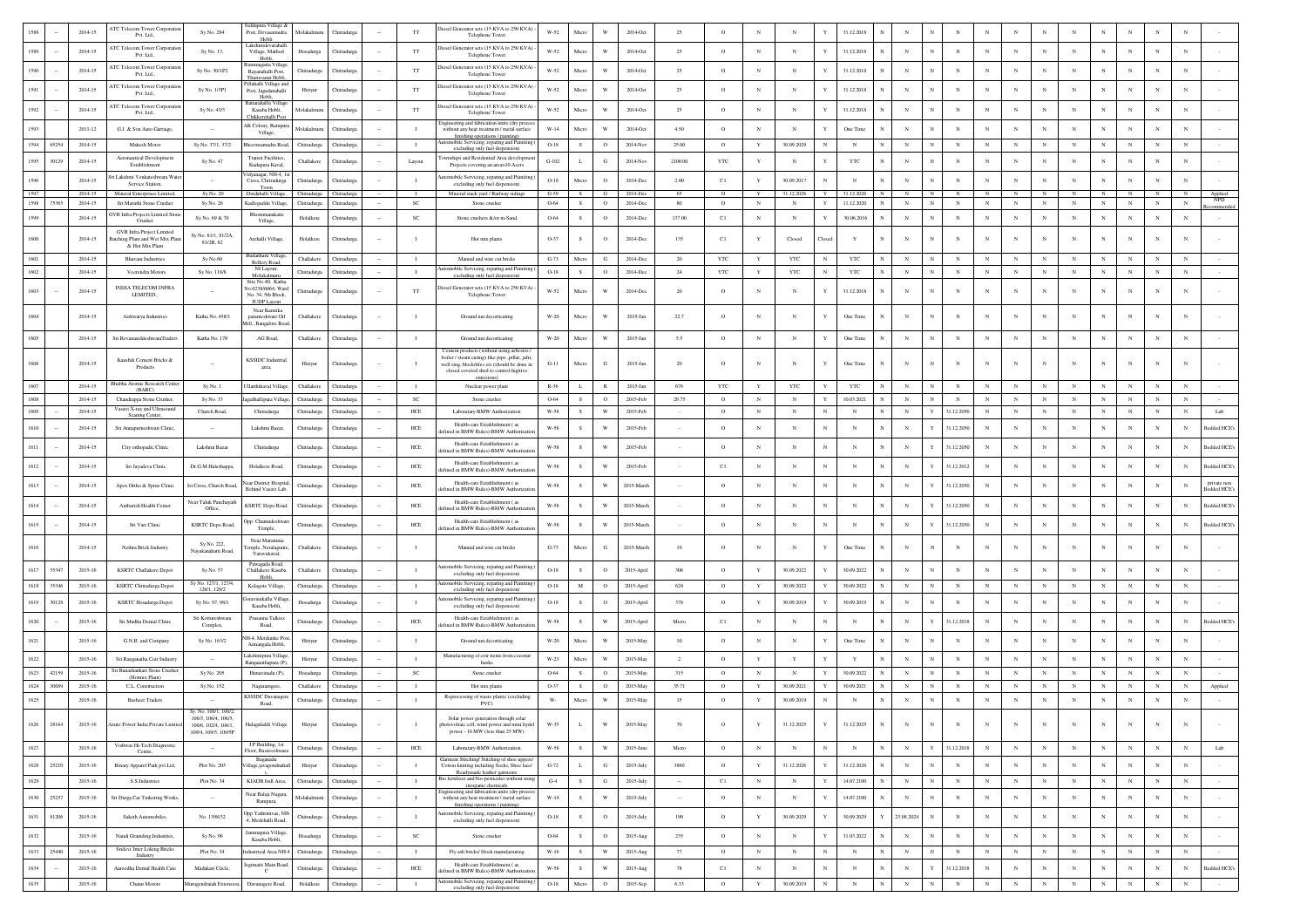|      |       | 2014-15 | ATC Telecom Tower Corporation                                                   | Sy No. 284                                                         | iddapura Village &<br>Post, Devasamudra                          | Molakalmur        | Thitradurg              |        | $_{\rm TT}$    | Diesel Generator sets (15 KVA to 250 KVA) -                                                                                                  | $W-52$                            |              |                                | 2014-Oc    | 25             | $\circ$      |             | N                          | 31.12.2018   |              | $_{\rm N}$  |              |             |              |            |              |            |            |              |             |                                        |
|------|-------|---------|---------------------------------------------------------------------------------|--------------------------------------------------------------------|------------------------------------------------------------------|-------------------|-------------------------|--------|----------------|----------------------------------------------------------------------------------------------------------------------------------------------|-----------------------------------|--------------|--------------------------------|------------|----------------|--------------|-------------|----------------------------|--------------|--------------|-------------|--------------|-------------|--------------|------------|--------------|------------|------------|--------------|-------------|----------------------------------------|
|      |       |         | Pvt. Ltd.                                                                       |                                                                    | Hobli<br>laksl                                                   |                   |                         |        |                | Telephone Tower                                                                                                                              |                                   |              |                                |            |                |              |             |                            |              |              |             |              |             |              |            |              |            |            |              |             |                                        |
| 1589 |       | 2014-15 | <b>ATC Telecom Tower Corporation</b><br>Pvt. Ltd.                               | Sy No. 13,                                                         | Village, Mathod<br>Hobli.                                        | Hosadurga         | Chitradurga             |        | $_{\rm TT}$    | Diesel Generator sets (15 KVA to 250 KVA) -<br>Telephone Tower                                                                               | $W-52$                            | Micro        | W                              | $2014$ Oct | 25             | $\circ$      | $_{\rm N}$  | $_{\rm N}$<br>Y            | 31.12.2018   | N            | N           |              | $_{\rm N}$  |              |            |              | $_{\rm N}$ |            |              | $_{\rm N}$  | N                                      |
| 1590 |       | 2014-15 | <b>NTC Telecom Tower Corporatio</b><br>Pvt. Ltd.                                | Sv No. 30/1P2                                                      | Rayanahalli Post                                                 | Chitradurga       | Chitradurea             |        | <b>TT</b>      | biesel Generator sets (15 KVA to 250 KVA) -<br>Telephone Tower                                                                               | W-52                              | Micro        | W                              | 2014-Oct   | 25             | $\circ$      | $_{\rm N}$  | $_{\rm N}$<br>Y            | 31.12.2018   | $_{\rm N}$   | $_{\rm N}$  | N            | $_{\rm N}$  | $_{\rm N}$   | $_{\rm N}$ | $_{\rm N}$   | $_{\rm N}$ | N          | $_{\rm N}$   | $_{\rm N}$  | $\mathbf N$                            |
| 1591 |       | 2014-15 | <b>ATC Telecom Tower Corporation</b>                                            | Sy No. 1/3P1                                                       | Thuruvanur Hobli<br>Pillahalli Village an<br>Post, Jagadanahalli | Hiriyur           | Chitradurga             |        | $_{\rm TT}$    | Diesel Generator sets (15 KVA to 250 KVA) -                                                                                                  | W-52                              | Micro        | W                              | 2014-Oct   | 25             | $\circ$      | $_{\rm N}$  | $_{\rm N}$<br>Y            | 31.12.2018   | $_{\rm N}$   | N           | N            | $_{\rm N}$  | $\mathbf{N}$ | $_{\rm N}$ | $_{\rm N}$   | $_{\rm N}$ | $_{\rm N}$ | $_{\rm N}$   | $_{\rm N}$  | N                                      |
|      |       |         | Pvt. Ltd.,<br><b>NTC Telecom Tower Corporati</b>                                |                                                                    | Hob<br>Battarahallii Villae                                      |                   |                         |        |                | Telephone Tower<br>tiesel Generator sets (15 KVA to 250 KVA)                                                                                 |                                   |              |                                |            |                |              |             |                            |              |              |             |              |             |              |            |              |            |            |              |             |                                        |
| 1592 |       | 2014-15 | Pvt. Ltd.,                                                                      | Sy No. 43/3                                                        | Kasaba Hobli,<br>Chikkerehalli Po                                | Molakalmuru       | Chitradurga             |        | $_{\rm TT}$    | Telephone Tower<br>ngineering and fabrication units (dry proce                                                                               | $W-52$                            | Micro        | W                              | 2014-Oct   | 25             | $\circ$      | $_{\rm N}$  | $_{\rm N}$<br>Y            | 31.12.2018   |              | $\mathbf N$ |              |             |              |            |              |            |            |              | $\mathbf N$ | N                                      |
| 1593 |       | 2011-12 | G.J. & Son Auto Garriage                                                        |                                                                    | K Colony, Rampu<br>Village,                                      | Molakalmuru       | Chitradurga             |        | $\blacksquare$ | without any heat treatment / metal surface<br>finishing operations / painting)                                                               | $W-14$                            | Micro        | W                              | 2014-Oct   | 4.50           | $\circ$      | $_{\rm N}$  | $_{\rm N}$<br>Y            | One Time     | $\mathbb{N}$ | $_{\rm N}$  |              | $\mathbf N$ |              |            | $_{\rm N}$   | $_{\rm N}$ |            |              | N           | $\mathbf N$                            |
| 1594 | 85254 | 2014-15 | Mahesh Motor                                                                    | Sv No. 37/1, 37/2                                                  | sheemsamudra Road.                                               | Chitradurga       | Chitradurea             |        | $\blacksquare$ | omobile Servicing, reparing and Painiting<br>excluding only fuel dispension)                                                                 | $O-18$                            | -S           | $\circ$                        | 2014-Nov   | 25.00          | $\circ$      | Y           | 30.09.2029<br>$_{\rm N}$   | N            | $_{\rm N}$   | $_{\rm N}$  | N            | $_{\rm N}$  | $_{\rm N}$   | $_{\rm N}$ | $_{\rm N}$   | N          | $_{\rm N}$ | $_{\rm N}$   | $_{\rm N}$  | $_{\rm N}$                             |
| 1595 | 30129 | 2014-15 | Aeronautical Development<br>Establishment                                       | Sy No. 47                                                          | <b>Transit Facilities</b><br>Kudapura Kaval,                     | Challakere        | Chitradurg              |        | Layout         | nships and Residential Area development<br>Projects covering an area>10 Acers                                                                | $\operatorname{G-}102$            | L            | ${\bf G}$                      | 2014-Nov   | 2100.00        | $_{\rm YTC}$ | Y           | N                          | YTC          | $_{\rm N}$   | $_{\rm N}$  |              |             |              |            |              | $_{\rm N}$ | N          |              | $_{\rm N}$  | N                                      |
| 1596 |       | 2014-15 | ri Lakshmi Venkateshwara Wate<br>Service Station,                               |                                                                    | idyanagar, NH-4, 1s<br>Cross, Chitradurga                        | Chitradurga       | Chitradurga             |        | $\blacksquare$ | mobile Servicing, reparing and Painiting (<br>excluding only fuel dispension)                                                                | $O-18$                            | Micro        | $\circ$                        | 2014-Dec   | 2.00           | C1           | $\mathbf Y$ | 30.09.2017<br>N            | N            | $_{\rm N}$   | $_{\rm N}$  |              | N           | $_{\rm N}$   | N          | $_{\rm N}$   | N          | N          | $_{\rm N}$   | $_{\rm N}$  | N                                      |
| 1597 |       | 2014-15 | Mineral Enterprises Limited,                                                    | Sy No. 20                                                          | Town<br>Dindahalli Village                                       |                   | Chitradurea Chitradurea |        | - 1            | Mineral stack yard / Railway sidings                                                                                                         | $G-59$                            | s            | G                              | 2014-Dec   | - 65           | $\circ$      |             | 31.12.202<br>Y             | 31.12.2026   | N            |             | N            |             |              |            |              |            | N          |              | $_{\rm N}$  | Applied                                |
| 1598 | 75365 | 2014-15 | Sri Maruthi Stone Crusher                                                       | Sy No. 26                                                          | Kadleguddu Village                                               | Chitradurga       | Chitradurga             |        | SC             | Stone crusher                                                                                                                                | 0-64                              | s            | $\circ$                        | 2014-De    | 80             | $\circ$      | $_{\rm N}$  | Y<br>$_{\rm N}$            | 11.12.2020   | N            | $_{\rm N}$  |              | $_{\rm N}$  | $_{\rm N}$   |            |              | $_{\rm N}$ | $_{\rm N}$ |              | $_{\rm N}$  | NPD<br>$_{\rm N}$                      |
| 1599 |       | 2014-15 | <b>JVR Infra Projects Limited Ston</b><br>Crusher                               | Sv No. 69 & 70                                                     | Bhommanakatte<br>Village,                                        | Holalkere         | Chitradurga             |        | <b>SC</b>      | Stone crushers &/or m-Sand                                                                                                                   | 0-64                              | s            | $\circ$                        | 2014-Dec   | 137.00         | C1           | $_{\rm N}$  | Y<br>$_{\rm N}$            | 30.06.201    | N            | $_{\rm N}$  |              | $_{\rm N}$  | N            | $_{\rm N}$ | $\mathbf{N}$ | $_{\rm N}$ | N          | $_{\rm N}$   | $_{\rm N}$  | N                                      |
| 1600 |       | 2014-15 | GVR Infra Project Limited<br>Batching Plant and Wet Mix Plan<br>& Hot Mix Plant | Sy No. 81/1, 81/2A<br>81/2B, 82                                    | Arehalli Village,                                                | Holalkere         | Chitradurga             |        | - 11           | Hot mix plants                                                                                                                               | O-37                              | $\mathbf S$  | $\mathbf{o}$                   | 2014-Dec   | 135            | C1           | $\mathbf Y$ | Closed<br>Closed           | $\mathbf Y$  | N            | $_{\rm N}$  | $_{\rm N}$   | N           | $_{\rm N}$   | $_{\rm N}$ | $_{\rm N}$   | N          | $_{\rm N}$ | $\mathbf{N}$ | $_{\rm N}$  | N                                      |
| 1601 |       | 2014-15 | Bhavani Industries                                                              | Sy No.60                                                           | Budanhatti Villaş<br><b>Bellery Road</b>                         | Challakere        | Chitradurga             |        | $\blacksquare$ | Manual and wire cut bricks                                                                                                                   | $G-73$                            | Micro        | G                              | 2014-De    | $20\,$         | $_{\rm YTC}$ | $\mathbf Y$ | YTC<br>$_{\rm N}$          | <b>YTC</b>   | $_{\rm N}$   | $_{\rm N}$  |              | $_{\rm N}$  |              |            |              | $_{\rm N}$ | $_{\rm N}$ | $_{\rm N}$   | $_{\rm N}$  | $_{\rm N}$                             |
| 1602 |       | 2014-15 | Veerendra Motors                                                                | Sy No. 118/8                                                       | NI Lavout<br>Molakalmuru                                         | Chitradurga       | Chitradurga             |        | $\blacksquare$ | omobile Servicing, reparing and Painiting<br>excluding only fuel dispension)                                                                 | $O-18$                            | $\mathbf{s}$ | $\circ$                        | 2014-Dec   | 24             | YTC          | $\mathbf Y$ | YTC<br>$_{\rm N}$          | $_{\rm YTC}$ | $_{\rm N}$   | $_{\rm N}$  | N            | $_{\rm N}$  | $_{\rm N}$   | $_{\rm N}$ | $_{\rm N}$   | $_{\rm N}$ | N          | $_{\rm N}$   | ${\bf N}$   | $_{\rm N}$                             |
| 1603 |       | 2014-15 | INDIA TELECOM INFRA                                                             |                                                                    | Site No.40, Kath:<br>lo.6238/6064, Ward                          | Chitradurga       | Chitradurga             |        | TT             | biesel Generator sets (15 KVA to 250 KVA) -                                                                                                  | $W-52$                            | Micro        | W                              | 2014-Dec   | 20             | $\circ$      |             |                            | 31.12.2018   | N            | $_{\rm N}$  | N            |             |              |            | $_{\rm N}$   |            | N          |              | N           | N                                      |
|      |       |         | LEMITED                                                                         |                                                                    | No. 34, 5th Block<br><b>ILIDP Layor</b>                          |                   |                         |        |                | Telephone Tower                                                                                                                              |                                   |              |                                |            |                |              |             |                            |              |              |             |              |             |              |            |              |            |            |              |             |                                        |
| 1604 |       | 2014-15 | Aishwarya Industries                                                            | Katha No. 458/1                                                    | Near Kannika<br>parameshwari Oil                                 | Challakere        | Chitradurga             |        |                | Ground nut decorticating                                                                                                                     | $\ensuremath{\text{W-20}}\xspace$ | Micro        | W                              | 2015-Jan   | 22.7           | $\circ$      | $_{\rm N}$  | Y<br>N                     | One Time     | N            | $\mathbf N$ |              | N           | $_{\rm N}$   |            | $_{\rm N}$   | $_{\rm N}$ | N          |              | $\mathbf N$ | N                                      |
| 1605 |       | 2014-15 | Sri RevanasiddeshwaraTraders                                                    | Katha No. 170                                                      | ill,, Bangalore Road<br>AG Road                                  | Challakere        | Chitradurga             |        | $\blacksquare$ | Ground nut decorticating                                                                                                                     | $W-20$                            | Micro        | W                              | 2015-Jan   | 5.5            | $\circ$      | $_{\rm N}$  | Y<br>$_{\rm N}$            | One Time     | $_{\rm N}$   | $\mathbf N$ |              | N           |              |            | $_{\rm N}$   | $_{\rm N}$ | N          |              | $_{\rm N}$  | N                                      |
|      |       |         |                                                                                 |                                                                    |                                                                  |                   |                         |        |                | Cement products (without using asbestos                                                                                                      |                                   |              |                                |            |                |              |             |                            |              |              |             |              |             |              |            |              |            |            |              |             |                                        |
| 1606 |       | 2014-15 | Kaushik Cement Bricks &<br>Products                                             |                                                                    | <b>KSSIDC</b> Industria<br>area,                                 | Hiriyur           | Chitradurga             |        |                | boiler / steam curing) like pipe ,pillar, jafri,<br>well ring, block/tiles etc.(should be done in<br>closed covered shed to control fugitive | $G-11$                            | Micro        | G                              | 2015-Jan   | $20\,$         | $\circ$      | $_{\rm N}$  | N<br>Y                     | One Time     | $_{\rm N}$   | N           |              | N           |              |            | $_{\rm N}$   |            |            |              | N           |                                        |
| 1607 |       | 2014-15 | Bhabha Atomic Research Cente                                                    | Sy No. 1                                                           | llarthikaval Villa                                               | Challakere        | Chitradurg              |        |                | Nuclear power plant                                                                                                                          | $R-36$                            | L            | $\mathbb R$                    | 2015-Jan   | 676            | YTC          | $\mathbf Y$ | YTC<br>Ý                   | <b>YTC</b>   |              | $_{\rm N}$  |              | $_{\rm N}$  |              |            |              | $_{\rm N}$ |            |              | N           | N                                      |
| 1608 |       | 2014-15 | (BARC)<br>Chandrappa Stone Crusher.                                             | Sv No. 33                                                          | eadhallipura Villa                                               | Chitradures       | Chitradure              |        | <sub>SC</sub>  | Stone crusher                                                                                                                                | 0-64                              | s            | $\circ$                        | 2015-Feb   | 29.75          | $\circ$      | $_{\rm N}$  | $_{\rm N}$<br>Y            | 10.03.2021   |              | $_{\rm N}$  |              | $_{\rm N}$  |              |            | $\mathbf{N}$ | $_{\rm N}$ | N          | $_{\rm N}$   | $_{\rm N}$  | $_{\rm N}$                             |
| 1609 |       | 2014-15 | Vasavi X-ray and Ultrasound<br>Scaning Center,                                  | Church Road,                                                       | Chitradurga                                                      | Chitradurga       | Chitradurga             |        | HCE            | Laboratary-BMW Authorization                                                                                                                 | W-58                              | $\mathbf S$  | W                              | 2015-Feb   |                | $\circ$      | $_{\rm N}$  | $_{\rm N}$<br>$_{\rm N}$   | $_{\rm N}$   | $_{\rm N}$   | $_{\rm N}$  | Y            | 31.12.2050  | $_{\rm N}$   | $_{\rm N}$ | $_{\rm N}$   | $_{\rm N}$ | $_{\rm N}$ | $_{\rm N}$   | $_{\rm N}$  | $_{\rm N}$<br>Lab                      |
| 1610 |       | 2014-15 | Sri Annapumeshwari Clinic,                                                      |                                                                    | Lakshmi Bazar                                                    | Chitradurga       | Chitradurg              |        | HCE            | Health-care Establishment (as<br>fined in BMW Rules)-BMW Authorizatio                                                                        | W-58                              | s            | W                              | 2015-Feb   |                | $\circ$      | $_{\rm N}$  | $_{\rm N}$<br>$_{\rm N}$   | N            | $\mathbb{N}$ | $_{\rm N}$  |              | 31.12.205   | $_{\rm N}$   |            | $_{\rm N}$   | N          | N          | $_{\rm N}$   | N           | N<br>Bedded HCE                        |
| 1611 |       | 2014-15 | City orthopadic Clinic                                                          | Lakshmi Bazar                                                      | Chitradurga                                                      | Chitradurga       | Chitradurga             |        | $HEE$          | Health-care Establishment (a                                                                                                                 | $W-58$                            | $\mathbf S$  | W                              | 2015-Feb   |                | $\circ$      | $_{\rm N}$  | $_{\rm N}$<br>$_{\rm N}$   | $_{\rm N}$   | $_{\rm N}$   | $_{\rm N}$  |              | 31.12.2050  |              |            | $_{\rm N}$   | $_{\rm N}$ | N          | $_{\rm N}$   | N           | Bedded HCE's<br>N                      |
|      |       |         |                                                                                 |                                                                    |                                                                  |                   |                         |        |                | efined in BMW Rules)-BMW Authorizati<br>Health-care Establishment (as                                                                        |                                   |              |                                |            |                |              |             |                            |              |              |             |              |             |              |            |              |            |            |              |             |                                        |
| 1612 |       | 2014-15 | Sri Jayadeva Clinic,                                                            | Dr.G.M.Haleshappa.                                                 | Holalkere Road.<br><b>Vear District Hospita</b>                  | Chitradurga       | Chitradurga             |        | HCE            | ined in BMW Rules)-BMW Authorizati<br>Health-care Establishment (as                                                                          | W-58                              | s            | W                              | 2015-Feb   |                | C1           | $_{\rm N}$  | $_{\rm N}$<br>$_{\rm N}$   | $\mathbf N$  | $_{\rm N}$   | $_{\rm N}$  |              | 31.12.2012  | $_{\rm N}$   | $_{\rm N}$ | $_{\rm N}$   | $_{\rm N}$ | N          | $_{\rm N}$   | N           | Bedded HCE's<br>N<br>private non       |
| 1613 |       | 2014-15 | Apex Ortho & Spine Clinic                                                       | Ist Cross, Church Road                                             | Behind Vasavi Lab,                                               | Chitradurga       | Chitradurga             |        | HCE            | lefined in BMW Rules)-BMW Authorization                                                                                                      | W-58                              | $\mathbf S$  | W                              | 2015-March |                | $\circ$      | $_{\rm N}$  | $_{\rm N}$<br>$_{\rm N}$   | N            | $_{\rm N}$   | $_{\rm N}$  |              | 31.12.2050  | $_{\rm N}$   | $_{\rm N}$ | $_{\rm N}$   | N          | $_{\rm N}$ | $_{\rm N}$   | $_{\rm N}$  | N<br><b>Bedded HCE's</b>               |
| 1614 |       | 2014-15 | Ambarish Health Center                                                          | Near Taluk Panchayat<br>Office.                                    | <b>KSRTC</b> Depo Road,                                          | Chitradurga       | Chitradurga             |        | $HEE$          | Health-care Establishment (a<br>efined in BMW Rules)-BMW Authorization                                                                       | $W-58$                            | $\,$ s       | W                              | 2015-March |                | $\circ$      | $_{\rm N}$  | $_{\rm N}$<br>N            | $\mathbf N$  | $_{\rm N}$   | $_{\rm N}$  | Y            | 31.12.2050  | $_{\rm N}$   |            |              | $_{\rm N}$ | N          |              | $\mathbf N$ | $\mathbf N$<br>Bedded HCE <sup>®</sup> |
| 1615 |       | 2014-15 | Sri Vari Clinic                                                                 | <b>KSRTC</b> Depo Road                                             | Opp. Chamudeshwa<br>Temple,                                      | Chitradurga       | Chitradurga             |        | HCE            | Health-care Establishment (as<br>fined in BMW Rules)-BMW Authorizatio                                                                        | W-58                              | s            | W                              | 2015-March |                | $\circ$      | $_{\rm N}$  | $_{\rm N}$<br>$_{\rm N}$   | N            | $_{\rm N}$   | $_{\rm N}$  | Y            | 31.12.2050  | $\mathbf{N}$ |            | $_{\rm N}$   | $_{\rm N}$ | N          |              | $_{\rm N}$  | Bedded HCE<br>N                        |
| 1616 |       | 2014-15 | Nethra Brick Industry                                                           | Sy No. 222<br>Nayakanahatti Road                                   | Near Maramma<br>mple, Neralagun<br>Varavukaval,                  | Challakere        | Chitradurga             |        | $\blacksquare$ | Manual and wire cut bricks                                                                                                                   | $G-73$                            | Micro        | $_{\rm G}$                     | 2015-March | 19             | $\circ$      | $_{\rm N}$  | Y<br>N                     | One Time     | $_{\rm N}$   | $\,$ N      | $_{\rm N}$   | N           |              |            | $_{\rm N}$   |            | N          |              | $\mathbf N$ | N                                      |
| 1617 | 35347 | 2015-16 | <b>KSRTC</b> Challakere Depot                                                   | Sy No. 57                                                          | Pawagada Road,<br>Challakere Kasaba                              | <b>Thallakere</b> | Chitradurg              |        |                | tomobile Servicing, reparing and Painiting                                                                                                   | $O-18$                            | $\mathbf S$  | $\mathbf{o}$                   | 2015-April | 306            | $\circ$      | $\mathbf Y$ | 30.09.2022<br>Y            | 30.09.2022   | N            | $_{\rm N}$  | $_{\rm N}$   | $_{\rm N}$  |              |            | $_{\rm N}$   | $_{\rm N}$ | N          |              | $_{\rm N}$  | $\mathbf N$                            |
|      |       |         |                                                                                 | Sy No. 127/1, 127/4                                                | Hobli                                                            |                   |                         |        | - 11           | excluding only fuel dispension)<br>mobile Servicing, reparing and Painiting                                                                  |                                   |              |                                |            |                |              |             |                            |              |              |             |              |             |              |            |              |            | N          | $\mathbf{N}$ | N           |                                        |
| 1618 | 35346 | 2015-16 | KSRTC Chitradurga Depot                                                         | 128/1, 128/2                                                       | Kelagote Village<br>oravinakallu Villa                           | Chitradurga       | Chitradurga             |        |                | excluding only fuel dispension<br>utomobile Servicing, reparing and Painiting                                                                | $O-18$                            | M            | $\circ$                        | 2015-April | 624            | $\circ$      | Y           | 30.09.2022<br>Y            | 30.09.2022   |              | $_{\rm N}$  |              | $_{\rm N}$  |              |            |              | $_{\rm N}$ |            |              |             | N                                      |
| 1619 | 30128 | 2015-16 | KSRTC Hosadurga Depot                                                           | Sy No. 97, 98/1                                                    | Kasaba Hobli,                                                    | Hosadurga         | Chitradurga             |        | - 11           | excluding only fuel dispension)                                                                                                              | $O-18$                            | $\mathbf S$  | $\circ$                        | 2015-April | 378            | $\circ$      | Y           | 30.09.2019<br>Y            | 30.09.2019   | $\mathbb{N}$ | $_{\rm N}$  | $\mathbb{N}$ | $_{\rm N}$  | $_{\rm N}$   | $_{\rm N}$ | $_{\rm N}$   | $_{\rm N}$ | $_{\rm N}$ | $_{\rm N}$   | $_{\rm N}$  | $_{\rm N}$                             |
| 1620 |       | 2015-16 | Sri Madhu Dental Clinic                                                         | Sri Kottureshwara<br>Complex.                                      | Prasanna Talkies<br>Road.                                        | Chitradurga       | Chitradurga             |        | ${\rm HCE}$    | Health-care Establishment (as<br>efined in BMW Rules)-BMW Authorizatio                                                                       | $W-58$                            | s            | W                              | 2015-April | Micro          | C1           | $_{\rm N}$  | $_{\rm N}$<br>N            | $_{\rm N}$   | $_{\rm N}$   | $_{\rm N}$  | Y            | 31.12.2018  | $_{\rm N}$   |            | $_{\rm N}$   | $_{\rm N}$ | $_{\rm N}$ | $_{\rm N}$   | $_{\rm N}$  | $_{\rm N}$<br>Bedded HCE               |
| 1621 |       | 2015-16 | G.N.R. and Company                                                              | Sy No. 163/2                                                       | iH-4, Metikurke Post<br>Aimangala Hobli,                         | Hiriyur           | Chitradurg              |        | $\blacksquare$ | Ground nut decorticating                                                                                                                     | $W-20$                            | Micro        | W                              | 2015-May   | 10             | $\circ$      | $_{\rm N}$  | Y<br>$_{\rm N}$            | One Time     | $_{\rm N}$   | $_{\rm N}$  |              | N           |              |            |              | $_{\rm N}$ |            |              | $_{\rm N}$  | N                                      |
| 1622 |       | 2015-16 | Sri Ranganatha Coir Industry                                                    |                                                                    | Lakshmipura Villag                                               | Hiriyur           | Chitradurg              |        | $\blacksquare$ | Manufacturing of coir items from coconut                                                                                                     | W-23                              | Micro        | W                              | 2015-May   | $\overline{2}$ | $\circ$      | $\mathbf Y$ | Y<br>$\mathbf{Y}$          | $\mathbf{Y}$ | $_{\rm N}$   | $_{\rm N}$  |              | N           |              |            |              | $_{\rm N}$ | N          | $_{\rm N}$   | $\mathbf N$ | $\mathbf N$                            |
| 1623 | 42159 | 2015-16 | Sri Banashankari Stone Crusher                                                  | Sy No. 205                                                         | Ranganathapura (P)<br>Hunavinadu (P)                             | Hosadurga         | Chitradurg              |        | SC             | husks<br>Stone crusher                                                                                                                       | 0-64                              | s            | $\circ$                        | 2015-May   | 315            | $\circ$      | $_{\rm N}$  | $_{\rm N}$<br>$\mathbf{Y}$ | 30.09.2022   | $_{\rm N}$   | $_{\rm N}$  |              | $_{\rm N}$  |              |            | $_{\rm N}$   | $_{\rm N}$ | $_{\rm N}$ | $_{\rm N}$   | $_{\rm N}$  | $_{\rm N}$                             |
| 1624 | 30689 | 2015-16 | (Hotmix Plant)<br>C.L. Construction                                             | Sy No. 152                                                         | Nagaramgere                                                      | Challakere        | Chitradurg              |        | - 11           | Hot mix plants                                                                                                                               | O-37                              | s            | $\mathbf{o}$                   | 2015-May   | 35.71          | $\circ$      | Y           | 30.09.2021<br>Y            | 30.09.2021   |              | N           | N            | $_{\rm N}$  |              | $_{\rm N}$ | $_{\rm N}$   | $_{\rm N}$ | N          | $_{\rm N}$   | $_{\rm N}$  | $_{\rm N}$<br>Applied                  |
| 1625 |       | 2015-16 | <b>Basheer Traders</b>                                                          |                                                                    | <b>KSSIDC</b> Davanas<br>Road,                                   | Chitradurga       | Chitradurga             |        | $\blacksquare$ | Reprocessing of waste plastic (excluding<br>$PVC$ )                                                                                          | $\mathbf{W}$ -                    | Micro        | $\ensuremath{\text{W}}\xspace$ | 2015-May   | 15             | $\circ$      | $\mathbf Y$ | $_{\rm N}$<br>30.09.2019   | $_{\rm N}$   | $_{\rm N}$   | $_{\rm N}$  |              | $_{\rm N}$  |              | $_{\rm N}$ | $_{\rm N}$   | $_{\rm N}$ | $_{\rm N}$ | $_{\rm N}$   | $_{\rm N}$  | $_{\rm N}$                             |
| 1626 | 28164 | 2015-16 | Azure Power India Private Limited                                               | Sy. No. 106/1, 106/2,<br>106/3 106/4 106/5<br>106/6, 102/4, 104/1. | Halagaladdi Village                                              | Hiriyur           | Chitradurga             |        | $\blacksquare$ | Solar power generation through solar<br>photovoltaic cell, wind power and mini hydel                                                         | $W-35$                            | $\mathbf L$  | W                              | 2015-May   | 70             | $\circ$      | $\mathbf Y$ | 31.12.2025<br>$\mathbf{Y}$ | 31.12.2025   | $_{\rm N}$   | $_{\rm N}$  | $_{\rm N}$   | $_{\rm N}$  | $_{\rm N}$   | $_{\rm N}$ | $_{\rm N}$   | $_{\rm N}$ | $_{\rm N}$ | $_{\rm N}$   | $_{\rm N}$  | $_{\rm N}$                             |
|      |       |         | Vishwas Hi-Tech Diagnostic                                                      | 109/4, 109/5, 109/5P                                               | J.P Building, 1st                                                |                   |                         |        |                | power - 10 MW (less than 25 MW)                                                                                                              |                                   |              |                                |            |                |              |             |                            |              |              |             |              |             |              |            |              |            |            |              |             |                                        |
| 1627 |       | 2015-16 | Centre,                                                                         | $\sim$                                                             | Floor, Basaveshwara<br>Baganadu                                  | Chitradurga       | Chitradurga             |        | HCE            | Laboratary-BMW Authorization<br>Garment Stitching/ Stitching of shoe uppers/                                                                 | W-58                              | $\mathbf{s}$ | W                              | 2015-June  | Micro          | $\circ$      | $_{\rm N}$  | $_{\rm N}$<br>$_{\rm N}$   | N            | ${\bf N}$    | $_{\rm N}$  | $\mathbf Y$  | 31.12.2018  | $_{\rm N}$   | $_{\rm N}$ | $_{\rm N}$   | N          | $_{\rm N}$ | $_{\rm N}$   | $_{\rm N}$  | $_{\rm N}$<br>Lab                      |
| 1628 | 25210 | 2015-16 | Binary Apparel Park pvt.Ltd,                                                    | Plot No. 205                                                       | illage.javagondnaha                                              | Hiriyur           | Chitradurga             |        | $\blacksquare$ | Cotton knitting including Socks, Shoe lace/<br>Readymade leather earments                                                                    | $G-72$                            | $\mathbf{L}$ | G                              | 2015-July  | 3860           | $\circ$      | Y           | 31.12.2026<br>$\mathbf Y$  | 31.12.2026   | $_{\rm N}$   | $\mathbf N$ | $_{\rm N}$   | $_{\rm N}$  | $_{\rm N}$   | $_{\rm N}$ | $_{\rm N}$   | N          | $_{\rm N}$ | $_{\rm N}$   | $_{\rm N}$  | $_{\rm N}$                             |
| 1629 |       | 2015-16 | S.S.Industries                                                                  | Plot No. 34                                                        | KIADB Indl Area,                                                 | Chitradurga       | Chitradurga             | $\sim$ | $\blacksquare$ | Bio fertilizer and bio-pesticides without using<br>inorganic chemicals<br>Engineering and fabrication units (dry process                     | $G-4$                             | $\mathbf{s}$ | G                              | 2015-July  | $\sim$         | $_{\rm C1}$  | $_{\rm N}$  | $\mathbf Y$<br>${\bf N}$   | 14.07.2100   | $_{\rm N}$   | $\mathbf N$ | $_{\rm N}$   | $_{\rm N}$  | $_{\rm N}$   | $_{\rm N}$ | $_{\rm N}$   | ${\bf N}$  | $_{\rm N}$ | $_{\rm N}$   | $_{\rm N}$  | $_{\rm N}$                             |
| 1630 | 25257 | 2015-16 | Sri Durga Car Tinkoring Works,                                                  |                                                                    | Near Balaji Nagara,<br>Rampura,                                  | Molakalmuru       | Chitradurga             |        | $\blacksquare$ | without any heat treatment / metal surface<br>finishing operations / painting)                                                               | $W-14$                            | $\,$ s       | W                              | 2015-July  | $\sim$         | $\circ$      | $_{\rm N}$  | $\mathbf Y$<br>$_{\rm N}$  | 14.07.2100   | $_{\rm N}$   | $_{\rm N}$  | $_{\rm N}$   | $_{\rm N}$  | $_{\rm N}$   | $_{\rm N}$ | $_{\rm N}$   | $_{\rm N}$ | $_{\rm N}$ | $_{\rm N}$   | $_{\rm N}$  | $_{\rm N}$                             |
| 1631 | 81206 | 2015-16 | Saketh Automobiles,                                                             | No. 1398/32                                                        | Opp.Yathrinivas, NH-<br>4. Medehalli Road.                       | Chitradurga       | Chitradurga             |        | $\mathbf{I}$   | Automobile Servicing, reparing and Painiting (<br>excluding only fuel dispension)                                                            | $O-18$                            | $\,$ s       | $\circ$                        | 2015-July  | 190            | $\circ$      | $\mathbf Y$ | 30.09.2029<br>$\mathbf Y$  | 30.09.2029   | $\mathbf Y$  | 23.08.2024  | $_{\rm N}$   | $_{\rm N}$  | $_{\rm N}$   | $_{\rm N}$ | $_{\rm N}$   | $_{\rm N}$ | $_{\rm N}$ | $_{\rm N}$   | $_{\rm N}$  | $_{\rm N}$                             |
| 1632 |       | 2015-16 | Nandi Grainding Industries,                                                     | Sy No. 96                                                          | ammapura Village<br>Kasaba Hobli.                                | Hosadurga         | Chitradurga             |        | $_{\rm SC}$    | Stone crusher                                                                                                                                | 0-64                              | $\mathbf{s}$ | $\circ$                        | 2015-Aug   | 235            | $\circ$      | $_{\rm N}$  | $_{\rm N}$<br>Y            | 31.03.2022   | $_{\rm N}$   | $_{\rm N}$  | $\mathbb{N}$ | $_{\rm N}$  | $_{\rm N}$   | $_{\rm N}$ | $_{\rm N}$   | $_{\rm N}$ | $_{\rm N}$ | $_{\rm N}$   | $_{\rm N}$  | $_{\rm N}$                             |
| 1633 | 25440 | 2015-16 | Sridevi Inter Loking Bricks<br>Industry                                         | Plot No. 34                                                        | dustrieal Area NH-4                                              | Chitradurga       | Chitradurga             | $\sim$ | $\mathbf{I}$   | Fly ash bricks/ block manufacturing                                                                                                          | $W-16$                            | $\,$ s       | W                              | 2015-Aug   | 77             | $\circ$      | $_{\rm N}$  | $_{\rm N}$<br>$_{\rm N}$   | $_{\rm N}$   | $_{\rm N}$   | $_{\rm N}$  | $_{\rm N}$   | $_{\rm N}$  | $_{\rm N}$   | $_{\rm N}$ | $_{\rm N}$   | $_{\rm N}$ | $_{\rm N}$ | $_{\rm N}$   | $_{\rm N}$  | $_{\rm N}$                             |
| 1634 |       | 2015-16 | Aaroodha Dental Health Care                                                     | Madakari Circle.                                                   | oeimatti Main Roa<br>C                                           | Chitradurga       | Chitradurga             |        | $HEE$          | Health-care Establishment (as<br>defined in BMW Rules)-BMW Authorization                                                                     | W-58                              | S            | W                              | 2015-Aug   | 78             | C1           | N           | $_{\rm N}$<br>$_{\rm N}$   | $_{\rm N}$   | ${\bf N}$    | $_{\rm N}$  | Y            | 31.12.2018  | $_{\rm N}$   | $_{\rm N}$ | $_{\rm N}$   | $_{\rm N}$ | $_{\rm N}$ | $_{\rm N}$   | $_{\rm N}$  | Bedded HCE's<br>$_{\rm N}$             |
| 1635 |       | 2015-16 | <b>Chatur Motors</b>                                                            | Murugendraiah Extensi                                              | Davanagere Road,                                                 | Holalkere         | Chitradurga             |        | $\blacksquare$ | Automobile Servicing, reparing and Painiting (<br>excluding only fuel dispension)                                                            | $O-18$                            | Micro        | $\circ$                        | 2015-Sep   | 6.33           | $\circ$      | $\mathbf Y$ | $\,$ N<br>30.09.2019       | $\mathbf N$  | $\,$ N $\,$  | $_{\rm N}$  | $_{\rm N}$   | $_{\rm N}$  | $_{\rm N}$   | $_{\rm N}$ | $_{\rm N}$   | $_{\rm N}$ | $_{\rm N}$ | $_{\rm N}$   | $\,$ N      | $\,$ N                                 |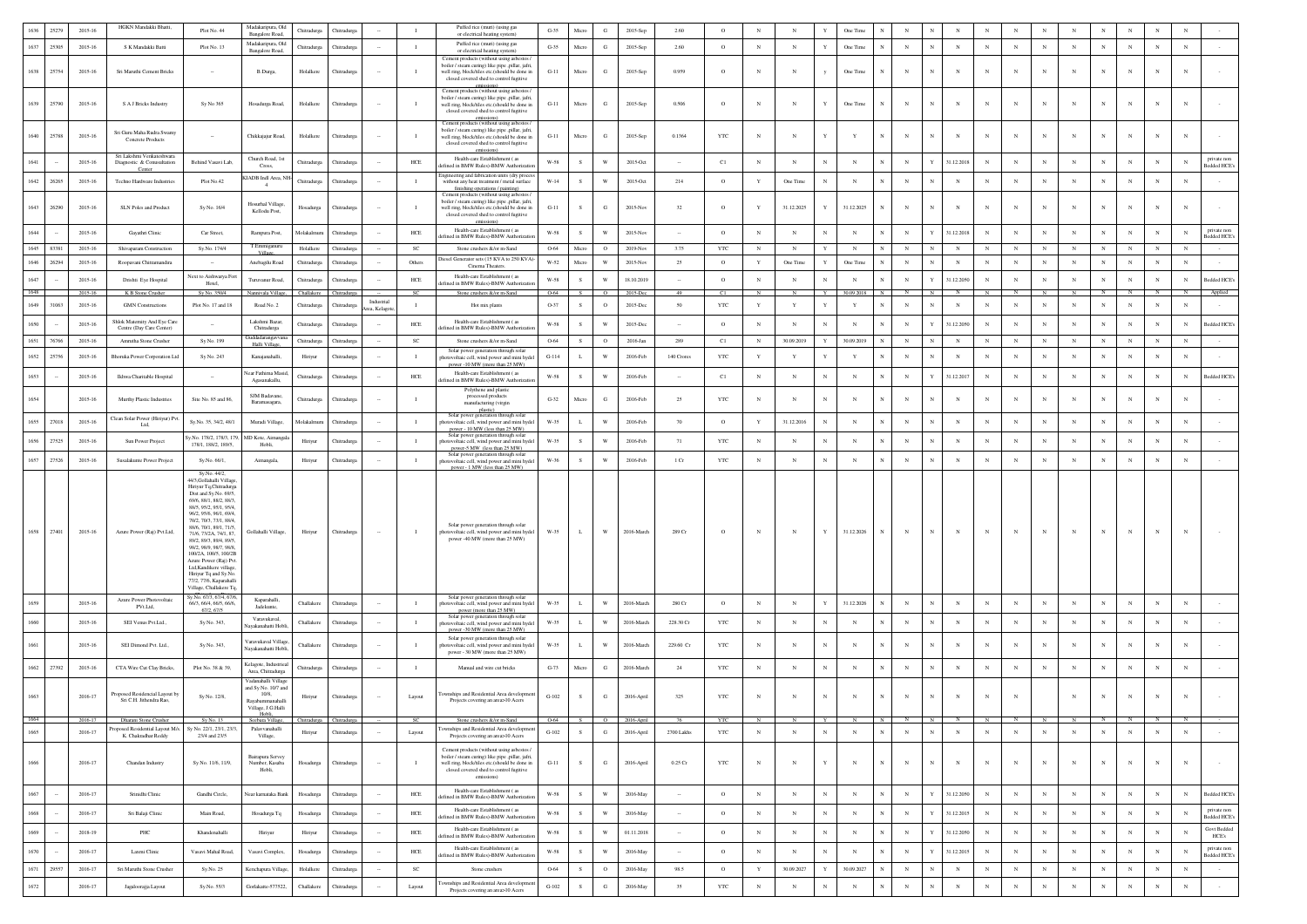|      | 25279  | 2015-16     | HGKN Mandakki Bhatti,                                     | Plot No. 44                                                                                                                                                                                                                                                                                                                                                                                                                                                                  | Madakaripura, Old                                                      | Chitradurga | Chitradurg         |                             | $\mathbf{L}$   | Puffed rice (muri) (using gas                                                                                                                                                                           | $G-35$  | Micro        | G                       | 2015-Sep   | 2.60                     | $\circ$      | $\mathbf N$    | $_{\rm N}$   | Y           | One Time     |              |                |                           |            |              |             |              |                | N           |             |            |                                    |
|------|--------|-------------|-----------------------------------------------------------|------------------------------------------------------------------------------------------------------------------------------------------------------------------------------------------------------------------------------------------------------------------------------------------------------------------------------------------------------------------------------------------------------------------------------------------------------------------------------|------------------------------------------------------------------------|-------------|--------------------|-----------------------------|----------------|---------------------------------------------------------------------------------------------------------------------------------------------------------------------------------------------------------|---------|--------------|-------------------------|------------|--------------------------|--------------|----------------|--------------|-------------|--------------|--------------|----------------|---------------------------|------------|--------------|-------------|--------------|----------------|-------------|-------------|------------|------------------------------------|
|      |        |             |                                                           |                                                                                                                                                                                                                                                                                                                                                                                                                                                                              | Bangalore Road,<br>Madakaripura, Old                                   |             |                    |                             |                | or electrical heating system)<br>Puffed rice (muri) (using gas                                                                                                                                          |         |              |                         |            |                          |              |                |              |             |              |              |                |                           |            |              |             |              |                |             |             |            |                                    |
| 1637 | 25305  | 2015-16     | S K Mandakki Batti                                        | Plot No. 13                                                                                                                                                                                                                                                                                                                                                                                                                                                                  | Bangalore Road,                                                        | Chitradurga | Thitradurg         |                             | $\mathbf{I}$   | or electrical heating system)                                                                                                                                                                           | $G-35$  | Micro        | G                       | 2015-Sep   | 2.60                     | $\circ$      | $_{\rm N}$     | $_{\rm N}$   | Y           | One Time     | N            | $_{\rm N}$     | $_{\rm N}$<br>$_{\rm N}$  | $_{\rm N}$ | $_{\rm N}$   | $_{\rm N}$  | $_{\rm N}$   | N              | $_{\rm N}$  | $_{\rm N}$  | $_{\rm N}$ |                                    |
| 1638 | 25754  | 2015-16     | Sri Maruthi Cement Bricks                                 | $\sim$                                                                                                                                                                                                                                                                                                                                                                                                                                                                       | B.Durga,                                                               | Holalkere   | Chitradurga        |                             | $\mathbf{I}$   | Cement products (without using asbestos<br>boiler / steam curing) like pipe ,pillar, jafri,<br>well ring, block/tiles etc.(should be done in<br>closed covered shed to control fugitive                 | $G-11$  | Micro        | $_{\rm G}$              | 2015-Sep   | 0.959                    | $\circ$      | $_{\rm N}$     | $_{\rm N}$   | y           | One Time     | $_{\rm N}$   | $_{\rm N}$     | $\mathbf N$<br>N          | $_{\rm N}$ | $_{\rm N}$   | $_{\rm N}$  | N            | N              | $_{\rm N}$  | $_{\rm N}$  | $_{\rm N}$ |                                    |
| 1639 | 25790  | 2015-16     | S A J Bricks Industry                                     | Sy No 365                                                                                                                                                                                                                                                                                                                                                                                                                                                                    | Hosadurga Road,                                                        | Holalkere   | Chitradurga        |                             | $\blacksquare$ | emissions)<br>Cement products (without using asbestos /<br>boiler / steam curing) like pipe .pillar, jafri.<br>well ring, block/tiles etc.(should be done in<br>closed covered shed to control fugitive | $G-11$  | Micro        | G                       | 2015-Sep   | 0.506                    | $\circ$      | $_{\rm N}$     | $_{\rm N}$   | Y           | One Time     | N            | $_{\rm N}$     | $_{\rm N}$                | $_{\rm N}$ | $_{\rm N}$   | $_{\rm N}$  | $_{\rm N}$   | N              | $_{\rm N}$  | N           | N          |                                    |
|      |        |             | Sri Guru Maha Rudra Swamy                                 |                                                                                                                                                                                                                                                                                                                                                                                                                                                                              |                                                                        |             |                    |                             |                | emissions)<br>Cement products (without using asbestos /<br>boiler / steam curing) like pipe .pillar, jafri.                                                                                             |         |              | ${\bf G}$               |            |                          |              | $_{\rm N}$     |              |             |              |              | $_{\rm N}$     | $\mathbf N$               |            |              | $_{\rm N}$  |              |                |             |             |            |                                    |
| 1640 | 25788  | $2015 - 16$ | Concrete Products<br>Sri Lakshmi Venkateshwara            |                                                                                                                                                                                                                                                                                                                                                                                                                                                                              | Chikkajajur Road,<br>Church Road, 1st                                  | Holalkere   | <b>Thitradurg</b>  |                             |                | well ring, block/tiles etc.(should be done in<br>closed covered shed to control fugitive<br>emissions)<br>Health-care Establishment (as                                                                 | $G-11$  | Micro        |                         | 2015-Sep   | 0.1364                   | $_{\rm YTC}$ |                | $_{\rm N}$   | Y           | $\mathbf{Y}$ | N            |                |                           | $_{\rm N}$ | $_{\rm N}$   |             | $_{\rm N}$   | $\mathbf N$    | $_{\rm N}$  | $_{\rm N}$  | $_{\rm N}$ | private non                        |
| 1641 |        | 2015-16     | Diagnostic & Conusultation<br>Center                      | Behind Vasavi Lab,                                                                                                                                                                                                                                                                                                                                                                                                                                                           | Cross,                                                                 | Chitradurga | Chitradurga        |                             | $HEE$          | fefined in BMW Rules)-BMW Authorizatio                                                                                                                                                                  | $W-58$  | $\mathbf{s}$ | W                       | 2015-Oct   |                          | C1           | $_{\rm N}$     | $_{\rm N}$   | $_{\rm N}$  | $_{\rm N}$   | $_{\rm N}$   | $_{\rm N}$     | Y<br>31.12.2018           | $_{\rm N}$ | $_{\rm N}$   | $_{\rm N}$  | $_{\rm N}$   | $\mathbf N$    | $_{\rm N}$  | $_{\rm N}$  | N          | <b>Bedded HCE's</b>                |
| 1642 | 26265  | 2015-16     | Techno Hardware Industries                                | Plot No.42                                                                                                                                                                                                                                                                                                                                                                                                                                                                   | KIADB Indl Area, NJ<br>$\frac{4}{3}$                                   | Chitradurga | Chitradurga        |                             | $\mathbf{I}$   | gineering and fabrication units (dry proce<br>without any heat treatment / metal surface<br>finishing operations / painting)<br>Cement products (without using asbestos.                                | W-14    | s            | W                       | 2015-Oct   | 214                      | $\circ$      | Y              | One Time     | $_{\rm N}$  | $_{\rm N}$   | $_{\rm N}$   | ${\bf N}$      | $_{\rm N}$<br>$_{\rm N}$  | $_{\rm N}$ | $_{\rm N}$   | $_{\rm N}$  | $_{\rm N}$   | $_{\rm N}$     | $_{\rm N}$  | $_{\rm N}$  | $_{\rm N}$ |                                    |
| 1643 | 26290  | 2015-16     | SLN Poles and Product                                     | Sy No. 16/4                                                                                                                                                                                                                                                                                                                                                                                                                                                                  | Hosurhal Village,<br>Kellodu Post,                                     | Hosadurga   | Chitradurga        |                             | - 11           | boiler / steam curing) like pipe ,pillar, jafri,<br>well ring, block/tiles etc.(should be done in<br>closed covered shed to control fugitive<br>emissions                                               | $G-11$  | s            | G                       | 2015-No    | 32                       | $\circ$      | $\mathbf{Y}$   | 31.12.2025   | $\mathbf Y$ | 31.12.2025   | N            | $_{\rm N}$     | $_{\rm N}$<br>$_{\rm N}$  | $_{\rm N}$ | $_{\rm N}$   | $_{\rm N}$  | N            | $_{\rm N}$     | $_{\rm N}$  | $_{\rm N}$  |            |                                    |
| 1644 |        | 2015-16     | Gayathri Clinic                                           | Car Street,                                                                                                                                                                                                                                                                                                                                                                                                                                                                  | Rampura Post,                                                          | Molakalmu   | <b>Thitradur</b>   |                             | HCE            | Health-care Establishment (as<br>fined in BMW Rules)-BMW Authorizati                                                                                                                                    | W-58    | s            | W                       | 2015-Nov   |                          | $\circ$      | $_{\rm N}$     | $_{\rm N}$   | $_{\rm N}$  | $_{\rm N}$   |              | $_{\rm N}$     | Y<br>31.12.2018           | $_{\rm N}$ | $_{\rm N}$   | $_{\rm N}$  | N            | N              | $_{\rm N}$  | $_{\rm N}$  | N          | private non<br><b>Bedded HCE's</b> |
| 1645 | 83381  | 2015-16     | Shivaparam Construction                                   | Sv.No. 174/4                                                                                                                                                                                                                                                                                                                                                                                                                                                                 | T.Emmiganuru                                                           | Holalkere   | Chitradurea        |                             | <b>SC</b>      | Stone crushers &/or m-Sand                                                                                                                                                                              | 0-64    | Micro        | $\circ$                 | 2019-Nov   | 3.75                     | <b>YTC</b>   | N              | $_{\rm N}$   | Y           | $_{\rm N}$   | N            | $_{\rm N}$     | $_{\rm N}$<br>$_{\rm N}$  | $_{\rm N}$ | $_{\rm N}$   | $_{\rm N}$  | N            | $_{\rm N}$     | $_{\rm N}$  | $_{\rm N}$  | $_{\rm N}$ |                                    |
| 1646 | 26294  | 2015-16     | Roopavani Chitramandira                                   | $\sim$                                                                                                                                                                                                                                                                                                                                                                                                                                                                       | Anebagilu Road                                                         | Chitradurga | Chitradurga        | $\sim$                      | Others         | liesel Generator sets (15 KVA to 250 KVA)<br>Cinema Theaters                                                                                                                                            | W-52    | Micro        | W                       | 2015-Nov   | 25                       | $\circ$      | $\mathbf Y$    | One Time     | Y           | One Time     | N            | $_{\rm N}$     | $_{\rm N}$<br>$_{\rm N}$  | $_{\rm N}$ | $\,$ N $\,$  | $\,$ N $\,$ | $_{\rm N}$   | $_{\rm N}$     | $_{\rm N}$  | $_{\rm N}$  | $_{\rm N}$ |                                    |
| 1647 |        | 2015-16     | Drishti Eye Hospital                                      | Next to Aishwarya Fort                                                                                                                                                                                                                                                                                                                                                                                                                                                       | Turuvanur Road,                                                        | Chitradurga | Thitradurg         |                             | HCE            | Health-care Establishment (as                                                                                                                                                                           | W-58    | s            | W                       | 18.10.2019 | $\sim$                   | $\circ$      | $_{\rm N}$     | $_{\rm N}$   | $_{\rm N}$  | $_{\rm N}$   | $\mathbb{N}$ | $_{\rm N}$     | Y<br>31.12.2050           | $_{\rm N}$ | $_{\rm N}$   | $_{\rm N}$  | $_{\rm N}$   | N              | $_{\rm N}$  | $_{\rm N}$  | $_{\rm N}$ | Bedded HCE's                       |
| 1648 |        | 2015-16     | K B Stone Crusher                                         | Hotel,<br>Sy No. 350/4                                                                                                                                                                                                                                                                                                                                                                                                                                                       | Nannivala Village                                                      | Challakere  | Chitradurga        |                             | SC             | fined in BMW Rules)-BMW Authoriza<br>Stone crushers &/or m-Sand                                                                                                                                         | 0-64    | S.           | $\circ$                 | 2015-Dec   | 49                       | Cl           | $\overline{N}$ | N            | Y           | 30.09.2018   | z            | $\overline{N}$ | N                         |            | N            | N           | $_{\rm N}$   | $\overline{N}$ | $N$ $\Box$  | $_{\rm N}$  | N          | Applied                            |
| 1649 | 31063  | 2015-16     | <b>GMN</b> Constructions                                  | Plot No. 17 and 18                                                                                                                                                                                                                                                                                                                                                                                                                                                           | Road No. 2                                                             | Chitradurga | Chitradurg:        | Industrial<br>rea, Kelagote | $\mathbf{I}$   | Hot mix plants                                                                                                                                                                                          | O-37    | s            | $\circ$                 | 2015-Dec   | 50                       | <b>YTC</b>   | $\mathbf{Y}$   | $\mathbf{Y}$ | Y           | Y            | N            | $_{\rm N}$     | $_{\rm N}$<br>$_{\rm N}$  | $_{\rm N}$ | $_{\rm N}$   | $_{\rm N}$  | N            | $_{\rm N}$     | $_{\rm N}$  | $_{\rm N}$  | $_{\rm N}$ |                                    |
| 1650 |        | 2015-16     | Shlok Maternity And Eve Can<br>Centre (Day Care Center)   |                                                                                                                                                                                                                                                                                                                                                                                                                                                                              | Lakshmi Bazar<br>Chitradurga                                           | Chitradurga | <b>Thitradurg</b>  |                             | $HEE$          | Health-care Establishment (as<br>efined in BMW Rules)-BMW Authorizati                                                                                                                                   | $W-58$  | $\,$ s       | W                       | 2015-Dec   |                          | $\circ$      | $_{\rm N}$     | $_{\rm N}$   | $_{\rm N}$  | $_{\rm N}$   | $_{\rm N}$   | $_{\rm N}$     | $\mathbf Y$<br>31.12.2050 | $_{\rm N}$ | $_{\rm N}$   | $_{\rm N}$  | $_{\rm N}$   | $_{\rm N}$     | $_{\rm N}$  | $_{\rm N}$  | $_{\rm N}$ | <b>Bedded HCE's</b>                |
| 1651 | 76766  | $2015 - 16$ | Amrutha Stone Crusher                                     | Sy No. 199                                                                                                                                                                                                                                                                                                                                                                                                                                                                   | Guddadarangavv:<br>Halli Village,                                      | Chitradurga | Chitradurga        |                             | $_{\rm SC}$    | Stone crushers &/or m-Sand                                                                                                                                                                              | 0-64    | $\,$ s       | $\circ$                 | 2016-Jan   | 289                      | C1           | $_{\rm N}$     | 30.09.2019   | Y           | 30.09.2019   |              | $_{\rm N}$     | N<br>$_{\rm N}$           | $_{\rm N}$ | $_{\rm N}$   | $_{\rm N}$  | $_{\rm N}$   | $_{\rm N}$     | $_{\rm N}$  | $_{\rm N}$  | $_{\rm N}$ |                                    |
| 1652 | 25756  | 2015-16     | <b>Bhoruka Power Corporation Ltd</b>                      | Sy No. 243                                                                                                                                                                                                                                                                                                                                                                                                                                                                   | Kanajanahalli                                                          | Hiriyur     | Chitradurg         |                             | $\mathbf{I}$   | Solar power generation through solar<br>hotovoltaic cell, wind power and mini hydel                                                                                                                     | $G-114$ | $\mathbf L$  | W                       | 2016-Feb   | 140 Crores               | $_{\rm YTC}$ | $\mathbf Y$    | $\mathbf Y$  | Y           | $\mathbf Y$  | $_{\rm N}$   | $_{\rm N}$     | $_{\rm N}$                | $_{\rm N}$ | $_{\rm N}$   | $_{\rm N}$  | $_{\rm N}$   | $\mathbf N$    | $_{\rm N}$  | $_{\rm N}$  |            |                                    |
| 1653 |        | 2015-16     | Ikhwa Charitable Hospital                                 |                                                                                                                                                                                                                                                                                                                                                                                                                                                                              | Near Fathima Masi<br>Agasanakallu,                                     | Chitradurga | Chitradurga        |                             | $HEE$          | power -10 MW (more than 25 MW)<br>Health-care Establishment (as<br>fefined in BMW Rules)-BMW Authorizatio                                                                                               | $W-58$  | ${\bf s}$    | W                       | 2016-Feb   |                          | C1           | $_{\rm N}$     | $_{\rm N}$   | $_{\rm N}$  | $_{\rm N}$   | $_{\rm N}$   | $_{\rm N}$     | $\mathbf Y$<br>31.12.2017 | $_{\rm N}$ | $_{\rm N}$   | $_{\rm N}$  | $_{\rm N}$   | $\mathbf N$    | $\mathbf N$ | $_{\rm N}$  | $_{\rm N}$ | Bedded HCE's                       |
| 1654 |        | $2015 - 16$ | Murthy Plastic Industries                                 | Site No. 85 and 86,                                                                                                                                                                                                                                                                                                                                                                                                                                                          | SJM Badavane<br>Baramasagara,                                          | Chitradurga | <b>Thitradurga</b> |                             | $\mathbf{I}$   | Polythene and plasti<br>processed products<br>manufacturing (virgin<br>plastic)                                                                                                                         | $G-32$  | Micro        | ${\bf G}$               | 2016-Feb   | 25                       | $_{\rm YTC}$ | $_{\rm N}$     | N            | $_{\rm N}$  | $_{\rm N}$   | $_{\rm N}$   | $_{\rm N}$     | $_{\rm N}$                | $_{\rm N}$ | $_{\rm N}$   | $_{\rm N}$  | N            | $_{\rm N}$     | $_{\rm N}$  | $_{\rm N}$  |            |                                    |
| 1655 | 27018  | 2015-16     | Clean Solar Power (Hiriyur) Pvt.<br>Ltd.                  | Sv.No. 35, 34/2, 48/1                                                                                                                                                                                                                                                                                                                                                                                                                                                        | Muradi Village,                                                        | Molakalmun  | Chitradurg         |                             | $\mathbf{I}$   | Solar power generation through solar<br>hotovoltaic cell, wind power and mini hydel                                                                                                                     | W-35    | L            | W                       | 2016-Feb   | 70                       | $\circ$      | $\mathbf Y$    | 31.12.2016   | $_{\rm N}$  | $_{\rm N}$   | $_{\rm N}$   | $_{\rm N}$     | $_{\rm N}$<br>$_{\rm N}$  | $_{\rm N}$ | $_{\rm N}$   | $_{\rm N}$  | $\mathbb{N}$ | $_{\rm N}$     | $_{\rm N}$  | $_{\rm N}$  | $_{\rm N}$ |                                    |
| 1656 | 27525  | $2015 - 16$ | Sun Power Project                                         | v No. 178/2 178/3 179<br>178/1, 188/2, 189/5.                                                                                                                                                                                                                                                                                                                                                                                                                                | MD Kote, Aimane<br>Hobli.                                              | Hiriyur     | Chitradurg         |                             | $\mathbf{I}$   | power - 10 MW (less than 25 MW)<br>Solar power generation through solar<br>photovoltaic cell, wind power and mini hydel<br>power-5 MW (less than 25 MW)                                                 | W-35    | $\,$ s       | W                       | 2016-Feb   | 71                       | $_{\rm YTC}$ | $_{\rm N}$     | $_{\rm N}$   | $_{\rm N}$  | $_{\rm N}$   | $_{\rm N}$   | $_{\rm N}$     | $_{\rm N}$                | $_{\rm N}$ | $_{\rm N}$   | $_{\rm N}$  | $_{\rm N}$   | $_{\rm N}$     | $_{\rm N}$  | $_{\rm N}$  | $_{\rm N}$ |                                    |
| 1657 | 27526  | 2015-16     | Susalakunte Power Project                                 | Sy.No. 66/1,                                                                                                                                                                                                                                                                                                                                                                                                                                                                 | Aimangala,                                                             | Hiriyur     | Chitradurga        |                             | $\mathbf{I}$   | Solar power generation through solar<br>photovoltaic cell, wind power and mini hydel                                                                                                                    | W-36    | S            | $\ensuremath{\text{W}}$ | 2016-Feb   | $1\,\mathrm{Cr}$         | $_{\rm YTC}$ | $_{\rm N}$     | $_{\rm N}$   | $_{\rm N}$  | $_{\rm N}$   | $_{\rm N}$   | $_{\rm N}$     | $_{\rm N}$<br>$_{\rm N}$  | $_{\rm N}$ | $_{\rm N}$   | $_{\rm N}$  | $_{\rm N}$   | $_{\rm N}$     | $_{\rm N}$  | $_{\rm N}$  | $_{\rm N}$ |                                    |
| 1658 | 27401  | 2015-16     | Azure Power (Raj) Pvt.Ltd,                                | Sy.No. 44/2,<br>44/3, Gollahalli Villag<br>Hiriyur Tq,Chitradurga<br>Dist and Sv.No. 69/5.<br>69/6, 88/1, 88/2, 88/3,<br>88/5, 95/2, 95/1, 95/4,<br>96/2, 95/6, 96/1, 69/4,<br>70/2, 70/3, 73/1, 88/4,<br>88/6, 70/1, 89/1, 71/5,<br>71/6, 73/2A, 74/1, 87,<br>89/2, 89/3, 89/4, 89/5,<br>98/2, 98/9, 98/7, 98/8,<br>100/2A, 100/5, 100/2B<br>Azure Power (Rai) Pvt.<br>Ltd, Kandikere village,<br>Hiriyur Tq and Sy.No<br>77/2, 77/6, Kaparahall<br>Village, Challakere Tq. | Gollahalli Village,                                                    | Hiriyur     | Chitradurga        |                             | $\mathbf{I}$   | Solar power generation through solar<br>hotovoltaic cell, wind power and mini hydel<br>power -40 MW (more than 25 MW)                                                                                   | W-35    | L            | $\ensuremath{\text{W}}$ | 2016-March | $289\,\mathrm{Cr}$       | $\circ$      | $_{\rm N}$     | $_{\rm N}$   | Y           | 31.12.2026   |              | $_{\rm N}$     | $_{\rm N}$                |            | N            | $_{\rm N}$  |              |                |             |             |            |                                    |
| 1659 |        | 2015-16     | Azure Power Photovoltaic<br>PVt.Ltd,                      | Sy.No. 67/3, 67/4, 67/6,<br>66/3, 66/4, 66/5, 66/6,                                                                                                                                                                                                                                                                                                                                                                                                                          | Kaparahalli<br>Jadekunte,                                              | Challakere  | Chitradurg         |                             | $\mathbf{I}$   | Solar power generation through solar<br>hotovoltaic cell, wind power and mini hydel                                                                                                                     | W-35    | L            | W                       | 2016-March | 280 Cr                   | $\circ$      | $_{\rm N}$     | $_{\rm N}$   | Y           | 31.12.2026   | $_{\rm N}$   | $_{\rm N}$     | $_{\rm N}$<br>$_{\rm N}$  | $_{\rm N}$ | $_{\rm N}$   | $_{\rm N}$  | $\mathbf{N}$ | $_{\rm N}$     | $_{\rm N}$  | $_{\rm N}$  | $_{\rm N}$ |                                    |
| 1660 |        | $2015 - 16$ | SEI Venus Pvt.Ltd.                                        | 67/2, 67/5<br>Sy No. 343,                                                                                                                                                                                                                                                                                                                                                                                                                                                    | Varavukaval.                                                           | Challakere  | <b>Thitradurga</b> |                             | $\mathbf{I}$   | power (more than 25 MW)<br>Solar power generation through solar<br>photovoltaic cell, wind power and mini hydel                                                                                         | W-35    | $\mathbf L$  | $\ensuremath{\text{W}}$ | 2016-March | 228.30 Cr                | $_{\rm YTC}$ | $_{\rm N}$     | $_{\rm N}$   | $_{\rm N}$  | $_{\rm N}$   | $_{\rm N}$   | $_{\rm N}$     | $_{\rm N}$<br>$_{\rm N}$  | $_{\rm N}$ | $_{\rm N}$   | $_{\rm N}$  | $_{\rm N}$   | $_{\rm N}$     | $_{\rm N}$  | $_{\rm N}$  | $_{\rm N}$ |                                    |
|      |        |             |                                                           |                                                                                                                                                                                                                                                                                                                                                                                                                                                                              | Navakanahatti Hobli<br>Varavukaval Villag                              |             |                    |                             |                | power -30 MW (more than 25 MW)<br>Solar power generation through solar                                                                                                                                  |         |              |                         |            |                          |              |                |              |             |              |              |                |                           |            |              |             |              |                |             |             |            |                                    |
| 1661 |        | 2015-16     | SEI Dimond Pvt. Ltd.,                                     | Sy No. 343,                                                                                                                                                                                                                                                                                                                                                                                                                                                                  | Nayakanahatti Hobli                                                    | Challakere  | Chitradurga        |                             | $\blacksquare$ | photovoltaic cell, wind power and mini hydel<br>power - 30 MW (more than 25 MW)                                                                                                                         | W-35    | L            | $\ensuremath{\text{W}}$ | 2016-March | 229.60 Cr                | $_{\rm YTC}$ | $_{\rm N}$     | $\mathbf N$  | $_{\rm N}$  | N            | $_{\rm N}$   | $_{\rm N}$     | $_{\rm N}$                | $_{\rm N}$ | $\mathbf N$  | $_{\rm N}$  | N            | N              | N           | $_{\rm N}$  | $_{\rm N}$ |                                    |
| 1662 | 27392  | 2015-16     | CTA Wire Cut Clay Bricks,                                 | Plot No. 38 & 39,                                                                                                                                                                                                                                                                                                                                                                                                                                                            | Kelagote, Industrieal<br>Area, Chitradurga<br>Vadanahalli Villagi      | Chitradurga | Chitradurga        | $\sim$                      | $\blacksquare$ | Manual and wire cut bricks                                                                                                                                                                              | $G-73$  | Micro        | G                       | 2016-March | 24                       | <b>YTC</b>   | $_{\rm N}$     | $_{\rm N}$   | $_{\rm N}$  | $\mathbf N$  | N            | $\mathbf N$    | $_{\rm N}$<br>$_{\rm N}$  | $_{\rm N}$ | $_{\rm N}$   | $_{\rm N}$  | $\mathbb{N}$ | $_{\rm N}$     | $_{\rm N}$  | $_{\rm N}$  | $_{\rm N}$ |                                    |
| 1663 |        | 2016-17     | Proposed Residencial Lavout by<br>Sri C.H. Jithendra Rao. | Sy No. 12/8,                                                                                                                                                                                                                                                                                                                                                                                                                                                                 | and Sy No. 10/7 and<br>10/8,<br>Rayabammanahalli<br>Village, J.G.Halli | Hiriyur     | Chitradurga        |                             | Layout         | ownships and Residential Area developm<br>Projects covering an area>10 Acers                                                                                                                            | $G-102$ | S            | G                       | 2016-April | 325                      | $_{\rm YTC}$ | $_{\rm N}$     | $_{\rm N}$   | $_{\rm N}$  | $_{\rm N}$   | $_{\rm N}$   | $_{\rm N}$     | $_{\rm N}$                | $_{\rm N}$ | $_{\rm N}$   |             | $_{\rm N}$   | $_{\rm N}$     | $_{\rm N}$  | $_{\rm N}$  | $_{\rm N}$ |                                    |
|      |        | 2016-1      |                                                           | Sv No. 22/1, 23/1, 23/3.                                                                                                                                                                                                                                                                                                                                                                                                                                                     | Hobl                                                                   |             |                    |                             |                |                                                                                                                                                                                                         |         |              |                         | 2016-      |                          |              |                |              |             |              |              |                |                           |            |              |             |              |                |             |             |            |                                    |
| 1665 |        | 2016-17     | pposed Residential Layout M/s.<br>K. Chakradhar Reddy     | 23/4 and 23/5                                                                                                                                                                                                                                                                                                                                                                                                                                                                | Palavvanahalli<br>Village,                                             | Hiriyur     | Chitradurga        |                             | Layout         | wnships and Residential Area developme<br>Projects covering an area>10 Acers                                                                                                                            | $G-102$ | s            | ${\bf G}$               | 2016-April | 2700 Lakhs               | $_{\rm YTC}$ | $_{\rm N}$     | $_{\rm N}$   | $_{\rm N}$  | $_{\rm N}$   | N            | $_{\rm N}$     | $_{\rm N}$<br>$_{\rm N}$  | $_{\rm N}$ | $_{\rm N}$   | $_{\rm N}$  | $_{\rm N}$   | $\mathbf N$    | $_{\rm N}$  | $_{\rm N}$  | $_{\rm N}$ |                                    |
| 1666 |        | 2016-17     | Chandan Industry                                          | Sy No. 11/6, 11/9,                                                                                                                                                                                                                                                                                                                                                                                                                                                           | Bairapura Servey<br>Number, Kasaba<br>Hobli,                           | Hosadurga   | Chitradurga        |                             | $\blacksquare$ | Cement products (without using asbestos)<br>boiler / steam curing) like pipe ,pillar, jafri,<br>well ring, block/tiles etc.(should be done in<br>closed covered shed to control fugitive<br>emissions)  | $G-11$  | S            | $\mathbf{G}$            | 2016-April | $0.25\,\mathrm{Cr}$      | <b>YTC</b>   | $_{\rm N}$     | $_{\rm N}$   | $\mathbf Y$ | $\mathbb{N}$ | $_{\rm N}$   | ${\bf N}$      | $_{\rm N}$                | $_{\rm N}$ | $_{\rm N}$   | $_{\rm N}$  | $\mathbb{N}$ | $_{\rm N}$     | $_{\rm N}$  | $_{\rm N}$  | $_{\rm N}$ | $\sim$                             |
| 1667 | $\sim$ | 2016-17     | Srinidhi Clinic                                           | Gandhi Circle.                                                                                                                                                                                                                                                                                                                                                                                                                                                               | Near kamataka Bank                                                     | Hosadurga   | Chitradures        | $\sim$                      | HCE            | Health-care Establishment (as<br>efined in BMW Rules)-BMW Authorizati                                                                                                                                   | W-58    | S            | W                       | 2016-May   | $\sim$                   | $\circ$      | $_{\rm N}$     | $_{\rm N}$   | $_{\rm N}$  | N            | $_{\rm N}$   | $_{\rm N}$     | 31.12.2050<br>Y           | $_{\rm N}$ | $_{\rm N}$   | $_{\rm N}$  | $_{\rm N}$   | $_{\rm N}$     | $_{\rm N}$  | $_{\rm N}$  | $_{\rm N}$ | <b>Bedded HCE's</b>                |
| 1668 | $\sim$ | 2016-17     | Sri Balaji Clinic                                         | Main Road,                                                                                                                                                                                                                                                                                                                                                                                                                                                                   | Hosadurga Tq                                                           | Hosadurga   | Chitradurga        | $\sim$                      | $HEE$          | Health-care Establishment (as<br>efined in BMW Rules)-BMW Authorizatio                                                                                                                                  | W-58    | S            | $\ensuremath{\text{W}}$ | 2016-May   |                          | $\circ$      | $_{\rm N}$     | $_{\rm N}$   | $_{\rm N}$  | $_{\rm N}$   | $_{\rm N}$   | $_{\rm N}$     | $\mathbf Y$<br>31.12.2015 | $_{\rm N}$ | $_{\rm N}$   | $_{\rm N}$  | N            | $_{\rm N}$     | $_{\rm N}$  | $_{\rm N}$  | $_{\rm N}$ | private non<br>Bedded HCE's        |
| 1669 |        | 2018-19     | PHC                                                       | Khandenahalli                                                                                                                                                                                                                                                                                                                                                                                                                                                                | Hiriyur                                                                | Hiriyur     | Chitradurga        |                             | $HEE$          | Health-care Establishment (as<br>lefined in BMW Rules)-BMW Authorizatio                                                                                                                                 | $W-58$  | $\,$ s       | W                       | 01.11.2018 | $\overline{\phantom{a}}$ | $\circ$      | $_{\rm N}$     | $_{\rm N}$   | $_{\rm N}$  | $_{\rm N}$   | $_{\rm N}$   | $_{\rm N}$     | $\mathbf Y$<br>31.12.2050 | $_{\rm N}$ | $\mathbb{N}$ | $_{\rm N}$  | $\mathbb{N}$ | $\overline{N}$ | $\mathbf N$ | $_{\rm N}$  |            | <b>Govt Bedde</b><br><b>HCE's</b>  |
| 1670 |        | 2016-17     | Laxmi Clinic                                              | Vasavi Mahal Road                                                                                                                                                                                                                                                                                                                                                                                                                                                            | Vasavi Complex,                                                        | Hosadurga   | Chitradurga        | $\sim$                      | HCE            | Health-care Establishment (as<br>efined in BMW Rules)-BMW Authorizatio                                                                                                                                  | W-58    | s            | W                       | 2016-May   | $\sim$                   | $\circ$      | $_{\rm N}$     | $_{\rm N}$   | $_{\rm N}$  | $_{\rm N}$   | $_{\rm N}$   | $_{\rm N}$     | Y<br>31.12.2015           | $_{\rm N}$ | $_{\rm N}$   | $_{\rm N}$  | N            | $_{\rm N}$     | $_{\rm N}$  | $_{\rm N}$  | N          | private non<br>sedded HCE's        |
| 1671 | 29557  | 2016-17     | Sri Maruthi Stone Crusher                                 | Sy.No. 25                                                                                                                                                                                                                                                                                                                                                                                                                                                                    | Kenchapura Village                                                     | Holalkere   | <b>Thitradurga</b> | $\sim$                      | $_{\rm SC}$    | Stone crushers                                                                                                                                                                                          | 0-64    | ${\bf s}$    | $\mathbf{o}$            | 2016-May   | 98.5                     | $\circ$      | $\mathbf Y$    | 30.09.2027   | $\mathbf Y$ | 30.09.2027   | $_{\rm N}$   | $_{\rm N}$     | $_{\rm N}$<br>$_{\rm N}$  | $_{\rm N}$ | $_{\rm N}$   | $_{\rm N}$  | $_{\rm N}$   | $_{\rm N}$     | $_{\rm N}$  | $\,$ N $\,$ | $_{\rm N}$ |                                    |
| 1672 |        | 2016-17     | Jagaloorajja Layout                                       | Sy.No. 55/3                                                                                                                                                                                                                                                                                                                                                                                                                                                                  | Gorlakatte-577522,                                                     | Challakere  | <b>Thitradurga</b> | $\sim$                      | Layout         | wnships and Residential Area developmen<br>Projects covering an area>10 Acers                                                                                                                           | $G-102$ | ${\bf s}$    | ${\bf G}$               | 2016-May   | 35                       | <b>YTC</b>   | $_{\rm N}$     | $_{\rm N}$   | $_{\rm N}$  | $_{\rm N}$   | $_{\rm N}$   | $_{\rm N}$     | $_{\rm N}$<br>$_{\rm N}$  | $_{\rm N}$ | $_{\rm N}$   | $_{\rm N}$  | $_{\rm N}$   | $_{\rm N}$     | $_{\rm N}$  | $\,$ N $\,$ | $_{\rm N}$ | $\sim$                             |
|      |        |             |                                                           |                                                                                                                                                                                                                                                                                                                                                                                                                                                                              |                                                                        |             |                    |                             |                |                                                                                                                                                                                                         |         |              |                         |            |                          |              |                |              |             |              |              |                |                           |            |              |             |              |                |             |             |            |                                    |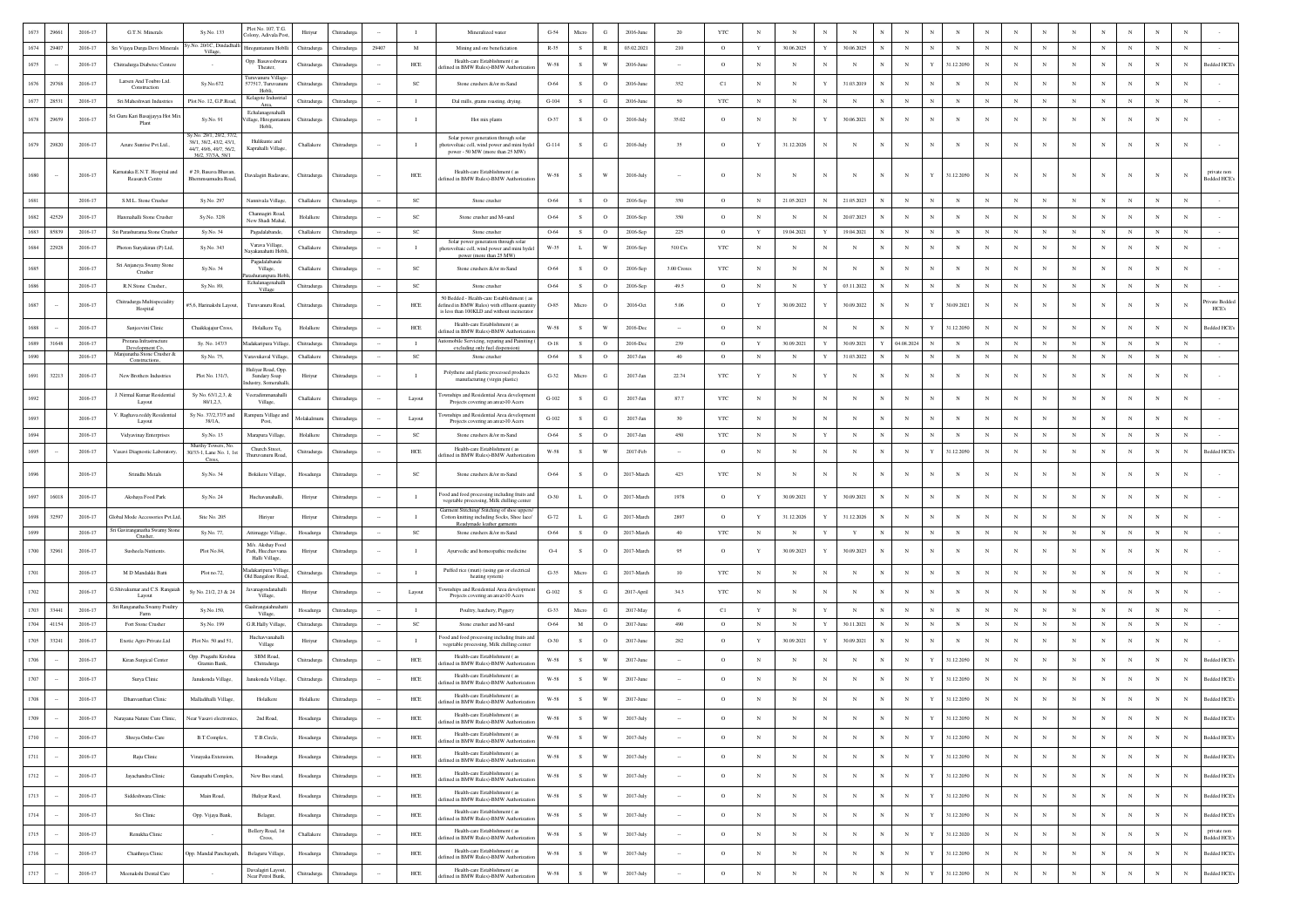|      | 29661  | 2016-17     | G.T.N. Minerals                                                | Sy.No. 133                                                                                     | Plot No. 107, T.G.<br>Colony, Adivala Pos              | Hiriyur     | Chitradurg         |        |                | Mineralized water                                                                                                                      | $G-54$               | Micro        | $_{\rm G}$              | 2016-Jun     | 20          | <b>YTC</b>   | N            |            |              |             |                            |              |            |              |            |            |             |            |             |            |            |                                        |
|------|--------|-------------|----------------------------------------------------------------|------------------------------------------------------------------------------------------------|--------------------------------------------------------|-------------|--------------------|--------|----------------|----------------------------------------------------------------------------------------------------------------------------------------|----------------------|--------------|-------------------------|--------------|-------------|--------------|--------------|------------|--------------|-------------|----------------------------|--------------|------------|--------------|------------|------------|-------------|------------|-------------|------------|------------|----------------------------------------|
| 1674 | 29407  | 2016-17     | Sri Vijaya Durga Devi Minerals                                 | y.No. 20/1C, Dindadhal<br>Village,                                                             | Hireguntanuru Hoblli                                   | Chitradurga | Chitradurga        | 29407  | M              | Mining and ore beneficiation                                                                                                           | $R-35$               | -S           | R                       | 03.02.2021   | 210         | $\circ$      | Y            | 30.06.2025 | Y            | 30.06.2025  | $_{\rm N}$<br>$\mathbb{N}$ |              | $_{\rm N}$ | $\mathbf{N}$ | N          | $_{\rm N}$ | N           | $_{\rm N}$ | $\mathbf N$ | $_{\rm N}$ | $_{\rm N}$ |                                        |
| 1675 |        | 2016-17     | Chitradurga Diabetec Centere                                   |                                                                                                | Opp. Basaveshwara<br>Theater.                          | Chitradurga | Chitradure         |        | $HEE$          | Health-care Establishment (as<br>ined in BMW Rules)-BMW Authoriza                                                                      | W-58                 | - S          | W                       | 2016-June    |             | $\circ$      | $_{\rm N}$   | $_{\rm N}$ | $_{\rm N}$   | $_{\rm N}$  | $_{\rm N}$                 | Y            | 31.12.2050 | $\mathbf N$  |            |            | N           |            |             | $_{\rm N}$ | $_{\rm N}$ | ledded HCE                             |
| 1676 | 29768  | $2016 - 17$ | Larsen And Toubro Ltd.<br>Construction                         | Sy.No.672                                                                                      | Furuvanuru Village<br>577517, Turuvanuru<br>Hobli      | Chitradurga | Thitradurg         |        | $_{\rm SC}$    | Stone crushers &/or m-Sand                                                                                                             | 0.64                 | s            | $\mathbf{o}$            | 2016-Jun     | 352         | C1           | $_{\rm N}$   | N          | Y            | 31.03.2019  | $_{\rm N}$                 |              |            |              |            |            |             |            |             | $_{\rm N}$ |            |                                        |
| 1677 | 28531  | 2016-17     | Sri Maheshwari Industries                                      | Plot No. 12, G.P.Road                                                                          | Kelagote Industria<br>Area                             | Chitradurga | Chitradurg         |        | $\blacksquare$ | Dal mills, grams roasting, drying,                                                                                                     | $G-104$              | s            | $_{\rm G}$              | 2016-Jun     | 50          | $_{\rm YTC}$ | $_{\rm N}$   | $_{\rm N}$ | $_{\rm N}$   | $_{\rm N}$  | $_{\rm N}$                 |              | $_{\rm N}$ |              |            |            | $\mathbf N$ |            |             | $_{\rm N}$ | N          |                                        |
| 1678 | 29659  | 2016-17     | iri Guru Kari Basajjayya Hot Mis<br>Plant                      | Sy.No. 91                                                                                      | Echalanagenahalli<br>/illage, Hireguntanı<br>Hobli,    | Chitradurga | Chitradurga        |        | $\blacksquare$ | Hot mix plants                                                                                                                         | O-37                 |              | $\circ$                 | $2016$ -July | 35.02       | $\circ$      | N            | N          | Y            | 30.06.2021  | $_{\rm N}$                 |              |            |              |            |            |             | N          |             | N          |            |                                        |
| 1679 | 29820  | 2016-17     | Azure Sunrise Pvt.Ltd.,                                        | v.No. 29/1, 29/2, 3<br>38/1, 38/2, 43/2, 43/1,<br>44/7, 49/6, 49/7, 56/2.<br>36/2, 37/3A, 58/1 | Hulikunte and<br>Kaprahalli Village.                   | Challakere  | Chitradurga        |        |                | Solar power generation through solar<br>hotovoltaic cell, wind power and mini hydel<br>power - 50 MW (more than 25 MW)                 | $G-114$              | s            | $_{\rm G}$              | $2016$ -July | 35          | $\circ$      | Y            | 31.12.2026 | $_{\rm N}$   | N           | N                          |              |            |              |            | $_{\rm N}$ |             |            |             | $_{\rm N}$ |            |                                        |
|      |        | 2016-17     | Karnataka E.N.T. Hospital and<br>Reasarch Centre               | # 29, Basava Bhavan<br>Bhemmsamudra Road,                                                      | Davalagiri Badavane,                                   | Chitradurga | Chitradurga        |        | $HEE$          | Health-care Establishment (as<br>fefined in BMW Rules)-BMW Authorizati                                                                 | $_{\rm W\text{-}58}$ |              | W                       | 2016-July    | $\sim$      | $\circ$      | N            | N          | $_{\rm N}$   | N           | N                          | Y            | 31.12.2050 | $_{\rm N}$   |            | $_{\rm N}$ |             | N          |             | N          |            | private non<br>Bedded HCE's            |
| 1681 |        | 2016-17     | S.M.L. Stone Crusher                                           | Sy.No. 297                                                                                     | Nannivala Village,                                     | Challakere  | Chitradurg         |        | SC             | Stone crusher                                                                                                                          | 0.64                 | $\mathbf S$  | $\mathbf{o}$            | 2016-Sep     | 350         | $\circ$      | $_{\rm N}$   | 21.05.2023 | $_{\rm N}$   | 21.05.2023  | $_{\rm N}$                 |              | $_{\rm N}$ |              |            |            | N           |            |             | $_{\rm N}$ | $_{\rm N}$ |                                        |
| 1682 | 42529  | $2016 - 17$ | Harenahalli Stone Crusher                                      | Sy.No. 32/8                                                                                    | Channagiri Road<br>New Shadi Mahal.                    | Holalkere   | Chitradurg         |        | $_{\rm SC}$    | Stone crusher and M-sand                                                                                                               | 0.64                 | s            | $\circ$                 | 2016-Sep     | 350         | $\circ$      | $_{\rm N}$   | N          | $_{\rm N}$   | 20.07.2023  | $_{\rm N}$<br>N            |              |            |              |            |            | N           | $_{\rm N}$ |             | $_{\rm N}$ |            |                                        |
| 1683 | 85839  | 2016-17     | Sri Parashurama Stone Crusher                                  | Sv.No. 34                                                                                      | Pagadalabande.                                         | Challakere  | Chitradure         |        | SC             | Stone crusher                                                                                                                          | 0-64                 | s.           | $\circ$                 | 2016-Set     | 225         | $\circ$      | Y            | 19.04.2021 | Y            | 19.04.2021  | $_{\rm N}$                 |              | N          | N            |            | $_{\rm N}$ | $_{\rm N}$  | N          |             | $_{\rm N}$ | $_{\rm N}$ |                                        |
| 1684 | 22928  | 2016-17     | Photon Suryakiran (P) Ltd,                                     | Sv.No. 343                                                                                     | Varava Village,<br>yakanahatti Hob                     | Challakere  | Chitradure         |        | $\blacksquare$ | Solar power generation through solar<br>photovoltaic cell, wind power and mini hydel<br>power (more than 25 MW)                        | W-35                 | L.           | W                       | 2016-Sep     | 510 Crs     | <b>YTC</b>   | $_{\rm N}$   | $_{\rm N}$ | $_{\rm N}$   | $_{\rm N}$  | N                          |              | N          | $_{\rm N}$   | $_{\rm N}$ | $_{\rm N}$ | N           | N          | $_{\rm N}$  | $_{\rm N}$ | $_{\rm N}$ |                                        |
| 1685 |        | 2016-17     | Sri Anjaneya Swamy Stone<br>Crusher                            | Sy.No. 34                                                                                      | Pagadalabande<br>Village,<br>rampura Hol               | Challakere  | Chitradurga        |        | SC             | Stone crushers &/or m-Sand                                                                                                             | 0.64                 | -S           | $\circ$                 | 2016-Sep     | 3.00 Crores | $_{\rm YTC}$ | N            | N          | $\mathbb{N}$ | $_{\rm N}$  | $_{\rm N}$                 |              |            |              |            |            |             |            |             | N          | N          |                                        |
| 1686 |        | 2016-17     | R.N.Stone Crusher                                              | Sv.No. 89.                                                                                     | Echalanagenahall<br>Village                            | Chitradurga | Chitradurga        |        | <b>SC</b>      | Stone crusher                                                                                                                          | 0-64                 | s            | $\circ$                 | 2016-Sep     | 49.5        | $\circ$      | $_{\rm N}$   | $_{\rm N}$ | Y            | 03.11.2022  | $_{\rm N}$                 |              | $_{\rm N}$ | $_{\rm N}$   | $_{\rm N}$ | N          | $_{\rm N}$  | N          |             | $_{\rm N}$ | $_{\rm N}$ |                                        |
| 1687 |        | 2016-17     | Chitradurga Multispeciality<br>Hospital                        | #5,6, Harinakshi Layout,                                                                       | Turuvanuru Road,                                       | Chitradurga | Chitradurg         |        | HCE            | 50 Bedded - Health-care Establishment (as<br>fefined in BMW Rules) with effluent quantit<br>is less than 100KLD and without incinerato | O-85                 | Micro        | $\circ$                 | 2016-Oct     | 5.06        | $\circ$      | Y            | 30.09.2022 | Y            | 30.09.2022  | $_{\rm N}$                 | Y            | 30.09.2021 | $_{\rm N}$   |            | $_{\rm N}$ |             | N          |             | N          | N          | rivate Bedded<br>HCE's                 |
| 1688 |        | 2016-17     | Sanjeevini Clinic                                              | Chaikkajajur Cross,                                                                            | Holalkere Tq,                                          | Holalkere   | Chitradurg         |        | HCE            | Health-care Establishment (as                                                                                                          | W-58                 | s            | W                       | 2016-De      |             | $\circ$      | $\mathbb{N}$ |            | $_{\rm N}$   | $_{\rm N}$  | $_{\rm N}$<br>N            |              | 31.12.2050 | $_{\rm N}$   |            |            |             | N          |             | $_{\rm N}$ | $_{\rm N}$ | Bedded HCE's                           |
| 1689 | 31648  | 2016-17     | Prerana Infrastructure                                         | Sv. No. 147/3                                                                                  | Madakaripura Villas                                    | Chitradurea | Chitradure         |        | $\blacksquare$ | fined in BMW Rules)-BMW Authorizat<br>omobile Servicing, reparing and Painiting                                                        | $O-18$               | s            | $\circ$                 | 2016-De      | 239         | $\circ$      | Y            | 30.09.2021 | Y            | 30.09.2021  | 04.08.202                  |              | N          | $\mathbf{N}$ |            |            | $_{\rm N}$  | N          |             | $_{\rm N}$ | $_{\rm N}$ |                                        |
| 1690 |        | 2016-17     | Development Co,<br>Ianjunatha Stone Crusher &<br>Constructions | Sy.No. 75,                                                                                     | Varavukaval Village                                    | Challaken   | Chitradurg         |        | SC             | excluding only fuel dispension<br>Stone crusher                                                                                        | 0.64                 | s            | $\circ$                 | 2017-Jan     | 40          | $\circ$      | $_{\rm N}$   | $_{\rm N}$ | $\mathbf Y$  | 31.03.2022  | $_{\rm N}$<br>$_{\rm N}$   |              | $_{\rm N}$ | $_{\rm N}$   | $_{\rm N}$ | $_{\rm N}$ | $_{\rm N}$  | $_{\rm N}$ | $_{\rm N}$  | $_{\rm N}$ | $_{\rm N}$ |                                        |
| 1691 | 32213  | 2016-17     | New Brothers Industries                                        | Plot No. 131/3,                                                                                | Hulivar Road, Opp<br>Sundary Soap<br>dustry, Someraha  | Hiriyur     | Chitradurg         |        |                | Polythene and plastic processed products<br>manufacturing (virgin plastic)                                                             | $G-32$               | Micro        | $_{\rm G}$              | 2017-Jan     | 22.74       | $_{\rm YTC}$ | Y            |            | Y            |             | $_{\rm N}$                 | $_{\rm N}$   |            |              |            | $_{\rm N}$ |             | N          |             | N          |            |                                        |
| 1692 |        | $2016 - 17$ | J. Nirmal Kumar Residential<br>Layout                          | Sy No. 63/1,2,3, &<br>80/1.2.3.                                                                | Veeradimmanaha<br>Village,                             | Challakere  | Chitradurg         |        | Layout         | mships and Residential Area develops<br>Projects covering an area>10 Acers                                                             | $_{\mathrm{G-102}}$  | s            | G                       | 2017-Jan     | 87.7        | $_{\rm YTC}$ | $_{\rm N}$   | N          | N            | $_{\rm N}$  | $_{\rm N}$<br>$_{\rm N}$   |              | $_{\rm N}$ | N            |            |            | N           | N          |             | $_{\rm N}$ | $_{\rm N}$ |                                        |
|      |        | 2016-17     | V. Raghava reddy Residential<br>Layout                         | Sy No. 37/2,37/5 and<br>38/1A,                                                                 | ampura Village a<br>Post,                              | Molakalmur  | Chitradure         |        | Layout         | ships and Residential Area developr<br>Projects covering an area>10 Acers                                                              | $G-102$              | - S          | G                       | 2017-Jan     | 30          | <b>YTC</b>   | $_{\rm N}$   | $_{\rm N}$ | N            | $_{\rm N}$  | $_{\rm N}$                 |              |            |              |            |            |             |            |             | N          | N          |                                        |
| 1694 |        | 2016-17     | Vidyavinay Enterprises                                         | Sy.No. 13                                                                                      | Marapura Village                                       | Holalkere   | Chitradurg         |        | <b>SC</b>      | Stone crushers &/or m-Sand                                                                                                             | 0-64                 | S            | $\circ$                 | 2017-Jan     | 450         | <b>YTC</b>   | N            | $_{\rm N}$ | $\mathbf Y$  | $_{\rm N}$  | $_{\rm N}$<br>${\bf N}$    | $\mathbf{N}$ | $_{\rm N}$ | $\mathbf{N}$ | N          | $_{\rm N}$ | $\mathbf N$ | N          | $\mathbf N$ | $_{\rm N}$ | $_{\rm N}$ |                                        |
| 1695 |        | 2016-17     | Vasavi Diagnostic Laboratory,                                  | Murthy Towers, No.<br>30/33-1, Lane No. 1, 1st                                                 | Church Street.<br>Thuruvanuru Road                     | Chitradurga | <b>Thitradurga</b> |        | $HEE$          | Health-care Establishment (as<br>efined in BMW Rules)-BMW Authoriza                                                                    | $_{\rm W\text{-}58}$ | $\mathbf S$  | W                       | 2017-Feb     |             | $\circ$      | $_{\rm N}$   | N          | $_{\rm N}$   | $_{\rm N}$  | $_{\rm N}$                 |              | 31.12.205  |              |            |            | N           |            |             | $_{\rm N}$ | $_{\rm N}$ | ledded HCE's                           |
|      |        | 2016-17     | Srinidhi Metals                                                | Cross.<br>Sy.No. 34                                                                            | Bokikere Village,                                      | Hosadurga   |                    |        | <b>SC</b>      | Stone crushers &/or m-Sand                                                                                                             | 0.64                 | -S           | $\circ$                 | 2017-March   | 423         | $_{\rm YTC}$ | $\mathbb{N}$ | N          | N            | N           | $_{\rm N}$                 |              |            |              |            | $_{\rm N}$ |             | N          |             | $_{\rm N}$ |            |                                        |
| 1697 | 16018  | 2016-17     | Akshaya Food Park                                              | Sy.No. 24                                                                                      | Huchavanahalli.                                        | Hiriyur     | Chitradure         |        | $\blacksquare$ | ood and food processing including fruits and<br>vegetable processing, Milk chilling center                                             | O-30                 | L.           | $\circ$                 | 2017-March   | 1978        | $\circ$      | Y            | 30.09.2021 | Y            | 30.09.2021  | $\mathbb{N}$<br>$_{\rm N}$ |              | $_{\rm N}$ |              |            | $_{\rm N}$ | N           | N          |             | $_{\rm N}$ | N          |                                        |
| 1698 | 32597  | 2016-17     | Global Mode Accessories Pvt.Ltd,                               | Site No. 205                                                                                   | Hiriyur                                                | Hiriyur     | Chitradurg         |        | $\blacksquare$ | Garment Stitching/ Stitching of shoe uppers<br>Cotton knitting including Socks, Shoe lace/<br>Readymade leather garments               | $G-72$               | $\mathbf L$  | $_{\rm G}$              | 2017-March   | 2897        | $\circ$      | $\mathbf Y$  | 31.12.2026 | Y            | 31.12.2026  | $_{\rm N}$                 |              | N          | N            |            | N          | N           | N          |             | $_{\rm N}$ | $_{\rm N}$ |                                        |
| 1699 |        | 2016-17     | iri Gaviranganatha Swamy Stone<br>Crusher,                     | Sy.No. 77,                                                                                     | Attimagge Village.                                     | Hosadurga   | Chitradurga        |        | $_{\rm SC}$    | Stone crushers &/or m-Sand                                                                                                             | 0-64                 | S            | $\circ$                 | 2017-March   | 40          | $_{\rm YTC}$ | N            | $_{\rm N}$ | $\mathbf Y$  | $\mathbf Y$ | $_{\rm N}$<br>$_{\rm N}$   |              | $_{\rm N}$ | $\mathbf{N}$ | N          | N          | $_{\rm N}$  | N          | $_{\rm N}$  | $_{\rm N}$ | $_{\rm N}$ |                                        |
| 1700 | 32961  | 2016-17     | Susheela Nutrients                                             | Plot No.84,                                                                                    | M/s. Akshay Food<br>Park, Hucchavvan<br>Halli Village. | Hiriyur     | Chitradurg         |        | - 1            | Ayurvedic and homeopathic medicine                                                                                                     | $O-4$                | s            | $\circ$                 | 2017-March   | 95          | $\Omega$     | Y            | 30.09.2023 | Y            | 30.09.2023  | N                          |              |            | $\mathbf{N}$ |            | $_{\rm N}$ |             | N          | $_{\rm N}$  | N          |            |                                        |
|      |        | 2016-17     | M D Mandakki Batti                                             | Plot no.72,                                                                                    | Madakaripura Villag<br>Old Bangalore Road              | Chitradurga | Thitradurg         |        | $\blacksquare$ | Puffed rice (muri) (using gas or electrical<br>heating system)                                                                         | $G-35$               | Micro        | G                       | 2017-March   | 10          | <b>YTC</b>   | $_{\rm N}$   | N          | N            | $_{\rm N}$  | $_{\rm N}$                 |              | $_{\rm N}$ |              |            |            | N           |            |             | $_{\rm N}$ | $_{\rm N}$ |                                        |
| 1702 |        | 2016-17     | G.Shivakumar and C.S. Rangaiah<br>Layou                        | Sy No. 21/2, 23 & 24                                                                           | Javanagondanahall<br>Village,                          | Hiriyur     | Thitradurg         |        | Layout         | wnships and Residential Area developm<br>Projects covering an area>10 Acer                                                             | $G-102$              | s            | ${\bf G}$               | 2017-April   | 34.3        | $_{\rm YTC}$ | $_{\rm N}$   | $_{\rm N}$ | $_{\rm N}$   | $_{\rm N}$  | $_{\rm N}$                 |              | N          | N            |            | $_{\rm N}$ | N           |            |             | $_{\rm N}$ | $_{\rm N}$ |                                        |
| 1703 | 33441  | 2016-17     | Sri Ranganatha Swamy Poultry<br>Farm                           | Sy.No.150,                                                                                     | Gaaliraneaiahnaha<br>Village,                          | Hosadurga   | Thitraduri         |        | $\blacksquare$ | Poultry, hatchery, Piggery                                                                                                             | $G-33$               | Micro        | G                       | 2017-Ma      | -6          | C1           | Y            | $_{\rm N}$ | Y            | $_{\rm N}$  | $_{\rm N}$                 |              | N          | $_{\rm N}$   |            |            | $_{\rm N}$  |            |             | $_{\rm N}$ | N          |                                        |
| 1704 | 41154  | 2016-17     | Fort Stone Crusher                                             | Sy.No. 199                                                                                     | G.R.Hally Village                                      | Chitradurga | Chitradurg         |        | $_{\rm SC}$    | Stone crusher and M-sand                                                                                                               | 0.64                 | M            | $\mathbf{o}$            | 2017-June    | 490         | $\circ$      | $_{\rm N}$   | $_{\rm N}$ | Y            | 30.11.2021  | $_{\rm N}$                 |              | $_{\rm N}$ |              |            |            | N           |            |             | $_{\rm N}$ | $_{\rm N}$ |                                        |
| 1705 | 33241  | $2016 - 17$ | Exotic Agro Private.Ltd                                        | Plot No. 50 and 51,                                                                            | Huchavvanahall<br>Village                              | Hiriyur     | Chitradurg         |        | $\blacksquare$ | Food and food processing including fruits an<br>vegetable processing, Milk chilling center                                             | $O-30$               | s            | $\circ$                 | 2017-June    | 282         | $\circ$      | $\mathbf Y$  | 30.09.2021 | Y            | 30.09.2021  | N                          |              |            |              |            |            | N           | N          |             | N          | N          |                                        |
| 1706 |        | 2016-17     | Kiran Surgical Center                                          | Opp. Pragathi Krishna<br>Gramin Bank,                                                          | SBM Road<br>Chitradurga                                | Chitradurga | Chitradure         |        | $HEE$          | Health-care Establishment (as<br>efined in BMW Rules)-BMW Authoriza                                                                    | $_{\rm W\text{-}58}$ | <sub>S</sub> | W                       | 2017-June    |             | $\circ$      | $_{\rm N}$   | N          | $_{\rm N}$   | $_{\rm N}$  | $_{\rm N}$                 |              | 31.12.2050 |              |            |            | $\mathbf N$ |            |             | $_{\rm N}$ | N          | ledded HCE's                           |
| 1707 |        | 2016-17     | Surya Clinic                                                   | Janukonda Village,                                                                             | Janukonda Villag                                       | Chitradurga | Chitradure         |        | $HEE$          | Health-care Establishment (as<br>fined in BMW Rules)-BMW Authoriza                                                                     | W-58                 | - S          | W                       | 2017-June    |             | $\circ$      | $_{\rm N}$   | $_{\rm N}$ | N            | $_{\rm N}$  | $_{\rm N}$<br>$_{\rm N}$   |              | 31.12.2050 |              |            |            | N           |            |             | $_{\rm N}$ | $_{\rm N}$ | Bedded HCE                             |
|      |        | 2016-17     | Dhanvanthari Clinic                                            | Malladihalli Village,                                                                          | $\operatorname{Holalkere}$                             | Holalkere   | Chitradurga        |        | HCE            | Health-care Establishment (as<br>defined in BMW Rules)-BMW Authorizatio                                                                | $_{\rm W-58}$        | S            | $\mathbf{W}$            | 2017-June    |             | $\circ$      | $_{\rm N}$   | $_{\rm N}$ |              |             | $_{\rm N}$                 |              | 31.12.2050 |              |            |            |             |            |             | $_{\rm N}$ | $_{\rm N}$ | ledded HCE                             |
|      |        | 2016-17     | Narayana Nature Cure Clinic.                                   | Vear Vasavi electronics                                                                        | 2nd Road,                                              | Hosadurga   | <b>hitradure</b>   |        | HCE            | Health-care Establishment (as<br>defined in BMW Rules)-BMW Authorization                                                               | W-58                 |              |                         | 2017-Jul     |             |              |              |            |              |             | N                          |              | 1.12.205   |              |            |            |             |            |             |            |            | ledded HCE's 1                         |
| 1710 | $\sim$ | 2016-17     | Shreva Ortho Care                                              | B.T.Complex,                                                                                   | T.B.Circle.                                            | Hosadurga   | Chitradures        | $\sim$ | HCE            | Health-care Establishment (as<br>defined in BMW Rules)-BMW Authorizatio                                                                | W-58                 | S            | W                       | 2017-July    | $\sim$      | $\circ$      | $_{\rm N}$   | $_{\rm N}$ | $_{\rm N}$   | $_{\rm N}$  | $_{\rm N}$<br>$_{\rm N}$   | Y            | 31.12.2050 | $_{\rm N}$   | $_{\rm N}$ | $_{\rm N}$ | $_{\rm N}$  | $_{\rm N}$ | $_{\rm N}$  | $_{\rm N}$ | $_{\rm N}$ | Bedded HCE's                           |
| 1711 |        | 2016-17     | Raju Clinic                                                    | Vinayaka Extension,                                                                            | Hosadurga                                              | Hosadurga   | Chitradurga        |        | $HEE$          | Health-care Establishment (as<br>lefined in BMW Rules)-BMW Authorization                                                               | $W-58$               | S            | $\mathbf{W}$            | 2017-July    |             | $\circ$      | $_{\rm N}$   | N          | $_{\rm N}$   | $_{\rm N}$  | $_{\rm N}$<br>$_{\rm N}$   | $\mathbf Y$  | 31.12.2050 | $_{\rm N}$   | $_{\rm N}$ | $_{\rm N}$ | N           | $_{\rm N}$ | $_{\rm N}$  | $_{\rm N}$ | $_{\rm N}$ | Bedded HCE's                           |
| 1712 |        | $2016 - 17$ | Jayachandra Clinic                                             | Ganapathi Complex,                                                                             | New Bus stand,                                         | Hosadurga   | Chitradurga        | $\sim$ | $HEE$          | Health-care Establishment (as<br>defined in BMW Rules)-BMW Authorization                                                               | $W-58$               | S            | $\ensuremath{\text{W}}$ | 2017-July    | $\cdot$     | $\circ$      | $_{\rm N}$   | $_{\rm N}$ | $_{\rm N}$   | $_{\rm N}$  | $_{\rm N}$<br>$_{\rm N}$   | $\mathbf Y$  | 31.12.2050 | $_{\rm N}$   | $_{\rm N}$ | $_{\rm N}$ | $_{\rm N}$  | $_{\rm N}$ | $_{\rm N}$  | $_{\rm N}$ | $_{\rm N}$ | Bedded HCE's                           |
| 1713 |        | 2016-17     | Siddeshwara Clinic                                             | Main Road.                                                                                     | Huliyar Raod,                                          | Hosadurga   | Chitradurga        | $\sim$ | HCE            | Health-care Establishment (as<br>defined in BMW Rules)-BMW Authorizatio                                                                | W-58                 | S            | $\ensuremath{\text{W}}$ | $2017$ -July | $\sim$      | $\circ$      | $_{\rm N}$   | $_{\rm N}$ | $_{\rm N}$   | $_{\rm N}$  | $_{\rm N}$<br>$_{\rm N}$   | Y            | 31.12.2050 | $_{\rm N}$   | $_{\rm N}$ | $_{\rm N}$ | $_{\rm N}$  | N          | $_{\rm N}$  | $_{\rm N}$ | $_{\rm N}$ | Bedded HCE's                           |
| 1714 |        | 2016-17     | Sri Clinic                                                     | Opp. Vijaya Bank,                                                                              | Belagur,                                               | Hosadurga   | Chitradurga        | $\sim$ | $HEE$          | Health-care Establishment (as<br>efined in BMW Rules)-BMW Authorizatio                                                                 | W-58                 | ${\bf s}$    | $\mathbf{W}$            | $2017$ -July | $\sim$      | $\circ$      | $_{\rm N}$   | $_{\rm N}$ | $_{\rm N}$   | $_{\rm N}$  | $_{\rm N}$<br>$_{\rm N}$   | Y            | 31.12.2050 | $_{\rm N}$   | $_{\rm N}$ | $_{\rm N}$ | $_{\rm N}$  | $_{\rm N}$ | $_{\rm N}$  | $_{\rm N}$ | $_{\rm N}$ | Bedded HCE's                           |
| 1715 |        | 2016-17     | Renukha Clinic                                                 |                                                                                                | Bellery Road, 1st<br>Cross,                            | Challakere  | Chitradurga        | $\sim$ | $HEE$          | Health-care Establishment (as<br>lefined in BMW Rules)-BMW Authorizati                                                                 | $W-58$               | $\mathbf{s}$ | $\ensuremath{\text{W}}$ | 2017-July    | $\sim$      | $\circ$      | $_{\rm N}$   | $_{\rm N}$ | $_{\rm N}$   | $_{\rm N}$  | $_{\rm N}$<br>$_{\rm N}$   | Y            | 31.12.2020 | $_{\rm N}$   | $_{\rm N}$ | $_{\rm N}$ | $_{\rm N}$  | $_{\rm N}$ | $_{\rm N}$  | $_{\rm N}$ | $_{\rm N}$ | private non<br>Bedded HCE              |
| 1716 |        | 2016-17     | Chaithnya Clinic                                               | Opp. Mandal Panchayath                                                                         | Belaguru Village,                                      | Hosadurga   | Chitradurga        | $\sim$ | HCE            | Health-care Establishment (as<br>efined in BMW Rules)-BMW Authoriza                                                                    | W-58                 | s            | w                       | 2017-July    | $\sim$      | $\circ$      | $_{\rm N}$   | $_{\rm N}$ | $_{\rm N}$   | $_{\rm N}$  | $_{\rm N}$<br>$_{\rm N}$   | Y            | 31.12.2050 | $_{\rm N}$   | $_{\rm N}$ | $_{\rm N}$ | $_{\rm N}$  | N          | $_{\rm N}$  | $_{\rm N}$ | $_{\rm N}$ | Bedded HCE's                           |
| 1717 |        | 2016-17     | Meenakshi Dental Care                                          |                                                                                                | Davalagiri Lavout.<br>Near Petrol Bunk,                | Chitradurga | Chitradurga        |        | ${\rm HCE}$    | Health-care Establishment (as<br>defined in BMW Rules)-BMW Authorizatio                                                                | $W-58$               | ${\bf S}$    | $\ensuremath{\text{W}}$ | 2017-July    | u.          | $\circ$      | $_{\rm N}$   | $_{\rm N}$ | $_{\rm N}$   | $_{\rm N}$  | $\,$ N $\,$<br>$_{\rm N}$  | $\mathbf Y$  | 31.12.2050 | $_{\rm N}$   | $_{\rm N}$ | $_{\rm N}$ | $_{\rm N}$  | $_{\rm N}$ | $_{\rm N}$  | $_{\rm N}$ | $_{\rm N}$ | $\operatorname{\mathsf{Bedded}\,HCEs}$ |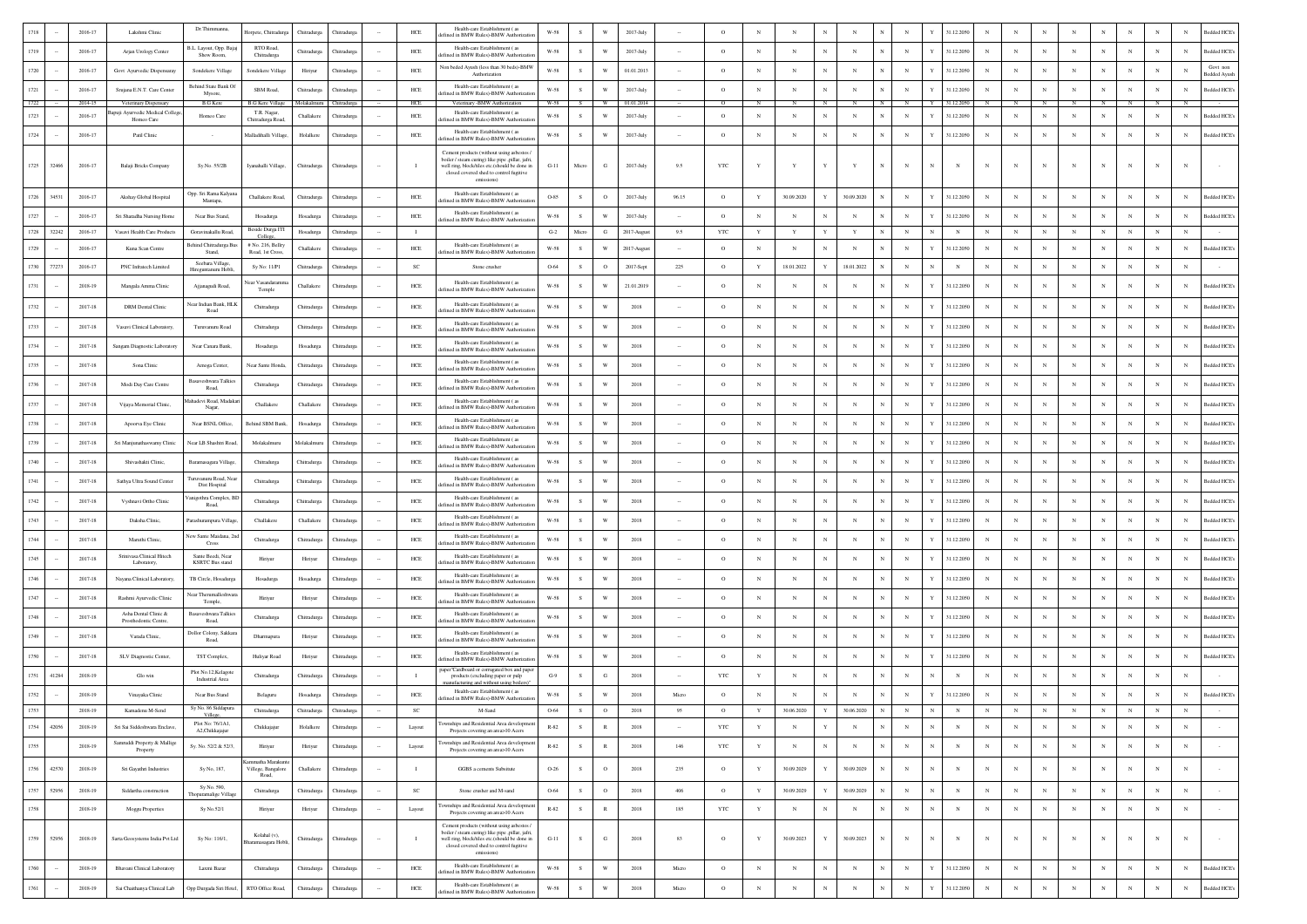|                       | 2016-17            | Lakshmi Clinic                                          | Dr.Thimmanna,                               | Horpete, Chitradurg                   | Chitradurga             | Thitradu                 |        | HCE                 | Health-care Establishment (as<br>ined in BMW Rules)-BMW Authorizat                                                                           | W-58                 |               | W                       | 2017-Jul                 |       |                |                 |                 |                                        |                          | 31.12.205                |                          |                 |                          |              |            |                 |            |                          | <b>Bedded HCE</b>               |
|-----------------------|--------------------|---------------------------------------------------------|---------------------------------------------|---------------------------------------|-------------------------|--------------------------|--------|---------------------|----------------------------------------------------------------------------------------------------------------------------------------------|----------------------|---------------|-------------------------|--------------------------|-------|----------------|-----------------|-----------------|----------------------------------------|--------------------------|--------------------------|--------------------------|-----------------|--------------------------|--------------|------------|-----------------|------------|--------------------------|---------------------------------|
| 1719                  | 2016-17            | Arjan Urology Center                                    | B.L. Layout, Opp. Baja<br>Show Room.        | RTO Road<br>Chitradurea               | Chitradurga             | Thitradurg               |        | $HEE$               | Health-care Establishment (as<br>fined in BMW Rules)-BMW Authorizat                                                                          | W-58                 | $\mathbf S$   | W                       | 2017-July                |       | $\circ$        | N               | N               |                                        | $_{\rm N}$               | 31.12.2050               | N                        | $_{\rm N}$      | $_{\rm N}$               |              |            |                 | N          | N                        | Bedded HCE's                    |
| 1720                  | 2016-17            | Govt Ayurvedic Dispensaray                              | Sondekere Village                           | Sondekere Village                     | Hiriyur                 | Thitradurg               |        | $HEE$               | Non beded Ayush (less than 30 beds)-BMW<br>Authorization                                                                                     | $_{\rm W\text{-}58}$ | s             | W                       | 01.01.2013               |       | $\circ$        | N               | $_{\rm N}$      | N                                      | $_{\rm N}$               | 31.12.2050               | $_{\rm N}$               | N               | $_{\rm N}$               |              |            |                 | N          | N                        | Govt nor<br><b>Bedded Ayusl</b> |
| 1721                  | 2016-17            | Srujana E.N.T. Care Center                              | Behind State Bank C<br>Mysore,              | SBM Road.                             | Chitradurea             | Chitradure:              |        | HCE                 | Health-care Establishment (as<br>ted in BMW Rules)-BMW Authoriza                                                                             | W-58                 | S.            | W                       | 2017-July                |       | $\circ$        | $_{\rm N}$      | $_{\rm N}$      | N                                      | $_{\rm N}$               | 31.12.2050               | $_{\rm N}$               | $_{\rm N}$      | $_{\rm N}$               | $\mathbf{N}$ | N          | N               | $_{\rm N}$ | $_{\rm N}$               | <b>Bedded HCE's</b>             |
| 1722                  | 2014-15            | Veterinary Dispensary<br>quji Ayurvedic Medical College | <b>B.G Kere</b>                             | <b>B.G Kere Villag</b><br>T.R. Nagar, | Molakaln                | hitradurea               |        | HCE                 | Veterinary -BMW Authorization<br>Health-care Establishment (as                                                                               | W-58                 |               |                         | 01.01.2014               |       |                |                 |                 |                                        |                          | 31.12.20                 |                          |                 |                          |              |            |                 |            |                          |                                 |
| 1723                  | 2016-17            | Homeo Care                                              | Homeo Care                                  | Chitradurga Road                      | Challakere              | Thitradurg               |        | HCE                 | fined in BMW Rules)-BMW Authoriza<br>Health-care Establishment (28)                                                                          | W-58                 | s             | W                       | 2017-July                |       | $\circ$        | N               | N               |                                        | $_{\rm N}$               | 31.12.205                | N                        | N               | N                        |              |            | N               |            | N                        | Bedded HCE's                    |
| 1724                  | 2016-17            | Patil Clinic                                            |                                             | Malladihalli Village                  | Holalkere               | Chitradurga              |        | $HEE$               | fined in BMW Rules)-BMW Authorizati<br>Cement products (without using asbestos                                                               | $_{\rm W\text{-}58}$ | $\mathbf S$   | W                       | 2017-July                |       | $\circ$        | N               | N               |                                        | $_{\rm N}$               | 31.12.2050               | N                        | $_{\rm N}$      | $_{\rm N}$               |              |            |                 | N          | N                        | <b>Bedded HCE's</b>             |
| 1725<br>32466         | 2016-17            | Balaji Bricks Company                                   | Sy.No. 55/2B                                | Iyanahalli Village.                   | Chitradurga             | Chitradurg               |        |                     | boiler / steam curing) like pipe .pillar, jafri.<br>well ring, block/tiles etc.(should be done in                                            | $G-11$               | Micro         | G                       | $2017$ -July             | 9.5   | YTC            | Y               |                 |                                        | $_{\rm N}$               |                          |                          |                 | N                        |              |            |                 |            | $_{\rm N}$               |                                 |
|                       |                    |                                                         |                                             |                                       |                         |                          |        |                     | closed covered shed to control fugitive<br>emissions)                                                                                        |                      |               |                         |                          |       |                |                 |                 |                                        |                          |                          |                          |                 |                          |              |            |                 |            |                          |                                 |
| 1726<br>34531         | 2016-17            | Akshay Global Hospital                                  | Opp. Sri Rama Kalyar<br>Mantapa,            | Challakere Road.                      | Chitradurea             | <b>Thitradure</b>        |        | HCE                 | Health-care Establishment (as<br>ined in BMW Rules)-BMW Authorizati                                                                          | O-85                 | - S           | $\circ$                 | 2017-July                | 96.15 | $\circ$        | Y               | 30.09.2020      | 30.09.2020                             | $_{\rm N}$               | 31.12.2050               | N                        | N               | N                        |              |            | N               | N          | N                        | <b>Bedded HCE</b>               |
| 1727                  | 2016-17            | Sri Sharadha Nursing Home                               | Near Bus Stand                              | Hosadurga<br>Beside Durga IT          | Hosadurga               | Chitradurg               |        | HCE                 | Health-care Establishment (as<br>fefined in BMW Rules)-BMW Authorizatio                                                                      | W-58                 | s.            | $\ensuremath{\text{W}}$ | 2017-July                |       | $\circ$        | N               | $\mathbf N$     | $_{\rm N}$<br>N                        | $_{\rm N}$               | 31.12.2050               | $_{\rm N}$               | $\mathbf N$     | $_{\rm N}$               |              |            |                 | N          | $_{\rm N}$               | Bedded HCE's                    |
| 1728<br>32242<br>1729 | 2016-17<br>2016-17 | Vasavi Health Care Products<br>Kuna Scan Centre         | Goravinakallu Road<br>Behind Chitradurga B  | College<br># No. 216, Bellr           | Hosadurga<br>Challakere | Chitradurg<br>Thitradure |        | $\mathbf{I}$<br>HCE | Health-care Establishment (as                                                                                                                | $G-2$<br>W-58        | Micro<br>S.   | $_{\rm G}$<br>W         | 2017-Augus<br>2017-Augus | 9.5   | YTC<br>$\circ$ | Y<br>$_{\rm N}$ | Y<br>$_{\rm N}$ | $_{\rm N}$                             | $_{\rm N}$<br>$_{\rm N}$ | $_{\rm N}$<br>31.12.205  | $_{\rm N}$<br>$_{\rm N}$ | $_{\rm N}$<br>N | $_{\rm N}$<br>$_{\rm N}$ | $\mathbf N$  |            | $_{\rm N}$<br>N | N          | $_{\rm N}$<br>$_{\rm N}$ | <b>Bedded HCE</b>               |
|                       |                    |                                                         | Stand,<br>Seebara Village                   | Road, 1st Cross,                      |                         |                          |        |                     | ined in BMW Rules)-BMW Authoriz                                                                                                              |                      |               |                         |                          |       |                |                 |                 |                                        |                          |                          |                          |                 |                          |              |            |                 |            |                          |                                 |
| 1730<br>77273         | 2016-17            | PNC Infratech Limited                                   | Hireguntanuru Hobli                         | Sy No: 11/P1<br>Vear Vasandara        | Chitradurga             | <b>Thitradurga</b>       |        | $_{\rm SC}$         | Stone crusher<br>Health-care Establishment (as                                                                                               | 0-64                 | s             | $\mathbf{o}$            | 2017-Sept                | 225   | $\circ$        | Y               | 18.01.2022      | 18.01.2022                             | $_{\rm N}$               | $_{\rm N}$               | N                        | N               | N                        |              |            | N               | N          | N                        |                                 |
| 1731                  | 2018-19            | Mangala Amma Clinic                                     | Ajjanagudi Road,                            | Temple                                | Challaken               | Chitradurg               |        | <b>HCE</b>          | fined in BMW Rules)-BMW Authoriza                                                                                                            | W-58                 | $\mathcal{S}$ | W                       | 21.01.2019               |       | $\circ$        | N               | N               |                                        | $\mathbf{N}$             | 31.12.2050               | $\mathbf N$              | N               | N                        |              |            |                 | N          | $_{\rm N}$               | <b>Bedded HCE</b>               |
| 1732                  | 2017-18            | <b>DRM</b> Dental Clinic                                | Near Indian Bank, HLB<br>Road               | Chitradurga                           | Chitradurga             |                          |        | HCE                 | Health-care Establishment (as<br>fined in BMW Rules)-BMW Authoriza                                                                           | $_{\rm W\text{-}58}$ | <sub>S</sub>  | W                       | 2018                     |       | $\circ$        | N               | N               |                                        | $_{\rm N}$               | 31.12.2050               | N                        |                 | N                        |              |            |                 |            | $_{\rm N}$               | Bedded HCE                      |
| 1733                  | 2017-18            | Vasavi Clinical Laboratory.                             | Turuvanuru Road                             | Chitradurga                           | Chitradurga             | Chitradury               |        | ${\rm HCE}$         | Health-care Establishment (a<br>efined in BMW Rules)-BMW Authoriza                                                                           | $_{\rm W\text{-}58}$ | s             | W                       | 2018                     |       | $\circ$        | N               | N               |                                        | $_{\rm N}$               | 31.12.2050               | N                        | N               | N                        |              |            | N               |            | $_{\rm N}$               | Bedded HCE's                    |
| 1734                  | 2017-18            | Sangam Diagnostic Laboratory                            | Near Canara Bank,                           | Hosadurga                             | Hosadurga               | Chitradure               |        | <b>HCE</b>          | Health-care Establishment (as<br>ined in BMW Rules)-BMW Authoriza                                                                            | W-58                 | S.            | W                       | 2018                     |       | $^{\circ}$     | N               | $_{\rm N}$      |                                        | $\mathbf{N}$             | 31.12.2050               | $_{\rm N}$               | N               | N                        |              |            | N               | N          | $_{\rm N}$               | <b>Bedded HCE's</b>             |
| 1735                  | 2017-18            | Sona Clinic                                             | Amoga Center,                               | Near Sante Honda                      | Chitradurga             | Chitradurg               |        | HCE                 | Health-care Establishment (as<br>efined in BMW Rules)-BMW Authorizatio                                                                       | W-58                 | -S            | W                       | 2018                     |       | $\circ$        | $_{\rm N}$      | N               | $_{\rm N}$<br>N                        | $_{\rm N}$               | 31.12.2050               | $_{\rm N}$               | $\mathbf N$     | $_{\rm N}$               |              | N          | N               | N          | $_{\rm N}$               | Bedded HCE's                    |
| 1736                  | $2017 - 18$        | Modi Day Care Centre                                    | Basaveshwara Talkie<br>Road.                | Chitradurga                           | Chitradurga             | Chitradurg               |        | ${\rm HCE}$         | Health-care Establishment (as<br>efined in BMW Rules)-BMW Authorizatio                                                                       | $_{\rm W\text{-}58}$ | s             | W                       | 2018                     |       | $\circ$        | N               | $_{\rm N}$      | $_{\rm N}$<br>N                        | $_{\rm N}$               | 31.12.2050               | $_{\rm N}$               | $_{\rm N}$      | $_{\rm N}$               |              | $_{\rm N}$ | N               | N          | N                        | Bedded HCE's                    |
| 1737                  | 2017-18            | Vijaya Memorial Clinic,                                 | ahadevi Road, Madak<br>Nagar,               | Challakere                            | Challakere              | Chitradure               |        | HCE                 | Health-care Establishment (as<br>fined in BMW Rules)-BMW Authorizati                                                                         | W-58                 | $\mathcal{S}$ | W                       | 2018                     |       | $^{\circ}$     | N               | $_{\rm N}$      |                                        | $_{\rm N}$               | 31.12.2050               | N                        | N               | N                        |              |            | N               | N          | N                        | <b>Bedded HCE</b>               |
| 1738                  | 2017-18            | Apoorva Eye Clinic                                      | Near BSNL Office,                           | Behind SBM Ban                        | Hosadurga               | Chitradury               |        | HCE                 | Health-care Establishment (as<br>fined in BMW Rules)-BMW Authorizati                                                                         | $_{\rm W\text{-}58}$ | $\mathbf{s}$  | W                       | 2018                     |       | $\circ$        | N               | $_{\rm N}$      |                                        | $_{\rm N}$               | 31.12.205                | N                        | N               | N                        |              |            |                 |            | N                        | Bedded HCE's                    |
| 1739                  | 2017-18            | Sri Manjunathaswamy Clinic                              | Near LB Shashtri Road                       | Molakalmuru                           | Molakalmur              | <b>hitradurg</b>         |        | HCE                 | Health-care Establishment (as<br>ined in BMW Rules)-BMW Authoriza                                                                            | W-58                 |               | W                       | 2018                     |       | $\circ$        | $_{\rm N}$      | $_{\rm N}$      |                                        | $_{\rm N}$               | 31.12.2050               | $_{\rm N}$               | $_{\rm N}$      | $_{\rm N}$               |              |            |                 |            | N                        | Bedded HCE's                    |
| 1740                  | 2017-18            | Shivashakti Clinic                                      | Baramasagara Village                        | Chitradurga                           | Chitradurgs             | Chitradure               |        | <b>HCE</b>          | Health-care Establishment (as<br>ted in BMW Rules)-BMW Authoriza                                                                             | W-58                 | s             | W                       | 2018                     |       | $\circ$        | N               | $_{\rm N}$      |                                        | $\mathbf{N}$             | 31.12.2050               | N                        | N               | N                        |              |            |                 | N          | N                        | <b>Bedded HCE's</b>             |
| 1741                  | 2017-18            | Sathya Ultra Sound Center                               | Turuvanuru Road, Ne<br>Dist Hospital        | Chitradurga                           | Chitradurga             | Chitradurg               |        | HCE                 | Health-care Establishment (as<br>fined in BMW Rules)-BMW Authoriza                                                                           | W-58                 | s             | W                       | 2018                     |       | $\circ$        | $_{\rm N}$      | $_{\rm N}$      | N<br>N                                 | $_{\rm N}$               | 31.12.2050               | $_{\rm N}$               | $_{\rm N}$      | $_{\rm N}$               | $\mathbf{N}$ | N          | N               | $_{\rm N}$ | $_{\rm N}$               | <b>Bedded HCE</b>               |
| 1742                  | 2017-18            | Vyshnavi Ortho Clinic                                   | 'anigothra Complex, BI<br>Road.             | Chitradurga                           | Chitradurga             | Chitradurg               |        | ${\rm HCE}$         | Health-care Establishment (as<br>fined in BMW Rules)-BMW Authoriza                                                                           | $_{\rm W\text{-}58}$ | s             | W                       | 2018                     |       | $\circ$        | N               | $_{\rm N}$      | N                                      | $_{\rm N}$               | 31.12.2050               | $_{\rm N}$               | $_{\rm N}$      | $_{\rm N}$               |              |            |                 | N          | N                        | Bedded HCE's                    |
| 1743                  | 2017-18            | Daksha Clinic,                                          | Parashurampura Villa;                       | Challakere                            | Challakero              | Chitradurg               |        | ${\rm HCE}$         | Health-care Establishment (as<br>fined in BMW Rules)-BMW Authoriza                                                                           | $_{\rm W\text{-}58}$ | s             | W                       | 2018                     |       | $\circ$        | N               | N               |                                        | $_{\rm N}$               | 31.12.2050               | $_{\rm N}$               | N               | $_{\rm N}$               |              |            |                 |            | $_{\rm N}$               | Bedded HCE's                    |
| 1744                  | 2017-18            | Maruthi Clinic                                          | New Sante Maidana, 2r<br>Cross              | Chitradurga                           | Chitradurga             |                          |        | HCE                 | Health-care Establishment (as<br>fined in BMW Rules)-BMW Authoriza                                                                           | W-58                 | $\mathcal{S}$ | W                       | 2018                     |       | $\circ$        | N               | $_{\rm N}$      |                                        | $_{\rm N}$               | 31.12.2050               | $_{\rm N}$               | N               | $_{\rm N}$               |              |            |                 |            | $_{\rm N}$               | Bedded HCE                      |
| 1745                  | 2017-18            | Sriniyasa Clinical Hitech<br>Laboratory                 | Sante Beedi, Near<br><b>KSRTC Bus stand</b> | Hiriyur                               | Hiriyur                 | Chitradu                 |        | ${\rm HCE}$         | Health-care Establishment (as<br>fined in BMW Rules)-BMW Authoriza                                                                           | W-58                 | $\,$ s        | W                       | 2018                     |       | $\circ$        | $_{\rm N}$      | N               |                                        | $_{\rm N}$               | 31.12.2050               | $_{\rm N}$               | $_{\rm N}$      | $_{\rm N}$               |              |            |                 |            | N                        | <b>Bedded HCE's</b>             |
| 1746                  | 2017-18            | Nayana Clinical Laboratory,                             | TB Circle, Hosadurg                         | Hosadurga                             | Hosadurga               | Chitradur                |        | ${\rm HCE}$         | Health-care Establishment (as<br>fined in BMW Rules)-BMW Authoriza                                                                           | $_{\rm W\text{-}58}$ | s             | W                       | 2018                     |       | $\circ$        | $_{\rm N}$      | N               |                                        | $_{\rm N}$               | 31.12.2050               | $_{\rm N}$               | $_{\rm N}$      | $_{\rm N}$               |              |            | N               |            | $_{\rm N}$               | Bedded HCE's                    |
| 1747                  | 2017-18            | Rashmi Ayurvedic Clinic                                 | Near Therumalleshwa<br>Temple,              | Hiriyu                                | Hiriyur                 | Chitradury               |        | HCE                 | Health-care Establishment (as<br>fined in BMW Rules)-BMW Authorizat                                                                          | W-58                 | -S            | W                       | 2018                     |       | $\Omega$       | $\mathbf{N}$    | N               |                                        | $_{\rm N}$               | 31.12.2050               | $_{\rm N}$               | $_{\rm N}$      | N                        |              |            | N               | N          | $_{\rm N}$               | <b>Bedded HCE's</b>             |
| 1748                  | $2017 - 18$        | Asha Dental Clinic &<br>Prosthodontic Centre.           | Basaveshwara Talkie<br>Road.                | Chitradurga                           | Chitradurga             | Chitradurg               |        | ${\rm HCE}$         | Health-care Establishment (as<br>efined in BMW Rules)-BMW Authorizati                                                                        | W-58                 | s             | W                       | 2018                     |       | $\circ$        | N               | N               |                                        | $_{\rm N}$               | 31.12.2050               | $_{\rm N}$               | $_{\rm N}$      | $_{\rm N}$               |              |            | N               | N          | N                        | Bedded HCE's                    |
| 1749                  | 2017-18            | Varada Clinic,                                          | Dollor Colony, Sakkar<br>Road,              | Dharmapura                            | Hiriyur                 | Chitradurg               |        | ${\rm HCE}$         | Health-care Establishment (as<br>efined in BMW Rules)-BMW Authorizatio                                                                       | $W-58$               | s             | W                       | 2018                     |       | $\circ$        | N               |                 |                                        | $_{\rm N}$               | 31.12.2050               | $_{\rm N}$               | N               | N                        |              |            |                 |            | $_{\rm N}$               | <b>Bedded HCE's</b>             |
| 1750                  | 2017-18            | SLV Diagnostic Center,                                  | TST Complex,                                | Huliyar Road                          | Hiriyur                 | Chitradure               |        | HCE                 | Health-care Establishment (as<br>fined in BMW Rules)-BMW Authorizati                                                                         | W-58                 | -S            | W                       | 2018                     |       | $^{\circ}$     | N               | $_{\rm N}$      |                                        | $\mathbf N$              | 31.12.205                | N                        | N               | N                        |              |            | N               | N          | $_{\rm N}$               | <b>Bedded HCE</b>               |
| 1751<br>41284         | 2018-19            | Glo win                                                 | Plot No.12, Kelagote<br>Industrial Area     | Chitradurga                           | Chitradurga             | Chitradurg               |        |                     | aper"Cardboard or corrugated box and paper<br>products (excluding paper or pulp                                                              | $G-9$                | $\mathbf S$   | G                       | 2018                     |       | YTC            | Y               | N               |                                        |                          | $_{\rm N}$               | N                        | $_{\rm N}$      | $_{\rm N}$               |              |            |                 | N          | N                        |                                 |
| 1752                  | 2018-19            | Vinayaka Clinic                                         | Near Bus Stand                              | Belaguru                              | Hosadurga               | Chitradurg               |        | ${\rm HCE}$         | afacturing and without using boiler<br>Health-care Establishment (as<br>ined in BMW Rules)-BMW Authoriza                                     | W-58                 |               | W                       | 2018                     | Micro | $\circ$        | N               | $_{\rm N}$      |                                        |                          | 31.12.2050               | $_{\rm N}$               | N               | N                        |              |            |                 | N          | $_{\rm N}$               | Bedded HCE's                    |
| 1753                  | 2018-19            | Kamadenu M-Send                                         | Sy No. 86 Siddapura<br>Villege              | Chitradurga                           | Chitradurga             | <b>Thitradure:</b>       |        | $_{\rm SC}$         | M-Sand                                                                                                                                       | 0-64                 | s             | $\circ$                 | 2018                     | 95    | $\circ$        | Y               | 30.06.2020      | $\mathbf{Y}$<br>30.06.2020             |                          |                          |                          |                 |                          |              |            |                 | $_{\rm N}$ | $_{\rm N}$               |                                 |
| 1754<br>42056         | 2018-19            | Sri Sai Siddeshwara Enclave,                            | Plot No: 76/1A1.<br>A2, Chikkajajur         | Chikkajajur                           | Holalkere               | Chitradurg               |        | Layout              | ownships and Residential Area development<br>Projects covering an area>10 Acers                                                              | $R-82$               | $\,$ s        | $\,$ R                  | 2018                     |       | YTC            | $\mathbf Y$     | $_{\rm N}$      | $\mathbf Y$<br>$_{\rm N}$              | $_{\rm N}$               | $_{\rm N}$<br>$_{\rm N}$ | $_{\rm N}$               | $_{\rm N}$      | $_{\rm N}$               | $_{\rm N}$   | $_{\rm N}$ | $_{\rm N}$      | $_{\rm N}$ | $_{\rm N}$               |                                 |
| 1755                  | 2018-19            | Samruddi Property & Mallige<br>Property                 | Sv. No. 52/2 & 52/3.                        | Hiriyur                               | Hiriyur                 | Chitradurga              | $\sim$ | Layout              | wnships and Residential Area development<br>Projects covering an area>10 Acers                                                               | $R - 82$             | ${\bf S}$     | $\,$ R                  | 2018                     | 146   | YTC            | $\mathbf Y$     | $_{\rm N}$      | $_{\rm N}$<br>$_{\rm N}$<br>$_{\rm N}$ | $_{\rm N}$               | $_{\rm N}$<br>$_{\rm N}$ | $_{\mathrm{N}}$          | $_{\rm N}$      | $_{\rm N}$               | $_{\rm N}$   | $_{\rm N}$ | $_{\rm N}$      | $_{\rm N}$ | $_{\rm N}$               |                                 |
| 1756<br>42570         | 2018-19            | Sri Gayathri Industries                                 | Sy No, 187,                                 | mmatha Marakunt<br>Villege, Bangalore | Challakere              | Chitradurg               |        | $\;$ I              | GGBS a cements Subsitute                                                                                                                     | $O-26$               | $\,$ s        | $\circ$                 | 2018                     | 235   | $\circ$        | $\mathbf Y$     | 30.09.2029      | 30.09.2029<br>Y                        | $_{\rm N}$               | $_{\rm N}$<br>N          | $_{\rm N}$               | $_{\rm N}$      | $_{\rm N}$               |              | $_{\rm N}$ | $_{\rm N}$      | $_{\rm N}$ | $_{\rm N}$               |                                 |
| 1757<br>52956         | 2018-19            | Siddartha construction                                  | Sy No. 590,                                 | Road,<br>Chitradurga                  | Chitradurga             | Chitradurg               | $\sim$ | $_{\rm SC}$         | Stone crusher and M-sand                                                                                                                     | 0-64                 | $\,$ s        | $\circ$                 | 2018                     | 406   | $\circ$        | $\mathbf Y$     | 30.09.2029      | 30.09.2029<br>Y                        | $_{\rm N}$               | $\,$ N<br>N              | $_{\rm N}$               | $_{\rm N}$      | $_{\rm N}$               | $_{\rm N}$   | $_{\rm N}$ | $_{\rm N}$      | $_{\rm N}$ | $_{\rm N}$               | $\sim$                          |
| 1758                  | 2018-19            | Moggu Properties                                        | Thoparamalige Villag<br>Sy No.52/1          | Hiriyur                               | Hiriyur                 | Chitradurg               | $\sim$ | Layout              | wnships and Residential Area development                                                                                                     | $R-82$               | S             | $\,$ R                  | 2018                     | 185   | <b>YTC</b>     | $\mathbf Y$     | $_{\rm N}$      | $_{\rm N}$<br>$_{\rm N}$               | $_{\rm N}$               | $_{\rm N}$<br>N          | $_{\rm N}$               | $_{\rm N}$      | $_{\rm N}$               | $_{\rm N}$   | $_{\rm N}$ | $_{\rm N}$      | $_{\rm N}$ | $_{\rm N}$               | $\sim$                          |
|                       |                    |                                                         |                                             |                                       |                         |                          |        |                     | Projects covering an area>10 Acers<br>Cement products (without using asbestos /                                                              |                      |               |                         |                          |       |                |                 |                 |                                        |                          |                          |                          |                 |                          |              |            |                 |            |                          |                                 |
| 1759<br>52956         | 2018-19            | Sarta Geosystems India Pvt Ltd                          | Sy No: 116/1,                               | Kolahal (v),<br>iramasagara Hobl      | Chitradurga             | Chitradurga              | $\sim$ | $\mathbf{I}$        | boiler / steam curing) like pipe .pillar, jafri.<br>well ring, block/tiles etc.(should be done in<br>closed covered shed to control fugitive | $G-11$               | S             | ${\bf G}$               | 2018                     | 83    | $\circ$        | $\mathbf Y$     | 30.09.2023      | 30.09.2023                             | $_{\rm N}$               | N<br>$_{\rm N}$          | $_{\rm N}$               | $_{\rm N}$      | $_{\rm N}$               |              | $_{\rm N}$ | $_{\rm N}$      | $_{\rm N}$ | $_{\rm N}$               | $\sim$                          |
|                       |                    |                                                         |                                             |                                       |                         |                          |        |                     | emissions)<br>Health-care Establishment (as                                                                                                  |                      |               |                         |                          |       |                |                 |                 |                                        |                          |                          |                          |                 |                          |              |            |                 |            |                          |                                 |
| 1760                  | 2018-19            | Bhavani Clinical Laboratory                             | Laxmi Bazar                                 | Chitradurga                           | Chitradurga             | Chitradurga              |        | ${\rm HCE}$         | efined in BMW Rules)-BMW Authorizatio<br>Health-care Establishment (as                                                                       | $_{\rm W\text{-}58}$ | S             | $\ensuremath{\text{W}}$ | 2018                     | Micro | $\circ$        | $_{\rm N}$      | $_{\rm N}$      | $_{\rm N}$<br>$_{\rm N}$<br>$_{\rm N}$ | $_{\rm N}$               | 31.12.2050<br>Y          | $_{\rm N}$               | $_{\rm N}$      | $_{\rm N}$               |              | $_{\rm N}$ | $_{\rm N}$      | $_{\rm N}$ | $_{\rm N}$               | <b>Bedded HCE's</b>             |
| 1761                  | 2018-19            | Sai Chaithanya Clinical Lab                             | Opp Durgada Siri Hotel,                     | RTO Office Road,                      | Chitradurga             | Chitradurg               |        | ${\rm HCE}$         | lefined in BMW Rules)-BMW Authorizatio                                                                                                       | $W-58$               | ${\bf S}$     | $\ensuremath{\text{W}}$ | 2018                     | Micro | $\circ$        | $_{\rm N}$      | $_{\rm N}$      | $_{\rm N}$<br>$_{\rm N}$               | $_{\rm N}$               | 31.12.2050               | $_{\rm N}$               | $_{\rm N}$      | $_{\rm N}$               | $_{\rm N}$   | $_{\rm N}$ | $_{\rm N}$      | $_{\rm N}$ | $_{\rm N}$               | <b>Bedded HCE's</b>             |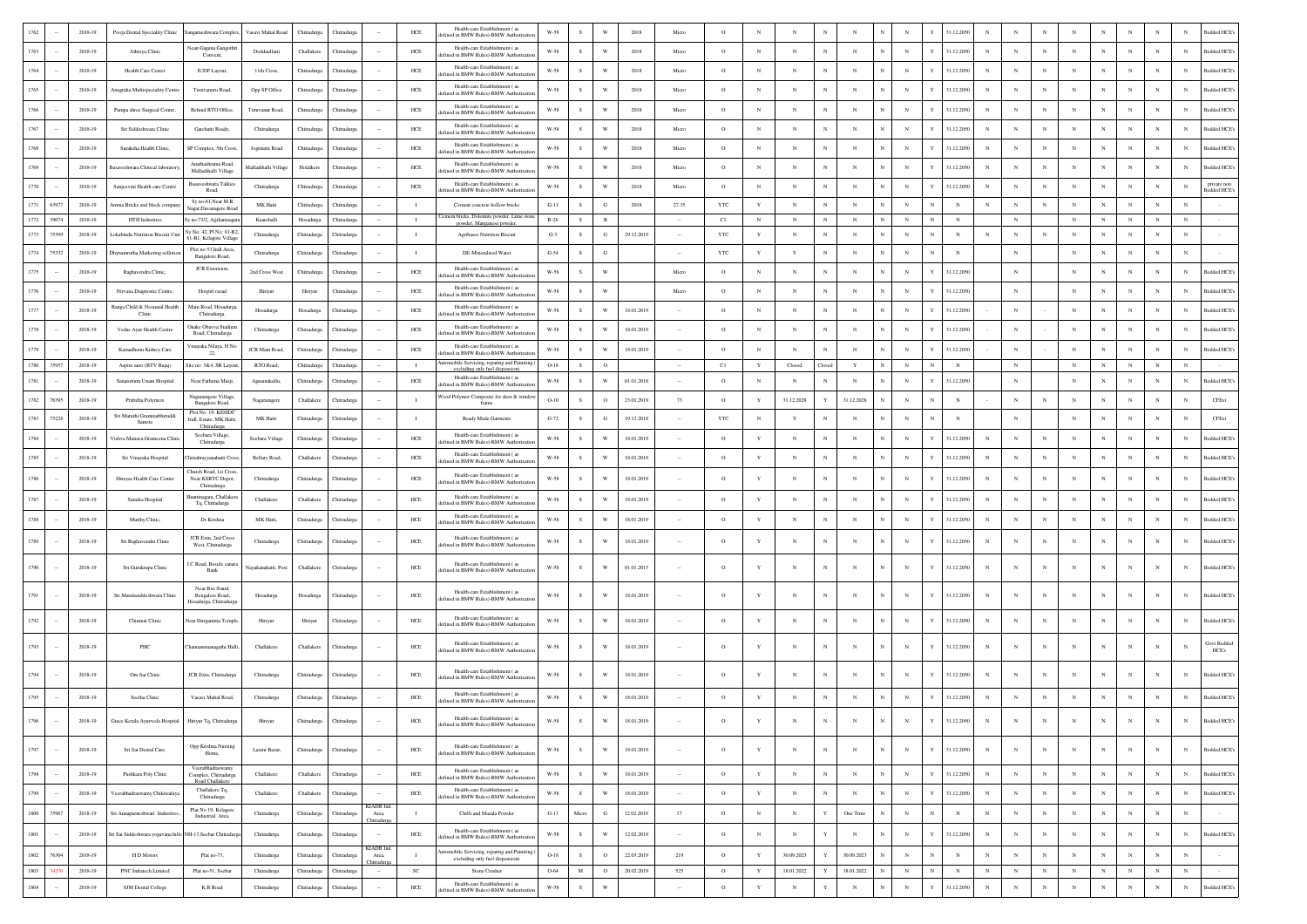| Pooja Dental Speciality Clinic<br>angameshwara Complex<br>Chitradurga<br>efined in BMW Rules)-BMW Authorizati<br>Nean Gagana Gangothri<br>Health-care Establishment (as<br>1763<br>2018-19<br>${\rm HCE}$<br>$W-58$<br>W<br>31.12.2050<br>N<br>$\mathbb{N}$<br>Bedded HCE's<br>Athreya Clinic<br>Doddaullarti<br>Challakere<br>s<br>2018<br>Micro<br>$\circ$<br>N<br>N<br>$_{\rm N}$<br>$_{\rm N}$<br>$_{\rm N}$<br>N<br>N<br>N<br>N<br>Chitradurg<br>efined in BMW Rules)-BMW Authoriza<br>Convent,<br>Health-care Establishment (as<br>W-58<br>31.12.2050<br>Bedded HCE's<br>1764<br>2018-19<br>Health Care Center<br><b>IUDP</b> Layout.<br>11th Cross.<br><b>HCE</b><br>W<br>Micro<br>$\circ$<br>$_{\rm N}$<br>$_{\rm N}$<br>$_{\rm N}$<br>$_{\rm N}$<br>N<br>Chitradurga<br>Chitradurea<br>-S<br>2018<br>N<br>N<br>$_{\rm N}$<br>$_{\rm N}$<br>N<br>N<br>N<br>efined in BMW Rules)-BMW Authoriza<br>Health-care Establishment (as<br><b>Bedded HCE's</b><br>1765<br>2018-19<br>Anugraha Multispeciality Centre<br>Turuvanuru Road,<br>Opp SP Office<br>Chitradurga<br>Chitradurga<br>HCE<br>W-58<br>S.<br>W<br>2018<br>Micro<br>$\circ$<br>$_{\rm N}$<br>$_{\rm N}$<br>N<br>$_{\rm N}$<br>31.12.2050<br>$_{\rm N}$<br>$_{\rm N}$<br>$_{\rm N}$<br>$\mathbf N$<br>N<br>$_{\rm N}$<br>efined in BMW Rules)-BMW Authorizat<br>Health-care Establishment (as<br>1766<br>Behind RTO Office,<br>$HCE$<br>$W-58$<br>s<br>W<br>$_{\rm N}$<br>31.12.2050<br>Bedded HCE's<br>2018-19<br>Pampa shree Surgical Centre,<br>Turuvanur Road<br>2018<br>Micro<br>$\circ$<br>N<br>N<br>N<br>Chitradurga<br>Chitradurga<br>N<br>lefined in BMW Rules)-BMW Authorizat<br>Health-care Establishment (as<br>1767<br>$HCE$<br>$W-58$<br>W<br>31.12.2050<br>Bedded HCE's<br>-S<br>2018<br>$\circ$<br>$_{\rm N}$<br>N<br>$_{\rm N}$<br>$_{\rm N}$<br>$_{\rm N}$<br>N<br>2018-19<br>Sri Siddeshwara Clinic<br>Garehatti Roady,<br>Chitradurga<br>Chitradurga<br>Chitradure<br>Micro<br>N<br>efined in BMW Rules)-BMW Authoriza<br>Health-care Establishment (as<br>31.12.2050<br>1768<br>2018-19<br>Suraksha Health Clinic,<br>SP Complex, 5th Cross<br>Jogimatti Road<br>Chitradurga<br>HCE<br>W-58<br>S<br>$\ensuremath{\text{W}}$<br>2018<br>Micro<br>$\circ$<br>$_{\rm N}$<br>$_{\rm N}$<br>$_{\rm N}$<br>$_{\rm N}$<br>$_{\rm N}$<br>$_{\rm N}$<br>$_{\rm N}$<br>Bedded HCE's<br>Chitradurg<br>$_{\rm N}$<br>N<br>N<br>$_{\rm N}$<br>lefined in BMW Rules)-BMW Authoriza<br>Anathashrama Road,<br>Health-care Establishment (as<br>$2018 - 19$<br>Malladihalli Village<br>$HCE$<br>$W-58$<br>W<br>2018<br>Micro<br>31.12.2050<br>Bedded HCE's<br>asaveshwara Clinical laboratory.<br>Holalkere<br>s<br>$\circ$<br>$_{\rm N}$<br>N<br>N<br>$_{\rm N}$<br>$_{\rm N}$<br>$_{\rm N}$<br>N<br>Chitradurg<br>N<br>N<br>Malladihalli Village<br>lefined in BMW Rules)-BMW Authorizati<br>Basaveshwara Talkies<br>Health-care Establishment (as<br>private non<br><b>HCE</b><br>$W-58$<br>31.12.2050<br>1770<br>2018-19<br>S.<br>W<br>$\circ$<br>$_{\rm N}$<br>N<br>$_{\rm N}$<br>$_{\rm N}$<br>$_{\rm N}$<br>$_{\rm N}$<br>$_{\rm N}$<br>Sanjeevini Health care Centre<br>Chitradurga<br>Chitradurga<br>Chitradure<br>2018<br>Micro<br>N<br>$_{\rm N}$<br>N<br>N<br>N<br>N<br>lefined in BMW Rules)-BMW Authorizatio<br>edded HCE's<br>Road,<br>Sy no-61, Near M.R<br>Amma Bricks and block company<br>$G-11$<br>27.35<br><b>YTC</b><br>1771<br>2018-19<br>MK Hatti<br>$\blacksquare$<br>S<br>G<br>2018<br>Y<br>N<br>N<br>N<br>N<br>63977<br>Chitradurga<br>Cement concrete hollow bricks<br>$_{\rm N}$<br>N<br>N<br>Chitradurga<br>N<br>Vagar, Davanagere Roa<br>ement bricks, Dolomite powder, Lime sto<br>1772<br>$R-26$<br>S<br>R<br>$_{\rm N}$<br>$_{\rm N}$<br>39074<br><b>HTH</b> Industries<br>Sv no-73/2, Ajjikamsag<br>$\blacksquare$<br>N<br>$_{\rm N}$<br>$_{\rm N}$<br>$_{\rm N}$<br>$_{\rm N}$<br>$_{\rm N}$<br>$_{\rm N}$<br>$_{\rm N}$<br>$_{\rm N}$<br>2018-19<br>Kaarehalli<br>Hosadurga<br>Chitradurga<br>C1<br>N<br>N<br>$\sim$<br>powder, Manganese powder<br>Sv No: 42, Pl No: 81-B.<br>1773<br>75399<br>2018-19<br>$G-3$<br>S<br>$_{\rm G}$<br>29.12.2019<br>YTC<br>okabindu Nutrition Biscuit Unit<br>Chitradurga<br>Chitradurga<br>$\mathbf{I}$<br>Agribases Nutrition Biscuit<br>$\mathbf Y$<br>N<br>$_{\rm N}$<br>N<br>$_{\rm N}$<br>$_{\rm N}$<br>$_{\rm N}$<br>N<br>$_{\rm N}$<br>$_{\rm N}$<br>$_{\rm N}$<br>$_{\rm N}$<br>$_{\rm N}$<br>Chitradurga<br>81-B1, Kelagote Village<br>Plot no:53,Indl Area<br>1774<br>$G-54$<br>75332<br>2018-19<br>Dhynamrutha Marketing sollutior<br>Chitradurga<br>Chitradurga<br>Chitradurga<br>$\mathbf{I}$<br>DE-Mineralised Water<br>S.<br>G<br>YTC<br>$\mathbf Y$<br>Y<br>$_{\rm N}$<br>$_{\rm N}$<br>$_{\rm N}$<br>$_{\rm N}$<br>$_{\rm N}$<br>$_{\rm N}$<br>$_{\rm N}$<br>N<br>N<br>$_{\rm N}$<br>Bangalore Road,<br><b>JCR</b> Extension,<br>Health-care Establishment (as<br>Bedded HCE's<br>1775<br>2018-19<br>Raghavendra Clinic,<br>2nd Cross West<br>Chitradurga<br>Chitradurga<br>HCE<br>W-58<br>S.<br>W<br>Micro<br>$\circ$<br>$_{\rm N}$<br>N<br>$_{\rm N}$<br>31.12.2050<br>$_{\rm N}$<br>$_{\rm N}$<br>N<br>$_{\rm N}$<br>N<br>$_{\rm N}$<br>lefined in BMW Rules)-BMW Authorizatio<br>Health-care Establishment (as<br>1776<br>$2018 - 19$<br>$HCE$<br>$W-58$<br>s<br>W<br>$_{\rm N}$<br>31.12.2050<br>N<br>Bedded HCE's<br>Hiriyur<br>Micro<br>$\circ$<br>N<br>N<br>N<br>N<br>Nirvana Diagnostic Centre,<br>Hospitl raced<br>Hiriyur<br>Chitradurg<br>lefined in BMW Rules)-BMW Authorizatio<br>Main Road, Hosadurga,<br>Ranga Child & Neonatal Health<br>Health-care Establishment (as<br>1777<br>W<br>31.12.2050<br><b>Bedded HCE's</b><br>2018-19<br>HCE<br>W-58<br>-S<br>18.01.2019<br>$_{\rm N}$<br>N<br>N<br>Hosadurga<br>Hosadurga<br>Chitradurga<br>$\circ$<br>N<br>$_{\rm N}$<br>N<br>N<br>N<br>lefined in BMW Rules)-BMW Authorization<br>Clinic<br>Chitradurga.<br>Onake Obavva Stadiun<br>Health-care Establishment (as<br>1778<br>2018-19<br>Vedas Ayur Health Centre<br>Chitradurga<br>Chitradurga<br>HCE<br>W-58<br>s<br>W<br>18.01.2019<br>$\circ$<br>$_{\rm N}$<br>$_{\rm N}$<br>$_{\rm N}$<br>31.12.2050<br>$_{\rm N}$<br>N<br>$_{\rm N}$<br>Bedded HCE's<br>Chitradurga<br>N<br>N<br>N<br>$_{\rm N}$<br>N<br>lefined in BMW Rules)-BMW Authorizatio<br>Road, Chitradurga<br>Vinayaka Nilaya, H No<br>Health-care Establishment (as<br>1779<br>2018-19<br>JCR Main Road,<br>${\rm HCE}$<br>$W-58$<br>W<br>18.01.2019<br>31.12.2050<br>Bedded HCE's<br>Kamadhenu Kidney Care<br>s<br>$\circ$<br>$_{\rm N}$<br>N<br>$_{\rm N}$<br>$_{\rm N}$<br>N<br>$_{\rm N}$<br>Chitradurga<br>Chitradurga<br>N<br>$_{\rm N}$<br>22.<br>lefined in BMW Rules)-BMW Authorizati<br>nobile Servicing, reparing and Painiting<br>1780<br>75957<br>ite no: 3&4, SR Layot<br>S<br>2018-19<br>Aspire auto (BTV Bajaj)<br>RTO Road<br>Chitradurga<br>Chitradurga<br>$\blacksquare$<br>$O-18$<br>$\circ$<br>C1<br>$\mathbf Y$<br>Closed<br>Closed<br>Y<br>$_{\rm N}$<br>$_{\rm N}$<br>$_{\rm N}$<br>$_{\rm N}$<br>$_{\rm N}$<br>$_{\rm N}$<br>$_{\rm N}$<br>$_{\rm N}$<br>scluding only fuel dis-<br>Health-care Establishment (as<br>1781<br>2018-19<br>Sanatorium Unani Hospital<br>Near Fathima Masji,<br>Agasanakallu,<br>HCE<br>W-58<br>S<br>$\ensuremath{\text{W}}$<br>01.01.2018<br>$\circ$<br>N<br>$_{\rm N}$<br>31.12.205<br>$_{\rm N}$<br>$_{\rm N}$<br>Bedded HCE's<br>Chitradurga<br><b>hitradurga</b><br>N<br>$_{\rm N}$<br>N<br>$\mathbf N$<br>lefined in BMW Rules)-BMW Authorizati<br>Nagaramgere Village<br>Wood Polymer Composite for door & window<br>$O-10$<br>1782<br>7639<br>2018-19<br>Prabitha Polymers<br>Challaken<br>Chitradurga<br>$\mathbf{I}$<br>S<br>$\circ$<br>23.01.2019<br>73<br>$\circ$<br>$\mathbf Y$<br>31.12.2028<br>31.12.2028<br>$_{\rm N}$<br>$_{\rm N}$<br>$_{\rm N}$<br><b>CFEst</b><br>Nagaramgen<br>N<br>$_{\rm N}$<br>N<br>Bangalore Road,<br>frame<br>Plot No: 19, KSSIDC<br>Sri Maruthi Graminabhiruddi<br>1783<br>75228<br>2018-19<br>MK Hatti<br>$G-72$<br>19.12.2018<br>YTC<br>${\rm CFE}$ st<br>Chitradurga<br>Chitradurga<br>$\mathbf{I}$<br>Ready Made Garments<br>S<br>G<br>$_{\rm N}$<br>Y<br>$\mathbf N$<br>$_{\rm N}$<br>N<br>$_{\rm N}$<br>Indl. Estate, MK Hatti.<br>Samste<br>Chitradurga<br>Seebara Village,<br>Health-care Establishment (as<br>1784<br>$HCE$<br>$W-58$<br>S<br>W<br>31.12.2050<br>Bedded HCE's<br>2018-19<br>Vishva Manava Grameena Clinic<br>Seebara Village<br>18.01.2019<br>$\circ$<br>$\mathbf Y$<br>N<br>$_{\rm N}$<br>N<br>N<br>Chitradurga<br>N<br>N<br>Chitradurga<br>N<br>Chitradurga<br>lefined in BMW Rules)-BMW Authoriza<br>Health-care Establishment (as<br>1785<br>$W-58$<br>31.12.2050<br>Bedded HCE's<br>2018-19<br>Sri Vinayaka Hospital<br>hitrahrayyanahatti Cro<br>Bellary Road,<br>Challaken<br>Chitradurga<br>HCE<br>S.<br>W<br>18.01.2019<br>$\circ$<br>$\mathbf{v}$<br>N<br>$_{\rm N}$<br>N<br>$_{\rm N}$<br>$_{\rm N}$<br>$_{\rm N}$<br>N<br>$_{\rm N}$<br>N<br>$\mathbf{N}$<br>efined in BMW Rules)-BMW Authorization<br>Church Road, 1st Cros<br>Health-care Establishment (as<br>1786<br>2018-19<br>Shreyas Health Care Centre<br>Near KSRTC Depot.<br>Chitradurga<br>Chitradurga<br>Chitradurga<br>HCE<br>W-58<br>s<br>$\ensuremath{\text{W}}$<br>18.01.2019<br>$\circ$<br>N<br>$_{\rm N}$<br>31.12.2050<br>N<br>$_{\rm N}$<br>$_{\rm N}$<br>Bedded HCE's<br>Y<br>N<br>N<br>N<br>$\mathbf N$<br>N<br>lefined in BMW Rules)-BMW Authorizatio<br>Chitradurga<br>antinagara, Challaka<br>Health-care Establishment (as<br>1787<br>$W-58$<br>31.12.2050<br><b>Bedded HCE's</b><br>2018-19<br>Sainika Hospital<br>Challakere<br>Challaken<br>Chitradurga<br>HCE<br>S.<br>W<br>18.01.2019<br>$\circ$<br>Y<br>$_{\rm N}$<br>$_{\rm N}$<br>$_{\rm N}$<br>$_{\rm N}$<br>$_{\rm N}$<br>$_{\rm N}$<br>$_{\rm N}$<br>N<br>N<br>$_{\rm N}$<br>N<br>$_{\rm N}$<br>Tq, Chitradurga<br>lefined in BMW Rules)-BMW Authorizat |
|---------------------------------------------------------------------------------------------------------------------------------------------------------------------------------------------------------------------------------------------------------------------------------------------------------------------------------------------------------------------------------------------------------------------------------------------------------------------------------------------------------------------------------------------------------------------------------------------------------------------------------------------------------------------------------------------------------------------------------------------------------------------------------------------------------------------------------------------------------------------------------------------------------------------------------------------------------------------------------------------------------------------------------------------------------------------------------------------------------------------------------------------------------------------------------------------------------------------------------------------------------------------------------------------------------------------------------------------------------------------------------------------------------------------------------------------------------------------------------------------------------------------------------------------------------------------------------------------------------------------------------------------------------------------------------------------------------------------------------------------------------------------------------------------------------------------------------------------------------------------------------------------------------------------------------------------------------------------------------------------------------------------------------------------------------------------------------------------------------------------------------------------------------------------------------------------------------------------------------------------------------------------------------------------------------------------------------------------------------------------------------------------------------------------------------------------------------------------------------------------------------------------------------------------------------------------------------------------------------------------------------------------------------------------------------------------------------------------------------------------------------------------------------------------------------------------------------------------------------------------------------------------------------------------------------------------------------------------------------------------------------------------------------------------------------------------------------------------------------------------------------------------------------------------------------------------------------------------------------------------------------------------------------------------------------------------------------------------------------------------------------------------------------------------------------------------------------------------------------------------------------------------------------------------------------------------------------------------------------------------------------------------------------------------------------------------------------------------------------------------------------------------------------------------------------------------------------------------------------------------------------------------------------------------------------------------------------------------------------------------------------------------------------------------------------------------------------------------------------------------------------------------------------------------------------------------------------------------------------------------------------------------------------------------------------------------------------------------------------------------------------------------------------------------------------------------------------------------------------------------------------------------------------------------------------------------------------------------------------------------------------------------------------------------------------------------------------------------------------------------------------------------------------------------------------------------------------------------------------------------------------------------------------------------------------------------------------------------------------------------------------------------------------------------------------------------------------------------------------------------------------------------------------------------------------------------------------------------------------------------------------------------------------------------------------------------------------------------------------------------------------------------------------------------------------------------------------------------------------------------------------------------------------------------------------------------------------------------------------------------------------------------------------------------------------------------------------------------------------------------------------------------------------------------------------------------------------------------------------------------------------------------------------------------------------------------------------------------------------------------------------------------------------------------------------------------------------------------------------------------------------------------------------------------------------------------------------------------------------------------------------------------------------------------------------------------------------------------------------------------------------------------------------------------------------------------------------------------------------------------------------------------------------------------------------------------------------------------------------------------------------------------------------------------------------------------------------------------------------------------------------------------------------------------------------------------------------------------------------------------------------------------------------------------------------------------------------------------------------------------------------------------------------------------------------------------------------------------------------------------------------------------------------------------------------------------------------------------------------------------------------------------------------------------------------------------------------------------------------------------------------------------------------------------------------------------------------------------------------------------------------------------------------------------------------------------------------------------------------------------------------------------------------------------------------------------------------------------------------------------------------------------------------------------------------------------------------------------------------------------------------------------------------------------------------------------------------------------------------------------------------------------------------------------------------------------------------------------------------------------------------------------------------------------------------------------------------------------------------------------------------------------------------------------------------------------------------------------------------------------------------------------------------------------------------------------------------------------------------------------------------------------------------------------------------------------------------------------------------------------------------------------------------------------------------------------------------------------------------------------------------------------------------------------------------------------------------------------------------------------------------------------------------------------------------------------------------------------------------------------------------------------------------------------------------------------------------------------------------------------------------------------------------------------------------------------------------------------------------------------------------------------------------------------------------------------------------------------------------------------------------------------------------------------------------------------------------------------------------------------------------------------------------------------------------------------------------------------------------------------------------------------------------------------------------------------------------------------------------------------------------------------------------------------------------------------------------------------------------------------------------------------------------------------------------------------------------------------------------|
|                                                                                                                                                                                                                                                                                                                                                                                                                                                                                                                                                                                                                                                                                                                                                                                                                                                                                                                                                                                                                                                                                                                                                                                                                                                                                                                                                                                                                                                                                                                                                                                                                                                                                                                                                                                                                                                                                                                                                                                                                                                                                                                                                                                                                                                                                                                                                                                                                                                                                                                                                                                                                                                                                                                                                                                                                                                                                                                                                                                                                                                                                                                                                                                                                                                                                                                                                                                                                                                                                                                                                                                                                                                                                                                                                                                                                                                                                                                                                                                                                                                                                                                                                                                                                                                                                                                                                                                                                                                                                                                                                                                                                                                                                                                                                                                                                                                                                                                                                                                                                                                                                                                                                                                                                                                                                                                                                                                                                                                                                                                                                                                                                                                                                                                                                                                                                                                                                                                                                                                                                                                                                                                                                                                                                                                                                                                                                                                                                                                                                                                                                                                                                                                                                                                                                                                                                                                                                                                                                                                                                                                                                                                                                                                                                                                                                                                                                                                                                                                                                                                                                                                                                                                                                                                                                                                                                                                                                                                                                                                                                                                                                                                                                                                                                                                                                                                                                                                                                                                                                                                                                                                                                                                                                                                                                                                                                                                                                                                                                                                                                                                                                                                                                                                                                                                                                                                                                                                                                                                                                                                                                                                                                                                                                                                                                                                                                                                                                                                                                                                 |
|                                                                                                                                                                                                                                                                                                                                                                                                                                                                                                                                                                                                                                                                                                                                                                                                                                                                                                                                                                                                                                                                                                                                                                                                                                                                                                                                                                                                                                                                                                                                                                                                                                                                                                                                                                                                                                                                                                                                                                                                                                                                                                                                                                                                                                                                                                                                                                                                                                                                                                                                                                                                                                                                                                                                                                                                                                                                                                                                                                                                                                                                                                                                                                                                                                                                                                                                                                                                                                                                                                                                                                                                                                                                                                                                                                                                                                                                                                                                                                                                                                                                                                                                                                                                                                                                                                                                                                                                                                                                                                                                                                                                                                                                                                                                                                                                                                                                                                                                                                                                                                                                                                                                                                                                                                                                                                                                                                                                                                                                                                                                                                                                                                                                                                                                                                                                                                                                                                                                                                                                                                                                                                                                                                                                                                                                                                                                                                                                                                                                                                                                                                                                                                                                                                                                                                                                                                                                                                                                                                                                                                                                                                                                                                                                                                                                                                                                                                                                                                                                                                                                                                                                                                                                                                                                                                                                                                                                                                                                                                                                                                                                                                                                                                                                                                                                                                                                                                                                                                                                                                                                                                                                                                                                                                                                                                                                                                                                                                                                                                                                                                                                                                                                                                                                                                                                                                                                                                                                                                                                                                                                                                                                                                                                                                                                                                                                                                                                                                                                                                                 |
|                                                                                                                                                                                                                                                                                                                                                                                                                                                                                                                                                                                                                                                                                                                                                                                                                                                                                                                                                                                                                                                                                                                                                                                                                                                                                                                                                                                                                                                                                                                                                                                                                                                                                                                                                                                                                                                                                                                                                                                                                                                                                                                                                                                                                                                                                                                                                                                                                                                                                                                                                                                                                                                                                                                                                                                                                                                                                                                                                                                                                                                                                                                                                                                                                                                                                                                                                                                                                                                                                                                                                                                                                                                                                                                                                                                                                                                                                                                                                                                                                                                                                                                                                                                                                                                                                                                                                                                                                                                                                                                                                                                                                                                                                                                                                                                                                                                                                                                                                                                                                                                                                                                                                                                                                                                                                                                                                                                                                                                                                                                                                                                                                                                                                                                                                                                                                                                                                                                                                                                                                                                                                                                                                                                                                                                                                                                                                                                                                                                                                                                                                                                                                                                                                                                                                                                                                                                                                                                                                                                                                                                                                                                                                                                                                                                                                                                                                                                                                                                                                                                                                                                                                                                                                                                                                                                                                                                                                                                                                                                                                                                                                                                                                                                                                                                                                                                                                                                                                                                                                                                                                                                                                                                                                                                                                                                                                                                                                                                                                                                                                                                                                                                                                                                                                                                                                                                                                                                                                                                                                                                                                                                                                                                                                                                                                                                                                                                                                                                                                                                 |
|                                                                                                                                                                                                                                                                                                                                                                                                                                                                                                                                                                                                                                                                                                                                                                                                                                                                                                                                                                                                                                                                                                                                                                                                                                                                                                                                                                                                                                                                                                                                                                                                                                                                                                                                                                                                                                                                                                                                                                                                                                                                                                                                                                                                                                                                                                                                                                                                                                                                                                                                                                                                                                                                                                                                                                                                                                                                                                                                                                                                                                                                                                                                                                                                                                                                                                                                                                                                                                                                                                                                                                                                                                                                                                                                                                                                                                                                                                                                                                                                                                                                                                                                                                                                                                                                                                                                                                                                                                                                                                                                                                                                                                                                                                                                                                                                                                                                                                                                                                                                                                                                                                                                                                                                                                                                                                                                                                                                                                                                                                                                                                                                                                                                                                                                                                                                                                                                                                                                                                                                                                                                                                                                                                                                                                                                                                                                                                                                                                                                                                                                                                                                                                                                                                                                                                                                                                                                                                                                                                                                                                                                                                                                                                                                                                                                                                                                                                                                                                                                                                                                                                                                                                                                                                                                                                                                                                                                                                                                                                                                                                                                                                                                                                                                                                                                                                                                                                                                                                                                                                                                                                                                                                                                                                                                                                                                                                                                                                                                                                                                                                                                                                                                                                                                                                                                                                                                                                                                                                                                                                                                                                                                                                                                                                                                                                                                                                                                                                                                                                                 |
|                                                                                                                                                                                                                                                                                                                                                                                                                                                                                                                                                                                                                                                                                                                                                                                                                                                                                                                                                                                                                                                                                                                                                                                                                                                                                                                                                                                                                                                                                                                                                                                                                                                                                                                                                                                                                                                                                                                                                                                                                                                                                                                                                                                                                                                                                                                                                                                                                                                                                                                                                                                                                                                                                                                                                                                                                                                                                                                                                                                                                                                                                                                                                                                                                                                                                                                                                                                                                                                                                                                                                                                                                                                                                                                                                                                                                                                                                                                                                                                                                                                                                                                                                                                                                                                                                                                                                                                                                                                                                                                                                                                                                                                                                                                                                                                                                                                                                                                                                                                                                                                                                                                                                                                                                                                                                                                                                                                                                                                                                                                                                                                                                                                                                                                                                                                                                                                                                                                                                                                                                                                                                                                                                                                                                                                                                                                                                                                                                                                                                                                                                                                                                                                                                                                                                                                                                                                                                                                                                                                                                                                                                                                                                                                                                                                                                                                                                                                                                                                                                                                                                                                                                                                                                                                                                                                                                                                                                                                                                                                                                                                                                                                                                                                                                                                                                                                                                                                                                                                                                                                                                                                                                                                                                                                                                                                                                                                                                                                                                                                                                                                                                                                                                                                                                                                                                                                                                                                                                                                                                                                                                                                                                                                                                                                                                                                                                                                                                                                                                                                 |
|                                                                                                                                                                                                                                                                                                                                                                                                                                                                                                                                                                                                                                                                                                                                                                                                                                                                                                                                                                                                                                                                                                                                                                                                                                                                                                                                                                                                                                                                                                                                                                                                                                                                                                                                                                                                                                                                                                                                                                                                                                                                                                                                                                                                                                                                                                                                                                                                                                                                                                                                                                                                                                                                                                                                                                                                                                                                                                                                                                                                                                                                                                                                                                                                                                                                                                                                                                                                                                                                                                                                                                                                                                                                                                                                                                                                                                                                                                                                                                                                                                                                                                                                                                                                                                                                                                                                                                                                                                                                                                                                                                                                                                                                                                                                                                                                                                                                                                                                                                                                                                                                                                                                                                                                                                                                                                                                                                                                                                                                                                                                                                                                                                                                                                                                                                                                                                                                                                                                                                                                                                                                                                                                                                                                                                                                                                                                                                                                                                                                                                                                                                                                                                                                                                                                                                                                                                                                                                                                                                                                                                                                                                                                                                                                                                                                                                                                                                                                                                                                                                                                                                                                                                                                                                                                                                                                                                                                                                                                                                                                                                                                                                                                                                                                                                                                                                                                                                                                                                                                                                                                                                                                                                                                                                                                                                                                                                                                                                                                                                                                                                                                                                                                                                                                                                                                                                                                                                                                                                                                                                                                                                                                                                                                                                                                                                                                                                                                                                                                                                                 |
|                                                                                                                                                                                                                                                                                                                                                                                                                                                                                                                                                                                                                                                                                                                                                                                                                                                                                                                                                                                                                                                                                                                                                                                                                                                                                                                                                                                                                                                                                                                                                                                                                                                                                                                                                                                                                                                                                                                                                                                                                                                                                                                                                                                                                                                                                                                                                                                                                                                                                                                                                                                                                                                                                                                                                                                                                                                                                                                                                                                                                                                                                                                                                                                                                                                                                                                                                                                                                                                                                                                                                                                                                                                                                                                                                                                                                                                                                                                                                                                                                                                                                                                                                                                                                                                                                                                                                                                                                                                                                                                                                                                                                                                                                                                                                                                                                                                                                                                                                                                                                                                                                                                                                                                                                                                                                                                                                                                                                                                                                                                                                                                                                                                                                                                                                                                                                                                                                                                                                                                                                                                                                                                                                                                                                                                                                                                                                                                                                                                                                                                                                                                                                                                                                                                                                                                                                                                                                                                                                                                                                                                                                                                                                                                                                                                                                                                                                                                                                                                                                                                                                                                                                                                                                                                                                                                                                                                                                                                                                                                                                                                                                                                                                                                                                                                                                                                                                                                                                                                                                                                                                                                                                                                                                                                                                                                                                                                                                                                                                                                                                                                                                                                                                                                                                                                                                                                                                                                                                                                                                                                                                                                                                                                                                                                                                                                                                                                                                                                                                                                 |
|                                                                                                                                                                                                                                                                                                                                                                                                                                                                                                                                                                                                                                                                                                                                                                                                                                                                                                                                                                                                                                                                                                                                                                                                                                                                                                                                                                                                                                                                                                                                                                                                                                                                                                                                                                                                                                                                                                                                                                                                                                                                                                                                                                                                                                                                                                                                                                                                                                                                                                                                                                                                                                                                                                                                                                                                                                                                                                                                                                                                                                                                                                                                                                                                                                                                                                                                                                                                                                                                                                                                                                                                                                                                                                                                                                                                                                                                                                                                                                                                                                                                                                                                                                                                                                                                                                                                                                                                                                                                                                                                                                                                                                                                                                                                                                                                                                                                                                                                                                                                                                                                                                                                                                                                                                                                                                                                                                                                                                                                                                                                                                                                                                                                                                                                                                                                                                                                                                                                                                                                                                                                                                                                                                                                                                                                                                                                                                                                                                                                                                                                                                                                                                                                                                                                                                                                                                                                                                                                                                                                                                                                                                                                                                                                                                                                                                                                                                                                                                                                                                                                                                                                                                                                                                                                                                                                                                                                                                                                                                                                                                                                                                                                                                                                                                                                                                                                                                                                                                                                                                                                                                                                                                                                                                                                                                                                                                                                                                                                                                                                                                                                                                                                                                                                                                                                                                                                                                                                                                                                                                                                                                                                                                                                                                                                                                                                                                                                                                                                                                                 |
|                                                                                                                                                                                                                                                                                                                                                                                                                                                                                                                                                                                                                                                                                                                                                                                                                                                                                                                                                                                                                                                                                                                                                                                                                                                                                                                                                                                                                                                                                                                                                                                                                                                                                                                                                                                                                                                                                                                                                                                                                                                                                                                                                                                                                                                                                                                                                                                                                                                                                                                                                                                                                                                                                                                                                                                                                                                                                                                                                                                                                                                                                                                                                                                                                                                                                                                                                                                                                                                                                                                                                                                                                                                                                                                                                                                                                                                                                                                                                                                                                                                                                                                                                                                                                                                                                                                                                                                                                                                                                                                                                                                                                                                                                                                                                                                                                                                                                                                                                                                                                                                                                                                                                                                                                                                                                                                                                                                                                                                                                                                                                                                                                                                                                                                                                                                                                                                                                                                                                                                                                                                                                                                                                                                                                                                                                                                                                                                                                                                                                                                                                                                                                                                                                                                                                                                                                                                                                                                                                                                                                                                                                                                                                                                                                                                                                                                                                                                                                                                                                                                                                                                                                                                                                                                                                                                                                                                                                                                                                                                                                                                                                                                                                                                                                                                                                                                                                                                                                                                                                                                                                                                                                                                                                                                                                                                                                                                                                                                                                                                                                                                                                                                                                                                                                                                                                                                                                                                                                                                                                                                                                                                                                                                                                                                                                                                                                                                                                                                                                                                 |
|                                                                                                                                                                                                                                                                                                                                                                                                                                                                                                                                                                                                                                                                                                                                                                                                                                                                                                                                                                                                                                                                                                                                                                                                                                                                                                                                                                                                                                                                                                                                                                                                                                                                                                                                                                                                                                                                                                                                                                                                                                                                                                                                                                                                                                                                                                                                                                                                                                                                                                                                                                                                                                                                                                                                                                                                                                                                                                                                                                                                                                                                                                                                                                                                                                                                                                                                                                                                                                                                                                                                                                                                                                                                                                                                                                                                                                                                                                                                                                                                                                                                                                                                                                                                                                                                                                                                                                                                                                                                                                                                                                                                                                                                                                                                                                                                                                                                                                                                                                                                                                                                                                                                                                                                                                                                                                                                                                                                                                                                                                                                                                                                                                                                                                                                                                                                                                                                                                                                                                                                                                                                                                                                                                                                                                                                                                                                                                                                                                                                                                                                                                                                                                                                                                                                                                                                                                                                                                                                                                                                                                                                                                                                                                                                                                                                                                                                                                                                                                                                                                                                                                                                                                                                                                                                                                                                                                                                                                                                                                                                                                                                                                                                                                                                                                                                                                                                                                                                                                                                                                                                                                                                                                                                                                                                                                                                                                                                                                                                                                                                                                                                                                                                                                                                                                                                                                                                                                                                                                                                                                                                                                                                                                                                                                                                                                                                                                                                                                                                                                                 |
|                                                                                                                                                                                                                                                                                                                                                                                                                                                                                                                                                                                                                                                                                                                                                                                                                                                                                                                                                                                                                                                                                                                                                                                                                                                                                                                                                                                                                                                                                                                                                                                                                                                                                                                                                                                                                                                                                                                                                                                                                                                                                                                                                                                                                                                                                                                                                                                                                                                                                                                                                                                                                                                                                                                                                                                                                                                                                                                                                                                                                                                                                                                                                                                                                                                                                                                                                                                                                                                                                                                                                                                                                                                                                                                                                                                                                                                                                                                                                                                                                                                                                                                                                                                                                                                                                                                                                                                                                                                                                                                                                                                                                                                                                                                                                                                                                                                                                                                                                                                                                                                                                                                                                                                                                                                                                                                                                                                                                                                                                                                                                                                                                                                                                                                                                                                                                                                                                                                                                                                                                                                                                                                                                                                                                                                                                                                                                                                                                                                                                                                                                                                                                                                                                                                                                                                                                                                                                                                                                                                                                                                                                                                                                                                                                                                                                                                                                                                                                                                                                                                                                                                                                                                                                                                                                                                                                                                                                                                                                                                                                                                                                                                                                                                                                                                                                                                                                                                                                                                                                                                                                                                                                                                                                                                                                                                                                                                                                                                                                                                                                                                                                                                                                                                                                                                                                                                                                                                                                                                                                                                                                                                                                                                                                                                                                                                                                                                                                                                                                                                 |
|                                                                                                                                                                                                                                                                                                                                                                                                                                                                                                                                                                                                                                                                                                                                                                                                                                                                                                                                                                                                                                                                                                                                                                                                                                                                                                                                                                                                                                                                                                                                                                                                                                                                                                                                                                                                                                                                                                                                                                                                                                                                                                                                                                                                                                                                                                                                                                                                                                                                                                                                                                                                                                                                                                                                                                                                                                                                                                                                                                                                                                                                                                                                                                                                                                                                                                                                                                                                                                                                                                                                                                                                                                                                                                                                                                                                                                                                                                                                                                                                                                                                                                                                                                                                                                                                                                                                                                                                                                                                                                                                                                                                                                                                                                                                                                                                                                                                                                                                                                                                                                                                                                                                                                                                                                                                                                                                                                                                                                                                                                                                                                                                                                                                                                                                                                                                                                                                                                                                                                                                                                                                                                                                                                                                                                                                                                                                                                                                                                                                                                                                                                                                                                                                                                                                                                                                                                                                                                                                                                                                                                                                                                                                                                                                                                                                                                                                                                                                                                                                                                                                                                                                                                                                                                                                                                                                                                                                                                                                                                                                                                                                                                                                                                                                                                                                                                                                                                                                                                                                                                                                                                                                                                                                                                                                                                                                                                                                                                                                                                                                                                                                                                                                                                                                                                                                                                                                                                                                                                                                                                                                                                                                                                                                                                                                                                                                                                                                                                                                                                                 |
|                                                                                                                                                                                                                                                                                                                                                                                                                                                                                                                                                                                                                                                                                                                                                                                                                                                                                                                                                                                                                                                                                                                                                                                                                                                                                                                                                                                                                                                                                                                                                                                                                                                                                                                                                                                                                                                                                                                                                                                                                                                                                                                                                                                                                                                                                                                                                                                                                                                                                                                                                                                                                                                                                                                                                                                                                                                                                                                                                                                                                                                                                                                                                                                                                                                                                                                                                                                                                                                                                                                                                                                                                                                                                                                                                                                                                                                                                                                                                                                                                                                                                                                                                                                                                                                                                                                                                                                                                                                                                                                                                                                                                                                                                                                                                                                                                                                                                                                                                                                                                                                                                                                                                                                                                                                                                                                                                                                                                                                                                                                                                                                                                                                                                                                                                                                                                                                                                                                                                                                                                                                                                                                                                                                                                                                                                                                                                                                                                                                                                                                                                                                                                                                                                                                                                                                                                                                                                                                                                                                                                                                                                                                                                                                                                                                                                                                                                                                                                                                                                                                                                                                                                                                                                                                                                                                                                                                                                                                                                                                                                                                                                                                                                                                                                                                                                                                                                                                                                                                                                                                                                                                                                                                                                                                                                                                                                                                                                                                                                                                                                                                                                                                                                                                                                                                                                                                                                                                                                                                                                                                                                                                                                                                                                                                                                                                                                                                                                                                                                                                 |
|                                                                                                                                                                                                                                                                                                                                                                                                                                                                                                                                                                                                                                                                                                                                                                                                                                                                                                                                                                                                                                                                                                                                                                                                                                                                                                                                                                                                                                                                                                                                                                                                                                                                                                                                                                                                                                                                                                                                                                                                                                                                                                                                                                                                                                                                                                                                                                                                                                                                                                                                                                                                                                                                                                                                                                                                                                                                                                                                                                                                                                                                                                                                                                                                                                                                                                                                                                                                                                                                                                                                                                                                                                                                                                                                                                                                                                                                                                                                                                                                                                                                                                                                                                                                                                                                                                                                                                                                                                                                                                                                                                                                                                                                                                                                                                                                                                                                                                                                                                                                                                                                                                                                                                                                                                                                                                                                                                                                                                                                                                                                                                                                                                                                                                                                                                                                                                                                                                                                                                                                                                                                                                                                                                                                                                                                                                                                                                                                                                                                                                                                                                                                                                                                                                                                                                                                                                                                                                                                                                                                                                                                                                                                                                                                                                                                                                                                                                                                                                                                                                                                                                                                                                                                                                                                                                                                                                                                                                                                                                                                                                                                                                                                                                                                                                                                                                                                                                                                                                                                                                                                                                                                                                                                                                                                                                                                                                                                                                                                                                                                                                                                                                                                                                                                                                                                                                                                                                                                                                                                                                                                                                                                                                                                                                                                                                                                                                                                                                                                                                                 |
|                                                                                                                                                                                                                                                                                                                                                                                                                                                                                                                                                                                                                                                                                                                                                                                                                                                                                                                                                                                                                                                                                                                                                                                                                                                                                                                                                                                                                                                                                                                                                                                                                                                                                                                                                                                                                                                                                                                                                                                                                                                                                                                                                                                                                                                                                                                                                                                                                                                                                                                                                                                                                                                                                                                                                                                                                                                                                                                                                                                                                                                                                                                                                                                                                                                                                                                                                                                                                                                                                                                                                                                                                                                                                                                                                                                                                                                                                                                                                                                                                                                                                                                                                                                                                                                                                                                                                                                                                                                                                                                                                                                                                                                                                                                                                                                                                                                                                                                                                                                                                                                                                                                                                                                                                                                                                                                                                                                                                                                                                                                                                                                                                                                                                                                                                                                                                                                                                                                                                                                                                                                                                                                                                                                                                                                                                                                                                                                                                                                                                                                                                                                                                                                                                                                                                                                                                                                                                                                                                                                                                                                                                                                                                                                                                                                                                                                                                                                                                                                                                                                                                                                                                                                                                                                                                                                                                                                                                                                                                                                                                                                                                                                                                                                                                                                                                                                                                                                                                                                                                                                                                                                                                                                                                                                                                                                                                                                                                                                                                                                                                                                                                                                                                                                                                                                                                                                                                                                                                                                                                                                                                                                                                                                                                                                                                                                                                                                                                                                                                                                 |
|                                                                                                                                                                                                                                                                                                                                                                                                                                                                                                                                                                                                                                                                                                                                                                                                                                                                                                                                                                                                                                                                                                                                                                                                                                                                                                                                                                                                                                                                                                                                                                                                                                                                                                                                                                                                                                                                                                                                                                                                                                                                                                                                                                                                                                                                                                                                                                                                                                                                                                                                                                                                                                                                                                                                                                                                                                                                                                                                                                                                                                                                                                                                                                                                                                                                                                                                                                                                                                                                                                                                                                                                                                                                                                                                                                                                                                                                                                                                                                                                                                                                                                                                                                                                                                                                                                                                                                                                                                                                                                                                                                                                                                                                                                                                                                                                                                                                                                                                                                                                                                                                                                                                                                                                                                                                                                                                                                                                                                                                                                                                                                                                                                                                                                                                                                                                                                                                                                                                                                                                                                                                                                                                                                                                                                                                                                                                                                                                                                                                                                                                                                                                                                                                                                                                                                                                                                                                                                                                                                                                                                                                                                                                                                                                                                                                                                                                                                                                                                                                                                                                                                                                                                                                                                                                                                                                                                                                                                                                                                                                                                                                                                                                                                                                                                                                                                                                                                                                                                                                                                                                                                                                                                                                                                                                                                                                                                                                                                                                                                                                                                                                                                                                                                                                                                                                                                                                                                                                                                                                                                                                                                                                                                                                                                                                                                                                                                                                                                                                                                                 |
|                                                                                                                                                                                                                                                                                                                                                                                                                                                                                                                                                                                                                                                                                                                                                                                                                                                                                                                                                                                                                                                                                                                                                                                                                                                                                                                                                                                                                                                                                                                                                                                                                                                                                                                                                                                                                                                                                                                                                                                                                                                                                                                                                                                                                                                                                                                                                                                                                                                                                                                                                                                                                                                                                                                                                                                                                                                                                                                                                                                                                                                                                                                                                                                                                                                                                                                                                                                                                                                                                                                                                                                                                                                                                                                                                                                                                                                                                                                                                                                                                                                                                                                                                                                                                                                                                                                                                                                                                                                                                                                                                                                                                                                                                                                                                                                                                                                                                                                                                                                                                                                                                                                                                                                                                                                                                                                                                                                                                                                                                                                                                                                                                                                                                                                                                                                                                                                                                                                                                                                                                                                                                                                                                                                                                                                                                                                                                                                                                                                                                                                                                                                                                                                                                                                                                                                                                                                                                                                                                                                                                                                                                                                                                                                                                                                                                                                                                                                                                                                                                                                                                                                                                                                                                                                                                                                                                                                                                                                                                                                                                                                                                                                                                                                                                                                                                                                                                                                                                                                                                                                                                                                                                                                                                                                                                                                                                                                                                                                                                                                                                                                                                                                                                                                                                                                                                                                                                                                                                                                                                                                                                                                                                                                                                                                                                                                                                                                                                                                                                                                 |
|                                                                                                                                                                                                                                                                                                                                                                                                                                                                                                                                                                                                                                                                                                                                                                                                                                                                                                                                                                                                                                                                                                                                                                                                                                                                                                                                                                                                                                                                                                                                                                                                                                                                                                                                                                                                                                                                                                                                                                                                                                                                                                                                                                                                                                                                                                                                                                                                                                                                                                                                                                                                                                                                                                                                                                                                                                                                                                                                                                                                                                                                                                                                                                                                                                                                                                                                                                                                                                                                                                                                                                                                                                                                                                                                                                                                                                                                                                                                                                                                                                                                                                                                                                                                                                                                                                                                                                                                                                                                                                                                                                                                                                                                                                                                                                                                                                                                                                                                                                                                                                                                                                                                                                                                                                                                                                                                                                                                                                                                                                                                                                                                                                                                                                                                                                                                                                                                                                                                                                                                                                                                                                                                                                                                                                                                                                                                                                                                                                                                                                                                                                                                                                                                                                                                                                                                                                                                                                                                                                                                                                                                                                                                                                                                                                                                                                                                                                                                                                                                                                                                                                                                                                                                                                                                                                                                                                                                                                                                                                                                                                                                                                                                                                                                                                                                                                                                                                                                                                                                                                                                                                                                                                                                                                                                                                                                                                                                                                                                                                                                                                                                                                                                                                                                                                                                                                                                                                                                                                                                                                                                                                                                                                                                                                                                                                                                                                                                                                                                                                                 |
|                                                                                                                                                                                                                                                                                                                                                                                                                                                                                                                                                                                                                                                                                                                                                                                                                                                                                                                                                                                                                                                                                                                                                                                                                                                                                                                                                                                                                                                                                                                                                                                                                                                                                                                                                                                                                                                                                                                                                                                                                                                                                                                                                                                                                                                                                                                                                                                                                                                                                                                                                                                                                                                                                                                                                                                                                                                                                                                                                                                                                                                                                                                                                                                                                                                                                                                                                                                                                                                                                                                                                                                                                                                                                                                                                                                                                                                                                                                                                                                                                                                                                                                                                                                                                                                                                                                                                                                                                                                                                                                                                                                                                                                                                                                                                                                                                                                                                                                                                                                                                                                                                                                                                                                                                                                                                                                                                                                                                                                                                                                                                                                                                                                                                                                                                                                                                                                                                                                                                                                                                                                                                                                                                                                                                                                                                                                                                                                                                                                                                                                                                                                                                                                                                                                                                                                                                                                                                                                                                                                                                                                                                                                                                                                                                                                                                                                                                                                                                                                                                                                                                                                                                                                                                                                                                                                                                                                                                                                                                                                                                                                                                                                                                                                                                                                                                                                                                                                                                                                                                                                                                                                                                                                                                                                                                                                                                                                                                                                                                                                                                                                                                                                                                                                                                                                                                                                                                                                                                                                                                                                                                                                                                                                                                                                                                                                                                                                                                                                                                                                 |
|                                                                                                                                                                                                                                                                                                                                                                                                                                                                                                                                                                                                                                                                                                                                                                                                                                                                                                                                                                                                                                                                                                                                                                                                                                                                                                                                                                                                                                                                                                                                                                                                                                                                                                                                                                                                                                                                                                                                                                                                                                                                                                                                                                                                                                                                                                                                                                                                                                                                                                                                                                                                                                                                                                                                                                                                                                                                                                                                                                                                                                                                                                                                                                                                                                                                                                                                                                                                                                                                                                                                                                                                                                                                                                                                                                                                                                                                                                                                                                                                                                                                                                                                                                                                                                                                                                                                                                                                                                                                                                                                                                                                                                                                                                                                                                                                                                                                                                                                                                                                                                                                                                                                                                                                                                                                                                                                                                                                                                                                                                                                                                                                                                                                                                                                                                                                                                                                                                                                                                                                                                                                                                                                                                                                                                                                                                                                                                                                                                                                                                                                                                                                                                                                                                                                                                                                                                                                                                                                                                                                                                                                                                                                                                                                                                                                                                                                                                                                                                                                                                                                                                                                                                                                                                                                                                                                                                                                                                                                                                                                                                                                                                                                                                                                                                                                                                                                                                                                                                                                                                                                                                                                                                                                                                                                                                                                                                                                                                                                                                                                                                                                                                                                                                                                                                                                                                                                                                                                                                                                                                                                                                                                                                                                                                                                                                                                                                                                                                                                                                                 |
|                                                                                                                                                                                                                                                                                                                                                                                                                                                                                                                                                                                                                                                                                                                                                                                                                                                                                                                                                                                                                                                                                                                                                                                                                                                                                                                                                                                                                                                                                                                                                                                                                                                                                                                                                                                                                                                                                                                                                                                                                                                                                                                                                                                                                                                                                                                                                                                                                                                                                                                                                                                                                                                                                                                                                                                                                                                                                                                                                                                                                                                                                                                                                                                                                                                                                                                                                                                                                                                                                                                                                                                                                                                                                                                                                                                                                                                                                                                                                                                                                                                                                                                                                                                                                                                                                                                                                                                                                                                                                                                                                                                                                                                                                                                                                                                                                                                                                                                                                                                                                                                                                                                                                                                                                                                                                                                                                                                                                                                                                                                                                                                                                                                                                                                                                                                                                                                                                                                                                                                                                                                                                                                                                                                                                                                                                                                                                                                                                                                                                                                                                                                                                                                                                                                                                                                                                                                                                                                                                                                                                                                                                                                                                                                                                                                                                                                                                                                                                                                                                                                                                                                                                                                                                                                                                                                                                                                                                                                                                                                                                                                                                                                                                                                                                                                                                                                                                                                                                                                                                                                                                                                                                                                                                                                                                                                                                                                                                                                                                                                                                                                                                                                                                                                                                                                                                                                                                                                                                                                                                                                                                                                                                                                                                                                                                                                                                                                                                                                                                                                 |
|                                                                                                                                                                                                                                                                                                                                                                                                                                                                                                                                                                                                                                                                                                                                                                                                                                                                                                                                                                                                                                                                                                                                                                                                                                                                                                                                                                                                                                                                                                                                                                                                                                                                                                                                                                                                                                                                                                                                                                                                                                                                                                                                                                                                                                                                                                                                                                                                                                                                                                                                                                                                                                                                                                                                                                                                                                                                                                                                                                                                                                                                                                                                                                                                                                                                                                                                                                                                                                                                                                                                                                                                                                                                                                                                                                                                                                                                                                                                                                                                                                                                                                                                                                                                                                                                                                                                                                                                                                                                                                                                                                                                                                                                                                                                                                                                                                                                                                                                                                                                                                                                                                                                                                                                                                                                                                                                                                                                                                                                                                                                                                                                                                                                                                                                                                                                                                                                                                                                                                                                                                                                                                                                                                                                                                                                                                                                                                                                                                                                                                                                                                                                                                                                                                                                                                                                                                                                                                                                                                                                                                                                                                                                                                                                                                                                                                                                                                                                                                                                                                                                                                                                                                                                                                                                                                                                                                                                                                                                                                                                                                                                                                                                                                                                                                                                                                                                                                                                                                                                                                                                                                                                                                                                                                                                                                                                                                                                                                                                                                                                                                                                                                                                                                                                                                                                                                                                                                                                                                                                                                                                                                                                                                                                                                                                                                                                                                                                                                                                                                                 |
|                                                                                                                                                                                                                                                                                                                                                                                                                                                                                                                                                                                                                                                                                                                                                                                                                                                                                                                                                                                                                                                                                                                                                                                                                                                                                                                                                                                                                                                                                                                                                                                                                                                                                                                                                                                                                                                                                                                                                                                                                                                                                                                                                                                                                                                                                                                                                                                                                                                                                                                                                                                                                                                                                                                                                                                                                                                                                                                                                                                                                                                                                                                                                                                                                                                                                                                                                                                                                                                                                                                                                                                                                                                                                                                                                                                                                                                                                                                                                                                                                                                                                                                                                                                                                                                                                                                                                                                                                                                                                                                                                                                                                                                                                                                                                                                                                                                                                                                                                                                                                                                                                                                                                                                                                                                                                                                                                                                                                                                                                                                                                                                                                                                                                                                                                                                                                                                                                                                                                                                                                                                                                                                                                                                                                                                                                                                                                                                                                                                                                                                                                                                                                                                                                                                                                                                                                                                                                                                                                                                                                                                                                                                                                                                                                                                                                                                                                                                                                                                                                                                                                                                                                                                                                                                                                                                                                                                                                                                                                                                                                                                                                                                                                                                                                                                                                                                                                                                                                                                                                                                                                                                                                                                                                                                                                                                                                                                                                                                                                                                                                                                                                                                                                                                                                                                                                                                                                                                                                                                                                                                                                                                                                                                                                                                                                                                                                                                                                                                                                                                 |
|                                                                                                                                                                                                                                                                                                                                                                                                                                                                                                                                                                                                                                                                                                                                                                                                                                                                                                                                                                                                                                                                                                                                                                                                                                                                                                                                                                                                                                                                                                                                                                                                                                                                                                                                                                                                                                                                                                                                                                                                                                                                                                                                                                                                                                                                                                                                                                                                                                                                                                                                                                                                                                                                                                                                                                                                                                                                                                                                                                                                                                                                                                                                                                                                                                                                                                                                                                                                                                                                                                                                                                                                                                                                                                                                                                                                                                                                                                                                                                                                                                                                                                                                                                                                                                                                                                                                                                                                                                                                                                                                                                                                                                                                                                                                                                                                                                                                                                                                                                                                                                                                                                                                                                                                                                                                                                                                                                                                                                                                                                                                                                                                                                                                                                                                                                                                                                                                                                                                                                                                                                                                                                                                                                                                                                                                                                                                                                                                                                                                                                                                                                                                                                                                                                                                                                                                                                                                                                                                                                                                                                                                                                                                                                                                                                                                                                                                                                                                                                                                                                                                                                                                                                                                                                                                                                                                                                                                                                                                                                                                                                                                                                                                                                                                                                                                                                                                                                                                                                                                                                                                                                                                                                                                                                                                                                                                                                                                                                                                                                                                                                                                                                                                                                                                                                                                                                                                                                                                                                                                                                                                                                                                                                                                                                                                                                                                                                                                                                                                                                                 |
|                                                                                                                                                                                                                                                                                                                                                                                                                                                                                                                                                                                                                                                                                                                                                                                                                                                                                                                                                                                                                                                                                                                                                                                                                                                                                                                                                                                                                                                                                                                                                                                                                                                                                                                                                                                                                                                                                                                                                                                                                                                                                                                                                                                                                                                                                                                                                                                                                                                                                                                                                                                                                                                                                                                                                                                                                                                                                                                                                                                                                                                                                                                                                                                                                                                                                                                                                                                                                                                                                                                                                                                                                                                                                                                                                                                                                                                                                                                                                                                                                                                                                                                                                                                                                                                                                                                                                                                                                                                                                                                                                                                                                                                                                                                                                                                                                                                                                                                                                                                                                                                                                                                                                                                                                                                                                                                                                                                                                                                                                                                                                                                                                                                                                                                                                                                                                                                                                                                                                                                                                                                                                                                                                                                                                                                                                                                                                                                                                                                                                                                                                                                                                                                                                                                                                                                                                                                                                                                                                                                                                                                                                                                                                                                                                                                                                                                                                                                                                                                                                                                                                                                                                                                                                                                                                                                                                                                                                                                                                                                                                                                                                                                                                                                                                                                                                                                                                                                                                                                                                                                                                                                                                                                                                                                                                                                                                                                                                                                                                                                                                                                                                                                                                                                                                                                                                                                                                                                                                                                                                                                                                                                                                                                                                                                                                                                                                                                                                                                                                                                 |
|                                                                                                                                                                                                                                                                                                                                                                                                                                                                                                                                                                                                                                                                                                                                                                                                                                                                                                                                                                                                                                                                                                                                                                                                                                                                                                                                                                                                                                                                                                                                                                                                                                                                                                                                                                                                                                                                                                                                                                                                                                                                                                                                                                                                                                                                                                                                                                                                                                                                                                                                                                                                                                                                                                                                                                                                                                                                                                                                                                                                                                                                                                                                                                                                                                                                                                                                                                                                                                                                                                                                                                                                                                                                                                                                                                                                                                                                                                                                                                                                                                                                                                                                                                                                                                                                                                                                                                                                                                                                                                                                                                                                                                                                                                                                                                                                                                                                                                                                                                                                                                                                                                                                                                                                                                                                                                                                                                                                                                                                                                                                                                                                                                                                                                                                                                                                                                                                                                                                                                                                                                                                                                                                                                                                                                                                                                                                                                                                                                                                                                                                                                                                                                                                                                                                                                                                                                                                                                                                                                                                                                                                                                                                                                                                                                                                                                                                                                                                                                                                                                                                                                                                                                                                                                                                                                                                                                                                                                                                                                                                                                                                                                                                                                                                                                                                                                                                                                                                                                                                                                                                                                                                                                                                                                                                                                                                                                                                                                                                                                                                                                                                                                                                                                                                                                                                                                                                                                                                                                                                                                                                                                                                                                                                                                                                                                                                                                                                                                                                                                                 |
| Health-care Establishment (as<br>1788<br>2018-19<br>${\rm HCE}$<br>$W-58$<br>s<br>W<br>$\circ$<br>$_{\rm N}$<br>31.12.2050<br>$\mathbf N$<br>$\mathbb{N}$<br>Bedded HCE's<br>Murthy Clinic,<br>Dr.Krishna<br>MK Hatti,<br>18.01.2019<br>Y<br>N<br>N<br>$_{\rm N}$<br>Chitradurga<br>Chitradurga<br>lefined in BMW Rules)-BMW Authorizati                                                                                                                                                                                                                                                                                                                                                                                                                                                                                                                                                                                                                                                                                                                                                                                                                                                                                                                                                                                                                                                                                                                                                                                                                                                                                                                                                                                                                                                                                                                                                                                                                                                                                                                                                                                                                                                                                                                                                                                                                                                                                                                                                                                                                                                                                                                                                                                                                                                                                                                                                                                                                                                                                                                                                                                                                                                                                                                                                                                                                                                                                                                                                                                                                                                                                                                                                                                                                                                                                                                                                                                                                                                                                                                                                                                                                                                                                                                                                                                                                                                                                                                                                                                                                                                                                                                                                                                                                                                                                                                                                                                                                                                                                                                                                                                                                                                                                                                                                                                                                                                                                                                                                                                                                                                                                                                                                                                                                                                                                                                                                                                                                                                                                                                                                                                                                                                                                                                                                                                                                                                                                                                                                                                                                                                                                                                                                                                                                                                                                                                                                                                                                                                                                                                                                                                                                                                                                                                                                                                                                                                                                                                                                                                                                                                                                                                                                                                                                                                                                                                                                                                                                                                                                                                                                                                                                                                                                                                                                                                                                                                                                                                                                                                                                                                                                                                                                                                                                                                                                                                                                                                                                                                                                                                                                                                                                                                                                                                                                                                                                                                                                                                                                                                                                                                                                                                                                                                                                                                                                                                                                                                                                                        |
| Health-care Establishment (as<br>JCR Extn, 2nd Cros.<br>1789<br>HCE<br>W-58<br>-S<br>W<br>31.12.2050<br><b>Bedded HCE</b><br>2018-19<br>Sri Raghavendra Clinic<br>Chitradurga<br>Chitradurga<br>Chitradurg<br>18.01.2019<br>$\circ$<br>$\mathbf N$<br>$\mathbf{N}$<br>N<br>N<br>N<br>N<br>- Y<br>N<br>efined in BMW Rules)-BMW Authorizati<br>West, Chitradurga                                                                                                                                                                                                                                                                                                                                                                                                                                                                                                                                                                                                                                                                                                                                                                                                                                                                                                                                                                                                                                                                                                                                                                                                                                                                                                                                                                                                                                                                                                                                                                                                                                                                                                                                                                                                                                                                                                                                                                                                                                                                                                                                                                                                                                                                                                                                                                                                                                                                                                                                                                                                                                                                                                                                                                                                                                                                                                                                                                                                                                                                                                                                                                                                                                                                                                                                                                                                                                                                                                                                                                                                                                                                                                                                                                                                                                                                                                                                                                                                                                                                                                                                                                                                                                                                                                                                                                                                                                                                                                                                                                                                                                                                                                                                                                                                                                                                                                                                                                                                                                                                                                                                                                                                                                                                                                                                                                                                                                                                                                                                                                                                                                                                                                                                                                                                                                                                                                                                                                                                                                                                                                                                                                                                                                                                                                                                                                                                                                                                                                                                                                                                                                                                                                                                                                                                                                                                                                                                                                                                                                                                                                                                                                                                                                                                                                                                                                                                                                                                                                                                                                                                                                                                                                                                                                                                                                                                                                                                                                                                                                                                                                                                                                                                                                                                                                                                                                                                                                                                                                                                                                                                                                                                                                                                                                                                                                                                                                                                                                                                                                                                                                                                                                                                                                                                                                                                                                                                                                                                                                                                                                                                                 |
| J.C Road, Beside canara<br>Health-care Establishment (as<br>2018-19<br>Sri Gurukrupa Clinic<br>Nayakanahatti, Post<br>Challakere<br>Chitradurga<br>HCE<br>W-58<br>s<br>W<br>01.01.2013<br>$\circ$<br>$_{\rm N}$<br>31.12.2050<br>$_{\rm N}$<br>Bedded HCE's<br>N<br>N<br>N<br>defined in BMW Rules)-BMW Authorization<br>Bank                                                                                                                                                                                                                                                                                                                                                                                                                                                                                                                                                                                                                                                                                                                                                                                                                                                                                                                                                                                                                                                                                                                                                                                                                                                                                                                                                                                                                                                                                                                                                                                                                                                                                                                                                                                                                                                                                                                                                                                                                                                                                                                                                                                                                                                                                                                                                                                                                                                                                                                                                                                                                                                                                                                                                                                                                                                                                                                                                                                                                                                                                                                                                                                                                                                                                                                                                                                                                                                                                                                                                                                                                                                                                                                                                                                                                                                                                                                                                                                                                                                                                                                                                                                                                                                                                                                                                                                                                                                                                                                                                                                                                                                                                                                                                                                                                                                                                                                                                                                                                                                                                                                                                                                                                                                                                                                                                                                                                                                                                                                                                                                                                                                                                                                                                                                                                                                                                                                                                                                                                                                                                                                                                                                                                                                                                                                                                                                                                                                                                                                                                                                                                                                                                                                                                                                                                                                                                                                                                                                                                                                                                                                                                                                                                                                                                                                                                                                                                                                                                                                                                                                                                                                                                                                                                                                                                                                                                                                                                                                                                                                                                                                                                                                                                                                                                                                                                                                                                                                                                                                                                                                                                                                                                                                                                                                                                                                                                                                                                                                                                                                                                                                                                                                                                                                                                                                                                                                                                                                                                                                                                                                                                                                   |
| Near Bus Stand<br>Health-care Establishment (as<br>1791<br>2018-19<br>Sri Marulasiddeshwara Clinic<br>Bengalore Road,<br>HCE<br>W-58<br>s<br>W<br>18.01.2019<br>$_{\rm N}$<br>31.12.2050<br>$_{\rm N}$<br>N<br>Bedded HCE's<br>Hosadurga<br>Hosadurg<br><b>Thitradt</b><br>$\Omega$<br>N<br>N<br>lefined in BMW Rules)-BMW Authorizatio                                                                                                                                                                                                                                                                                                                                                                                                                                                                                                                                                                                                                                                                                                                                                                                                                                                                                                                                                                                                                                                                                                                                                                                                                                                                                                                                                                                                                                                                                                                                                                                                                                                                                                                                                                                                                                                                                                                                                                                                                                                                                                                                                                                                                                                                                                                                                                                                                                                                                                                                                                                                                                                                                                                                                                                                                                                                                                                                                                                                                                                                                                                                                                                                                                                                                                                                                                                                                                                                                                                                                                                                                                                                                                                                                                                                                                                                                                                                                                                                                                                                                                                                                                                                                                                                                                                                                                                                                                                                                                                                                                                                                                                                                                                                                                                                                                                                                                                                                                                                                                                                                                                                                                                                                                                                                                                                                                                                                                                                                                                                                                                                                                                                                                                                                                                                                                                                                                                                                                                                                                                                                                                                                                                                                                                                                                                                                                                                                                                                                                                                                                                                                                                                                                                                                                                                                                                                                                                                                                                                                                                                                                                                                                                                                                                                                                                                                                                                                                                                                                                                                                                                                                                                                                                                                                                                                                                                                                                                                                                                                                                                                                                                                                                                                                                                                                                                                                                                                                                                                                                                                                                                                                                                                                                                                                                                                                                                                                                                                                                                                                                                                                                                                                                                                                                                                                                                                                                                                                                                                                                                                                                                                                         |
| Hosadurga, Chitradurg<br>Health-care Establishment (as<br><b>Bedded HCE's</b><br>1792<br>2018-19<br>Chinmai Clinic<br>Near Durgamma Temple<br>Hiriyur<br>Hiriyur<br>Chitradurga<br>HCE<br>W-58<br>S<br>$\ensuremath{\text{W}}$<br>18.01.2019<br>$\circ$<br>$_{\rm N}$<br>31.12.2050<br>$_{\rm N}$<br>$_{\rm N}$<br>N<br>N<br>N<br>$\mathbf{Y}$<br>N<br>$_{\rm N}$<br>N<br>Y<br>N<br>fined in BMW Rules)-BMW Authorizatio                                                                                                                                                                                                                                                                                                                                                                                                                                                                                                                                                                                                                                                                                                                                                                                                                                                                                                                                                                                                                                                                                                                                                                                                                                                                                                                                                                                                                                                                                                                                                                                                                                                                                                                                                                                                                                                                                                                                                                                                                                                                                                                                                                                                                                                                                                                                                                                                                                                                                                                                                                                                                                                                                                                                                                                                                                                                                                                                                                                                                                                                                                                                                                                                                                                                                                                                                                                                                                                                                                                                                                                                                                                                                                                                                                                                                                                                                                                                                                                                                                                                                                                                                                                                                                                                                                                                                                                                                                                                                                                                                                                                                                                                                                                                                                                                                                                                                                                                                                                                                                                                                                                                                                                                                                                                                                                                                                                                                                                                                                                                                                                                                                                                                                                                                                                                                                                                                                                                                                                                                                                                                                                                                                                                                                                                                                                                                                                                                                                                                                                                                                                                                                                                                                                                                                                                                                                                                                                                                                                                                                                                                                                                                                                                                                                                                                                                                                                                                                                                                                                                                                                                                                                                                                                                                                                                                                                                                                                                                                                                                                                                                                                                                                                                                                                                                                                                                                                                                                                                                                                                                                                                                                                                                                                                                                                                                                                                                                                                                                                                                                                                                                                                                                                                                                                                                                                                                                                                                                                                                                                                                        |
| Health-care Establishment (as<br>Govt Bedded                                                                                                                                                                                                                                                                                                                                                                                                                                                                                                                                                                                                                                                                                                                                                                                                                                                                                                                                                                                                                                                                                                                                                                                                                                                                                                                                                                                                                                                                                                                                                                                                                                                                                                                                                                                                                                                                                                                                                                                                                                                                                                                                                                                                                                                                                                                                                                                                                                                                                                                                                                                                                                                                                                                                                                                                                                                                                                                                                                                                                                                                                                                                                                                                                                                                                                                                                                                                                                                                                                                                                                                                                                                                                                                                                                                                                                                                                                                                                                                                                                                                                                                                                                                                                                                                                                                                                                                                                                                                                                                                                                                                                                                                                                                                                                                                                                                                                                                                                                                                                                                                                                                                                                                                                                                                                                                                                                                                                                                                                                                                                                                                                                                                                                                                                                                                                                                                                                                                                                                                                                                                                                                                                                                                                                                                                                                                                                                                                                                                                                                                                                                                                                                                                                                                                                                                                                                                                                                                                                                                                                                                                                                                                                                                                                                                                                                                                                                                                                                                                                                                                                                                                                                                                                                                                                                                                                                                                                                                                                                                                                                                                                                                                                                                                                                                                                                                                                                                                                                                                                                                                                                                                                                                                                                                                                                                                                                                                                                                                                                                                                                                                                                                                                                                                                                                                                                                                                                                                                                                                                                                                                                                                                                                                                                                                                                                                                                                                                                                    |
| 1793<br>2018-19<br>${\rm HCE}$<br>$W-58$<br>$\ensuremath{\text{W}}$<br>18.01.2019<br>31.12.2050<br>PHC<br>hannammanagathi Hall<br>Challakere<br>Challaken<br>Chitradurga<br>s<br>$\circ$<br>$_{\rm N}$<br>$_{\rm N}$<br>$_{\rm N}$<br>$\mathbf N$<br>N<br>defined in BMW Rules)-BMW Authorizatio<br>HCE's                                                                                                                                                                                                                                                                                                                                                                                                                                                                                                                                                                                                                                                                                                                                                                                                                                                                                                                                                                                                                                                                                                                                                                                                                                                                                                                                                                                                                                                                                                                                                                                                                                                                                                                                                                                                                                                                                                                                                                                                                                                                                                                                                                                                                                                                                                                                                                                                                                                                                                                                                                                                                                                                                                                                                                                                                                                                                                                                                                                                                                                                                                                                                                                                                                                                                                                                                                                                                                                                                                                                                                                                                                                                                                                                                                                                                                                                                                                                                                                                                                                                                                                                                                                                                                                                                                                                                                                                                                                                                                                                                                                                                                                                                                                                                                                                                                                                                                                                                                                                                                                                                                                                                                                                                                                                                                                                                                                                                                                                                                                                                                                                                                                                                                                                                                                                                                                                                                                                                                                                                                                                                                                                                                                                                                                                                                                                                                                                                                                                                                                                                                                                                                                                                                                                                                                                                                                                                                                                                                                                                                                                                                                                                                                                                                                                                                                                                                                                                                                                                                                                                                                                                                                                                                                                                                                                                                                                                                                                                                                                                                                                                                                                                                                                                                                                                                                                                                                                                                                                                                                                                                                                                                                                                                                                                                                                                                                                                                                                                                                                                                                                                                                                                                                                                                                                                                                                                                                                                                                                                                                                                                                                                                                                       |
| Health-care Establishment (as<br>31.12.2050<br>1794<br>2018-19<br>Om Sai Clinic<br>JCR Extn, Chitradurga<br>Chitradurga<br>Chitradurga<br>Chitradurg<br>HCE<br>W-58<br>$\mathcal{S}$<br>W<br>18.01.2019<br>$_{\rm N}$<br>$_{\rm N}$<br>$_{\rm N}$<br>N<br><b>Bedded HCE</b><br>$\Omega$<br>$\mathbf{Y}$<br>N<br>N<br>lefined in BMW Rules)-BMW Authorizati                                                                                                                                                                                                                                                                                                                                                                                                                                                                                                                                                                                                                                                                                                                                                                                                                                                                                                                                                                                                                                                                                                                                                                                                                                                                                                                                                                                                                                                                                                                                                                                                                                                                                                                                                                                                                                                                                                                                                                                                                                                                                                                                                                                                                                                                                                                                                                                                                                                                                                                                                                                                                                                                                                                                                                                                                                                                                                                                                                                                                                                                                                                                                                                                                                                                                                                                                                                                                                                                                                                                                                                                                                                                                                                                                                                                                                                                                                                                                                                                                                                                                                                                                                                                                                                                                                                                                                                                                                                                                                                                                                                                                                                                                                                                                                                                                                                                                                                                                                                                                                                                                                                                                                                                                                                                                                                                                                                                                                                                                                                                                                                                                                                                                                                                                                                                                                                                                                                                                                                                                                                                                                                                                                                                                                                                                                                                                                                                                                                                                                                                                                                                                                                                                                                                                                                                                                                                                                                                                                                                                                                                                                                                                                                                                                                                                                                                                                                                                                                                                                                                                                                                                                                                                                                                                                                                                                                                                                                                                                                                                                                                                                                                                                                                                                                                                                                                                                                                                                                                                                                                                                                                                                                                                                                                                                                                                                                                                                                                                                                                                                                                                                                                                                                                                                                                                                                                                                                                                                                                                                                                                                                                                      |
| Health-care Establishment (as<br>$_{\rm W\text{-}58}$<br>${\bf S}$<br>$\ensuremath{\text{w}}$<br>31.12.2050<br>Bedded HCE's<br>2018-19<br>Seetha Clinic<br>Vasavi Mahal Road,<br>Chitradurga<br>Chitradurga<br>Chitradurga<br>HCE<br>18.01.2019<br>$\circ$<br>$_{\rm N}$<br>$_{\rm N}$<br>$_{\rm N}$<br>$\mathbf{Y}$<br>defined in BMW Rules)-BMW Authorization                                                                                                                                                                                                                                                                                                                                                                                                                                                                                                                                                                                                                                                                                                                                                                                                                                                                                                                                                                                                                                                                                                                                                                                                                                                                                                                                                                                                                                                                                                                                                                                                                                                                                                                                                                                                                                                                                                                                                                                                                                                                                                                                                                                                                                                                                                                                                                                                                                                                                                                                                                                                                                                                                                                                                                                                                                                                                                                                                                                                                                                                                                                                                                                                                                                                                                                                                                                                                                                                                                                                                                                                                                                                                                                                                                                                                                                                                                                                                                                                                                                                                                                                                                                                                                                                                                                                                                                                                                                                                                                                                                                                                                                                                                                                                                                                                                                                                                                                                                                                                                                                                                                                                                                                                                                                                                                                                                                                                                                                                                                                                                                                                                                                                                                                                                                                                                                                                                                                                                                                                                                                                                                                                                                                                                                                                                                                                                                                                                                                                                                                                                                                                                                                                                                                                                                                                                                                                                                                                                                                                                                                                                                                                                                                                                                                                                                                                                                                                                                                                                                                                                                                                                                                                                                                                                                                                                                                                                                                                                                                                                                                                                                                                                                                                                                                                                                                                                                                                                                                                                                                                                                                                                                                                                                                                                                                                                                                                                                                                                                                                                                                                                                                                                                                                                                                                                                                                                                                                                                                                                                                                                                                                 |
| Health-care Establishment (as<br>1796<br>Grace Kerala Ayurveda Hospital Hiriyur Tq, Chitradurga<br>18.01.2019<br>31.12.2050<br>Bedded HCE's<br>2018-19<br>Hiriyur<br>Chitradurga<br>Chitradurga<br>HCE<br>W-58<br>s<br>W<br>$\circ$<br>$_{\rm N}$<br>$_{\rm N}$<br>$_{\rm N}$<br>$_{\rm N}$<br>$_{\rm N}$<br>$_{\rm N}$<br>$_{\rm N}$<br>$_{\rm N}$<br>$_{\rm N}$<br>$_{\rm N}$<br>$_{\rm N}$<br>N<br>defined in BMW Rules)-BMW Authorization                                                                                                                                                                                                                                                                                                                                                                                                                                                                                                                                                                                                                                                                                                                                                                                                                                                                                                                                                                                                                                                                                                                                                                                                                                                                                                                                                                                                                                                                                                                                                                                                                                                                                                                                                                                                                                                                                                                                                                                                                                                                                                                                                                                                                                                                                                                                                                                                                                                                                                                                                                                                                                                                                                                                                                                                                                                                                                                                                                                                                                                                                                                                                                                                                                                                                                                                                                                                                                                                                                                                                                                                                                                                                                                                                                                                                                                                                                                                                                                                                                                                                                                                                                                                                                                                                                                                                                                                                                                                                                                                                                                                                                                                                                                                                                                                                                                                                                                                                                                                                                                                                                                                                                                                                                                                                                                                                                                                                                                                                                                                                                                                                                                                                                                                                                                                                                                                                                                                                                                                                                                                                                                                                                                                                                                                                                                                                                                                                                                                                                                                                                                                                                                                                                                                                                                                                                                                                                                                                                                                                                                                                                                                                                                                                                                                                                                                                                                                                                                                                                                                                                                                                                                                                                                                                                                                                                                                                                                                                                                                                                                                                                                                                                                                                                                                                                                                                                                                                                                                                                                                                                                                                                                                                                                                                                                                                                                                                                                                                                                                                                                                                                                                                                                                                                                                                                                                                                                                                                                                                                                                   |
| Opp Krishna Nursing<br>Health-cape Establishment (as<br>1797<br>$_{\rm W\text{-}58}$<br>${\bf S}$<br>$\mathbf{W}$<br>31.12.2050<br><b>Bedded HCE's</b><br>2018-19<br>Sri Sai Dental Care,<br>Laxmi Bazar,<br>$HEE$<br>18.01.2019<br>$\circ$<br>$\mathbf Y$<br>$_{\rm N}$<br>$_{\rm N}$<br>$_{\rm N}$<br>Y<br>$_{\rm N}$<br>$_{\rm N}$<br>$_{\rm N}$<br>$_{\rm N}$<br>$_{\rm N}$<br>Chitradurga<br>Chitradurga<br>$\sim$<br>$_{\rm N}$<br>$_{\rm N}$<br>$_{\rm N}$<br>$_{\rm N}$<br>$\sim$<br>defined in BMW Rules)-BMW Authorizati<br>Home,                                                                                                                                                                                                                                                                                                                                                                                                                                                                                                                                                                                                                                                                                                                                                                                                                                                                                                                                                                                                                                                                                                                                                                                                                                                                                                                                                                                                                                                                                                                                                                                                                                                                                                                                                                                                                                                                                                                                                                                                                                                                                                                                                                                                                                                                                                                                                                                                                                                                                                                                                                                                                                                                                                                                                                                                                                                                                                                                                                                                                                                                                                                                                                                                                                                                                                                                                                                                                                                                                                                                                                                                                                                                                                                                                                                                                                                                                                                                                                                                                                                                                                                                                                                                                                                                                                                                                                                                                                                                                                                                                                                                                                                                                                                                                                                                                                                                                                                                                                                                                                                                                                                                                                                                                                                                                                                                                                                                                                                                                                                                                                                                                                                                                                                                                                                                                                                                                                                                                                                                                                                                                                                                                                                                                                                                                                                                                                                                                                                                                                                                                                                                                                                                                                                                                                                                                                                                                                                                                                                                                                                                                                                                                                                                                                                                                                                                                                                                                                                                                                                                                                                                                                                                                                                                                                                                                                                                                                                                                                                                                                                                                                                                                                                                                                                                                                                                                                                                                                                                                                                                                                                                                                                                                                                                                                                                                                                                                                                                                                                                                                                                                                                                                                                                                                                                                                                                                                                                                                     |
| Veerabhadraswamy<br>Health-care Establishment (as<br>1798<br><b>W-58</b><br>S<br>2018-19<br>HCE<br>W<br>18.01.2019<br>$\circ$<br>$\mathbf{Y}$<br>$_{\rm N}$<br>$_{\rm N}$<br>$_{\rm N}$<br>31.12.2050<br>$_{\rm N}$<br>$_{\rm N}$<br>$_{\rm N}$<br>$\mathbb{N}$<br><b>Bedded HCE's</b><br>Pushkara Poly Clinic<br>Challakere<br>Challakere<br>$_{\rm N}$<br>$_{\rm N}$<br>$_{\rm N}$<br>$_{\rm N}$<br>$_{\rm N}$<br>Complex, Chitradurga<br>Chitradurga<br>$\sim$<br>$\sim$<br>lefined in BMW Rules)-BMW Authorizat                                                                                                                                                                                                                                                                                                                                                                                                                                                                                                                                                                                                                                                                                                                                                                                                                                                                                                                                                                                                                                                                                                                                                                                                                                                                                                                                                                                                                                                                                                                                                                                                                                                                                                                                                                                                                                                                                                                                                                                                                                                                                                                                                                                                                                                                                                                                                                                                                                                                                                                                                                                                                                                                                                                                                                                                                                                                                                                                                                                                                                                                                                                                                                                                                                                                                                                                                                                                                                                                                                                                                                                                                                                                                                                                                                                                                                                                                                                                                                                                                                                                                                                                                                                                                                                                                                                                                                                                                                                                                                                                                                                                                                                                                                                                                                                                                                                                                                                                                                                                                                                                                                                                                                                                                                                                                                                                                                                                                                                                                                                                                                                                                                                                                                                                                                                                                                                                                                                                                                                                                                                                                                                                                                                                                                                                                                                                                                                                                                                                                                                                                                                                                                                                                                                                                                                                                                                                                                                                                                                                                                                                                                                                                                                                                                                                                                                                                                                                                                                                                                                                                                                                                                                                                                                                                                                                                                                                                                                                                                                                                                                                                                                                                                                                                                                                                                                                                                                                                                                                                                                                                                                                                                                                                                                                                                                                                                                                                                                                                                                                                                                                                                                                                                                                                                                                                                                                                                                                                                                             |
| Road Challakere<br>Challakere Tq,<br>Health-care Establishment (as<br>1799<br>2018-19<br>Veerabhadraswamy Chikitsalaya<br>Challakere<br>Challakere<br>Chitradurga<br>$HEE$<br>$W-58$<br>S<br>$\mathbf{W}$<br>18.01.2019<br>$\circ$<br>$\mathbf Y$<br>$\mathbf N$<br>$_{\rm N}$<br>$_{\rm N}$<br>$_{\rm N}$<br>31.12.2050<br>$_{\rm N}$<br>$_{\rm N}$<br>$_{\rm N}$<br>$_{\rm N}$<br>$_{\rm N}$<br>$_{\rm N}$<br><b>Bedded HCE's</b><br>$_{\rm N}$<br>Y<br>$_{\rm N}$<br>$_{\rm N}$<br>defined in BMW Rules)-BMW Authorization<br>Chitradurga                                                                                                                                                                                                                                                                                                                                                                                                                                                                                                                                                                                                                                                                                                                                                                                                                                                                                                                                                                                                                                                                                                                                                                                                                                                                                                                                                                                                                                                                                                                                                                                                                                                                                                                                                                                                                                                                                                                                                                                                                                                                                                                                                                                                                                                                                                                                                                                                                                                                                                                                                                                                                                                                                                                                                                                                                                                                                                                                                                                                                                                                                                                                                                                                                                                                                                                                                                                                                                                                                                                                                                                                                                                                                                                                                                                                                                                                                                                                                                                                                                                                                                                                                                                                                                                                                                                                                                                                                                                                                                                                                                                                                                                                                                                                                                                                                                                                                                                                                                                                                                                                                                                                                                                                                                                                                                                                                                                                                                                                                                                                                                                                                                                                                                                                                                                                                                                                                                                                                                                                                                                                                                                                                                                                                                                                                                                                                                                                                                                                                                                                                                                                                                                                                                                                                                                                                                                                                                                                                                                                                                                                                                                                                                                                                                                                                                                                                                                                                                                                                                                                                                                                                                                                                                                                                                                                                                                                                                                                                                                                                                                                                                                                                                                                                                                                                                                                                                                                                                                                                                                                                                                                                                                                                                                                                                                                                                                                                                                                                                                                                                                                                                                                                                                                                                                                                                                                                                                                                                    |
| <b>KIADB</b> Ind<br>Plat No 19, Kelagote<br>$G-13$<br>1800<br>75967<br>2018-19<br>Sri Annapumeshwari Industries.<br>Chitradurga<br>$\;$ I<br>Chilli and Masala Powder<br>Micro<br>$_{\rm G}$<br>12.02.2019<br>17<br>$\circ$<br>$_{\rm N}$<br>$\,$ N<br>$\mathbf{Y}$<br>$_{\rm N}$<br>$_{\rm N}$<br>$_{\rm N}$<br>$_{\rm N}$<br>$_{\rm N}$<br>$_{\rm N}$<br>$_{\rm N}$<br>Chitradurga<br>Chitradurga<br>One Time<br>N<br>$_{\rm N}$<br>$_{\rm N}$<br>$_{\rm N}$<br>Area,<br>$\sim$                                                                                                                                                                                                                                                                                                                                                                                                                                                                                                                                                                                                                                                                                                                                                                                                                                                                                                                                                                                                                                                                                                                                                                                                                                                                                                                                                                                                                                                                                                                                                                                                                                                                                                                                                                                                                                                                                                                                                                                                                                                                                                                                                                                                                                                                                                                                                                                                                                                                                                                                                                                                                                                                                                                                                                                                                                                                                                                                                                                                                                                                                                                                                                                                                                                                                                                                                                                                                                                                                                                                                                                                                                                                                                                                                                                                                                                                                                                                                                                                                                                                                                                                                                                                                                                                                                                                                                                                                                                                                                                                                                                                                                                                                                                                                                                                                                                                                                                                                                                                                                                                                                                                                                                                                                                                                                                                                                                                                                                                                                                                                                                                                                                                                                                                                                                                                                                                                                                                                                                                                                                                                                                                                                                                                                                                                                                                                                                                                                                                                                                                                                                                                                                                                                                                                                                                                                                                                                                                                                                                                                                                                                                                                                                                                                                                                                                                                                                                                                                                                                                                                                                                                                                                                                                                                                                                                                                                                                                                                                                                                                                                                                                                                                                                                                                                                                                                                                                                                                                                                                                                                                                                                                                                                                                                                                                                                                                                                                                                                                                                                                                                                                                                                                                                                                                                                                                                                                                                                                                                                               |
| Industrial Area,<br>Chitradurga<br>Health-care Establishment (as<br>1801<br>$_{\rm W\text{-}58}$<br>$\ensuremath{\text{W}}$<br><b>Bedded HCE's</b><br>$2018 - 19$<br>Sri Sai Siddeshwara yogavana hills NH-13, Seebar Chitradurg<br>Chitradurga<br>Chitradurga<br>$HEE$<br>S<br>12.02.2019<br>$\circ$<br>$_{\rm N}$<br>$_{\rm N}$<br>Y<br>$_{\rm N}$<br>$_{\rm N}$<br>31.12.2050<br>$_{\rm N}$<br>$_{\rm N}$<br>$_{\rm N}$<br>$\mathbb{N}$<br>$\mathbb{N}$<br>Chitradurga<br>$_{\rm N}$<br>$_{\rm N}$<br>$\sim$                                                                                                                                                                                                                                                                                                                                                                                                                                                                                                                                                                                                                                                                                                                                                                                                                                                                                                                                                                                                                                                                                                                                                                                                                                                                                                                                                                                                                                                                                                                                                                                                                                                                                                                                                                                                                                                                                                                                                                                                                                                                                                                                                                                                                                                                                                                                                                                                                                                                                                                                                                                                                                                                                                                                                                                                                                                                                                                                                                                                                                                                                                                                                                                                                                                                                                                                                                                                                                                                                                                                                                                                                                                                                                                                                                                                                                                                                                                                                                                                                                                                                                                                                                                                                                                                                                                                                                                                                                                                                                                                                                                                                                                                                                                                                                                                                                                                                                                                                                                                                                                                                                                                                                                                                                                                                                                                                                                                                                                                                                                                                                                                                                                                                                                                                                                                                                                                                                                                                                                                                                                                                                                                                                                                                                                                                                                                                                                                                                                                                                                                                                                                                                                                                                                                                                                                                                                                                                                                                                                                                                                                                                                                                                                                                                                                                                                                                                                                                                                                                                                                                                                                                                                                                                                                                                                                                                                                                                                                                                                                                                                                                                                                                                                                                                                                                                                                                                                                                                                                                                                                                                                                                                                                                                                                                                                                                                                                                                                                                                                                                                                                                                                                                                                                                                                                                                                                                                                                                                                                 |
| lefined in BMW Rules)-BMW Authorizat<br>KIADB Ind<br>utomobile Servicing, reparing and Painitin<br>$_{\rm O\text{-}18}$<br>${\bf S}$<br>1802<br>76304<br>2018-19<br>H D Motors<br>Plat no-73,<br>Chitradurga<br>$\;$ I<br>$\circ$<br>22.03.2019<br>219<br>$\circ$<br>$\mathbf Y$<br>30.09.2023<br>30.09.2023<br>$_{\rm N}$<br>$_{\rm N}$<br>$_{\rm N}$<br>$_{\rm N}$<br>$_{\rm N}$<br>$_{\rm N}$<br>$\,$ N<br>$_{\rm N}$<br>Chitradurga<br>Chitradurga<br>Y<br>$_{\rm N}$<br>$_{\rm N}$<br>$_{\rm N}$<br>$\sim$<br>Area,                                                                                                                                                                                                                                                                                                                                                                                                                                                                                                                                                                                                                                                                                                                                                                                                                                                                                                                                                                                                                                                                                                                                                                                                                                                                                                                                                                                                                                                                                                                                                                                                                                                                                                                                                                                                                                                                                                                                                                                                                                                                                                                                                                                                                                                                                                                                                                                                                                                                                                                                                                                                                                                                                                                                                                                                                                                                                                                                                                                                                                                                                                                                                                                                                                                                                                                                                                                                                                                                                                                                                                                                                                                                                                                                                                                                                                                                                                                                                                                                                                                                                                                                                                                                                                                                                                                                                                                                                                                                                                                                                                                                                                                                                                                                                                                                                                                                                                                                                                                                                                                                                                                                                                                                                                                                                                                                                                                                                                                                                                                                                                                                                                                                                                                                                                                                                                                                                                                                                                                                                                                                                                                                                                                                                                                                                                                                                                                                                                                                                                                                                                                                                                                                                                                                                                                                                                                                                                                                                                                                                                                                                                                                                                                                                                                                                                                                                                                                                                                                                                                                                                                                                                                                                                                                                                                                                                                                                                                                                                                                                                                                                                                                                                                                                                                                                                                                                                                                                                                                                                                                                                                                                                                                                                                                                                                                                                                                                                                                                                                                                                                                                                                                                                                                                                                                                                                                                                                                                                                        |
| excluding only fuel dispension)<br><b>hitradurg</b><br>1803<br>$_{\rm SC}$<br>$_{\rm M}$<br>$2018 - 19$<br>PNC Infratech Limited<br>Plat no-51, Seebar<br>Chitradurga<br>Chitradurga<br>Stone Crusher<br>0-64<br>$\circ$<br>20.02.2019<br>525<br>$\circ$<br>$\mathbf Y$<br>18.01.2022<br>18.01.2022<br>$_{\rm N}$<br>$_{\rm N}$<br>$_{\rm N}$<br>$_{\rm N}$<br>$_{\rm N}$<br>$_{\rm N}$<br>$_{\rm N}$<br>$_{\rm N}$<br>$_{\rm N}$<br>$_{\rm N}$<br>Chitradurga<br>$\sim$                                                                                                                                                                                                                                                                                                                                                                                                                                                                                                                                                                                                                                                                                                                                                                                                                                                                                                                                                                                                                                                                                                                                                                                                                                                                                                                                                                                                                                                                                                                                                                                                                                                                                                                                                                                                                                                                                                                                                                                                                                                                                                                                                                                                                                                                                                                                                                                                                                                                                                                                                                                                                                                                                                                                                                                                                                                                                                                                                                                                                                                                                                                                                                                                                                                                                                                                                                                                                                                                                                                                                                                                                                                                                                                                                                                                                                                                                                                                                                                                                                                                                                                                                                                                                                                                                                                                                                                                                                                                                                                                                                                                                                                                                                                                                                                                                                                                                                                                                                                                                                                                                                                                                                                                                                                                                                                                                                                                                                                                                                                                                                                                                                                                                                                                                                                                                                                                                                                                                                                                                                                                                                                                                                                                                                                                                                                                                                                                                                                                                                                                                                                                                                                                                                                                                                                                                                                                                                                                                                                                                                                                                                                                                                                                                                                                                                                                                                                                                                                                                                                                                                                                                                                                                                                                                                                                                                                                                                                                                                                                                                                                                                                                                                                                                                                                                                                                                                                                                                                                                                                                                                                                                                                                                                                                                                                                                                                                                                                                                                                                                                                                                                                                                                                                                                                                                                                                                                                                                                                                                                        |
| Health-care Establishment ( as<br>$1804\,$<br><b>Bedded HCE's</b><br>$2018 - 19$<br>SJM Dental College<br>$\mathbf K$ B Road<br>${\rm HCE}$<br>$W-58$<br>S<br>$\mathbf{W}$<br>$\circ$<br>$\mathbf Y$<br>$_{\rm N}$<br>$_{\rm N}$<br>$_{\rm N}$<br>$_{\rm N}$<br>31.12.2050<br>$_{\rm N}$<br>$_{\rm N}$<br>$_{\rm N}$<br>$_{\rm N}$<br>$_{\rm N}$<br>$_{\rm N}$<br>$_{\rm N}$<br>Chitradurga<br>Chitradurga<br>Chitradurga<br>$\mathbf Y$<br>$_{\rm N}$<br>defined in BMW Rules)-BMW Authorizatio                                                                                                                                                                                                                                                                                                                                                                                                                                                                                                                                                                                                                                                                                                                                                                                                                                                                                                                                                                                                                                                                                                                                                                                                                                                                                                                                                                                                                                                                                                                                                                                                                                                                                                                                                                                                                                                                                                                                                                                                                                                                                                                                                                                                                                                                                                                                                                                                                                                                                                                                                                                                                                                                                                                                                                                                                                                                                                                                                                                                                                                                                                                                                                                                                                                                                                                                                                                                                                                                                                                                                                                                                                                                                                                                                                                                                                                                                                                                                                                                                                                                                                                                                                                                                                                                                                                                                                                                                                                                                                                                                                                                                                                                                                                                                                                                                                                                                                                                                                                                                                                                                                                                                                                                                                                                                                                                                                                                                                                                                                                                                                                                                                                                                                                                                                                                                                                                                                                                                                                                                                                                                                                                                                                                                                                                                                                                                                                                                                                                                                                                                                                                                                                                                                                                                                                                                                                                                                                                                                                                                                                                                                                                                                                                                                                                                                                                                                                                                                                                                                                                                                                                                                                                                                                                                                                                                                                                                                                                                                                                                                                                                                                                                                                                                                                                                                                                                                                                                                                                                                                                                                                                                                                                                                                                                                                                                                                                                                                                                                                                                                                                                                                                                                                                                                                                                                                                                                                                                                                                                |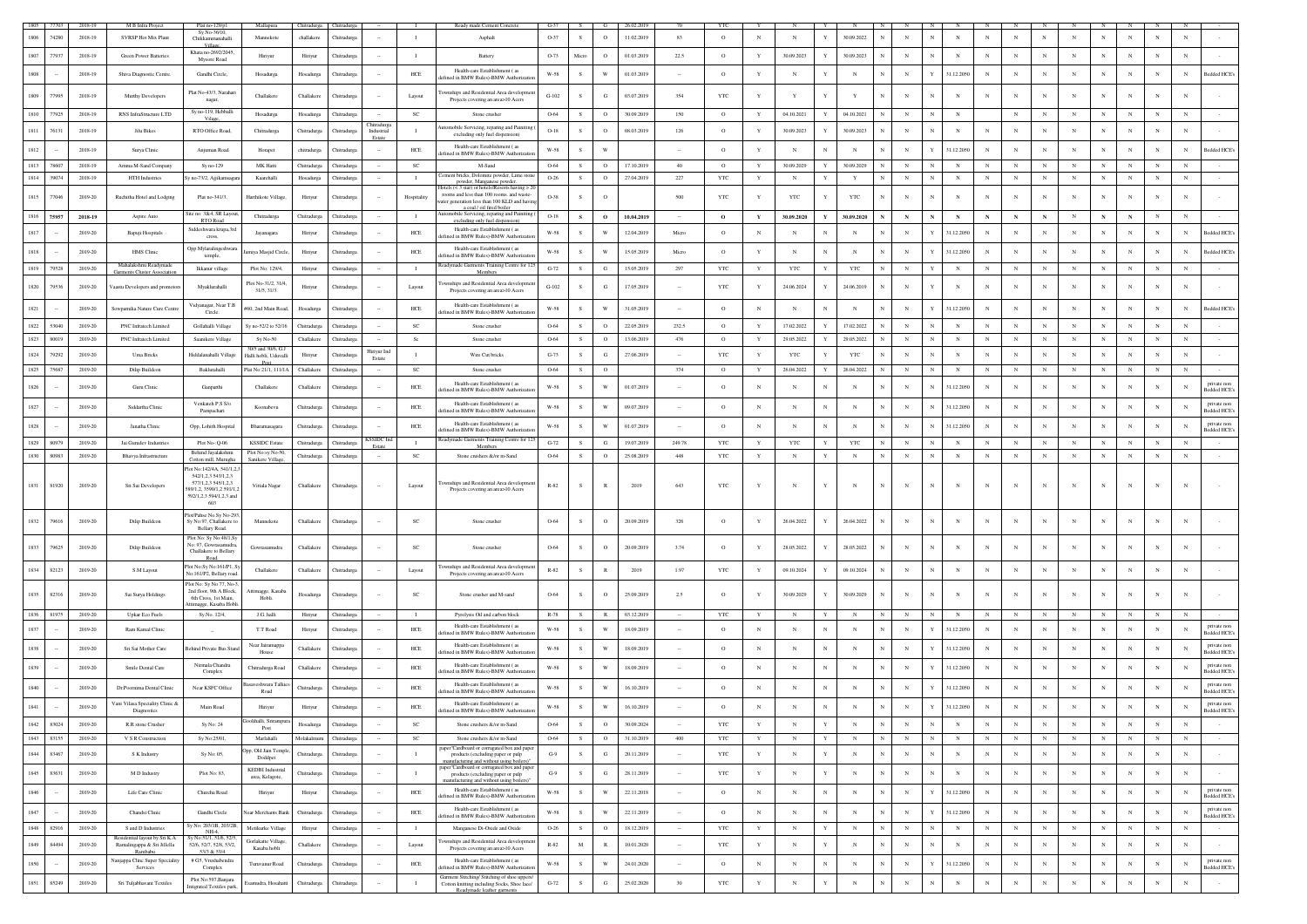|      |        | 2018-19     | M B Infra Project                                            | Plat no-129/p1                                    | Mallapura                                  | Chitradurga Chitradurga |                        |                                 |                | Ready made Cement Concrete                                                                      | $G-37$        |               |                                |            |         |              |             |                            |             |            |             |                            |             |             |              |            |             |              |              |              |                                  |
|------|--------|-------------|--------------------------------------------------------------|---------------------------------------------------|--------------------------------------------|-------------------------|------------------------|---------------------------------|----------------|-------------------------------------------------------------------------------------------------|---------------|---------------|--------------------------------|------------|---------|--------------|-------------|----------------------------|-------------|------------|-------------|----------------------------|-------------|-------------|--------------|------------|-------------|--------------|--------------|--------------|----------------------------------|
|      | 74280  | 2018-19     | SVRSP Hot Mix Plant                                          | Sy No-36/10,<br>Chikkammanahalli                  | Mannekote                                  | challakere              | Thitradurga            |                                 | $\mathbf{I}$   | Asphalt                                                                                         | O-37          | S.            | $\circ$                        | 11.02.2019 | 83      | $\circ$      | $_{\rm N}$  | N                          | 30.09.2022  |            | $_{\rm N}$  | N                          | $_{\rm N}$  | $_{\rm N}$  | N            |            | $_{\rm N}$  | N            | N            | N            |                                  |
|      |        |             |                                                              | Village<br>Khata no-2692/2045                     |                                            |                         |                        |                                 |                |                                                                                                 |               |               |                                |            |         |              |             |                            |             |            |             |                            |             |             |              |            |             |              |              |              |                                  |
|      | 77937  | 2018-19     | Green Power Batteries                                        | Mysore Road                                       | Hiriyur                                    | Hiriyur                 | hitradurg              |                                 |                | Battery                                                                                         | O-73          | Mic           |                                | 01.03.2019 | 22.5    | $\circ$      | $\mathbf Y$ | 30.09.2023                 | 30.09.2023  |            |             | $_{\rm N}$                 | $_{\rm N}$  | $_{\rm N}$  | $_{\rm N}$   |            |             |              |              |              |                                  |
|      |        | 2018-19     | Shiva Diagnostic Centre                                      | Gandhi Circle,                                    | Hosadurga                                  | Hosadurga               | Chitradurg             |                                 | HCE            | Health-care Establishment (as<br>fined in BMW Rules)-BMW Authorizati                            | W-58          | $\mathcal{S}$ | W                              | 01.03.2019 |         | $\circ$      | $\mathbf Y$ | $_{\rm N}$                 | $_{\rm N}$  |            | $_{\rm N}$  | 31.12.2050                 | $_{\rm N}$  | $_{\rm N}$  | $_{\rm N}$   |            | $\mathbf N$ | N            | N            | $_{\rm N}$   | <b>Bedded HCE</b>                |
|      |        |             |                                                              | Plat No-43/3, Narah                               |                                            |                         |                        |                                 |                | wnships and Residential Area developme                                                          |               |               |                                |            |         |              |             |                            |             |            |             |                            |             |             |              |            |             |              |              |              |                                  |
| 1809 | 77995  | 2018-19     | Murthy Developers                                            | nagar,                                            | Challakere                                 | Challaker               | <b>hitradurg</b>       |                                 | Layout         | Projects covering an area>10 Acers                                                              | $G-102$       |               | G                              | 03.07.2019 | 354     | YTC          | Y           |                            |             |            |             | N                          | N           | N           |              |            | $\mathbf N$ |              |              | N            |                                  |
| 1810 | 77925  | 2018-19     | RNS InfraStructure LTD                                       | Sy no-119, Hebbal<br>Vilag                        | Hosadurga                                  | Hosadurga               | Chitradurga            |                                 | SC             | Stone crusher                                                                                   | 0-64          | s.            | $\circ$                        | 30.09.201  | 150     | $\circ$      | $\mathbf Y$ | 04.10.2021<br>Y            | 04.10.2021  |            | $_{\rm N}$  | $_{\rm N}$<br>$_{\rm N}$   |             | $_{\rm N}$  | $_{\rm N}$   | $_{\rm N}$ | $_{\rm N}$  | $_{\rm N}$   | $_{\rm N}$   | $_{\rm N}$   |                                  |
|      | 7613   | 2018-19     | Jilu Bikes                                                   | RTO Office Road                                   | Chitradurga                                | Chitradurga             | hitradurg              | <b>Thitradurg</b><br>Industrial |                | atomobile Servicing, reparing and Painiting                                                     | $O-18$        |               |                                | 08.03.2019 | 126     | $\circ$      | $\mathbf Y$ | 30.09.2023                 | 30.09.2023  |            |             |                            | $_{\rm N}$  | $_{\rm N}$  | $_{\rm N}$   |            |             |              |              |              |                                  |
|      |        |             |                                                              |                                                   |                                            |                         |                        | Estate                          |                | excluding only fuel dispension)<br>Health-care Establishment (as                                |               |               |                                |            |         |              |             |                            |             |            |             |                            |             |             |              |            |             |              |              |              |                                  |
|      |        | 2018-19     | Surya Clinic                                                 | Anjuman Road                                      | Horapet                                    | chitradurgs             | Tutradure              |                                 | HCE            | fined in BMW Rules)-BMW Authorizatio                                                            | W-58          |               |                                |            |         | $\circ$      | $\mathbf Y$ | N                          | $_{\rm N}$  |            | $_{\rm N}$  | 31.12.2050                 | $_{\rm N}$  | N           | N            |            |             |              |              | N            | Bedded HCE's                     |
| 1813 | 78607  | 2018-19     | Amma M-Sand Company                                          | Sy no-129                                         | MK Hatti                                   | Chitradurga             | hitradurga             |                                 | SC             | M-Sand                                                                                          | 0-64          |               | $\circ$                        | 17.10.2019 | 40      | $\circ$      | $\mathbf Y$ | 30.09.2029                 | 30.09.2029  |            |             | $_{\rm N}$<br>$_{\rm N}$   | N           | $_{\rm N}$  | $_{\rm N}$   | $_{\rm N}$ | $_{\rm N}$  | $_{\rm N}$   | $_{\rm N}$   | $_{\rm N}$   |                                  |
| 1814 | 39074  | 2018-19     | <b>HTH</b> Industries                                        | y no-73/2, Ajjikamsag                             | Kaarehalli                                 | Hosadurga               | Thitradurga            |                                 | $\mathbf{I}$   | lement bricks, Dolomite powder, Lime ston<br>powder, Manganese powder.                          | $O-26$        | -S            | $\circ$                        | 27.04.2019 | 227     | YTC          | Y           | $\mathbb N$                | Y           |            | $_{\rm N}$  | N                          | $_{\rm N}$  | $_{\rm N}$  | $_{\rm N}$   | $_{\rm N}$ | $_{\rm N}$  | $_{\rm N}$   | $_{\rm N}$   | $_{\rm N}$   |                                  |
| 1815 | 77046  | 2019-20     | Ruchitha Hotel and Lodging                                   | Plat no-341/3.                                    | Harthikote Village                         | Hiriyur                 | Chitradurga            |                                 | Hospitality    | lotels $(<$ 3 star) or hotels/Resorts having $>$ 2<br>rooms and less than 100 rooms, and waste- | O-38          | -S.           | $^{\circ}$                     |            | 500     | <b>YTC</b>   | Y           | <b>YTC</b><br>Y            | <b>YTC</b>  |            | $_{\rm N}$  | N<br>N                     | N           | N           | N            |            | N           | N            | N            | N            |                                  |
|      |        |             |                                                              |                                                   |                                            |                         |                        |                                 |                | rater generation less than 100 KLD and havir<br>a coal / oil fired boiler                       |               |               |                                |            |         |              |             |                            |             |            |             |                            |             |             |              |            |             |              |              |              |                                  |
| 1816 | 75957  | 2018-19     | Aspire Auto                                                  | Site no: 3&4, SR Layou<br>RTO Road                | Chitradurga                                | Chitradurga             | Chitradurga            |                                 | $\mathbf{I}$   | utomobile Servicing, reparing and Painiting<br>excluding only fuel dispension)                  | $O-18$        | $\mathbf{s}$  | $\mathbf{o}$                   | 10.04.2019 |         | $\mathbf{o}$ | Y           | 30.09.2020<br>$\mathbf Y$  | 30.09.2020  |            | $\mathbf N$ | ${\bf N}$<br>$\mathbf N$   | $\mathbf N$ | $\mathbf N$ | $\mathbf N$  | $_{\rm N}$ | $\,$ N      | $\mathbf N$  | $_{\rm N}$   | $_{\rm N}$   |                                  |
|      |        | 2019-20     | Bapuji Hospitals                                             | Siddeshwara krupa,3rc<br>cross,                   | Jayanagara                                 | Hiriyur                 | <b>hitradurg</b>       |                                 | HCE            | Health-care Establishment (as<br>efined in BMW Rules)-BMW Authorizatio                          | W-58          |               |                                | 12.04.2019 | Micro   | $\circ$      | N           | $\mathbf N$                | $_{\rm N}$  |            |             | 31.12.2050                 | N           | $_{\rm N}$  | $_{\rm N}$   |            |             |              |              |              | Bedded HCE                       |
|      |        | 2019-20     | <b>HMS</b> Clinic                                            | Opp Mylaralingeshwa                               | miya Masjid Circle                         | Hiriyur                 | Chitradurga            |                                 | ${\rm HCE}$    | Health-care Establishment (as                                                                   | W-58          | -S            | W                              | 15.05.2019 | Micro   | $\circ$      | $\mathbf Y$ | N                          | $_{\rm N}$  |            | $_{\rm N}$  | 31.12.2050                 | $_{\rm N}$  | N           | $_{\rm N}$   |            |             | N            | N            | N            | Bedded HCE's                     |
|      |        |             | Mahalakshmi Readym                                           | temple,                                           |                                            |                         |                        |                                 |                | lefined in BMW Rules)-BMW Authorizati<br>Readymade Garments Training Centre for 12              |               |               |                                |            |         |              |             |                            |             |            |             |                            |             |             |              |            |             |              |              |              |                                  |
| 1819 | 79528  | 2019-20     | Garments Cluster Associati                                   | Ikkanur village                                   | Plot No: 129/4,                            | Hiriyur                 | Chitradurga            |                                 | $\mathbf{I}$   | Member                                                                                          | $G-72$        | S             | G                              | 15.05.2019 | 297     | YTC          | Y           | <b>YTC</b><br>Y            | YTC         |            |             | Y<br>$_{\rm N}$            | $_{\rm N}$  | $_{\rm N}$  | $_{\rm N}$   | $_{\rm N}$ | $_{\rm N}$  | $_{\rm N}$   | $_{\rm N}$   | $_{\rm N}$   |                                  |
| 1820 | 79536  | 2019-20     | aastu Developers and promotors                               | Myaklurahalli                                     | Plot No-31/2, 31/4<br>31/5, 31/3.          | Hiriyur                 | hitradurg:             |                                 | Layout         | ownships and Residential Area develope<br>Projects covering an area>10 Acers                    | $G-102$       |               | G                              | 17.05.2019 |         | YTC          |             | 24.06.2024                 | 24.06.2019  |            |             | N                          | $_{\rm N}$  |             | $_{\rm N}$   |            | N           |              | N            | N            |                                  |
|      |        |             |                                                              | Vidyanagar, Near T.B                              |                                            |                         |                        |                                 |                | Health-care Establishment (as                                                                   |               |               |                                |            |         |              |             |                            |             |            |             |                            |             |             |              |            |             |              |              |              |                                  |
| 1821 |        | 2019-20     | Sowpamika Nature Cure Centre                                 | Circle.                                           | #60, 2nd Main Road                         | Hosadurga               | Chitradure:            |                                 | HCE            | efined in BMW Rules)-BMW Authorizati                                                            | W-58          | $\mathcal{S}$ | w                              | 31.05.2019 |         | $\circ$      | $_{\rm N}$  | $_{\rm N}$<br>N            | $_{\rm N}$  |            | $_{\rm N}$  | 31.12.205                  | $_{\rm N}$  | N           | N            |            | $_{\rm N}$  | N            | -N           | N            | Bedded HCE's                     |
| 1822 | 53040  | 2019-20     | PNC Infratech Limited                                        | Gollahalli Village                                | Sy no-52/2 to 52/16                        | Chitradurg              | hitradurg <sup>®</sup> |                                 | SC             | Stone crusher                                                                                   | 0-64          |               | $\Omega$                       | 22.05.2019 | 232.5   | $\circ$      | $\mathbf Y$ | 17.02.2022                 | 17.02.2022  |            | $_{\rm N}$  | $\mathbb{N}$               | N           | N           | $_{\rm N}$   |            |             | $\mathbf{N}$ | $\mathbf{N}$ | N            |                                  |
| 1823 | 80019  | 2019-20     | PNC Infratech Limited                                        | Saanikere Village                                 | $Sv$ No-50                                 | Challakere              | Thitradurea            |                                 | Sc.            | Stone crusher                                                                                   | 0-64          | S             | $\circ$                        | 13.06.2019 | 476     | $\circ$      | Y           | 29.05.2022                 | 29.05.2022  |            | $_{\rm N}$  | $_{\rm N}$                 | $_{\rm N}$  | $_{\rm N}$  | $_{\rm N}$   | $_{\rm N}$ | $_{\rm N}$  | N            | $_{\rm N}$   | $_{\rm N}$   |                                  |
| 1824 | 79292  | 2019-20     | Uma Bricks                                                   | Hiddalanahalli Village                            | 30/5 and 30/6, G.<br>Halli hobli, Uduvalli | Hiriyur                 | <b>hitradure</b>       | Hiriyur Ind<br>Estate           | $\mathbf{I}$   | Wire Cut bricks                                                                                 | $G-73$        |               | G                              | 27.06.2019 |         | YTC          | $\mathbf Y$ | YTC                        | YTC         |            |             | N                          | N           | $_{\rm N}$  | N            |            |             |              |              |              |                                  |
| 1825 | 75687  | 2019-20     | Dilip Buildcon                                               | Baklurahalli                                      | Post<br>Plat No:21/1, 111/1A               | Challakere              | Chitradurga            |                                 | SC             | Stone crusher                                                                                   | 0-64          | S.            | $\circ$                        |            | 374     | $\circ$      | Y           | 26.04.2022                 | 26.04.2022  |            | $_{\rm N}$  | N<br>$_{\rm N}$            | $_{\rm N}$  | $_{\rm N}$  | $_{\rm N}$   | $_{\rm N}$ | $_{\rm N}$  | N            | $_{\rm N}$   | $_{\rm N}$   |                                  |
|      |        | 2019-20     |                                                              |                                                   | Challakere                                 | Challakere              |                        |                                 | HCE            | Health-care Establishment (as                                                                   | $W-58$        |               | $\ensuremath{\text{W}}\xspace$ | 01.07.2019 |         | $\circ$      | N           | $_{\rm N}$                 | $_{\rm N}$  |            |             | 31.12.205                  | $_{\rm N}$  | $_{\rm N}$  | $_{\rm N}$   |            | $_{\rm N}$  | $_{\rm N}$   |              | N            | private non                      |
|      |        |             | Guru Clinic                                                  | Ganparthi                                         |                                            |                         | hitradurga             |                                 |                | efined in BMW Rules)-BMW Authorizati                                                            |               |               |                                |            |         |              |             |                            |             |            |             |                            |             |             |              |            |             |              |              |              | <b>Bedded HCE</b>                |
| 1827 |        | 2019-20     | Siddartha Clinic                                             | Venkateh P.S S/o<br>Pampachari                    | Koonabevu                                  | Chitradurg              | <b>hitradurg</b>       |                                 | HCE            | Health-care Establishment (as<br>fined in BMW Rules)-BMW Authorizati                            | W-58          |               | W                              | 09.07.2019 |         | $\circ$      | $_{\rm N}$  | $_{\rm N}$<br>$\mathbf{N}$ | $_{\rm N}$  |            | $_{\rm N}$  | 31.12.205<br>N             | $_{\rm N}$  | $_{\rm N}$  | $_{\rm N}$   | $_{\rm N}$ | $_{\rm N}$  | $_{\rm N}$   | $_{\rm N}$   | N            | private non<br>Bedded HCE's      |
| 1828 |        | 2019-20     | Janatha Clinic                                               |                                                   |                                            |                         | hitradurg              |                                 | ${\rm HCE}$    | Health-care Establishment (as                                                                   | W-58          |               | W                              | 01.07.2019 |         | $\circ$      | N           |                            | N           |            |             | 31.12.205<br>N             | N           | N           | $_{\rm N}$   |            | N           |              | N            | N            | private no                       |
|      |        |             |                                                              | Opp, Lohith Hospital                              | Bharamasagara                              | Chitradurga             |                        |                                 |                | efined in BMW Rules)-BMW Authorizati                                                            |               |               |                                |            |         |              |             |                            |             |            |             |                            |             |             |              |            |             |              |              |              | <b>Bedded HCE</b>                |
| 1829 | 80979  | 2019-20     | Jai Gurudev Industries                                       | Plot No-: Q-06<br>Behind Jayalakshm               | <b>KSSIDC</b> Estate<br>Plot No:sy No-50   | Chitradurga             | <b>Chitradurga</b>     | <b>CSSIDC</b> Inc<br>Estate     | $\;$ I         | Readymade Garments Training Centre for 12<br>Members                                            | $G-72$        |               | G                              | 19.07.201  | 249.78  | YTC          | Y           | <b>YTC</b>                 | YTC         |            |             | $_{\rm N}$                 | N           | $_{\rm N}$  | $_{\rm N}$   | $_{\rm N}$ | $_{\rm N}$  | $_{\rm N}$   | $_{\rm N}$   | N            |                                  |
| 1830 | 80983  | $2019 - 20$ | Bhavya Infrastructure                                        | Cotton mill, Murugha                              | Sanikere Village                           | Chitradurga             | hitradurg:             |                                 | $_{\rm SC}$    | Stone crushers &/or m-Sand                                                                      | 0-64          |               | $\circ$                        | 25.08.2019 | 448     | $_{\rm YTC}$ | $\mathbf Y$ | $_{\rm N}$                 | $_{\rm N}$  |            | $_{\rm N}$  | N                          | N           | $_{\rm N}$  | $_{\rm N}$   |            | $\mathbf N$ | N            | $_{\rm N}$   | N            |                                  |
|      |        |             |                                                              | Plot No:142/4A, 541/1,2,<br>542/1,2,3 543/1,2,3   |                                            |                         |                        |                                 |                |                                                                                                 |               |               |                                |            |         |              |             |                            |             |            |             |                            |             |             |              |            |             |              |              |              |                                  |
| 1831 | 81920  | 2019-20     | Sri Sai Developers                                           | 577/1,2,3 545/1,2,3<br>9/1,2, 3590/1,2 591/1,     | Vittala Nagar                              | Challakere              | Chitradure:            |                                 | Layout         | ownships and Residential Area developmen<br>Projects covering an area>10 Acers                  | $R-82$        |               |                                | 2019       | 643     | <b>YTC</b>   | Y           |                            | N           |            | $\mathbf N$ |                            | N           | N           | N            |            |             |              |              |              |                                  |
|      |        |             |                                                              | 592/1,2,3 594/1,2,3 and<br>603                    |                                            |                         |                        |                                 |                |                                                                                                 |               |               |                                |            |         |              |             |                            |             |            |             |                            |             |             |              |            |             |              |              |              |                                  |
|      |        |             |                                                              | lot/Pahse No.Sy No-29                             |                                            |                         |                        |                                 |                |                                                                                                 |               |               |                                |            |         |              |             |                            |             |            |             |                            |             |             |              |            |             |              |              |              |                                  |
|      |        | 2019-20     | Dilip Buildcon                                               | Sv No:97. Challakere<br>Bellary Road.             | Mannekote                                  | Challaker               | hitradu                |                                 | SC             | Stone crusher                                                                                   | 0-64          |               | $\circ$                        | 20.09.2019 | 326     | $\Omega$     |             | 26.04.2022                 | 26.04.2022  |            | $_{\rm N}$  | N                          |             |             | N            |            |             |              |              |              |                                  |
|      |        |             |                                                              | Plot No: Sy No: 48/1, S                           |                                            |                         |                        |                                 |                |                                                                                                 |               |               |                                |            |         |              |             |                            |             |            |             |                            |             |             |              |            |             |              |              |              |                                  |
| 1833 | 79625  | 2019-20     | Dilip Buildcon                                               | Vo: 97, Gowrasamudra<br>Challakere to Bellary     | Gowrasamudra                               | Challakere              | hitradurg              |                                 | SC             | Stone crusher                                                                                   | 0-64          |               | $\circ$                        | 20.09.2019 | 3.74    | $\circ$      | Y           | 28.05.2022                 | 28.05.2022  |            | $_{\rm N}$  |                            |             |             |              |            |             |              |              |              |                                  |
| 1834 |        | 2019-20     |                                                              | Road.<br>Plot No:Sy No:161/P1, S                  | Challakere                                 | Challakere              |                        |                                 |                | ownships and Residential Area developme                                                         | $R-82$        |               | $\mathbb{R}$                   | 2019       | 1.97    |              | Y           | 09.10.2024                 | 09.10.2024  |            | $_{\rm N}$  | N<br>N                     | $_{\rm N}$  | $_{\rm N}$  | $_{\rm N}$   |            | N           |              | $_{\rm N}$   | N            |                                  |
|      | 82123  |             | S.M Layout                                                   | No:161/P2, Bellary road.                          |                                            |                         | <b>Chitradurg</b>      |                                 | Layout         | Projects covering an area>10 Acers                                                              |               |               |                                |            |         | YTC          |             |                            |             |            |             |                            |             |             |              |            |             |              |              |              |                                  |
| 1835 | 82316  | 2019-20     | Sai Surya Holdings                                           | Plot No: Sy No 77, No-<br>2nd floor, 9th A Block  | agge, Kasaba                               | Hosadurga               | <b>hitradure</b>       |                                 | <b>SC</b>      | Stone crusher and M-sand                                                                        | 0-64          |               | $\circ$                        | 25.09.2019 | $2.5\,$ |              | Y           | 30.09.2029                 | 30.09.2029  |            | $_{\rm N}$  |                            |             |             |              |            |             |              |              |              |                                  |
|      |        |             |                                                              | 6th Cross, 1st Main.<br>timagge, Kasaba Hob       | Hobli.                                     |                         |                        |                                 |                |                                                                                                 |               |               |                                |            |         |              |             |                            |             |            |             |                            |             |             |              |            |             |              |              |              |                                  |
| 1836 | 81975  | 2019-20     | Upkar Eco Fuels                                              | Sy.No. 12/4,                                      | J.G. halli                                 | Hiriyur                 | Chitradurga            |                                 | $\mathbf{I}$   | Pyrolysis Oil and carbon block                                                                  | R-78          |               | $\mathbb{R}$                   | 03.12.2019 |         | YTC          | Y           | $_{\rm N}$                 | $_{\rm N}$  |            |             | $_{\rm N}$                 | $_{\rm N}$  | $_{\rm N}$  | $\mathbf{N}$ | $_{\rm N}$ |             | $_{\rm N}$   |              | -N           |                                  |
|      |        | 2019-20     | Ram Kamal Clinic                                             |                                                   | T.T Road                                   | Hiriyur                 | hitradurg:             |                                 | ${\rm HCE}$    | Health-care Establishment (as<br>fined in BMW Rules)-BMW Authorizati                            | $W-58$        |               | W                              | 18.09.2019 |         | $\circ$      | N           | N                          | $_{\rm N}$  |            | $_{\rm N}$  | 31.12.2050                 | $_{\rm N}$  | N           | $_{\rm N}$   |            | N           | N            | N            | N            | private non<br><b>Bedded HCE</b> |
|      |        | 2019-20     | Sri Sai Mother Care                                          | Behind Private Bus Star                           | Near Jairamappa                            | Challakere              | <b>hitradure:</b>      |                                 | HCE            | Health-care Establishment (as                                                                   | W-58          |               | W                              | 18.09.2019 |         | $\circ$      | $_{\rm N}$  | $_{\rm N}$                 | $_{\rm N}$  |            | $_{\rm N}$  | 31.12.205                  | $_{\rm N}$  | N           | $_{\rm N}$   | $_{\rm N}$ | N           | N            | N            | N            | private nor                      |
|      |        |             |                                                              |                                                   | House                                      |                         |                        |                                 |                | ined in BMW Rules)-BMW Authorizati                                                              |               |               |                                |            |         |              |             |                            |             |            |             |                            |             |             |              |            |             |              |              |              | edded HCE                        |
|      |        | 2019-20     | Smile Dental Care                                            | Nirmala Chandra<br>Complex                        | Chitradurga Road                           | Challakere              | Chitradurg             |                                 | HCE            | Health-care Establishment (28)<br>fined in BMW Rules)-BMW Authorizati                           | W-58          |               | W                              | 18.09.2019 | $\sim$  | $\circ$      | $_{\rm N}$  | $_{\rm N}$                 | N           |            | $_{\rm N}$  | 31.12.2050                 | $_{\rm N}$  | $_{\rm N}$  | $_{\rm N}$   | $_{\rm N}$ | $_{\rm N}$  | $_{\rm N}$   | $\mathbf N$  | N            | private nos<br>Bedded HCE's      |
|      |        | 2019-20     | Dr.Poornima Dental Clinic                                    | Near KSFC Office                                  | aveshwara Talki                            | Chitradurg              | hitradurga             |                                 | ${\rm HCE}$    | Health-care Establishment (as                                                                   | W-58          |               |                                | 16.10.2019 |         | $\circ$      | N           |                            |             |            |             | 31.12.2050                 |             |             | N            |            |             |              |              | N            | private no                       |
|      |        |             |                                                              |                                                   | Road                                       |                         |                        |                                 |                | lefined in BMW Rules)-BMW Authorizatio                                                          |               |               |                                |            |         |              |             |                            |             |            |             |                            |             |             |              |            |             |              |              |              | Bedded HCE's                     |
|      |        | 2019-20     | Vani Vilasa Speciality Clinic &<br>Diagnostics               | Main Road                                         | Hiriyur                                    | Hiriyur                 | hitradur               |                                 | ${\rm HCE}$    | Health-care Establishment (as<br>efined in BMW Rules)-BMW Authorizatio                          | $_{\rm W-58}$ |               | W                              | 16.10.2019 |         |              | N           |                            |             |            |             | 31.12.205                  |             |             |              |            |             |              |              |              | private non<br>edded HCE         |
| 1842 | 83024  | 2019-20     | R.R stone Crusher                                            | Sy No: 24                                         | Goolihalli, Srirampur<br>Post              | Hosadurga               | Chitradurga            |                                 | $_{\rm SC}$    | Stone crushers &/or m-Sand                                                                      | 0-64          | S             | $\circ$                        | 30.09.2024 |         | YTC          | $\mathbf Y$ | $_{\rm N}$<br>$\mathbf Y$  | $_{\rm N}$  | $_{\rm N}$ | $_{\rm N}$  | $_{\rm N}$<br>$_{\rm N}$   | $_{\rm N}$  | $_{\rm N}$  | $_{\rm N}$   | $_{\rm N}$ | $_{\rm N}$  | $_{\rm N}$   | $\,$ N       | $_{\rm N}$   |                                  |
| 1843 | 83155  | 2019-20     | V S R Construction                                           | Sy No:25/01,                                      | Marlahalli                                 | Molakalmuru             | Chitradurga            |                                 | $_{\rm SC}$    | Stone crushers &/or m-Sand                                                                      | 0-64          | S             | $\circ$                        | 31.10.2019 | $400\,$ | $_{\rm YTC}$ | $\mathbf Y$ | $_{\rm N}$<br>$\mathbf Y$  | $_{\rm N}$  | $_{\rm N}$ | $_{\rm N}$  | ${\bf N}$<br>$_{\rm N}$    | ${\bf N}$   | $_{\rm N}$  | ${\bf N}$    | $_{\rm N}$ | $_{\rm N}$  | $_{\rm N}$   | ${\bf N}$    | $_{\rm N}$   | $\sim$                           |
| 1844 | 83467  | 2019-20     | S K Industry                                                 | Sy No: 05,                                        | pp, Old Jain Temple                        | Chitradurga             | Chitradurga            | $\sim$                          | $\mathbf{I}$   | paper"Cardboard or corrugated box and paper<br>products (excluding paper or pulp                | $G-9$         | S             | $_{\rm G}$                     | 20.11.2019 |         | YTC          | $\mathbf Y$ | $_{\rm N}$<br>$\mathbf Y$  | $_{\rm N}$  |            | $\,$ N      | N<br>$\mathbb{N}$          | $_{\rm N}$  | $_{\rm N}$  | $_{\rm N}$   | $_{\rm N}$ | $_{\rm N}$  | $_{\rm N}$   | $_{\rm N}$   | $_{\rm N}$   | $\sim$                           |
|      |        |             |                                                              |                                                   | Doddpet                                    |                         |                        |                                 |                | anufacturing and without using boilers)<br>paper"Cardboard or corrugated box and paper          |               |               |                                |            |         |              |             |                            |             |            |             |                            |             |             |              |            |             |              |              |              |                                  |
| 1845 | 83631  | 2019-20     | M D Industry                                                 | Plot No: 83,                                      | <b>KEDBI</b> Industrial<br>area, Kelagote, | Chitradurga             | Chitradurga            | $\sim$                          | $\mathbf{I}$   | products (excluding paper or pulp<br>manufacturing and without using boilers)                   | $G-9$         | S             | G                              | 28.11.2019 | $\sim$  | YTC          | $\mathbf Y$ | $_{\rm N}$<br>$\mathbf Y$  | $_{\rm N}$  |            | $_{\rm N}$  | $_{\rm N}$<br>N            | $_{\rm N}$  | $_{\rm N}$  | $_{\rm N}$   | $_{\rm N}$ | $_{\rm N}$  | $_{\rm N}$   | $_{\rm N}$   | $_{\rm N}$   | $\sim$                           |
| 1846 |        | 2019-20     | Life Care Clinic                                             | Churcha Road                                      | Hiriyur                                    | Hiriyur                 | Chitradurga            | $\sim$                          | ${\rm HCE}$    | Health-care Establishment (as                                                                   | $W-58$        | S             | $\mathbf{W}$                   | 22.11.2018 | $\sim$  | $\circ$      | $\,$ N $\,$ | ${\bf N}$<br>$_{\rm N}$    | $_{\rm N}$  |            | $_{\rm N}$  | 31.12.2050                 | $_{\rm N}$  | $_{\rm N}$  | $_{\rm N}$   | $_{\rm N}$ | $_{\rm N}$  | $_{\rm N}$   | $\,$ N       | $\mathbb{N}$ | private non                      |
|      |        |             |                                                              |                                                   |                                            |                         |                        |                                 |                | defined in BMW Rules)-BMW Authorizatio<br>Health-care Establishment (as                         |               |               |                                |            |         |              |             |                            |             |            |             |                            |             |             |              |            |             |              |              |              | Bedded HCE                       |
| 1847 | $\sim$ | 2019-20     | Chandsi Clinic                                               | Gandhi Circle                                     | <b>Near Merchants Bank</b>                 | Chitradurga             | Chitradurga            |                                 | HCE            | fefined in BMW Rules)-BMW Authorization                                                         | W-58          | S.            | W                              | 22.11.2019 |         | $\circ$      | $_{\rm N}$  | $_{\rm N}$<br>$_{\rm N}$   | $\mathbf N$ | $_{\rm N}$ | $_{\rm N}$  | 31.12.2050<br>Y            | $_{\rm N}$  | $_{\rm N}$  | $_{\rm N}$   | $_{\rm N}$ | $_{\rm N}$  | $_{\rm N}$   | $_{\rm N}$   | $_{\rm N}$   | private non<br>edded HCE's       |
| 1848 | 82916  | 2019-20     | S and D Industries                                           | Sy No: 203/1B, 203/2E<br>$NH-4$                   | Metikurke Village                          | Hiriyur                 | Chitradurga            | $\sim$                          | $\blacksquare$ | Manganese Di-Oxide and Oxide                                                                    | $O-26$        | S             | $\circ$                        | 18.12.2019 | $\sim$  | YTC          | $\mathbf Y$ | $\mathbf N$<br>Y           | $_{\rm N}$  |            | $_{\rm N}$  | $\mathbb{N}$<br>$_{\rm N}$ | $_{\rm N}$  | $_{\rm N}$  | $_{\rm N}$   | $_{\rm N}$ | $_{\rm N}$  | $_{\rm N}$   | $_{\rm N}$   | $_{\rm N}$   |                                  |
| 1849 | 84494  | 2019-20     | Residential layout by Sri K.A<br>Ramalingappa & Sri Jillella | v No:51/1, 51/6, 52/<br>52/6, 52/7, 52/8, 53/2.   | Gorlakatte Village,<br>Kasaba hobli        | Challakere              | Chitradurea            |                                 | Layout         | ownships and Residential Area developmen<br>Projects covering an area>10 Acers                  | $R-82$        | M             | R                              | 10.01.2020 | $\sim$  | YTC          | $\mathbf Y$ | $\mathbf N$<br>Y           | $_{\rm N}$  |            | $_{\rm N}$  | $_{\rm N}$<br>N            | $_{\rm N}$  | $_{\rm N}$  | $_{\rm N}$   | $_{\rm N}$ | $_{\rm N}$  | $_{\rm N}$   | $_{\rm N}$   | $\mathbb{N}$ | $\sim$                           |
|      |        |             | Rambabu<br>Nanjappa Clinc Super Speciality                   | 53/3 & 53/4<br># G5. Vrushabendra                 |                                            |                         |                        |                                 |                | Health-care Establishment (as                                                                   |               |               |                                |            |         |              |             |                            |             |            |             |                            |             |             |              |            |             |              |              |              | private non                      |
| 1850 | $\sim$ | 2019-20     | Services                                                     | Complex                                           | Turuvanur Road                             | Chitradurga             | Chitradurga            |                                 | <b>HCE</b>     | lefined in BMW Rules)-BMW Authorizatio                                                          | W-58          | S.            | W                              | 24.01.2020 | $\sim$  | $\circ$      | $_{\rm N}$  | $_{\rm N}$<br>$_{\rm N}$   | $\mathbf N$ | $_{\rm N}$ | $_{\rm N}$  | 31.12.2050<br>Y            | $_{\rm N}$  | $_{\rm N}$  | $_{\rm N}$   | $_{\rm N}$ | $_{\rm N}$  | $_{\rm N}$   | $\,$ N       | $_{\rm N}$   | sedded HCE's                     |
| 1851 | 85249  | 2019-20     | Sri Tuljabhavani Textiles                                    | Plot No:597, Banjara<br>Intigrated Textiles park, | samudra, Hosahatti                         | Chitradurga             | Chitradurga            |                                 | $\;$ I         | Garment Stitching/ Stitching of shoe uppers/<br>Cotton knitting including Socks, Shoe lace/     | $G-72$        | $\,$ s        | $_{\rm G}$                     | 25.02.2020 | 30      | YTC          | $\mathbf Y$ | $_{\rm N}$<br>$\mathbf{Y}$ | $_{\rm N}$  | $_{\rm N}$ | $_{\rm N}$  | $_{\rm N}$<br>N            | $_{\rm N}$  | $_{\rm N}$  | $_{\rm N}$   | $_{\rm N}$ | $_{\rm N}$  | $_{\rm N}$   | $_{\rm N}$   | $_{\rm N}$   |                                  |
|      |        |             |                                                              |                                                   |                                            |                         |                        |                                 |                | Readymade leather garments                                                                      |               |               |                                |            |         |              |             |                            |             |            |             |                            |             |             |              |            |             |              |              |              |                                  |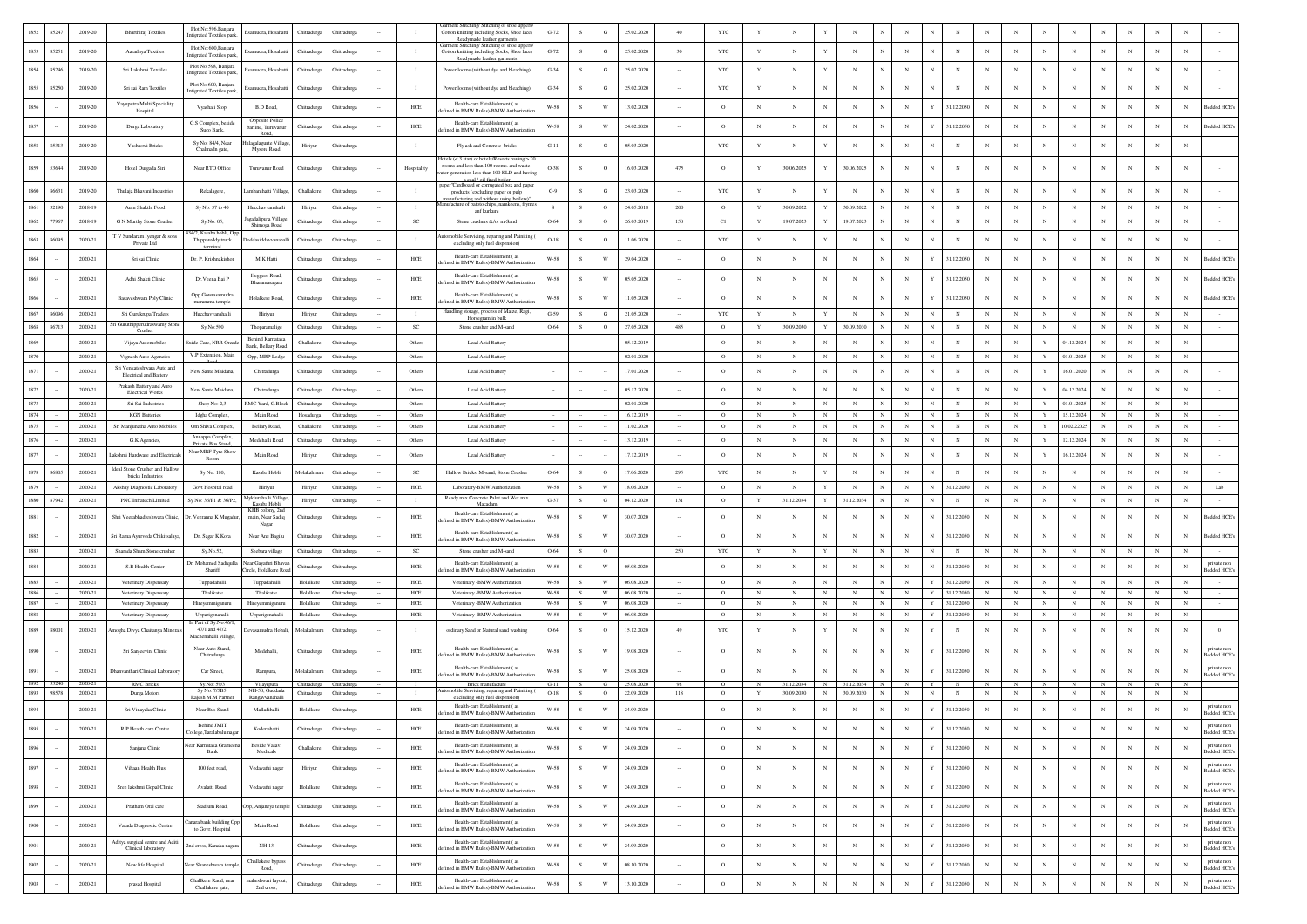| 1852         | 85247          | 2019-20            | <b>Bharthiraj Textiles</b>                                  | Plot No:596, Banjara<br>Intigrated Textiles parl | mudra, Hosahatt                              | Chitradurga                | <b>Thitradurg:</b>                | $\mathbf{I}$       | Garment Stitching/ Stitching of shoe uppers<br>Cotton knitting including Socks, Shoe lace/<br>Readymade leather garments | $G-72$           |           | G                                                  | 25.02.2020               | 40      | YTC                |                          |                          |                                |                          |              |                          |              |                          |                            |                          |                            |                          |                          |                 |                 |                                                |
|--------------|----------------|--------------------|-------------------------------------------------------------|--------------------------------------------------|----------------------------------------------|----------------------------|-----------------------------------|--------------------|--------------------------------------------------------------------------------------------------------------------------|------------------|-----------|----------------------------------------------------|--------------------------|---------|--------------------|--------------------------|--------------------------|--------------------------------|--------------------------|--------------|--------------------------|--------------|--------------------------|----------------------------|--------------------------|----------------------------|--------------------------|--------------------------|-----------------|-----------------|------------------------------------------------|
| 1853         | 85251          | 2019-20            | Aaradhya Textiles                                           | Plot No:600, Banjara                             | amudra, Hosahatt                             | Chitradurea                | <b>Thitradure:</b>                | л.                 | Garment Stitching/ Stitching of shoe upper<br>Cotton knitting including Socks, Shoe lace/                                | $G-72$           | S.        | $\mathbf G$                                        | 25.02.2020               | 30      | <b>YTC</b>         | Y                        | $_{\rm N}$               |                                | $_{\rm N}$               |              | $_{\rm N}$               |              | $_{\rm N}$               | $\mathbf N$                | $\mathbf{N}$             | $_{\rm N}$                 | $_{\rm N}$               | $_{\rm N}$               | $_{\rm N}$      | $_{\rm N}$      | N                                              |
| 1854         | 85246          | 2019-20            | Sri Lakshmi Textiles                                        | Intigrated Textiles park<br>Plot No:598, Banjara | mudra, Hosahatt                              | Chitradurga                | Thitradurga                       | $\mathbf{I}$       | Readymade leather garment<br>Power looms (without dve and bleaching)                                                     | $G-34$           | S.        | $_{\rm G}$                                         | 25.02.2020               | $\sim$  | YTC                | Y                        | $_{\rm N}$               |                                | $_{\rm N}$               |              | N                        |              | N                        | N                          | $\mathbf{N}$             | N                          | $_{\rm N}$               | N                        |                 | N               | N                                              |
|              |                |                    |                                                             | Intigrated Textiles par<br>Plot No:600, Banjara  |                                              |                            |                                   |                    |                                                                                                                          |                  |           |                                                    |                          |         |                    |                          |                          |                                |                          |              |                          |              |                          |                            |                          |                            |                          |                          |                 |                 |                                                |
| 1855         | 85250          | 2019-20            | Sri sai Ram Textiles                                        | Intigrated Textiles park                         | mudra, Hosahatt                              | Chitradurga                | hitradurg:                        | $\;$ I             | Power looms (without dye and bleaching)                                                                                  | $G-34$           | $\,$ s    | G                                                  | 25.02.2020               |         | YTC                | $\mathbf Y$              | $_{\rm N}$               |                                | N                        |              |                          |              | N                        |                            |                          |                            | $_{\rm N}$               | N                        |                 | N               | N                                              |
| 1856         |                | 2019-20            | Vayuputra Multi Speciality<br>Hospital                      | Vyashali Stop,                                   | <b>B.D Road.</b>                             | Chitradurga                | <b>Thitradure:</b>                | <b>HCE</b>         | Health-care Establishment (as<br>fined in BMW Rules)-BMW Authoriza                                                       | W-58             | S.        | W                                                  | 13.02.2020               |         | $\circ$            | $_{\rm N}$               | $_{\rm N}$               | N                              | $_{\rm N}$               |              | $_{\rm N}$               |              | 31.12.2050               | N                          | N                        | $_{\rm N}$                 | $_{\rm N}$               | N                        |                 | $_{\rm N}$      | <b>Bedded HCE</b><br>N                         |
| 1857         |                | 2019-20            | Durga Laboratory                                            | G.S Complex, beside<br>Suco Bank,                | Opposite Police<br>rline, Turuvanu           | Chitradurga                | Chitradurga                       | HCE                | Health-care Establishment (as<br>lefined in BMW Rules)-BMW Authorizat                                                    | $W-58$           | -S        | W                                                  | 24.02.2020               |         | $\circ$            | $_{\rm N}$               | $_{\rm N}$               | $_{\rm N}$                     | $_{\rm N}$               |              | $_{\rm N}$               |              | 31.12.2050               | $\mathbf N$                |                          | $_{\rm N}$                 | $_{\rm N}$               | $_{\rm N}$               | $_{\rm N}$      | $_{\rm N}$      | Bedded HCE<br>N                                |
| 1858         | 85313          | 2019-20            | Yashaswi Bricks                                             | Sy No: 84/4, Near                                | Road<br>galagunte Vill                       | Hiriyur                    | <b>Chitradurga</b>                | $\mathbf{I}$       | Fly ash and Concrete bricks                                                                                              | $G-11$           | -S        | $_{\rm G}$                                         | 05.03.2020               |         | YTC                | $\mathbf Y$              | $_{\rm N}$               |                                | $_{\rm N}$               |              | $_{\rm N}$               |              | $_{\rm N}$               |                            |                          |                            | $_{\rm N}$               | $_{\rm N}$               |                 | $_{\rm N}$      | N                                              |
|              |                |                    |                                                             | Chalmadn gate,                                   | Mysore Road.                                 |                            |                                   |                    | Hotels (< 3 star) or hotels/Resorts having > 20                                                                          |                  |           |                                                    |                          |         |                    |                          |                          |                                |                          |              |                          |              |                          |                            |                          |                            |                          |                          |                 |                 |                                                |
| 1859         | 53644          | 2019-20            | Hotel Durgada Siri                                          | Near RTO Office                                  | Turuvanur Road                               | Chitradurga                | Chitradurga                       | Hospitality        | rooms and less than 100 rooms, and waste-<br>ater generation less than 100 KLD and havir                                 | O-38             | S.        | $\circ$                                            | 16.03.2020               | 475     | $\circ$            | $\mathbf{Y}$             | 30.06.2025               | Y                              | 30.06.2025               |              |                          | N            | N                        | $\mathbf N$                |                          | $_{\rm N}$                 |                          | N                        |                 | N               | N                                              |
| 1860         | 86631          | 2019-20            | Thulaja Bhavani Industries                                  | Rekalagere,                                      | ambanihatti Villas                           | Challakere                 | Chitradure:                       | $\mathbf{I}$       | a coal / oil fired boiler<br>paper"Cardboard or corrugated box and pape<br>products (excluding paper or pulp             | $G-9$            | s.        | $\mathbf G$                                        | 23.03.2020               |         | <b>YTC</b>         | Y                        | $_{\rm N}$               |                                | $_{\rm N}$               |              | $_{\rm N}$               |              | $_{\rm N}$               |                            |                          | $\mathbf{N}$               | $_{\rm N}$               | $_{\rm N}$               |                 | N               | $_{\rm N}$                                     |
| 1861         | 32190          | 2018-19            | Aum Shakthi Food                                            | Sv No: 37 to 40                                  | Hucchavvanahall                              | Hiriyur                    | Chitradure                        | $\mathbf{I}$       | nufacturing and without using boilers<br>fanufacture of patoto chips, namkeens, fryme                                    | $\mathbf{s}$     | s         | $\circ$                                            | 24.05.2018               | 200     | $^{\circ}$         | Y                        | 30.09.2022               |                                | 30.09.2022               |              | $_{\rm N}$               |              | $_{\rm N}$               |                            |                          |                            | $\mathbf N$              | $_{\rm N}$               |                 | $\mathbf{N}$    | N                                              |
| 1862         | 77967          | 2018-19            | G N Murthy Stone Crusher                                    | Sy No: 05,                                       | agadalipura Villag                           | Chitradurga                | Chitradurg                        | <b>SC</b>          | anf kurkure<br>Stone crushers &/or m-Sand                                                                                | 0-64             | S.        | $\circ$                                            | 26.03.2019               | 150     | C1                 | Y                        | 19.07.2023               |                                | 19.07.2023               |              | N                        |              | N                        |                            |                          |                            | $\mathbf N$              | N                        | $_{\rm N}$      | $\mathbf{N}$    |                                                |
|              |                |                    | T V Sundaram Iyengar & sons                                 | 4/2. Kasaba hobli, Or                            | Shimoga Road                                 |                            |                                   |                    | mobile Servicing, reparing and Painitir                                                                                  |                  |           |                                                    |                          |         |                    |                          |                          |                                |                          |              |                          |              |                          |                            |                          |                            |                          |                          |                 |                 |                                                |
| 1863         | 86095          | 2020-21            | Private Ltd                                                 | Thippareddy truck<br>terminal                    | ddasiddavvanaha                              | Chitradurga                | <b>Thitradurg:</b>                | $\mathbf{I}$       | excluding only fuel dispension)                                                                                          | $O-18$           | s         | $\circ$                                            | 11.06.2020               |         | YTC                | Y                        | $_{\rm N}$               |                                | $_{\rm N}$               |              | $_{\rm N}$               |              | $_{\rm N}$               | $_{\rm N}$                 |                          | $_{\rm N}$                 | $_{\rm N}$               | $\overline{N}$           |                 | $_{\rm N}$      |                                                |
| 1864         |                | 2020-21            | Sri sai Clinic                                              | Dr. P. Krishnakishor                             | M K Hatti                                    | Chitradurga                | Thitradurg                        | HCE                | Health-care Establishment (as<br>lefined in BMW Rules)-BMW Authorizat                                                    | W-58             | S.        | W                                                  | 29.04.2020               |         | $\circ$            | $_{\rm N}$               | $_{\rm N}$               | $_{\rm N}$                     | $_{\rm N}$               |              | $_{\rm N}$               |              | 31.12.2050               | $_{\rm N}$                 |                          | $_{\rm N}$                 | $_{\rm N}$               | N                        |                 | N               | N<br><b>Bedded HCE</b>                         |
| 1865         |                | 2020-21            | Adhi Shakti Clinic                                          | Dr. Veena Bai P                                  | Heggere Road,<br>Bharamasagara               | Chitradurga                | <b>hitradurg</b>                  | HCE                | Health-care Establishment (as<br>lefined in BMW Rules)-BMW Authorizati                                                   | $W-58$           | s         | W                                                  | 05.05.2020               |         | $\circ$            | $_{\rm N}$               | $_{\rm N}$               | $_{\rm N}$                     | $_{\rm N}$               |              | $_{\rm N}$               |              | 31.12.2050               |                            |                          |                            | $_{\rm N}$               | $\mathbf N$              |                 | N               | Bedded HCE <sup>®</sup>                        |
| 1866         |                | 2020-21            | Basaveshwara Poly Clinic                                    | Opp Gowrasamudra                                 | Holalkere Road.                              | Chitradurga                | Chitradure:                       | <b>HCE</b>         | Health-care Establishment (as                                                                                            | W-58             | s.        | W                                                  | 11.05.2020               |         | $\circ$            | N                        | $\mathbf N$              | $_{\rm N}$                     | $_{\rm N}$               |              | $_{\rm N}$               | Y            | 31.12.2050               | N                          |                          | $_{\rm N}$                 | $_{\rm N}$               | $_{\rm N}$               | $_{\rm N}$      | $_{\rm N}$      | <b>Bedded HCE</b><br>N                         |
| 1867         | 86096          | 2020-21            | Sri Gurukrupa Traders                                       | maramma temple<br>Hucchavvanahalli               | Hiriyur                                      | Hiriyur                    | Chitradurga                       | $\mathbf{I}$       | lefined in BMW Rules)-BMW Authoriza<br>Handling storage, process of Maize, Ragi,                                         | $G-59$           | ${\bf S}$ | G                                                  | 21.05.2020               |         | YTC                | $\mathbf Y$              | N                        | $\mathbf{Y}$                   | $_{\rm N}$               |              | $_{\rm N}$               | N            | $_{\rm N}$               | N                          |                          | $_{\rm N}$                 | $_{\rm N}$               | $_{\rm N}$               | $_{\rm N}$      | $_{\rm N}$      | $\mathbf N$                                    |
| 1868         | 86713          | 2020-21            | i Guruthipperudraswamy Stone                                | Sy No:590                                        | Thoparamalige                                | Chitradurga                | Chitradurga                       | SC                 | Horsegram in bulk<br>Stone crusher and M-sand                                                                            | 0-64             | S         | $\circ$                                            | 27.05.2020               | 485     | $\circ$            | $\mathbf Y$              | 30.09.2030               | Y                              | 30.09.2030               |              | $_{\rm N}$               | $_{\rm N}$   | $_{\rm N}$               | $_{\rm N}$                 | $_{\rm N}$               | $_{\rm N}$                 | $_{\rm N}$               | $_{\rm N}$               | $_{\rm N}$      | $_{\rm N}$      | $_{\rm N}$                                     |
| 1869         |                | 2020-21            | Crusher<br>Vijaya Automobiles                               | Exide Care, NRR Orca                             | Behind Kamataka                              | Challakere                 | <b>Thitradure:</b>                | Others             | Lead Acid Battery                                                                                                        | $\sim$           |           |                                                    | 05.12.2019               |         | $\circ$            | N                        | $_{\rm N}$               | N                              | $_{\rm N}$               |              | $_{\rm N}$               |              | $_{\rm N}$               | $\mathbf N$                |                          | $\mathbf{Y}$               | 04.12.2024               | N                        | $_{\rm N}$      | $\mathbf N$     | $\mathbf N$                                    |
| 1870         |                | 2020-21            | Vignesh Auto Agencies                                       | V.P Extension, Main                              | Bank, Bellary Road<br>Opp, MRP Lodge         | Chitradurea                | Chitradure:                       | Others             | Lead Acid Battery                                                                                                        | $\sim$           |           |                                                    | 02.01.2020               |         | $^{\circ}$         | N                        | $_{\rm N}$               | $_{\rm N}$                     | N                        |              | $_{\rm N}$               |              | $_{\rm N}$               | $\mathbb{N}$               | -N                       |                            | 01.01.2025               | $_{\rm N}$               | $_{\rm N}$      | N               | $_{\rm N}$                                     |
| 1871         |                | 2020-21            | Sri Venkateshwara Auto and<br><b>Electrical and Battery</b> | New Sante Maidana                                | Chitradurga                                  | Chitradurga                | <b>hitradurg</b>                  | Others             | Lead Acid Battery                                                                                                        |                  |           |                                                    | 17.01.2020               |         | $\circ$            | $_{\rm N}$               | $_{\rm N}$               | $_{\rm N}$                     | $_{\rm N}$               |              | $_{\rm N}$               |              | N                        | $_{\rm N}$                 |                          |                            | 16.01.2020               | N                        |                 | N               | N                                              |
| 1872         |                | 2020-21            | Prakash Battery and Auro                                    | New Sante Maidana                                | Chitradurga                                  | Chitradurga                | <b>Thitradure:</b>                | Others             | Lead Acid Battery                                                                                                        | $\sim$           |           |                                                    | 05.12.2020               |         | $^{\circ}$         | N                        | $_{\rm N}$               | $_{\rm N}$                     | N                        |              | $_{\rm N}$               | N            | N                        | $_{\rm N}$                 |                          | Y                          | 04.12.2024               | N                        |                 | $_{\rm N}$      | $\mathbf N$                                    |
| 1873         |                | 2020-21            | <b>Electrical Works</b><br>Sri Sai Industries               | Shop No: 2,3                                     | RMC Yard, G.Bloc                             | Chitradurga                | Chitradurga                       | Others             | Lead Acid Battery                                                                                                        | $\sim$           |           |                                                    | 02.01.2020               |         | $\circ$            | N                        | $_{\rm N}$               | $\mathbf N$                    | $_{\rm N}$               |              | $_{\rm N}$               | N            | $_{\rm N}$               | $\mathbb{N}$               | $\mathbf{N}$             | Y                          | 01.01.2025               | $_{\rm N}$               | $_{\rm N}$      | $_{\rm N}$      | $_{\rm N}$                                     |
| 1874         |                | 2020-21            | <b>KGN</b> Batteries                                        | Ideha Complex.                                   | Main Road                                    | Hosadurga                  | <b>Thitradure:</b>                | Others             | Lead Acid Battery                                                                                                        | $\sim$           |           |                                                    | 16.12.2019               |         | $\circ$            | N                        | $_{\rm N}$               | $_{\rm N}$                     | N                        |              | $_{\rm N}$               | N            | $_{\rm N}$               | $_{\rm N}$                 | $\mathbf{N}$             | Y                          | 15.12.2024               | N                        | N               | N               | N                                              |
| 1875         |                | 2020-21            | Sri Manjunatha Auto Mobiles                                 | Om Shiva Complex,                                | <b>Bellary Road</b>                          | Challaker                  | Thitradure                        | Others             | Lead Acid Battery                                                                                                        | $\sim$           |           |                                                    | 11.02.2020               |         | $\circ$            | $_{\rm N}$               | $_{\rm N}$               | $\mathbf N$                    | $_{\rm N}$               |              | $_{\rm N}$               |              | $_{\rm N}$               | $_{\rm N}$                 | $_{\rm N}$               | $\mathbf{Y}$               | 10.02.2202               | $_{\rm N}$               | $_{\rm N}$      | $_{\rm N}$      | $_{\rm N}$                                     |
| 1876         |                | 2020-21            | G.K Agencies,                                               | Annappa Complex,<br>Private Bus Stand            | Medehalli Road                               | Chitradurga                | <b>Thitradurga</b>                | Others             | Lead Acid Battery                                                                                                        | $\sim$           |           |                                                    | 13.12.2019               | $\sim$  | $\circ$            | $_{\rm N}$               | $_{\rm N}$               | $_{\rm N}$                     | $_{\rm N}$               |              | $_{\rm N}$               | $_{\rm N}$   | $_{\rm N}$               | $_{\rm N}$                 | $_{\rm N}$               |                            | 12.12.2024               | $_{\rm N}$               | $_{\rm N}$      | $_{\rm N}$      | $_{\rm N}$                                     |
| 1877         |                | 2020-21            | kshmi Hardware and Electricals                              | Near MRF Tyre Show<br>Room                       | Main Road                                    | Hiriyu                     | Thitradurg                        | Other              | Lead Acid Battery                                                                                                        | $\sim$           |           |                                                    | 17.12.2019               |         | $\circ$            | N                        | $_{\rm N}$               | N                              | N                        |              | $_{\rm N}$               | N            | N                        | $\mathbf N$                |                          |                            | 16.12.2024               |                          | $_{\rm N}$      | N               | N                                              |
| 1878         | 86805          | 2020-21            | Ideal Stone Crusher and Hallow                              | Sy No: 180,                                      |                                              |                            |                                   | SC                 | Hallow Bricks, M-sand, Stone Crusher                                                                                     | 0-64             | s         | $\circ$                                            | 17.06.2020               | 295     | <b>YTC</b>         | $_{\rm N}$               | $_{\rm N}$               |                                | $\mathbf N$              |              | $_{\rm N}$               | N            | $\mathbf N$              | $_{\rm N}$                 |                          |                            | $_{\rm N}$               | $\mathbf N$              |                 | $\mathbf N$     | $\mathbf N$                                    |
|              |                |                    | bricks Industries                                           |                                                  | Kasaba Hobli                                 | Molakalmu                  | Chitradurga                       |                    |                                                                                                                          |                  |           |                                                    |                          |         |                    |                          |                          |                                |                          |              |                          |              |                          |                            |                          |                            |                          |                          |                 |                 |                                                |
| 1879         |                | 2020-21            | Akshay Diagnostic Laboratory                                | Govt Hospital road                               | Hiriyu                                       | Hiriyu                     | <b>Chitradurg</b>                 | HCE                | Laboratary-BMW Authorization                                                                                             | W-58             | S.        | W                                                  | 18.06.2020               |         | $\circ$            | $_{\rm N}$               | $_{\rm N}$               |                                | N                        |              | $_{\rm N}$               | N            | 31.12.205                | $_{\rm N}$                 |                          |                            | $_{\rm N}$               | $_{\rm N}$               |                 | N               | N<br>Lab                                       |
| 1880         | 87942          | 2020-21            | PNC Infratech Limited                                       | Sy No: 36/P1 & 36/P2                             | klurahalli Villag<br>Kasaba Hobli            | Hiriyur                    | Chitradurga                       | $\blacksquare$     | Ready mix Concrete Palnt and Wet mix<br>Macadam                                                                          | $G-37$           | s         | G                                                  | 04.12.2020               | 131     | $\circ$            | $\mathbf Y$              | 31.12.2034               | Y                              | 31.12.2034               |              | $_{\rm N}$               | $\mathbf N$  | $_{\rm N}$               | $_{\rm N}$                 | $_{\rm N}$               | $_{\rm N}$                 | $_{\rm N}$               | $_{\rm N}$               | $_{\rm N}$      | $\mathbf N$     | $\mathbf N$                                    |
| 1881         |                | 2020-21            | Shri Veerabhadreshwara Clinic,                              | Dr. Veeranna K Mugad                             | KHB colony, 2no<br>main, Near Sadiq<br>Nagar | Chitradurga                | <b>Thitradurg:</b>                | ${\rm HCE}$        | Health-care Establishment (as<br>fined in BMW Rules)-BMW Authoriz                                                        | $W-58$           | ${\bf s}$ | W                                                  | 30.07.2020               |         | $\circ$            | $_{\rm N}$               | $_{\rm N}$               |                                | $_{\rm N}$               |              | $_{\rm N}$               | N            | 31.12.2050               | N                          | N                        |                            | $_{\rm N}$               | N                        | $_{\rm N}$      | $_{\rm N}$      | sedded HCE's<br>N                              |
| 1882         |                | 2020-21            | Sri Rama Ayurveda Chikitsalaya,                             | Dr. Sagar K Kora                                 | Near Ane Bagilu                              | Chitradurea                | <b>Thitradure:</b>                | HCE                | Health-care Establishment (as<br>fined in BMW Rules)-BMW Authoriza                                                       | W-58             | s.        | W                                                  | 30.07.2020               | $\sim$  | $\circ$            | $_{\rm N}$               | $_{\rm N}$               | N                              | $_{\rm N}$               |              | $_{\rm N}$               | N            | 31.12.2050               | N                          | N                        | $\mathbf{N}$               | $_{\rm N}$               | $_{\rm N}$               | $_{\rm N}$      | $_{\rm N}$      | Bedded HCE's<br>N                              |
| 1883         |                | 2020-21            | Sharada Sham Stone crusher                                  | Sy.No.52,                                        | Seebara village                              | Chitradurga                | Chitradurga                       | $_{\rm SC}$        | Stone crusher and M-sand                                                                                                 | 0-64             | s         | $\circ$                                            |                          | 250     | YTC                | $\mathbf Y$              | $_{\rm N}$               | $\mathbf{Y}$                   | $_{\rm N}$               |              | $_{\rm N}$               | $_{\rm N}$   | $_{\rm N}$               | $_{\rm N}$                 | $_{\rm N}$               | $_{\rm N}$                 | $_{\rm N}$               | $_{\rm N}$               | $_{\rm N}$      | $\mathbf N$     | $\mathbf N$                                    |
| 1884         |                | 2020-21            | S.B Health Center                                           | Dr. Mohamed Sadiqull<br>Shariff                  | lear Gayathri Bhava<br>ircle, Holalkere Ro   | Chitradurga                | Chitradurga                       | HCE                | Health-care Establishment (as<br>fined in BMW Rules)-BMW Authoriza                                                       | W-58             | S         | W                                                  | 05.08.2020               |         | $\circ$            | $_{\rm N}$               | $_{\rm N}$               | $_{\rm N}$                     | N                        |              | $_{\rm N}$               | $\mathbb{N}$ | 31.12.2050               | $_{\rm N}$                 |                          |                            | $_{\rm N}$               | N                        | $_{\rm N}$      | $_{\rm N}$      | private non<br>N<br>Bedded HCE                 |
| 1885         |                | 2020-21            | Veterinary Dispensary                                       | Tuppadahalli                                     | Tuppadahalli                                 | Holalkere                  | Chitradure:                       | <b>HCE</b>         | Veterinary -BMW Authorization                                                                                            | W-58             | S.        | W                                                  | 06.08.2020               |         | $\circ$            | $_{\rm N}$               | N                        | $_{\rm N}$                     | $_{\rm N}$               |              | $_{\rm N}$               | Y            | 31.12.2050               | $_{\rm N}$                 | $\mathbb{N}$             | $_{\rm N}$                 | $_{\rm N}$               | $_{\rm N}$               | $_{\rm N}$      | N               | N                                              |
| 1886         |                | 2020-21            | Veterinary Dispensary                                       | Thalikatte                                       | Thalikatte                                   | Holalkere                  | <b>hitradurg</b>                  | HCE                | Veterinary -BMW Authorization                                                                                            | $W-58$           | S         | $\ensuremath{\text{W}}$                            | 06.08.2020               |         | $\circ$            | $_{\rm N}$               | $_{\rm N}$               | $_{\rm N}$                     | $_{\rm N}$               |              | $_{\rm N}$               | Y            | 31.12.205                |                            | $_{\rm N}$               | $_{\rm N}$                 | $_{\rm N}$               | $_{\rm N}$               | $_{\rm N}$      | $_{\rm N}$      | $_{\rm N}$                                     |
| 1887<br>1888 |                | 2020-21<br>2020-21 | Veterinary Dispensary<br>Veterinary Dispensary              | Hireyemmiganur<br>Upparigenahalli                | Hireyemmiganur<br>Upparigenahalli            | Holalkero<br>Holalkere     | Chitradurga<br>Chitradurga        | HCE<br>$HEE$       | Veterinary -BMW Authorization<br>Veterinary -BMW Authorization                                                           | W-58<br>$W-58$   | S<br>S    | W<br>$\ensuremath{\text{W}}$                       | 06.08.2020<br>06.08.2020 |         | $\circ$<br>$\circ$ | $_{\rm N}$<br>$_{\rm N}$ | $\mathbf N$<br>N         | $_{\rm N}$<br>$_{\rm N}$       | $_{\rm N}$<br>$_{\rm N}$ |              | $_{\rm N}$<br>$_{\rm N}$ | Y            | 31.12.2050<br>31.12.2050 | $\mathbf{N}$<br>$_{\rm N}$ | $\mathbb{N}$<br>N        | $\mathbf{N}$<br>$_{\rm N}$ | $_{\rm N}$<br>$_{\rm N}$ | $_{\rm N}$<br>$_{\rm N}$ | $_{\rm N}$<br>N | $_{\rm N}$<br>N | N<br>$_{\rm N}$                                |
|              |                |                    |                                                             | n Part of Sy.No.46/1                             |                                              |                            |                                   |                    |                                                                                                                          |                  |           |                                                    |                          |         |                    |                          |                          |                                |                          |              |                          |              |                          |                            |                          |                            |                          |                          |                 |                 |                                                |
| 1889         | 88001          | 2020-21            | mogha Divya Chaitanya Minerals                              | 47/1 and 47/2,<br>Machenahalli village           | evasamudra Hobali                            | Molakalmuru                | Thitradurga                       | $\mathbf{I}$       | ordinary Sand or Natural sand washing                                                                                    | 0-64             | s         | $\circ$                                            | 15.12.2020               | 49      | $_{\rm YTC}$       | Y                        | N                        | Y                              |                          |              |                          |              | N                        | $_{\rm N}$                 |                          |                            |                          | $\overline{N}$           |                 | N               |                                                |
| 1890         |                | 2020-21            | Sri Sanjeevini Clinic                                       | Near Auto Stand,<br>Chitradurga                  | Medehalli,                                   | Chitradurga                | Thitradurg                        | ${\rm HCE}$        | Health-care Establishment (as<br>lefined in BMW Rules)-BMW Authoriza                                                     | $W-58$           | S         | W                                                  | 19.08.2020               |         | $\circ$            | $_{\rm N}$               | $_{\rm N}$               | $_{\rm N}$                     | $_{\rm N}$               |              | $_{\rm N}$               |              | 31.12.2050               | $_{\rm N}$                 |                          |                            | $_{\rm N}$               | $\mathbb{N}$             |                 | N               | private non<br>N<br><b>Bedded HCE</b>          |
| 1891         |                | 2020-21            | hanvanthari Clinical Laboratory                             | Car Street.                                      | Rampura.                                     | Molakalmuru                | Chitradure:                       | HCE                | Health-care Establishment (as<br>lefined in BMW Rules)-BMW Authorizat                                                    | W-58             | S.        | W                                                  | 25.08.2020               |         | $\circ$            | $_{\rm N}$               | $_{\rm N}$               | $_{\rm N}$                     | $_{\rm N}$               |              | $_{\rm N}$               |              | 31.12.2050               | $_{\rm N}$                 | $_{\rm N}$               | $\mathbf{N}$               | $_{\rm N}$               | $_{\rm N}$               | $_{\rm N}$      | N               | private non<br>$_{\rm N}$<br><b>Sedded HCE</b> |
| 1892<br>1893 | 33240<br>98578 | 2020-21<br>2020-21 | <b>RMC</b> Bricks<br>Durga Motors                           | Sy.No: 59/3<br>Sv No: 7/5R5                      | Vijayapura<br>NH-50, Guddad                  | Chitradurga<br>Chitradurga | hitradurg:<br><b>Chitradurga</b>  | $\mathbf{I}$       | Brick manufacture<br>mobile Servicing, reparing and Pair                                                                 | $G-11$<br>$O-18$ | S         | $\circ$                                            | 25.08.202<br>22.09.2020  | 118     | $\circ$            |                          | 31.12.2034<br>30.09.2030 | $\overline{N}$<br>$\mathbf{N}$ | 31.12.2034<br>30.09.2030 | $\mathbf{N}$ | $_{\rm N}$               | $_{\rm N}$   | $_{\rm N}$               | $_{\rm N}$                 | $_{\rm N}$               | $_{\rm N}$                 | $_{\rm N}$               | $_{\rm N}$               | $_{\rm N}$      | $_{\rm N}$      | N                                              |
| 1894         |                | 2020-21            | Sri Vinayaka Clinic                                         | Rajesh M.M Partne<br>Near Bus Stand              | Rangavvanahalli<br>Malladihalli              | Holalkere                  | <b>Chitradurga</b>                | ${\rm HCE}$        | excluding only fuel dispension<br>Health-care Establishment (as                                                          | $W-58$           | S         | $\mathbf{W}$                                       | 24.09.2020               |         | $\circ$            | $_{\rm N}$               | $_{\rm N}$               |                                | N                        |              | $_{\rm N}$               | Y            | 31.12.2050               | $_{\rm N}$                 |                          |                            | N                        | N                        |                 | N               | private non<br>N                               |
|              |                |                    |                                                             | <b>Behind JMIT</b>                               |                                              |                            |                                   |                    | fined in BMW Rules)-BMW Authorizati<br>Health-care Establishment (as                                                     |                  |           |                                                    |                          |         |                    |                          |                          |                                |                          |              |                          |              |                          |                            |                          |                            |                          |                          |                 |                 | <b>Bedded HCE's</b><br>private non             |
| 1895         |                | 2020-21            | R.P Health care Centre                                      | College, Taralabalu nag                          | Kodenahatti                                  | Chitradurga                | Chitradurga                       | HCE                | lefined in BMW Rules)-BMW Authorizatio                                                                                   | W-58             | s         | W                                                  | 24.09.2020               | $\sim$  | $\circ$            | $_{\rm N}$               | $_{\rm N}$               | $_{\rm N}$                     | $_{\rm N}$               |              | $_{\rm N}$               | Y            | 31.12.2050               | $_{\rm N}$                 | N                        | $_{\rm N}$                 | $_{\rm N}$               | $_{\rm N}$               | $_{\rm N}$      | N               | N<br>Bedded HCE?                               |
| 1896         |                | 2020-21            | Sanjana Clinic                                              | Vear Karnataka Grame<br>Bank                     | Beside Vasavi<br>Medicals                    | Challakere                 | Chitradurga                       | HCE                | Health-care Establishment (as<br>lefined in BMW Rules)-BMW Authorizatio                                                  | $W-58$           | S         | $\ensuremath{\text{W}}$                            | 24.09.2020               | $\cdot$ | $\circ$            | $_{\rm N}$               | $_{\rm N}$               | $_{\rm N}$                     | $_{\rm N}$               |              | $_{\rm N}$               |              | 31.12.2050               | $_{\rm N}$                 | N                        | $_{\rm N}$                 | N                        | $_{\rm N}$               | $_{\rm N}$      | N               | private non<br>N<br>Bedded HCE?                |
| 1897         |                | 2020-21            | Vihaan Health Plus                                          | 100 feet road,                                   | Vedavathi nagar                              | Hiriyur                    | Chitradurga                       | HCE                | Health-care Establishment (as<br>lefined in BMW Rules)-BMW Authorizati                                                   | $W-58$           | ${\bf s}$ | W                                                  | 24.09.2020               | $\cdot$ | $\circ$            | $_{\rm N}$               | $_{\rm N}$               | N                              | $_{\rm N}$               |              | $_{\rm N}$               |              | 31.12.2050               | $_{\rm N}$                 | $_{\rm N}$               | $_{\rm N}$                 | $_{\rm N}$               | $_{\rm N}$               | $_{\rm N}$      | N               | private non<br>N<br>Bedded HCE                 |
| 1898         |                | 2020-21            | Sree lakshmi Gopal Clinic                                   | Avalatti Road,                                   | Vedavathi nagar                              | Holalkere                  | Thitradurga                       | ${\rm HCE}$        | Health-care Establishment (as<br>lefined in BMW Rules)-BMW Authoriza                                                     | $W-58$           | ${\bf s}$ | $\ensuremath{\text{W}}$                            | 24.09.2020               | $\sim$  | $\circ$            | $_{\rm N}$               | $_{\rm N}$               | $_{\rm N}$                     | $_{\rm N}$               |              | $_{\rm N}$               |              | 31.12.2050               | $_{\rm N}$                 | N                        | $_{\rm N}$                 | $_{\rm N}$               | $_{\rm N}$               | $_{\rm N}$      | $_{\rm N}$      | private nor<br>N<br><b>Bedded HCE</b>          |
| 1899         |                | 2020-21            | Pratham Oral care                                           | Stadium Road,                                    | Opp, Anjaneya temp                           | Chitradurga                | Chitradurga                       | HCE                | Health-care Establishment (as<br>lefined in BMW Rules)-BMW Authorizati                                                   | $W-58$           | S.        | W                                                  | 24.09.2020               | $\sim$  | $\circ$            | $_{\rm N}$               | $_{\rm N}$               | $_{\rm N}$                     | $_{\rm N}$               | N            | $_{\rm N}$               |              | 31.12.2050               | $_{\rm N}$                 | $_{\rm N}$               | $_{\rm N}$                 | $_{\rm N}$               | $_{\rm N}$               | $_{\rm N}$      | $_{\rm N}$      | private non<br>N<br><b>Bedded HCE's</b>        |
| 1900         |                | 2020-21            | Varada Diagnostic Centre                                    | anara bank building O<br>to Govr. Hospital       | Main Road                                    | Holalkere                  | <b>Chitradurga</b>                | ${\rm HCE}$        | Health-care Establishment (as<br>lefined in BMW Rules)-BMW Authorizati                                                   | $W-58$           | S         | $\ensuremath{\text{W}}$                            | 24.09.2020               |         | $\circ$            | $_{\rm N}$               | $_{\rm N}$               | $_{\rm N}$                     | $_{\rm N}$               | $_{\rm N}$   | $_{\rm N}$               |              | 31.12.2050               | $_{\rm N}$                 | $_{\rm N}$               | $_{\rm N}$                 | $_{\rm N}$               | $_{\rm N}$               | $_{\rm N}$      | $_{\rm N}$      | private non<br>N<br>Bedded HCE                 |
|              |                |                    | Aditya surgical centre and Aditi                            | Ind cross, Kanaka nagar                          |                                              | Chitradurga                | Thitradurga                       |                    | Health-care Establishment (as                                                                                            |                  |           |                                                    |                          |         |                    | $_{\rm N}$               | $_{\rm N}$               | $_{\rm N}$                     | $_{\rm N}$               |              |                          | Y            |                          |                            | N                        | $_{\rm N}$                 | $_{\rm N}$               | $_{\rm N}$               | $_{\rm N}$      | $\mathbf N$     | private non<br>$_{\rm N}$                      |
| 1901         |                | 2020-21            | Clinical laboratory                                         |                                                  | $NH-13$<br>Challakere bypas:                 |                            |                                   | ${\rm HCE}$        | lefined in BMW Rules)-BMW Authoriza<br>Health-care Establishment (as                                                     | $W-58$           | S         | $\ensuremath{\text{W}}$                            | 24.09.2020               |         | $\circ$            |                          |                          |                                |                          |              | $_{\rm N}$               |              | 31.12.2050               | $_{\rm N}$                 |                          |                            |                          |                          |                 |                 | Bedded HCE?<br>private non                     |
| 1902<br>1903 |                | 2020-21<br>2020-21 | New life Hospital<br>prasad Hospital                        | Vear Shaneshwara tem<br>Challkere Raod, near     | Road,<br>maheshwari layout,                  | Chitradurga<br>Chitradurga | Chitradurga<br><b>Chitradurga</b> | HCE<br>${\rm HCE}$ | efined in BMW Rules)-BMW Authoriza<br>Health-care Establishment (as                                                      | W-58<br>$W-58$   | S<br>S    | $\ensuremath{\text{W}}$<br>$\ensuremath{\text{W}}$ | 08.10.2020<br>13.10.2020 | $\cdot$ | $\circ$<br>$\circ$ | $_{\rm N}$<br>$_{\rm N}$ | $_{\rm N}$<br>$_{\rm N}$ | $_{\rm N}$<br>$_{\rm N}$       | $_{\rm N}$<br>$_{\rm N}$ |              | $_{\rm N}$<br>$_{\rm N}$ |              | 31.12.2050<br>31.12.2050 | $_{\rm N}$<br>$_{\rm N}$   | $_{\rm N}$<br>$_{\rm N}$ | $_{\rm N}$                 | $_{\rm N}$<br>$_{\rm N}$ | $_{\rm N}$<br>N          | $_{\rm N}$      | $_{\rm N}$<br>N | N<br>Bedded HCE<br>private non<br>N            |